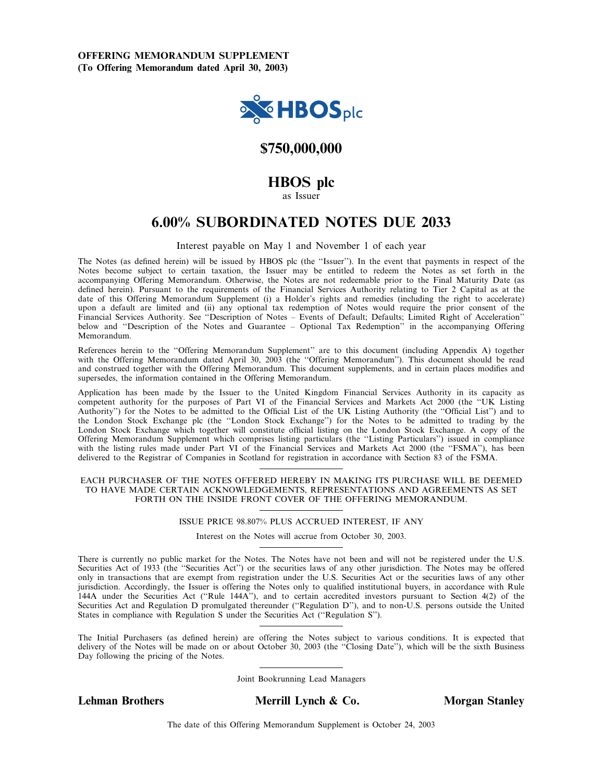

# \$750,000,000

# HBOS plc

as Issuer

# 6.00% SUBORDINATED NOTES DUE 2033

#### Interest payable on May 1 and November 1 of each year

The Notes (as defined herein) will be issued by HBOS plc (the "Issuer"). In the event that payments in respect of the Notes become subject to certain taxation, the Issuer may be entitled to redeem the Notes as set forth in the accompanying Offering Memorandum. Otherwise, the Notes are not redeemable prior to the Final Maturity Date (as defined herein). Pursuant to the requirements of the Financial Services Authority relating to Tier 2 Capital as at the date of this Offering Memorandum Supplement (i) a Holder's rights and remedies (including the right to accelerate) upon a default are limited and (ii) any optional tax redemption of Notes would require the prior consent of the Financial Services Authority. See "Description of Notes - Events of Default; Defaults; Limited Right of Acceleration" below and "Description of the Notes and Guarantee - Optional Tax Redemption" in the accompanying Offering Memorandum.

References herein to the "Offering Memorandum Supplement" are to this document (including Appendix A) together with the Offering Memorandum dated April 30, 2003 (the "Offering Memorandum"). This document should be read and construed together with the Offering Memorandum. This document supplements, and in certain places modifies and supersedes, the information contained in the Offering Memorandum.

Application has been made by the Issuer to the United Kingdom Financial Services Authority in its capacity as competent authority for the purposes of Part VI of the Financial Services and Markets Act 2000 (the "UK Listing Authority'') for the Notes to be admitted to the Official List of the UK Listing Authority (the "Official List") and to the London Stock Exchange plc (the "London Stock Exchange") for the Notes to be admitted to trading by the London Stock Exchange which together will constitute official listing on the London Stock Exchange. A copy of the Offering Memorandum Supplement which comprises listing particulars (the "Listing Particulars") issued in compliance with the listing rules made under Part VI of the Financial Services and Markets Act 2000 (the "FSMA"), has been delivered to the Registrar of Companies in Scotland for registration in accordance with Section 83 of the FSMA.

#### EACH PURCHASER OF THE NOTES OFFERED HEREBY IN MAKING ITS PURCHASE WILL BE DEEMED TO HAVE MADE CERTAIN ACKNOWLEDGEMENTS, REPRESENTATIONS AND AGREEMENTS AS SET FORTH ON THE INSIDE FRONT COVER OF THE OFFERING MEMORANDUM.

#### ISSUE PRICE 98.807% PLUS ACCRUED INTEREST, IF ANY

Interest on the Notes will accrue from October 30, 2003.

There is currently no public market for the Notes. The Notes have not been and will not be registered under the U.S. Securities Act of 1933 (the "Securities Act") or the securities laws of any other jurisdiction. The Notes may be offered only in transactions that are exempt from registration under the U.S. Securities Act or the securities laws of any other jurisdiction. Accordingly, the Issuer is offering the Notes only to qualified institutional buyers, in accordance with Rule 144A under the Securities Act (``Rule 144A''), and to certain accredited investors pursuant to Section 4(2) of the Securities Act and Regulation D promulgated thereunder ("Regulation D"), and to non-U.S. persons outside the United States in compliance with Regulation S under the Securities Act ("Regulation S").

The Initial Purchasers (as defined herein) are offering the Notes subject to various conditions. It is expected that delivery of the Notes will be made on or about October 30, 2003 (the "Closing Date"), which will be the sixth Business Day following the pricing of the Notes.

Joint Bookrunning Lead Managers

Lehman Brothers Merrill Lynch & Co. Morgan Stanley

The date of this Offering Memorandum Supplement is October 24, 2003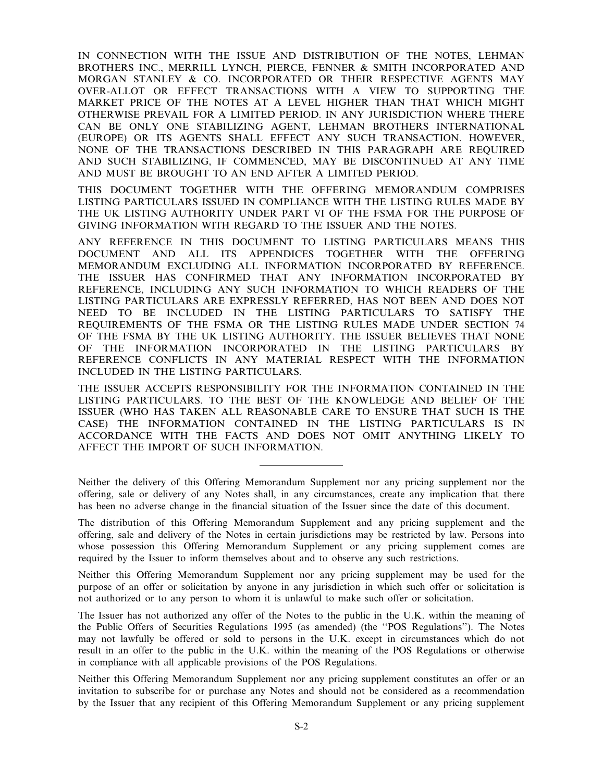IN CONNECTION WITH THE ISSUE AND DISTRIBUTION OF THE NOTES, LEHMAN BROTHERS INC., MERRILL LYNCH, PIERCE, FENNER & SMITH INCORPORATED AND MORGAN STANLEY & CO. INCORPORATED OR THEIR RESPECTIVE AGENTS MAY OVER-ALLOT OR EFFECT TRANSACTIONS WITH A VIEW TO SUPPORTING THE MARKET PRICE OF THE NOTES AT A LEVEL HIGHER THAN THAT WHICH MIGHT OTHERWISE PREVAIL FOR A LIMITED PERIOD. IN ANY JURISDICTION WHERE THERE CAN BE ONLY ONE STABILIZING AGENT, LEHMAN BROTHERS INTERNATIONAL (EUROPE) OR ITS AGENTS SHALL EFFECT ANY SUCH TRANSACTION. HOWEVER, NONE OF THE TRANSACTIONS DESCRIBED IN THIS PARAGRAPH ARE REQUIRED AND SUCH STABILIZING, IF COMMENCED, MAY BE DISCONTINUED AT ANY TIME AND MUST BE BROUGHT TO AN END AFTER A LIMITED PERIOD.

THIS DOCUMENT TOGETHER WITH THE OFFERING MEMORANDUM COMPRISES LISTING PARTICULARS ISSUED IN COMPLIANCE WITH THE LISTING RULES MADE BY THE UK LISTING AUTHORITY UNDER PART VI OF THE FSMA FOR THE PURPOSE OF GIVING INFORMATION WITH REGARD TO THE ISSUER AND THE NOTES.

ANY REFERENCE IN THIS DOCUMENT TO LISTING PARTICULARS MEANS THIS DOCUMENT AND ALL ITS APPENDICES TOGETHER WITH THE OFFERING MEMORANDUM EXCLUDING ALL INFORMATION INCORPORATED BY REFERENCE. THE ISSUER HAS CONFIRMED THAT ANY INFORMATION INCORPORATED BY REFERENCE, INCLUDING ANY SUCH INFORMATION TO WHICH READERS OF THE LISTING PARTICULARS ARE EXPRESSLY REFERRED, HAS NOT BEEN AND DOES NOT NEED TO BE INCLUDED IN THE LISTING PARTICULARS TO SATISFY THE REQUIREMENTS OF THE FSMA OR THE LISTING RULES MADE UNDER SECTION 74 OF THE FSMA BY THE UK LISTING AUTHORITY. THE ISSUER BELIEVES THAT NONE OF THE INFORMATION INCORPORATED IN THE LISTING PARTICULARS BY REFERENCE CONFLICTS IN ANY MATERIAL RESPECT WITH THE INFORMATION INCLUDED IN THE LISTING PARTICULARS.

THE ISSUER ACCEPTS RESPONSIBILITY FOR THE INFORMATION CONTAINED IN THE LISTING PARTICULARS. TO THE BEST OF THE KNOWLEDGE AND BELIEF OF THE ISSUER (WHO HAS TAKEN ALL REASONABLE CARE TO ENSURE THAT SUCH IS THE CASE) THE INFORMATION CONTAINED IN THE LISTING PARTICULARS IS IN ACCORDANCE WITH THE FACTS AND DOES NOT OMIT ANYTHING LIKELY TO AFFECT THE IMPORT OF SUCH INFORMATION.

Neither the delivery of this Offering Memorandum Supplement nor any pricing supplement nor the offering, sale or delivery of any Notes shall, in any circumstances, create any implication that there has been no adverse change in the financial situation of the Issuer since the date of this document.

The distribution of this Offering Memorandum Supplement and any pricing supplement and the offering, sale and delivery of the Notes in certain jurisdictions may be restricted by law. Persons into whose possession this Offering Memorandum Supplement or any pricing supplement comes are required by the Issuer to inform themselves about and to observe any such restrictions.

Neither this Offering Memorandum Supplement nor any pricing supplement may be used for the purpose of an offer or solicitation by anyone in any jurisdiction in which such offer or solicitation is not authorized or to any person to whom it is unlawful to make such offer or solicitation.

The Issuer has not authorized any offer of the Notes to the public in the U.K. within the meaning of the Public Offers of Securities Regulations 1995 (as amended) (the ``POS Regulations''). The Notes may not lawfully be offered or sold to persons in the U.K. except in circumstances which do not result in an offer to the public in the U.K. within the meaning of the POS Regulations or otherwise in compliance with all applicable provisions of the POS Regulations.

Neither this Offering Memorandum Supplement nor any pricing supplement constitutes an offer or an invitation to subscribe for or purchase any Notes and should not be considered as a recommendation by the Issuer that any recipient of this Offering Memorandum Supplement or any pricing supplement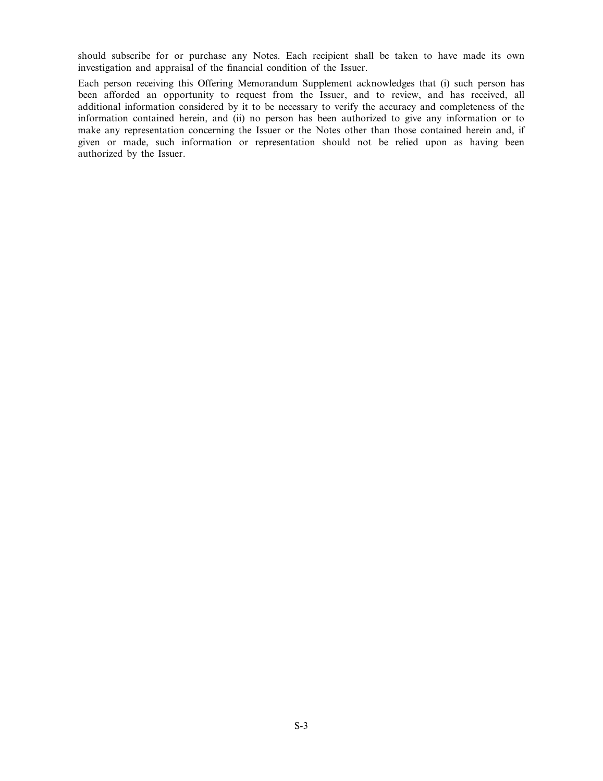should subscribe for or purchase any Notes. Each recipient shall be taken to have made its own investigation and appraisal of the financial condition of the Issuer.

Each person receiving this Offering Memorandum Supplement acknowledges that (i) such person has been afforded an opportunity to request from the Issuer, and to review, and has received, all additional information considered by it to be necessary to verify the accuracy and completeness of the information contained herein, and (ii) no person has been authorized to give any information or to make any representation concerning the Issuer or the Notes other than those contained herein and, if given or made, such information or representation should not be relied upon as having been authorized by the Issuer.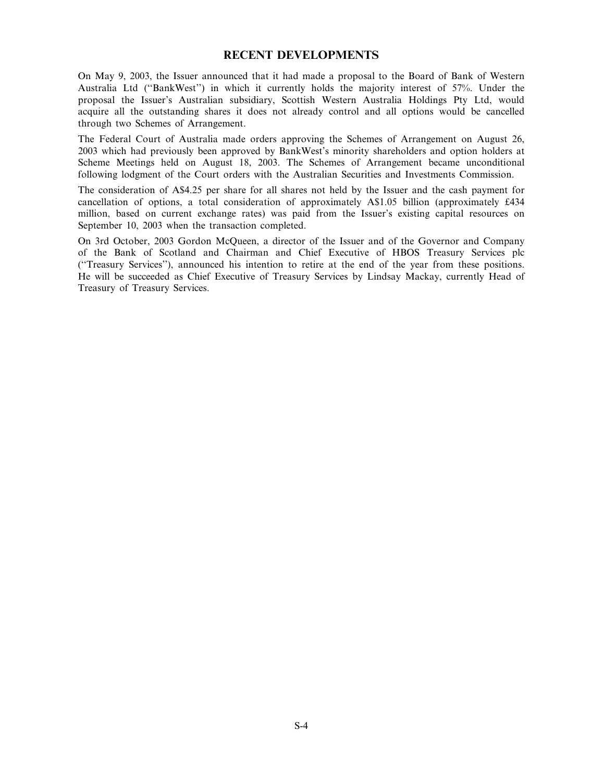## RECENT DEVELOPMENTS

On May 9, 2003, the Issuer announced that it had made a proposal to the Board of Bank of Western Australia Ltd ("BankWest") in which it currently holds the majority interest of 57%. Under the proposal the Issuer's Australian subsidiary, Scottish Western Australia Holdings Pty Ltd, would acquire all the outstanding shares it does not already control and all options would be cancelled through two Schemes of Arrangement.

The Federal Court of Australia made orders approving the Schemes of Arrangement on August 26, 2003 which had previously been approved by BankWest's minority shareholders and option holders at Scheme Meetings held on August 18, 2003. The Schemes of Arrangement became unconditional following lodgment of the Court orders with the Australian Securities and Investments Commission.

The consideration of A\$4.25 per share for all shares not held by the Issuer and the cash payment for cancellation of options, a total consideration of approximately A\$1.05 billion (approximately £434 million, based on current exchange rates) was paid from the Issuer's existing capital resources on September 10, 2003 when the transaction completed.

On 3rd October, 2003 Gordon McQueen, a director of the Issuer and of the Governor and Company of the Bank of Scotland and Chairman and Chief Executive of HBOS Treasury Services plc (``Treasury Services''), announced his intention to retire at the end of the year from these positions. He will be succeeded as Chief Executive of Treasury Services by Lindsay Mackay, currently Head of Treasury of Treasury Services.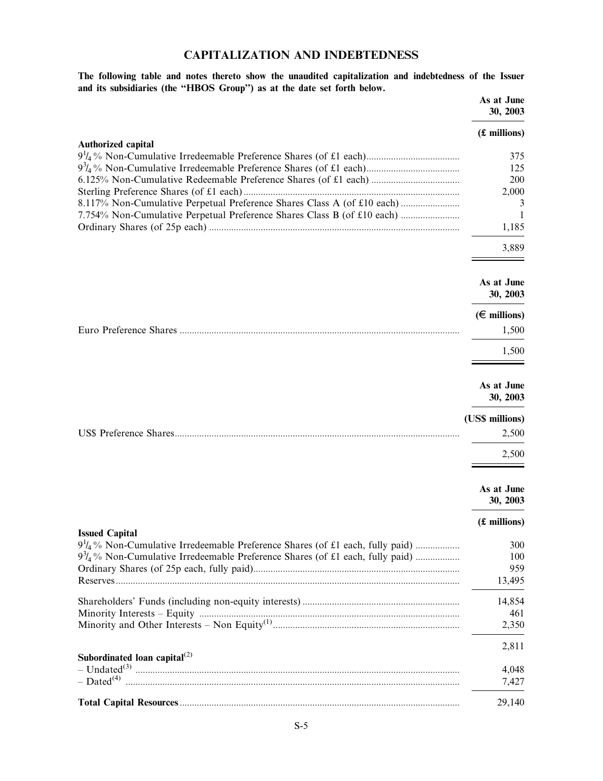# CAPITALIZATION AND INDEBTEDNESS

The following table and notes thereto show the unaudited capitalization and indebtedness of the Issuer and its subsidiaries (the "HBOS Group") as at the date set forth below.  $A<sub>S</sub>$  at In

|                                                                                                                                                                          | As at June<br>30, 2003                                 |
|--------------------------------------------------------------------------------------------------------------------------------------------------------------------------|--------------------------------------------------------|
|                                                                                                                                                                          | (£ millions)                                           |
| Authorized capital<br>8.117% Non-Cumulative Perpetual Preference Shares Class A (of £10 each)<br>7.754% Non-Cumulative Perpetual Preference Shares Class B (of £10 each) | 375<br>125<br>200<br>2,000<br>3<br>1<br>1,185<br>3,889 |
|                                                                                                                                                                          | As at June<br>30, 2003                                 |
|                                                                                                                                                                          | $(\in$ millions)<br>1,500                              |
|                                                                                                                                                                          | 1,500                                                  |
|                                                                                                                                                                          | As at June<br>30, 2003                                 |
|                                                                                                                                                                          |                                                        |
|                                                                                                                                                                          | (US\$ millions)<br>2,500                               |
|                                                                                                                                                                          | 2,500                                                  |
|                                                                                                                                                                          | As at June<br>30, 2003                                 |
|                                                                                                                                                                          | (£ millions)                                           |
| <b>Issued Capital</b><br>$9\frac{3}{4}$ % Non-Cumulative Irredeemable Preference Shares (of £1 each, fully paid)                                                         | 300<br>100<br>959<br>13,495                            |
|                                                                                                                                                                          | 14,854<br>461<br>2,350                                 |
|                                                                                                                                                                          | 2,811                                                  |
| Subordinated loan capital $^{(2)}$                                                                                                                                       | 4,048<br>7,427                                         |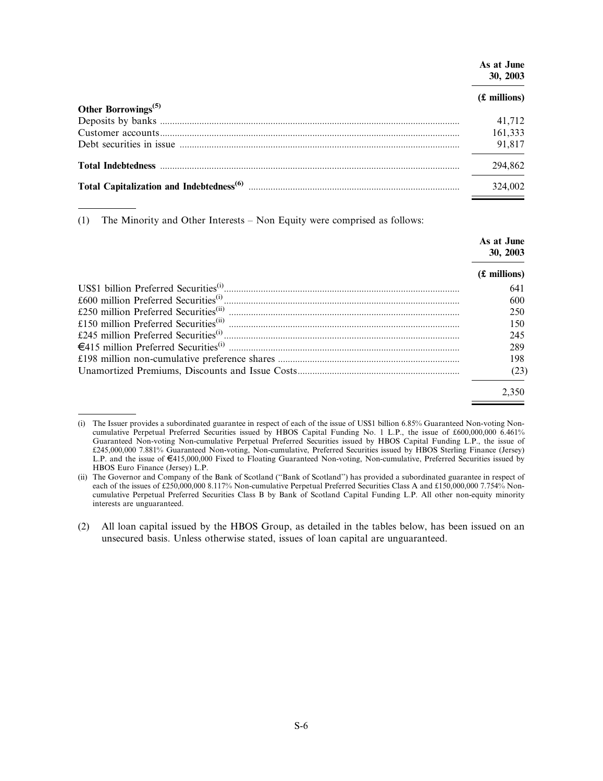| As at June<br>30, 2003 |
|------------------------|
| (£ millions)           |
| 41.712                 |
| 161,333                |
| 91,817                 |
| 294,862                |
| 324,002                |
|                        |

(1) The Minority and Other Interests  $-$  Non Equity were comprised as follows:

|  | As at June<br>30, 2003 |
|--|------------------------|
|  | $(f.$ millions)        |
|  | 641                    |
|  | 600                    |
|  | 250                    |
|  | 150                    |
|  | 245                    |
|  | 289                    |
|  | 198                    |
|  | (23)                   |
|  | 2.350                  |

<sup>(</sup>i) The Issuer provides a subordinated guarantee in respect of each of the issue of US\$1 billion 6.85% Guaranteed Non-voting Noncumulative Perpetual Preferred Securities issued by HBOS Capital Funding No. 1 L.P., the issue of £600,000,000 6.461% Guaranteed Non-voting Non-cumulative Perpetual Preferred Securities issued by HBOS Capital Funding L.P., the issue of £245,000,000 7.881% Guaranteed Non-voting, Non-cumulative, Preferred Securities issued by HBOS Sterling Finance (Jersey) L.P. and the issue of €415,000,000 Fixed to Floating Guaranteed Non-voting, Non-cumulative, Preferred Securities issued by HBOS Euro Finance (Jersey) L.P.

<sup>(</sup>ii) The Governor and Company of the Bank of Scotland (``Bank of Scotland'') has provided a subordinated guarantee in respect of each of the issues of £250,000,000 8.117% Non-cumulative Perpetual Preferred Securities Class A and £150,000,000 7.754% Noncumulative Perpetual Preferred Securities Class B by Bank of Scotland Capital Funding L.P. All other non-equity minority interests are unguaranteed.

<sup>(2)</sup> All loan capital issued by the HBOS Group, as detailed in the tables below, has been issued on an unsecured basis. Unless otherwise stated, issues of loan capital are unguaranteed.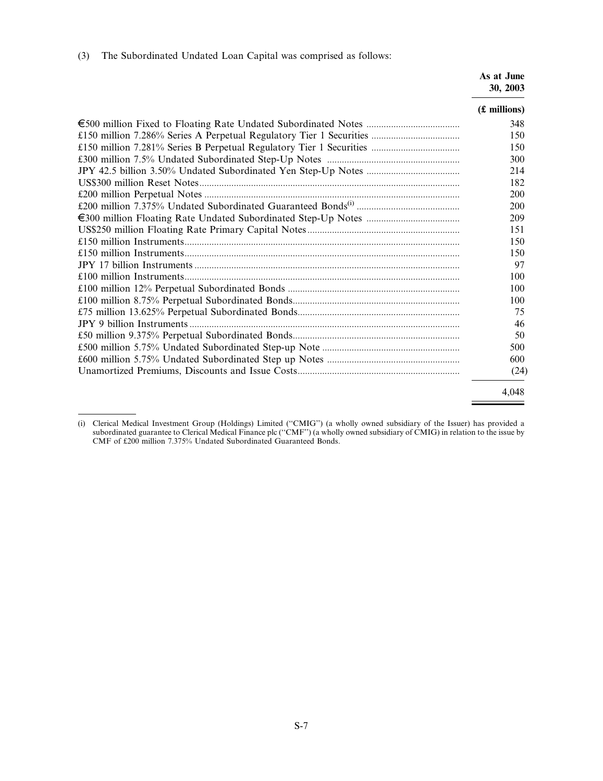(3) The Subordinated Undated Loan Capital was comprised as follows:

As at June 30, 2003

| $(f.$ millions) |
|-----------------|
| 348             |
| 150             |
| 150             |
| 300             |
| 214             |
| 182             |
| 200             |
| 200             |
| 209             |
| 151             |
| 150             |
| 150             |
| 97              |
| 100             |
| 100             |
| 100             |
| 75              |
| 46              |
| 50              |
| 500             |
| 600             |
| (24)            |
| 4.048           |

<sup>(</sup>i) Clerical Medical Investment Group (Holdings) Limited (``CMIG'') (a wholly owned subsidiary of the Issuer) has provided a subordinated guarantee to Clerical Medical Finance plc (''CMF'') (a wholly owned subsidiary of CMIG) in relation to the issue by CMF of £200 million 7.375% Undated Subordinated Guaranteed Bonds.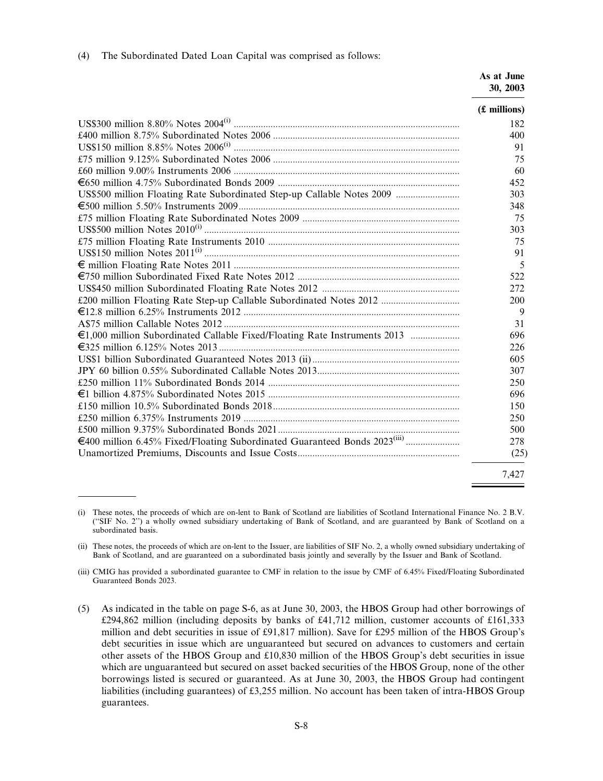|                                                                           | As at June<br>30, 2003 |
|---------------------------------------------------------------------------|------------------------|
|                                                                           | (£ millions)           |
|                                                                           | 182                    |
|                                                                           | 400                    |
|                                                                           | 91                     |
|                                                                           | 75                     |
|                                                                           | 60                     |
|                                                                           | 452                    |
| US\$500 million Floating Rate Subordinated Step-up Callable Notes 2009    | 303                    |
|                                                                           | 348                    |
|                                                                           | 75                     |
|                                                                           | 303                    |
|                                                                           | 75                     |
|                                                                           | 91                     |
|                                                                           | 5                      |
|                                                                           | 522                    |
|                                                                           | 272                    |
| £200 million Floating Rate Step-up Callable Subordinated Notes 2012       | <b>200</b>             |
|                                                                           | 9                      |
|                                                                           | 31                     |
| €1,000 million Subordinated Callable Fixed/Floating Rate Instruments 2013 | 696                    |
|                                                                           | 226                    |
|                                                                           | 605                    |
|                                                                           | 307                    |
|                                                                           | 250                    |
|                                                                           | 696                    |
|                                                                           | 150                    |
|                                                                           | 250                    |
|                                                                           | 500                    |
|                                                                           | 278                    |
|                                                                           | (25)                   |
|                                                                           | 7.427                  |

<sup>(</sup>i) These notes, the proceeds of which are on-lent to Bank of Scotland are liabilities of Scotland International Finance No. 2 B.V. (``SIF No. 2'') a wholly owned subsidiary undertaking of Bank of Scotland, and are guaranteed by Bank of Scotland on a subordinated basis.

<sup>(</sup>ii) These notes, the proceeds of which are on-lent to the Issuer, are liabilities of SIF No. 2, a wholly owned subsidiary undertaking of Bank of Scotland, and are guaranteed on a subordinated basis jointly and severally by the Issuer and Bank of Scotland.

<sup>(</sup>iii) CMIG has provided a subordinated guarantee to CMF in relation to the issue by CMF of 6.45% Fixed/Floating Subordinated Guaranteed Bonds 2023.

<sup>(5)</sup> As indicated in the table on page S-6, as at June 30, 2003, the HBOS Group had other borrowings of £294,862 million (including deposits by banks of £41,712 million, customer accounts of £161,333 million and debt securities in issue of £91,817 million). Save for £295 million of the HBOS Group's debt securities in issue which are unguaranteed but secured on advances to customers and certain other assets of the HBOS Group and £10,830 million of the HBOS Group's debt securities in issue which are unguaranteed but secured on asset backed securities of the HBOS Group, none of the other borrowings listed is secured or guaranteed. As at June 30, 2003, the HBOS Group had contingent liabilities (including guarantees) of £3,255 million. No account has been taken of intra-HBOS Group guarantees.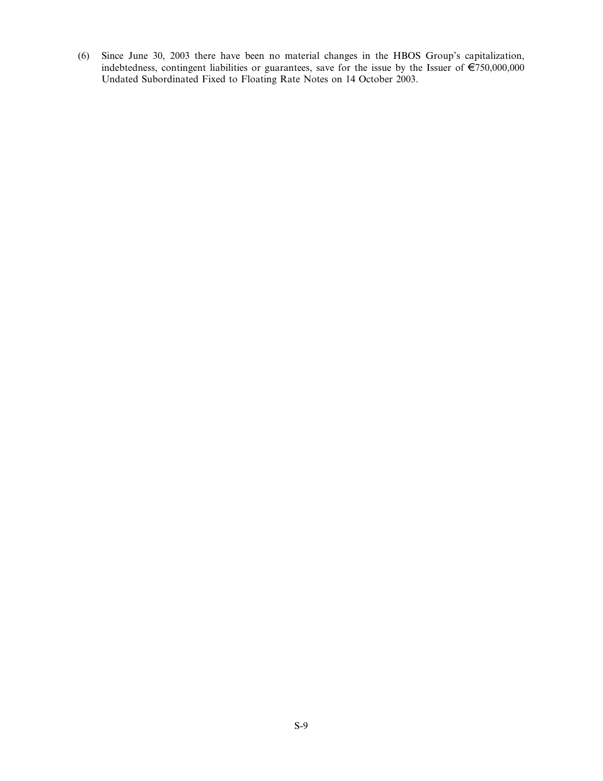(6) Since June 30, 2003 there have been no material changes in the HBOS Group's capitalization, indebtedness, contingent liabilities or guarantees, save for the issue by the Issuer of  $\epsilon$ 750,000,000 Undated Subordinated Fixed to Floating Rate Notes on 14 October 2003.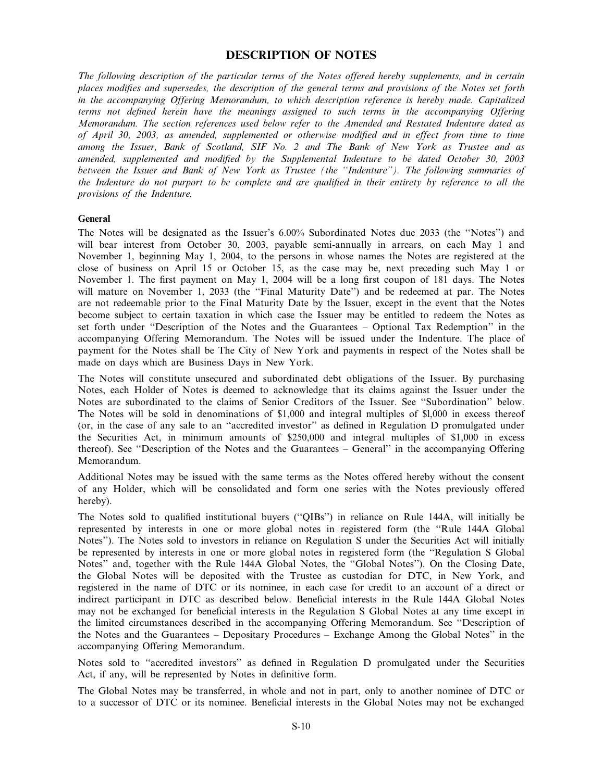## DESCRIPTION OF NOTES

The following description of the particular terms of the Notes offered hereby supplements, and in certain places modifies and supersedes, the description of the general terms and provisions of the Notes set forth in the accompanying Offering Memorandum, to which description reference is hereby made. Capitalized terms not defined herein have the meanings assigned to such terms in the accompanying Offering Memorandum. The section references used below refer to the Amended and Restated Indenture dated as of April 30, 2003, as amended, supplemented or otherwise modified and in effect from time to time among the Issuer, Bank of Scotland, SIF No. 2 and The Bank of New York as Trustee and as amended, supplemented and modified by the Supplemental Indenture to be dated October 30, 2003 between the Issuer and Bank of New York as Trustee (the "Indenture"). The following summaries of the Indenture do not purport to be complete and are qualified in their entirety by reference to all the provisions of the Indenture.

#### General

The Notes will be designated as the Issuer's 6.00% Subordinated Notes due 2033 (the "Notes") and will bear interest from October 30, 2003, payable semi-annually in arrears, on each May 1 and November 1, beginning May 1, 2004, to the persons in whose names the Notes are registered at the close of business on April 15 or October 15, as the case may be, next preceding such May 1 or November 1. The first payment on May 1, 2004 will be a long first coupon of 181 days. The Notes will mature on November 1, 2033 (the "Final Maturity Date") and be redeemed at par. The Notes are not redeemable prior to the Final Maturity Date by the Issuer, except in the event that the Notes become subject to certain taxation in which case the Issuer may be entitled to redeem the Notes as set forth under "Description of the Notes and the Guarantees – Optional Tax Redemption" in the accompanying Offering Memorandum. The Notes will be issued under the Indenture. The place of payment for the Notes shall be The City of New York and payments in respect of the Notes shall be made on days which are Business Days in New York.

The Notes will constitute unsecured and subordinated debt obligations of the Issuer. By purchasing Notes, each Holder of Notes is deemed to acknowledge that its claims against the Issuer under the Notes are subordinated to the claims of Senior Creditors of the Issuer. See "Subordination" below. The Notes will be sold in denominations of \$1,000 and integral multiples of \$l,000 in excess thereof (or, in the case of any sale to an "accredited investor" as defined in Regulation D promulgated under the Securities Act, in minimum amounts of \$250,000 and integral multiples of \$1,000 in excess thereof). See "Description of the Notes and the Guarantees - General" in the accompanying Offering Memorandum.

Additional Notes may be issued with the same terms as the Notes offered hereby without the consent of any Holder, which will be consolidated and form one series with the Notes previously offered hereby).

The Notes sold to qualified institutional buyers ("QIBs") in reliance on Rule 144A, will initially be represented by interests in one or more global notes in registered form (the "Rule 144A Global Notes''). The Notes sold to investors in reliance on Regulation S under the Securities Act will initially be represented by interests in one or more global notes in registered form (the "Regulation S Global Notes" and, together with the Rule 144A Global Notes, the "Global Notes"). On the Closing Date, the Global Notes will be deposited with the Trustee as custodian for DTC, in New York, and registered in the name of DTC or its nominee, in each case for credit to an account of a direct or indirect participant in DTC as described below. Beneficial interests in the Rule 144A Global Notes may not be exchanged for beneficial interests in the Regulation S Global Notes at any time except in the limited circumstances described in the accompanying Offering Memorandum. See ``Description of the Notes and the Guarantees  $-$  Depositary Procedures  $-$  Exchange Among the Global Notes" in the accompanying Offering Memorandum.

Notes sold to "accredited investors" as defined in Regulation D promulgated under the Securities Act, if any, will be represented by Notes in definitive form.

The Global Notes may be transferred, in whole and not in part, only to another nominee of DTC or to a successor of DTC or its nominee. Beneficial interests in the Global Notes may not be exchanged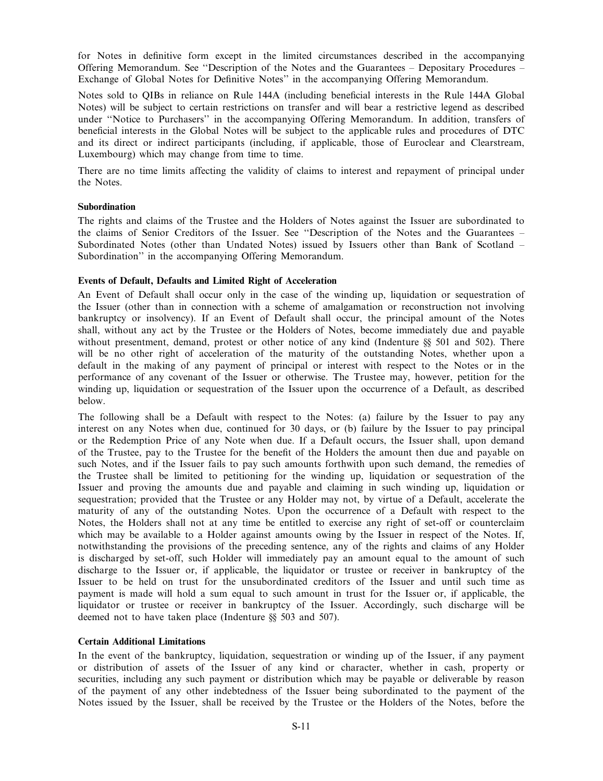for Notes in definitive form except in the limited circumstances described in the accompanying Offering Memorandum. See "Description of the Notes and the Guarantees  $-$  Depositary Procedures  $-$ Exchange of Global Notes for Definitive Notes" in the accompanying Offering Memorandum.

Notes sold to QIBs in reliance on Rule 144A (including beneficial interests in the Rule 144A Global Notes) will be subject to certain restrictions on transfer and will bear a restrictive legend as described under ``Notice to Purchasers'' in the accompanying Offering Memorandum. In addition, transfers of beneficial interests in the Global Notes will be subject to the applicable rules and procedures of DTC and its direct or indirect participants (including, if applicable, those of Euroclear and Clearstream, Luxembourg) which may change from time to time.

There are no time limits affecting the validity of claims to interest and repayment of principal under the Notes.

#### **Subordination**

The rights and claims of the Trustee and the Holders of Notes against the Issuer are subordinated to the claims of Senior Creditors of the Issuer. See "Description of the Notes and the Guarantees -Subordinated Notes (other than Undated Notes) issued by Issuers other than Bank of Scotland  $-$ Subordination'' in the accompanying Offering Memorandum.

#### Events of Default, Defaults and Limited Right of Acceleration

An Event of Default shall occur only in the case of the winding up, liquidation or sequestration of the Issuer (other than in connection with a scheme of amalgamation or reconstruction not involving bankruptcy or insolvency). If an Event of Default shall occur, the principal amount of the Notes shall, without any act by the Trustee or the Holders of Notes, become immediately due and payable without presentment, demand, protest or other notice of any kind (Indenture §§ 501 and 502). There will be no other right of acceleration of the maturity of the outstanding Notes, whether upon a default in the making of any payment of principal or interest with respect to the Notes or in the performance of any covenant of the Issuer or otherwise. The Trustee may, however, petition for the winding up, liquidation or sequestration of the Issuer upon the occurrence of a Default, as described below.

The following shall be a Default with respect to the Notes: (a) failure by the Issuer to pay any interest on any Notes when due, continued for 30 days, or (b) failure by the Issuer to pay principal or the Redemption Price of any Note when due. If a Default occurs, the Issuer shall, upon demand of the Trustee, pay to the Trustee for the benefit of the Holders the amount then due and payable on such Notes, and if the Issuer fails to pay such amounts forthwith upon such demand, the remedies of the Trustee shall be limited to petitioning for the winding up, liquidation or sequestration of the Issuer and proving the amounts due and payable and claiming in such winding up, liquidation or sequestration; provided that the Trustee or any Holder may not, by virtue of a Default, accelerate the maturity of any of the outstanding Notes. Upon the occurrence of a Default with respect to the Notes, the Holders shall not at any time be entitled to exercise any right of set-off or counterclaim which may be available to a Holder against amounts owing by the Issuer in respect of the Notes. If, notwithstanding the provisions of the preceding sentence, any of the rights and claims of any Holder is discharged by set-off, such Holder will immediately pay an amount equal to the amount of such discharge to the Issuer or, if applicable, the liquidator or trustee or receiver in bankruptcy of the Issuer to be held on trust for the unsubordinated creditors of the Issuer and until such time as payment is made will hold a sum equal to such amount in trust for the Issuer or, if applicable, the liquidator or trustee or receiver in bankruptcy of the Issuer. Accordingly, such discharge will be deemed not to have taken place (Indenture §§ 503 and 507).

## Certain Additional Limitations

In the event of the bankruptcy, liquidation, sequestration or winding up of the Issuer, if any payment or distribution of assets of the Issuer of any kind or character, whether in cash, property or securities, including any such payment or distribution which may be payable or deliverable by reason of the payment of any other indebtedness of the Issuer being subordinated to the payment of the Notes issued by the Issuer, shall be received by the Trustee or the Holders of the Notes, before the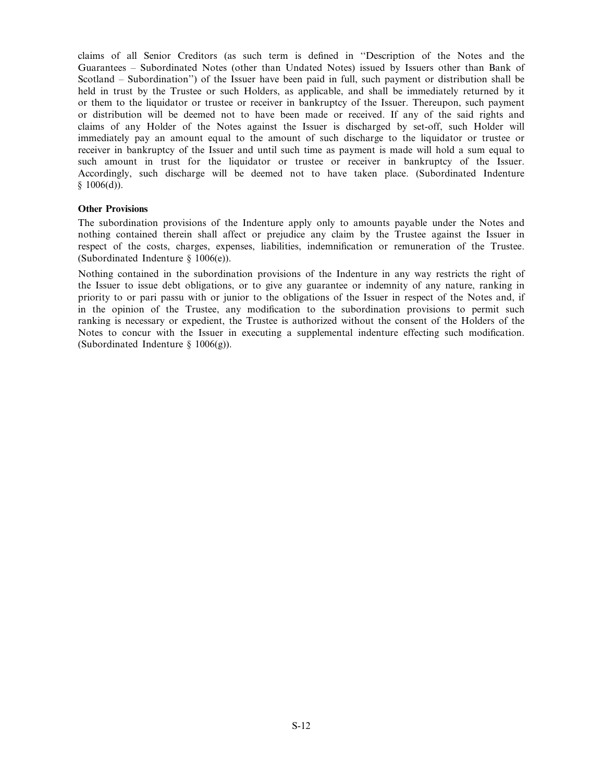claims of all Senior Creditors (as such term is defined in "Description of the Notes and the Guarantees – Subordinated Notes (other than Undated Notes) issued by Issuers other than Bank of Scotland – Subordination'') of the Issuer have been paid in full, such payment or distribution shall be held in trust by the Trustee or such Holders, as applicable, and shall be immediately returned by it or them to the liquidator or trustee or receiver in bankruptcy of the Issuer. Thereupon, such payment or distribution will be deemed not to have been made or received. If any of the said rights and claims of any Holder of the Notes against the Issuer is discharged by set-off, such Holder will immediately pay an amount equal to the amount of such discharge to the liquidator or trustee or receiver in bankruptcy of the Issuer and until such time as payment is made will hold a sum equal to such amount in trust for the liquidator or trustee or receiver in bankruptcy of the Issuer. Accordingly, such discharge will be deemed not to have taken place. (Subordinated Indenture  $$1006(d)$ ).

#### Other Provisions

The subordination provisions of the Indenture apply only to amounts payable under the Notes and nothing contained therein shall affect or prejudice any claim by the Trustee against the Issuer in respect of the costs, charges, expenses, liabilities, indemnification or remuneration of the Trustee. (Subordinated Indenture § 1006(e)).

Nothing contained in the subordination provisions of the Indenture in any way restricts the right of the Issuer to issue debt obligations, or to give any guarantee or indemnity of any nature, ranking in priority to or pari passu with or junior to the obligations of the Issuer in respect of the Notes and, if in the opinion of the Trustee, any modification to the subordination provisions to permit such ranking is necessary or expedient, the Trustee is authorized without the consent of the Holders of the Notes to concur with the Issuer in executing a supplemental indenture effecting such modification. (Subordinated Indenture § 1006(g)).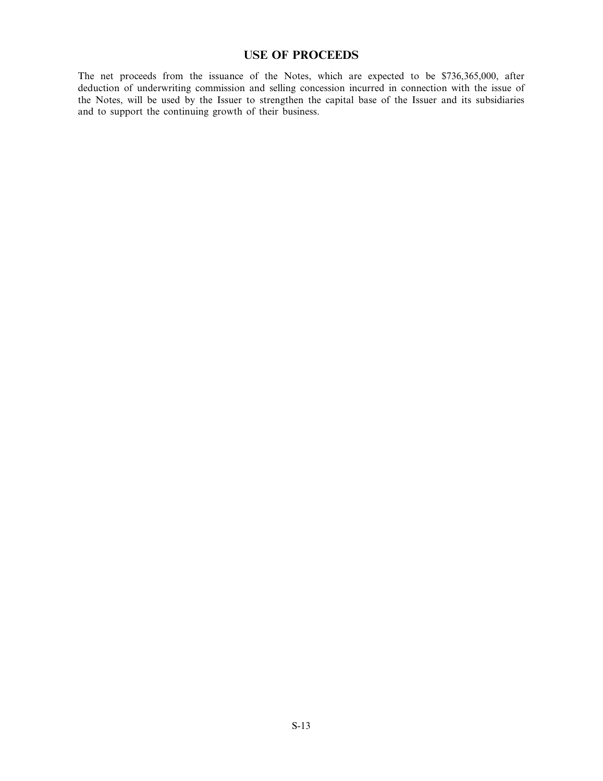## USE OF PROCEEDS

The net proceeds from the issuance of the Notes, which are expected to be \$736,365,000, after deduction of underwriting commission and selling concession incurred in connection with the issue of the Notes, will be used by the Issuer to strengthen the capital base of the Issuer and its subsidiaries and to support the continuing growth of their business.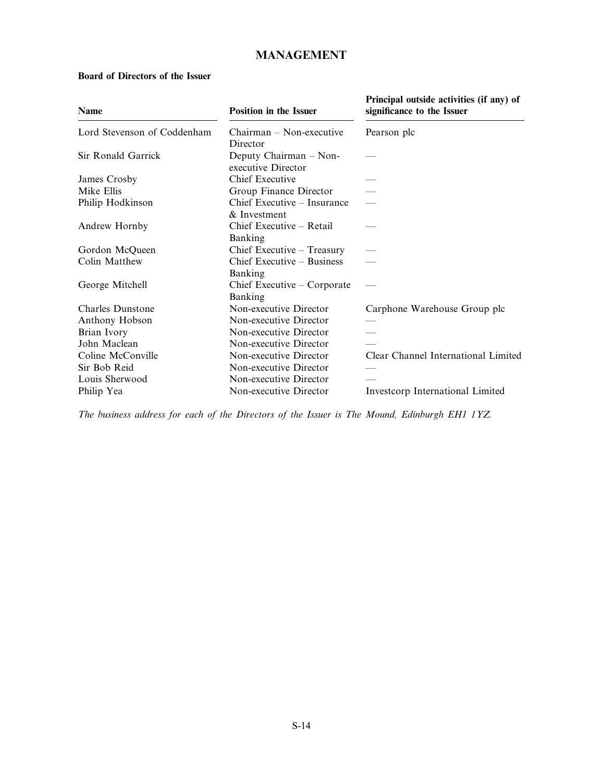# MANAGEMENT

## Board of Directors of the Issuer

| <b>Name</b>                 | <b>Position in the Issuer</b>                | Principal outside activities (if any) of<br>significance to the Issuer |
|-----------------------------|----------------------------------------------|------------------------------------------------------------------------|
| Lord Stevenson of Coddenham | $Chairman - Non-executive$<br>Director       | Pearson plc                                                            |
| Sir Ronald Garrick          | Deputy Chairman – Non-<br>executive Director |                                                                        |
| James Crosby                | Chief Executive                              |                                                                        |
| Mike Ellis                  | Group Finance Director                       |                                                                        |
| Philip Hodkinson            | Chief Executive - Insurance<br>& Investment  |                                                                        |
| Andrew Hornby               | Chief Executive – Retail<br>Banking          |                                                                        |
| Gordon McQueen              | Chief Executive – Treasury                   |                                                                        |
| Colin Matthew               | Chief Executive – Business<br>Banking        |                                                                        |
| George Mitchell             | Chief Executive – Corporate<br>Banking       |                                                                        |
| Charles Dunstone            | Non-executive Director                       | Carphone Warehouse Group plc                                           |
| Anthony Hobson              | Non-executive Director                       |                                                                        |
| Brian Ivory                 | Non-executive Director                       |                                                                        |
| John Maclean                | Non-executive Director                       |                                                                        |
| Coline McConville           | Non-executive Director                       | Clear Channel International Limited                                    |
| Sir Bob Reid                | Non-executive Director                       |                                                                        |
| Louis Sherwood              | Non-executive Director                       |                                                                        |
| Philip Yea                  | Non-executive Director                       | Investcorp International Limited                                       |

The business address for each of the Directors of the Issuer is The Mound, Edinburgh EH1 1YZ.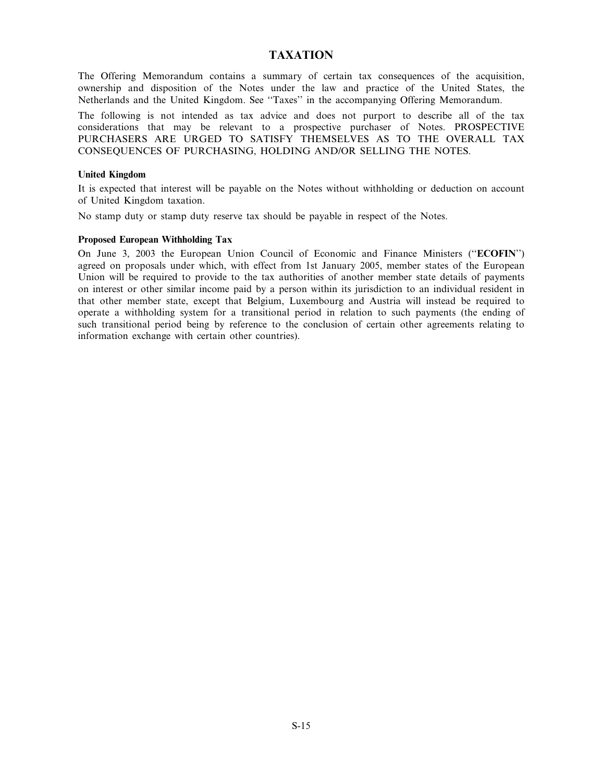# TAXATION

The Offering Memorandum contains a summary of certain tax consequences of the acquisition, ownership and disposition of the Notes under the law and practice of the United States, the Netherlands and the United Kingdom. See "Taxes" in the accompanying Offering Memorandum.

The following is not intended as tax advice and does not purport to describe all of the tax considerations that may be relevant to a prospective purchaser of Notes. PROSPECTIVE PURCHASERS ARE URGED TO SATISFY THEMSELVES AS TO THE OVERALL TAX CONSEQUENCES OF PURCHASING, HOLDING AND/OR SELLING THE NOTES.

#### United Kingdom

It is expected that interest will be payable on the Notes without withholding or deduction on account of United Kingdom taxation.

No stamp duty or stamp duty reserve tax should be payable in respect of the Notes.

#### Proposed European Withholding Tax

On June 3, 2003 the European Union Council of Economic and Finance Ministers ("ECOFIN") agreed on proposals under which, with effect from 1st January 2005, member states of the European Union will be required to provide to the tax authorities of another member state details of payments on interest or other similar income paid by a person within its jurisdiction to an individual resident in that other member state, except that Belgium, Luxembourg and Austria will instead be required to operate a withholding system for a transitional period in relation to such payments (the ending of such transitional period being by reference to the conclusion of certain other agreements relating to information exchange with certain other countries).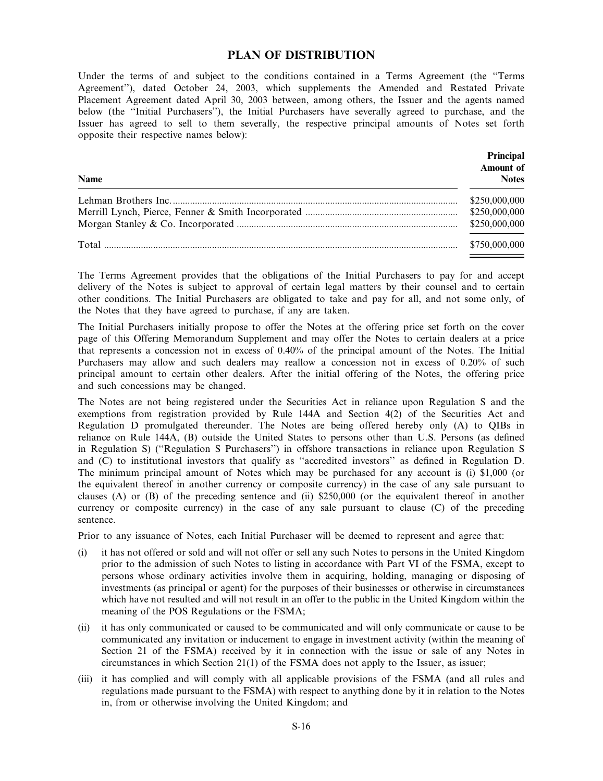## PLAN OF DISTRIBUTION

Under the terms of and subject to the conditions contained in a Terms Agreement (the "Terms Agreement''), dated October 24, 2003, which supplements the Amended and Restated Private Placement Agreement dated April 30, 2003 between, among others, the Issuer and the agents named below (the "Initial Purchasers"), the Initial Purchasers have severally agreed to purchase, and the Issuer has agreed to sell to them severally, the respective principal amounts of Notes set forth opposite their respective names below):

| Name | Principal<br>Amount of<br><b>Notes</b> |
|------|----------------------------------------|
|      | \$250,000,000<br>\$250,000,000         |
|      | \$250,000,000                          |
|      | \$750,000,000                          |

The Terms Agreement provides that the obligations of the Initial Purchasers to pay for and accept delivery of the Notes is subject to approval of certain legal matters by their counsel and to certain other conditions. The Initial Purchasers are obligated to take and pay for all, and not some only, of the Notes that they have agreed to purchase, if any are taken.

The Initial Purchasers initially propose to offer the Notes at the offering price set forth on the cover page of this Offering Memorandum Supplement and may offer the Notes to certain dealers at a price that represents a concession not in excess of 0.40% of the principal amount of the Notes. The Initial Purchasers may allow and such dealers may reallow a concession not in excess of 0.20% of such principal amount to certain other dealers. After the initial offering of the Notes, the offering price and such concessions may be changed.

The Notes are not being registered under the Securities Act in reliance upon Regulation S and the exemptions from registration provided by Rule 144A and Section 4(2) of the Securities Act and Regulation D promulgated thereunder. The Notes are being offered hereby only (A) to QIBs in reliance on Rule 144A, (B) outside the United States to persons other than U.S. Persons (as defined in Regulation S) ("Regulation S Purchasers") in offshore transactions in reliance upon Regulation S and  $(C)$  to institutional investors that qualify as "accredited investors" as defined in Regulation D. The minimum principal amount of Notes which may be purchased for any account is (i) \$1,000 (or the equivalent thereof in another currency or composite currency) in the case of any sale pursuant to clauses (A) or  $(B)$  of the preceding sentence and (ii) \$250,000 (or the equivalent thereof in another currency or composite currency) in the case of any sale pursuant to clause (C) of the preceding sentence.

Prior to any issuance of Notes, each Initial Purchaser will be deemed to represent and agree that:

- (i) it has not offered or sold and will not offer or sell any such Notes to persons in the United Kingdom prior to the admission of such Notes to listing in accordance with Part VI of the FSMA, except to persons whose ordinary activities involve them in acquiring, holding, managing or disposing of investments (as principal or agent) for the purposes of their businesses or otherwise in circumstances which have not resulted and will not result in an offer to the public in the United Kingdom within the meaning of the POS Regulations or the FSMA;
- (ii) it has only communicated or caused to be communicated and will only communicate or cause to be communicated any invitation or inducement to engage in investment activity (within the meaning of Section 21 of the FSMA) received by it in connection with the issue or sale of any Notes in circumstances in which Section 21(1) of the FSMA does not apply to the Issuer, as issuer;
- (iii) it has complied and will comply with all applicable provisions of the FSMA (and all rules and regulations made pursuant to the FSMA) with respect to anything done by it in relation to the Notes in, from or otherwise involving the United Kingdom; and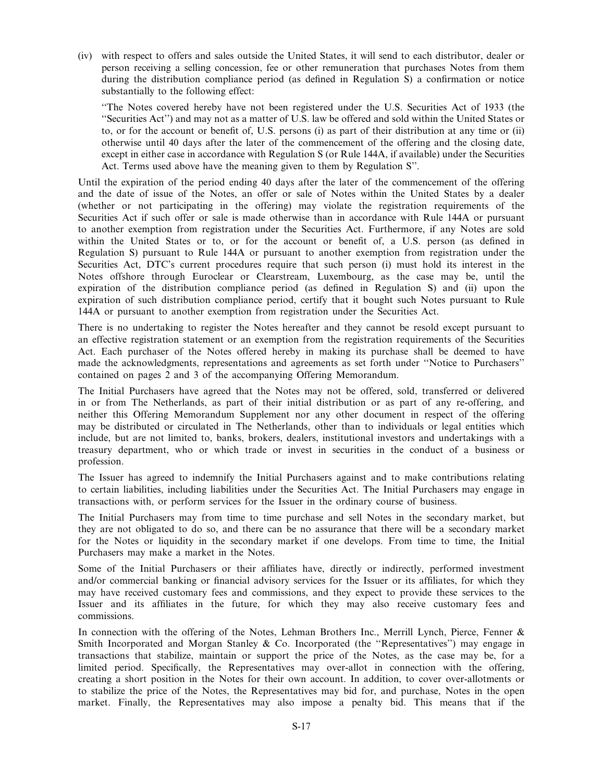(iv) with respect to offers and sales outside the United States, it will send to each distributor, dealer or person receiving a selling concession, fee or other remuneration that purchases Notes from them during the distribution compliance period (as defined in Regulation  $S$ ) a confirmation or notice substantially to the following effect:

``The Notes covered hereby have not been registered under the U.S. Securities Act of 1933 (the ``Securities Act'') and may not as a matter of U.S. law be offered and sold within the United States or to, or for the account or benefit of, U.S. persons (i) as part of their distribution at any time or (ii) otherwise until 40 days after the later of the commencement of the offering and the closing date, except in either case in accordance with Regulation S (or Rule 144A, if available) under the Securities Act. Terms used above have the meaning given to them by Regulation S''.

Until the expiration of the period ending 40 days after the later of the commencement of the offering and the date of issue of the Notes, an offer or sale of Notes within the United States by a dealer (whether or not participating in the offering) may violate the registration requirements of the Securities Act if such offer or sale is made otherwise than in accordance with Rule 144A or pursuant to another exemption from registration under the Securities Act. Furthermore, if any Notes are sold within the United States or to, or for the account or benefit of, a U.S. person (as defined in Regulation S) pursuant to Rule 144A or pursuant to another exemption from registration under the Securities Act, DTC's current procedures require that such person (i) must hold its interest in the Notes offshore through Euroclear or Clearstream, Luxembourg, as the case may be, until the expiration of the distribution compliance period (as defined in Regulation S) and (ii) upon the expiration of such distribution compliance period, certify that it bought such Notes pursuant to Rule 144A or pursuant to another exemption from registration under the Securities Act.

There is no undertaking to register the Notes hereafter and they cannot be resold except pursuant to an effective registration statement or an exemption from the registration requirements of the Securities Act. Each purchaser of the Notes offered hereby in making its purchase shall be deemed to have made the acknowledgments, representations and agreements as set forth under "Notice to Purchasers" contained on pages 2 and 3 of the accompanying Offering Memorandum.

The Initial Purchasers have agreed that the Notes may not be offered, sold, transferred or delivered in or from The Netherlands, as part of their initial distribution or as part of any re-offering, and neither this Offering Memorandum Supplement nor any other document in respect of the offering may be distributed or circulated in The Netherlands, other than to individuals or legal entities which include, but are not limited to, banks, brokers, dealers, institutional investors and undertakings with a treasury department, who or which trade or invest in securities in the conduct of a business or profession.

The Issuer has agreed to indemnify the Initial Purchasers against and to make contributions relating to certain liabilities, including liabilities under the Securities Act. The Initial Purchasers may engage in transactions with, or perform services for the Issuer in the ordinary course of business.

The Initial Purchasers may from time to time purchase and sell Notes in the secondary market, but they are not obligated to do so, and there can be no assurance that there will be a secondary market for the Notes or liquidity in the secondary market if one develops. From time to time, the Initial Purchasers may make a market in the Notes.

Some of the Initial Purchasers or their affiliates have, directly or indirectly, performed investment and/or commercial banking or financial advisory services for the Issuer or its affiliates, for which they may have received customary fees and commissions, and they expect to provide these services to the Issuer and its affiliates in the future, for which they may also receive customary fees and commissions.

In connection with the offering of the Notes, Lehman Brothers Inc., Merrill Lynch, Pierce, Fenner  $\&$ Smith Incorporated and Morgan Stanley & Co. Incorporated (the "Representatives") may engage in transactions that stabilize, maintain or support the price of the Notes, as the case may be, for a limited period. Specifically, the Representatives may over-allot in connection with the offering, creating a short position in the Notes for their own account. In addition, to cover over-allotments or to stabilize the price of the Notes, the Representatives may bid for, and purchase, Notes in the open market. Finally, the Representatives may also impose a penalty bid. This means that if the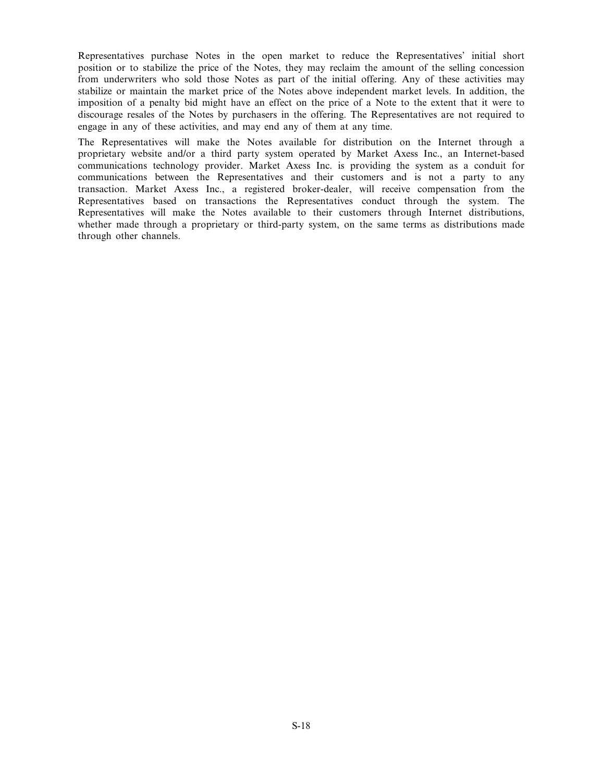Representatives purchase Notes in the open market to reduce the Representatives' initial short position or to stabilize the price of the Notes, they may reclaim the amount of the selling concession from underwriters who sold those Notes as part of the initial offering. Any of these activities may stabilize or maintain the market price of the Notes above independent market levels. In addition, the imposition of a penalty bid might have an effect on the price of a Note to the extent that it were to discourage resales of the Notes by purchasers in the offering. The Representatives are not required to engage in any of these activities, and may end any of them at any time.

The Representatives will make the Notes available for distribution on the Internet through a proprietary website and/or a third party system operated by Market Axess Inc., an Internet-based communications technology provider. Market Axess Inc. is providing the system as a conduit for communications between the Representatives and their customers and is not a party to any transaction. Market Axess Inc., a registered broker-dealer, will receive compensation from the Representatives based on transactions the Representatives conduct through the system. The Representatives will make the Notes available to their customers through Internet distributions, whether made through a proprietary or third-party system, on the same terms as distributions made through other channels.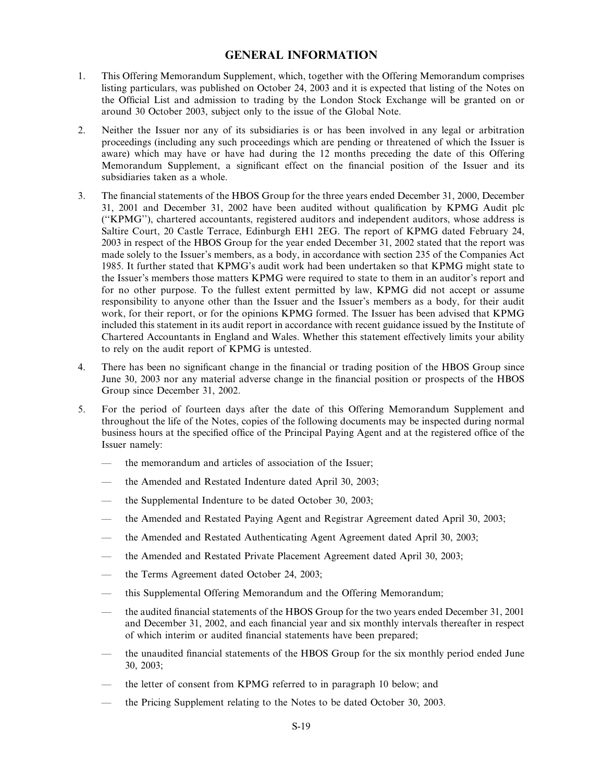# GENERAL INFORMATION

- 1. This Offering Memorandum Supplement, which, together with the Offering Memorandum comprises listing particulars, was published on October 24, 2003 and it is expected that listing of the Notes on the Official List and admission to trading by the London Stock Exchange will be granted on or around 30 October 2003, subject only to the issue of the Global Note.
- 2. Neither the Issuer nor any of its subsidiaries is or has been involved in any legal or arbitration proceedings (including any such proceedings which are pending or threatened of which the Issuer is aware) which may have or have had during the 12 months preceding the date of this Offering Memorandum Supplement, a significant effect on the financial position of the Issuer and its subsidiaries taken as a whole.
- 3. The financial statements of the HBOS Group for the three years ended December 31, 2000, December 31, 2001 and December 31, 2002 have been audited without qualification by KPMG Audit plc (``KPMG''), chartered accountants, registered auditors and independent auditors, whose address is Saltire Court, 20 Castle Terrace, Edinburgh EH1 2EG. The report of KPMG dated February 24, 2003 in respect of the HBOS Group for the year ended December 31, 2002 stated that the report was made solely to the Issuer's members, as a body, in accordance with section 235 of the Companies Act 1985. It further stated that KPMG's audit work had been undertaken so that KPMG might state to the Issuer's members those matters KPMG were required to state to them in an auditor's report and for no other purpose. To the fullest extent permitted by law, KPMG did not accept or assume responsibility to anyone other than the Issuer and the Issuer's members as a body, for their audit work, for their report, or for the opinions KPMG formed. The Issuer has been advised that KPMG included this statement in its audit report in accordance with recent guidance issued by the Institute of Chartered Accountants in England and Wales. Whether this statement effectively limits your ability to rely on the audit report of KPMG is untested.
- 4. There has been no significant change in the financial or trading position of the HBOS Group since June 30, 2003 nor any material adverse change in the financial position or prospects of the HBOS Group since December 31, 2002.
- 5. For the period of fourteen days after the date of this Offering Memorandum Supplement and throughout the life of the Notes, copies of the following documents may be inspected during normal business hours at the specified office of the Principal Paying Agent and at the registered office of the Issuer namely:
	- the memorandum and articles of association of the Issuer:
	- the Amended and Restated Indenture dated April 30, 2003;
	- the Supplemental Indenture to be dated October 30, 2003;
	- the Amended and Restated Paying Agent and Registrar Agreement dated April 30, 2003;
	- the Amended and Restated Authenticating Agent Agreement dated April 30, 2003;
	- Ð the Amended and Restated Private Placement Agreement dated April 30, 2003;
	- the Terms Agreement dated October 24, 2003;
	- this Supplemental Offering Memorandum and the Offering Memorandum;
	- the audited financial statements of the HBOS Group for the two years ended December 31, 2001 and December 31, 2002, and each financial year and six monthly intervals thereafter in respect of which interim or audited financial statements have been prepared;
	- the unaudited financial statements of the HBOS Group for the six monthly period ended June 30, 2003;
	- Ð the letter of consent from KPMG referred to in paragraph 10 below; and
	- Ð the Pricing Supplement relating to the Notes to be dated October 30, 2003.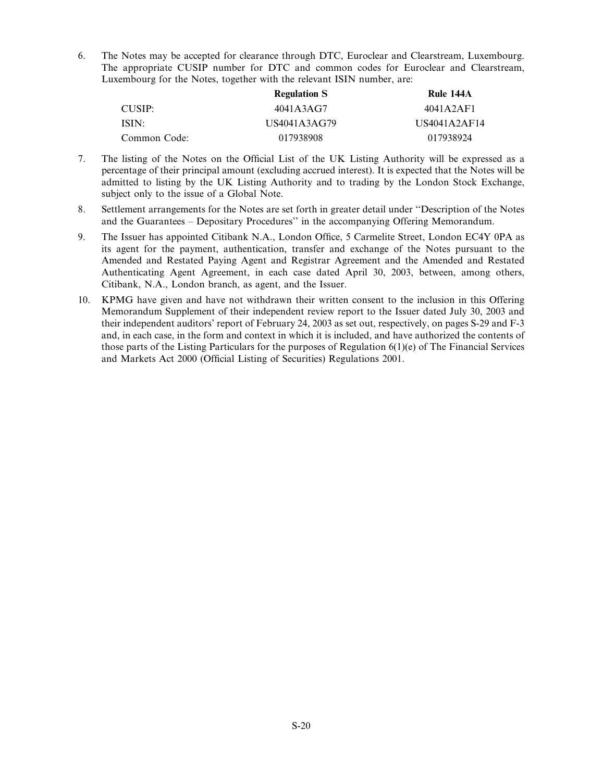6. The Notes may be accepted for clearance through DTC, Euroclear and Clearstream, Luxembourg. The appropriate CUSIP number for DTC and common codes for Euroclear and Clearstream, Luxembourg for the Notes, together with the relevant ISIN number, are:

|              | <b>Regulation S</b> | Rule 144A    |
|--------------|---------------------|--------------|
| CUSIP:       | 4041A3AG7           | 4041A2AF1    |
| ISIN:        | US4041A3AG79        | US4041A2AF14 |
| Common Code: | 017938908           | 017938924    |

- 7. The listing of the Notes on the Official List of the UK Listing Authority will be expressed as a percentage of their principal amount (excluding accrued interest). It is expected that the Notes will be admitted to listing by the UK Listing Authority and to trading by the London Stock Exchange, subject only to the issue of a Global Note.
- 8. Settlement arrangements for the Notes are set forth in greater detail under "Description of the Notes and the Guarantees - Depositary Procedures" in the accompanying Offering Memorandum.
- 9. The Issuer has appointed Citibank N.A., London Office, 5 Carmelite Street, London EC4Y 0PA as its agent for the payment, authentication, transfer and exchange of the Notes pursuant to the Amended and Restated Paying Agent and Registrar Agreement and the Amended and Restated Authenticating Agent Agreement, in each case dated April 30, 2003, between, among others, Citibank, N.A., London branch, as agent, and the Issuer.
- 10. KPMG have given and have not withdrawn their written consent to the inclusion in this Offering Memorandum Supplement of their independent review report to the Issuer dated July 30, 2003 and their independent auditors' report of February 24, 2003 as set out, respectively, on pages S-29 and F-3 and, in each case, in the form and context in which it is included, and have authorized the contents of those parts of the Listing Particulars for the purposes of Regulation 6(1)(e) of The Financial Services and Markets Act 2000 (Official Listing of Securities) Regulations 2001.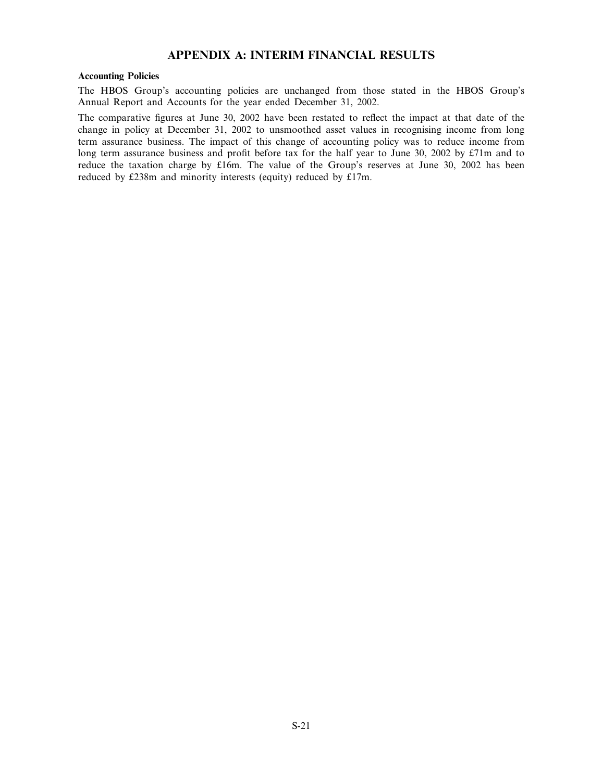# APPENDIX A: INTERIM FINANCIAL RESULTS

#### Accounting Policies

The HBOS Group's accounting policies are unchanged from those stated in the HBOS Group's Annual Report and Accounts for the year ended December 31, 2002.

The comparative figures at June 30, 2002 have been restated to reflect the impact at that date of the change in policy at December 31, 2002 to unsmoothed asset values in recognising income from long term assurance business. The impact of this change of accounting policy was to reduce income from long term assurance business and profit before tax for the half year to June 30, 2002 by £71m and to reduce the taxation charge by £16m. The value of the Group's reserves at June 30, 2002 has been reduced by £238m and minority interests (equity) reduced by £17m.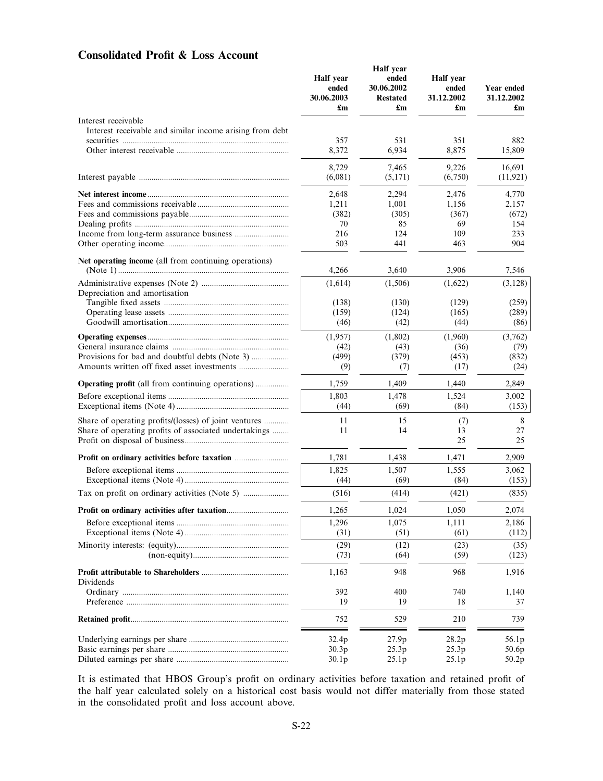# Consolidated Profit & Loss Account

|                                                          | Half year<br>ended<br>30.06.2003<br>£m | <b>Half</b> year<br>ended<br>30.06.2002<br><b>Restated</b><br>$\mathbf{f}_{\mathbf{m}}$ | Half year<br>ended<br>31.12.2002<br>$\mathbf{f}_{\mathbf{m}}$ | Year ended<br>31.12.2002<br>£m |
|----------------------------------------------------------|----------------------------------------|-----------------------------------------------------------------------------------------|---------------------------------------------------------------|--------------------------------|
| Interest receivable                                      |                                        |                                                                                         |                                                               |                                |
| Interest receivable and similar income arising from debt | 357                                    | 531                                                                                     | 351                                                           | 882                            |
|                                                          | 8,372                                  | 6,934                                                                                   | 8,875                                                         | 15,809                         |
|                                                          | 8,729                                  | 7,465                                                                                   | 9,226                                                         | 16,691                         |
|                                                          | (6,081)                                | (5,171)                                                                                 | (6,750)                                                       | (11, 921)                      |
|                                                          | 2,648                                  | 2,294                                                                                   | 2,476                                                         | 4,770                          |
|                                                          | 1,211                                  | 1,001                                                                                   | 1,156                                                         | 2,157                          |
|                                                          | (382)                                  | (305)                                                                                   | (367)                                                         | (672)                          |
|                                                          | 70<br>216                              | 85<br>124                                                                               | 69<br>109                                                     | 154<br>233                     |
|                                                          | 503                                    | 441                                                                                     | 463                                                           | 904                            |
| Net operating income (all from continuing operations)    |                                        |                                                                                         |                                                               |                                |
|                                                          | 4,266                                  | 3,640                                                                                   | 3,906                                                         | 7,546                          |
| Depreciation and amortisation                            | (1,614)                                | (1,506)                                                                                 | (1,622)                                                       | (3,128)                        |
|                                                          | (138)                                  | (130)                                                                                   | (129)                                                         | (259)                          |
|                                                          | (159)                                  | (124)                                                                                   | (165)                                                         | (289)                          |
|                                                          | (46)                                   | (42)                                                                                    | (44)                                                          | (86)                           |
|                                                          | (1,957)                                | (1,802)                                                                                 | (1,960)                                                       | (3,762)                        |
|                                                          | (42)                                   | (43)                                                                                    | (36)                                                          | (79)                           |
|                                                          | (499)<br>(9)                           | (379)<br>(7)                                                                            | (453)<br>(17)                                                 | (832)<br>(24)                  |
|                                                          |                                        |                                                                                         |                                                               |                                |
| <b>Operating profit</b> (all from continuing operations) | 1,759                                  | 1,409                                                                                   | 1,440                                                         | 2,849                          |
|                                                          | 1,803<br>(44)                          | 1,478<br>(69)                                                                           | 1,524<br>(84)                                                 | 3,002<br>(153)                 |
| Share of operating profits/(losses) of joint ventures    | 11                                     | 15                                                                                      | (7)                                                           | 8                              |
| Share of operating profits of associated undertakings    | 11                                     | 14                                                                                      | 13<br>25                                                      | 27<br>25                       |
| Profit on ordinary activities before taxation            | 1,781                                  | 1,438                                                                                   | 1,471                                                         | 2,909                          |
|                                                          | 1,825                                  | 1,507                                                                                   | 1,555                                                         | 3,062                          |
|                                                          | (44)                                   | (69)                                                                                    | (84)                                                          | (153)                          |
|                                                          | (516)                                  | (414)                                                                                   | (421)                                                         | (835)                          |
|                                                          | 1,265                                  | 1,024                                                                                   | 1,050                                                         | 2,074                          |
|                                                          | 1,296                                  | 1,075<br>(51)                                                                           | 1,111                                                         | 2,186                          |
|                                                          | (31)                                   |                                                                                         | (61)                                                          | (112)                          |
|                                                          | (29)<br>(73)                           | (12)<br>(64)                                                                            | (23)<br>(59)                                                  | (35)<br>(123)                  |
| Dividends                                                | 1,163                                  | 948                                                                                     | 968                                                           | 1,916                          |
|                                                          | 392                                    | 400                                                                                     | 740                                                           | 1,140                          |
|                                                          | 19                                     | 19                                                                                      | 18                                                            | 37                             |
|                                                          | 752                                    | 529                                                                                     | 210                                                           | 739                            |
|                                                          | 32.4p                                  | 27.9p                                                                                   | 28.2p                                                         | 56.1p                          |
|                                                          | 30.3p                                  | 25.3p                                                                                   | 25.3p                                                         | 50.6p                          |
|                                                          | 30.1 <sub>p</sub>                      | 25.1p                                                                                   | 25.1p                                                         | 50.2p                          |

It is estimated that HBOS Group's profit on ordinary activities before taxation and retained profit of the half year calculated solely on a historical cost basis would not differ materially from those stated in the consolidated profit and loss account above.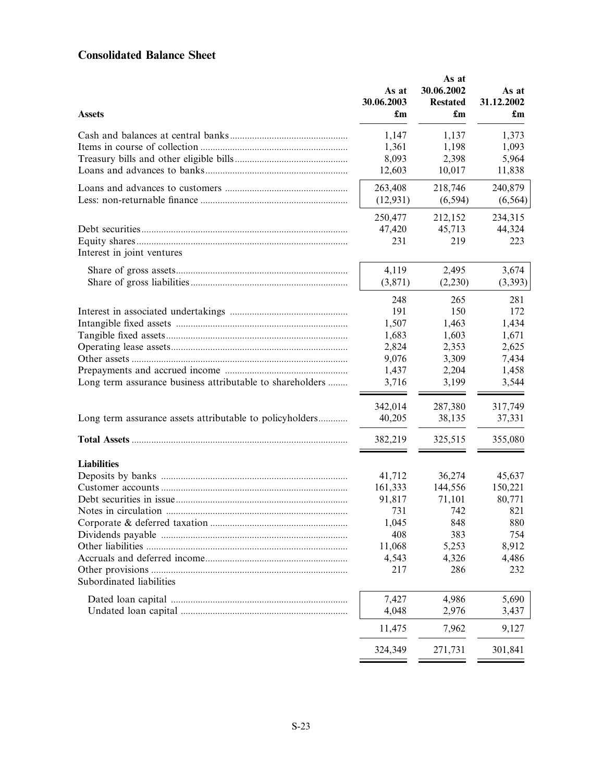# Consolidated Balance Sheet

| <b>Assets</b>                                             | As at<br>30.06.2003<br>£m | As at<br>30.06.2002<br><b>Restated</b><br>£m | As at<br>31.12.2002<br>£m |
|-----------------------------------------------------------|---------------------------|----------------------------------------------|---------------------------|
|                                                           | 1,147                     | 1,137                                        | 1,373                     |
|                                                           | 1,361                     | 1,198                                        | 1,093                     |
|                                                           | 8,093                     | 2,398                                        | 5,964                     |
|                                                           | 12,603                    | 10,017                                       | 11,838                    |
|                                                           | 263,408                   | 218,746                                      | 240,879                   |
|                                                           | (12, 931)                 | (6, 594)                                     | (6, 564)                  |
|                                                           | 250,477                   | 212,152                                      | 234,315                   |
|                                                           | 47,420                    | 45,713                                       | 44,324                    |
| Interest in joint ventures                                | 231                       | 219                                          | 223                       |
|                                                           | 4,119                     | 2,495                                        | 3,674                     |
|                                                           | (3,871)                   | (2,230)                                      | (3,393)                   |
|                                                           | 248                       | 265                                          | 281                       |
|                                                           | 191                       | 150                                          | 172                       |
|                                                           | 1,507                     | 1,463                                        | 1,434                     |
|                                                           | 1,683                     | 1,603                                        | 1,671                     |
|                                                           | 2,824                     | 2,353                                        | 2,625                     |
|                                                           | 9,076                     | 3,309                                        | 7,434                     |
|                                                           | 1,437                     | 2,204                                        | 1,458                     |
| Long term assurance business attributable to shareholders | 3,716                     | 3,199                                        | 3,544                     |
|                                                           | 342,014                   | 287,380                                      | 317,749                   |
| Long term assurance assets attributable to policyholders  | 40,205                    | 38,135                                       | 37,331                    |
|                                                           | 382,219                   | 325,515                                      | 355,080                   |
| <b>Liabilities</b>                                        |                           |                                              |                           |
|                                                           | 41,712                    | 36,274                                       | 45,637                    |
|                                                           | 161,333                   | 144,556                                      | 150,221                   |
|                                                           | 91,817                    | 71,101                                       | 80,771                    |
|                                                           | 731                       | 742                                          | 821                       |
|                                                           | 1,045                     | 848                                          | 880                       |
|                                                           | 408                       | 383                                          | 754                       |
|                                                           | 11,068                    | 5,253                                        | 8,912                     |
|                                                           | 4,543                     | 4,326                                        | 4,486                     |
|                                                           | 217                       | 286                                          | 232                       |
| Subordinated liabilities                                  |                           |                                              |                           |
|                                                           | 7,427                     | 4,986                                        | 5,690                     |
|                                                           | 4,048                     | 2,976                                        | 3,437                     |
|                                                           | 11,475                    | 7,962                                        | 9,127                     |
|                                                           | 324,349                   | 271,731                                      | 301,841                   |
|                                                           |                           |                                              |                           |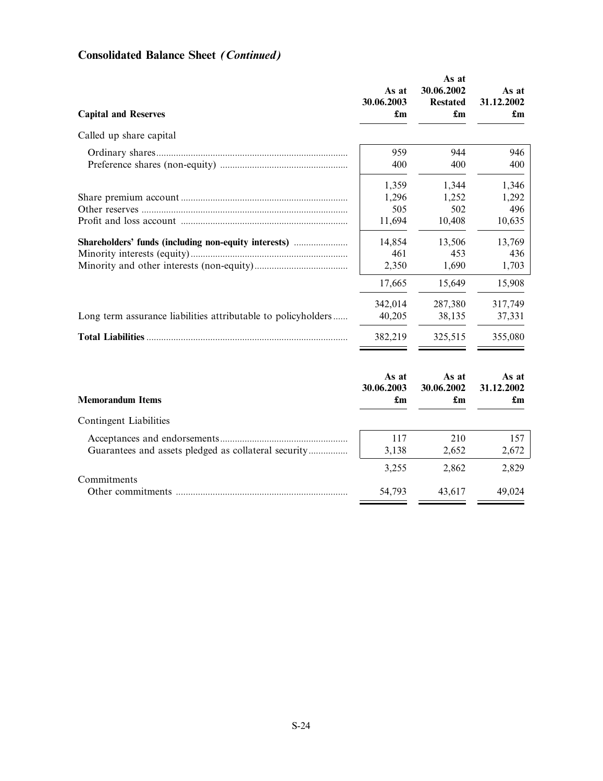| <b>Capital and Reserves</b>                                   | As at<br>30.06.2003<br>$\mathbf{f}_{\mathbf{m}}$ | As at<br>30.06.2002<br><b>Restated</b><br>$\mathbf{f}_{\mathbf{m}}$ | As at<br>31.12.2002<br>$\mathbf{f}_{\mathbf{m}}$ |
|---------------------------------------------------------------|--------------------------------------------------|---------------------------------------------------------------------|--------------------------------------------------|
| Called up share capital                                       |                                                  |                                                                     |                                                  |
|                                                               | 959                                              | 944                                                                 | 946                                              |
|                                                               | 400                                              | 400                                                                 | 400                                              |
|                                                               | 1,359<br>1,296<br>505<br>11,694                  | 1,344<br>1,252<br>502<br>10,408                                     | 1,346<br>1,292<br>496<br>10,635                  |
| Shareholders' funds (including non-equity interests)          | 14,854                                           | 13,506                                                              | 13,769                                           |
|                                                               | 461                                              | 453                                                                 | 436                                              |
|                                                               | 2,350                                            | 1,690                                                               | 1,703                                            |
| Long term assurance liabilities attributable to policyholders | 17,665<br>342,014<br>40,205<br>382,219           | 15,649<br>287,380<br>38,135<br>325,515                              | 15,908<br>317,749<br>37,331<br>355,080           |
| <b>Memorandum Items</b>                                       | As at                                            | As at                                                               | As at                                            |
|                                                               | 30.06.2003                                       | 30.06.2002                                                          | 31.12.2002                                       |
|                                                               | $\mathbf{f}_{\mathbf{m}}$                        | $\mathbf{f}_{\mathbf{m}}$                                           | $\mathbf{f}_{\mathbf{m}}$                        |
| Contingent Liabilities                                        |                                                  |                                                                     |                                                  |
|                                                               | 117                                              | 210                                                                 | 157                                              |
| Guarantees and assets pledged as collateral security          | 3,138                                            | 2,652                                                               | 2,672                                            |
| Commitments                                                   | 3,255                                            | 2,862                                                               | 2,829                                            |
|                                                               | 54,793                                           | 43,617                                                              | 49,024                                           |

# Consolidated Balance Sheet (Continued)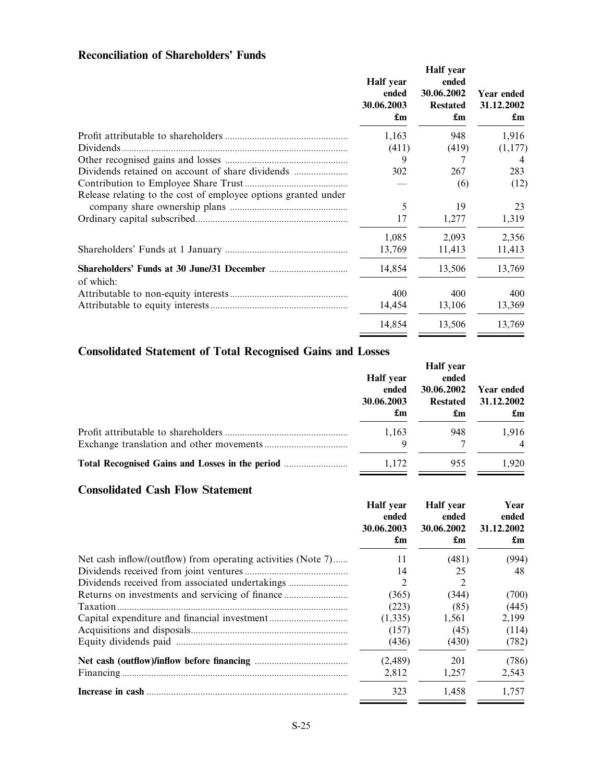# Reconciliation of Shareholders' Funds

|                                                                | Half year<br>ended<br>30.06.2003<br>£m | Half year<br>ended<br>30.06.2002<br><b>Restated</b><br>$\mathbf{f}_{\mathbf{m}}$ | Year ended<br>31.12.2002<br>£m |
|----------------------------------------------------------------|----------------------------------------|----------------------------------------------------------------------------------|--------------------------------|
|                                                                | 1,163                                  | 948                                                                              | 1,916                          |
| Dividends.                                                     | (411)                                  | (419)                                                                            | (1,177)                        |
|                                                                | 9                                      | 7                                                                                | 4                              |
|                                                                | 302                                    | 267                                                                              | 283                            |
|                                                                |                                        | (6)                                                                              | (12)                           |
| Release relating to the cost of employee options granted under |                                        |                                                                                  |                                |
|                                                                | 5                                      | 19                                                                               | 23                             |
|                                                                | 17                                     | 1,277                                                                            | 1,319                          |
|                                                                | 1,085                                  | 2,093                                                                            | 2,356                          |
|                                                                | 13,769                                 | 11,413                                                                           | 11,413                         |
| of which:                                                      | 14,854                                 | 13,506                                                                           | 13,769                         |
|                                                                | 400                                    | 400                                                                              | 400                            |
|                                                                | 14,454                                 | 13,106                                                                           | 13,369                         |
|                                                                | 14,854                                 | 13,506                                                                           | 13,769                         |

# Consolidated Statement of Total Recognised Gains and Losses

| <b>Half</b> year<br>ended<br>30.06.2003<br>$\mathbf{f}_{\mathbf{m}}$ | Half year<br>ended<br>30.06.2002<br><b>Restated</b><br>$\mathbf{f}_{\mathbf{m}}$ | Year ended<br>31.12.2002<br>$\mathbf{f}_{\mathbf{m}}$ |
|----------------------------------------------------------------------|----------------------------------------------------------------------------------|-------------------------------------------------------|
| 1,163<br>Q                                                           | 948                                                                              | 1,916<br>$\overline{4}$                               |
| 1,172                                                                | 955                                                                              | 1.920                                                 |

# Consolidated Cash Flow Statement

|                                                              | Half year<br>ended<br>30.06.2003<br>£m | Half year<br>ended<br>30.06.2002<br>£m | Year<br>ended<br>31.12.2002<br>$\mathbf{f}_{\mathbf{m}}$ |
|--------------------------------------------------------------|----------------------------------------|----------------------------------------|----------------------------------------------------------|
| Net cash inflow/(outflow) from operating activities (Note 7) | 11                                     | (481)                                  | (994)                                                    |
|                                                              | 14                                     | 25                                     | 48                                                       |
| Dividends received from associated undertakings              | 2                                      | 2                                      |                                                          |
|                                                              | (365)                                  | (344)                                  | (700)                                                    |
| Taxation.                                                    | (223)                                  | (85)                                   | (445)                                                    |
|                                                              | (1,335)                                | 1,561                                  | 2,199                                                    |
|                                                              | (157)                                  | (45)                                   | (114)                                                    |
|                                                              | (436)                                  | (430)                                  | (782)                                                    |
|                                                              | (2, 489)                               | 201                                    | (786)                                                    |
|                                                              | 2,812                                  | 1,257                                  | 2,543                                                    |
|                                                              | 323                                    | 1.458                                  | 1.757                                                    |
|                                                              |                                        |                                        |                                                          |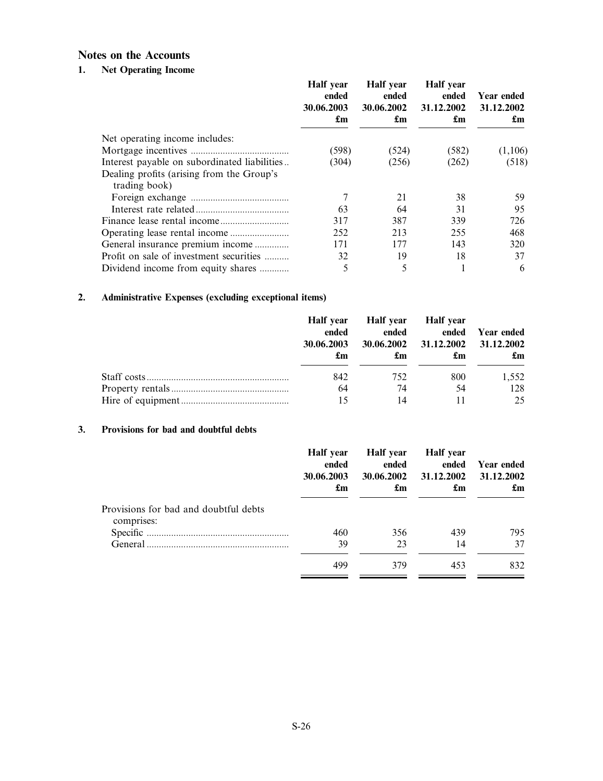# Notes on the Accounts

# 1. Net Operating Income

|                                                            | Half year<br>ended<br>30.06.2003<br>£m | Half year<br>ended<br>30.06.2002<br>£m | Half year<br>ended<br>31.12.2002<br>£m | Year ended<br>31.12.2002<br>£m |
|------------------------------------------------------------|----------------------------------------|----------------------------------------|----------------------------------------|--------------------------------|
| Net operating income includes:                             |                                        |                                        |                                        |                                |
|                                                            | (598)                                  | (524)                                  | (582)                                  | (1,106)                        |
| Interest payable on subordinated liabilities               | (304)                                  | (256)                                  | (262)                                  | (518)                          |
| Dealing profits (arising from the Group's<br>trading book) |                                        |                                        |                                        |                                |
|                                                            |                                        | 21                                     | 38                                     | 59.                            |
|                                                            | 63                                     | 64                                     | 31                                     | 95                             |
|                                                            | 317                                    | 387                                    | 339                                    | 726                            |
|                                                            | 252                                    | 213                                    | 255                                    | 468                            |
| General insurance premium income                           | 171                                    | 177                                    | 143                                    | 320                            |
| Profit on sale of investment securities                    | 32                                     | 19                                     | 18                                     | 37                             |
| Dividend income from equity shares                         | 5                                      |                                        |                                        | 6                              |

# 2. Administrative Expenses (excluding exceptional items)

| Half year<br>ended<br>30.06.2003<br>£m | Half year   Half year<br>ended<br>£m | 30.06.2002 31.12.2002 31.12.2002<br>£m | ended Year ended<br>£m |
|----------------------------------------|--------------------------------------|----------------------------------------|------------------------|
| 842                                    | 752                                  | 800                                    | 1,552                  |
| 64                                     | 74                                   | 54                                     | 128                    |
| 15                                     | 14                                   |                                        | 25                     |

## 3. Provisions for bad and doubtful debts

|                                                     | Half year<br>ended<br>30.06.2003<br>$\mathbf{f}_{\mathbf{m}}$ | Half year<br>ended<br>30.06.2002<br>$\mathbf{f}_{\mathbf{m}}$ | Half year<br>ended<br>31.12.2002<br>$\mathbf{f}_{\mathbf{m}}$ | Year ended<br>31.12.2002<br>$\mathbf{f}_{\mathbf{m}}$ |
|-----------------------------------------------------|---------------------------------------------------------------|---------------------------------------------------------------|---------------------------------------------------------------|-------------------------------------------------------|
| Provisions for bad and doubtful debts<br>comprises: |                                                               |                                                               |                                                               |                                                       |
|                                                     | 460                                                           | 356                                                           | 439                                                           | 795                                                   |
|                                                     | 39                                                            | 23                                                            | 14                                                            | 37                                                    |
|                                                     | 499                                                           | 379                                                           | 453                                                           | 832                                                   |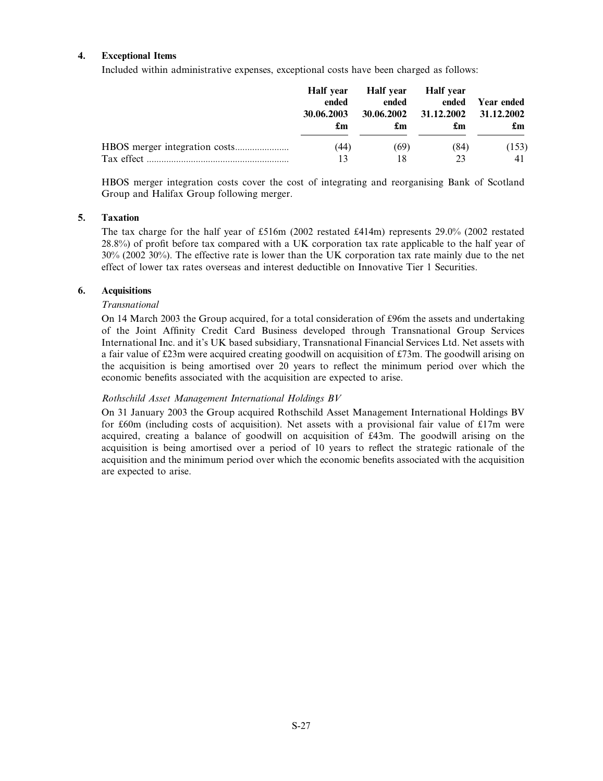## 4. Exceptional Items

Included within administrative expenses, exceptional costs have been charged as follows:

|            | Half year<br>ended<br>30.06.2003<br>£m | Half year<br>ended<br>30.06.2002<br>£m | Half vear<br>ended<br>31.12.2002<br>£m | Year ended<br>31.12.2002<br>$\mathbf{f}_{\mathbf{m}}$ |
|------------|----------------------------------------|----------------------------------------|----------------------------------------|-------------------------------------------------------|
|            | (44)                                   | (69)                                   | (84)                                   | (153)                                                 |
| Tax effect | 13                                     |                                        |                                        |                                                       |

HBOS merger integration costs cover the cost of integrating and reorganising Bank of Scotland Group and Halifax Group following merger.

## 5. Taxation

The tax charge for the half year of £516m (2002 restated £414m) represents 29.0% (2002 restated 28.8%) of profit before tax compared with a UK corporation tax rate applicable to the half year of 30% (2002 30%). The effective rate is lower than the UK corporation tax rate mainly due to the net effect of lower tax rates overseas and interest deductible on Innovative Tier 1 Securities.

## 6. Acquisitions

## Transnational

On 14 March 2003 the Group acquired, for a total consideration of £96m the assets and undertaking of the Joint Affinity Credit Card Business developed through Transnational Group Services International Inc. and it's UK based subsidiary, Transnational Financial Services Ltd. Net assets with a fair value of £23m were acquired creating goodwill on acquisition of £73m. The goodwill arising on the acquisition is being amortised over 20 years to reflect the minimum period over which the economic benefits associated with the acquisition are expected to arise.

## Rothschild Asset Management International Holdings BV

On 31 January 2003 the Group acquired Rothschild Asset Management International Holdings BV for £60m (including costs of acquisition). Net assets with a provisional fair value of  $£17m$  were acquired, creating a balance of goodwill on acquisition of £43m. The goodwill arising on the acquisition is being amortised over a period of 10 years to reflect the strategic rationale of the acquisition and the minimum period over which the economic benefits associated with the acquisition are expected to arise.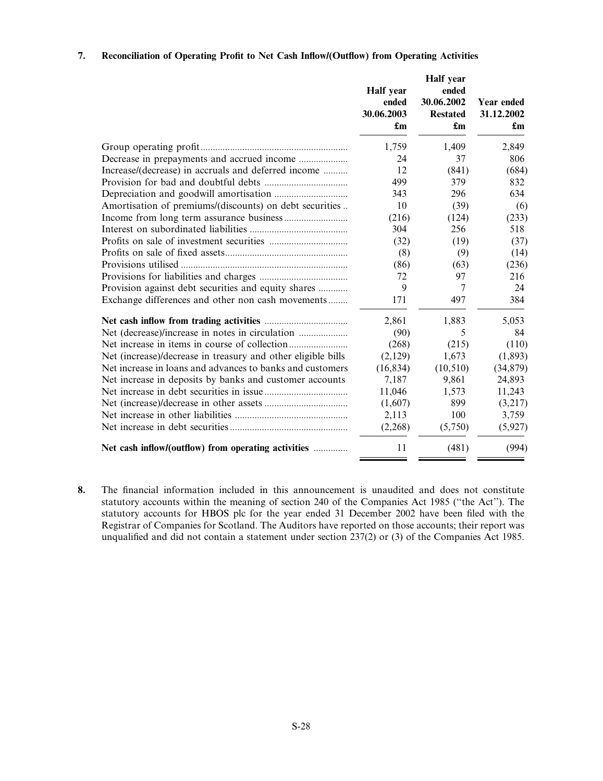## 7. Reconciliation of Operating Profit to Net Cash Inflow/(Outflow) from Operating Activities

|                                                              | Half year<br>ended<br>30.06.2003<br>$\mathbf{f}_{\mathbf{m}}$ | Half year<br>ended<br>30.06.2002<br><b>Restated</b><br>£m | Year ended<br>31.12.2002<br>$\mathbf{f}_{\mathbf{m}}$ |
|--------------------------------------------------------------|---------------------------------------------------------------|-----------------------------------------------------------|-------------------------------------------------------|
|                                                              | 1,759                                                         | 1,409                                                     | 2,849                                                 |
|                                                              | 24                                                            | 37                                                        | 806                                                   |
| Increase/(decrease) in accruals and deferred income          | 12                                                            | (841)                                                     | (684)                                                 |
|                                                              | 499                                                           | 379                                                       | 832                                                   |
|                                                              | 343                                                           | 296                                                       | 634                                                   |
| Amortisation of premiums/(discounts) on debt securities      | 10                                                            | (39)                                                      | (6)                                                   |
|                                                              | (216)                                                         | (124)                                                     | (233)                                                 |
|                                                              | 304                                                           | 256                                                       | 518                                                   |
|                                                              | (32)                                                          | (19)                                                      | (37)                                                  |
|                                                              | (8)                                                           | (9)                                                       | (14)                                                  |
|                                                              | (86)                                                          | (63)                                                      | (236)                                                 |
|                                                              | 72                                                            | 97                                                        | 216                                                   |
| Provision against debt securities and equity shares          | 9                                                             | 7                                                         | 24                                                    |
| Exchange differences and other non cash movements            | 171                                                           | 497                                                       | 384                                                   |
|                                                              | 2,861                                                         | 1,883                                                     | 5,053                                                 |
|                                                              | (90)                                                          | 5                                                         | 84                                                    |
|                                                              | (268)                                                         | (215)                                                     | (110)                                                 |
| Net (increase)/decrease in treasury and other eligible bills | (2,129)                                                       | 1,673                                                     | (1, 893)                                              |
| Net increase in loans and advances to banks and customers    | (16, 834)                                                     | (10, 510)                                                 | (34, 879)                                             |
| Net increase in deposits by banks and customer accounts      | 7,187                                                         | 9,861                                                     | 24,893                                                |
|                                                              | 11,046                                                        | 1,573                                                     | 11,243                                                |
|                                                              | (1,607)                                                       | 899                                                       | (3,217)                                               |
|                                                              | 2,113                                                         | 100                                                       | 3,759                                                 |
|                                                              | (2,268)                                                       | (5,750)                                                   | (5,927)                                               |
| Net cash inflow/(outflow) from operating activities          | 11                                                            | (481)                                                     | (994)                                                 |

8. The financial information included in this announcement is unaudited and does not constitute statutory accounts within the meaning of section 240 of the Companies Act 1985 ("the Act"). The statutory accounts for HBOS plc for the year ended 31 December 2002 have been filed with the Registrar of Companies for Scotland. The Auditors have reported on those accounts; their report was unqualified and did not contain a statement under section 237(2) or (3) of the Companies Act 1985.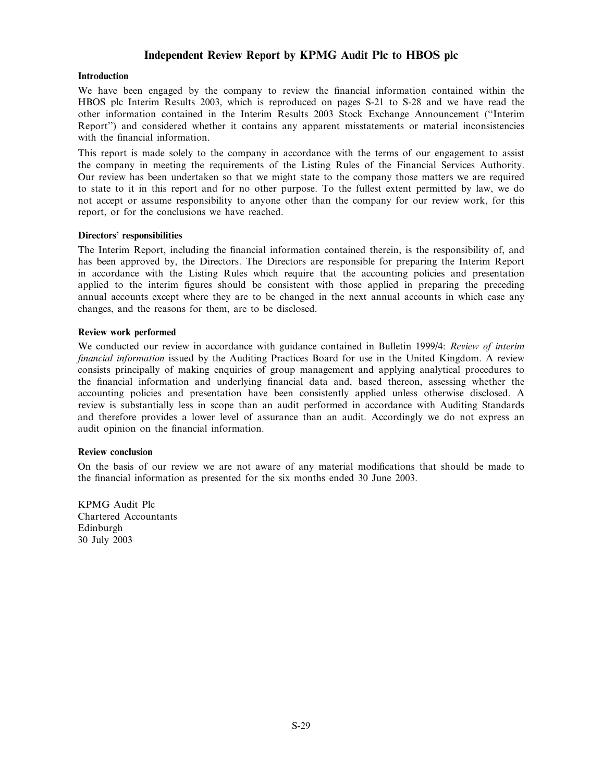# Independent Review Report by KPMG Audit Plc to HBOS plc

#### **Introduction**

We have been engaged by the company to review the financial information contained within the HBOS plc Interim Results 2003, which is reproduced on pages S-21 to S-28 and we have read the other information contained in the Interim Results 2003 Stock Exchange Announcement (``Interim Report'') and considered whether it contains any apparent misstatements or material inconsistencies with the financial information.

This report is made solely to the company in accordance with the terms of our engagement to assist the company in meeting the requirements of the Listing Rules of the Financial Services Authority. Our review has been undertaken so that we might state to the company those matters we are required to state to it in this report and for no other purpose. To the fullest extent permitted by law, we do not accept or assume responsibility to anyone other than the company for our review work, for this report, or for the conclusions we have reached.

#### Directors' responsibilities

The Interim Report, including the financial information contained therein, is the responsibility of, and has been approved by, the Directors. The Directors are responsible for preparing the Interim Report in accordance with the Listing Rules which require that the accounting policies and presentation applied to the interim figures should be consistent with those applied in preparing the preceding annual accounts except where they are to be changed in the next annual accounts in which case any changes, and the reasons for them, are to be disclosed.

#### Review work performed

We conducted our review in accordance with guidance contained in Bulletin 1999/4: Review of interim financial information issued by the Auditing Practices Board for use in the United Kingdom. A review consists principally of making enquiries of group management and applying analytical procedures to the financial information and underlying financial data and, based thereon, assessing whether the accounting policies and presentation have been consistently applied unless otherwise disclosed. A review is substantially less in scope than an audit performed in accordance with Auditing Standards and therefore provides a lower level of assurance than an audit. Accordingly we do not express an audit opinion on the financial information.

#### Review conclusion

On the basis of our review we are not aware of any material modifications that should be made to the financial information as presented for the six months ended 30 June 2003.

KPMG Audit Plc Chartered Accountants Edinburgh 30 July 2003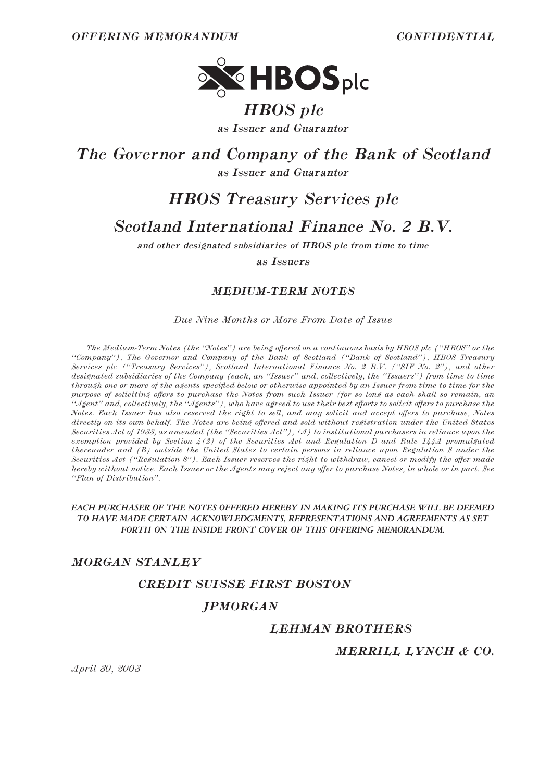

# *HBOS plc*

*as Issuer and Guarantor*

*The Governor and Company of the Bank of Scotland*

*as Issuer and Guarantor*

# *HBOS Treasury Services plc*

# *Scotland International Finance No. 2 B.V.*

*and other designated subsidiaries of HBOS plc from time to time*

*as Issuers*

# *MEDIUM-TERM NOTES*

*Due Nine Months or More From Date of Issue*

*The Medium-Term Notes (the "Notes") are being offered on a continuous basis by HBOS plc ("HBOS" or the ""Company''), The Governor and Company of the Bank of Scotland (""Bank of Scotland''), HBOS Treasury Services plc (""Treasury Services''), Scotland International Finance No. 2 B.V. (""SIF No. 2''), and other designated subsidiaries of the Company (each, an ""Issuer'' and, collectively, the ""Issuers'') from time to time through one or more of the agents specified below or otherwise appointed by an Issuer from time to time for the purpose of soliciting offers to purchase the Notes from such Issuer (for so long as each shall so remain, an ""Agent'' and, collectively, the ""Agents''), who have agreed to use their best eÅorts to solicit oÅers to purchase the Notes. Each Issuer has also reserved the right to sell, and may solicit and accept oÅers to purchase, Notes* directly on its own behalf. The Notes are being offered and sold without registration under the United States *Securities Act of 1933, as amended (the ""Securities Act''), (A) to institutional purchasers in reliance upon the exemption provided by Section 4(2) of the Securities Act and Regulation D and Rule 144A promulgated thereunder and (B) outside the United States to certain persons in reliance upon Regulation S under the Securities Act ("Regulation S"). Each Issuer reserves the right to withdraw, cancel or modify the offer made hereby without notice. Each Issuer or the Agents may reject any offer to purchase Notes, in whole or in part. See ""Plan of Distribution''.*

#### *EACH PURCHASER OF THE NOTES OFFERED HEREBY IN MAKING ITS PURCHASE WILL BE DEEMED TO HAVE MADE CERTAIN ACKNOWLEDGMENTS, REPRESENTATIONS AND AGREEMENTS AS SET FORTH ON THE INSIDE FRONT COVER OF THIS OFFERING MEMORANDUM.*

# *MORGAN STANLEY*

*CREDIT SUISSE FIRST BOSTON*

# *JPMORGAN*

# *LEHMAN BROTHERS*

# *MERRILL LYNCH & CO.*

*April 30, 2003*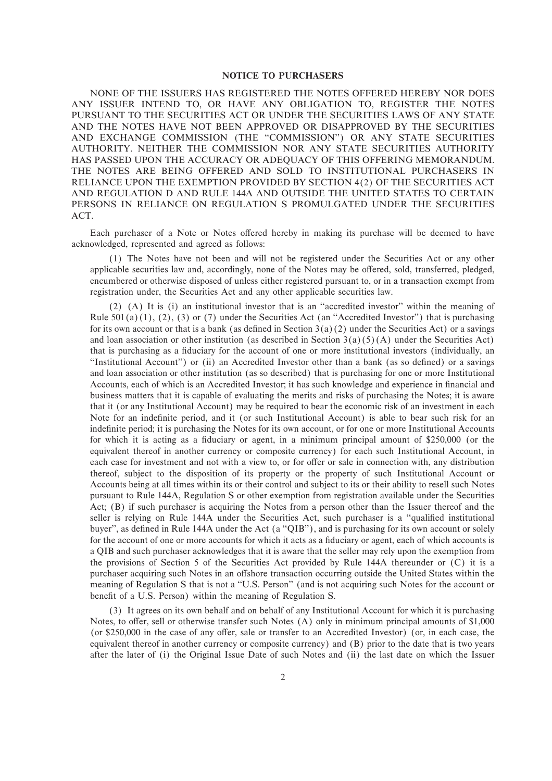#### **NOTICE TO PURCHASERS**

NONE OF THE ISSUERS HAS REGISTERED THE NOTES OFFERED HEREBY NOR DOES ANY ISSUER INTEND TO, OR HAVE ANY OBLIGATION TO, REGISTER THE NOTES PURSUANT TO THE SECURITIES ACT OR UNDER THE SECURITIES LAWS OF ANY STATE AND THE NOTES HAVE NOT BEEN APPROVED OR DISAPPROVED BY THE SECURITIES AND EXCHANGE COMMISSION (THE ""COMMISSION'') OR ANY STATE SECURITIES AUTHORITY. NEITHER THE COMMISSION NOR ANY STATE SECURITIES AUTHORITY HAS PASSED UPON THE ACCURACY OR ADEQUACY OF THIS OFFERING MEMORANDUM. THE NOTES ARE BEING OFFERED AND SOLD TO INSTITUTIONAL PURCHASERS IN RELIANCE UPON THE EXEMPTION PROVIDED BY SECTION 4(2) OF THE SECURITIES ACT AND REGULATION D AND RULE 144A AND OUTSIDE THE UNITED STATES TO CERTAIN PERSONS IN RELIANCE ON REGULATION S PROMULGATED UNDER THE SECURITIES ACT.

Each purchaser of a Note or Notes offered hereby in making its purchase will be deemed to have acknowledged, represented and agreed as follows:

(1) The Notes have not been and will not be registered under the Securities Act or any other applicable securities law and, accordingly, none of the Notes may be offered, sold, transferred, pledged, encumbered or otherwise disposed of unless either registered pursuant to, or in a transaction exempt from registration under, the Securities Act and any other applicable securities law.

(2) (A) It is (i) an institutional investor that is an ""accredited investor'' within the meaning of Rule 501(a)(1), (2), (3) or (7) under the Securities Act (an "Accredited Investor") that is purchasing for its own account or that is a bank (as defined in Section  $3(a)(2)$  under the Securities Act) or a savings and loan association or other institution (as described in Section  $3(a)(5)(A)$  under the Securities Act) that is purchasing as a fiduciary for the account of one or more institutional investors (individually, an "Institutional Account") or (ii) an Accredited Investor other than a bank (as so defined) or a savings and loan association or other institution (as so described) that is purchasing for one or more Institutional Accounts, each of which is an Accredited Investor; it has such knowledge and experience in financial and business matters that it is capable of evaluating the merits and risks of purchasing the Notes; it is aware that it (or any Institutional Account) may be required to bear the economic risk of an investment in each Note for an indefinite period, and it (or such Institutional Account) is able to bear such risk for an indefinite period; it is purchasing the Notes for its own account, or for one or more Institutional Accounts for which it is acting as a fiduciary or agent, in a minimum principal amount of \$250,000 (or the equivalent thereof in another currency or composite currency) for each such Institutional Account, in each case for investment and not with a view to, or for offer or sale in connection with, any distribution thereof, subject to the disposition of its property or the property of such Institutional Account or Accounts being at all times within its or their control and subject to its or their ability to resell such Notes pursuant to Rule 144A, Regulation S or other exemption from registration available under the Securities Act; (B) if such purchaser is acquiring the Notes from a person other than the Issuer thereof and the seller is relying on Rule 144A under the Securities Act, such purchaser is a "qualified institutional buyer", as defined in Rule 144A under the Act (a "QIB"), and is purchasing for its own account or solely for the account of one or more accounts for which it acts as a fiduciary or agent, each of which accounts is a QIB and such purchaser acknowledges that it is aware that the seller may rely upon the exemption from the provisions of Section 5 of the Securities Act provided by Rule 144A thereunder or (C) it is a purchaser acquiring such Notes in an offshore transaction occurring outside the United States within the meaning of Regulation S that is not a ""U.S. Person'' (and is not acquiring such Notes for the account or benefit of a U.S. Person) within the meaning of Regulation S.

(3) It agrees on its own behalf and on behalf of any Institutional Account for which it is purchasing Notes, to offer, sell or otherwise transfer such Notes  $(A)$  only in minimum principal amounts of \$1,000 (or \$250,000 in the case of any offer, sale or transfer to an Accredited Investor) (or, in each case, the equivalent thereof in another currency or composite currency) and (B) prior to the date that is two years after the later of (i) the Original Issue Date of such Notes and (ii) the last date on which the Issuer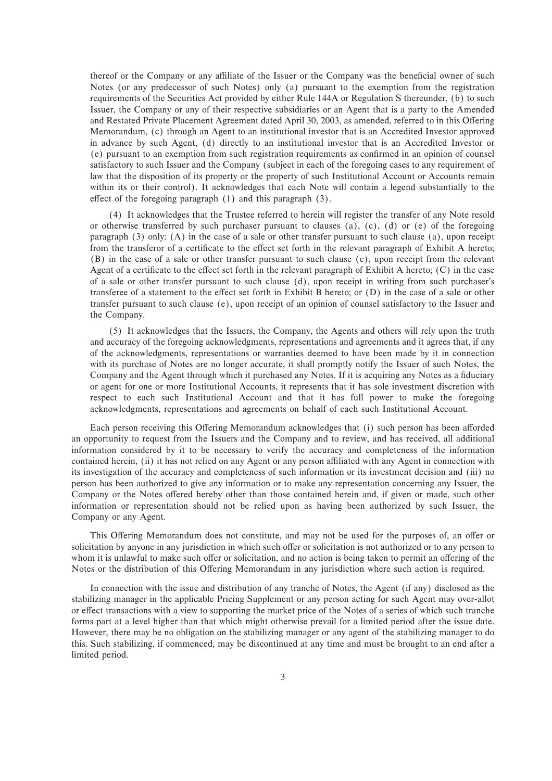thereof or the Company or any affiliate of the Issuer or the Company was the beneficial owner of such Notes (or any predecessor of such Notes) only (a) pursuant to the exemption from the registration requirements of the Securities Act provided by either Rule 144A or Regulation S thereunder, (b) to such Issuer, the Company or any of their respective subsidiaries or an Agent that is a party to the Amended and Restated Private Placement Agreement dated April 30, 2003, as amended, referred to in this Offering Memorandum, (c) through an Agent to an institutional investor that is an Accredited Investor approved in advance by such Agent, (d) directly to an institutional investor that is an Accredited Investor or (e) pursuant to an exemption from such registration requirements as confirmed in an opinion of counsel satisfactory to such Issuer and the Company (subject in each of the foregoing cases to any requirement of law that the disposition of its property or the property of such Institutional Account or Accounts remain within its or their control). It acknowledges that each Note will contain a legend substantially to the effect of the foregoing paragraph  $(1)$  and this paragraph  $(3)$ .

(4) It acknowledges that the Trustee referred to herein will register the transfer of any Note resold or otherwise transferred by such purchaser pursuant to clauses  $(a)$ ,  $(c)$ ,  $(d)$  or  $(e)$  of the foregoing paragraph (3) only: (A) in the case of a sale or other transfer pursuant to such clause (a), upon receipt from the transferor of a certificate to the effect set forth in the relevant paragraph of Exhibit A hereto; (B) in the case of a sale or other transfer pursuant to such clause (c), upon receipt from the relevant Agent of a certificate to the effect set forth in the relevant paragraph of Exhibit A hereto;  $(C)$  in the case of a sale or other transfer pursuant to such clause (d), upon receipt in writing from such purchaser's transferee of a statement to the effect set forth in Exhibit B hereto; or (D) in the case of a sale or other transfer pursuant to such clause (e), upon receipt of an opinion of counsel satisfactory to the Issuer and the Company.

(5) It acknowledges that the Issuers, the Company, the Agents and others will rely upon the truth and accuracy of the foregoing acknowledgments, representations and agreements and it agrees that, if any of the acknowledgments, representations or warranties deemed to have been made by it in connection with its purchase of Notes are no longer accurate, it shall promptly notify the Issuer of such Notes, the Company and the Agent through which it purchased any Notes. If it is acquiring any Notes as a fiduciary or agent for one or more Institutional Accounts, it represents that it has sole investment discretion with respect to each such Institutional Account and that it has full power to make the foregoing acknowledgments, representations and agreements on behalf of each such Institutional Account.

Each person receiving this Offering Memorandum acknowledges that (i) such person has been afforded an opportunity to request from the Issuers and the Company and to review, and has received, all additional information considered by it to be necessary to verify the accuracy and completeness of the information contained herein, (ii) it has not relied on any Agent or any person affiliated with any Agent in connection with its investigation of the accuracy and completeness of such information or its investment decision and (iii) no person has been authorized to give any information or to make any representation concerning any Issuer, the Company or the Notes offered hereby other than those contained herein and, if given or made, such other information or representation should not be relied upon as having been authorized by such Issuer, the Company or any Agent.

This Offering Memorandum does not constitute, and may not be used for the purposes of, an offer or solicitation by anyone in any jurisdiction in which such offer or solicitation is not authorized or to any person to whom it is unlawful to make such offer or solicitation, and no action is being taken to permit an offering of the Notes or the distribution of this Offering Memorandum in any jurisdiction where such action is required.

In connection with the issue and distribution of any tranche of Notes, the Agent (if any) disclosed as the stabilizing manager in the applicable Pricing Supplement or any person acting for such Agent may over-allot or effect transactions with a view to supporting the market price of the Notes of a series of which such tranche forms part at a level higher than that which might otherwise prevail for a limited period after the issue date. However, there may be no obligation on the stabilizing manager or any agent of the stabilizing manager to do this. Such stabilizing, if commenced, may be discontinued at any time and must be brought to an end after a limited period.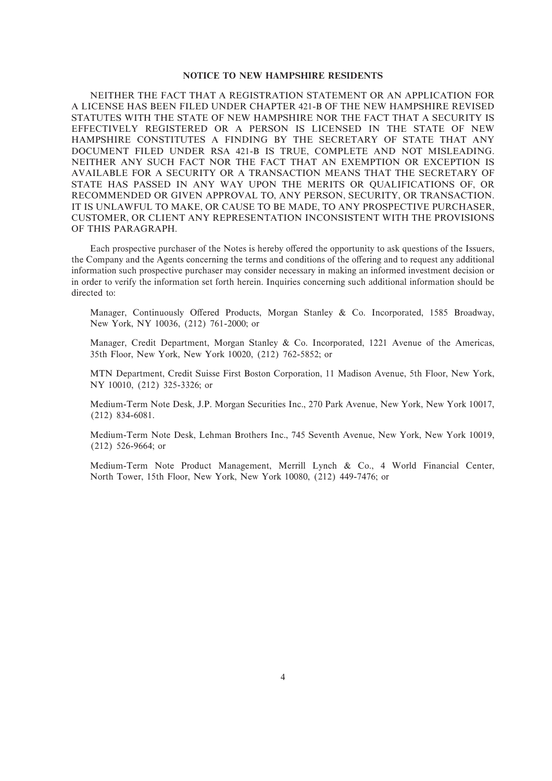#### **NOTICE TO NEW HAMPSHIRE RESIDENTS**

NEITHER THE FACT THAT A REGISTRATION STATEMENT OR AN APPLICATION FOR A LICENSE HAS BEEN FILED UNDER CHAPTER 421-B OF THE NEW HAMPSHIRE REVISED STATUTES WITH THE STATE OF NEW HAMPSHIRE NOR THE FACT THAT A SECURITY IS EFFECTIVELY REGISTERED OR A PERSON IS LICENSED IN THE STATE OF NEW HAMPSHIRE CONSTITUTES A FINDING BY THE SECRETARY OF STATE THAT ANY DOCUMENT FILED UNDER RSA 421-B IS TRUE, COMPLETE AND NOT MISLEADING. NEITHER ANY SUCH FACT NOR THE FACT THAT AN EXEMPTION OR EXCEPTION IS AVAILABLE FOR A SECURITY OR A TRANSACTION MEANS THAT THE SECRETARY OF STATE HAS PASSED IN ANY WAY UPON THE MERITS OR QUALIFICATIONS OF, OR RECOMMENDED OR GIVEN APPROVAL TO, ANY PERSON, SECURITY, OR TRANSACTION. IT IS UNLAWFUL TO MAKE, OR CAUSE TO BE MADE, TO ANY PROSPECTIVE PURCHASER, CUSTOMER, OR CLIENT ANY REPRESENTATION INCONSISTENT WITH THE PROVISIONS OF THIS PARAGRAPH.

Each prospective purchaser of the Notes is hereby offered the opportunity to ask questions of the Issuers, the Company and the Agents concerning the terms and conditions of the offering and to request any additional information such prospective purchaser may consider necessary in making an informed investment decision or in order to verify the information set forth herein. Inquiries concerning such additional information should be directed to:

Manager, Continuously Offered Products, Morgan Stanley & Co. Incorporated, 1585 Broadway, New York, NY 10036, (212) 761-2000; or

Manager, Credit Department, Morgan Stanley & Co. Incorporated, 1221 Avenue of the Americas, 35th Floor, New York, New York 10020, (212) 762-5852; or

MTN Department, Credit Suisse First Boston Corporation, 11 Madison Avenue, 5th Floor, New York, NY 10010, (212) 325-3326; or

Medium-Term Note Desk, J.P. Morgan Securities Inc., 270 Park Avenue, New York, New York 10017, (212) 834-6081.

Medium-Term Note Desk, Lehman Brothers Inc., 745 Seventh Avenue, New York, New York 10019, (212) 526-9664; or

Medium-Term Note Product Management, Merrill Lynch & Co., 4 World Financial Center, North Tower, 15th Floor, New York, New York 10080, (212) 449-7476; or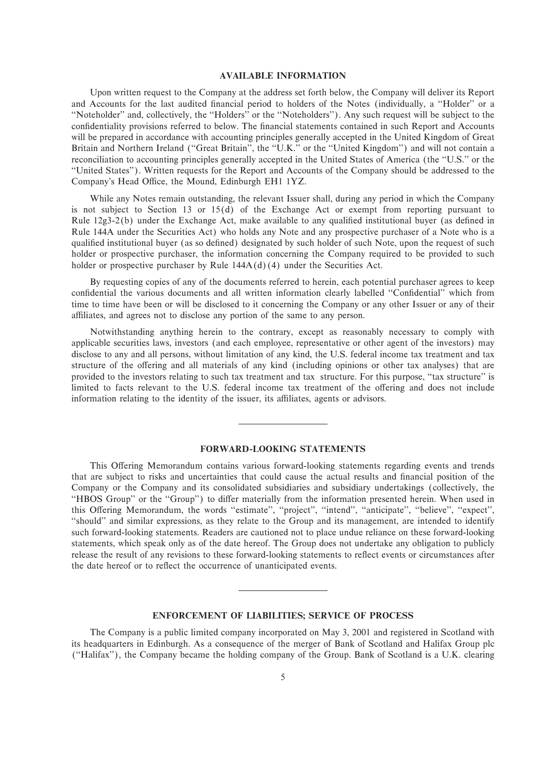#### **AVAILABLE INFORMATION**

Upon written request to the Company at the address set forth below, the Company will deliver its Report and Accounts for the last audited financial period to holders of the Notes (individually, a "Holder" or a "Noteholder" and, collectively, the "Holders" or the "Noteholders"). Any such request will be subject to the confidentiality provisions referred to below. The financial statements contained in such Report and Accounts will be prepared in accordance with accounting principles generally accepted in the United Kingdom of Great Britain and Northern Ireland ("Great Britain", the "U.K." or the "United Kingdom") and will not contain a reconciliation to accounting principles generally accepted in the United States of America (the "U.S." or the ""United States''). Written requests for the Report and Accounts of the Company should be addressed to the Company's Head Office, the Mound, Edinburgh EH1 1YZ.

While any Notes remain outstanding, the relevant Issuer shall, during any period in which the Company is not subject to Section 13 or 15(d) of the Exchange Act or exempt from reporting pursuant to Rule  $12g3-2(b)$  under the Exchange Act, make available to any qualified institutional buyer (as defined in Rule 144A under the Securities Act) who holds any Note and any prospective purchaser of a Note who is a qualified institutional buyer (as so defined) designated by such holder of such Note, upon the request of such holder or prospective purchaser, the information concerning the Company required to be provided to such holder or prospective purchaser by Rule  $144A(d)(4)$  under the Securities Act.

By requesting copies of any of the documents referred to herein, each potential purchaser agrees to keep confidential the various documents and all written information clearly labelled "Confidential" which from time to time have been or will be disclosed to it concerning the Company or any other Issuer or any of their affiliates, and agrees not to disclose any portion of the same to any person.

Notwithstanding anything herein to the contrary, except as reasonably necessary to comply with applicable securities laws, investors (and each employee, representative or other agent of the investors) may disclose to any and all persons, without limitation of any kind, the U.S. federal income tax treatment and tax structure of the offering and all materials of any kind (including opinions or other tax analyses) that are provided to the investors relating to such tax treatment and tax structure. For this purpose, ""tax structure'' is limited to facts relevant to the U.S. federal income tax treatment of the offering and does not include information relating to the identity of the issuer, its affiliates, agents or advisors.

#### **FORWARD-LOOKING STATEMENTS**

This Offering Memorandum contains various forward-looking statements regarding events and trends that are subject to risks and uncertainties that could cause the actual results and financial position of the Company or the Company and its consolidated subsidiaries and subsidiary undertakings (collectively, the "HBOS Group" or the "Group") to differ materially from the information presented herein. When used in this Offering Memorandum, the words "estimate", "project", "intend", "anticipate", "believe", "expect", "should" and similar expressions, as they relate to the Group and its management, are intended to identify such forward-looking statements. Readers are cautioned not to place undue reliance on these forward-looking statements, which speak only as of the date hereof. The Group does not undertake any obligation to publicly release the result of any revisions to these forward-looking statements to reflect events or circumstances after the date hereof or to reflect the occurrence of unanticipated events.

#### **ENFORCEMENT OF LIABILITIES; SERVICE OF PROCESS**

The Company is a public limited company incorporated on May 3, 2001 and registered in Scotland with its headquarters in Edinburgh. As a consequence of the merger of Bank of Scotland and Halifax Group plc (""Halifax''), the Company became the holding company of the Group. Bank of Scotland is a U.K. clearing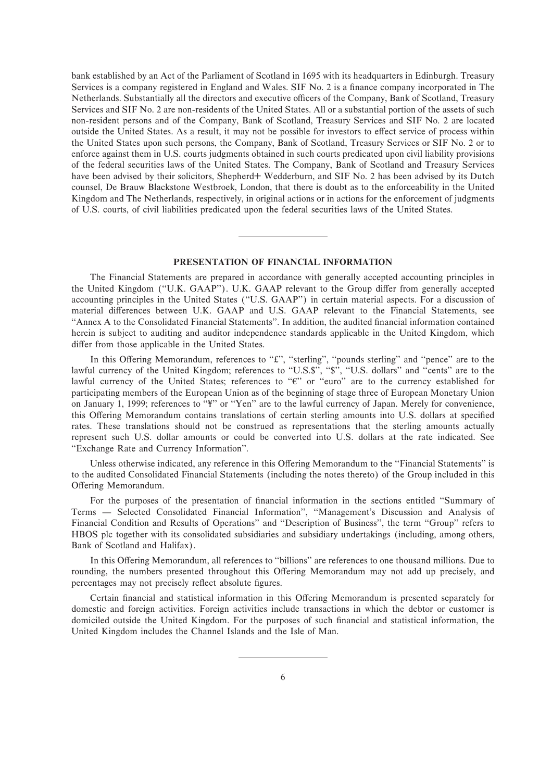bank established by an Act of the Parliament of Scotland in 1695 with its headquarters in Edinburgh. Treasury Services is a company registered in England and Wales. SIF No. 2 is a finance company incorporated in The Netherlands. Substantially all the directors and executive officers of the Company, Bank of Scotland, Treasury Services and SIF No. 2 are non-residents of the United States. All or a substantial portion of the assets of such non-resident persons and of the Company, Bank of Scotland, Treasury Services and SIF No. 2 are located outside the United States. As a result, it may not be possible for investors to effect service of process within the United States upon such persons, the Company, Bank of Scotland, Treasury Services or SIF No. 2 or to enforce against them in U.S. courts judgments obtained in such courts predicated upon civil liability provisions of the federal securities laws of the United States. The Company, Bank of Scotland and Treasury Services have been advised by their solicitors, Shepherd+ Wedderburn, and SIF No. 2 has been advised by its Dutch counsel, De Brauw Blackstone Westbroek, London, that there is doubt as to the enforceability in the United Kingdom and The Netherlands, respectively, in original actions or in actions for the enforcement of judgments of U.S. courts, of civil liabilities predicated upon the federal securities laws of the United States.

#### **PRESENTATION OF FINANCIAL INFORMATION**

The Financial Statements are prepared in accordance with generally accepted accounting principles in the United Kingdom ("U.K. GAAP"). U.K. GAAP relevant to the Group differ from generally accepted accounting principles in the United States (""U.S. GAAP'') in certain material aspects. For a discussion of material differences between U.K. GAAP and U.S. GAAP relevant to the Financial Statements, see "Annex A to the Consolidated Financial Statements". In addition, the audited financial information contained herein is subject to auditing and auditor independence standards applicable in the United Kingdom, which differ from those applicable in the United States.

In this Offering Memorandum, references to "£", "sterling", "pounds sterling" and "pence" are to the lawful currency of the United Kingdom; references to "U.S.\$", "\$", "U.S. dollars" and "cents" are to the lawful currency of the United States; references to " $e$ " or "euro" are to the currency established for participating members of the European Union as of the beginning of stage three of European Monetary Union on January 1, 1999; references to "\" or "Yen" are to the lawful currency of Japan. Merely for convenience, this Offering Memorandum contains translations of certain sterling amounts into U.S. dollars at specified rates. These translations should not be construed as representations that the sterling amounts actually represent such U.S. dollar amounts or could be converted into U.S. dollars at the rate indicated. See "Exchange Rate and Currency Information".

Unless otherwise indicated, any reference in this Offering Memorandum to the "Financial Statements" is to the audited Consolidated Financial Statements (including the notes thereto) of the Group included in this Offering Memorandum.

For the purposes of the presentation of financial information in the sections entitled "Summary of Terms — Selected Consolidated Financial Information'', "Management's Discussion and Analysis of Financial Condition and Results of Operations" and "Description of Business", the term "Group" refers to HBOS plc together with its consolidated subsidiaries and subsidiary undertakings (including, among others, Bank of Scotland and Halifax).

In this Offering Memorandum, all references to "billions" are references to one thousand millions. Due to rounding, the numbers presented throughout this Offering Memorandum may not add up precisely, and percentages may not precisely reflect absolute figures.

Certain financial and statistical information in this Offering Memorandum is presented separately for domestic and foreign activities. Foreign activities include transactions in which the debtor or customer is domiciled outside the United Kingdom. For the purposes of such financial and statistical information, the United Kingdom includes the Channel Islands and the Isle of Man.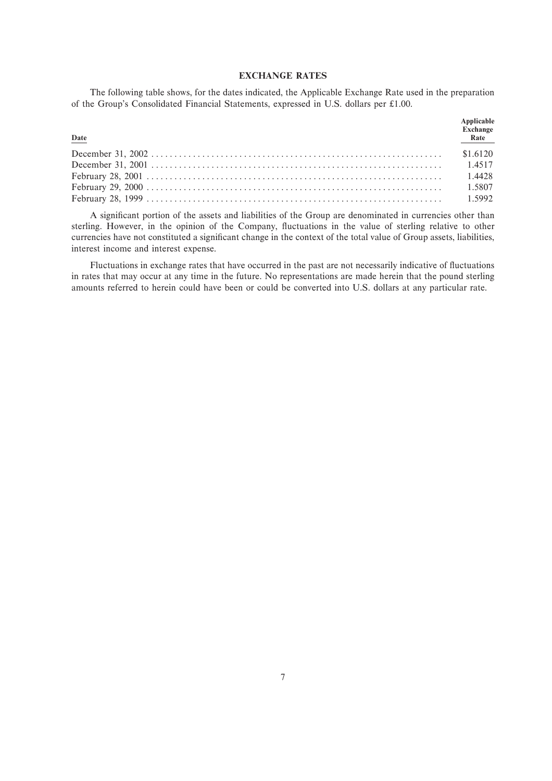## **EXCHANGE RATES**

The following table shows, for the dates indicated, the Applicable Exchange Rate used in the preparation of the Group's Consolidated Financial Statements, expressed in U.S. dollars per £1.00.

| $Date$ | Applicable<br><b>Exchange</b><br>Rate |
|--------|---------------------------------------|
|        | \$1.6120                              |
|        |                                       |
|        |                                       |
|        |                                       |
|        |                                       |

A significant portion of the assets and liabilities of the Group are denominated in currencies other than sterling. However, in the opinion of the Company, fluctuations in the value of sterling relative to other currencies have not constituted a significant change in the context of the total value of Group assets, liabilities, interest income and interest expense.

Fluctuations in exchange rates that have occurred in the past are not necessarily indicative of fluctuations in rates that may occur at any time in the future. No representations are made herein that the pound sterling amounts referred to herein could have been or could be converted into U.S. dollars at any particular rate.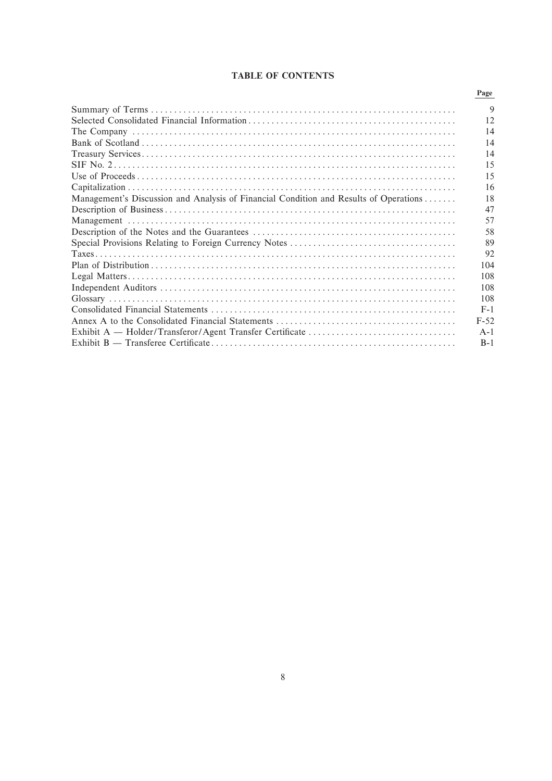# **TABLE OF CONTENTS**

| Management's Discussion and Analysis of Financial Condition and Results of Operations |
|---------------------------------------------------------------------------------------|
|                                                                                       |
|                                                                                       |
|                                                                                       |
|                                                                                       |
|                                                                                       |
|                                                                                       |
|                                                                                       |
|                                                                                       |
|                                                                                       |
|                                                                                       |
|                                                                                       |
|                                                                                       |
|                                                                                       |
|                                                                                       |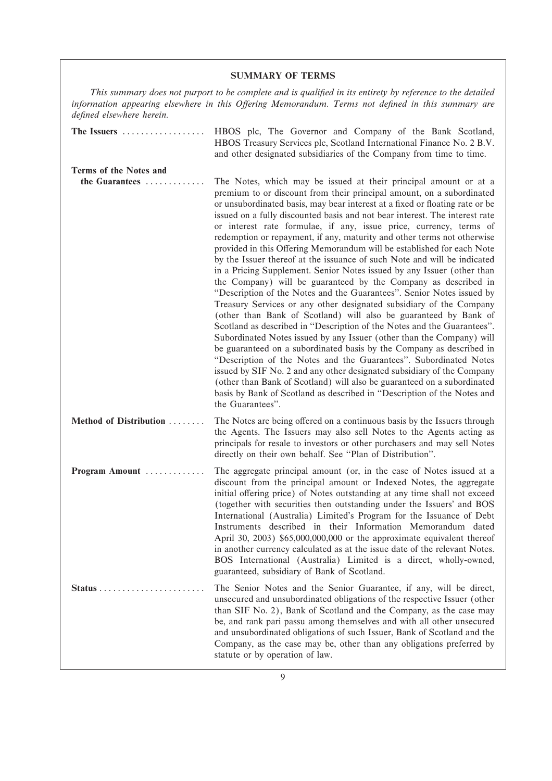# **SUMMARY OF TERMS**

*This summary does not purport to be complete and is qualified in its entirety by reference to the detailed* information appearing elsewhere in this Offering Memorandum. Terms not defined in this summary are *deÑned elsewhere herein.*

| The Issuers                                 | HBOS plc, The Governor and Company of the Bank Scotland,<br>HBOS Treasury Services plc, Scotland International Finance No. 2 B.V.<br>and other designated subsidiaries of the Company from time to time.                                                                                                                                                                                                                                                                                                                                                                                                                                                                                                                                                                                                                                                                                                                                                                                                                                                                                                                                                                                                                                                                                                                                                                                                                                                                                                                             |
|---------------------------------------------|--------------------------------------------------------------------------------------------------------------------------------------------------------------------------------------------------------------------------------------------------------------------------------------------------------------------------------------------------------------------------------------------------------------------------------------------------------------------------------------------------------------------------------------------------------------------------------------------------------------------------------------------------------------------------------------------------------------------------------------------------------------------------------------------------------------------------------------------------------------------------------------------------------------------------------------------------------------------------------------------------------------------------------------------------------------------------------------------------------------------------------------------------------------------------------------------------------------------------------------------------------------------------------------------------------------------------------------------------------------------------------------------------------------------------------------------------------------------------------------------------------------------------------------|
| Terms of the Notes and                      |                                                                                                                                                                                                                                                                                                                                                                                                                                                                                                                                                                                                                                                                                                                                                                                                                                                                                                                                                                                                                                                                                                                                                                                                                                                                                                                                                                                                                                                                                                                                      |
|                                             |                                                                                                                                                                                                                                                                                                                                                                                                                                                                                                                                                                                                                                                                                                                                                                                                                                                                                                                                                                                                                                                                                                                                                                                                                                                                                                                                                                                                                                                                                                                                      |
| the Guarantees                              | The Notes, which may be issued at their principal amount or at a<br>premium to or discount from their principal amount, on a subordinated<br>or unsubordinated basis, may bear interest at a fixed or floating rate or be<br>issued on a fully discounted basis and not bear interest. The interest rate<br>or interest rate formulae, if any, issue price, currency, terms of<br>redemption or repayment, if any, maturity and other terms not otherwise<br>provided in this Offering Memorandum will be established for each Note<br>by the Issuer thereof at the issuance of such Note and will be indicated<br>in a Pricing Supplement. Senior Notes issued by any Issuer (other than<br>the Company) will be guaranteed by the Company as described in<br>"Description of the Notes and the Guarantees". Senior Notes issued by<br>Treasury Services or any other designated subsidiary of the Company<br>(other than Bank of Scotland) will also be guaranteed by Bank of<br>Scotland as described in "Description of the Notes and the Guarantees".<br>Subordinated Notes issued by any Issuer (other than the Company) will<br>be guaranteed on a subordinated basis by the Company as described in<br>"Description of the Notes and the Guarantees". Subordinated Notes<br>issued by SIF No. 2 and any other designated subsidiary of the Company<br>(other than Bank of Scotland) will also be guaranteed on a subordinated<br>basis by Bank of Scotland as described in "Description of the Notes and<br>the Guarantees". |
| Method of Distribution                      | The Notes are being offered on a continuous basis by the Issuers through<br>the Agents. The Issuers may also sell Notes to the Agents acting as<br>principals for resale to investors or other purchasers and may sell Notes<br>directly on their own behalf. See "Plan of Distribution".                                                                                                                                                                                                                                                                                                                                                                                                                                                                                                                                                                                                                                                                                                                                                                                                                                                                                                                                                                                                                                                                                                                                                                                                                                            |
| Program Amount                              | The aggregate principal amount (or, in the case of Notes issued at a<br>discount from the principal amount or Indexed Notes, the aggregate<br>initial offering price) of Notes outstanding at any time shall not exceed<br>(together with securities then outstanding under the Issuers' and BOS<br>International (Australia) Limited's Program for the Issuance of Debt<br>Instruments described in their Information Memorandum dated<br>April 30, 2003) \$65,000,000,000 or the approximate equivalent thereof<br>in another currency calculated as at the issue date of the relevant Notes.<br>BOS International (Australia) Limited is a direct, wholly-owned,<br>guaranteed, subsidiary of Bank of Scotland.                                                                                                                                                                                                                                                                                                                                                                                                                                                                                                                                                                                                                                                                                                                                                                                                                   |
| $Status \ldots \ldots \ldots \ldots \ldots$ | The Senior Notes and the Senior Guarantee, if any, will be direct,<br>unsecured and unsubordinated obligations of the respective Issuer (other<br>than SIF No. 2), Bank of Scotland and the Company, as the case may<br>be, and rank pari passu among themselves and with all other unsecured<br>and unsubordinated obligations of such Issuer, Bank of Scotland and the<br>Company, as the case may be, other than any obligations preferred by<br>statute or by operation of law.                                                                                                                                                                                                                                                                                                                                                                                                                                                                                                                                                                                                                                                                                                                                                                                                                                                                                                                                                                                                                                                  |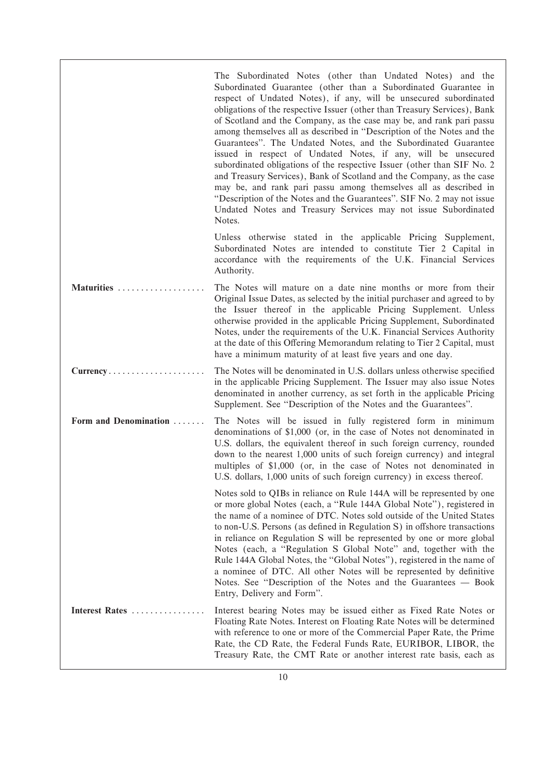|                       | The Subordinated Notes (other than Undated Notes) and the<br>Subordinated Guarantee (other than a Subordinated Guarantee in<br>respect of Undated Notes), if any, will be unsecured subordinated<br>obligations of the respective Issuer (other than Treasury Services), Bank<br>of Scotland and the Company, as the case may be, and rank pari passu<br>among themselves all as described in "Description of the Notes and the<br>Guarantees". The Undated Notes, and the Subordinated Guarantee<br>issued in respect of Undated Notes, if any, will be unsecured<br>subordinated obligations of the respective Issuer (other than SIF No. 2)<br>and Treasury Services), Bank of Scotland and the Company, as the case<br>may be, and rank pari passu among themselves all as described in<br>"Description of the Notes and the Guarantees". SIF No. 2 may not issue<br>Undated Notes and Treasury Services may not issue Subordinated<br>Notes. |
|-----------------------|---------------------------------------------------------------------------------------------------------------------------------------------------------------------------------------------------------------------------------------------------------------------------------------------------------------------------------------------------------------------------------------------------------------------------------------------------------------------------------------------------------------------------------------------------------------------------------------------------------------------------------------------------------------------------------------------------------------------------------------------------------------------------------------------------------------------------------------------------------------------------------------------------------------------------------------------------|
|                       | Unless otherwise stated in the applicable Pricing Supplement,<br>Subordinated Notes are intended to constitute Tier 2 Capital in<br>accordance with the requirements of the U.K. Financial Services<br>Authority.                                                                                                                                                                                                                                                                                                                                                                                                                                                                                                                                                                                                                                                                                                                                 |
| Maturities            | The Notes will mature on a date nine months or more from their<br>Original Issue Dates, as selected by the initial purchaser and agreed to by<br>the Issuer thereof in the applicable Pricing Supplement. Unless<br>otherwise provided in the applicable Pricing Supplement, Subordinated<br>Notes, under the requirements of the U.K. Financial Services Authority<br>at the date of this Offering Memorandum relating to Tier 2 Capital, must<br>have a minimum maturity of at least five years and one day.                                                                                                                                                                                                                                                                                                                                                                                                                                    |
| Currency              | The Notes will be denominated in U.S. dollars unless otherwise specified<br>in the applicable Pricing Supplement. The Issuer may also issue Notes<br>denominated in another currency, as set forth in the applicable Pricing<br>Supplement. See "Description of the Notes and the Guarantees".                                                                                                                                                                                                                                                                                                                                                                                                                                                                                                                                                                                                                                                    |
| Form and Denomination | The Notes will be issued in fully registered form in minimum<br>denominations of \$1,000 (or, in the case of Notes not denominated in<br>U.S. dollars, the equivalent thereof in such foreign currency, rounded<br>down to the nearest 1,000 units of such foreign currency) and integral<br>multiples of \$1,000 (or, in the case of Notes not denominated in<br>U.S. dollars, 1,000 units of such foreign currency) in excess thereof.                                                                                                                                                                                                                                                                                                                                                                                                                                                                                                          |
|                       | Notes sold to QIBs in reliance on Rule 144A will be represented by one<br>or more global Notes (each, a "Rule 144A Global Note"), registered in<br>the name of a nominee of DTC. Notes sold outside of the United States<br>to non-U.S. Persons (as defined in Regulation S) in offshore transactions<br>in reliance on Regulation S will be represented by one or more global<br>Notes (each, a "Regulation S Global Note" and, together with the<br>Rule 144A Global Notes, the "Global Notes"), registered in the name of<br>a nominee of DTC. All other Notes will be represented by definitive<br>Notes. See "Description of the Notes and the Guarantees — Book<br>Entry, Delivery and Form".                                                                                                                                                                                                                                               |
| Interest Rates        | Interest bearing Notes may be issued either as Fixed Rate Notes or<br>Floating Rate Notes. Interest on Floating Rate Notes will be determined<br>with reference to one or more of the Commercial Paper Rate, the Prime<br>Rate, the CD Rate, the Federal Funds Rate, EURIBOR, LIBOR, the<br>Treasury Rate, the CMT Rate or another interest rate basis, each as                                                                                                                                                                                                                                                                                                                                                                                                                                                                                                                                                                                   |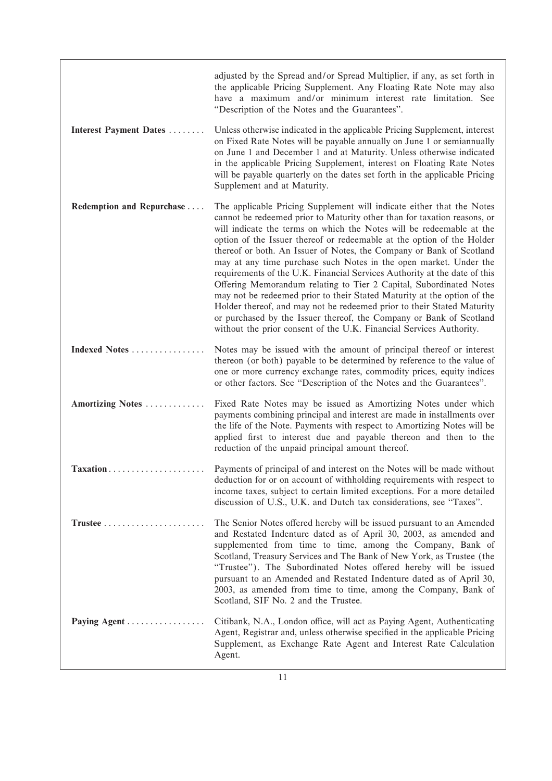|                           | adjusted by the Spread and/or Spread Multiplier, if any, as set forth in<br>the applicable Pricing Supplement. Any Floating Rate Note may also<br>have a maximum and/or minimum interest rate limitation. See<br>"Description of the Notes and the Guarantees".                                                                                                                                                                                                                                                                                                                                                                                                                                                                                                                                                                                                                                        |
|---------------------------|--------------------------------------------------------------------------------------------------------------------------------------------------------------------------------------------------------------------------------------------------------------------------------------------------------------------------------------------------------------------------------------------------------------------------------------------------------------------------------------------------------------------------------------------------------------------------------------------------------------------------------------------------------------------------------------------------------------------------------------------------------------------------------------------------------------------------------------------------------------------------------------------------------|
| Interest Payment Dates    | Unless otherwise indicated in the applicable Pricing Supplement, interest<br>on Fixed Rate Notes will be payable annually on June 1 or semiannually<br>on June 1 and December 1 and at Maturity. Unless otherwise indicated<br>in the applicable Pricing Supplement, interest on Floating Rate Notes<br>will be payable quarterly on the dates set forth in the applicable Pricing<br>Supplement and at Maturity.                                                                                                                                                                                                                                                                                                                                                                                                                                                                                      |
| Redemption and Repurchase | The applicable Pricing Supplement will indicate either that the Notes<br>cannot be redeemed prior to Maturity other than for taxation reasons, or<br>will indicate the terms on which the Notes will be redeemable at the<br>option of the Issuer thereof or redeemable at the option of the Holder<br>thereof or both. An Issuer of Notes, the Company or Bank of Scotland<br>may at any time purchase such Notes in the open market. Under the<br>requirements of the U.K. Financial Services Authority at the date of this<br>Offering Memorandum relating to Tier 2 Capital, Subordinated Notes<br>may not be redeemed prior to their Stated Maturity at the option of the<br>Holder thereof, and may not be redeemed prior to their Stated Maturity<br>or purchased by the Issuer thereof, the Company or Bank of Scotland<br>without the prior consent of the U.K. Financial Services Authority. |
| Indexed Notes             | Notes may be issued with the amount of principal thereof or interest<br>thereon (or both) payable to be determined by reference to the value of<br>one or more currency exchange rates, commodity prices, equity indices<br>or other factors. See "Description of the Notes and the Guarantees".                                                                                                                                                                                                                                                                                                                                                                                                                                                                                                                                                                                                       |
| Amortizing Notes          | Fixed Rate Notes may be issued as Amortizing Notes under which<br>payments combining principal and interest are made in installments over<br>the life of the Note. Payments with respect to Amortizing Notes will be<br>applied first to interest due and payable thereon and then to the<br>reduction of the unpaid principal amount thereof.                                                                                                                                                                                                                                                                                                                                                                                                                                                                                                                                                         |
| Taxation                  | Payments of principal of and interest on the Notes will be made without<br>deduction for or on account of withholding requirements with respect to<br>income taxes, subject to certain limited exceptions. For a more detailed<br>discussion of U.S., U.K. and Dutch tax considerations, see "Taxes".                                                                                                                                                                                                                                                                                                                                                                                                                                                                                                                                                                                                  |
|                           | The Senior Notes offered hereby will be issued pursuant to an Amended<br>and Restated Indenture dated as of April 30, 2003, as amended and<br>supplemented from time to time, among the Company, Bank of<br>Scotland, Treasury Services and The Bank of New York, as Trustee (the<br>"Trustee"). The Subordinated Notes offered hereby will be issued<br>pursuant to an Amended and Restated Indenture dated as of April 30,<br>2003, as amended from time to time, among the Company, Bank of<br>Scotland, SIF No. 2 and the Trustee.                                                                                                                                                                                                                                                                                                                                                                 |
| Paying Agent              | Citibank, N.A., London office, will act as Paying Agent, Authenticating<br>Agent, Registrar and, unless otherwise specified in the applicable Pricing<br>Supplement, as Exchange Rate Agent and Interest Rate Calculation<br>Agent.                                                                                                                                                                                                                                                                                                                                                                                                                                                                                                                                                                                                                                                                    |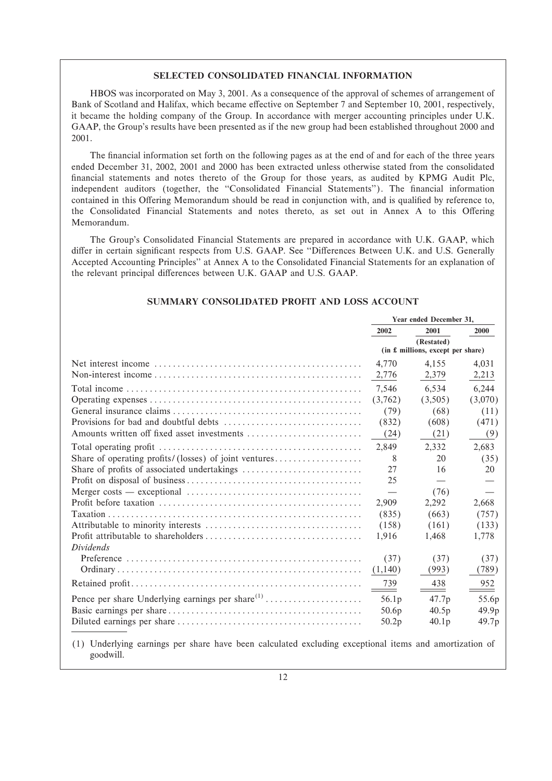# **SELECTED CONSOLIDATED FINANCIAL INFORMATION**

HBOS was incorporated on May 3, 2001. As a consequence of the approval of schemes of arrangement of Bank of Scotland and Halifax, which became effective on September 7 and September 10, 2001, respectively, it became the holding company of the Group. In accordance with merger accounting principles under U.K. GAAP, the Group's results have been presented as if the new group had been established throughout 2000 and 2001.

The financial information set forth on the following pages as at the end of and for each of the three years ended December 31, 2002, 2001 and 2000 has been extracted unless otherwise stated from the consolidated financial statements and notes thereto of the Group for those years, as audited by KPMG Audit Plc, independent auditors (together, the "Consolidated Financial Statements"). The financial information contained in this Offering Memorandum should be read in conjunction with, and is qualified by reference to, the Consolidated Financial Statements and notes thereto, as set out in Annex A to this Offering Memorandum.

The Group's Consolidated Financial Statements are prepared in accordance with U.K. GAAP, which differ in certain significant respects from U.S. GAAP. See "Differences Between U.K. and U.S. Generally Accepted Accounting Principles'' at Annex A to the Consolidated Financial Statements for an explanation of the relevant principal differences between U.K. GAAP and U.S. GAAP.

|                                                       | Year ended December 31. |                                                 |         |
|-------------------------------------------------------|-------------------------|-------------------------------------------------|---------|
|                                                       | 2002                    | 2001                                            | 2000    |
|                                                       |                         | (Restated)<br>(in £ millions, except per share) |         |
|                                                       | 4.770                   | 4.155                                           | 4,031   |
|                                                       | 2,776                   | 2,379                                           | 2,213   |
|                                                       | 7,546                   | 6.534                                           | 6,244   |
|                                                       | (3,762)                 | (3,505)                                         | (3,070) |
|                                                       | (79)                    | (68)                                            | (11)    |
|                                                       | (832)                   | (608)                                           | (471)   |
| Amounts written off fixed asset investments           | (24)                    | (21)                                            | (9)     |
|                                                       | 2.849                   | 2,332                                           | 2,683   |
| Share of operating profits/(losses) of joint ventures | 8                       | 20                                              | (35)    |
|                                                       | 27                      | 16                                              | 20      |
|                                                       | 25                      |                                                 |         |
|                                                       |                         | (76)                                            |         |
|                                                       | 2,909                   | 2,292                                           | 2,668   |
|                                                       | (835)                   | (663)                                           | (757)   |
|                                                       | (158)                   | (161)                                           | (133)   |
|                                                       | 1,916                   | 1,468                                           | 1,778   |
| <i>Dividends</i>                                      |                         |                                                 |         |
|                                                       | (37)                    | (37)                                            | (37)    |
|                                                       | (1,140)                 | (993)                                           | (789)   |
|                                                       | 739                     | 438                                             | 952     |
|                                                       | 56.1 <sub>p</sub>       | 47.7p                                           | 55.6p   |
|                                                       | 50.6 <sub>p</sub>       | 40.5p                                           | 49.9p   |
|                                                       | 50.2p                   | 40.1p                                           | 49.7p   |

# **SUMMARY CONSOLIDATED PROFIT AND LOSS ACCOUNT**

(1) Underlying earnings per share have been calculated excluding exceptional items and amortization of goodwill.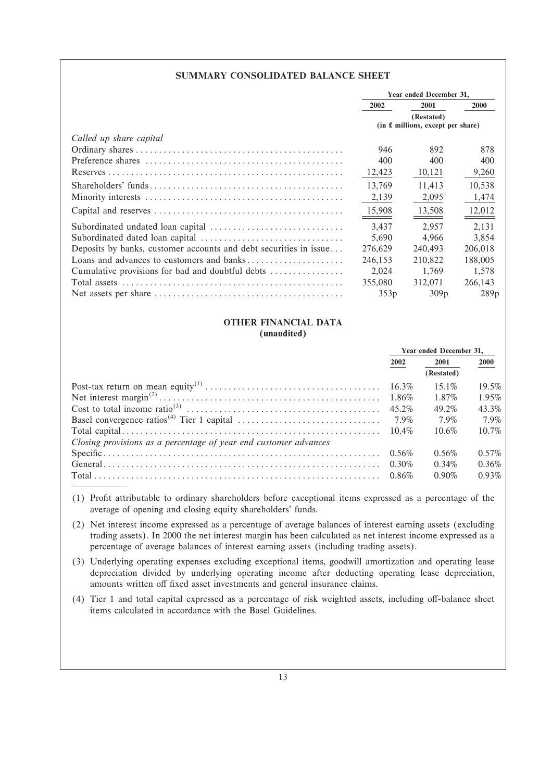# **SUMMARY CONSOLIDATED BALANCE SHEET**

|                                                                   | Year ended December 31,           |            |             |
|-------------------------------------------------------------------|-----------------------------------|------------|-------------|
|                                                                   | 2002                              | 2001       | <b>2000</b> |
|                                                                   |                                   | (Restated) |             |
|                                                                   | (in £ millions, except per share) |            |             |
| Called up share capital                                           |                                   |            |             |
|                                                                   | 946                               | 892        | 878         |
|                                                                   | 400                               | 400        | 400         |
|                                                                   | 12,423                            | 10,121     | 9,260       |
|                                                                   | 13.769                            | 11.413     | 10,538      |
|                                                                   | 2,139                             | 2,095      | 1,474       |
|                                                                   | 15,908                            | 13,508     | 12,012      |
|                                                                   | 3,437                             | 2.957      | 2,131       |
|                                                                   | 5,690                             | 4.966      | 3,854       |
| Deposits by banks, customer accounts and debt securities in issue | 276,629                           | 240,493    | 206,018     |
|                                                                   | 246,153                           | 210,822    | 188,005     |
| Cumulative provisions for bad and doubtful debts                  | 2,024                             | 1.769      | 1.578       |
|                                                                   | 355,080                           | 312,071    | 266,143     |
|                                                                   | 353p                              | 309p       | 289p        |

# **OTHER FINANCIAL DATA**

# **(unaudited)**

|                                                                  | Year ended December 31, |            |          |
|------------------------------------------------------------------|-------------------------|------------|----------|
|                                                                  | 2002                    | 2001       | 2000     |
|                                                                  |                         | (Restated) |          |
|                                                                  |                         | $15.1\%$   | 19.5%    |
|                                                                  |                         | 1.87%      | 1.95%    |
|                                                                  |                         | 49.2%      | 43.3%    |
|                                                                  |                         | 7.9%       | $7.9\%$  |
|                                                                  |                         | $10.6\%$   | $10.7\%$ |
| Closing provisions as a percentage of year end customer advances |                         |            |          |
|                                                                  |                         | 0.56%      | $0.57\%$ |
|                                                                  |                         | $0.34\%$   | $0.36\%$ |
|                                                                  |                         | $0.90\%$   | $0.93\%$ |

- (1) ProÑt attributable to ordinary shareholders before exceptional items expressed as a percentage of the average of opening and closing equity shareholders' funds.
- (2) Net interest income expressed as a percentage of average balances of interest earning assets (excluding trading assets). In 2000 the net interest margin has been calculated as net interest income expressed as a percentage of average balances of interest earning assets (including trading assets).
- (3) Underlying operating expenses excluding exceptional items, goodwill amortization and operating lease depreciation divided by underlying operating income after deducting operating lease depreciation, amounts written off fixed asset investments and general insurance claims.
- (4) Tier 1 and total capital expressed as a percentage of risk weighted assets, including off-balance sheet items calculated in accordance with the Basel Guidelines.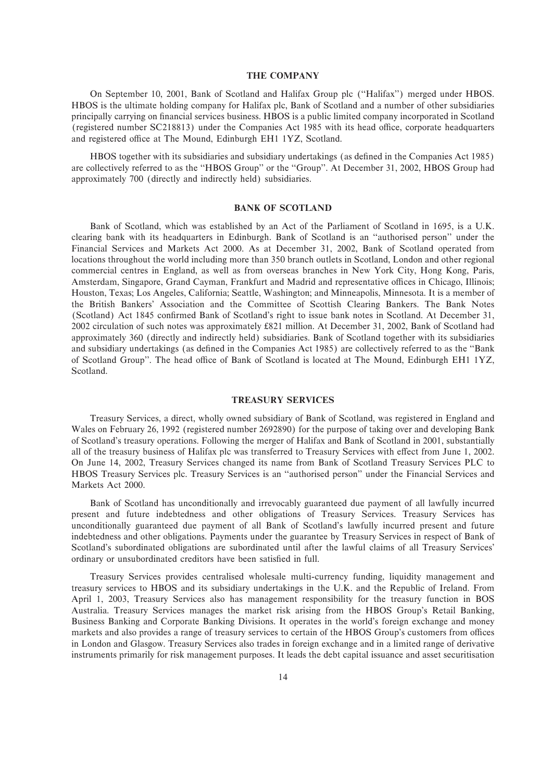# **THE COMPANY**

On September 10, 2001, Bank of Scotland and Halifax Group plc (""Halifax'') merged under HBOS. HBOS is the ultimate holding company for Halifax plc, Bank of Scotland and a number of other subsidiaries principally carrying on financial services business. HBOS is a public limited company incorporated in Scotland (registered number SC218813) under the Companies Act 1985 with its head office, corporate headquarters and registered office at The Mound, Edinburgh EH1 1YZ, Scotland.

HBOS together with its subsidiaries and subsidiary undertakings (as defined in the Companies Act 1985) are collectively referred to as the "HBOS Group" or the "Group". At December 31, 2002, HBOS Group had approximately 700 (directly and indirectly held) subsidiaries.

## **BANK OF SCOTLAND**

Bank of Scotland, which was established by an Act of the Parliament of Scotland in 1695, is a U.K. clearing bank with its headquarters in Edinburgh. Bank of Scotland is an ""authorised person'' under the Financial Services and Markets Act 2000. As at December 31, 2002, Bank of Scotland operated from locations throughout the world including more than 350 branch outlets in Scotland, London and other regional commercial centres in England, as well as from overseas branches in New York City, Hong Kong, Paris, Amsterdam, Singapore, Grand Cayman, Frankfurt and Madrid and representative offices in Chicago, Illinois; Houston, Texas; Los Angeles, California; Seattle, Washington; and Minneapolis, Minnesota. It is a member of the British Bankers' Association and the Committee of Scottish Clearing Bankers. The Bank Notes (Scotland) Act 1845 confirmed Bank of Scotland's right to issue bank notes in Scotland. At December 31, 2002 circulation of such notes was approximately 821 million. At December 31, 2002, Bank of Scotland had approximately 360 (directly and indirectly held) subsidiaries. Bank of Scotland together with its subsidiaries and subsidiary undertakings (as defined in the Companies Act 1985) are collectively referred to as the "Bank of Scotland Group". The head office of Bank of Scotland is located at The Mound, Edinburgh EH1 1YZ, Scotland.

### **TREASURY SERVICES**

Treasury Services, a direct, wholly owned subsidiary of Bank of Scotland, was registered in England and Wales on February 26, 1992 (registered number 2692890) for the purpose of taking over and developing Bank of Scotland's treasury operations. Following the merger of Halifax and Bank of Scotland in 2001, substantially all of the treasury business of Halifax plc was transferred to Treasury Services with effect from June 1, 2002. On June 14, 2002, Treasury Services changed its name from Bank of Scotland Treasury Services PLC to HBOS Treasury Services plc. Treasury Services is an ""authorised person'' under the Financial Services and Markets Act 2000.

Bank of Scotland has unconditionally and irrevocably guaranteed due payment of all lawfully incurred present and future indebtedness and other obligations of Treasury Services. Treasury Services has unconditionally guaranteed due payment of all Bank of Scotland's lawfully incurred present and future indebtedness and other obligations. Payments under the guarantee by Treasury Services in respect of Bank of Scotland's subordinated obligations are subordinated until after the lawful claims of all Treasury Services' ordinary or unsubordinated creditors have been satisfied in full.

Treasury Services provides centralised wholesale multi-currency funding, liquidity management and treasury services to HBOS and its subsidiary undertakings in the U.K. and the Republic of Ireland. From April 1, 2003, Treasury Services also has management responsibility for the treasury function in BOS Australia. Treasury Services manages the market risk arising from the HBOS Group's Retail Banking, Business Banking and Corporate Banking Divisions. It operates in the world's foreign exchange and money markets and also provides a range of treasury services to certain of the HBOS Group's customers from offices in London and Glasgow. Treasury Services also trades in foreign exchange and in a limited range of derivative instruments primarily for risk management purposes. It leads the debt capital issuance and asset securitisation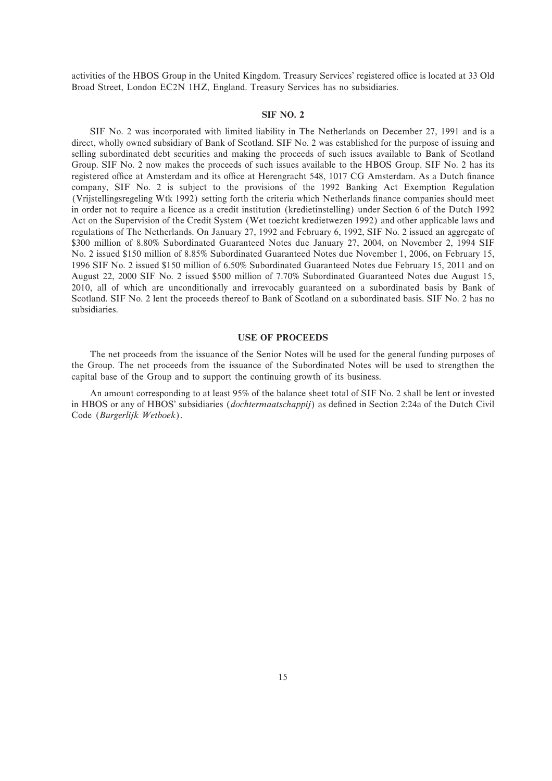activities of the HBOS Group in the United Kingdom. Treasury Services' registered office is located at 33 Old Broad Street, London EC2N 1HZ, England. Treasury Services has no subsidiaries.

#### **SIF NO. 2**

SIF No. 2 was incorporated with limited liability in The Netherlands on December 27, 1991 and is a direct, wholly owned subsidiary of Bank of Scotland. SIF No. 2 was established for the purpose of issuing and selling subordinated debt securities and making the proceeds of such issues available to Bank of Scotland Group. SIF No. 2 now makes the proceeds of such issues available to the HBOS Group. SIF No. 2 has its registered office at Amsterdam and its office at Herengracht 548, 1017 CG Amsterdam. As a Dutch finance company, SIF No. 2 is subject to the provisions of the 1992 Banking Act Exemption Regulation (Vrijstellingsregeling Wtk 1992) setting forth the criteria which Netherlands Ñnance companies should meet in order not to require a licence as a credit institution (kredietinstelling) under Section 6 of the Dutch 1992 Act on the Supervision of the Credit System (Wet toezicht kredietwezen 1992) and other applicable laws and regulations of The Netherlands. On January 27, 1992 and February 6, 1992, SIF No. 2 issued an aggregate of \$300 million of 8.80% Subordinated Guaranteed Notes due January 27, 2004, on November 2, 1994 SIF No. 2 issued \$150 million of 8.85% Subordinated Guaranteed Notes due November 1, 2006, on February 15, 1996 SIF No. 2 issued \$150 million of 6.50% Subordinated Guaranteed Notes due February 15, 2011 and on August 22, 2000 SIF No. 2 issued \$500 million of 7.70% Subordinated Guaranteed Notes due August 15, 2010, all of which are unconditionally and irrevocably guaranteed on a subordinated basis by Bank of Scotland. SIF No. 2 lent the proceeds thereof to Bank of Scotland on a subordinated basis. SIF No. 2 has no subsidiaries.

#### **USE OF PROCEEDS**

The net proceeds from the issuance of the Senior Notes will be used for the general funding purposes of the Group. The net proceeds from the issuance of the Subordinated Notes will be used to strengthen the capital base of the Group and to support the continuing growth of its business.

An amount corresponding to at least 95% of the balance sheet total of SIF No. 2 shall be lent or invested in HBOS or any of HBOS' subsidiaries (*dochtermaatschappij*) as defined in Section 2:24a of the Dutch Civil Code (*Burgerlijk Wetboek*).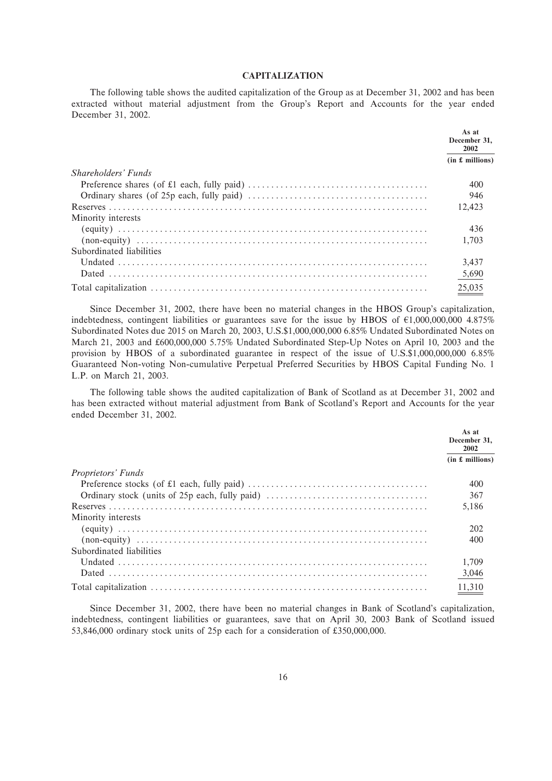# **CAPITALIZATION**

The following table shows the audited capitalization of the Group as at December 31, 2002 and has been extracted without material adjustment from the Group's Report and Accounts for the year ended December 31, 2002.

|                          | As at<br>December 31.<br>2002 |
|--------------------------|-------------------------------|
|                          | (in £~millions)               |
| Shareholders' Funds      |                               |
|                          | 400                           |
|                          | 946                           |
|                          | 12.423                        |
| Minority interests       |                               |
|                          | 436                           |
|                          | 1.703                         |
| Subordinated liabilities |                               |
|                          | 3.437                         |
|                          | 5,690                         |
|                          | 25,035                        |

Since December 31, 2002, there have been no material changes in the HBOS Group's capitalization, indebtedness, contingent liabilities or guarantees save for the issue by HBOS of  $\epsilon$ 1,000,000,000 4.875% Subordinated Notes due 2015 on March 20, 2003, U.S.\$1,000,000,000 6.85% Undated Subordinated Notes on March 21, 2003 and £600,000,000 5.75% Undated Subordinated Step-Up Notes on April 10, 2003 and the provision by HBOS of a subordinated guarantee in respect of the issue of U.S.\$1,000,000,000 6.85% Guaranteed Non-voting Non-cumulative Perpetual Preferred Securities by HBOS Capital Funding No. 1 L.P. on March 21, 2003.

The following table shows the audited capitalization of Bank of Scotland as at December 31, 2002 and has been extracted without material adjustment from Bank of Scotland's Report and Accounts for the year ended December 31, 2002.

|                           | As at<br>December 31,<br>2002 |
|---------------------------|-------------------------------|
|                           | (in £~millions)               |
| <i>Proprietors' Funds</i> |                               |
|                           | 400                           |
|                           | 367                           |
|                           | 5.186                         |
| Minority interests        |                               |
|                           | 202                           |
|                           | 400                           |
| Subordinated liabilities  |                               |
|                           | 1.709                         |
|                           | 3,046                         |
|                           | 11,310                        |

Since December 31, 2002, there have been no material changes in Bank of Scotland's capitalization, indebtedness, contingent liabilities or guarantees, save that on April 30, 2003 Bank of Scotland issued 53,846,000 ordinary stock units of 25p each for a consideration of £350,000,000.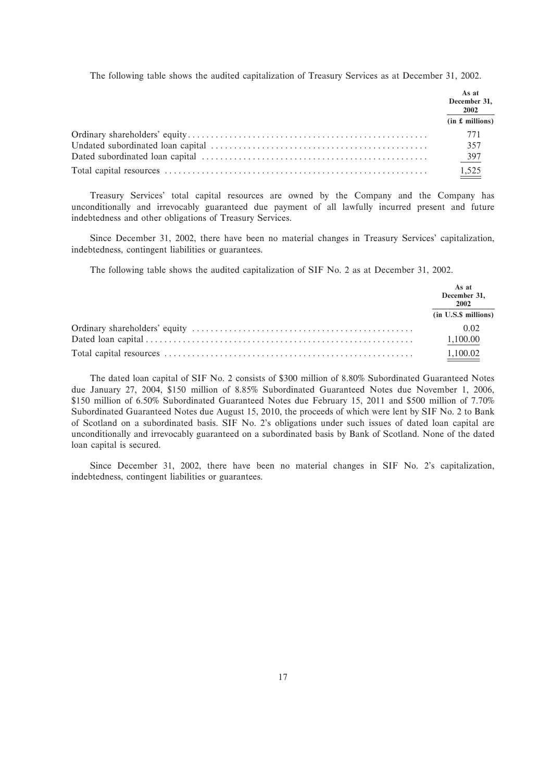The following table shows the audited capitalization of Treasury Services as at December 31, 2002.

| As at<br>December 31,<br>2002 |
|-------------------------------|
| (in £~millions)               |
| 771                           |
| 357                           |
| $\frac{397}{2}$               |
| 1,525                         |

Treasury Services' total capital resources are owned by the Company and the Company has unconditionally and irrevocably guaranteed due payment of all lawfully incurred present and future indebtedness and other obligations of Treasury Services.

Since December 31, 2002, there have been no material changes in Treasury Services' capitalization, indebtedness, contingent liabilities or guarantees.

The following table shows the audited capitalization of SIF No. 2 as at December 31, 2002.

| As at<br>December 31,<br>2002 |
|-------------------------------|
| (in U.S.\$ millions)          |
| 0.02                          |
| 1,100.00                      |
| 1,100.02                      |

The dated loan capital of SIF No. 2 consists of \$300 million of 8.80% Subordinated Guaranteed Notes due January 27, 2004, \$150 million of 8.85% Subordinated Guaranteed Notes due November 1, 2006, \$150 million of 6.50% Subordinated Guaranteed Notes due February 15, 2011 and \$500 million of 7.70% Subordinated Guaranteed Notes due August 15, 2010, the proceeds of which were lent by SIF No. 2 to Bank of Scotland on a subordinated basis. SIF No. 2's obligations under such issues of dated loan capital are unconditionally and irrevocably guaranteed on a subordinated basis by Bank of Scotland. None of the dated loan capital is secured.

Since December 31, 2002, there have been no material changes in SIF No. 2's capitalization, indebtedness, contingent liabilities or guarantees.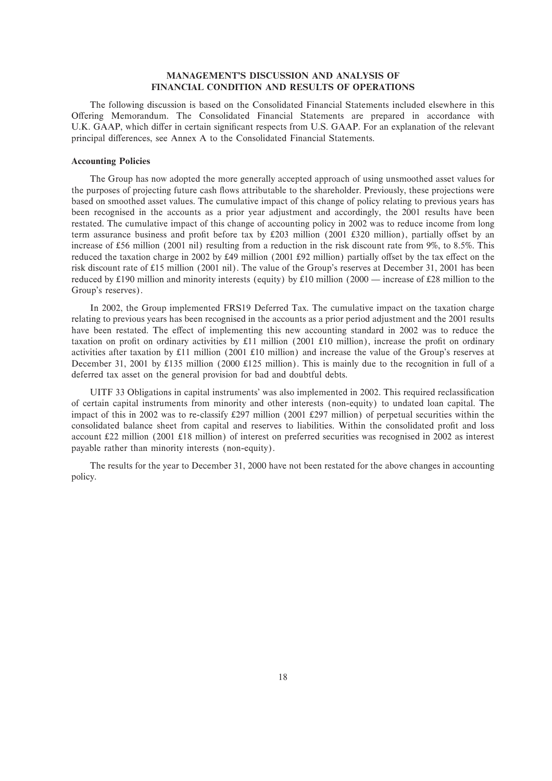# **MANAGEMENT'S DISCUSSION AND ANALYSIS OF FINANCIAL CONDITION AND RESULTS OF OPERATIONS**

The following discussion is based on the Consolidated Financial Statements included elsewhere in this Offering Memorandum. The Consolidated Financial Statements are prepared in accordance with U.K. GAAP, which differ in certain significant respects from U.S. GAAP. For an explanation of the relevant principal differences, see Annex A to the Consolidated Financial Statements.

#### **Accounting Policies**

The Group has now adopted the more generally accepted approach of using unsmoothed asset values for the purposes of projecting future cash flows attributable to the shareholder. Previously, these projections were based on smoothed asset values. The cumulative impact of this change of policy relating to previous years has been recognised in the accounts as a prior year adjustment and accordingly, the 2001 results have been restated. The cumulative impact of this change of accounting policy in 2002 was to reduce income from long term assurance business and profit before tax by  $£203$  million (2001 £320 million), partially offset by an increase of £56 million (2001 nil) resulting from a reduction in the risk discount rate from 9%, to 8.5%. This reduced the taxation charge in 2002 by £49 million (2001 £92 million) partially offset by the tax effect on the risk discount rate of £15 million (2001 nil). The value of the Group's reserves at December 31, 2001 has been reduced by £190 million and minority interests (equity) by £10 million (2000 — increase of £28 million to the Group's reserves).

In 2002, the Group implemented FRS19 Deferred Tax. The cumulative impact on the taxation charge relating to previous years has been recognised in the accounts as a prior period adjustment and the 2001 results have been restated. The effect of implementing this new accounting standard in 2002 was to reduce the taxation on profit on ordinary activities by £11 million (2001 £10 million), increase the profit on ordinary activities after taxation by £11 million (2001 £10 million) and increase the value of the Group's reserves at December 31, 2001 by £135 million (2000 £125 million). This is mainly due to the recognition in full of a deferred tax asset on the general provision for bad and doubtful debts.

UITF 33 Obligations in capital instruments' was also implemented in 2002. This required reclassification of certain capital instruments from minority and other interests (non-equity) to undated loan capital. The impact of this in 2002 was to re-classify 297 million (2001 297 million) of perpetual securities within the consolidated balance sheet from capital and reserves to liabilities. Within the consolidated profit and loss account £22 million (2001 £18 million) of interest on preferred securities was recognised in 2002 as interest payable rather than minority interests (non-equity).

The results for the year to December 31, 2000 have not been restated for the above changes in accounting policy.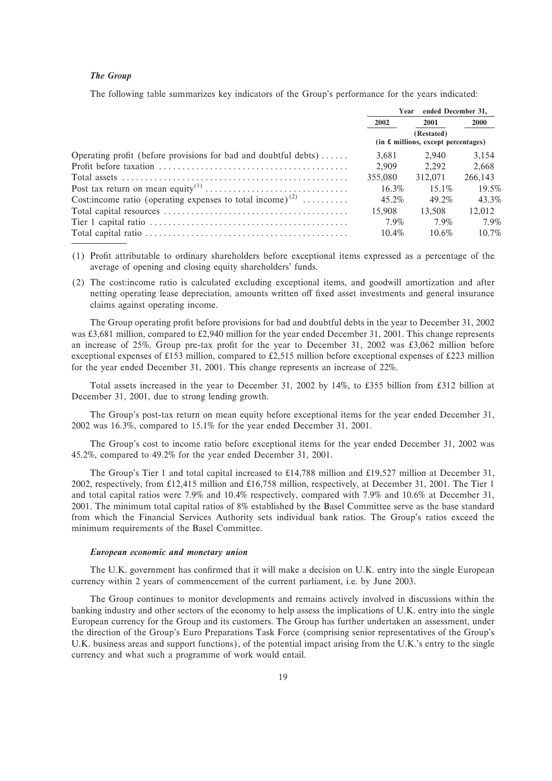# *The Group*

The following table summarizes key indicators of the Group's performance for the years indicated:

|                                                                        | Year                                              | ended December 31. |             |
|------------------------------------------------------------------------|---------------------------------------------------|--------------------|-------------|
|                                                                        | 2002                                              | 2001               | <b>2000</b> |
|                                                                        | (Restated)<br>(in £ millions, except percentages) |                    |             |
| Operating profit (before provisions for bad and doubtful debts)        | 3.681                                             | 2.940              | 3,154       |
|                                                                        | 2.909                                             | 2.292              | 2.668       |
|                                                                        | 355,080                                           | 312.071            | 266,143     |
|                                                                        | $16.3\%$                                          | $15.1\%$           | 19.5%       |
| Cost: income ratio (operating expenses to total income) <sup>(2)</sup> | 45.2%                                             | 49.2%              | 43.3%       |
|                                                                        | 15,908                                            | 13.508             | 12.012      |
|                                                                        | 7.9%                                              | 7.9%               | 7.9%        |
|                                                                        | $10.4\%$                                          | $10.6\%$           | 10.7%       |

- (1) ProÑt attributable to ordinary shareholders before exceptional items expressed as a percentage of the average of opening and closing equity shareholders' funds.
- (2) The cost:income ratio is calculated excluding exceptional items, and goodwill amortization and after netting operating lease depreciation, amounts written off fixed asset investments and general insurance claims against operating income.

The Group operating profit before provisions for bad and doubtful debts in the year to December 31, 2002 was  $\text{\pounds}3,681$  million, compared to  $\text{\pounds}2,940$  million for the year ended December 31, 2001. This change represents an increase of 25%. Group pre-tax profit for the year to December 31, 2002 was  $\text{\pounds}3,062$  million before exceptional expenses of £153 million, compared to £2,515 million before exceptional expenses of £223 million for the year ended December 31, 2001. This change represents an increase of 22%.

Total assets increased in the year to December 31, 2002 by 14%, to £355 billion from £312 billion at December 31, 2001, due to strong lending growth.

The Group's post-tax return on mean equity before exceptional items for the year ended December 31, 2002 was 16.3%, compared to 15.1% for the year ended December 31, 2001.

The Group's cost to income ratio before exceptional items for the year ended December 31, 2002 was 45.2%, compared to 49.2% for the year ended December 31, 2001.

The Group's Tier 1 and total capital increased to £14,788 million and £19,527 million at December 31, 2002, respectively, from 12,415 million and 16,758 million, respectively, at December 31, 2001. The Tier 1 and total capital ratios were 7.9% and 10.4% respectively, compared with 7.9% and 10.6% at December 31, 2001. The minimum total capital ratios of 8% established by the Basel Committee serve as the base standard from which the Financial Services Authority sets individual bank ratios. The Group's ratios exceed the minimum requirements of the Basel Committee.

## *European economic and monetary union*

The U.K. government has confirmed that it will make a decision on U.K. entry into the single European currency within 2 years of commencement of the current parliament, i.e. by June 2003.

The Group continues to monitor developments and remains actively involved in discussions within the banking industry and other sectors of the economy to help assess the implications of U.K. entry into the single European currency for the Group and its customers. The Group has further undertaken an assessment, under the direction of the Group's Euro Preparations Task Force (comprising senior representatives of the Group's U.K. business areas and support functions), of the potential impact arising from the U.K.'s entry to the single currency and what such a programme of work would entail.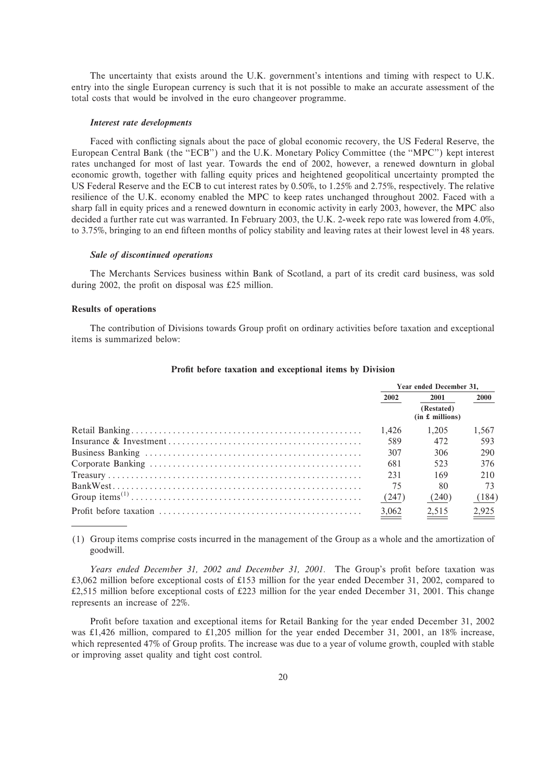The uncertainty that exists around the U.K. government's intentions and timing with respect to U.K. entry into the single European currency is such that it is not possible to make an accurate assessment of the total costs that would be involved in the euro changeover programme.

#### *Interest rate developments*

Faced with conflicting signals about the pace of global economic recovery, the US Federal Reserve, the European Central Bank (the "ECB") and the U.K. Monetary Policy Committee (the "MPC") kept interest rates unchanged for most of last year. Towards the end of 2002, however, a renewed downturn in global economic growth, together with falling equity prices and heightened geopolitical uncertainty prompted the US Federal Reserve and the ECB to cut interest rates by 0.50%, to 1.25% and 2.75%, respectively. The relative resilience of the U.K. economy enabled the MPC to keep rates unchanged throughout 2002. Faced with a sharp fall in equity prices and a renewed downturn in economic activity in early 2003, however, the MPC also decided a further rate cut was warranted. In February 2003, the U.K. 2-week repo rate was lowered from 4.0%, to 3.75%, bringing to an end fifteen months of policy stability and leaving rates at their lowest level in 48 years.

#### *Sale of discontinued operations*

The Merchants Services business within Bank of Scotland, a part of its credit card business, was sold during 2002, the profit on disposal was  $£25$  million.

#### **Results of operations**

The contribution of Divisions towards Group profit on ordinary activities before taxation and exceptional items is summarized below:

| Year ended December 31. |                               |                   |  |
|-------------------------|-------------------------------|-------------------|--|
| 2002                    | 2001                          | <b>2000</b>       |  |
|                         | (Restated)<br>(in £~millions) |                   |  |
| 1.426                   | 1.205                         | 1.567             |  |
| 589                     | 472                           | 593               |  |
| 307                     | 306                           | 290               |  |
| 681                     | 523                           | 376               |  |
| 231                     | 169                           | 210               |  |
| 75                      | 80                            | 73                |  |
| (247)                   | (240)                         | (184)             |  |
| $\frac{3,062}{2}$       | $\frac{2,515}{ }$             | $\frac{2,925}{2}$ |  |

### Profit before taxation and exceptional items by Division

(1) Group items comprise costs incurred in the management of the Group as a whole and the amortization of goodwill.

Years ended December 31, 2002 and December 31, 2001. The Group's profit before taxation was £3,062 million before exceptional costs of £153 million for the year ended December 31, 2002, compared to £2,515 million before exceptional costs of £223 million for the year ended December 31, 2001. This change represents an increase of 22%.

Profit before taxation and exceptional items for Retail Banking for the year ended December 31, 2002 was  $\text{\pounds}1,426$  million, compared to  $\text{\pounds}1,205$  million for the year ended December 31, 2001, an 18% increase, which represented 47% of Group profits. The increase was due to a year of volume growth, coupled with stable or improving asset quality and tight cost control.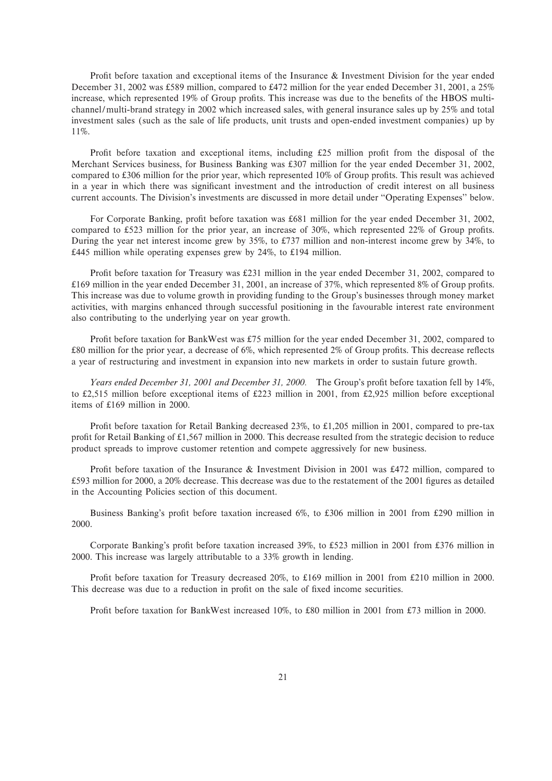Profit before taxation and exceptional items of the Insurance  $\&$  Investment Division for the year ended December 31, 2002 was 589 million, compared to 472 million for the year ended December 31, 2001, a 25% increase, which represented 19% of Group profits. This increase was due to the benefits of the HBOS multichannel/multi-brand strategy in 2002 which increased sales, with general insurance sales up by 25% and total investment sales (such as the sale of life products, unit trusts and open-ended investment companies) up by 11%.

Profit before taxation and exceptional items, including  $£25$  million profit from the disposal of the Merchant Services business, for Business Banking was £307 million for the year ended December 31, 2002, compared to  $\pounds 306$  million for the prior year, which represented 10% of Group profits. This result was achieved in a year in which there was significant investment and the introduction of credit interest on all business current accounts. The Division's investments are discussed in more detail under "Operating Expenses" below.

For Corporate Banking, profit before taxation was £681 million for the year ended December 31, 2002, compared to £523 million for the prior year, an increase of 30%, which represented 22% of Group profits. During the year net interest income grew by 35%, to £737 million and non-interest income grew by 34%, to  $£445$  million while operating expenses grew by 24%, to £194 million.

Profit before taxation for Treasury was £231 million in the year ended December 31, 2002, compared to  $£169$  million in the year ended December 31, 2001, an increase of 37%, which represented 8% of Group profits. This increase was due to volume growth in providing funding to the Group's businesses through money market activities, with margins enhanced through successful positioning in the favourable interest rate environment also contributing to the underlying year on year growth.

Profit before taxation for BankWest was £75 million for the year ended December 31, 2002, compared to £80 million for the prior year, a decrease of 6%, which represented 2% of Group profits. This decrease reflects a year of restructuring and investment in expansion into new markets in order to sustain future growth.

*Years ended December 31, 2001 and December 31, 2000.* The Group's profit before taxation fell by 14%, to £2,515 million before exceptional items of £223 million in 2001, from £2,925 million before exceptional items of  $£169$  million in 2000.

Profit before taxation for Retail Banking decreased  $23\%$ , to £1,205 million in 2001, compared to pre-tax profit for Retail Banking of £1,567 million in 2000. This decrease resulted from the strategic decision to reduce product spreads to improve customer retention and compete aggressively for new business.

Profit before taxation of the Insurance & Investment Division in 2001 was £472 million, compared to £593 million for 2000, a 20% decrease. This decrease was due to the restatement of the 2001 figures as detailed in the Accounting Policies section of this document.

Business Banking's profit before taxation increased 6%, to £306 million in 2001 from £290 million in 2000.

Corporate Banking's profit before taxation increased 39%, to £523 million in 2001 from  $\text{\textsterling}376$  million in 2000. This increase was largely attributable to a 33% growth in lending.

Profit before taxation for Treasury decreased 20%, to £169 million in 2001 from £210 million in 2000. This decrease was due to a reduction in profit on the sale of fixed income securities.

Profit before taxation for BankWest increased 10%, to £80 million in 2001 from £73 million in 2000.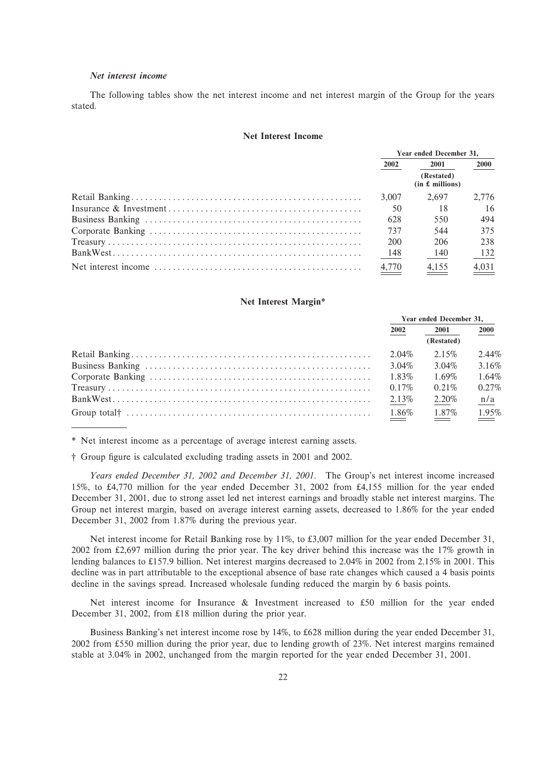# *Net interest income*

The following tables show the net interest income and net interest margin of the Group for the years stated.

#### **Net Interest Income**

| Year ended December 31, |                               |             |
|-------------------------|-------------------------------|-------------|
| 2002                    | 2001                          | <b>2000</b> |
|                         | (Restated)<br>(in £~millions) |             |
| 3.007                   | 2.697                         | 2.776       |
| -50                     | 18                            | 16          |
| 628                     | 550                           | 494         |
| 737                     | 544                           | 375         |
| 200                     | 206                           | 238         |
| 148                     | 140                           | 132         |
| 4.770                   | 4.155                         | 4.031       |

#### **Net Interest Margin\***

| Year ended December 31, |            |                                     |
|-------------------------|------------|-------------------------------------|
| 2002                    | 2001       | 2000                                |
|                         | (Restated) |                                     |
| 2.04%                   | $2.15\%$   | $2.44\%$                            |
| 3.04%                   | 3.04%      | 3.16%                               |
| 1.83%                   | 1.69%      | 1.64%                               |
| $0.17\%$                | $0.21\%$   | 0.27%                               |
| 2.13%                   | 2.20%      | n/a                                 |
| 1.86%                   | 1.87%      | 1.95%<br>$\equiv$ $\equiv$ $\equiv$ |

\* Net interest income as a percentage of average interest earning assets.

† Group figure is calculated excluding trading assets in 2001 and 2002.

*Years ended December 31, 2002 and December 31, 2001.* The Group's net interest income increased 15%, to 4,770 million for the year ended December 31, 2002 from 4,155 million for the year ended December 31, 2001, due to strong asset led net interest earnings and broadly stable net interest margins. The Group net interest margin, based on average interest earning assets, decreased to 1.86% for the year ended December 31, 2002 from 1.87% during the previous year.

Net interest income for Retail Banking rose by 11%, to £3,007 million for the year ended December 31, 2002 from 2,697 million during the prior year. The key driver behind this increase was the 17% growth in lending balances to £157.9 billion. Net interest margins decreased to 2.04% in 2002 from 2.15% in 2001. This decline was in part attributable to the exceptional absence of base rate changes which caused a 4 basis points decline in the savings spread. Increased wholesale funding reduced the margin by 6 basis points.

Net interest income for Insurance & Investment increased to £50 million for the year ended December 31, 2002, from £18 million during the prior year.

Business Banking's net interest income rose by 14%, to £628 million during the year ended December 31, 2002 from 550 million during the prior year, due to lending growth of 23%. Net interest margins remained stable at 3.04% in 2002, unchanged from the margin reported for the year ended December 31, 2001.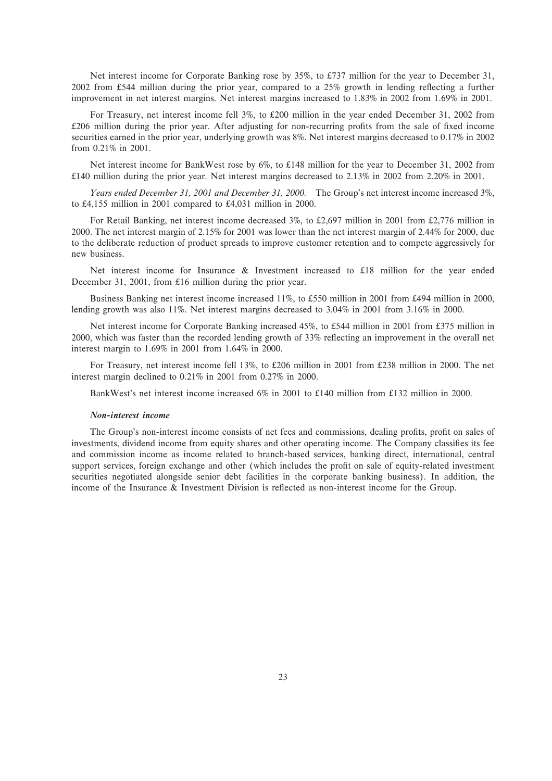Net interest income for Corporate Banking rose by 35%, to £737 million for the year to December 31, 2002 from £544 million during the prior year, compared to a 25% growth in lending reflecting a further improvement in net interest margins. Net interest margins increased to 1.83% in 2002 from 1.69% in 2001.

For Treasury, net interest income fell 3%, to 200 million in the year ended December 31, 2002 from £206 million during the prior year. After adjusting for non-recurring profits from the sale of fixed income securities earned in the prior year, underlying growth was 8%. Net interest margins decreased to 0.17% in 2002 from 0.21% in 2001.

Net interest income for BankWest rose by  $6\%$ , to £148 million for the year to December 31, 2002 from 140 million during the prior year. Net interest margins decreased to 2.13% in 2002 from 2.20% in 2001.

*Years ended December 31, 2001 and December 31, 2000.* The Group's net interest income increased 3%, to £4,155 million in 2001 compared to £4,031 million in 2000.

For Retail Banking, net interest income decreased  $3\%$ , to £2,697 million in 2001 from £2,776 million in 2000. The net interest margin of 2.15% for 2001 was lower than the net interest margin of 2.44% for 2000, due to the deliberate reduction of product spreads to improve customer retention and to compete aggressively for new business.

Net interest income for Insurance  $\&$  Investment increased to £18 million for the year ended December 31, 2001, from £16 million during the prior year.

Business Banking net interest income increased 11%, to 550 million in 2001 from 494 million in 2000, lending growth was also 11%. Net interest margins decreased to 3.04% in 2001 from 3.16% in 2000.

Net interest income for Corporate Banking increased 45%, to £544 million in 2001 from £375 million in 2000, which was faster than the recorded lending growth of 33% reflecting an improvement in the overall net interest margin to 1.69% in 2001 from 1.64% in 2000.

For Treasury, net interest income fell 13%, to £206 million in 2001 from £238 million in 2000. The net interest margin declined to 0.21% in 2001 from 0.27% in 2000.

BankWest's net interest income increased  $6\%$  in 2001 to £140 million from £132 million in 2000.

#### *Non-interest income*

The Group's non-interest income consists of net fees and commissions, dealing profits, profit on sales of investments, dividend income from equity shares and other operating income. The Company classifies its fee and commission income as income related to branch-based services, banking direct, international, central support services, foreign exchange and other (which includes the profit on sale of equity-related investment securities negotiated alongside senior debt facilities in the corporate banking business). In addition, the income of the Insurance & Investment Division is reflected as non-interest income for the Group.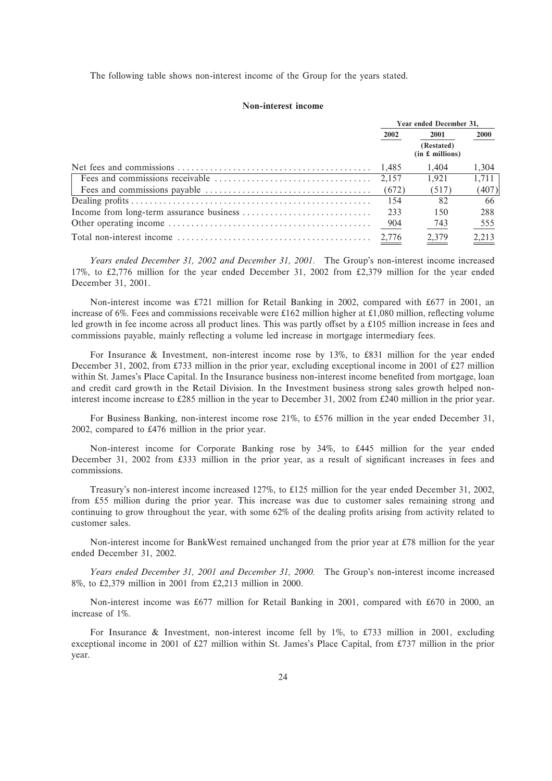The following table shows non-interest income of the Group for the years stated.

### **Non-interest income**

| Year ended December 31, |                               |               |
|-------------------------|-------------------------------|---------------|
| 2002                    | 2001                          |               |
|                         | (Restated)<br>(in £~millions) |               |
| 1.485                   | 1.404                         | 1.304         |
|                         | 1.921                         | 1.711         |
| (672)                   | (517)                         | (407)         |
| 154                     | 82                            | 66            |
| 233                     | 150                           | 288           |
| 904                     | 743                           | $rac{555}{2}$ |
|                         | 2,379                         | 2,213         |

*Years ended December 31, 2002 and December 31, 2001.* The Group's non-interest income increased 17%, to 2,776 million for the year ended December 31, 2002 from 2,379 million for the year ended December 31, 2001.

Non-interest income was £721 million for Retail Banking in 2002, compared with £677 in 2001, an increase of 6%. Fees and commissions receivable were  $£162$  million higher at  $£1,080$  million, reflecting volume led growth in fee income across all product lines. This was partly offset by a  $\pounds 105$  million increase in fees and commissions payable, mainly reflecting a volume led increase in mortgage intermediary fees.

For Insurance & Investment, non-interest income rose by  $13\%$ , to £831 million for the year ended December 31, 2002, from £733 million in the prior year, excluding exceptional income in 2001 of £27 million within St. James's Place Capital. In the Insurance business non-interest income benefited from mortgage, loan and credit card growth in the Retail Division. In the Investment business strong sales growth helped noninterest income increase to 285 million in the year to December 31, 2002 from 240 million in the prior year.

For Business Banking, non-interest income rose 21%, to £576 million in the year ended December 31, 2002, compared to £476 million in the prior year.

Non-interest income for Corporate Banking rose by 34%, to £445 million for the year ended December 31, 2002 from £333 million in the prior year, as a result of significant increases in fees and commissions.

Treasury's non-interest income increased 127%, to £125 million for the year ended December 31, 2002, from 55 million during the prior year. This increase was due to customer sales remaining strong and continuing to grow throughout the year, with some 62% of the dealing profits arising from activity related to customer sales.

Non-interest income for BankWest remained unchanged from the prior year at £78 million for the year ended December 31, 2002.

*Years ended December 31, 2001 and December 31, 2000.* The Group's non-interest income increased 8%, to £2,379 million in 2001 from £2,213 million in 2000.

Non-interest income was 677 million for Retail Banking in 2001, compared with 670 in 2000, an increase of 1%.

For Insurance & Investment, non-interest income fell by 1%, to £733 million in 2001, excluding exceptional income in 2001 of £27 million within St. James's Place Capital, from £737 million in the prior year.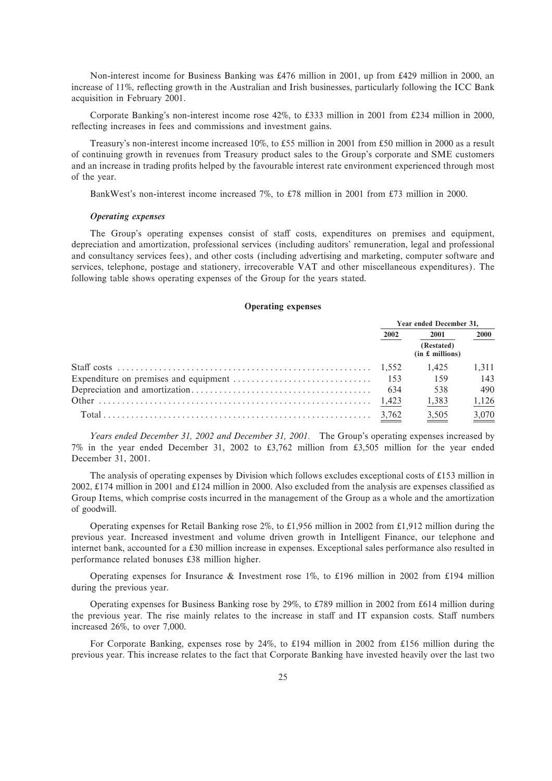Non-interest income for Business Banking was 476 million in 2001, up from 429 million in 2000, an increase of 11%, reflecting growth in the Australian and Irish businesses, particularly following the ICC Bank acquisition in February 2001.

Corporate Banking's non-interest income rose 42%, to £333 million in 2001 from £234 million in 2000, reflecting increases in fees and commissions and investment gains.

Treasury's non-interest income increased 10%, to 55 million in 2001 from 50 million in 2000 as a result of continuing growth in revenues from Treasury product sales to the Group's corporate and SME customers and an increase in trading profits helped by the favourable interest rate environment experienced through most of the year.

BankWest's non-interest income increased 7%, to £78 million in 2001 from £73 million in 2000.

### *Operating expenses*

The Group's operating expenses consist of staff costs, expenditures on premises and equipment, depreciation and amortization, professional services (including auditors' remuneration, legal and professional and consultancy services fees), and other costs (including advertising and marketing, computer software and services, telephone, postage and stationery, irrecoverable VAT and other miscellaneous expenditures). The following table shows operating expenses of the Group for the years stated.

### **Operating expenses**

| Year ended December 31, |                               |             |
|-------------------------|-------------------------------|-------------|
| 2002                    | 2001                          | <b>2000</b> |
|                         | (Restated)<br>(in £~millions) |             |
|                         | 1.425                         | 1.311       |
|                         | -159                          | 143         |
|                         | 538                           | 490         |
|                         | 1,383                         | 1,126       |
|                         | 3,505                         | 3,070       |

*Years ended December 31, 2002 and December 31, 2001.* The Group's operating expenses increased by 7% in the year ended December 31, 2002 to £3,762 million from £3,505 million for the year ended December 31, 2001.

The analysis of operating expenses by Division which follows excludes exceptional costs of £153 million in 2002, £174 million in 2001 and £124 million in 2000. Also excluded from the analysis are expenses classified as Group Items, which comprise costs incurred in the management of the Group as a whole and the amortization of goodwill.

Operating expenses for Retail Banking rose 2%, to £1,956 million in 2002 from £1,912 million during the previous year. Increased investment and volume driven growth in Intelligent Finance, our telephone and internet bank, accounted for a £30 million increase in expenses. Exceptional sales performance also resulted in performance related bonuses £38 million higher.

Operating expenses for Insurance & Investment rose 1%, to £196 million in 2002 from £194 million during the previous year.

Operating expenses for Business Banking rose by 29%, to £789 million in 2002 from £614 million during the previous year. The rise mainly relates to the increase in staff and IT expansion costs. Staff numbers increased 26%, to over 7,000.

For Corporate Banking, expenses rose by 24%, to £194 million in 2002 from £156 million during the previous year. This increase relates to the fact that Corporate Banking have invested heavily over the last two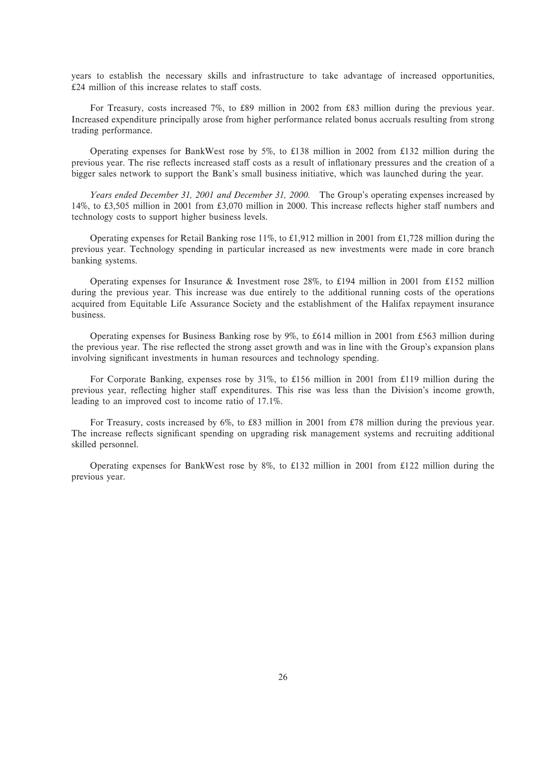years to establish the necessary skills and infrastructure to take advantage of increased opportunities,  $£24$  million of this increase relates to staff costs.

For Treasury, costs increased 7%, to £89 million in 2002 from £83 million during the previous year. Increased expenditure principally arose from higher performance related bonus accruals resulting from strong trading performance.

Operating expenses for BankWest rose by 5%, to £138 million in 2002 from £132 million during the previous year. The rise reflects increased staff costs as a result of inflationary pressures and the creation of a bigger sales network to support the Bank's small business initiative, which was launched during the year.

*Years ended December 31, 2001 and December 31, 2000.* The Group's operating expenses increased by 14%, to £3,505 million in 2001 from £3,070 million in 2000. This increase reflects higher staff numbers and technology costs to support higher business levels.

Operating expenses for Retail Banking rose 11%, to £1,912 million in 2001 from £1,728 million during the previous year. Technology spending in particular increased as new investments were made in core branch banking systems.

Operating expenses for Insurance & Investment rose 28%, to £194 million in 2001 from £152 million during the previous year. This increase was due entirely to the additional running costs of the operations acquired from Equitable Life Assurance Society and the establishment of the Halifax repayment insurance business.

Operating expenses for Business Banking rose by 9%, to 614 million in 2001 from 563 million during the previous year. The rise reflected the strong asset growth and was in line with the Group's expansion plans involving significant investments in human resources and technology spending.

For Corporate Banking, expenses rose by 31%, to £156 million in 2001 from £119 million during the previous year, reflecting higher staff expenditures. This rise was less than the Division's income growth, leading to an improved cost to income ratio of 17.1%.

For Treasury, costs increased by 6%, to £83 million in 2001 from £78 million during the previous year. The increase reflects significant spending on upgrading risk management systems and recruiting additional skilled personnel.

Operating expenses for BankWest rose by 8%, to £132 million in 2001 from £122 million during the previous year.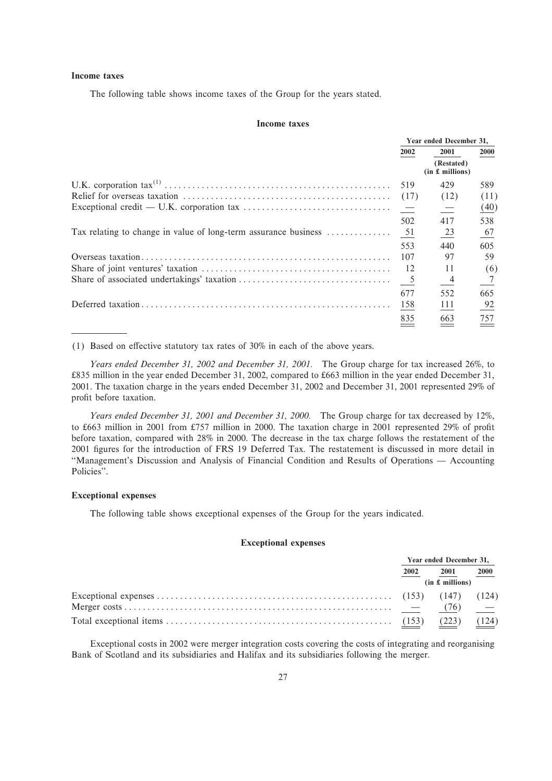# **Income taxes**

The following table shows income taxes of the Group for the years stated.

#### **Income taxes**

| Year ended December 31. |                               |                  |
|-------------------------|-------------------------------|------------------|
| 2002                    | 2001                          | <b>2000</b>      |
|                         | (Restated)<br>(in £~millions) |                  |
| 519                     | 429                           | 589              |
| (17)                    | (12)                          | (11)             |
|                         | 二                             | (40)             |
| 502                     | 417                           | 538              |
|                         | $\frac{23}{2}$                | $\underline{67}$ |
| 553                     | 440                           | 605              |
| 107                     | 97                            | 59               |
| -12                     | 11                            | (6)              |
| $5\overline{)}$         | $\frac{4}{1}$                 | $\overline{7}$   |
| 677                     | 552                           | 665              |
| 158                     | 111                           | 92               |
| 835                     | 663                           | 757              |

(1) Based on effective statutory tax rates of  $30\%$  in each of the above years.

*Years ended December 31, 2002 and December 31, 2001.* The Group charge for tax increased 26%, to 835 million in the year ended December 31, 2002, compared to 663 million in the year ended December 31, 2001. The taxation charge in the years ended December 31, 2002 and December 31, 2001 represented 29% of profit before taxation.

*Years ended December 31, 2001 and December 31, 2000.* The Group charge for tax decreased by 12%, to £663 million in 2001 from £757 million in 2000. The taxation charge in 2001 represented 29% of profit before taxation, compared with 28% in 2000. The decrease in the tax charge follows the restatement of the 2001 Ñgures for the introduction of FRS 19 Deferred Tax. The restatement is discussed in more detail in "Management's Discussion and Analysis of Financial Condition and Results of Operations — Accounting Policies''.

### **Exceptional expenses**

The following table shows exceptional expenses of the Group for the years indicated.

### **Exceptional expenses**

| Year ended December 31, |       |                   |
|-------------------------|-------|-------------------|
| 2002                    | 2001  | 2000              |
| (in £~millions)         |       |                   |
|                         |       |                   |
|                         |       | $\equiv$ $\equiv$ |
|                         | (223) | (124)             |

Exceptional costs in 2002 were merger integration costs covering the costs of integrating and reorganising Bank of Scotland and its subsidiaries and Halifax and its subsidiaries following the merger.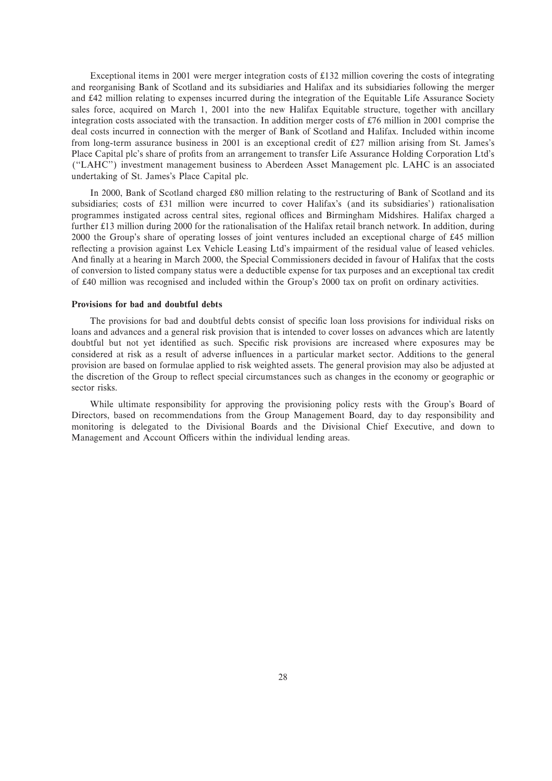Exceptional items in 2001 were merger integration costs of 132 million covering the costs of integrating and reorganising Bank of Scotland and its subsidiaries and Halifax and its subsidiaries following the merger and 42 million relating to expenses incurred during the integration of the Equitable Life Assurance Society sales force, acquired on March 1, 2001 into the new Halifax Equitable structure, together with ancillary integration costs associated with the transaction. In addition merger costs of  $£76$  million in 2001 comprise the deal costs incurred in connection with the merger of Bank of Scotland and Halifax. Included within income from long-term assurance business in 2001 is an exceptional credit of 27 million arising from St. James's Place Capital plc's share of profits from an arrangement to transfer Life Assurance Holding Corporation Ltd's (""LAHC'') investment management business to Aberdeen Asset Management plc. LAHC is an associated undertaking of St. James's Place Capital plc.

In 2000, Bank of Scotland charged 80 million relating to the restructuring of Bank of Scotland and its subsidiaries; costs of £31 million were incurred to cover Halifax's (and its subsidiaries') rationalisation programmes instigated across central sites, regional offices and Birmingham Midshires. Halifax charged a further £13 million during 2000 for the rationalisation of the Halifax retail branch network. In addition, during 2000 the Group's share of operating losses of joint ventures included an exceptional charge of 45 million reflecting a provision against Lex Vehicle Leasing Ltd's impairment of the residual value of leased vehicles. And finally at a hearing in March 2000, the Special Commissioners decided in favour of Halifax that the costs of conversion to listed company status were a deductible expense for tax purposes and an exceptional tax credit of £40 million was recognised and included within the Group's 2000 tax on profit on ordinary activities.

#### **Provisions for bad and doubtful debts**

The provisions for bad and doubtful debts consist of specific loan loss provisions for individual risks on loans and advances and a general risk provision that is intended to cover losses on advances which are latently doubtful but not yet identified as such. Specific risk provisions are increased where exposures may be considered at risk as a result of adverse influences in a particular market sector. Additions to the general provision are based on formulae applied to risk weighted assets. The general provision may also be adjusted at the discretion of the Group to reflect special circumstances such as changes in the economy or geographic or sector risks.

While ultimate responsibility for approving the provisioning policy rests with the Group's Board of Directors, based on recommendations from the Group Management Board, day to day responsibility and monitoring is delegated to the Divisional Boards and the Divisional Chief Executive, and down to Management and Account Officers within the individual lending areas.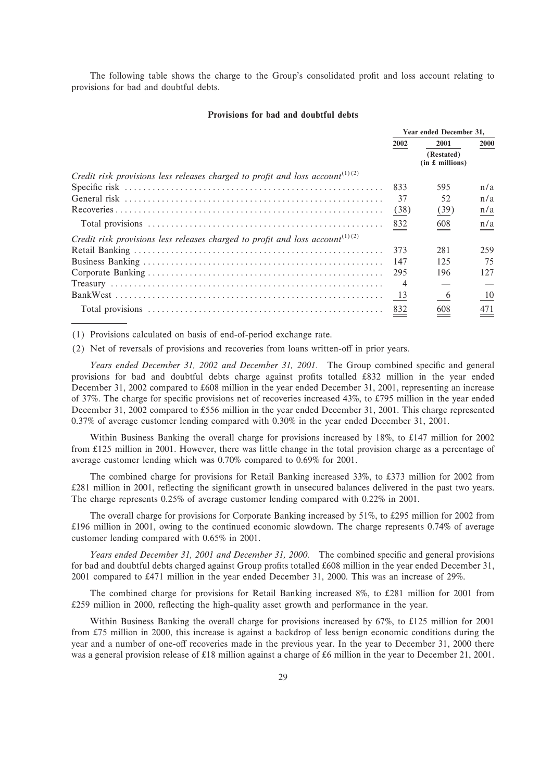The following table shows the charge to the Group's consolidated profit and loss account relating to provisions for bad and doubtful debts.

#### **Provisions for bad and doubtful debts**

|                                                                                           | Year ended December 31, |                               |                                           |
|-------------------------------------------------------------------------------------------|-------------------------|-------------------------------|-------------------------------------------|
|                                                                                           | 2002                    | 2001                          | 2000                                      |
|                                                                                           |                         | (Restated)<br>(in £~millions) |                                           |
| Credit risk provisions less releases charged to profit and loss account <sup>(1)(2)</sup> |                         |                               |                                           |
|                                                                                           | 833                     | 595                           | n/a                                       |
|                                                                                           | 37                      | 52                            | n/a                                       |
|                                                                                           | (38)                    | (39)                          | n/a                                       |
|                                                                                           | 832                     | 608                           | $\underline{\underline{n}/\underline{a}}$ |
| Credit risk provisions less releases charged to profit and loss account <sup>(1)(2)</sup> |                         |                               |                                           |
|                                                                                           | 373                     | 281                           | 259                                       |
|                                                                                           | 147                     | 125                           | 75                                        |
|                                                                                           | 295                     | 196                           | 127                                       |
|                                                                                           | $\overline{4}$          |                               |                                           |
|                                                                                           | 13                      | 6                             | 10                                        |
|                                                                                           | 832                     | 608                           | 471                                       |

(1) Provisions calculated on basis of end-of-period exchange rate.

(2) Net of reversals of provisions and recoveries from loans written-off in prior years.

*Years ended December 31, 2002 and December 31, 2001.* The Group combined specific and general provisions for bad and doubtful debts charge against profits totalled £832 million in the year ended December 31, 2002 compared to 608 million in the year ended December 31, 2001, representing an increase of 37%. The charge for specific provisions net of recoveries increased 43%, to £795 million in the year ended December 31, 2002 compared to 556 million in the year ended December 31, 2001. This charge represented 0.37% of average customer lending compared with 0.30% in the year ended December 31, 2001.

Within Business Banking the overall charge for provisions increased by 18%, to £147 million for 2002 from  $£125$  million in 2001. However, there was little change in the total provision charge as a percentage of average customer lending which was 0.70% compared to 0.69% for 2001.

The combined charge for provisions for Retail Banking increased 33%, to £373 million for 2002 from  $£281$  million in 2001, reflecting the significant growth in unsecured balances delivered in the past two years. The charge represents 0.25% of average customer lending compared with 0.22% in 2001.

The overall charge for provisions for Corporate Banking increased by  $51\%$ , to £295 million for 2002 from 196 million in 2001, owing to the continued economic slowdown. The charge represents 0.74% of average customer lending compared with 0.65% in 2001.

*Years ended December 31, 2001 and December 31, 2000.* The combined specific and general provisions for bad and doubtful debts charged against Group profits totalled £608 million in the year ended December 31, 2001 compared to 471 million in the year ended December 31, 2000. This was an increase of 29%.

The combined charge for provisions for Retail Banking increased 8%, to £281 million for 2001 from £259 million in 2000, reflecting the high-quality asset growth and performance in the year.

Within Business Banking the overall charge for provisions increased by  $67\%$ , to £125 million for 2001 from £75 million in 2000, this increase is against a backdrop of less benign economic conditions during the year and a number of one-off recoveries made in the previous year. In the year to December 31, 2000 there was a general provision release of £18 million against a charge of £6 million in the year to December 21, 2001.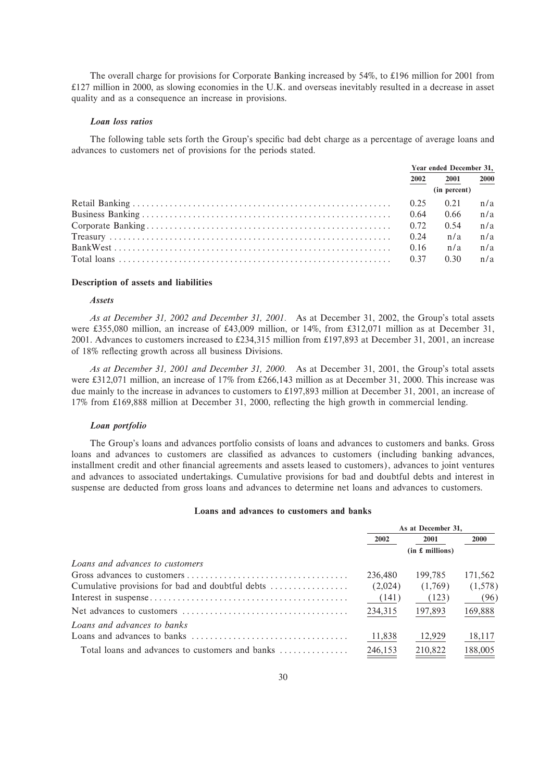The overall charge for provisions for Corporate Banking increased by  $54\%$ , to £196 million for 2001 from 127 million in 2000, as slowing economies in the U.K. and overseas inevitably resulted in a decrease in asset quality and as a consequence an increase in provisions.

#### *Loan loss ratios*

The following table sets forth the Group's specific bad debt charge as a percentage of average loans and advances to customers net of provisions for the periods stated.

| Year ended December 31, |               |             |
|-------------------------|---------------|-------------|
| 2002                    | 2001          | <b>2000</b> |
|                         | (in percent)  |             |
|                         | $0.25$ $0.21$ | n/a         |
|                         | 0.66          | n/a         |
|                         | 0.54          | n/a         |
| 0.24                    | n/a           | n/a         |
| 0.16                    | n/a           | n/a         |
|                         | 0.30          | n/a         |

#### **Description of assets and liabilities**

## *Assets*

*As at December 31, 2002 and December 31, 2001.* As at December 31, 2002, the Group's total assets were £355,080 million, an increase of £43,009 million, or 14%, from £312,071 million as at December 31, 2001. Advances to customers increased to 234,315 million from 197,893 at December 31, 2001, an increase of 18% reflecting growth across all business Divisions.

*As at December 31, 2001 and December 31, 2000.* As at December 31, 2001, the Group's total assets were £312,071 million, an increase of 17% from £266,143 million as at December 31, 2000. This increase was due mainly to the increase in advances to customers to £197,893 million at December 31, 2001, an increase of 17% from £169,888 million at December 31, 2000, reflecting the high growth in commercial lending.

#### *Loan portfolio*

The Group's loans and advances portfolio consists of loans and advances to customers and banks. Gross loans and advances to customers are classified as advances to customers (including banking advances, installment credit and other financial agreements and assets leased to customers), advances to joint ventures and advances to associated undertakings. Cumulative provisions for bad and doubtful debts and interest in suspense are deducted from gross loans and advances to determine net loans and advances to customers.

#### **Loans and advances to customers and banks**

|                                                                                                 | As at December 31. |         |             |  |
|-------------------------------------------------------------------------------------------------|--------------------|---------|-------------|--|
|                                                                                                 | 2002               | 2001    | <b>2000</b> |  |
|                                                                                                 | (in £~millions)    |         |             |  |
| Loans and advances to customers                                                                 |                    |         |             |  |
|                                                                                                 | 236,480            | 199.785 | 171,562     |  |
| Cumulative provisions for bad and doubtful debts                                                | (2,024)            | (1,769) | (1,578)     |  |
|                                                                                                 | (141)              | (123)   | (96)        |  |
|                                                                                                 | 234,315            | 197,893 | 169,888     |  |
| Loans and advances to banks                                                                     |                    |         |             |  |
| Loans and advances to banks $\dots \dots \dots \dots \dots \dots \dots \dots \dots \dots \dots$ | 11,838             | 12,929  | 18,117      |  |
| Total loans and advances to customers and banks                                                 | 246,153            | 210,822 | 188,005     |  |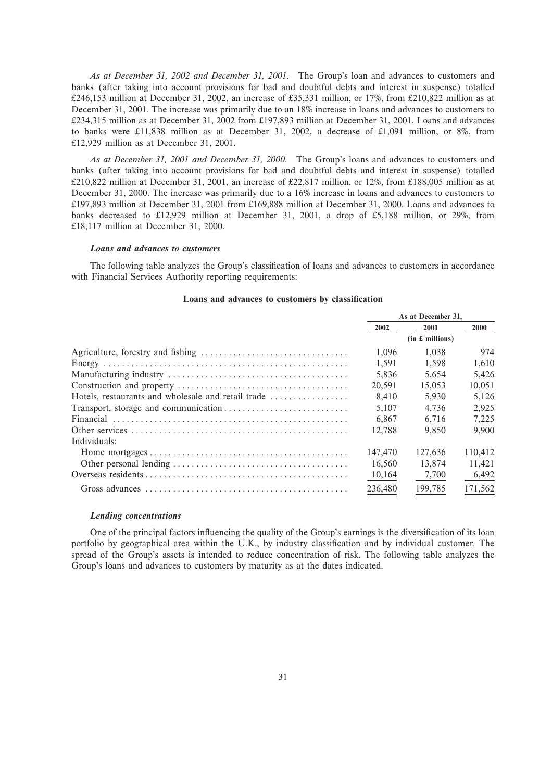*As at December 31, 2002 and December 31, 2001.* The Group's loan and advances to customers and banks (after taking into account provisions for bad and doubtful debts and interest in suspense) totalled  $\text{\pounds}246,153$  million at December 31, 2002, an increase of  $\text{\pounds}35,331$  million, or 17%, from  $\text{\pounds}210,822$  million as at December 31, 2001. The increase was primarily due to an 18% increase in loans and advances to customers to 234,315 million as at December 31, 2002 from 197,893 million at December 31, 2001. Loans and advances to banks were  $£11,838$  million as at December 31, 2002, a decrease of £1,091 million, or 8%, from 12,929 million as at December 31, 2001.

*As at December 31, 2001 and December 31, 2000.* The Group's loans and advances to customers and banks (after taking into account provisions for bad and doubtful debts and interest in suspense) totalled  $\text{\pounds}210,822$  million at December 31, 2001, an increase of  $\text{\pounds}22,817$  million, or 12%, from  $\text{\pounds}188,005$  million as at December 31, 2000. The increase was primarily due to a 16% increase in loans and advances to customers to 197,893 million at December 31, 2001 from 169,888 million at December 31, 2000. Loans and advances to banks decreased to £12,929 million at December 31, 2001, a drop of £5,188 million, or 29%, from 18,117 million at December 31, 2000.

#### *Loans and advances to customers*

The following table analyzes the Group's classification of loans and advances to customers in accordance with Financial Services Authority reporting requirements:

|                                                    | As at December 31, |                 |             |
|----------------------------------------------------|--------------------|-----------------|-------------|
|                                                    | 2002               | 2001            | <b>2000</b> |
|                                                    |                    | (in £~millions) |             |
|                                                    | 1.096              | 1.038           | 974         |
|                                                    | 1.591              | 1.598           | 1.610       |
|                                                    | 5.836              | 5.654           | 5.426       |
|                                                    | 20.591             | 15.053          | 10,051      |
| Hotels, restaurants and wholesale and retail trade | 8.410              | 5.930           | 5,126       |
|                                                    | 5.107              | 4.736           | 2,925       |
|                                                    | 6.867              | 6.716           | 7,225       |
|                                                    | 12.788             | 9.850           | 9.900       |
| Individuals:                                       |                    |                 |             |
|                                                    | 147,470            | 127.636         | 110.412     |
|                                                    | 16.560             | 13.874          | 11,421      |
|                                                    | 10,164             | 7,700           | 6,492       |
|                                                    | 236,480            | 199,785         | 171,562     |

# Loans and advances to customers by classification

#### *Lending concentrations*

One of the principal factors influencing the quality of the Group's earnings is the diversification of its loan portfolio by geographical area within the U.K., by industry classification and by individual customer. The spread of the Group's assets is intended to reduce concentration of risk. The following table analyzes the Group's loans and advances to customers by maturity as at the dates indicated.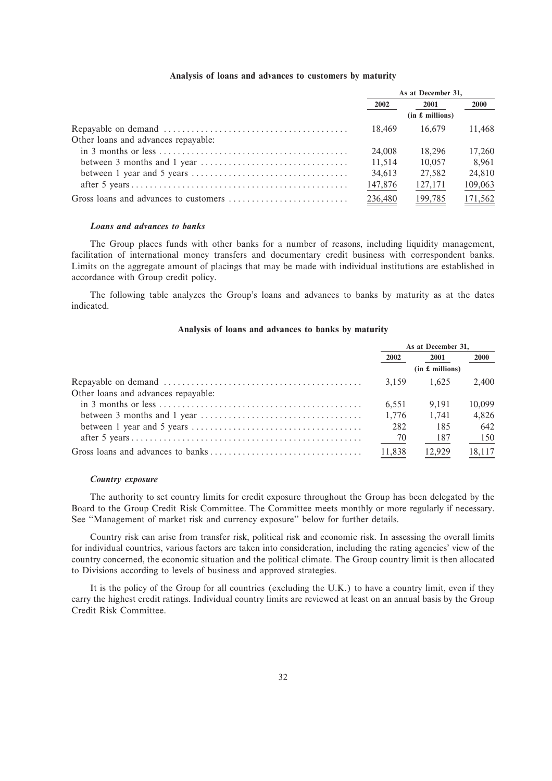## **Analysis of loans and advances to customers by maturity**

|                                     | As at December 31. |                 |         |  |
|-------------------------------------|--------------------|-----------------|---------|--|
|                                     | 2002               | 2001            | 2000    |  |
|                                     |                    | (in £~millions) |         |  |
|                                     | 18.469             | 16.679          | 11.468  |  |
| Other loans and advances repayable: |                    |                 |         |  |
|                                     | 24,008             | 18.296          | 17.260  |  |
|                                     | 11.514             | 10.057          | 8.961   |  |
|                                     | 34,613             | 27.582          | 24,810  |  |
|                                     | 147,876            | 127,171         | 109,063 |  |
|                                     | 236,480            | 199,785         | 171,562 |  |

#### *Loans and advances to banks*

The Group places funds with other banks for a number of reasons, including liquidity management, facilitation of international money transfers and documentary credit business with correspondent banks. Limits on the aggregate amount of placings that may be made with individual institutions are established in accordance with Group credit policy.

The following table analyzes the Group's loans and advances to banks by maturity as at the dates indicated.

# **Analysis of loans and advances to banks by maturity**

|                                                                                                 | As at December 31, |                 |             |
|-------------------------------------------------------------------------------------------------|--------------------|-----------------|-------------|
|                                                                                                 | 2002               | 2001            | <b>2000</b> |
|                                                                                                 |                    | (in £~millions) |             |
|                                                                                                 | 3.159              | 1.625           | 2.400       |
| Other loans and advances repayable:                                                             |                    |                 |             |
|                                                                                                 | 6.551              | 9.191           | 10.099      |
| between 3 months and 1 year $\dots \dots \dots \dots \dots \dots \dots \dots \dots \dots \dots$ | 1.776              | 1.741           | 4.826       |
|                                                                                                 | 282                | 185             | 642         |
|                                                                                                 | $-$ <sup>70</sup>  | - 187           | 150         |
|                                                                                                 | 11.838             | 12.929          | 18,117      |

#### *Country exposure*

The authority to set country limits for credit exposure throughout the Group has been delegated by the Board to the Group Credit Risk Committee. The Committee meets monthly or more regularly if necessary. See "Management of market risk and currency exposure" below for further details.

Country risk can arise from transfer risk, political risk and economic risk. In assessing the overall limits for individual countries, various factors are taken into consideration, including the rating agencies' view of the country concerned, the economic situation and the political climate. The Group country limit is then allocated to Divisions according to levels of business and approved strategies.

It is the policy of the Group for all countries (excluding the U.K.) to have a country limit, even if they carry the highest credit ratings. Individual country limits are reviewed at least on an annual basis by the Group Credit Risk Committee.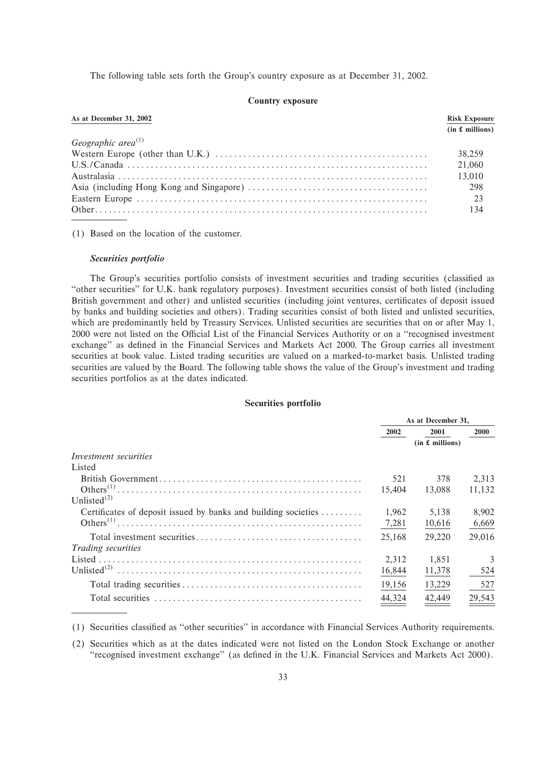The following table sets forth the Group's country exposure as at December 31, 2002.

#### **Country exposure**

| As at December 31, 2002                                                                                                | <b>Risk Exposure</b> |
|------------------------------------------------------------------------------------------------------------------------|----------------------|
|                                                                                                                        | (in £ millions)      |
| Geographic area <sup>(1)</sup>                                                                                         |                      |
| Western Europe (other than U.K.) $\dots \dots \dots \dots \dots \dots \dots \dots \dots \dots \dots \dots \dots \dots$ | 38.259               |
|                                                                                                                        | 21,060               |
|                                                                                                                        | 13,010               |
|                                                                                                                        | 298                  |
|                                                                                                                        | 23                   |
|                                                                                                                        | 134                  |

(1) Based on the location of the customer.

# *Securities portfolio*

The Group's securities portfolio consists of investment securities and trading securities (classified as ""other securities'' for U.K. bank regulatory purposes). Investment securities consist of both listed (including British government and other) and unlisted securities (including joint ventures, certificates of deposit issued by banks and building societies and others). Trading securities consist of both listed and unlisted securities, which are predominantly held by Treasury Services. Unlisted securities are securities that on or after May 1, 2000 were not listed on the Official List of the Financial Services Authority or on a "recognised investment exchange" as defined in the Financial Services and Markets Act 2000. The Group carries all investment securities at book value. Listed trading securities are valued on a marked-to-market basis. Unlisted trading securities are valued by the Board. The following table shows the value of the Group's investment and trading securities portfolios as at the dates indicated.

# **Securities portfolio**

|                                                                | As at December 31. |                 |             |
|----------------------------------------------------------------|--------------------|-----------------|-------------|
|                                                                | 2002               | 2001            | <b>2000</b> |
|                                                                |                    | (in £~millions) |             |
| Investment securities                                          |                    |                 |             |
| Listed                                                         |                    |                 |             |
|                                                                | 521                | 378             | 2.313       |
|                                                                | 15,404             | 13,088          | 11,132      |
| Unlisted $^{(2)}$                                              |                    |                 |             |
| Certificates of deposit issued by banks and building societies | 1,962              | 5.138           | 8.902       |
|                                                                | 7,281              | 10,616          | 6,669       |
|                                                                | 25,168             | 29,220          | 29,016      |
| <i>Trading securities</i>                                      |                    |                 |             |
|                                                                | 2.312              | 1.851           | 3           |
| Unlisted $^{(2)}$                                              | 16,844             | 11,378          | 524         |
|                                                                | 19,156             | 13,229          | 527         |
|                                                                | 44,324             | 42,449          | 29,543      |

(1) Securities classified as "other securities" in accordance with Financial Services Authority requirements.

(2) Securities which as at the dates indicated were not listed on the London Stock Exchange or another ""recognised investment exchange'' (as deÑned in the U.K. Financial Services and Markets Act 2000).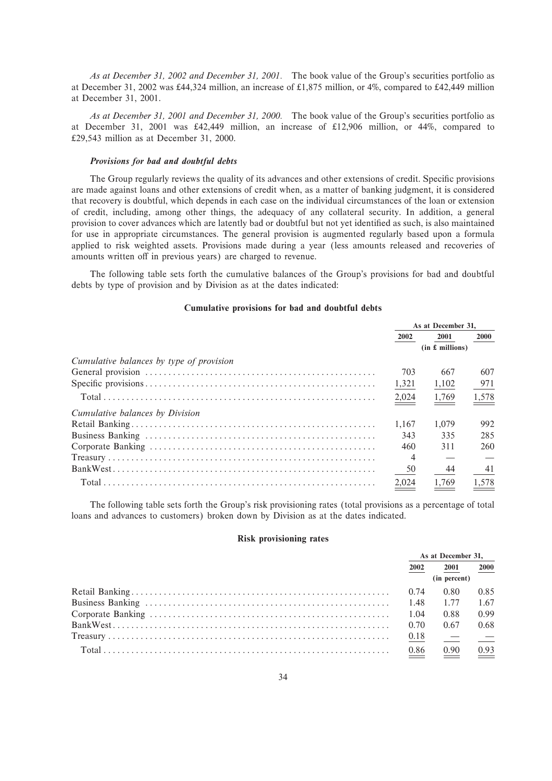*As at December 31, 2002 and December 31, 2001.* The book value of the Group's securities portfolio as at December 31, 2002 was £44,324 million, an increase of £1,875 million, or 4%, compared to £42,449 million at December 31, 2001.

*As at December 31, 2001 and December 31, 2000.* The book value of the Group's securities portfolio as at December 31, 2001 was  $\text{\textsterling}42,449$  million, an increase of  $\text{\textsterling}12,906$  million, or 44%, compared to 29,543 million as at December 31, 2000.

### *Provisions for bad and doubtful debts*

The Group regularly reviews the quality of its advances and other extensions of credit. Specific provisions are made against loans and other extensions of credit when, as a matter of banking judgment, it is considered that recovery is doubtful, which depends in each case on the individual circumstances of the loan or extension of credit, including, among other things, the adequacy of any collateral security. In addition, a general provision to cover advances which are latently bad or doubtful but not yet identified as such, is also maintained for use in appropriate circumstances. The general provision is augmented regularly based upon a formula applied to risk weighted assets. Provisions made during a year (less amounts released and recoveries of amounts written off in previous years) are charged to revenue.

The following table sets forth the cumulative balances of the Group's provisions for bad and doubtful debts by type of provision and by Division as at the dates indicated:

# **Cumulative provisions for bad and doubtful debts**

|                                                                                                                                                                                                                                                                                                                                                                                                                                                                                 | As at December 31. |                 |             |
|---------------------------------------------------------------------------------------------------------------------------------------------------------------------------------------------------------------------------------------------------------------------------------------------------------------------------------------------------------------------------------------------------------------------------------------------------------------------------------|--------------------|-----------------|-------------|
|                                                                                                                                                                                                                                                                                                                                                                                                                                                                                 | 2002               | 2001            | <b>2000</b> |
|                                                                                                                                                                                                                                                                                                                                                                                                                                                                                 |                    | (in £~millions) |             |
| Cumulative balances by type of provision                                                                                                                                                                                                                                                                                                                                                                                                                                        |                    |                 |             |
|                                                                                                                                                                                                                                                                                                                                                                                                                                                                                 | 703                | 667             | 607         |
|                                                                                                                                                                                                                                                                                                                                                                                                                                                                                 | 1,321              | 1,102           | 971         |
|                                                                                                                                                                                                                                                                                                                                                                                                                                                                                 | 2,024              | 1,769           | 1,578       |
| Cumulative balances by Division                                                                                                                                                                                                                                                                                                                                                                                                                                                 |                    |                 |             |
|                                                                                                                                                                                                                                                                                                                                                                                                                                                                                 | 1.167              | 1.079           | 992         |
|                                                                                                                                                                                                                                                                                                                                                                                                                                                                                 | 343                | 335             | 285         |
|                                                                                                                                                                                                                                                                                                                                                                                                                                                                                 | 460                | 311             | 260         |
| $\begin{minipage}[c]{0.9\linewidth} \textbf{ Treasury} \end{minipage}[c]{\label{eq:1} \begin{minipage}[c]{0.9\linewidth} \textbf{Tr} \textbf{e} \textbf{a} \textbf{S} \textbf{u} \textbf{y} \end{minipage}[c]{\label{eq:1} \begin{minipage}[c]{0.9\linewidth} \textbf{r} \end{minipage}[c]{\label{eq:1} \begin{minipage}[c]{0.9\linewidth} \textbf{r} \end{minipage}[c]{\label{eq:1} \begin{minipage}[c]{0.9\linewidth} \textbf{r} \end{minipage}[c]{\label{eq:1} \begin{minip$ | $\overline{4}$     |                 |             |
|                                                                                                                                                                                                                                                                                                                                                                                                                                                                                 | 50                 | 44              | 41          |
|                                                                                                                                                                                                                                                                                                                                                                                                                                                                                 | 2,024              | 1,769           | 1,578       |

The following table sets forth the Group's risk provisioning rates (total provisions as a percentage of total loans and advances to customers) broken down by Division as at the dates indicated.

#### **Risk provisioning rates**

| As at December 31, |              |               |
|--------------------|--------------|---------------|
| 2002               | 2001         | 2000          |
|                    | (in percent) |               |
| 0.74               | 0.80         | 0.85          |
|                    | 1.77         | 1.67          |
| 1.04               | 0.88         | 0.99          |
| 0.70               | 0.67         | 0.68          |
|                    | $\sim$ $-$   | $\frac{1}{2}$ |
| 0.86               | 0.90         | 0.93          |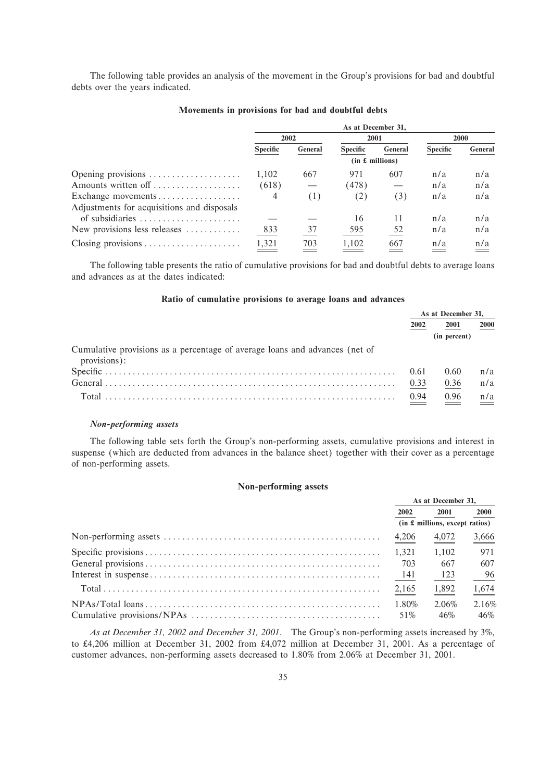The following table provides an analysis of the movement in the Group's provisions for bad and doubtful debts over the years indicated.

|                                            |                 |         | As at December 31. |                 |                 |         |
|--------------------------------------------|-----------------|---------|--------------------|-----------------|-----------------|---------|
|                                            |                 | 2002    | 2001               |                 |                 | 2000    |
|                                            | <b>Specific</b> | General | <b>Specific</b>    | General         | <b>Specific</b> | General |
|                                            |                 |         |                    | (in £~millions) |                 |         |
| Opening provisions                         | 1,102           | 667     | 971                | 607             | n/a             | n/a     |
| Amounts written off                        | (618)           |         | (478)              |                 | n/a             | n/a     |
| Exchange movements                         | 4               | (1)     | (2)                | (3)             | n/a             | n/a     |
| Adjustments for acquisitions and disposals |                 |         |                    |                 |                 |         |
| of subsidiaries                            |                 |         | 16                 | 11              | n/a             | n/a     |
| New provisions less releases               | 833             | 37      | 595                | 52              | n/a             | n/a     |
|                                            | 1,321           | 703     | 1,102              | 667             | n/a             | n/a     |

## **Movements in provisions for bad and doubtful debts**

The following table presents the ratio of cumulative provisions for bad and doubtful debts to average loans and advances as at the dates indicated:

# **Ratio of cumulative provisions to average loans and advances**

|                                                                                             | As at December 31. |              |      |
|---------------------------------------------------------------------------------------------|--------------------|--------------|------|
|                                                                                             | 2002               | 2001         | 2000 |
|                                                                                             |                    | (in percent) |      |
| Cumulative provisions as a percentage of average loans and advances (net of<br>provisions): |                    |              |      |
|                                                                                             | 0.61               | 0.60         | n/a  |
|                                                                                             | 0.33               | 0.36         | n/a  |
|                                                                                             | 0.94               | 0.96         | n/a  |

## *Non-performing assets*

The following table sets forth the Group's non-performing assets, cumulative provisions and interest in suspense (which are deducted from advances in the balance sheet) together with their cover as a percentage of non-performing assets.

#### **Non-performing assets**

| As at December 31, |                                  |                   |
|--------------------|----------------------------------|-------------------|
| 2002               | 2001                             | <b>2000</b>       |
|                    | $(in £$ millions, except ratios) |                   |
| 4,206              | 4,072                            | $\frac{3,666}{9}$ |
| 1.321              | 1,102                            | 971               |
| 703                | 667                              | 607               |
| 141                | - 123                            | 96                |
| $\frac{2,165}{ }$  | $\frac{1,892}{1}$                | $\frac{1,674}{ }$ |
| 1.80%              | 2.06%                            | 2.16%             |
| 51\%               | 46%                              | 46%               |

*As at December 31, 2002 and December 31, 2001.* The Group's non-performing assets increased by 3%, to 4,206 million at December 31, 2002 from 4,072 million at December 31, 2001. As a percentage of customer advances, non-performing assets decreased to 1.80% from 2.06% at December 31, 2001.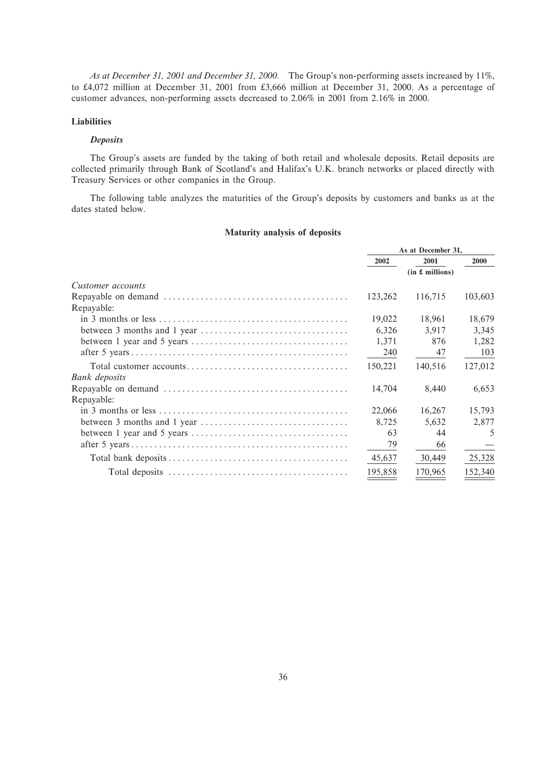*As at December 31, 2001 and December 31, 2000.* The Group's non-performing assets increased by 11%, to £4,072 million at December 31, 2001 from £3,666 million at December 31, 2000. As a percentage of customer advances, non-performing assets decreased to 2.06% in 2001 from 2.16% in 2000.

### **Liabilities**

### *Deposits*

The Group's assets are funded by the taking of both retail and wholesale deposits. Retail deposits are collected primarily through Bank of Scotland's and Halifax's U.K. branch networks or placed directly with Treasury Services or other companies in the Group.

The following table analyzes the maturities of the Group's deposits by customers and banks as at the dates stated below.

# **Maturity analysis of deposits**

|                                                                                                | As at December 31, |         |         |  |
|------------------------------------------------------------------------------------------------|--------------------|---------|---------|--|
|                                                                                                | 2002               | 2001    | 2000    |  |
|                                                                                                | (in £~millions)    |         |         |  |
| Customer accounts                                                                              |                    |         |         |  |
|                                                                                                | 123,262            | 116,715 | 103,603 |  |
| Repayable:                                                                                     |                    |         |         |  |
|                                                                                                | 19,022             | 18,961  | 18,679  |  |
|                                                                                                | 6,326              | 3,917   | 3,345   |  |
| between 1 year and 5 years $\dots \dots \dots \dots \dots \dots \dots \dots \dots \dots \dots$ | 1,371              | 876     | 1,282   |  |
|                                                                                                | 240                | 47      | 103     |  |
|                                                                                                | 150,221            | 140,516 | 127,012 |  |
| Bank deposits                                                                                  |                    |         |         |  |
|                                                                                                | 14,704             | 8,440   | 6,653   |  |
| Repayable:                                                                                     |                    |         |         |  |
|                                                                                                | 22,066             | 16,267  | 15,793  |  |
|                                                                                                | 8,725              | 5,632   | 2,877   |  |
|                                                                                                | 63                 | 44      | 5       |  |
|                                                                                                | 79                 | 66      |         |  |
|                                                                                                | 45,637             | 30,449  | 25,328  |  |
|                                                                                                | 195,858            | 170,965 | 152,340 |  |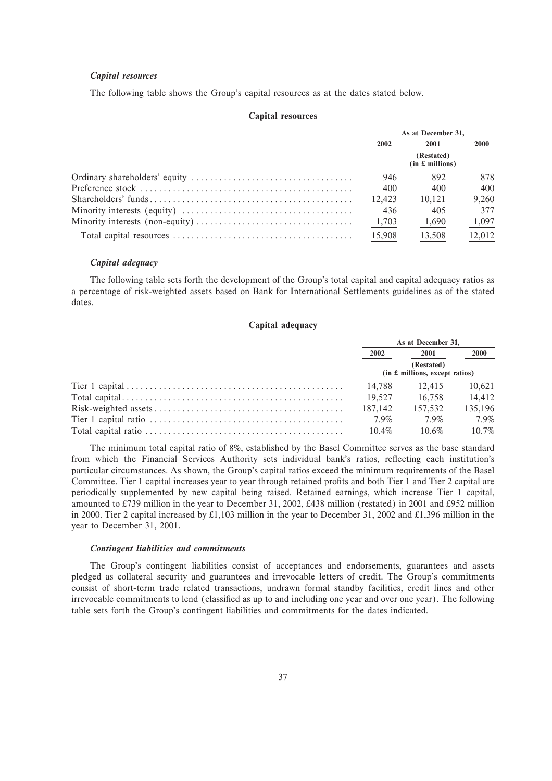# *Capital resources*

The following table shows the Group's capital resources as at the dates stated below.

### **Capital resources**

|                                                                                                           | As at December 31. |                               |             |  |
|-----------------------------------------------------------------------------------------------------------|--------------------|-------------------------------|-------------|--|
|                                                                                                           | 2002               | 2001                          | <b>2000</b> |  |
|                                                                                                           |                    | (Restated)<br>(in £~millions) |             |  |
|                                                                                                           | 946                | 892                           | 878         |  |
|                                                                                                           | 400                | 400                           | 400         |  |
| $Shareholders' funds \ldots \ldots \ldots \ldots \ldots \ldots \ldots \ldots \ldots \ldots \ldots \ldots$ | 12.423             | 10.121                        | 9.260       |  |
|                                                                                                           | 436                | 405                           | 377         |  |
|                                                                                                           | 1,703              | 1,690                         | 1,097       |  |
|                                                                                                           | 15,908             | 13.508                        | 12.012      |  |

#### *Capital adequacy*

The following table sets forth the development of the Group's total capital and capital adequacy ratios as a percentage of risk-weighted assets based on Bank for International Settlements guidelines as of the stated dates.

### **Capital adequacy**

| As at December 31.                             |          |          |  |
|------------------------------------------------|----------|----------|--|
| 2002                                           | 2001     | 2000     |  |
| (Restated)<br>$(in £$ millions, except ratios) |          |          |  |
| 14.788                                         | 12.415   | 10.621   |  |
| 19.527                                         | 16.758   | 14.412   |  |
| 187,142                                        | 157.532  | 135,196  |  |
| $7.9\%$                                        | $7.9\%$  | $7.9\%$  |  |
| $10.4\%$                                       | $10.6\%$ | $10.7\%$ |  |

The minimum total capital ratio of 8%, established by the Basel Committee serves as the base standard from which the Financial Services Authority sets individual bank's ratios, reflecting each institution's particular circumstances. As shown, the Group's capital ratios exceed the minimum requirements of the Basel Committee. Tier 1 capital increases year to year through retained profits and both Tier 1 and Tier 2 capital are periodically supplemented by new capital being raised. Retained earnings, which increase Tier 1 capital, amounted to £739 million in the year to December 31, 2002, £438 million (restated) in 2001 and £952 million in 2000. Tier 2 capital increased by £1,103 million in the year to December 31, 2002 and £1,396 million in the year to December 31, 2001.

#### *Contingent liabilities and commitments*

The Group's contingent liabilities consist of acceptances and endorsements, guarantees and assets pledged as collateral security and guarantees and irrevocable letters of credit. The Group's commitments consist of short-term trade related transactions, undrawn formal standby facilities, credit lines and other irrevocable commitments to lend (classified as up to and including one year and over one year). The following table sets forth the Group's contingent liabilities and commitments for the dates indicated.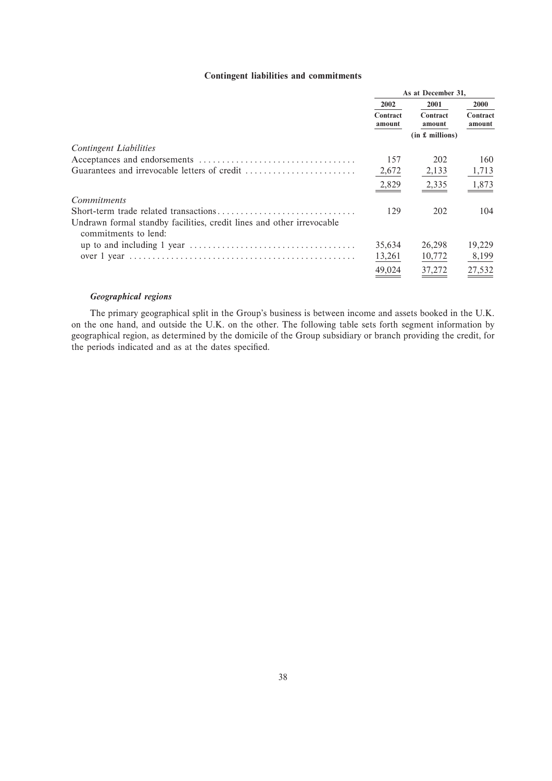# **Contingent liabilities and commitments**

|                                                                                               | As at December 31, |                    |                    |
|-----------------------------------------------------------------------------------------------|--------------------|--------------------|--------------------|
|                                                                                               | 2002               | 2001               |                    |
|                                                                                               | Contract<br>amount | Contract<br>amount | Contract<br>amount |
|                                                                                               |                    | (in £~millions)    |                    |
| <b>Contingent Liabilities</b>                                                                 |                    |                    |                    |
|                                                                                               | 157                | 202                | 160                |
|                                                                                               | 2,672              | 2,133              | 1,713              |
|                                                                                               | 2,829              | 2,335              | 1,873              |
| <i>Commitments</i>                                                                            |                    |                    |                    |
|                                                                                               | 129                | 202                | 104                |
| Undrawn formal standby facilities, credit lines and other irrevocable<br>commitments to lend: |                    |                    |                    |
|                                                                                               | 35,634             | 26,298             | 19,229             |
|                                                                                               | 13,261             | 10,772             | 8,199              |
|                                                                                               | 49.024             | 37,272             | 27,532             |

# *Geographical regions*

The primary geographical split in the Group's business is between income and assets booked in the U.K. on the one hand, and outside the U.K. on the other. The following table sets forth segment information by geographical region, as determined by the domicile of the Group subsidiary or branch providing the credit, for the periods indicated and as at the dates specified.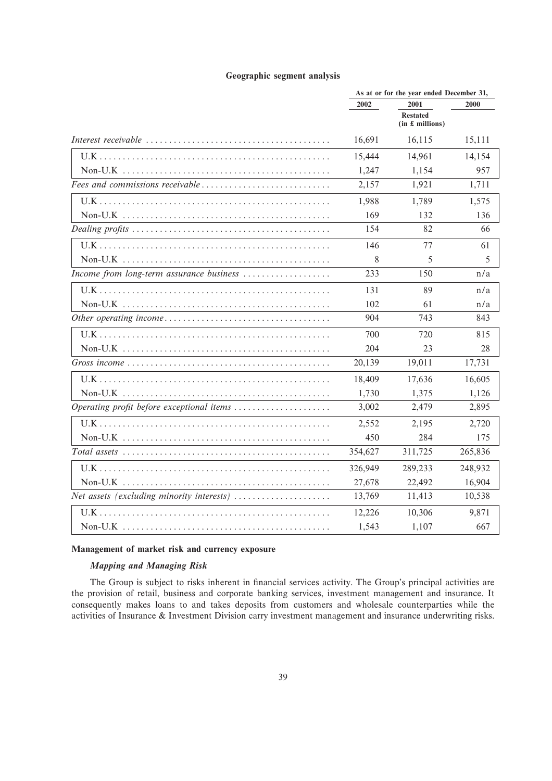# **Geographic segment analysis**

|                                           | As at or for the year ended December 31, |                                    |         |  |
|-------------------------------------------|------------------------------------------|------------------------------------|---------|--|
|                                           | 2002                                     | 2001                               | 2000    |  |
|                                           |                                          | <b>Restated</b><br>(in £~millions) |         |  |
|                                           | 16,691                                   | 16,115                             | 15,111  |  |
|                                           | 15,444                                   | 14,961                             | 14,154  |  |
|                                           | 1,247                                    | 1,154                              | 957     |  |
| Fees and commissions receivable           | 2,157                                    | 1,921                              | 1,711   |  |
|                                           | 1,988                                    | 1,789                              | 1,575   |  |
|                                           | 169                                      | 132                                | 136     |  |
|                                           | 154                                      | 82                                 | 66      |  |
|                                           | 146                                      | 77                                 | 61      |  |
|                                           | 8                                        | 5                                  | 5       |  |
| Income from long-term assurance business  | 233                                      | 150                                | n/a     |  |
|                                           | 131                                      | 89                                 | n/a     |  |
|                                           | 102                                      | 61                                 | n/a     |  |
|                                           | 904                                      | 743                                | 843     |  |
|                                           | 700                                      | 720                                | 815     |  |
|                                           | 204                                      | 23                                 | 28      |  |
|                                           | 20,139                                   | 19,011                             | 17,731  |  |
|                                           | 18,409                                   | 17,636                             | 16,605  |  |
|                                           | 1,730                                    | 1,375                              | 1,126   |  |
| Operating profit before exceptional items | 3,002                                    | 2,479                              | 2,895   |  |
|                                           | 2,552                                    | 2,195                              | 2,720   |  |
|                                           | 450                                      | 284                                | 175     |  |
|                                           | 354,627                                  | 311,725                            | 265,836 |  |
|                                           | 326,949                                  | 289,233                            | 248,932 |  |
|                                           | 27,678                                   | 22,492                             | 16,904  |  |
| Net assets (excluding minority interests) | 13,769                                   | 11,413                             | 10,538  |  |
|                                           | 12,226                                   | 10,306                             | 9,871   |  |
|                                           | 1,543                                    | 1,107                              | 667     |  |

# **Management of market risk and currency exposure**

# *Mapping and Managing Risk*

The Group is subject to risks inherent in financial services activity. The Group's principal activities are the provision of retail, business and corporate banking services, investment management and insurance. It consequently makes loans to and takes deposits from customers and wholesale counterparties while the activities of Insurance & Investment Division carry investment management and insurance underwriting risks.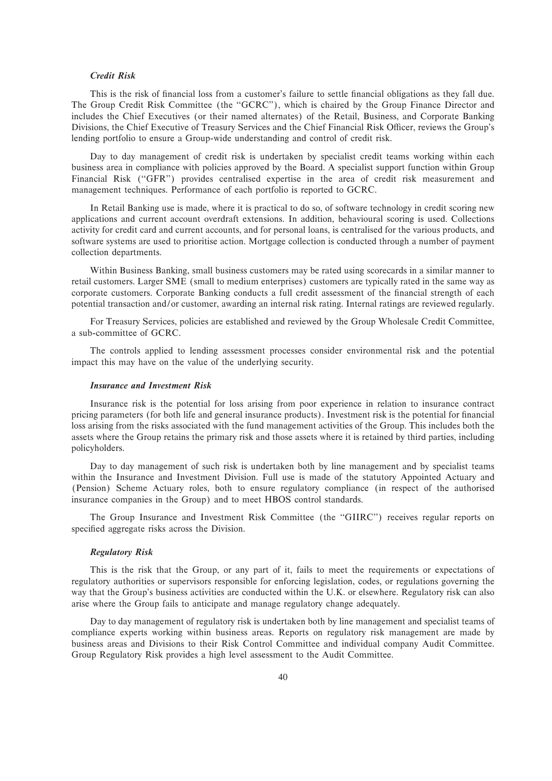## *Credit Risk*

This is the risk of financial loss from a customer's failure to settle financial obligations as they fall due. The Group Credit Risk Committee (the "GCRC"), which is chaired by the Group Finance Director and includes the Chief Executives (or their named alternates) of the Retail, Business, and Corporate Banking Divisions, the Chief Executive of Treasury Services and the Chief Financial Risk Officer, reviews the Group's lending portfolio to ensure a Group-wide understanding and control of credit risk.

Day to day management of credit risk is undertaken by specialist credit teams working within each business area in compliance with policies approved by the Board. A specialist support function within Group Financial Risk ("GFR") provides centralised expertise in the area of credit risk measurement and management techniques. Performance of each portfolio is reported to GCRC.

In Retail Banking use is made, where it is practical to do so, of software technology in credit scoring new applications and current account overdraft extensions. In addition, behavioural scoring is used. Collections activity for credit card and current accounts, and for personal loans, is centralised for the various products, and software systems are used to prioritise action. Mortgage collection is conducted through a number of payment collection departments.

Within Business Banking, small business customers may be rated using scorecards in a similar manner to retail customers. Larger SME (small to medium enterprises) customers are typically rated in the same way as corporate customers. Corporate Banking conducts a full credit assessment of the financial strength of each potential transaction and/or customer, awarding an internal risk rating. Internal ratings are reviewed regularly.

For Treasury Services, policies are established and reviewed by the Group Wholesale Credit Committee, a sub-committee of GCRC.

The controls applied to lending assessment processes consider environmental risk and the potential impact this may have on the value of the underlying security.

### *Insurance and Investment Risk*

Insurance risk is the potential for loss arising from poor experience in relation to insurance contract pricing parameters (for both life and general insurance products). Investment risk is the potential for financial loss arising from the risks associated with the fund management activities of the Group. This includes both the assets where the Group retains the primary risk and those assets where it is retained by third parties, including policyholders.

Day to day management of such risk is undertaken both by line management and by specialist teams within the Insurance and Investment Division. Full use is made of the statutory Appointed Actuary and (Pension) Scheme Actuary roles, both to ensure regulatory compliance (in respect of the authorised insurance companies in the Group) and to meet HBOS control standards.

The Group Insurance and Investment Risk Committee (the "GIIRC") receives regular reports on specified aggregate risks across the Division.

## *Regulatory Risk*

This is the risk that the Group, or any part of it, fails to meet the requirements or expectations of regulatory authorities or supervisors responsible for enforcing legislation, codes, or regulations governing the way that the Group's business activities are conducted within the U.K. or elsewhere. Regulatory risk can also arise where the Group fails to anticipate and manage regulatory change adequately.

Day to day management of regulatory risk is undertaken both by line management and specialist teams of compliance experts working within business areas. Reports on regulatory risk management are made by business areas and Divisions to their Risk Control Committee and individual company Audit Committee. Group Regulatory Risk provides a high level assessment to the Audit Committee.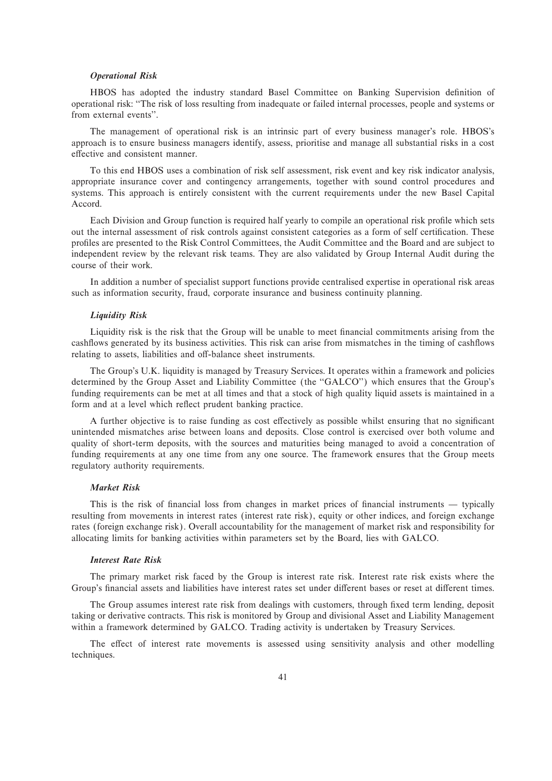#### *Operational Risk*

HBOS has adopted the industry standard Basel Committee on Banking Supervision definition of operational risk: ""The risk of loss resulting from inadequate or failed internal processes, people and systems or from external events''.

The management of operational risk is an intrinsic part of every business manager's role. HBOS's approach is to ensure business managers identify, assess, prioritise and manage all substantial risks in a cost effective and consistent manner.

To this end HBOS uses a combination of risk self assessment, risk event and key risk indicator analysis, appropriate insurance cover and contingency arrangements, together with sound control procedures and systems. This approach is entirely consistent with the current requirements under the new Basel Capital Accord.

Each Division and Group function is required half yearly to compile an operational risk profile which sets out the internal assessment of risk controls against consistent categories as a form of self certification. These proÑles are presented to the Risk Control Committees, the Audit Committee and the Board and are subject to independent review by the relevant risk teams. They are also validated by Group Internal Audit during the course of their work.

In addition a number of specialist support functions provide centralised expertise in operational risk areas such as information security, fraud, corporate insurance and business continuity planning.

#### *Liquidity Risk*

Liquidity risk is the risk that the Group will be unable to meet financial commitments arising from the cashflows generated by its business activities. This risk can arise from mismatches in the timing of cashflows relating to assets, liabilities and off-balance sheet instruments.

The Group's U.K. liquidity is managed by Treasury Services. It operates within a framework and policies determined by the Group Asset and Liability Committee (the "GALCO") which ensures that the Group's funding requirements can be met at all times and that a stock of high quality liquid assets is maintained in a form and at a level which reflect prudent banking practice.

A further objective is to raise funding as cost effectively as possible whilst ensuring that no significant unintended mismatches arise between loans and deposits. Close control is exercised over both volume and quality of short-term deposits, with the sources and maturities being managed to avoid a concentration of funding requirements at any one time from any one source. The framework ensures that the Group meets regulatory authority requirements.

## *Market Risk*

This is the risk of financial loss from changes in market prices of financial instruments  $-$  typically resulting from movements in interest rates (interest rate risk), equity or other indices, and foreign exchange rates (foreign exchange risk). Overall accountability for the management of market risk and responsibility for allocating limits for banking activities within parameters set by the Board, lies with GALCO.

#### *Interest Rate Risk*

The primary market risk faced by the Group is interest rate risk. Interest rate risk exists where the Group's financial assets and liabilities have interest rates set under different bases or reset at different times.

The Group assumes interest rate risk from dealings with customers, through fixed term lending, deposit taking or derivative contracts. This risk is monitored by Group and divisional Asset and Liability Management within a framework determined by GALCO. Trading activity is undertaken by Treasury Services.

The effect of interest rate movements is assessed using sensitivity analysis and other modelling techniques.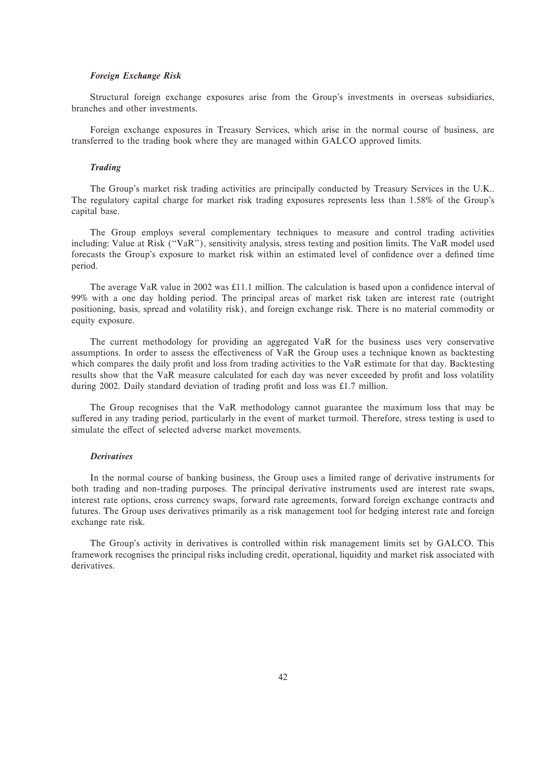### *Foreign Exchange Risk*

Structural foreign exchange exposures arise from the Group's investments in overseas subsidiaries, branches and other investments.

Foreign exchange exposures in Treasury Services, which arise in the normal course of business, are transferred to the trading book where they are managed within GALCO approved limits.

#### *Trading*

The Group's market risk trading activities are principally conducted by Treasury Services in the U.K.. The regulatory capital charge for market risk trading exposures represents less than 1.58% of the Group's capital base.

The Group employs several complementary techniques to measure and control trading activities including: Value at Risk (""VaR''), sensitivity analysis, stress testing and position limits. The VaR model used forecasts the Group's exposure to market risk within an estimated level of confidence over a defined time period.

The average VaR value in 2002 was  $£11.1$  million. The calculation is based upon a confidence interval of 99% with a one day holding period. The principal areas of market risk taken are interest rate (outright positioning, basis, spread and volatility risk), and foreign exchange risk. There is no material commodity or equity exposure.

The current methodology for providing an aggregated VaR for the business uses very conservative assumptions. In order to assess the effectiveness of VaR the Group uses a technique known as backtesting which compares the daily profit and loss from trading activities to the VaR estimate for that day. Backtesting results show that the VaR measure calculated for each day was never exceeded by profit and loss volatility during 2002. Daily standard deviation of trading profit and loss was £1.7 million.

The Group recognises that the VaR methodology cannot guarantee the maximum loss that may be suffered in any trading period, particularly in the event of market turmoil. Therefore, stress testing is used to simulate the effect of selected adverse market movements.

## *Derivatives*

In the normal course of banking business, the Group uses a limited range of derivative instruments for both trading and non-trading purposes. The principal derivative instruments used are interest rate swaps, interest rate options, cross currency swaps, forward rate agreements, forward foreign exchange contracts and futures. The Group uses derivatives primarily as a risk management tool for hedging interest rate and foreign exchange rate risk.

The Group's activity in derivatives is controlled within risk management limits set by GALCO. This framework recognises the principal risks including credit, operational, liquidity and market risk associated with derivatives.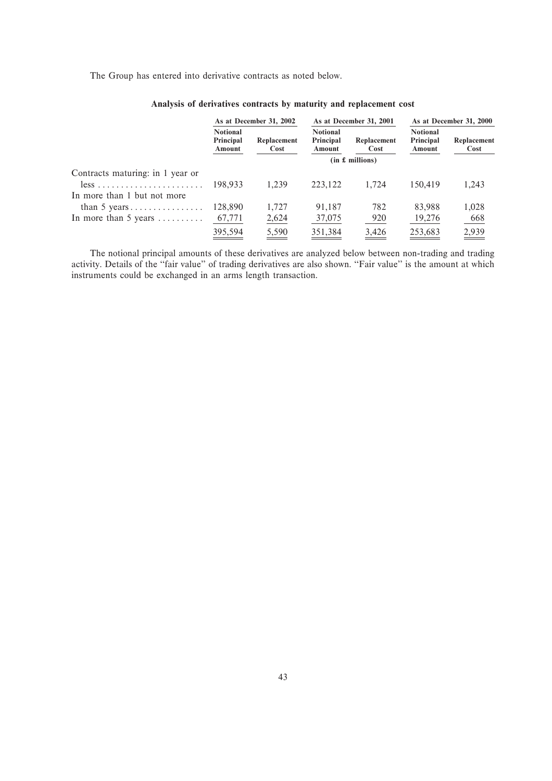The Group has entered into derivative contracts as noted below.

|                                                  | As at December 31, 2002                |                     | As at December 31, 2001                |                     | As at December 31, 2000                |                     |  |  |
|--------------------------------------------------|----------------------------------------|---------------------|----------------------------------------|---------------------|----------------------------------------|---------------------|--|--|
|                                                  | <b>Notional</b><br>Principal<br>Amount | Replacement<br>Cost | <b>Notional</b><br>Principal<br>Amount | Replacement<br>Cost | <b>Notional</b><br>Principal<br>Amount | Replacement<br>Cost |  |  |
|                                                  | (in £~millions)                        |                     |                                        |                     |                                        |                     |  |  |
| Contracts maturing: in 1 year or                 |                                        |                     |                                        |                     |                                        |                     |  |  |
| $less \ldots \ldots \ldots \ldots \ldots \ldots$ | 198.933                                | 1.239               | 223,122                                | 1.724               | 150.419                                | 1,243               |  |  |
| In more than 1 but not more                      |                                        |                     |                                        |                     |                                        |                     |  |  |
| than 5 years                                     | 128,890                                | 1.727               | 91,187                                 | 782                 | 83,988                                 | 1,028               |  |  |
| In more than 5 years $\dots \dots$               | 67,771                                 | 2,624               | 37,075                                 | 920                 | 19,276                                 | 668                 |  |  |
|                                                  | 395,594                                | 5,590               | 351,384                                | 3,426               | 253,683                                | 2,939               |  |  |
|                                                  |                                        |                     |                                        |                     |                                        |                     |  |  |

# **Analysis of derivatives contracts by maturity and replacement cost**

The notional principal amounts of these derivatives are analyzed below between non-trading and trading activity. Details of the "fair value" of trading derivatives are also shown. "Fair value" is the amount at which instruments could be exchanged in an arms length transaction.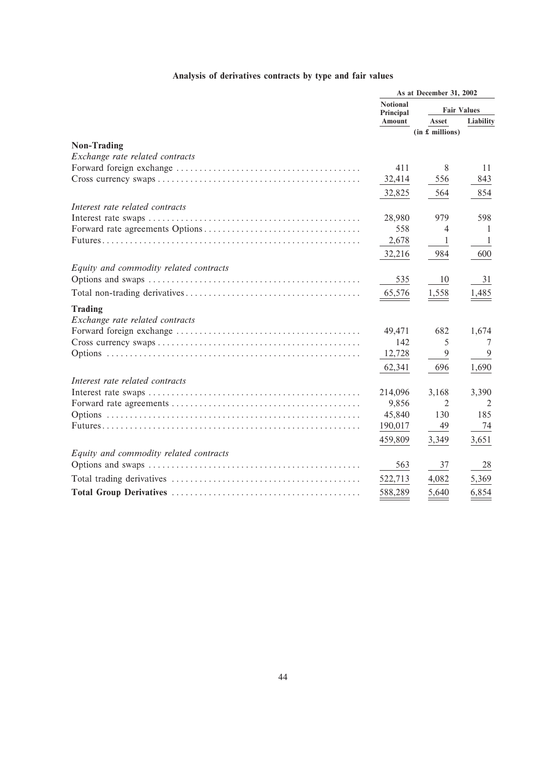# **Analysis of derivatives contracts by type and fair values**

|                                        | As at December 31, 2002      |                    |           |
|----------------------------------------|------------------------------|--------------------|-----------|
|                                        | <b>Notional</b><br>Principal | <b>Fair Values</b> |           |
|                                        | Amount                       | Asset              | Liability |
|                                        |                              | (in £ millions)    |           |
| <b>Non-Trading</b>                     |                              |                    |           |
| Exchange rate related contracts        |                              |                    |           |
|                                        | 411                          | 8                  | 11        |
|                                        | 32,414                       | 556                | 843       |
|                                        | 32,825                       | 564                | 854       |
| Interest rate related contracts        |                              |                    |           |
|                                        | 28,980                       | 979                | 598       |
|                                        | 558                          | 4                  | -1        |
|                                        | 2,678                        | $\mathbf{1}$       | -1        |
|                                        | 32,216                       | 984                | 600       |
| Equity and commodity related contracts |                              |                    |           |
|                                        | 535                          | 10                 | 31        |
|                                        | 65,576                       | 1,558              | 1,485     |
| <b>Trading</b>                         |                              |                    |           |
| Exchange rate related contracts        |                              |                    |           |
|                                        | 49,471                       | 682                | 1,674     |
|                                        | 142                          | 5                  | 7         |
|                                        | 12,728                       | 9                  | 9         |
|                                        | 62,341                       | 696                | 1,690     |
| Interest rate related contracts        |                              |                    |           |
|                                        | 214,096                      | 3,168              | 3,390     |
|                                        | 9,856                        | 2                  | 2         |
|                                        | 45,840                       | 130                | 185       |
|                                        | 190,017                      | 49                 | 74        |
|                                        | 459,809                      | 3,349              | 3,651     |
| Equity and commodity related contracts |                              |                    |           |
|                                        | 563                          | 37                 | 28        |
|                                        | 522,713                      | 4,082              | 5,369     |
|                                        | 588,289                      | 5,640              | 6,854     |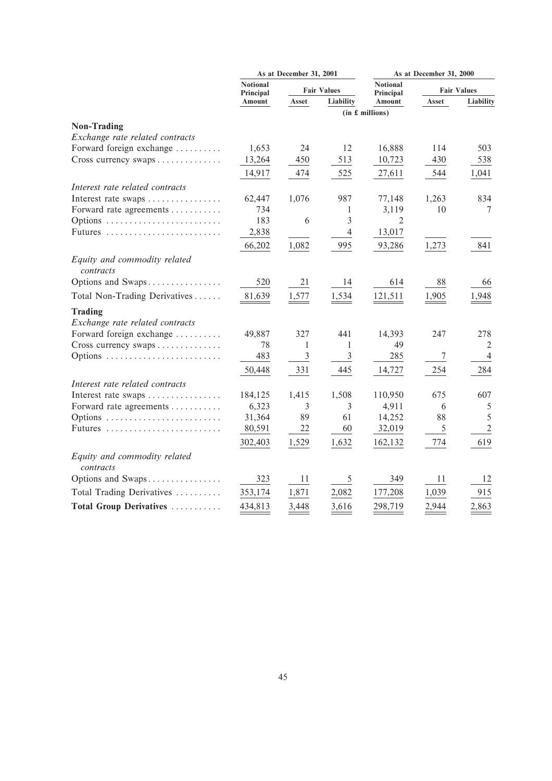|                                                   | As at December 31, 2001      |                    | As at December 31, 2000 |                              |       |                    |
|---------------------------------------------------|------------------------------|--------------------|-------------------------|------------------------------|-------|--------------------|
|                                                   | <b>Notional</b><br>Principal | <b>Fair Values</b> |                         | <b>Notional</b><br>Principal |       | <b>Fair Values</b> |
|                                                   | Amount                       | Asset              | <b>Liability</b>        | Amount                       | Asset | Liability          |
|                                                   |                              |                    |                         | (in £~millions)              |       |                    |
| <b>Non-Trading</b>                                |                              |                    |                         |                              |       |                    |
| Exchange rate related contracts                   |                              |                    |                         |                              |       |                    |
| Forward foreign exchange                          | 1,653                        | 24                 | 12                      | 16,888                       | 114   | 503                |
| Cross currency swaps                              | 13,264                       | 450                | 513                     | 10,723                       | 430   | 538                |
|                                                   | 14,917                       | 474                | 525                     | 27,611                       | 544   | 1,041              |
| Interest rate related contracts                   |                              |                    |                         |                              |       |                    |
| Interest rate swaps                               | 62,447                       | 1,076              | 987                     | 77,148                       | 1,263 | 834                |
| Forward rate agreements                           | 734                          |                    | 1                       | 3,119                        | 10    | 7                  |
| Options                                           | 183                          | 6                  | $\mathfrak{Z}$          | 2                            |       |                    |
|                                                   | 2,838                        |                    | $\overline{4}$          | 13,017                       |       |                    |
|                                                   | 66,202                       | 1,082              | 995                     | 93,286                       | 1,273 | 841                |
| Equity and commodity related<br>contracts         |                              |                    |                         |                              |       |                    |
| Options and Swaps                                 | 520                          | 21                 | 14                      | 614                          | 88    | 66                 |
| Total Non-Trading Derivatives                     | 81,639                       | 1,577              | 1,534                   | 121,511                      | 1,905 | 1,948              |
| <b>Trading</b><br>Exchange rate related contracts |                              |                    |                         |                              |       |                    |
| Forward foreign exchange                          | 49,887                       | 327                | 441                     | 14,393                       | 247   | 278                |
| Cross currency swaps                              | 78                           | 1                  | 1                       | 49                           |       | 2                  |
| Options                                           | 483                          | $\mathfrak{Z}$     | $\mathfrak{Z}$          | 285                          | 7     | 4                  |
|                                                   | 50,448                       | 331                | 445                     | 14,727                       | 254   | 284                |
| Interest rate related contracts                   |                              |                    |                         |                              |       |                    |
| Interest rate swaps                               | 184,125                      | 1,415              | 1,508                   | 110,950                      | 675   | 607                |
| Forward rate agreements                           | 6,323                        | 3                  | 3                       | 4,911                        | 6     | 5                  |
| Options                                           | 31,364                       | 89                 | 61                      | 14,252                       | 88    | 5                  |
| Futures                                           | 80,591                       | 22                 | 60                      | 32,019                       | 5     | $\overline{2}$     |
|                                                   | 302,403                      | 1,529              | 1,632                   | 162,132                      | 774   | 619                |
| Equity and commodity related<br>contracts         |                              |                    |                         |                              |       |                    |
| Options and Swaps                                 | 323                          | 11                 | 5                       | 349                          | 11    | 12                 |
| Total Trading Derivatives                         | 353,174                      | 1,871              | 2,082                   | 177,208                      | 1,039 | 915                |
| Total Group Derivatives                           | 434,813                      | 3,448              | 3,616                   | 298,719                      | 2,944 | 2,863              |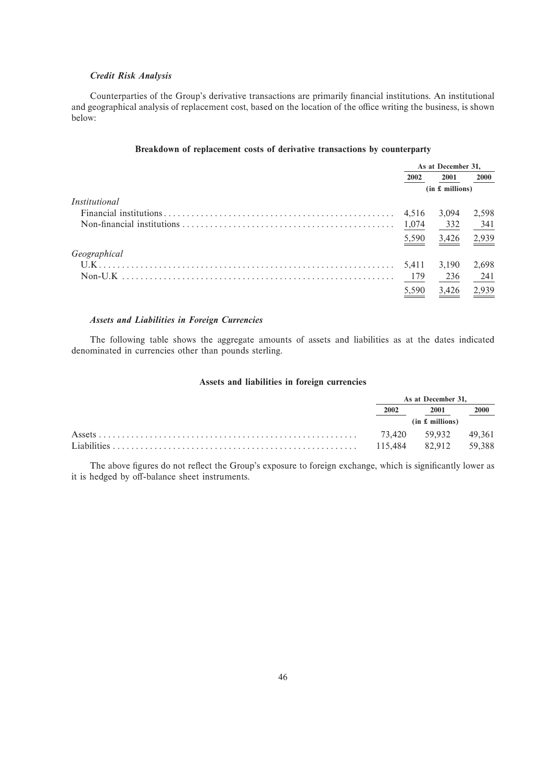# *Credit Risk Analysis*

Counterparties of the Group's derivative transactions are primarily financial institutions. An institutional and geographical analysis of replacement cost, based on the location of the office writing the business, is shown below:

# **Breakdown of replacement costs of derivative transactions by counterparty**

|               | As at December 31, |                 |       |
|---------------|--------------------|-----------------|-------|
|               | 2002               | 2001            | 2000  |
|               |                    | (in £~millions) |       |
| Institutional |                    |                 |       |
|               | 4.516              | 3,094           | 2,598 |
|               | 1,074              | 332             | 341   |
|               | 5,590              | 3,426           | 2,939 |
| Geographical  |                    |                 |       |
|               | 5,411              | 3,190           | 2,698 |
|               | 179                | 236             | 241   |
|               | 5,590              | 3,426           | 2,939 |

# *Assets and Liabilities in Foreign Currencies*

The following table shows the aggregate amounts of assets and liabilities as at the dates indicated denominated in currencies other than pounds sterling.

# **Assets and liabilities in foreign currencies**

|  | As at December 31.              |                      |        |
|--|---------------------------------|----------------------|--------|
|  | 2002<br>2001<br>(in £~millions) |                      | 2000   |
|  |                                 |                      |        |
|  |                                 | 73.420 59.932 49.361 |        |
|  | 115.484                         | 82.912               | 59.388 |

The above figures do not reflect the Group's exposure to foreign exchange, which is significantly lower as it is hedged by off-balance sheet instruments.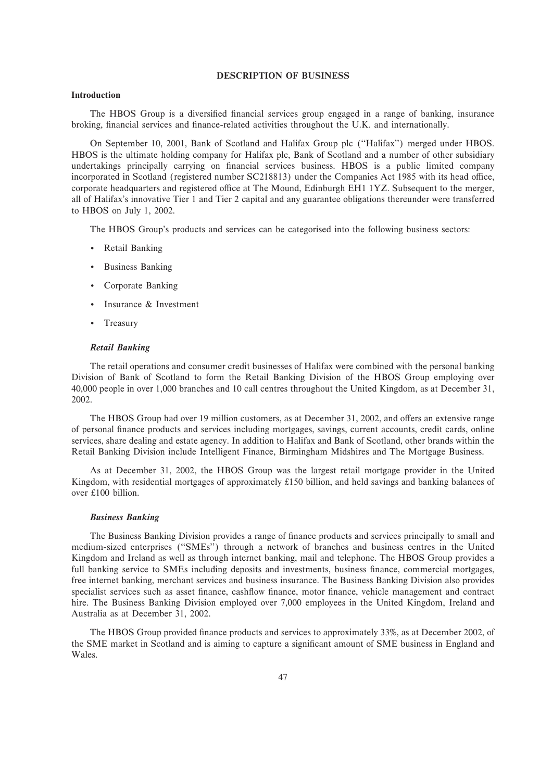# **DESCRIPTION OF BUSINESS**

# **Introduction**

The HBOS Group is a diversified financial services group engaged in a range of banking, insurance broking, financial services and finance-related activities throughout the U.K. and internationally.

On September 10, 2001, Bank of Scotland and Halifax Group plc (""Halifax'') merged under HBOS. HBOS is the ultimate holding company for Halifax plc, Bank of Scotland and a number of other subsidiary undertakings principally carrying on financial services business. HBOS is a public limited company incorporated in Scotland (registered number SC218813) under the Companies Act 1985 with its head office, corporate headquarters and registered office at The Mound, Edinburgh EH1 1YZ. Subsequent to the merger, all of Halifax's innovative Tier 1 and Tier 2 capital and any guarantee obligations thereunder were transferred to HBOS on July 1, 2002.

The HBOS Group's products and services can be categorised into the following business sectors:

- ' Retail Banking
- ' Business Banking
- ' Corporate Banking
- Insurance & Investment
- Treasury

#### *Retail Banking*

The retail operations and consumer credit businesses of Halifax were combined with the personal banking Division of Bank of Scotland to form the Retail Banking Division of the HBOS Group employing over 40,000 people in over 1,000 branches and 10 call centres throughout the United Kingdom, as at December 31, 2002.

The HBOS Group had over 19 million customers, as at December 31, 2002, and offers an extensive range of personal Ñnance products and services including mortgages, savings, current accounts, credit cards, online services, share dealing and estate agency. In addition to Halifax and Bank of Scotland, other brands within the Retail Banking Division include Intelligent Finance, Birmingham Midshires and The Mortgage Business.

As at December 31, 2002, the HBOS Group was the largest retail mortgage provider in the United Kingdom, with residential mortgages of approximately £150 billion, and held savings and banking balances of over £100 billion.

#### *Business Banking*

The Business Banking Division provides a range of finance products and services principally to small and medium-sized enterprises (""SMEs'') through a network of branches and business centres in the United Kingdom and Ireland as well as through internet banking, mail and telephone. The HBOS Group provides a full banking service to SMEs including deposits and investments, business finance, commercial mortgages, free internet banking, merchant services and business insurance. The Business Banking Division also provides specialist services such as asset finance, cashflow finance, motor finance, vehicle management and contract hire. The Business Banking Division employed over 7,000 employees in the United Kingdom, Ireland and Australia as at December 31, 2002.

The HBOS Group provided finance products and services to approximately 33%, as at December 2002, of the SME market in Scotland and is aiming to capture a significant amount of SME business in England and Wales.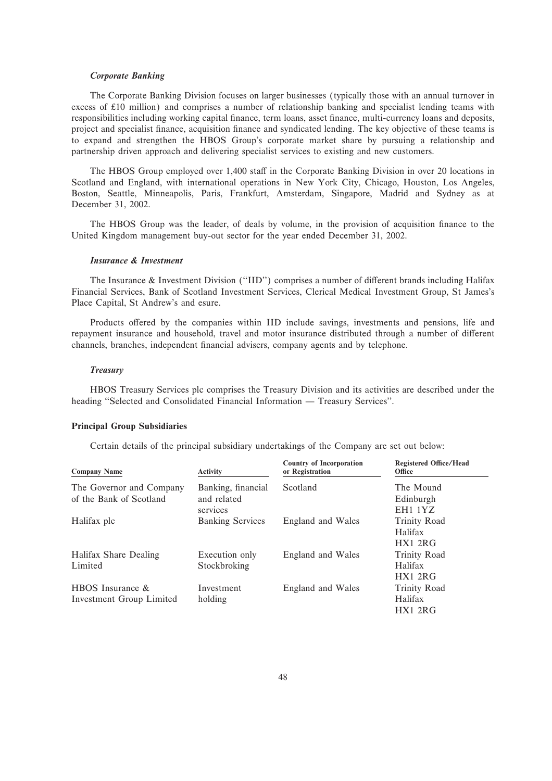# *Corporate Banking*

The Corporate Banking Division focuses on larger businesses (typically those with an annual turnover in excess of  $£10$  million) and comprises a number of relationship banking and specialist lending teams with responsibilities including working capital finance, term loans, asset finance, multi-currency loans and deposits, project and specialist finance, acquisition finance and syndicated lending. The key objective of these teams is to expand and strengthen the HBOS Group's corporate market share by pursuing a relationship and partnership driven approach and delivering specialist services to existing and new customers.

The HBOS Group employed over 1,400 staff in the Corporate Banking Division in over 20 locations in Scotland and England, with international operations in New York City, Chicago, Houston, Los Angeles, Boston, Seattle, Minneapolis, Paris, Frankfurt, Amsterdam, Singapore, Madrid and Sydney as at December 31, 2002.

The HBOS Group was the leader, of deals by volume, in the provision of acquisition finance to the United Kingdom management buy-out sector for the year ended December 31, 2002.

# *Insurance & Investment*

The Insurance & Investment Division ("IID") comprises a number of different brands including Halifax Financial Services, Bank of Scotland Investment Services, Clerical Medical Investment Group, St James's Place Capital, St Andrew's and esure.

Products offered by the companies within IID include savings, investments and pensions, life and repayment insurance and household, travel and motor insurance distributed through a number of different channels, branches, independent financial advisers, company agents and by telephone.

#### *Treasury*

HBOS Treasury Services plc comprises the Treasury Division and its activities are described under the heading "Selected and Consolidated Financial Information — Treasury Services".

# **Principal Group Subsidiaries**

Certain details of the principal subsidiary undertakings of the Company are set out below:

| <b>Company Name</b>      | <b>Activity</b>         | <b>Country of Incorporation</b><br>or Registration | <b>Registered Office/Head</b><br>Office |
|--------------------------|-------------------------|----------------------------------------------------|-----------------------------------------|
| The Governor and Company | Banking, financial      | Scotland                                           | The Mound                               |
| of the Bank of Scotland  | and related             |                                                    | Edinburgh                               |
|                          | services                |                                                    | EH1 1YZ                                 |
| Halifax plc              | <b>Banking Services</b> | England and Wales                                  | Trinity Road                            |
|                          |                         |                                                    | Halifax                                 |
|                          |                         |                                                    | HX12RG                                  |
| Halifax Share Dealing    | Execution only          | England and Wales                                  | Trinity Road                            |
| Limited                  | Stockbroking            |                                                    | Halifax                                 |
|                          |                         |                                                    | HX12RG                                  |
| HBOS Insurance $\&$      | Investment              | England and Wales                                  | Trinity Road                            |
| Investment Group Limited | holding                 |                                                    | Halifax                                 |
|                          |                         |                                                    | HX12RG                                  |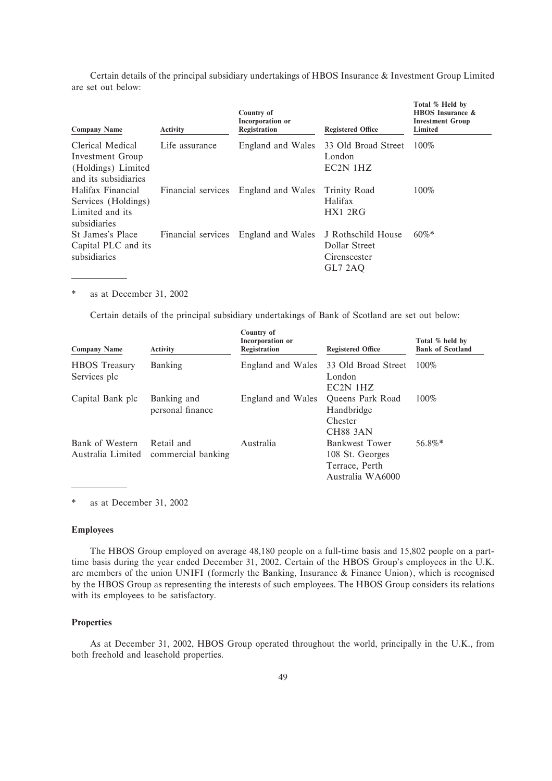Certain details of the principal subsidiary undertakings of HBOS Insurance & Investment Group Limited are set out below:

| <b>Company Name</b>                                                                | <b>Activity</b>    | Country of<br>Incorporation or<br>Registration | <b>Registered Office</b>                                       | Total % Held by<br><b>HBOS</b> Insurance &<br><b>Investment Group</b><br>Limited |
|------------------------------------------------------------------------------------|--------------------|------------------------------------------------|----------------------------------------------------------------|----------------------------------------------------------------------------------|
| Clerical Medical<br>Investment Group<br>(Holdings) Limited<br>and its subsidiaries | Life assurance     | England and Wales                              | 33 Old Broad Street<br>London<br>EC2N 1HZ                      | 100%                                                                             |
| Halifax Financial<br>Services (Holdings)<br>Limited and its<br>subsidiaries        | Financial services | England and Wales                              | Trinity Road<br>Halifax<br>HX12RG                              | 100%                                                                             |
| St James's Place<br>Capital PLC and its<br>subsidiaries                            | Financial services | England and Wales                              | J Rothschild House<br>Dollar Street<br>Cirenscester<br>GL7 2AO | $60\%$ *                                                                         |

\* as at December 31, 2002

Certain details of the principal subsidiary undertakings of Bank of Scotland are set out below:

| <b>Company Name</b>                  | <b>Activity</b>                  | Country of<br><b>Incorporation</b> or<br>Registration | <b>Registered Office</b>                                                       | Total % held by<br><b>Bank of Scotland</b> |
|--------------------------------------|----------------------------------|-------------------------------------------------------|--------------------------------------------------------------------------------|--------------------------------------------|
| <b>HBOS</b> Treasury<br>Services plc | Banking                          | England and Wales                                     | 33 Old Broad Street<br>London<br>$EC2N$ 1HZ                                    | $100\%$                                    |
| Capital Bank plc                     | Banking and<br>personal finance  | England and Wales                                     | Queens Park Road<br>Handbridge<br>Chester<br><b>CH88 3AN</b>                   | $100\%$                                    |
| Bank of Western<br>Australia Limited | Retail and<br>commercial banking | Australia                                             | <b>Bankwest Tower</b><br>108 St. Georges<br>Terrace, Perth<br>Australia WA6000 | 56.8%*                                     |

as at December 31, 2002

# **Employees**

The HBOS Group employed on average 48,180 people on a full-time basis and 15,802 people on a parttime basis during the year ended December 31, 2002. Certain of the HBOS Group's employees in the U.K. are members of the union UNIFI (formerly the Banking, Insurance & Finance Union), which is recognised by the HBOS Group as representing the interests of such employees. The HBOS Group considers its relations with its employees to be satisfactory.

## **Properties**

As at December 31, 2002, HBOS Group operated throughout the world, principally in the U.K., from both freehold and leasehold properties.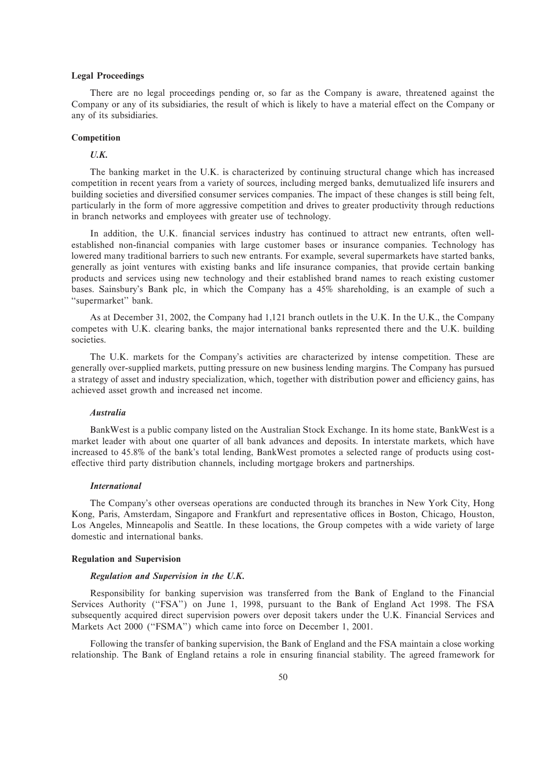# **Legal Proceedings**

There are no legal proceedings pending or, so far as the Company is aware, threatened against the Company or any of its subsidiaries, the result of which is likely to have a material effect on the Company or any of its subsidiaries.

# **Competition**

# *U.K.*

The banking market in the U.K. is characterized by continuing structural change which has increased competition in recent years from a variety of sources, including merged banks, demutualized life insurers and building societies and diversified consumer services companies. The impact of these changes is still being felt, particularly in the form of more aggressive competition and drives to greater productivity through reductions in branch networks and employees with greater use of technology.

In addition, the U.K. financial services industry has continued to attract new entrants, often wellestablished non-financial companies with large customer bases or insurance companies. Technology has lowered many traditional barriers to such new entrants. For example, several supermarkets have started banks, generally as joint ventures with existing banks and life insurance companies, that provide certain banking products and services using new technology and their established brand names to reach existing customer bases. Sainsbury's Bank plc, in which the Company has a 45% shareholding, is an example of such a "supermarket" bank.

As at December 31, 2002, the Company had 1,121 branch outlets in the U.K. In the U.K., the Company competes with U.K. clearing banks, the major international banks represented there and the U.K. building societies.

The U.K. markets for the Company's activities are characterized by intense competition. These are generally over-supplied markets, putting pressure on new business lending margins. The Company has pursued a strategy of asset and industry specialization, which, together with distribution power and efficiency gains, has achieved asset growth and increased net income.

### *Australia*

BankWest is a public company listed on the Australian Stock Exchange. In its home state, BankWest is a market leader with about one quarter of all bank advances and deposits. In interstate markets, which have increased to 45.8% of the bank's total lending, BankWest promotes a selected range of products using costeffective third party distribution channels, including mortgage brokers and partnerships.

#### *International*

The Company's other overseas operations are conducted through its branches in New York City, Hong Kong, Paris, Amsterdam, Singapore and Frankfurt and representative offices in Boston, Chicago, Houston, Los Angeles, Minneapolis and Seattle. In these locations, the Group competes with a wide variety of large domestic and international banks.

# **Regulation and Supervision**

# *Regulation and Supervision in the U.K.*

Responsibility for banking supervision was transferred from the Bank of England to the Financial Services Authority ("FSA") on June 1, 1998, pursuant to the Bank of England Act 1998. The FSA subsequently acquired direct supervision powers over deposit takers under the U.K. Financial Services and Markets Act 2000 ("FSMA") which came into force on December 1, 2001.

Following the transfer of banking supervision, the Bank of England and the FSA maintain a close working relationship. The Bank of England retains a role in ensuring financial stability. The agreed framework for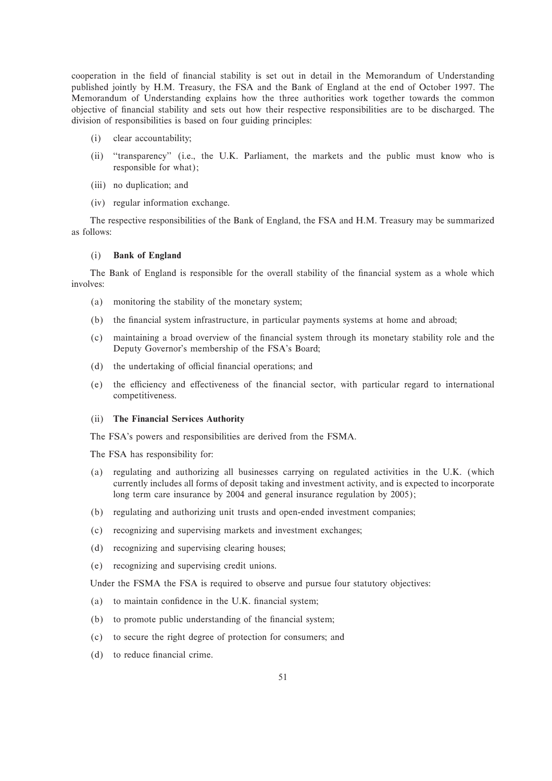cooperation in the field of financial stability is set out in detail in the Memorandum of Understanding published jointly by H.M. Treasury, the FSA and the Bank of England at the end of October 1997. The Memorandum of Understanding explains how the three authorities work together towards the common objective of Ñnancial stability and sets out how their respective responsibilities are to be discharged. The division of responsibilities is based on four guiding principles:

- (i) clear accountability;
- (ii) ""transparency'' (i.e., the U.K. Parliament, the markets and the public must know who is responsible for what);
- (iii) no duplication; and
- (iv) regular information exchange.

The respective responsibilities of the Bank of England, the FSA and H.M. Treasury may be summarized as follows:

# (i) **Bank of England**

The Bank of England is responsible for the overall stability of the financial system as a whole which involves:

- (a) monitoring the stability of the monetary system;
- (b) the financial system infrastructure, in particular payments systems at home and abroad;
- (c) maintaining a broad overview of the Ñnancial system through its monetary stability role and the Deputy Governor's membership of the FSA's Board;
- (d) the undertaking of official financial operations; and
- (e) the efficiency and effectiveness of the financial sector, with particular regard to international competitiveness.

# (ii) **The Financial Services Authority**

The FSA's powers and responsibilities are derived from the FSMA.

The FSA has responsibility for:

- (a) regulating and authorizing all businesses carrying on regulated activities in the U.K. (which currently includes all forms of deposit taking and investment activity, and is expected to incorporate long term care insurance by 2004 and general insurance regulation by 2005);
- (b) regulating and authorizing unit trusts and open-ended investment companies;
- (c) recognizing and supervising markets and investment exchanges;
- (d) recognizing and supervising clearing houses;
- (e) recognizing and supervising credit unions.

Under the FSMA the FSA is required to observe and pursue four statutory objectives:

- $(a)$  to maintain confidence in the U.K. financial system;
- (b) to promote public understanding of the financial system;
- (c) to secure the right degree of protection for consumers; and
- (d) to reduce financial crime.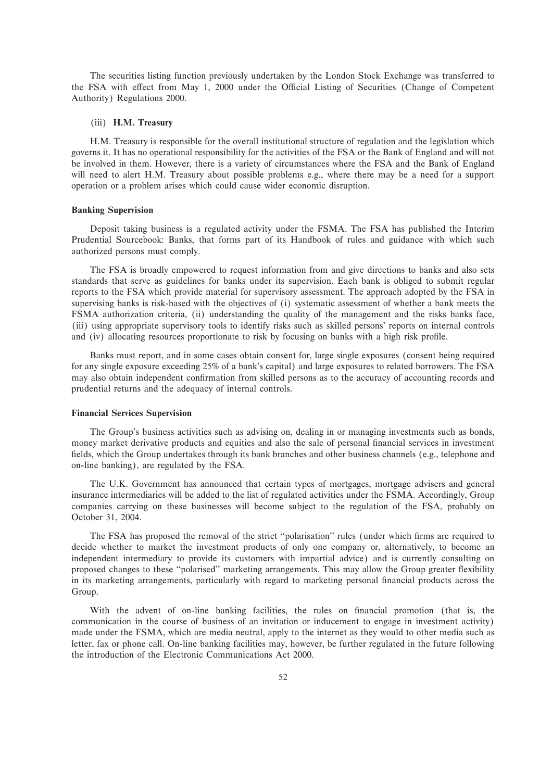The securities listing function previously undertaken by the London Stock Exchange was transferred to the FSA with effect from May 1, 2000 under the Official Listing of Securities (Change of Competent Authority) Regulations 2000.

# (iii) **H.M. Treasury**

H.M. Treasury is responsible for the overall institutional structure of regulation and the legislation which governs it. It has no operational responsibility for the activities of the FSA or the Bank of England and will not be involved in them. However, there is a variety of circumstances where the FSA and the Bank of England will need to alert H.M. Treasury about possible problems e.g., where there may be a need for a support operation or a problem arises which could cause wider economic disruption.

#### **Banking Supervision**

Deposit taking business is a regulated activity under the FSMA. The FSA has published the Interim Prudential Sourcebook: Banks, that forms part of its Handbook of rules and guidance with which such authorized persons must comply.

The FSA is broadly empowered to request information from and give directions to banks and also sets standards that serve as guidelines for banks under its supervision. Each bank is obliged to submit regular reports to the FSA which provide material for supervisory assessment. The approach adopted by the FSA in supervising banks is risk-based with the objectives of (i) systematic assessment of whether a bank meets the FSMA authorization criteria, (ii) understanding the quality of the management and the risks banks face, (iii) using appropriate supervisory tools to identify risks such as skilled persons' reports on internal controls and (iv) allocating resources proportionate to risk by focusing on banks with a high risk profile.

Banks must report, and in some cases obtain consent for, large single exposures (consent being required for any single exposure exceeding 25% of a bank's capital) and large exposures to related borrowers. The FSA may also obtain independent confirmation from skilled persons as to the accuracy of accounting records and prudential returns and the adequacy of internal controls.

### **Financial Services Supervision**

The Group's business activities such as advising on, dealing in or managing investments such as bonds, money market derivative products and equities and also the sale of personal financial services in investment fields, which the Group undertakes through its bank branches and other business channels (e.g., telephone and on-line banking), are regulated by the FSA.

The U.K. Government has announced that certain types of mortgages, mortgage advisers and general insurance intermediaries will be added to the list of regulated activities under the FSMA. Accordingly, Group companies carrying on these businesses will become subject to the regulation of the FSA, probably on October 31, 2004.

The FSA has proposed the removal of the strict "polarisation" rules (under which firms are required to decide whether to market the investment products of only one company or, alternatively, to become an independent intermediary to provide its customers with impartial advice) and is currently consulting on proposed changes to these "polarised" marketing arrangements. This may allow the Group greater flexibility in its marketing arrangements, particularly with regard to marketing personal financial products across the Group.

With the advent of on-line banking facilities, the rules on financial promotion (that is, the communication in the course of business of an invitation or inducement to engage in investment activity) made under the FSMA, which are media neutral, apply to the internet as they would to other media such as letter, fax or phone call. On-line banking facilities may, however, be further regulated in the future following the introduction of the Electronic Communications Act 2000.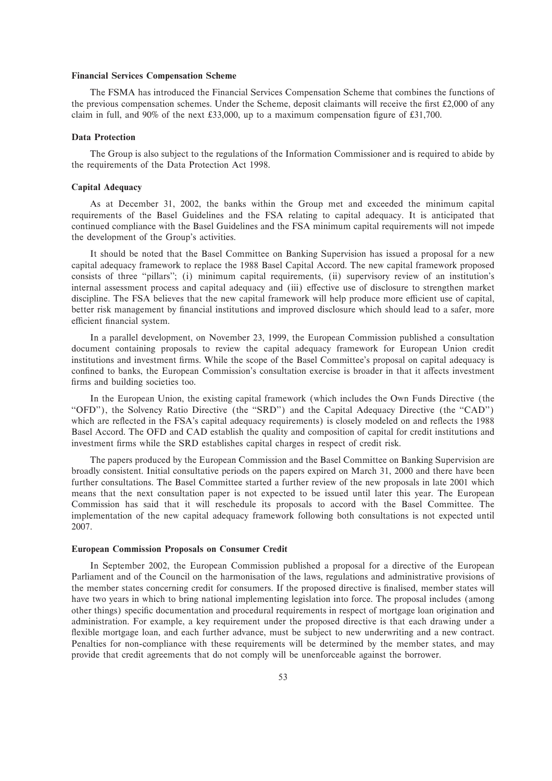# **Financial Services Compensation Scheme**

The FSMA has introduced the Financial Services Compensation Scheme that combines the functions of the previous compensation schemes. Under the Scheme, deposit claimants will receive the first  $\text{\pounds}2,000$  of any claim in full, and 90% of the next £33,000, up to a maximum compensation figure of £31,700.

#### **Data Protection**

The Group is also subject to the regulations of the Information Commissioner and is required to abide by the requirements of the Data Protection Act 1998.

# **Capital Adequacy**

As at December 31, 2002, the banks within the Group met and exceeded the minimum capital requirements of the Basel Guidelines and the FSA relating to capital adequacy. It is anticipated that continued compliance with the Basel Guidelines and the FSA minimum capital requirements will not impede the development of the Group's activities.

It should be noted that the Basel Committee on Banking Supervision has issued a proposal for a new capital adequacy framework to replace the 1988 Basel Capital Accord. The new capital framework proposed consists of three ""pillars''; (i) minimum capital requirements, (ii) supervisory review of an institution's internal assessment process and capital adequacy and (iii) effective use of disclosure to strengthen market discipline. The FSA believes that the new capital framework will help produce more efficient use of capital, better risk management by financial institutions and improved disclosure which should lead to a safer, more efficient financial system.

In a parallel development, on November 23, 1999, the European Commission published a consultation document containing proposals to review the capital adequacy framework for European Union credit institutions and investment firms. While the scope of the Basel Committee's proposal on capital adequacy is confined to banks, the European Commission's consultation exercise is broader in that it affects investment firms and building societies too.

In the European Union, the existing capital framework (which includes the Own Funds Directive (the "OFD"), the Solvency Ratio Directive (the "SRD") and the Capital Adequacy Directive (the "CAD") which are reflected in the FSA's capital adequacy requirements) is closely modeled on and reflects the 1988 Basel Accord. The OFD and CAD establish the quality and composition of capital for credit institutions and investment firms while the SRD establishes capital charges in respect of credit risk.

The papers produced by the European Commission and the Basel Committee on Banking Supervision are broadly consistent. Initial consultative periods on the papers expired on March 31, 2000 and there have been further consultations. The Basel Committee started a further review of the new proposals in late 2001 which means that the next consultation paper is not expected to be issued until later this year. The European Commission has said that it will reschedule its proposals to accord with the Basel Committee. The implementation of the new capital adequacy framework following both consultations is not expected until 2007.

# **European Commission Proposals on Consumer Credit**

In September 2002, the European Commission published a proposal for a directive of the European Parliament and of the Council on the harmonisation of the laws, regulations and administrative provisions of the member states concerning credit for consumers. If the proposed directive is finalised, member states will have two years in which to bring national implementing legislation into force. The proposal includes (among other things) specific documentation and procedural requirements in respect of mortgage loan origination and administration. For example, a key requirement under the proposed directive is that each drawing under a flexible mortgage loan, and each further advance, must be subject to new underwriting and a new contract. Penalties for non-compliance with these requirements will be determined by the member states, and may provide that credit agreements that do not comply will be unenforceable against the borrower.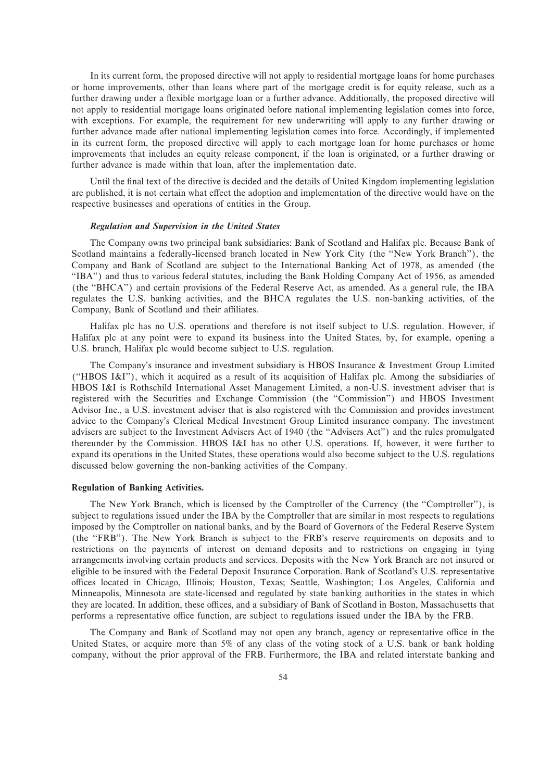In its current form, the proposed directive will not apply to residential mortgage loans for home purchases or home improvements, other than loans where part of the mortgage credit is for equity release, such as a further drawing under a flexible mortgage loan or a further advance. Additionally, the proposed directive will not apply to residential mortgage loans originated before national implementing legislation comes into force, with exceptions. For example, the requirement for new underwriting will apply to any further drawing or further advance made after national implementing legislation comes into force. Accordingly, if implemented in its current form, the proposed directive will apply to each mortgage loan for home purchases or home improvements that includes an equity release component, if the loan is originated, or a further drawing or further advance is made within that loan, after the implementation date.

Until the final text of the directive is decided and the details of United Kingdom implementing legislation are published, it is not certain what effect the adoption and implementation of the directive would have on the respective businesses and operations of entities in the Group.

# *Regulation and Supervision in the United States*

The Company owns two principal bank subsidiaries: Bank of Scotland and Halifax plc. Because Bank of Scotland maintains a federally-licensed branch located in New York City (the ""New York Branch''), the Company and Bank of Scotland are subject to the International Banking Act of 1978, as amended (the ""IBA'') and thus to various federal statutes, including the Bank Holding Company Act of 1956, as amended (the ""BHCA'') and certain provisions of the Federal Reserve Act, as amended. As a general rule, the IBA regulates the U.S. banking activities, and the BHCA regulates the U.S. non-banking activities, of the Company, Bank of Scotland and their affiliates.

Halifax plc has no U.S. operations and therefore is not itself subject to U.S. regulation. However, if Halifax plc at any point were to expand its business into the United States, by, for example, opening a U.S. branch, Halifax plc would become subject to U.S. regulation.

The Company's insurance and investment subsidiary is HBOS Insurance & Investment Group Limited (""HBOS I&I''), which it acquired as a result of its acquisition of Halifax plc. Among the subsidiaries of HBOS I&I is Rothschild International Asset Management Limited, a non-U.S. investment adviser that is registered with the Securities and Exchange Commission (the ""Commission'') and HBOS Investment Advisor Inc., a U.S. investment adviser that is also registered with the Commission and provides investment advice to the Company's Clerical Medical Investment Group Limited insurance company. The investment advisers are subject to the Investment Advisers Act of 1940 (the ""Advisers Act'') and the rules promulgated thereunder by the Commission. HBOS I&I has no other U.S. operations. If, however, it were further to expand its operations in the United States, these operations would also become subject to the U.S. regulations discussed below governing the non-banking activities of the Company.

### **Regulation of Banking Activities.**

The New York Branch, which is licensed by the Comptroller of the Currency (the "Comptroller"), is subject to regulations issued under the IBA by the Comptroller that are similar in most respects to regulations imposed by the Comptroller on national banks, and by the Board of Governors of the Federal Reserve System (the ""FRB''). The New York Branch is subject to the FRB's reserve requirements on deposits and to restrictions on the payments of interest on demand deposits and to restrictions on engaging in tying arrangements involving certain products and services. Deposits with the New York Branch are not insured or eligible to be insured with the Federal Deposit Insurance Corporation. Bank of Scotland's U.S. representative offices located in Chicago, Illinois; Houston, Texas; Seattle, Washington; Los Angeles, California and Minneapolis, Minnesota are state-licensed and regulated by state banking authorities in the states in which they are located. In addition, these offices, and a subsidiary of Bank of Scotland in Boston, Massachusetts that performs a representative office function, are subject to regulations issued under the IBA by the FRB.

The Company and Bank of Scotland may not open any branch, agency or representative office in the United States, or acquire more than 5% of any class of the voting stock of a U.S. bank or bank holding company, without the prior approval of the FRB. Furthermore, the IBA and related interstate banking and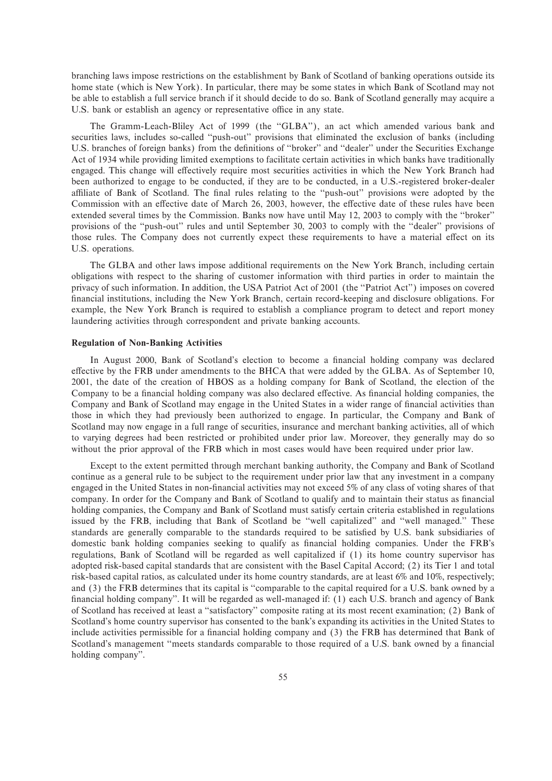branching laws impose restrictions on the establishment by Bank of Scotland of banking operations outside its home state (which is New York). In particular, there may be some states in which Bank of Scotland may not be able to establish a full service branch if it should decide to do so. Bank of Scotland generally may acquire a U.S. bank or establish an agency or representative office in any state.

The Gramm-Leach-Bliley Act of 1999 (the "GLBA"), an act which amended various bank and securities laws, includes so-called "push-out" provisions that eliminated the exclusion of banks (including U.S. branches of foreign banks) from the definitions of "broker" and "dealer" under the Securities Exchange Act of 1934 while providing limited exemptions to facilitate certain activities in which banks have traditionally engaged. This change will effectively require most securities activities in which the New York Branch had been authorized to engage to be conducted, if they are to be conducted, in a U.S.-registered broker-dealer affiliate of Bank of Scotland. The final rules relating to the "push-out" provisions were adopted by the Commission with an effective date of March 26, 2003, however, the effective date of these rules have been extended several times by the Commission. Banks now have until May 12, 2003 to comply with the ""broker'' provisions of the ""push-out'' rules and until September 30, 2003 to comply with the ""dealer'' provisions of those rules. The Company does not currently expect these requirements to have a material effect on its U.S. operations.

The GLBA and other laws impose additional requirements on the New York Branch, including certain obligations with respect to the sharing of customer information with third parties in order to maintain the privacy of such information. In addition, the USA Patriot Act of 2001 (the ""Patriot Act'') imposes on covered financial institutions, including the New York Branch, certain record-keeping and disclosure obligations. For example, the New York Branch is required to establish a compliance program to detect and report money laundering activities through correspondent and private banking accounts.

# **Regulation of Non-Banking Activities**

In August 2000, Bank of Scotland's election to become a financial holding company was declared effective by the FRB under amendments to the BHCA that were added by the GLBA. As of September 10, 2001, the date of the creation of HBOS as a holding company for Bank of Scotland, the election of the Company to be a financial holding company was also declared effective. As financial holding companies, the Company and Bank of Scotland may engage in the United States in a wider range of financial activities than those in which they had previously been authorized to engage. In particular, the Company and Bank of Scotland may now engage in a full range of securities, insurance and merchant banking activities, all of which to varying degrees had been restricted or prohibited under prior law. Moreover, they generally may do so without the prior approval of the FRB which in most cases would have been required under prior law.

Except to the extent permitted through merchant banking authority, the Company and Bank of Scotland continue as a general rule to be subject to the requirement under prior law that any investment in a company engaged in the United States in non-financial activities may not exceed 5% of any class of voting shares of that company. In order for the Company and Bank of Scotland to qualify and to maintain their status as financial holding companies, the Company and Bank of Scotland must satisfy certain criteria established in regulations issued by the FRB, including that Bank of Scotland be "well capitalized" and "well managed." These standards are generally comparable to the standards required to be satisfied by U.S. bank subsidiaries of domestic bank holding companies seeking to qualify as financial holding companies. Under the FRB's regulations, Bank of Scotland will be regarded as well capitalized if (1) its home country supervisor has adopted risk-based capital standards that are consistent with the Basel Capital Accord; (2) its Tier 1 and total risk-based capital ratios, as calculated under its home country standards, are at least 6% and 10%, respectively; and (3) the FRB determines that its capital is "comparable to the capital required for a U.S. bank owned by a financial holding company". It will be regarded as well-managed if: (1) each U.S. branch and agency of Bank of Scotland has received at least a ""satisfactory'' composite rating at its most recent examination; (2) Bank of Scotland's home country supervisor has consented to the bank's expanding its activities in the United States to include activities permissible for a financial holding company and (3) the FRB has determined that Bank of Scotland's management "meets standards comparable to those required of a U.S. bank owned by a financial holding company''.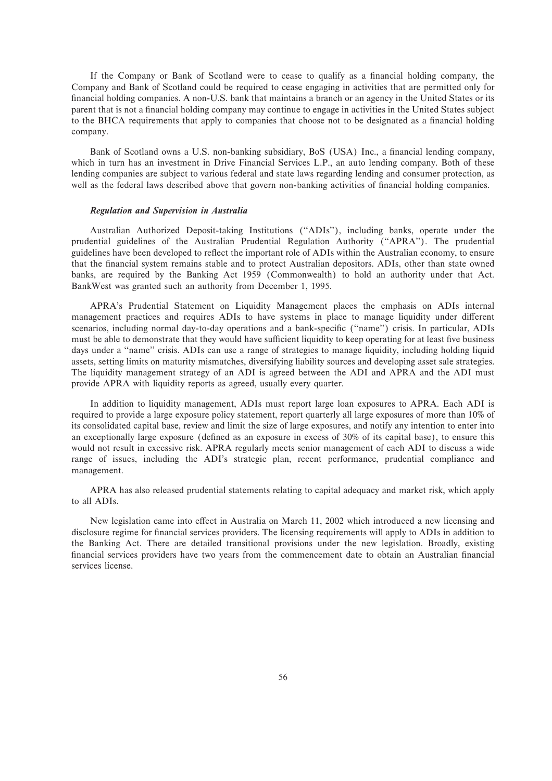If the Company or Bank of Scotland were to cease to qualify as a financial holding company, the Company and Bank of Scotland could be required to cease engaging in activities that are permitted only for financial holding companies. A non-U.S. bank that maintains a branch or an agency in the United States or its parent that is not a Ñnancial holding company may continue to engage in activities in the United States subject to the BHCA requirements that apply to companies that choose not to be designated as a financial holding company.

Bank of Scotland owns a U.S. non-banking subsidiary, BoS (USA) Inc., a financial lending company, which in turn has an investment in Drive Financial Services L.P., an auto lending company. Both of these lending companies are subject to various federal and state laws regarding lending and consumer protection, as well as the federal laws described above that govern non-banking activities of financial holding companies.

## *Regulation and Supervision in Australia*

Australian Authorized Deposit-taking Institutions (""ADIs''), including banks, operate under the prudential guidelines of the Australian Prudential Regulation Authority (""APRA''). The prudential guidelines have been developed to reflect the important role of ADIs within the Australian economy, to ensure that the financial system remains stable and to protect Australian depositors. ADIs, other than state owned banks, are required by the Banking Act 1959 (Commonwealth) to hold an authority under that Act. BankWest was granted such an authority from December 1, 1995.

APRA's Prudential Statement on Liquidity Management places the emphasis on ADIs internal management practices and requires ADIs to have systems in place to manage liquidity under different scenarios, including normal day-to-day operations and a bank-specific ("name") crisis. In particular, ADIs must be able to demonstrate that they would have sufficient liquidity to keep operating for at least five business days under a "name" crisis. ADIs can use a range of strategies to manage liquidity, including holding liquid assets, setting limits on maturity mismatches, diversifying liability sources and developing asset sale strategies. The liquidity management strategy of an ADI is agreed between the ADI and APRA and the ADI must provide APRA with liquidity reports as agreed, usually every quarter.

In addition to liquidity management, ADIs must report large loan exposures to APRA. Each ADI is required to provide a large exposure policy statement, report quarterly all large exposures of more than 10% of its consolidated capital base, review and limit the size of large exposures, and notify any intention to enter into an exceptionally large exposure (defined as an exposure in excess of 30% of its capital base), to ensure this would not result in excessive risk. APRA regularly meets senior management of each ADI to discuss a wide range of issues, including the ADI's strategic plan, recent performance, prudential compliance and management.

APRA has also released prudential statements relating to capital adequacy and market risk, which apply to all ADIs.

New legislation came into effect in Australia on March 11, 2002 which introduced a new licensing and disclosure regime for financial services providers. The licensing requirements will apply to ADIs in addition to the Banking Act. There are detailed transitional provisions under the new legislation. Broadly, existing financial services providers have two years from the commencement date to obtain an Australian financial services license.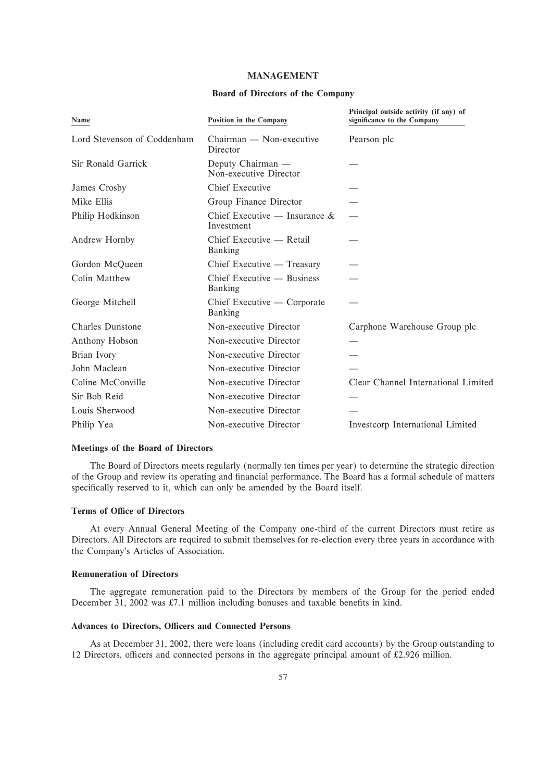# **MANAGEMENT**

# **Board of Directors of the Company**

| Name                        | Position in the Company                        | Principal outside activity (if any) of<br>significance to the Company |
|-----------------------------|------------------------------------------------|-----------------------------------------------------------------------|
| Lord Stevenson of Coddenham | Chairman — Non-executive<br>Director           | Pearson plc                                                           |
| Sir Ronald Garrick          | Deputy Chairman —<br>Non-executive Director    |                                                                       |
| James Crosby                | Chief Executive                                |                                                                       |
| Mike Ellis                  | Group Finance Director                         |                                                                       |
| Philip Hodkinson            | Chief Executive — Insurance $\&$<br>Investment |                                                                       |
| Andrew Hornby               | Chief Executive — Retail<br>Banking            |                                                                       |
| Gordon McQueen              | Chief Executive — Treasury                     |                                                                       |
| Colin Matthew               | Chief Executive — Business<br>Banking          |                                                                       |
| George Mitchell             | Chief Executive — Corporate<br>Banking         |                                                                       |
| Charles Dunstone            | Non-executive Director                         | Carphone Warehouse Group plc                                          |
| Anthony Hobson              | Non-executive Director                         |                                                                       |
| Brian Ivory                 | Non-executive Director                         |                                                                       |
| John Maclean                | Non-executive Director                         |                                                                       |
| Coline McConville           | Non-executive Director                         | Clear Channel International Limited                                   |
| Sir Bob Reid                | Non-executive Director                         |                                                                       |
| Louis Sherwood              | Non-executive Director                         |                                                                       |
| Philip Yea                  | Non-executive Director                         | Investcorp International Limited                                      |

# **Meetings of the Board of Directors**

The Board of Directors meets regularly (normally ten times per year) to determine the strategic direction of the Group and review its operating and financial performance. The Board has a formal schedule of matters specifically reserved to it, which can only be amended by the Board itself.

# **Terms of Office of Directors**

At every Annual General Meeting of the Company one-third of the current Directors must retire as Directors. All Directors are required to submit themselves for re-election every three years in accordance with the Company's Articles of Association.

# **Remuneration of Directors**

The aggregate remuneration paid to the Directors by members of the Group for the period ended December 31, 2002 was £7.1 million including bonuses and taxable benefits in kind.

# **Advances to Directors, Officers and Connected Persons**

As at December 31, 2002, there were loans (including credit card accounts) by the Group outstanding to 12 Directors, officers and connected persons in the aggregate principal amount of  $£2.926$  million.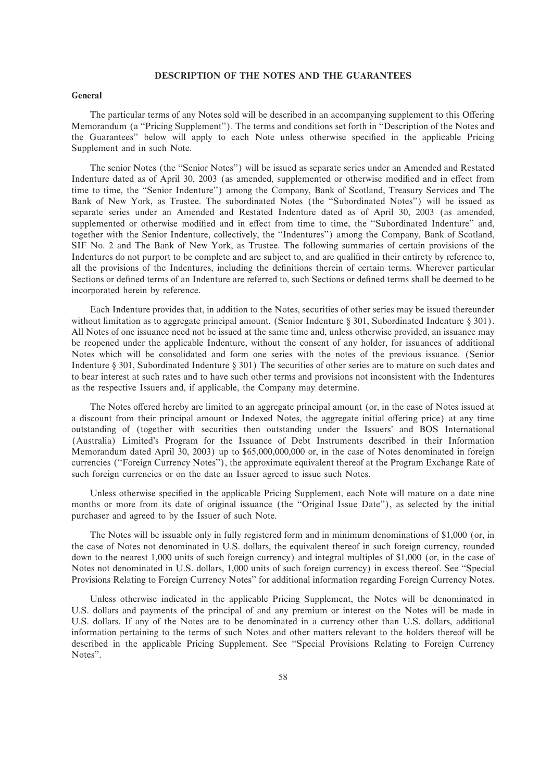# **DESCRIPTION OF THE NOTES AND THE GUARANTEES**

# **General**

The particular terms of any Notes sold will be described in an accompanying supplement to this Offering Memorandum (a "Pricing Supplement"). The terms and conditions set forth in "Description of the Notes and the Guarantees" below will apply to each Note unless otherwise specified in the applicable Pricing Supplement and in such Note.

The senior Notes (the ""Senior Notes'') will be issued as separate series under an Amended and Restated Indenture dated as of April 30, 2003 (as amended, supplemented or otherwise modified and in effect from time to time, the "Senior Indenture") among the Company, Bank of Scotland, Treasury Services and The Bank of New York, as Trustee. The subordinated Notes (the ""Subordinated Notes'') will be issued as separate series under an Amended and Restated Indenture dated as of April 30, 2003 (as amended, supplemented or otherwise modified and in effect from time to time, the "Subordinated Indenture" and, together with the Senior Indenture, collectively, the ""Indentures'') among the Company, Bank of Scotland, SIF No. 2 and The Bank of New York, as Trustee. The following summaries of certain provisions of the Indentures do not purport to be complete and are subject to, and are qualified in their entirety by reference to, all the provisions of the Indentures, including the definitions therein of certain terms. Wherever particular Sections or defined terms of an Indenture are referred to, such Sections or defined terms shall be deemed to be incorporated herein by reference.

Each Indenture provides that, in addition to the Notes, securities of other series may be issued thereunder without limitation as to aggregate principal amount. (Senior Indenture  $\S 301$ , Subordinated Indenture  $\S 301$ ). All Notes of one issuance need not be issued at the same time and, unless otherwise provided, an issuance may be reopened under the applicable Indenture, without the consent of any holder, for issuances of additional Notes which will be consolidated and form one series with the notes of the previous issuance. (Senior Indenture  $\S 301$ , Subordinated Indenture  $\S 301$ ) The securities of other series are to mature on such dates and to bear interest at such rates and to have such other terms and provisions not inconsistent with the Indentures as the respective Issuers and, if applicable, the Company may determine.

The Notes offered hereby are limited to an aggregate principal amount (or, in the case of Notes issued at a discount from their principal amount or Indexed Notes, the aggregate initial offering price) at any time outstanding of (together with securities then outstanding under the Issuers' and BOS International (Australia) Limited's Program for the Issuance of Debt Instruments described in their Information Memorandum dated April 30, 2003) up to \$65,000,000,000 or, in the case of Notes denominated in foreign currencies (""Foreign Currency Notes''), the approximate equivalent thereof at the Program Exchange Rate of such foreign currencies or on the date an Issuer agreed to issue such Notes.

Unless otherwise specified in the applicable Pricing Supplement, each Note will mature on a date nine months or more from its date of original issuance (the "Original Issue Date"), as selected by the initial purchaser and agreed to by the Issuer of such Note.

The Notes will be issuable only in fully registered form and in minimum denominations of \$1,000 (or, in the case of Notes not denominated in U.S. dollars, the equivalent thereof in such foreign currency, rounded down to the nearest 1,000 units of such foreign currency) and integral multiples of \$1,000 (or, in the case of Notes not denominated in U.S. dollars, 1,000 units of such foreign currency) in excess thereof. See "Special" Provisions Relating to Foreign Currency Notes'' for additional information regarding Foreign Currency Notes.

Unless otherwise indicated in the applicable Pricing Supplement, the Notes will be denominated in U.S. dollars and payments of the principal of and any premium or interest on the Notes will be made in U.S. dollars. If any of the Notes are to be denominated in a currency other than U.S. dollars, additional information pertaining to the terms of such Notes and other matters relevant to the holders thereof will be described in the applicable Pricing Supplement. See ""Special Provisions Relating to Foreign Currency Notes''.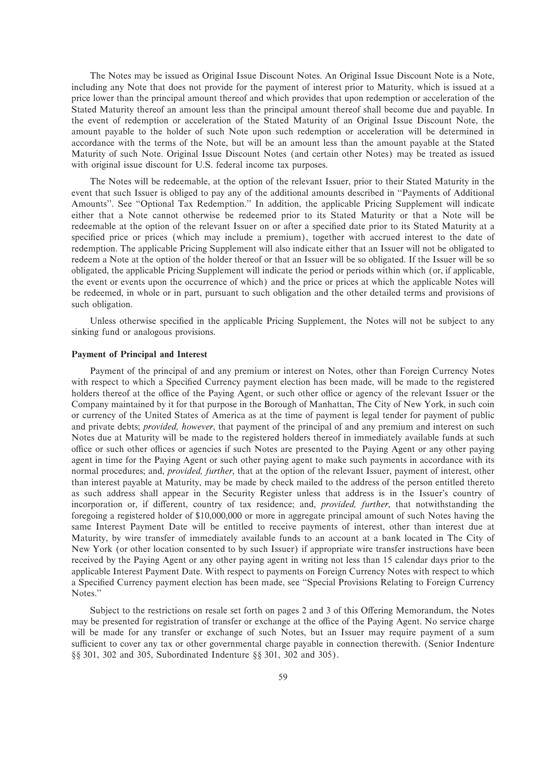The Notes may be issued as Original Issue Discount Notes. An Original Issue Discount Note is a Note, including any Note that does not provide for the payment of interest prior to Maturity, which is issued at a price lower than the principal amount thereof and which provides that upon redemption or acceleration of the Stated Maturity thereof an amount less than the principal amount thereof shall become due and payable. In the event of redemption or acceleration of the Stated Maturity of an Original Issue Discount Note, the amount payable to the holder of such Note upon such redemption or acceleration will be determined in accordance with the terms of the Note, but will be an amount less than the amount payable at the Stated Maturity of such Note. Original Issue Discount Notes (and certain other Notes) may be treated as issued with original issue discount for U.S. federal income tax purposes.

The Notes will be redeemable, at the option of the relevant Issuer, prior to their Stated Maturity in the event that such Issuer is obliged to pay any of the additional amounts described in ""Payments of Additional Amounts". See "Optional Tax Redemption." In addition, the applicable Pricing Supplement will indicate either that a Note cannot otherwise be redeemed prior to its Stated Maturity or that a Note will be redeemable at the option of the relevant Issuer on or after a specified date prior to its Stated Maturity at a specified price or prices (which may include a premium), together with accrued interest to the date of redemption. The applicable Pricing Supplement will also indicate either that an Issuer will not be obligated to redeem a Note at the option of the holder thereof or that an Issuer will be so obligated. If the Issuer will be so obligated, the applicable Pricing Supplement will indicate the period or periods within which (or, if applicable, the event or events upon the occurrence of which) and the price or prices at which the applicable Notes will be redeemed, in whole or in part, pursuant to such obligation and the other detailed terms and provisions of such obligation.

Unless otherwise specified in the applicable Pricing Supplement, the Notes will not be subject to any sinking fund or analogous provisions.

#### **Payment of Principal and Interest**

Payment of the principal of and any premium or interest on Notes, other than Foreign Currency Notes with respect to which a Specified Currency payment election has been made, will be made to the registered holders thereof at the office of the Paying Agent, or such other office or agency of the relevant Issuer or the Company maintained by it for that purpose in the Borough of Manhattan, The City of New York, in such coin or currency of the United States of America as at the time of payment is legal tender for payment of public and private debts; *provided, however*, that payment of the principal of and any premium and interest on such Notes due at Maturity will be made to the registered holders thereof in immediately available funds at such office or such other offices or agencies if such Notes are presented to the Paying Agent or any other paying agent in time for the Paying Agent or such other paying agent to make such payments in accordance with its normal procedures; and, *provided, further*, that at the option of the relevant Issuer, payment of interest, other than interest payable at Maturity, may be made by check mailed to the address of the person entitled thereto as such address shall appear in the Security Register unless that address is in the Issuer's country of incorporation or, if different, country of tax residence; and, *provided, further*, that notwithstanding the foregoing a registered holder of \$10,000,000 or more in aggregate principal amount of such Notes having the same Interest Payment Date will be entitled to receive payments of interest, other than interest due at Maturity, by wire transfer of immediately available funds to an account at a bank located in The City of New York (or other location consented to by such Issuer) if appropriate wire transfer instructions have been received by the Paying Agent or any other paying agent in writing not less than 15 calendar days prior to the applicable Interest Payment Date. With respect to payments on Foreign Currency Notes with respect to which a Specified Currency payment election has been made, see "Special Provisions Relating to Foreign Currency Notes.''

Subject to the restrictions on resale set forth on pages 2 and 3 of this Offering Memorandum, the Notes may be presented for registration of transfer or exchange at the office of the Paying Agent. No service charge will be made for any transfer or exchange of such Notes, but an Issuer may require payment of a sum sufficient to cover any tax or other governmental charge payable in connection therewith. (Senior Indenture §§ 301, 302 and 305, Subordinated Indenture §§ 301, 302 and 305).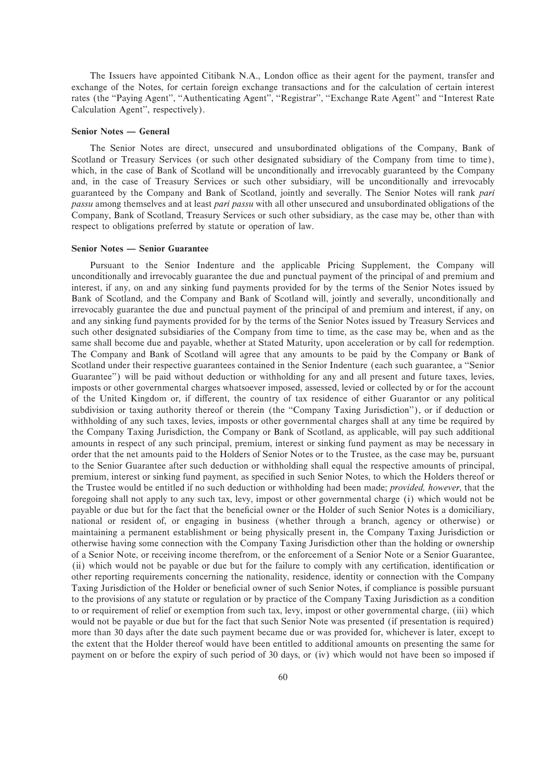The Issuers have appointed Citibank N.A., London office as their agent for the payment, transfer and exchange of the Notes, for certain foreign exchange transactions and for the calculation of certain interest rates (the "Paying Agent", "Authenticating Agent", "Registrar", "Exchange Rate Agent" and "Interest Rate Calculation Agent'', respectively).

#### **Senior Notes — General**

The Senior Notes are direct, unsecured and unsubordinated obligations of the Company, Bank of Scotland or Treasury Services (or such other designated subsidiary of the Company from time to time), which, in the case of Bank of Scotland will be unconditionally and irrevocably guaranteed by the Company and, in the case of Treasury Services or such other subsidiary, will be unconditionally and irrevocably guaranteed by the Company and Bank of Scotland, jointly and severally. The Senior Notes will rank *pari passu* among themselves and at least *pari passu* with all other unsecured and unsubordinated obligations of the Company, Bank of Scotland, Treasury Services or such other subsidiary, as the case may be, other than with respect to obligations preferred by statute or operation of law.

# **Senior Notes — Senior Guarantee**

Pursuant to the Senior Indenture and the applicable Pricing Supplement, the Company will unconditionally and irrevocably guarantee the due and punctual payment of the principal of and premium and interest, if any, on and any sinking fund payments provided for by the terms of the Senior Notes issued by Bank of Scotland, and the Company and Bank of Scotland will, jointly and severally, unconditionally and irrevocably guarantee the due and punctual payment of the principal of and premium and interest, if any, on and any sinking fund payments provided for by the terms of the Senior Notes issued by Treasury Services and such other designated subsidiaries of the Company from time to time, as the case may be, when and as the same shall become due and payable, whether at Stated Maturity, upon acceleration or by call for redemption. The Company and Bank of Scotland will agree that any amounts to be paid by the Company or Bank of Scotland under their respective guarantees contained in the Senior Indenture (each such guarantee, a ""Senior Guarantee'') will be paid without deduction or withholding for any and all present and future taxes, levies, imposts or other governmental charges whatsoever imposed, assessed, levied or collected by or for the account of the United Kingdom or, if different, the country of tax residence of either Guarantor or any political subdivision or taxing authority thereof or therein (the "Company Taxing Jurisdiction"), or if deduction or withholding of any such taxes, levies, imposts or other governmental charges shall at any time be required by the Company Taxing Jurisdiction, the Company or Bank of Scotland, as applicable, will pay such additional amounts in respect of any such principal, premium, interest or sinking fund payment as may be necessary in order that the net amounts paid to the Holders of Senior Notes or to the Trustee, as the case may be, pursuant to the Senior Guarantee after such deduction or withholding shall equal the respective amounts of principal, premium, interest or sinking fund payment, as specified in such Senior Notes, to which the Holders thereof or the Trustee would be entitled if no such deduction or withholding had been made; *provided, however*, that the foregoing shall not apply to any such tax, levy, impost or other governmental charge (i) which would not be payable or due but for the fact that the beneficial owner or the Holder of such Senior Notes is a domiciliary, national or resident of, or engaging in business (whether through a branch, agency or otherwise) or maintaining a permanent establishment or being physically present in, the Company Taxing Jurisdiction or otherwise having some connection with the Company Taxing Jurisdiction other than the holding or ownership of a Senior Note, or receiving income therefrom, or the enforcement of a Senior Note or a Senior Guarantee, (ii) which would not be payable or due but for the failure to comply with any certification, identification or other reporting requirements concerning the nationality, residence, identity or connection with the Company Taxing Jurisdiction of the Holder or beneficial owner of such Senior Notes, if compliance is possible pursuant to the provisions of any statute or regulation or by practice of the Company Taxing Jurisdiction as a condition to or requirement of relief or exemption from such tax, levy, impost or other governmental charge, (iii) which would not be payable or due but for the fact that such Senior Note was presented (if presentation is required) more than 30 days after the date such payment became due or was provided for, whichever is later, except to the extent that the Holder thereof would have been entitled to additional amounts on presenting the same for payment on or before the expiry of such period of 30 days, or (iv) which would not have been so imposed if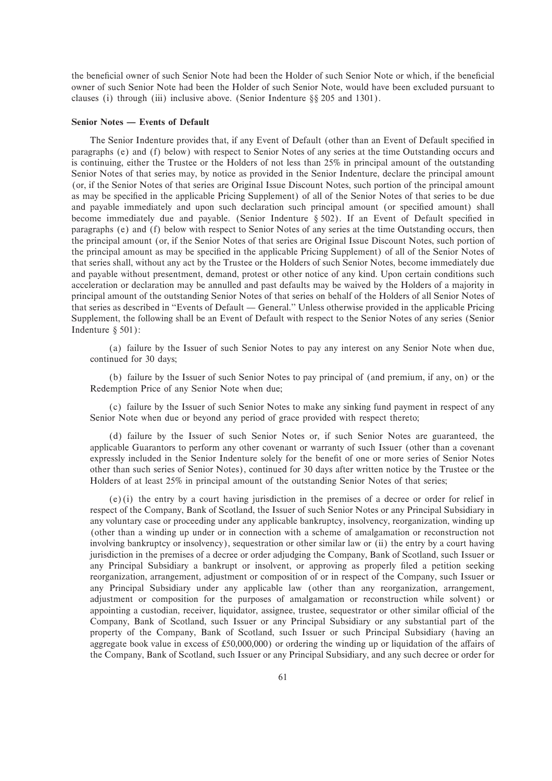the beneficial owner of such Senior Note had been the Holder of such Senior Note or which, if the beneficial owner of such Senior Note had been the Holder of such Senior Note, would have been excluded pursuant to clauses (i) through (iii) inclusive above. (Senior Indenture  $\S$ § 205 and 1301).

# **Senior Notes — Events of Default**

The Senior Indenture provides that, if any Event of Default (other than an Event of Default specified in paragraphs (e) and (f) below) with respect to Senior Notes of any series at the time Outstanding occurs and is continuing, either the Trustee or the Holders of not less than 25% in principal amount of the outstanding Senior Notes of that series may, by notice as provided in the Senior Indenture, declare the principal amount (or, if the Senior Notes of that series are Original Issue Discount Notes, such portion of the principal amount as may be specified in the applicable Pricing Supplement) of all of the Senior Notes of that series to be due and payable immediately and upon such declaration such principal amount (or specified amount) shall become immediately due and payable. (Senior Indenture  $§$  502). If an Event of Default specified in paragraphs (e) and (f) below with respect to Senior Notes of any series at the time Outstanding occurs, then the principal amount (or, if the Senior Notes of that series are Original Issue Discount Notes, such portion of the principal amount as may be specified in the applicable Pricing Supplement) of all of the Senior Notes of that series shall, without any act by the Trustee or the Holders of such Senior Notes, become immediately due and payable without presentment, demand, protest or other notice of any kind. Upon certain conditions such acceleration or declaration may be annulled and past defaults may be waived by the Holders of a majority in principal amount of the outstanding Senior Notes of that series on behalf of the Holders of all Senior Notes of that series as described in "Events of Default — General." Unless otherwise provided in the applicable Pricing Supplement, the following shall be an Event of Default with respect to the Senior Notes of any series (Senior Indenture  $§ 501$ :

(a) failure by the Issuer of such Senior Notes to pay any interest on any Senior Note when due, continued for 30 days;

(b) failure by the Issuer of such Senior Notes to pay principal of (and premium, if any, on) or the Redemption Price of any Senior Note when due;

(c) failure by the Issuer of such Senior Notes to make any sinking fund payment in respect of any Senior Note when due or beyond any period of grace provided with respect thereto;

(d) failure by the Issuer of such Senior Notes or, if such Senior Notes are guaranteed, the applicable Guarantors to perform any other covenant or warranty of such Issuer (other than a covenant expressly included in the Senior Indenture solely for the benefit of one or more series of Senior Notes other than such series of Senior Notes), continued for 30 days after written notice by the Trustee or the Holders of at least 25% in principal amount of the outstanding Senior Notes of that series;

(e)(i) the entry by a court having jurisdiction in the premises of a decree or order for relief in respect of the Company, Bank of Scotland, the Issuer of such Senior Notes or any Principal Subsidiary in any voluntary case or proceeding under any applicable bankruptcy, insolvency, reorganization, winding up (other than a winding up under or in connection with a scheme of amalgamation or reconstruction not involving bankruptcy or insolvency), sequestration or other similar law or (ii) the entry by a court having jurisdiction in the premises of a decree or order adjudging the Company, Bank of Scotland, such Issuer or any Principal Subsidiary a bankrupt or insolvent, or approving as properly Ñled a petition seeking reorganization, arrangement, adjustment or composition of or in respect of the Company, such Issuer or any Principal Subsidiary under any applicable law (other than any reorganization, arrangement, adjustment or composition for the purposes of amalgamation or reconstruction while solvent) or appointing a custodian, receiver, liquidator, assignee, trustee, sequestrator or other similar official of the Company, Bank of Scotland, such Issuer or any Principal Subsidiary or any substantial part of the property of the Company, Bank of Scotland, such Issuer or such Principal Subsidiary (having an aggregate book value in excess of £50,000,000) or ordering the winding up or liquidation of the affairs of the Company, Bank of Scotland, such Issuer or any Principal Subsidiary, and any such decree or order for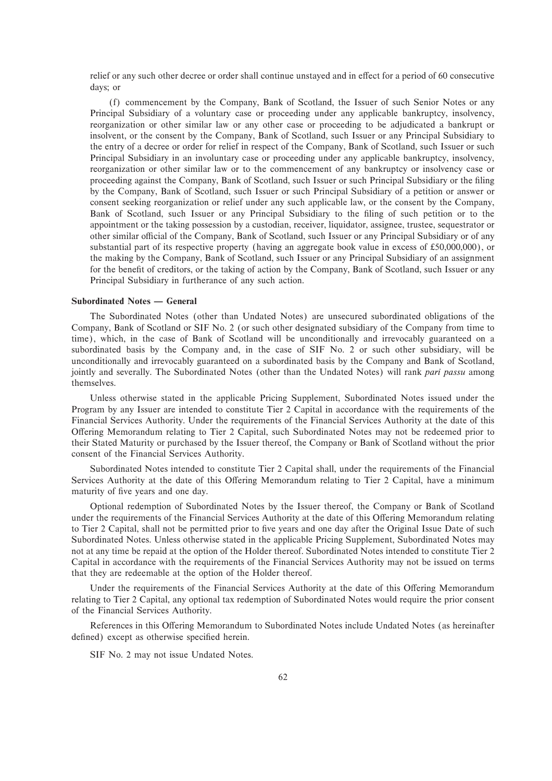relief or any such other decree or order shall continue unstayed and in effect for a period of 60 consecutive days; or

(f) commencement by the Company, Bank of Scotland, the Issuer of such Senior Notes or any Principal Subsidiary of a voluntary case or proceeding under any applicable bankruptcy, insolvency, reorganization or other similar law or any other case or proceeding to be adjudicated a bankrupt or insolvent, or the consent by the Company, Bank of Scotland, such Issuer or any Principal Subsidiary to the entry of a decree or order for relief in respect of the Company, Bank of Scotland, such Issuer or such Principal Subsidiary in an involuntary case or proceeding under any applicable bankruptcy, insolvency, reorganization or other similar law or to the commencement of any bankruptcy or insolvency case or proceeding against the Company, Bank of Scotland, such Issuer or such Principal Subsidiary or the filing by the Company, Bank of Scotland, such Issuer or such Principal Subsidiary of a petition or answer or consent seeking reorganization or relief under any such applicable law, or the consent by the Company, Bank of Scotland, such Issuer or any Principal Subsidiary to the filing of such petition or to the appointment or the taking possession by a custodian, receiver, liquidator, assignee, trustee, sequestrator or other similar official of the Company, Bank of Scotland, such Issuer or any Principal Subsidiary or of any substantial part of its respective property (having an aggregate book value in excess of £50,000,000), or the making by the Company, Bank of Scotland, such Issuer or any Principal Subsidiary of an assignment for the benefit of creditors, or the taking of action by the Company, Bank of Scotland, such Issuer or any Principal Subsidiary in furtherance of any such action.

# **Subordinated Notes — General**

The Subordinated Notes (other than Undated Notes) are unsecured subordinated obligations of the Company, Bank of Scotland or SIF No. 2 (or such other designated subsidiary of the Company from time to time), which, in the case of Bank of Scotland will be unconditionally and irrevocably guaranteed on a subordinated basis by the Company and, in the case of SIF No. 2 or such other subsidiary, will be unconditionally and irrevocably guaranteed on a subordinated basis by the Company and Bank of Scotland, jointly and severally. The Subordinated Notes (other than the Undated Notes) will rank *pari passu* among themselves.

Unless otherwise stated in the applicable Pricing Supplement, Subordinated Notes issued under the Program by any Issuer are intended to constitute Tier 2 Capital in accordance with the requirements of the Financial Services Authority. Under the requirements of the Financial Services Authority at the date of this Offering Memorandum relating to Tier 2 Capital, such Subordinated Notes may not be redeemed prior to their Stated Maturity or purchased by the Issuer thereof, the Company or Bank of Scotland without the prior consent of the Financial Services Authority.

Subordinated Notes intended to constitute Tier 2 Capital shall, under the requirements of the Financial Services Authority at the date of this Offering Memorandum relating to Tier 2 Capital, have a minimum maturity of five years and one day.

Optional redemption of Subordinated Notes by the Issuer thereof, the Company or Bank of Scotland under the requirements of the Financial Services Authority at the date of this Offering Memorandum relating to Tier 2 Capital, shall not be permitted prior to five years and one day after the Original Issue Date of such Subordinated Notes. Unless otherwise stated in the applicable Pricing Supplement, Subordinated Notes may not at any time be repaid at the option of the Holder thereof. Subordinated Notes intended to constitute Tier 2 Capital in accordance with the requirements of the Financial Services Authority may not be issued on terms that they are redeemable at the option of the Holder thereof.

Under the requirements of the Financial Services Authority at the date of this Offering Memorandum relating to Tier 2 Capital, any optional tax redemption of Subordinated Notes would require the prior consent of the Financial Services Authority.

References in this Offering Memorandum to Subordinated Notes include Undated Notes (as hereinafter defined) except as otherwise specified herein.

SIF No. 2 may not issue Undated Notes.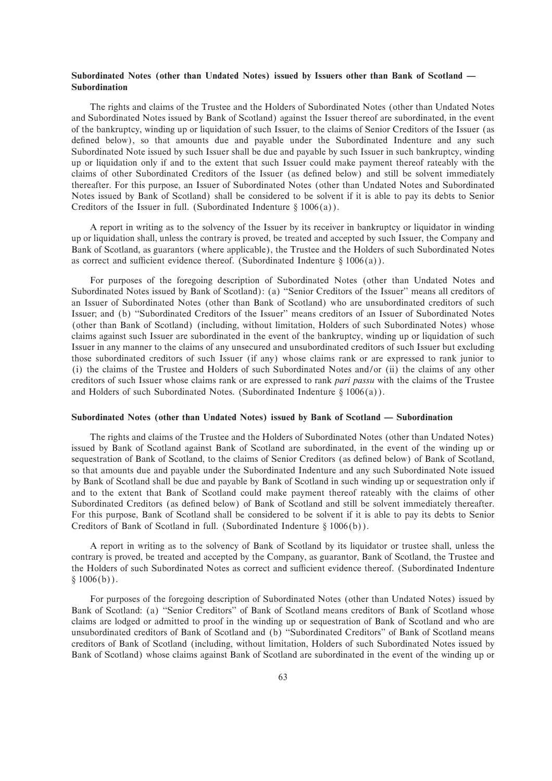# Subordinated Notes (other than Undated Notes) issued by Issuers other than Bank of Scotland — **Subordination**

The rights and claims of the Trustee and the Holders of Subordinated Notes (other than Undated Notes and Subordinated Notes issued by Bank of Scotland) against the Issuer thereof are subordinated, in the event of the bankruptcy, winding up or liquidation of such Issuer, to the claims of Senior Creditors of the Issuer (as defined below), so that amounts due and payable under the Subordinated Indenture and any such Subordinated Note issued by such Issuer shall be due and payable by such Issuer in such bankruptcy, winding up or liquidation only if and to the extent that such Issuer could make payment thereof rateably with the claims of other Subordinated Creditors of the Issuer (as deÑned below) and still be solvent immediately thereafter. For this purpose, an Issuer of Subordinated Notes (other than Undated Notes and Subordinated Notes issued by Bank of Scotland) shall be considered to be solvent if it is able to pay its debts to Senior Creditors of the Issuer in full. (Subordinated Indenture  $\S 1006(a)$ ).

A report in writing as to the solvency of the Issuer by its receiver in bankruptcy or liquidator in winding up or liquidation shall, unless the contrary is proved, be treated and accepted by such Issuer, the Company and Bank of Scotland, as guarantors (where applicable), the Trustee and the Holders of such Subordinated Notes as correct and sufficient evidence thereof. (Subordinated Indenture  $\S 1006(a)$ ).

For purposes of the foregoing description of Subordinated Notes (other than Undated Notes and Subordinated Notes issued by Bank of Scotland): (a) "Senior Creditors of the Issuer" means all creditors of an Issuer of Subordinated Notes (other than Bank of Scotland) who are unsubordinated creditors of such Issuer; and (b) "Subordinated Creditors of the Issuer" means creditors of an Issuer of Subordinated Notes (other than Bank of Scotland) (including, without limitation, Holders of such Subordinated Notes) whose claims against such Issuer are subordinated in the event of the bankruptcy, winding up or liquidation of such Issuer in any manner to the claims of any unsecured and unsubordinated creditors of such Issuer but excluding those subordinated creditors of such Issuer (if any) whose claims rank or are expressed to rank junior to (i) the claims of the Trustee and Holders of such Subordinated Notes and/or (ii) the claims of any other creditors of such Issuer whose claims rank or are expressed to rank *pari passu* with the claims of the Trustee and Holders of such Subordinated Notes. (Subordinated Indenture  $\S 1006(a)$ ).

## Subordinated Notes (other than Undated Notes) issued by Bank of Scotland — Subordination

The rights and claims of the Trustee and the Holders of Subordinated Notes (other than Undated Notes) issued by Bank of Scotland against Bank of Scotland are subordinated, in the event of the winding up or sequestration of Bank of Scotland, to the claims of Senior Creditors (as defined below) of Bank of Scotland, so that amounts due and payable under the Subordinated Indenture and any such Subordinated Note issued by Bank of Scotland shall be due and payable by Bank of Scotland in such winding up or sequestration only if and to the extent that Bank of Scotland could make payment thereof rateably with the claims of other Subordinated Creditors (as defined below) of Bank of Scotland and still be solvent immediately thereafter. For this purpose, Bank of Scotland shall be considered to be solvent if it is able to pay its debts to Senior Creditors of Bank of Scotland in full. (Subordinated Indenture  $\S 1006(b)$ ).

A report in writing as to the solvency of Bank of Scotland by its liquidator or trustee shall, unless the contrary is proved, be treated and accepted by the Company, as guarantor, Bank of Scotland, the Trustee and the Holders of such Subordinated Notes as correct and sufficient evidence thereof. (Subordinated Indenture  $§ 1006(b)$ .

For purposes of the foregoing description of Subordinated Notes (other than Undated Notes) issued by Bank of Scotland: (a) "Senior Creditors" of Bank of Scotland means creditors of Bank of Scotland whose claims are lodged or admitted to proof in the winding up or sequestration of Bank of Scotland and who are unsubordinated creditors of Bank of Scotland and (b) ""Subordinated Creditors'' of Bank of Scotland means creditors of Bank of Scotland (including, without limitation, Holders of such Subordinated Notes issued by Bank of Scotland) whose claims against Bank of Scotland are subordinated in the event of the winding up or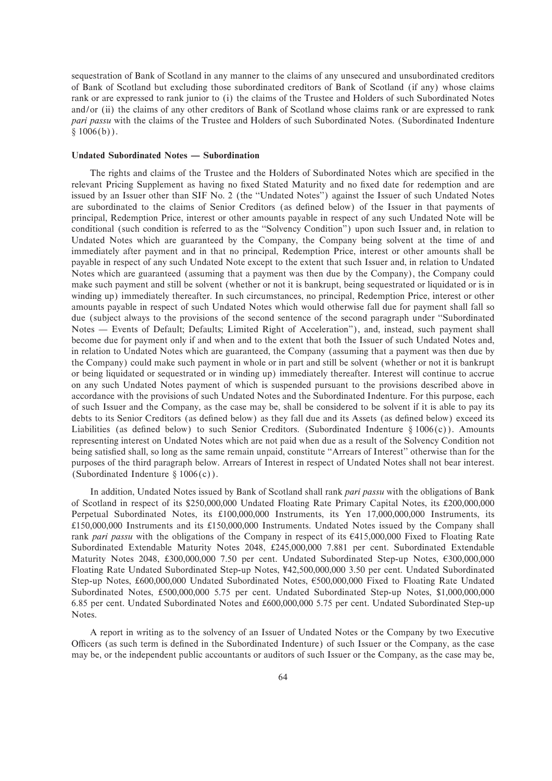sequestration of Bank of Scotland in any manner to the claims of any unsecured and unsubordinated creditors of Bank of Scotland but excluding those subordinated creditors of Bank of Scotland (if any) whose claims rank or are expressed to rank junior to (i) the claims of the Trustee and Holders of such Subordinated Notes and/or (ii) the claims of any other creditors of Bank of Scotland whose claims rank or are expressed to rank *pari passu* with the claims of the Trustee and Holders of such Subordinated Notes. (Subordinated Indenture  $§ 1006(b)$ .

#### **Undated Subordinated Notes — Subordination**

The rights and claims of the Trustee and the Holders of Subordinated Notes which are specified in the relevant Pricing Supplement as having no Ñxed Stated Maturity and no Ñxed date for redemption and are issued by an Issuer other than SIF No. 2 (the "Undated Notes") against the Issuer of such Undated Notes are subordinated to the claims of Senior Creditors (as defined below) of the Issuer in that payments of principal, Redemption Price, interest or other amounts payable in respect of any such Undated Note will be conditional (such condition is referred to as the ""Solvency Condition'') upon such Issuer and, in relation to Undated Notes which are guaranteed by the Company, the Company being solvent at the time of and immediately after payment and in that no principal, Redemption Price, interest or other amounts shall be payable in respect of any such Undated Note except to the extent that such Issuer and, in relation to Undated Notes which are guaranteed (assuming that a payment was then due by the Company), the Company could make such payment and still be solvent (whether or not it is bankrupt, being sequestrated or liquidated or is in winding up) immediately thereafter. In such circumstances, no principal, Redemption Price, interest or other amounts payable in respect of such Undated Notes which would otherwise fall due for payment shall fall so due (subject always to the provisions of the second sentence of the second paragraph under ""Subordinated Notes — Events of Default; Defaults; Limited Right of Acceleration''), and, instead, such payment shall become due for payment only if and when and to the extent that both the Issuer of such Undated Notes and, in relation to Undated Notes which are guaranteed, the Company (assuming that a payment was then due by the Company) could make such payment in whole or in part and still be solvent (whether or not it is bankrupt or being liquidated or sequestrated or in winding up) immediately thereafter. Interest will continue to accrue on any such Undated Notes payment of which is suspended pursuant to the provisions described above in accordance with the provisions of such Undated Notes and the Subordinated Indenture. For this purpose, each of such Issuer and the Company, as the case may be, shall be considered to be solvent if it is able to pay its debts to its Senior Creditors (as defined below) as they fall due and its Assets (as defined below) exceed its Liabilities (as defined below) to such Senior Creditors. (Subordinated Indenture  $\S 1006(c)$ ). Amounts representing interest on Undated Notes which are not paid when due as a result of the Solvency Condition not being satisfied shall, so long as the same remain unpaid, constitute "Arrears of Interest" otherwise than for the purposes of the third paragraph below. Arrears of Interest in respect of Undated Notes shall not bear interest. (Subordinated Indenture  $\{1006(c)\}.$ 

In addition, Undated Notes issued by Bank of Scotland shall rank *pari passu* with the obligations of Bank of Scotland in respect of its \$250,000,000 Undated Floating Rate Primary Capital Notes, its 200,000,000 Perpetual Subordinated Notes, its £100,000,000 Instruments, its Yen 17,000,000,000 Instruments, its  $£150,000,000$  Instruments and its £150,000,000 Instruments. Undated Notes issued by the Company shall rank *pari passu* with the obligations of the Company in respect of its  $\epsilon$ 415,000,000 Fixed to Floating Rate Subordinated Extendable Maturity Notes 2048, 245,000,000 7.881 per cent. Subordinated Extendable Maturity Notes 2048, £300,000,000 7.50 per cent. Undated Subordinated Step-up Notes,  $\epsilon$ 300,000,000 Floating Rate Undated Subordinated Step-up Notes, ¥42,500,000,000 3.50 per cent. Undated Subordinated Step-up Notes, £600,000,000 Undated Subordinated Notes, £500,000,000 Fixed to Floating Rate Undated Subordinated Notes, 500,000,000 5.75 per cent. Undated Subordinated Step-up Notes, \$1,000,000,000 6.85 per cent. Undated Subordinated Notes and 600,000,000 5.75 per cent. Undated Subordinated Step-up Notes.

A report in writing as to the solvency of an Issuer of Undated Notes or the Company by two Executive Officers (as such term is defined in the Subordinated Indenture) of such Issuer or the Company, as the case may be, or the independent public accountants or auditors of such Issuer or the Company, as the case may be,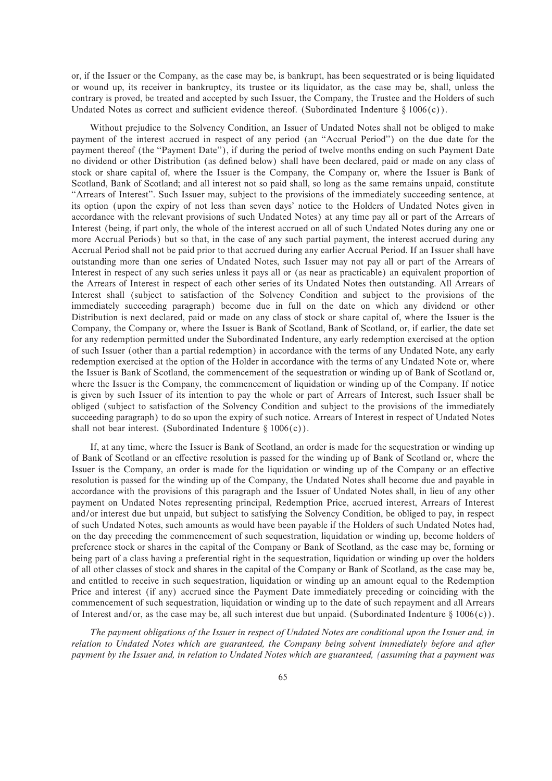or, if the Issuer or the Company, as the case may be, is bankrupt, has been sequestrated or is being liquidated or wound up, its receiver in bankruptcy, its trustee or its liquidator, as the case may be, shall, unless the contrary is proved, be treated and accepted by such Issuer, the Company, the Trustee and the Holders of such Undated Notes as correct and sufficient evidence thereof. (Subordinated Indenture  $\S 1006(c)$ ).

Without prejudice to the Solvency Condition, an Issuer of Undated Notes shall not be obliged to make payment of the interest accrued in respect of any period (an ""Accrual Period'') on the due date for the payment thereof (the "Payment Date"), if during the period of twelve months ending on such Payment Date no dividend or other Distribution (as defined below) shall have been declared, paid or made on any class of stock or share capital of, where the Issuer is the Company, the Company or, where the Issuer is Bank of Scotland, Bank of Scotland; and all interest not so paid shall, so long as the same remains unpaid, constitute "Arrears of Interest". Such Issuer may, subject to the provisions of the immediately succeeding sentence, at its option (upon the expiry of not less than seven days' notice to the Holders of Undated Notes given in accordance with the relevant provisions of such Undated Notes) at any time pay all or part of the Arrears of Interest (being, if part only, the whole of the interest accrued on all of such Undated Notes during any one or more Accrual Periods) but so that, in the case of any such partial payment, the interest accrued during any Accrual Period shall not be paid prior to that accrued during any earlier Accrual Period. If an Issuer shall have outstanding more than one series of Undated Notes, such Issuer may not pay all or part of the Arrears of Interest in respect of any such series unless it pays all or (as near as practicable) an equivalent proportion of the Arrears of Interest in respect of each other series of its Undated Notes then outstanding. All Arrears of Interest shall (subject to satisfaction of the Solvency Condition and subject to the provisions of the immediately succeeding paragraph) become due in full on the date on which any dividend or other Distribution is next declared, paid or made on any class of stock or share capital of, where the Issuer is the Company, the Company or, where the Issuer is Bank of Scotland, Bank of Scotland, or, if earlier, the date set for any redemption permitted under the Subordinated Indenture, any early redemption exercised at the option of such Issuer (other than a partial redemption) in accordance with the terms of any Undated Note, any early redemption exercised at the option of the Holder in accordance with the terms of any Undated Note or, where the Issuer is Bank of Scotland, the commencement of the sequestration or winding up of Bank of Scotland or, where the Issuer is the Company, the commencement of liquidation or winding up of the Company. If notice is given by such Issuer of its intention to pay the whole or part of Arrears of Interest, such Issuer shall be obliged (subject to satisfaction of the Solvency Condition and subject to the provisions of the immediately succeeding paragraph) to do so upon the expiry of such notice. Arrears of Interest in respect of Undated Notes shall not bear interest. (Subordinated Indenture  $\S 1006(c)$ ).

If, at any time, where the Issuer is Bank of Scotland, an order is made for the sequestration or winding up of Bank of Scotland or an effective resolution is passed for the winding up of Bank of Scotland or, where the Issuer is the Company, an order is made for the liquidation or winding up of the Company or an effective resolution is passed for the winding up of the Company, the Undated Notes shall become due and payable in accordance with the provisions of this paragraph and the Issuer of Undated Notes shall, in lieu of any other payment on Undated Notes representing principal, Redemption Price, accrued interest, Arrears of Interest and/or interest due but unpaid, but subject to satisfying the Solvency Condition, be obliged to pay, in respect of such Undated Notes, such amounts as would have been payable if the Holders of such Undated Notes had, on the day preceding the commencement of such sequestration, liquidation or winding up, become holders of preference stock or shares in the capital of the Company or Bank of Scotland, as the case may be, forming or being part of a class having a preferential right in the sequestration, liquidation or winding up over the holders of all other classes of stock and shares in the capital of the Company or Bank of Scotland, as the case may be, and entitled to receive in such sequestration, liquidation or winding up an amount equal to the Redemption Price and interest (if any) accrued since the Payment Date immediately preceding or coinciding with the commencement of such sequestration, liquidation or winding up to the date of such repayment and all Arrears of Interest and/or, as the case may be, all such interest due but unpaid. (Subordinated Indenture  $\S 1006(c)$ ).

*The payment obligations of the Issuer in respect of Undated Notes are conditional upon the Issuer and, in relation to Undated Notes which are guaranteed, the Company being solvent immediately before and after payment by the Issuer and, in relation to Undated Notes which are guaranteed, (assuming that a payment was*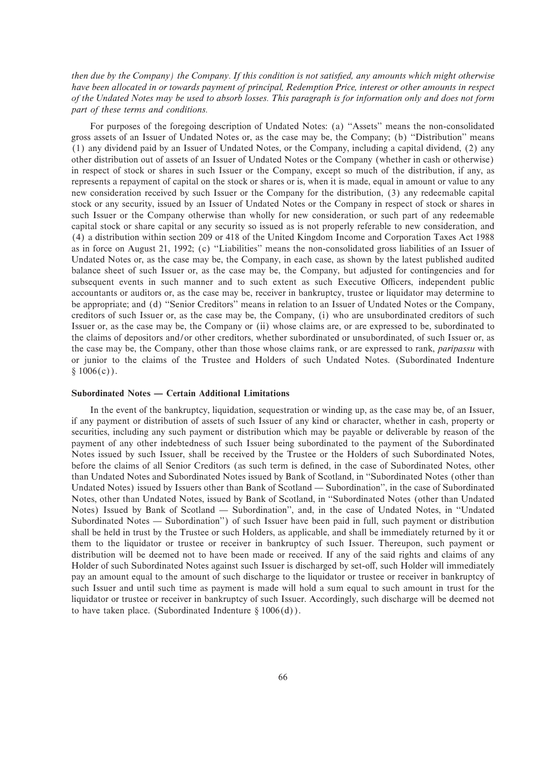*then due by the Company) the Company. If this condition is not satisfied, any amounts which might otherwise have been allocated in or towards payment of principal, Redemption Price, interest or other amounts in respect of the Undated Notes may be used to absorb losses. This paragraph is for information only and does not form part of these terms and conditions.*

For purposes of the foregoing description of Undated Notes: (a) "Assets" means the non-consolidated gross assets of an Issuer of Undated Notes or, as the case may be, the Company; (b) "Distribution" means (1) any dividend paid by an Issuer of Undated Notes, or the Company, including a capital dividend, (2) any other distribution out of assets of an Issuer of Undated Notes or the Company (whether in cash or otherwise) in respect of stock or shares in such Issuer or the Company, except so much of the distribution, if any, as represents a repayment of capital on the stock or shares or is, when it is made, equal in amount or value to any new consideration received by such Issuer or the Company for the distribution, (3) any redeemable capital stock or any security, issued by an Issuer of Undated Notes or the Company in respect of stock or shares in such Issuer or the Company otherwise than wholly for new consideration, or such part of any redeemable capital stock or share capital or any security so issued as is not properly referable to new consideration, and (4) a distribution within section 209 or 418 of the United Kingdom Income and Corporation Taxes Act 1988 as in force on August 21, 1992; (c) "Liabilities" means the non-consolidated gross liabilities of an Issuer of Undated Notes or, as the case may be, the Company, in each case, as shown by the latest published audited balance sheet of such Issuer or, as the case may be, the Company, but adjusted for contingencies and for subsequent events in such manner and to such extent as such Executive Officers, independent public accountants or auditors or, as the case may be, receiver in bankruptcy, trustee or liquidator may determine to be appropriate; and (d) "Senior Creditors" means in relation to an Issuer of Undated Notes or the Company, creditors of such Issuer or, as the case may be, the Company, (i) who are unsubordinated creditors of such Issuer or, as the case may be, the Company or (ii) whose claims are, or are expressed to be, subordinated to the claims of depositors and/or other creditors, whether subordinated or unsubordinated, of such Issuer or, as the case may be, the Company, other than those whose claims rank, or are expressed to rank, *paripassu* with or junior to the claims of the Trustee and Holders of such Undated Notes. (Subordinated Indenture  $§ 1006(c)$ .

## **Subordinated Notes — Certain Additional Limitations**

In the event of the bankruptcy, liquidation, sequestration or winding up, as the case may be, of an Issuer, if any payment or distribution of assets of such Issuer of any kind or character, whether in cash, property or securities, including any such payment or distribution which may be payable or deliverable by reason of the payment of any other indebtedness of such Issuer being subordinated to the payment of the Subordinated Notes issued by such Issuer, shall be received by the Trustee or the Holders of such Subordinated Notes, before the claims of all Senior Creditors (as such term is defined, in the case of Subordinated Notes, other than Undated Notes and Subordinated Notes issued by Bank of Scotland, in ""Subordinated Notes (other than Undated Notes) issued by Issuers other than Bank of Scotland — Subordination'', in the case of Subordinated Notes, other than Undated Notes, issued by Bank of Scotland, in ""Subordinated Notes (other than Undated Notes) Issued by Bank of Scotland - Subordination", and, in the case of Undated Notes, in "Undated Subordinated Notes — Subordination") of such Issuer have been paid in full, such payment or distribution shall be held in trust by the Trustee or such Holders, as applicable, and shall be immediately returned by it or them to the liquidator or trustee or receiver in bankruptcy of such Issuer. Thereupon, such payment or distribution will be deemed not to have been made or received. If any of the said rights and claims of any Holder of such Subordinated Notes against such Issuer is discharged by set-off, such Holder will immediately pay an amount equal to the amount of such discharge to the liquidator or trustee or receiver in bankruptcy of such Issuer and until such time as payment is made will hold a sum equal to such amount in trust for the liquidator or trustee or receiver in bankruptcy of such Issuer. Accordingly, such discharge will be deemed not to have taken place. (Subordinated Indenture  $\S 1006(d)$ ).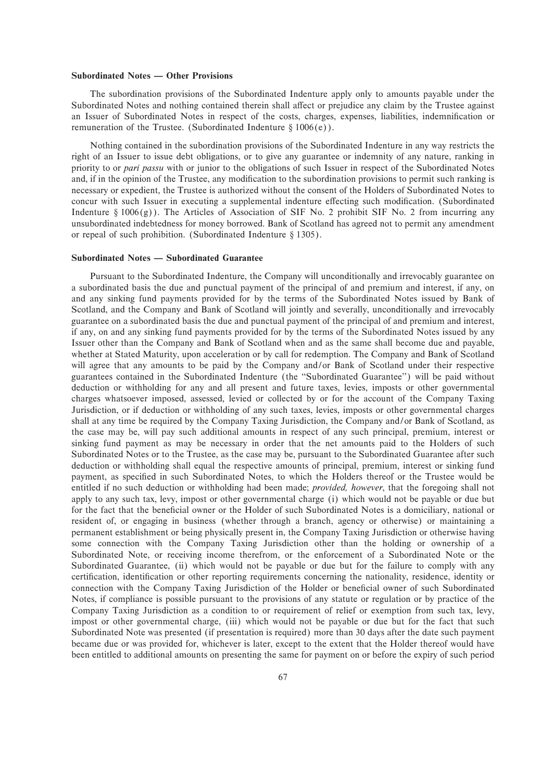# **Subordinated Notes — Other Provisions**

The subordination provisions of the Subordinated Indenture apply only to amounts payable under the Subordinated Notes and nothing contained therein shall affect or prejudice any claim by the Trustee against an Issuer of Subordinated Notes in respect of the costs, charges, expenses, liabilities, indemnification or remuneration of the Trustee. (Subordinated Indenture  $\S 1006(e)$ ).

Nothing contained in the subordination provisions of the Subordinated Indenture in any way restricts the right of an Issuer to issue debt obligations, or to give any guarantee or indemnity of any nature, ranking in priority to or *pari passu* with or junior to the obligations of such Issuer in respect of the Subordinated Notes and, if in the opinion of the Trustee, any modification to the subordination provisions to permit such ranking is necessary or expedient, the Trustee is authorized without the consent of the Holders of Subordinated Notes to concur with such Issuer in executing a supplemental indenture effecting such modification. (Subordinated Indenture §  $1006(g)$ ). The Articles of Association of SIF No. 2 prohibit SIF No. 2 from incurring any unsubordinated indebtedness for money borrowed. Bank of Scotland has agreed not to permit any amendment or repeal of such prohibition. (Subordinated Indenture  $\S$  1305).

# **Subordinated Notes – Subordinated Guarantee**

Pursuant to the Subordinated Indenture, the Company will unconditionally and irrevocably guarantee on a subordinated basis the due and punctual payment of the principal of and premium and interest, if any, on and any sinking fund payments provided for by the terms of the Subordinated Notes issued by Bank of Scotland, and the Company and Bank of Scotland will jointly and severally, unconditionally and irrevocably guarantee on a subordinated basis the due and punctual payment of the principal of and premium and interest, if any, on and any sinking fund payments provided for by the terms of the Subordinated Notes issued by any Issuer other than the Company and Bank of Scotland when and as the same shall become due and payable, whether at Stated Maturity, upon acceleration or by call for redemption. The Company and Bank of Scotland will agree that any amounts to be paid by the Company and/or Bank of Scotland under their respective guarantees contained in the Subordinated Indenture (the ""Subordinated Guarantee'') will be paid without deduction or withholding for any and all present and future taxes, levies, imposts or other governmental charges whatsoever imposed, assessed, levied or collected by or for the account of the Company Taxing Jurisdiction, or if deduction or withholding of any such taxes, levies, imposts or other governmental charges shall at any time be required by the Company Taxing Jurisdiction, the Company and/or Bank of Scotland, as the case may be, will pay such additional amounts in respect of any such principal, premium, interest or sinking fund payment as may be necessary in order that the net amounts paid to the Holders of such Subordinated Notes or to the Trustee, as the case may be, pursuant to the Subordinated Guarantee after such deduction or withholding shall equal the respective amounts of principal, premium, interest or sinking fund payment, as specified in such Subordinated Notes, to which the Holders thereof or the Trustee would be entitled if no such deduction or withholding had been made; *provided, however*, that the foregoing shall not apply to any such tax, levy, impost or other governmental charge (i) which would not be payable or due but for the fact that the beneficial owner or the Holder of such Subordinated Notes is a domiciliary, national or resident of, or engaging in business (whether through a branch, agency or otherwise) or maintaining a permanent establishment or being physically present in, the Company Taxing Jurisdiction or otherwise having some connection with the Company Taxing Jurisdiction other than the holding or ownership of a Subordinated Note, or receiving income therefrom, or the enforcement of a Subordinated Note or the Subordinated Guarantee, (ii) which would not be payable or due but for the failure to comply with any certification, identification or other reporting requirements concerning the nationality, residence, identity or connection with the Company Taxing Jurisdiction of the Holder or beneficial owner of such Subordinated Notes, if compliance is possible pursuant to the provisions of any statute or regulation or by practice of the Company Taxing Jurisdiction as a condition to or requirement of relief or exemption from such tax, levy, impost or other governmental charge, (iii) which would not be payable or due but for the fact that such Subordinated Note was presented (if presentation is required) more than 30 days after the date such payment became due or was provided for, whichever is later, except to the extent that the Holder thereof would have been entitled to additional amounts on presenting the same for payment on or before the expiry of such period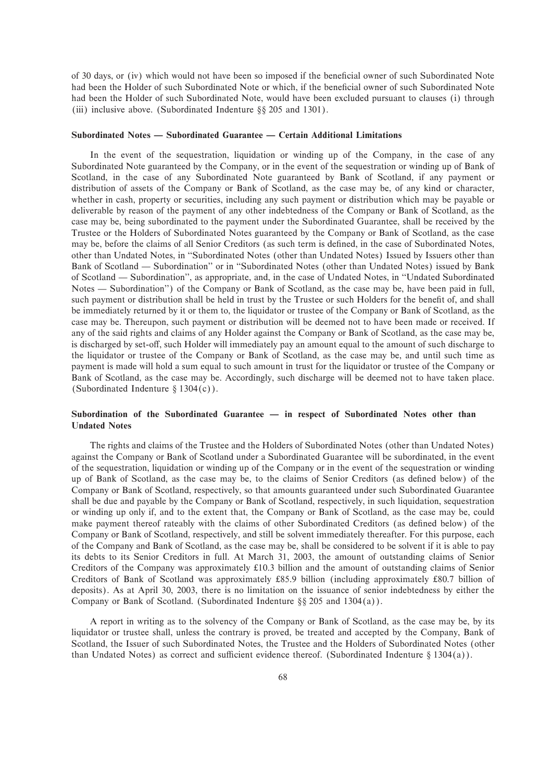of 30 days, or (iv) which would not have been so imposed if the beneficial owner of such Subordinated Note had been the Holder of such Subordinated Note or which, if the beneficial owner of such Subordinated Note had been the Holder of such Subordinated Note, would have been excluded pursuant to clauses (i) through (iii) inclusive above. (Subordinated Indenture  $\S$ § 205 and 1301).

#### **Subordinated Notes — Subordinated Guarantee — Certain Additional Limitations**

In the event of the sequestration, liquidation or winding up of the Company, in the case of any Subordinated Note guaranteed by the Company, or in the event of the sequestration or winding up of Bank of Scotland, in the case of any Subordinated Note guaranteed by Bank of Scotland, if any payment or distribution of assets of the Company or Bank of Scotland, as the case may be, of any kind or character, whether in cash, property or securities, including any such payment or distribution which may be payable or deliverable by reason of the payment of any other indebtedness of the Company or Bank of Scotland, as the case may be, being subordinated to the payment under the Subordinated Guarantee, shall be received by the Trustee or the Holders of Subordinated Notes guaranteed by the Company or Bank of Scotland, as the case may be, before the claims of all Senior Creditors (as such term is defined, in the case of Subordinated Notes, other than Undated Notes, in ""Subordinated Notes (other than Undated Notes) Issued by Issuers other than Bank of Scotland — Subordination" or in "Subordinated Notes (other than Undated Notes) issued by Bank of Scotland — Subordination'', as appropriate, and, in the case of Undated Notes, in "Undated Subordinated Notes — Subordination'') of the Company or Bank of Scotland, as the case may be, have been paid in full, such payment or distribution shall be held in trust by the Trustee or such Holders for the benefit of, and shall be immediately returned by it or them to, the liquidator or trustee of the Company or Bank of Scotland, as the case may be. Thereupon, such payment or distribution will be deemed not to have been made or received. If any of the said rights and claims of any Holder against the Company or Bank of Scotland, as the case may be, is discharged by set-off, such Holder will immediately pay an amount equal to the amount of such discharge to the liquidator or trustee of the Company or Bank of Scotland, as the case may be, and until such time as payment is made will hold a sum equal to such amount in trust for the liquidator or trustee of the Company or Bank of Scotland, as the case may be. Accordingly, such discharge will be deemed not to have taken place. (Subordinated Indenture §  $1304(c)$ ).

# Subordination of the Subordinated Guarantee — in respect of Subordinated Notes other than **Undated Notes**

The rights and claims of the Trustee and the Holders of Subordinated Notes (other than Undated Notes) against the Company or Bank of Scotland under a Subordinated Guarantee will be subordinated, in the event of the sequestration, liquidation or winding up of the Company or in the event of the sequestration or winding up of Bank of Scotland, as the case may be, to the claims of Senior Creditors (as deÑned below) of the Company or Bank of Scotland, respectively, so that amounts guaranteed under such Subordinated Guarantee shall be due and payable by the Company or Bank of Scotland, respectively, in such liquidation, sequestration or winding up only if, and to the extent that, the Company or Bank of Scotland, as the case may be, could make payment thereof rateably with the claims of other Subordinated Creditors (as defined below) of the Company or Bank of Scotland, respectively, and still be solvent immediately thereafter. For this purpose, each of the Company and Bank of Scotland, as the case may be, shall be considered to be solvent if it is able to pay its debts to its Senior Creditors in full. At March 31, 2003, the amount of outstanding claims of Senior Creditors of the Company was approximately 10.3 billion and the amount of outstanding claims of Senior Creditors of Bank of Scotland was approximately 85.9 billion (including approximately 80.7 billion of deposits). As at April 30, 2003, there is no limitation on the issuance of senior indebtedness by either the Company or Bank of Scotland. (Subordinated Indenture  $\S$  205 and 1304(a)).

A report in writing as to the solvency of the Company or Bank of Scotland, as the case may be, by its liquidator or trustee shall, unless the contrary is proved, be treated and accepted by the Company, Bank of Scotland, the Issuer of such Subordinated Notes, the Trustee and the Holders of Subordinated Notes (other than Undated Notes) as correct and sufficient evidence thereof. (Subordinated Indenture  $\S 1304(a)$ ).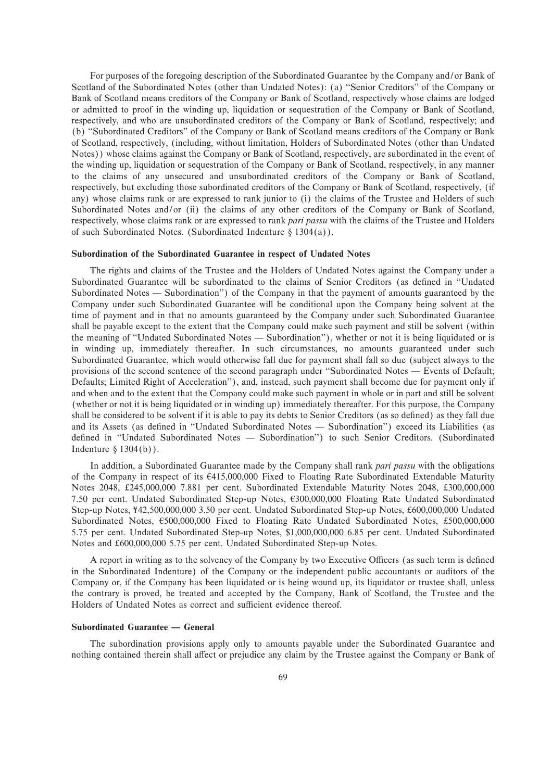For purposes of the foregoing description of the Subordinated Guarantee by the Company and/or Bank of Scotland of the Subordinated Notes (other than Undated Notes): (a) ""Senior Creditors'' of the Company or Bank of Scotland means creditors of the Company or Bank of Scotland, respectively whose claims are lodged or admitted to proof in the winding up, liquidation or sequestration of the Company or Bank of Scotland, respectively, and who are unsubordinated creditors of the Company or Bank of Scotland, respectively; and (b) "Subordinated Creditors" of the Company or Bank of Scotland means creditors of the Company or Bank of Scotland, respectively, (including, without limitation, Holders of Subordinated Notes (other than Undated Notes)) whose claims against the Company or Bank of Scotland, respectively, are subordinated in the event of the winding up, liquidation or sequestration of the Company or Bank of Scotland, respectively, in any manner to the claims of any unsecured and unsubordinated creditors of the Company or Bank of Scotland, respectively, but excluding those subordinated creditors of the Company or Bank of Scotland, respectively, (if any) whose claims rank or are expressed to rank junior to (i) the claims of the Trustee and Holders of such Subordinated Notes and/or (ii) the claims of any other creditors of the Company or Bank of Scotland, respectively, whose claims rank or are expressed to rank *pari passu* with the claims of the Trustee and Holders of such Subordinated Notes. (Subordinated Indenture  $\S 1304(a)$ ).

#### **Subordination of the Subordinated Guarantee in respect of Undated Notes**

The rights and claims of the Trustee and the Holders of Undated Notes against the Company under a Subordinated Guarantee will be subordinated to the claims of Senior Creditors (as defined in "Undated Subordinated Notes — Subordination'') of the Company in that the payment of amounts guaranteed by the Company under such Subordinated Guarantee will be conditional upon the Company being solvent at the time of payment and in that no amounts guaranteed by the Company under such Subordinated Guarantee shall be payable except to the extent that the Company could make such payment and still be solvent (within the meaning of "Undated Subordinated Notes — Subordination"), whether or not it is being liquidated or is in winding up, immediately thereafter. In such circumstances, no amounts guaranteed under such Subordinated Guarantee, which would otherwise fall due for payment shall fall so due (subject always to the provisions of the second sentence of the second paragraph under "Subordinated Notes — Events of Default; Defaults; Limited Right of Acceleration''), and, instead, such payment shall become due for payment only if and when and to the extent that the Company could make such payment in whole or in part and still be solvent (whether or not it is being liquidated or in winding up) immediately thereafter. For this purpose, the Company shall be considered to be solvent if it is able to pay its debts to Senior Creditors (as so defined) as they fall due and its Assets (as defined in "Undated Subordinated Notes - Subordination") exceed its Liabilities (as defined in "Undated Subordinated Notes - Subordination") to such Senior Creditors. (Subordinated Indenture  $\S$  1304(b)).

In addition, a Subordinated Guarantee made by the Company shall rank *pari passu* with the obligations of the Company in respect of its 4415,000,000 Fixed to Floating Rate Subordinated Extendable Maturity Notes 2048, £245,000,000 7.881 per cent. Subordinated Extendable Maturity Notes 2048, £300,000,000 7.50 per cent. Undated Subordinated Step-up Notes, 4300,000,000 Floating Rate Undated Subordinated Step-up Notes,  $\text{\textsterling}42,500,000,000$  3.50 per cent. Undated Subordinated Step-up Notes, £600,000,000 Undated Subordinated Notes,  $\epsilon$ 500,000,000 Fixed to Floating Rate Undated Subordinated Notes, £500,000,000 5.75 per cent. Undated Subordinated Step-up Notes, \$1,000,000,000 6.85 per cent. Undated Subordinated Notes and £600,000,000 5.75 per cent. Undated Subordinated Step-up Notes.

A report in writing as to the solvency of the Company by two Executive Officers (as such term is defined in the Subordinated Indenture) of the Company or the independent public accountants or auditors of the Company or, if the Company has been liquidated or is being wound up, its liquidator or trustee shall, unless the contrary is proved, be treated and accepted by the Company, Bank of Scotland, the Trustee and the Holders of Undated Notes as correct and sufficient evidence thereof.

# **Subordinated Guarantee — General**

The subordination provisions apply only to amounts payable under the Subordinated Guarantee and nothing contained therein shall affect or prejudice any claim by the Trustee against the Company or Bank of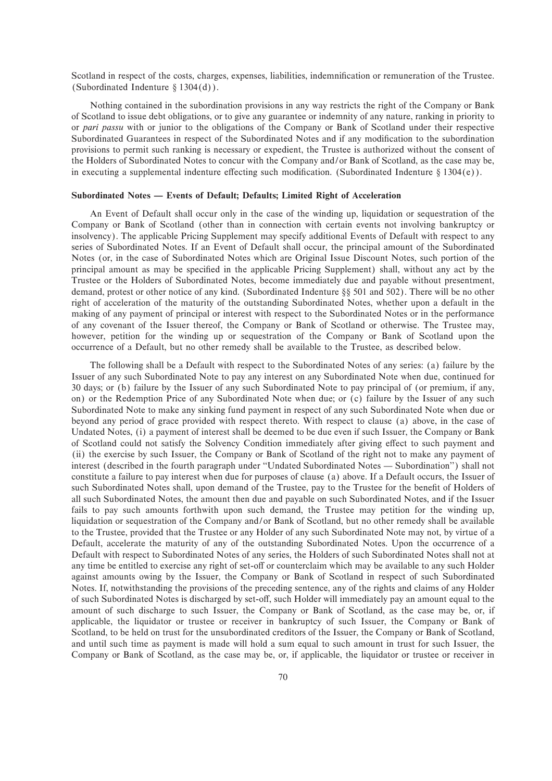Scotland in respect of the costs, charges, expenses, liabilities, indemnification or remuneration of the Trustee. (Subordinated Indenture  $\S 1304(d)$ ).

Nothing contained in the subordination provisions in any way restricts the right of the Company or Bank of Scotland to issue debt obligations, or to give any guarantee or indemnity of any nature, ranking in priority to or *pari passu* with or junior to the obligations of the Company or Bank of Scotland under their respective Subordinated Guarantees in respect of the Subordinated Notes and if any modification to the subordination provisions to permit such ranking is necessary or expedient, the Trustee is authorized without the consent of the Holders of Subordinated Notes to concur with the Company and/or Bank of Scotland, as the case may be, in executing a supplemental indenture effecting such modification. (Subordinated Indenture  $\S 1304(e)$ ).

### Subordinated Notes - Events of Default; Defaults; Limited Right of Acceleration

An Event of Default shall occur only in the case of the winding up, liquidation or sequestration of the Company or Bank of Scotland (other than in connection with certain events not involving bankruptcy or insolvency). The applicable Pricing Supplement may specify additional Events of Default with respect to any series of Subordinated Notes. If an Event of Default shall occur, the principal amount of the Subordinated Notes (or, in the case of Subordinated Notes which are Original Issue Discount Notes, such portion of the principal amount as may be specified in the applicable Pricing Supplement) shall, without any act by the Trustee or the Holders of Subordinated Notes, become immediately due and payable without presentment, demand, protest or other notice of any kind. (Subordinated Indenture  $\S$ § 501 and 502). There will be no other right of acceleration of the maturity of the outstanding Subordinated Notes, whether upon a default in the making of any payment of principal or interest with respect to the Subordinated Notes or in the performance of any covenant of the Issuer thereof, the Company or Bank of Scotland or otherwise. The Trustee may, however, petition for the winding up or sequestration of the Company or Bank of Scotland upon the occurrence of a Default, but no other remedy shall be available to the Trustee, as described below.

The following shall be a Default with respect to the Subordinated Notes of any series: (a) failure by the Issuer of any such Subordinated Note to pay any interest on any Subordinated Note when due, continued for 30 days; or (b) failure by the Issuer of any such Subordinated Note to pay principal of (or premium, if any, on) or the Redemption Price of any Subordinated Note when due; or (c) failure by the Issuer of any such Subordinated Note to make any sinking fund payment in respect of any such Subordinated Note when due or beyond any period of grace provided with respect thereto. With respect to clause (a) above, in the case of Undated Notes, (i) a payment of interest shall be deemed to be due even if such Issuer, the Company or Bank of Scotland could not satisfy the Solvency Condition immediately after giving effect to such payment and (ii) the exercise by such Issuer, the Company or Bank of Scotland of the right not to make any payment of interest (described in the fourth paragraph under "Undated Subordinated Notes — Subordination") shall not constitute a failure to pay interest when due for purposes of clause (a) above. If a Default occurs, the Issuer of such Subordinated Notes shall, upon demand of the Trustee, pay to the Trustee for the benefit of Holders of all such Subordinated Notes, the amount then due and payable on such Subordinated Notes, and if the Issuer fails to pay such amounts forthwith upon such demand, the Trustee may petition for the winding up, liquidation or sequestration of the Company and/or Bank of Scotland, but no other remedy shall be available to the Trustee, provided that the Trustee or any Holder of any such Subordinated Note may not, by virtue of a Default, accelerate the maturity of any of the outstanding Subordinated Notes. Upon the occurrence of a Default with respect to Subordinated Notes of any series, the Holders of such Subordinated Notes shall not at any time be entitled to exercise any right of set-off or counterclaim which may be available to any such Holder against amounts owing by the Issuer, the Company or Bank of Scotland in respect of such Subordinated Notes. If, notwithstanding the provisions of the preceding sentence, any of the rights and claims of any Holder of such Subordinated Notes is discharged by set-off, such Holder will immediately pay an amount equal to the amount of such discharge to such Issuer, the Company or Bank of Scotland, as the case may be, or, if applicable, the liquidator or trustee or receiver in bankruptcy of such Issuer, the Company or Bank of Scotland, to be held on trust for the unsubordinated creditors of the Issuer, the Company or Bank of Scotland, and until such time as payment is made will hold a sum equal to such amount in trust for such Issuer, the Company or Bank of Scotland, as the case may be, or, if applicable, the liquidator or trustee or receiver in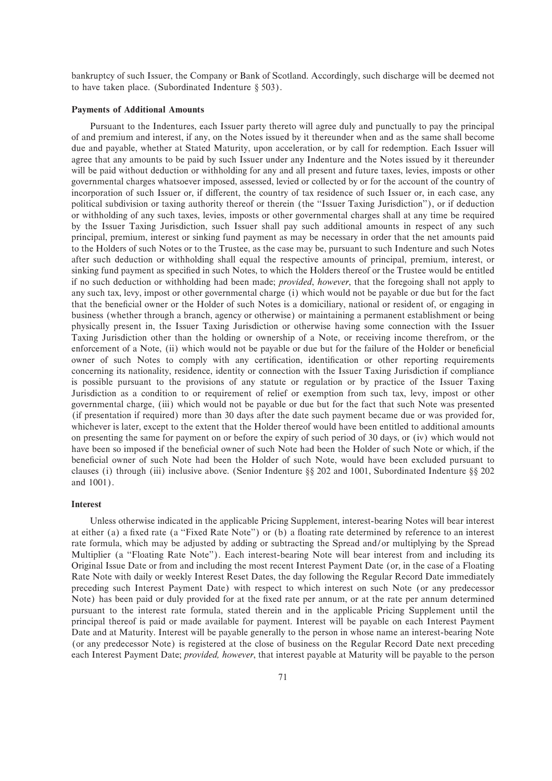bankruptcy of such Issuer, the Company or Bank of Scotland. Accordingly, such discharge will be deemed not to have taken place. (Subordinated Indenture  $\S 503$ ).

# **Payments of Additional Amounts**

Pursuant to the Indentures, each Issuer party thereto will agree duly and punctually to pay the principal of and premium and interest, if any, on the Notes issued by it thereunder when and as the same shall become due and payable, whether at Stated Maturity, upon acceleration, or by call for redemption. Each Issuer will agree that any amounts to be paid by such Issuer under any Indenture and the Notes issued by it thereunder will be paid without deduction or withholding for any and all present and future taxes, levies, imposts or other governmental charges whatsoever imposed, assessed, levied or collected by or for the account of the country of incorporation of such Issuer or, if different, the country of tax residence of such Issuer or, in each case, any political subdivision or taxing authority thereof or therein (the ""Issuer Taxing Jurisdiction''), or if deduction or withholding of any such taxes, levies, imposts or other governmental charges shall at any time be required by the Issuer Taxing Jurisdiction, such Issuer shall pay such additional amounts in respect of any such principal, premium, interest or sinking fund payment as may be necessary in order that the net amounts paid to the Holders of such Notes or to the Trustee, as the case may be, pursuant to such Indenture and such Notes after such deduction or withholding shall equal the respective amounts of principal, premium, interest, or sinking fund payment as specified in such Notes, to which the Holders thereof or the Trustee would be entitled if no such deduction or withholding had been made; *provided*, *however*, that the foregoing shall not apply to any such tax, levy, impost or other governmental charge (i) which would not be payable or due but for the fact that the beneficial owner or the Holder of such Notes is a domiciliary, national or resident of, or engaging in business (whether through a branch, agency or otherwise) or maintaining a permanent establishment or being physically present in, the Issuer Taxing Jurisdiction or otherwise having some connection with the Issuer Taxing Jurisdiction other than the holding or ownership of a Note, or receiving income therefrom, or the enforcement of a Note, (ii) which would not be payable or due but for the failure of the Holder or beneficial owner of such Notes to comply with any certification, identification or other reporting requirements concerning its nationality, residence, identity or connection with the Issuer Taxing Jurisdiction if compliance is possible pursuant to the provisions of any statute or regulation or by practice of the Issuer Taxing Jurisdiction as a condition to or requirement of relief or exemption from such tax, levy, impost or other governmental charge, (iii) which would not be payable or due but for the fact that such Note was presented (if presentation if required) more than 30 days after the date such payment became due or was provided for, whichever is later, except to the extent that the Holder thereof would have been entitled to additional amounts on presenting the same for payment on or before the expiry of such period of 30 days, or (iv) which would not have been so imposed if the beneficial owner of such Note had been the Holder of such Note or which, if the beneficial owner of such Note had been the Holder of such Note, would have been excluded pursuant to clauses (i) through (iii) inclusive above. (Senior Indenture §§ 202 and 1001, Subordinated Indenture §§ 202 and 1001).

# **Interest**

Unless otherwise indicated in the applicable Pricing Supplement, interest-bearing Notes will bear interest at either (a) a fixed rate (a "Fixed Rate Note") or (b) a floating rate determined by reference to an interest rate formula, which may be adjusted by adding or subtracting the Spread and/or multiplying by the Spread Multiplier (a "Floating Rate Note"). Each interest-bearing Note will bear interest from and including its Original Issue Date or from and including the most recent Interest Payment Date (or, in the case of a Floating Rate Note with daily or weekly Interest Reset Dates, the day following the Regular Record Date immediately preceding such Interest Payment Date) with respect to which interest on such Note (or any predecessor Note) has been paid or duly provided for at the fixed rate per annum, or at the rate per annum determined pursuant to the interest rate formula, stated therein and in the applicable Pricing Supplement until the principal thereof is paid or made available for payment. Interest will be payable on each Interest Payment Date and at Maturity. Interest will be payable generally to the person in whose name an interest-bearing Note (or any predecessor Note) is registered at the close of business on the Regular Record Date next preceding each Interest Payment Date; *provided, however*, that interest payable at Maturity will be payable to the person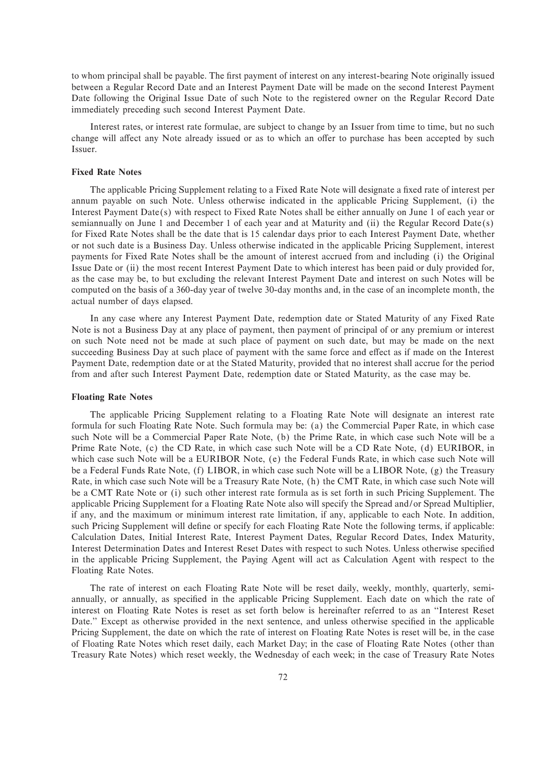to whom principal shall be payable. The first payment of interest on any interest-bearing Note originally issued between a Regular Record Date and an Interest Payment Date will be made on the second Interest Payment Date following the Original Issue Date of such Note to the registered owner on the Regular Record Date immediately preceding such second Interest Payment Date.

Interest rates, or interest rate formulae, are subject to change by an Issuer from time to time, but no such change will affect any Note already issued or as to which an offer to purchase has been accepted by such Issuer.

### **Fixed Rate Notes**

The applicable Pricing Supplement relating to a Fixed Rate Note will designate a fixed rate of interest per annum payable on such Note. Unless otherwise indicated in the applicable Pricing Supplement, (i) the Interest Payment Date(s) with respect to Fixed Rate Notes shall be either annually on June 1 of each year or semiannually on June 1 and December 1 of each year and at Maturity and (ii) the Regular Record Date(s) for Fixed Rate Notes shall be the date that is 15 calendar days prior to each Interest Payment Date, whether or not such date is a Business Day. Unless otherwise indicated in the applicable Pricing Supplement, interest payments for Fixed Rate Notes shall be the amount of interest accrued from and including (i) the Original Issue Date or (ii) the most recent Interest Payment Date to which interest has been paid or duly provided for, as the case may be, to but excluding the relevant Interest Payment Date and interest on such Notes will be computed on the basis of a 360-day year of twelve 30-day months and, in the case of an incomplete month, the actual number of days elapsed.

In any case where any Interest Payment Date, redemption date or Stated Maturity of any Fixed Rate Note is not a Business Day at any place of payment, then payment of principal of or any premium or interest on such Note need not be made at such place of payment on such date, but may be made on the next succeeding Business Day at such place of payment with the same force and effect as if made on the Interest Payment Date, redemption date or at the Stated Maturity, provided that no interest shall accrue for the period from and after such Interest Payment Date, redemption date or Stated Maturity, as the case may be.

#### **Floating Rate Notes**

The applicable Pricing Supplement relating to a Floating Rate Note will designate an interest rate formula for such Floating Rate Note. Such formula may be: (a) the Commercial Paper Rate, in which case such Note will be a Commercial Paper Rate Note, (b) the Prime Rate, in which case such Note will be a Prime Rate Note, (c) the CD Rate, in which case such Note will be a CD Rate Note, (d) EURIBOR, in which case such Note will be a EURIBOR Note, (e) the Federal Funds Rate, in which case such Note will be a Federal Funds Rate Note, (f) LIBOR, in which case such Note will be a LIBOR Note, (g) the Treasury Rate, in which case such Note will be a Treasury Rate Note, (h) the CMT Rate, in which case such Note will be a CMT Rate Note or (i) such other interest rate formula as is set forth in such Pricing Supplement. The applicable Pricing Supplement for a Floating Rate Note also will specify the Spread and/or Spread Multiplier, if any, and the maximum or minimum interest rate limitation, if any, applicable to each Note. In addition, such Pricing Supplement will define or specify for each Floating Rate Note the following terms, if applicable: Calculation Dates, Initial Interest Rate, Interest Payment Dates, Regular Record Dates, Index Maturity, Interest Determination Dates and Interest Reset Dates with respect to such Notes. Unless otherwise specified in the applicable Pricing Supplement, the Paying Agent will act as Calculation Agent with respect to the Floating Rate Notes.

The rate of interest on each Floating Rate Note will be reset daily, weekly, monthly, quarterly, semiannually, or annually, as specified in the applicable Pricing Supplement. Each date on which the rate of interest on Floating Rate Notes is reset as set forth below is hereinafter referred to as an ""Interest Reset Date." Except as otherwise provided in the next sentence, and unless otherwise specified in the applicable Pricing Supplement, the date on which the rate of interest on Floating Rate Notes is reset will be, in the case of Floating Rate Notes which reset daily, each Market Day; in the case of Floating Rate Notes (other than Treasury Rate Notes) which reset weekly, the Wednesday of each week; in the case of Treasury Rate Notes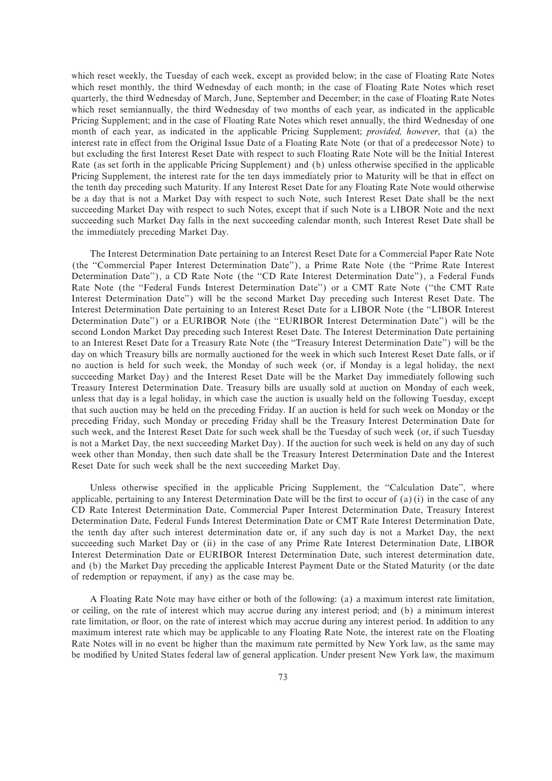which reset weekly, the Tuesday of each week, except as provided below; in the case of Floating Rate Notes which reset monthly, the third Wednesday of each month; in the case of Floating Rate Notes which reset quarterly, the third Wednesday of March, June, September and December; in the case of Floating Rate Notes which reset semiannually, the third Wednesday of two months of each year, as indicated in the applicable Pricing Supplement; and in the case of Floating Rate Notes which reset annually, the third Wednesday of one month of each year, as indicated in the applicable Pricing Supplement; *provided, however*, that (a) the interest rate in effect from the Original Issue Date of a Floating Rate Note (or that of a predecessor Note) to but excluding the first Interest Reset Date with respect to such Floating Rate Note will be the Initial Interest Rate (as set forth in the applicable Pricing Supplement) and (b) unless otherwise specified in the applicable Pricing Supplement, the interest rate for the ten days immediately prior to Maturity will be that in effect on the tenth day preceding such Maturity. If any Interest Reset Date for any Floating Rate Note would otherwise be a day that is not a Market Day with respect to such Note, such Interest Reset Date shall be the next succeeding Market Day with respect to such Notes, except that if such Note is a LIBOR Note and the next succeeding such Market Day falls in the next succeeding calendar month, such Interest Reset Date shall be the immediately preceding Market Day.

The Interest Determination Date pertaining to an Interest Reset Date for a Commercial Paper Rate Note (the ""Commercial Paper Interest Determination Date''), a Prime Rate Note (the ""Prime Rate Interest Determination Date"), a CD Rate Note (the "CD Rate Interest Determination Date"), a Federal Funds Rate Note (the "Federal Funds Interest Determination Date") or a CMT Rate Note ("the CMT Rate Interest Determination Date'') will be the second Market Day preceding such Interest Reset Date. The Interest Determination Date pertaining to an Interest Reset Date for a LIBOR Note (the ""LIBOR Interest Determination Date'') or a EURIBOR Note (the ""EURIBOR Interest Determination Date'') will be the second London Market Day preceding such Interest Reset Date. The Interest Determination Date pertaining to an Interest Reset Date for a Treasury Rate Note (the ""Treasury Interest Determination Date'') will be the day on which Treasury bills are normally auctioned for the week in which such Interest Reset Date falls, or if no auction is held for such week, the Monday of such week (or, if Monday is a legal holiday, the next succeeding Market Day) and the Interest Reset Date will be the Market Day immediately following such Treasury Interest Determination Date. Treasury bills are usually sold at auction on Monday of each week, unless that day is a legal holiday, in which case the auction is usually held on the following Tuesday, except that such auction may be held on the preceding Friday. If an auction is held for such week on Monday or the preceding Friday, such Monday or preceding Friday shall be the Treasury Interest Determination Date for such week, and the Interest Reset Date for such week shall be the Tuesday of such week (or, if such Tuesday is not a Market Day, the next succeeding Market Day). If the auction for such week is held on any day of such week other than Monday, then such date shall be the Treasury Interest Determination Date and the Interest Reset Date for such week shall be the next succeeding Market Day.

Unless otherwise specified in the applicable Pricing Supplement, the "Calculation Date", where applicable, pertaining to any Interest Determination Date will be the first to occur of  $(a)(i)$  in the case of any CD Rate Interest Determination Date, Commercial Paper Interest Determination Date, Treasury Interest Determination Date, Federal Funds Interest Determination Date or CMT Rate Interest Determination Date, the tenth day after such interest determination date or, if any such day is not a Market Day, the next succeeding such Market Day or (ii) in the case of any Prime Rate Interest Determination Date, LIBOR Interest Determination Date or EURIBOR Interest Determination Date, such interest determination date, and (b) the Market Day preceding the applicable Interest Payment Date or the Stated Maturity (or the date of redemption or repayment, if any) as the case may be.

A Floating Rate Note may have either or both of the following: (a) a maximum interest rate limitation, or ceiling, on the rate of interest which may accrue during any interest period; and (b) a minimum interest rate limitation, or floor, on the rate of interest which may accrue during any interest period. In addition to any maximum interest rate which may be applicable to any Floating Rate Note, the interest rate on the Floating Rate Notes will in no event be higher than the maximum rate permitted by New York law, as the same may be modified by United States federal law of general application. Under present New York law, the maximum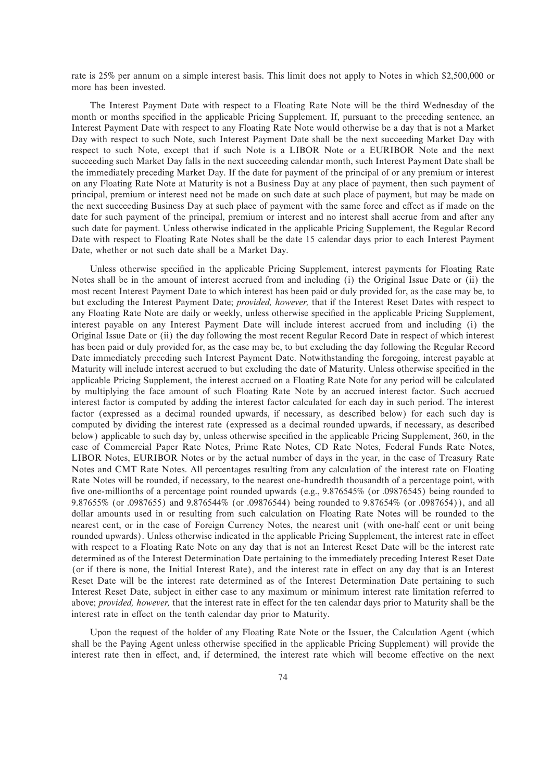rate is 25% per annum on a simple interest basis. This limit does not apply to Notes in which \$2,500,000 or more has been invested.

The Interest Payment Date with respect to a Floating Rate Note will be the third Wednesday of the month or months specified in the applicable Pricing Supplement. If, pursuant to the preceding sentence, an Interest Payment Date with respect to any Floating Rate Note would otherwise be a day that is not a Market Day with respect to such Note, such Interest Payment Date shall be the next succeeding Market Day with respect to such Note, except that if such Note is a LIBOR Note or a EURIBOR Note and the next succeeding such Market Day falls in the next succeeding calendar month, such Interest Payment Date shall be the immediately preceding Market Day. If the date for payment of the principal of or any premium or interest on any Floating Rate Note at Maturity is not a Business Day at any place of payment, then such payment of principal, premium or interest need not be made on such date at such place of payment, but may be made on the next succeeding Business Day at such place of payment with the same force and effect as if made on the date for such payment of the principal, premium or interest and no interest shall accrue from and after any such date for payment. Unless otherwise indicated in the applicable Pricing Supplement, the Regular Record Date with respect to Floating Rate Notes shall be the date 15 calendar days prior to each Interest Payment Date, whether or not such date shall be a Market Day.

Unless otherwise specified in the applicable Pricing Supplement, interest payments for Floating Rate Notes shall be in the amount of interest accrued from and including (i) the Original Issue Date or (ii) the most recent Interest Payment Date to which interest has been paid or duly provided for, as the case may be, to but excluding the Interest Payment Date; *provided, however,* that if the Interest Reset Dates with respect to any Floating Rate Note are daily or weekly, unless otherwise specified in the applicable Pricing Supplement, interest payable on any Interest Payment Date will include interest accrued from and including (i) the Original Issue Date or (ii) the day following the most recent Regular Record Date in respect of which interest has been paid or duly provided for, as the case may be, to but excluding the day following the Regular Record Date immediately preceding such Interest Payment Date. Notwithstanding the foregoing, interest payable at Maturity will include interest accrued to but excluding the date of Maturity. Unless otherwise specified in the applicable Pricing Supplement, the interest accrued on a Floating Rate Note for any period will be calculated by multiplying the face amount of such Floating Rate Note by an accrued interest factor. Such accrued interest factor is computed by adding the interest factor calculated for each day in such period. The interest factor (expressed as a decimal rounded upwards, if necessary, as described below) for each such day is computed by dividing the interest rate (expressed as a decimal rounded upwards, if necessary, as described below) applicable to such day by, unless otherwise specified in the applicable Pricing Supplement, 360, in the case of Commercial Paper Rate Notes, Prime Rate Notes, CD Rate Notes, Federal Funds Rate Notes, LIBOR Notes, EURIBOR Notes or by the actual number of days in the year, in the case of Treasury Rate Notes and CMT Rate Notes. All percentages resulting from any calculation of the interest rate on Floating Rate Notes will be rounded, if necessary, to the nearest one-hundredth thousandth of a percentage point, with five one-millionths of a percentage point rounded upwards (e.g., 9.876545% (or .09876545) being rounded to 9.87655% (or .0987655) and 9.876544% (or .09876544) being rounded to 9.87654% (or .0987654)), and all dollar amounts used in or resulting from such calculation on Floating Rate Notes will be rounded to the nearest cent, or in the case of Foreign Currency Notes, the nearest unit (with one-half cent or unit being rounded upwards). Unless otherwise indicated in the applicable Pricing Supplement, the interest rate in effect with respect to a Floating Rate Note on any day that is not an Interest Reset Date will be the interest rate determined as of the Interest Determination Date pertaining to the immediately preceding Interest Reset Date (or if there is none, the Initial Interest Rate), and the interest rate in effect on any day that is an Interest Reset Date will be the interest rate determined as of the Interest Determination Date pertaining to such Interest Reset Date, subject in either case to any maximum or minimum interest rate limitation referred to above; *provided, however,* that the interest rate in effect for the ten calendar days prior to Maturity shall be the interest rate in effect on the tenth calendar day prior to Maturity.

Upon the request of the holder of any Floating Rate Note or the Issuer, the Calculation Agent (which shall be the Paying Agent unless otherwise specified in the applicable Pricing Supplement) will provide the interest rate then in effect, and, if determined, the interest rate which will become effective on the next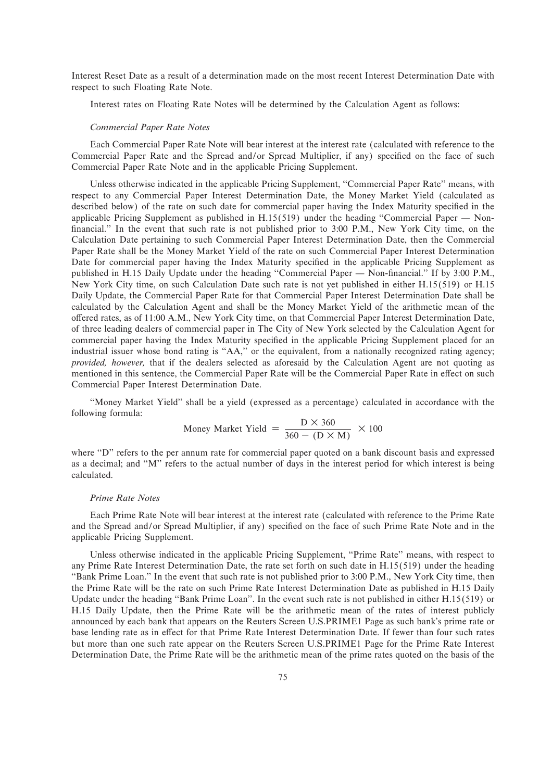Interest Reset Date as a result of a determination made on the most recent Interest Determination Date with respect to such Floating Rate Note.

Interest rates on Floating Rate Notes will be determined by the Calculation Agent as follows:

#### *Commercial Paper Rate Notes*

Each Commercial Paper Rate Note will bear interest at the interest rate (calculated with reference to the Commercial Paper Rate and the Spread and/or Spread Multiplier, if any) specified on the face of such Commercial Paper Rate Note and in the applicable Pricing Supplement.

Unless otherwise indicated in the applicable Pricing Supplement, "Commercial Paper Rate" means, with respect to any Commercial Paper Interest Determination Date, the Money Market Yield (calculated as described below) of the rate on such date for commercial paper having the Index Maturity specified in the applicable Pricing Supplement as published in  $H.15(519)$  under the heading "Commercial Paper — Nonfinancial." In the event that such rate is not published prior to 3:00 P.M., New York City time, on the Calculation Date pertaining to such Commercial Paper Interest Determination Date, then the Commercial Paper Rate shall be the Money Market Yield of the rate on such Commercial Paper Interest Determination Date for commercial paper having the Index Maturity specified in the applicable Pricing Supplement as published in H.15 Daily Update under the heading "Commercial Paper — Non-financial." If by 3:00 P.M., New York City time, on such Calculation Date such rate is not yet published in either H.15(519) or H.15 Daily Update, the Commercial Paper Rate for that Commercial Paper Interest Determination Date shall be calculated by the Calculation Agent and shall be the Money Market Yield of the arithmetic mean of the offered rates, as of 11:00 A.M., New York City time, on that Commercial Paper Interest Determination Date, of three leading dealers of commercial paper in The City of New York selected by the Calculation Agent for commercial paper having the Index Maturity specified in the applicable Pricing Supplement placed for an industrial issuer whose bond rating is "AA," or the equivalent, from a nationally recognized rating agency; *provided, however,* that if the dealers selected as aforesaid by the Calculation Agent are not quoting as mentioned in this sentence, the Commercial Paper Rate will be the Commercial Paper Rate in effect on such Commercial Paper Interest Determination Date.

""Money Market Yield'' shall be a yield (expressed as a percentage) calculated in accordance with the following formula:

$$
ext{Money Market Yield} = \frac{D \times 360}{360 - (D \times M)} \times 100
$$

where "D" refers to the per annum rate for commercial paper quoted on a bank discount basis and expressed as a decimal; and "M" refers to the actual number of days in the interest period for which interest is being calculated.

#### *Prime Rate Notes*

Each Prime Rate Note will bear interest at the interest rate (calculated with reference to the Prime Rate and the Spread and/or Spread Multiplier, if any) specified on the face of such Prime Rate Note and in the applicable Pricing Supplement.

Unless otherwise indicated in the applicable Pricing Supplement, "Prime Rate" means, with respect to any Prime Rate Interest Determination Date, the rate set forth on such date in H.15(519) under the heading "Bank Prime Loan." In the event that such rate is not published prior to 3:00 P.M., New York City time, then the Prime Rate will be the rate on such Prime Rate Interest Determination Date as published in H.15 Daily Update under the heading "Bank Prime Loan". In the event such rate is not published in either H.15(519) or H.15 Daily Update, then the Prime Rate will be the arithmetic mean of the rates of interest publicly announced by each bank that appears on the Reuters Screen U.S.PRIME1 Page as such bank's prime rate or base lending rate as in effect for that Prime Rate Interest Determination Date. If fewer than four such rates but more than one such rate appear on the Reuters Screen U.S.PRIME1 Page for the Prime Rate Interest Determination Date, the Prime Rate will be the arithmetic mean of the prime rates quoted on the basis of the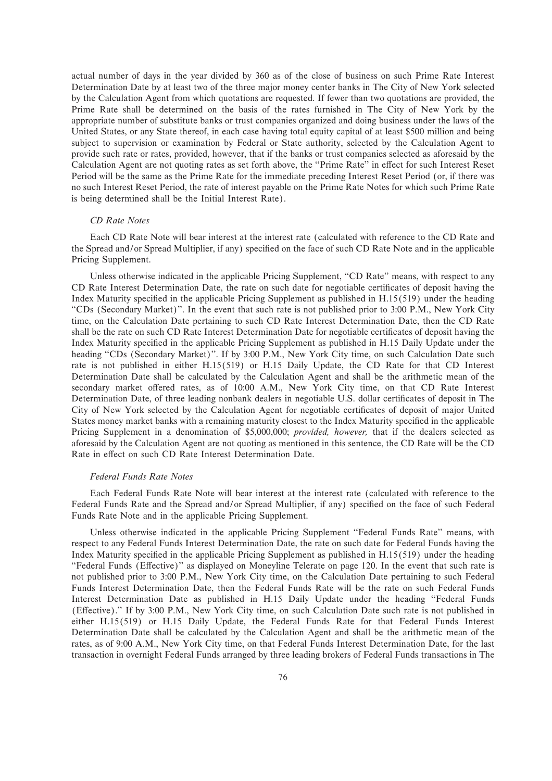actual number of days in the year divided by 360 as of the close of business on such Prime Rate Interest Determination Date by at least two of the three major money center banks in The City of New York selected by the Calculation Agent from which quotations are requested. If fewer than two quotations are provided, the Prime Rate shall be determined on the basis of the rates furnished in The City of New York by the appropriate number of substitute banks or trust companies organized and doing business under the laws of the United States, or any State thereof, in each case having total equity capital of at least \$500 million and being subject to supervision or examination by Federal or State authority, selected by the Calculation Agent to provide such rate or rates, provided, however, that if the banks or trust companies selected as aforesaid by the Calculation Agent are not quoting rates as set forth above, the "Prime Rate" in effect for such Interest Reset Period will be the same as the Prime Rate for the immediate preceding Interest Reset Period (or, if there was no such Interest Reset Period, the rate of interest payable on the Prime Rate Notes for which such Prime Rate is being determined shall be the Initial Interest Rate).

# *CD Rate Notes*

Each CD Rate Note will bear interest at the interest rate (calculated with reference to the CD Rate and the Spread and/or Spread Multiplier, if any) specified on the face of such CD Rate Note and in the applicable Pricing Supplement.

Unless otherwise indicated in the applicable Pricing Supplement, "CD Rate" means, with respect to any CD Rate Interest Determination Date, the rate on such date for negotiable certificates of deposit having the Index Maturity specified in the applicable Pricing Supplement as published in  $H.15(519)$  under the heading ""CDs (Secondary Market)''. In the event that such rate is not published prior to 3:00 P.M., New York City time, on the Calculation Date pertaining to such CD Rate Interest Determination Date, then the CD Rate shall be the rate on such CD Rate Interest Determination Date for negotiable certificates of deposit having the Index Maturity specified in the applicable Pricing Supplement as published in H.15 Daily Update under the heading "CDs (Secondary Market)". If by 3:00 P.M., New York City time, on such Calculation Date such rate is not published in either H.15(519) or H.15 Daily Update, the CD Rate for that CD Interest Determination Date shall be calculated by the Calculation Agent and shall be the arithmetic mean of the secondary market offered rates, as of 10:00 A.M., New York City time, on that CD Rate Interest Determination Date, of three leading nonbank dealers in negotiable U.S. dollar certificates of deposit in The City of New York selected by the Calculation Agent for negotiable certificates of deposit of major United States money market banks with a remaining maturity closest to the Index Maturity specified in the applicable Pricing Supplement in a denomination of \$5,000,000; *provided, however,* that if the dealers selected as aforesaid by the Calculation Agent are not quoting as mentioned in this sentence, the CD Rate will be the CD Rate in effect on such CD Rate Interest Determination Date.

# *Federal Funds Rate Notes*

Each Federal Funds Rate Note will bear interest at the interest rate (calculated with reference to the Federal Funds Rate and the Spread and/or Spread Multiplier, if any) specified on the face of such Federal Funds Rate Note and in the applicable Pricing Supplement.

Unless otherwise indicated in the applicable Pricing Supplement ""Federal Funds Rate'' means, with respect to any Federal Funds Interest Determination Date, the rate on such date for Federal Funds having the Index Maturity specified in the applicable Pricing Supplement as published in  $H.15(519)$  under the heading "Federal Funds (Effective)" as displayed on Moneyline Telerate on page 120. In the event that such rate is not published prior to 3:00 P.M., New York City time, on the Calculation Date pertaining to such Federal Funds Interest Determination Date, then the Federal Funds Rate will be the rate on such Federal Funds Interest Determination Date as published in H.15 Daily Update under the heading ""Federal Funds (Effective)." If by 3:00 P.M., New York City time, on such Calculation Date such rate is not published in either H.15(519) or H.15 Daily Update, the Federal Funds Rate for that Federal Funds Interest Determination Date shall be calculated by the Calculation Agent and shall be the arithmetic mean of the rates, as of 9:00 A.M., New York City time, on that Federal Funds Interest Determination Date, for the last transaction in overnight Federal Funds arranged by three leading brokers of Federal Funds transactions in The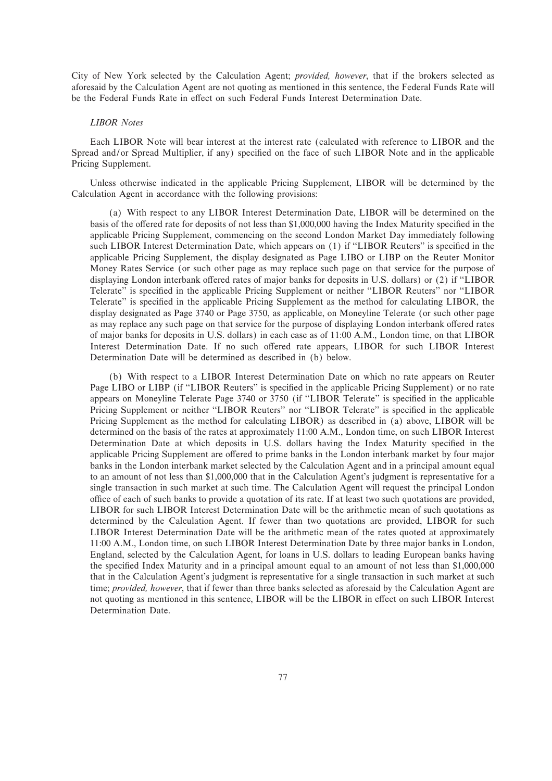City of New York selected by the Calculation Agent; *provided, however*, that if the brokers selected as aforesaid by the Calculation Agent are not quoting as mentioned in this sentence, the Federal Funds Rate will be the Federal Funds Rate in effect on such Federal Funds Interest Determination Date.

#### *LIBOR Notes*

Each LIBOR Note will bear interest at the interest rate (calculated with reference to LIBOR and the Spread and/or Spread Multiplier, if any) specified on the face of such LIBOR Note and in the applicable Pricing Supplement.

Unless otherwise indicated in the applicable Pricing Supplement, LIBOR will be determined by the Calculation Agent in accordance with the following provisions:

(a) With respect to any LIBOR Interest Determination Date, LIBOR will be determined on the basis of the offered rate for deposits of not less than \$1,000,000 having the Index Maturity specified in the applicable Pricing Supplement, commencing on the second London Market Day immediately following such LIBOR Interest Determination Date, which appears on (1) if "LIBOR Reuters" is specified in the applicable Pricing Supplement, the display designated as Page LIBO or LIBP on the Reuter Monitor Money Rates Service (or such other page as may replace such page on that service for the purpose of displaying London interbank offered rates of major banks for deposits in U.S. dollars) or (2) if "LIBOR Telerate" is specified in the applicable Pricing Supplement or neither "LIBOR Reuters" nor "LIBOR Telerate" is specified in the applicable Pricing Supplement as the method for calculating LIBOR, the display designated as Page 3740 or Page 3750, as applicable, on Moneyline Telerate (or such other page as may replace any such page on that service for the purpose of displaying London interbank offered rates of major banks for deposits in U.S. dollars) in each case as of 11:00 A.M., London time, on that LIBOR Interest Determination Date. If no such offered rate appears, LIBOR for such LIBOR Interest Determination Date will be determined as described in (b) below.

(b) With respect to a LIBOR Interest Determination Date on which no rate appears on Reuter Page LIBO or LIBP (if "LIBOR Reuters" is specified in the applicable Pricing Supplement) or no rate appears on Moneyline Telerate Page 3740 or 3750 (if "LIBOR Telerate" is specified in the applicable Pricing Supplement or neither "LIBOR Reuters" nor "LIBOR Telerate" is specified in the applicable Pricing Supplement as the method for calculating LIBOR) as described in (a) above, LIBOR will be determined on the basis of the rates at approximately 11:00 A.M., London time, on such LIBOR Interest Determination Date at which deposits in U.S. dollars having the Index Maturity specified in the applicable Pricing Supplement are offered to prime banks in the London interbank market by four major banks in the London interbank market selected by the Calculation Agent and in a principal amount equal to an amount of not less than \$1,000,000 that in the Calculation Agent's judgment is representative for a single transaction in such market at such time. The Calculation Agent will request the principal London office of each of such banks to provide a quotation of its rate. If at least two such quotations are provided, LIBOR for such LIBOR Interest Determination Date will be the arithmetic mean of such quotations as determined by the Calculation Agent. If fewer than two quotations are provided, LIBOR for such LIBOR Interest Determination Date will be the arithmetic mean of the rates quoted at approximately 11:00 A.M., London time, on such LIBOR Interest Determination Date by three major banks in London, England, selected by the Calculation Agent, for loans in U.S. dollars to leading European banks having the specified Index Maturity and in a principal amount equal to an amount of not less than \$1,000,000 that in the Calculation Agent's judgment is representative for a single transaction in such market at such time; *provided, however*, that if fewer than three banks selected as aforesaid by the Calculation Agent are not quoting as mentioned in this sentence, LIBOR will be the LIBOR in effect on such LIBOR Interest Determination Date.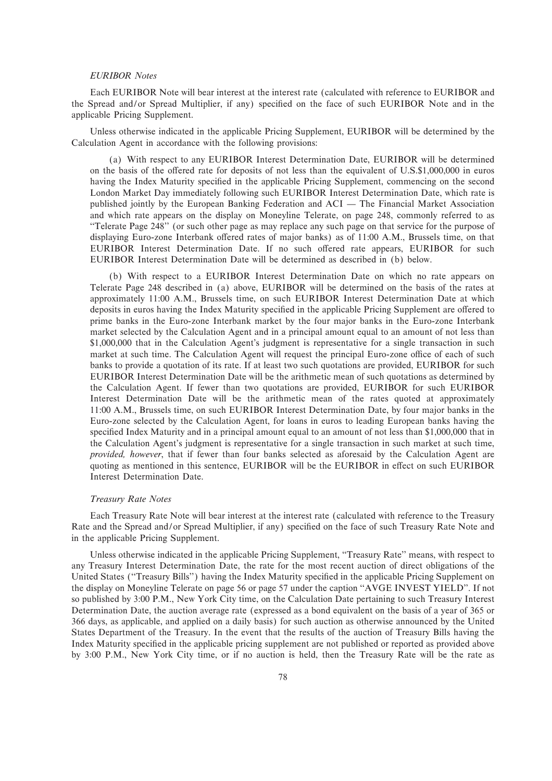# *EURIBOR Notes*

Each EURIBOR Note will bear interest at the interest rate (calculated with reference to EURIBOR and the Spread and/or Spread Multiplier, if any) specified on the face of such EURIBOR Note and in the applicable Pricing Supplement.

Unless otherwise indicated in the applicable Pricing Supplement, EURIBOR will be determined by the Calculation Agent in accordance with the following provisions:

(a) With respect to any EURIBOR Interest Determination Date, EURIBOR will be determined on the basis of the offered rate for deposits of not less than the equivalent of U.S.\$1,000,000 in euros having the Index Maturity specified in the applicable Pricing Supplement, commencing on the second London Market Day immediately following such EURIBOR Interest Determination Date, which rate is published jointly by the European Banking Federation and ACI — The Financial Market Association and which rate appears on the display on Moneyline Telerate, on page 248, commonly referred to as ""Telerate Page 248'' (or such other page as may replace any such page on that service for the purpose of displaying Euro-zone Interbank offered rates of major banks) as of 11:00 A.M., Brussels time, on that EURIBOR Interest Determination Date. If no such offered rate appears, EURIBOR for such EURIBOR Interest Determination Date will be determined as described in (b) below.

(b) With respect to a EURIBOR Interest Determination Date on which no rate appears on Telerate Page 248 described in (a) above, EURIBOR will be determined on the basis of the rates at approximately 11:00 A.M., Brussels time, on such EURIBOR Interest Determination Date at which deposits in euros having the Index Maturity specified in the applicable Pricing Supplement are offered to prime banks in the Euro-zone Interbank market by the four major banks in the Euro-zone Interbank market selected by the Calculation Agent and in a principal amount equal to an amount of not less than \$1,000,000 that in the Calculation Agent's judgment is representative for a single transaction in such market at such time. The Calculation Agent will request the principal Euro-zone office of each of such banks to provide a quotation of its rate. If at least two such quotations are provided, EURIBOR for such EURIBOR Interest Determination Date will be the arithmetic mean of such quotations as determined by the Calculation Agent. If fewer than two quotations are provided, EURIBOR for such EURIBOR Interest Determination Date will be the arithmetic mean of the rates quoted at approximately 11:00 A.M., Brussels time, on such EURIBOR Interest Determination Date, by four major banks in the Euro-zone selected by the Calculation Agent, for loans in euros to leading European banks having the specified Index Maturity and in a principal amount equal to an amount of not less than \$1,000,000 that in the Calculation Agent's judgment is representative for a single transaction in such market at such time, *provided, however*, that if fewer than four banks selected as aforesaid by the Calculation Agent are quoting as mentioned in this sentence, EURIBOR will be the EURIBOR in effect on such EURIBOR Interest Determination Date.

#### *Treasury Rate Notes*

Each Treasury Rate Note will bear interest at the interest rate (calculated with reference to the Treasury Rate and the Spread and/or Spread Multiplier, if any) specified on the face of such Treasury Rate Note and in the applicable Pricing Supplement.

Unless otherwise indicated in the applicable Pricing Supplement, ""Treasury Rate'' means, with respect to any Treasury Interest Determination Date, the rate for the most recent auction of direct obligations of the United States ("Treasury Bills") having the Index Maturity specified in the applicable Pricing Supplement on the display on Moneyline Telerate on page 56 or page 57 under the caption "AVGE INVEST YIELD". If not so published by 3:00 P.M., New York City time, on the Calculation Date pertaining to such Treasury Interest Determination Date, the auction average rate (expressed as a bond equivalent on the basis of a year of 365 or 366 days, as applicable, and applied on a daily basis) for such auction as otherwise announced by the United States Department of the Treasury. In the event that the results of the auction of Treasury Bills having the Index Maturity specified in the applicable pricing supplement are not published or reported as provided above by 3:00 P.M., New York City time, or if no auction is held, then the Treasury Rate will be the rate as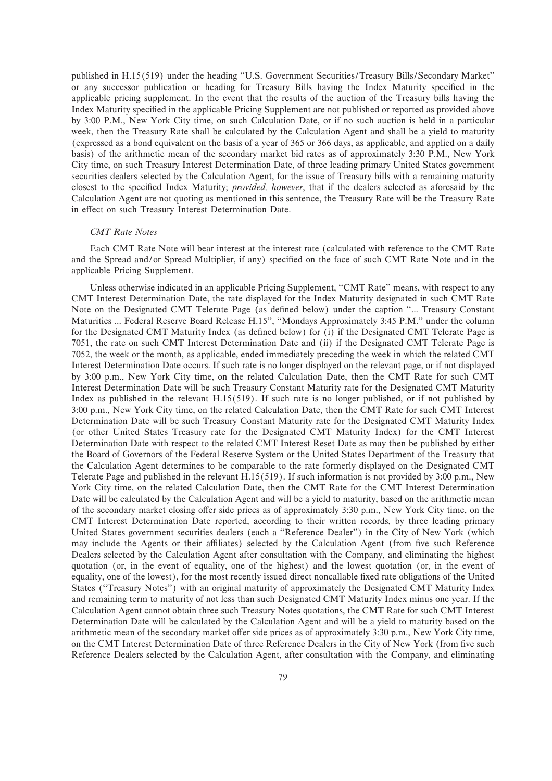published in H.15(519) under the heading "U.S. Government Securities/Treasury Bills/Secondary Market" or any successor publication or heading for Treasury Bills having the Index Maturity specified in the applicable pricing supplement. In the event that the results of the auction of the Treasury bills having the Index Maturity specified in the applicable Pricing Supplement are not published or reported as provided above by 3:00 P.M., New York City time, on such Calculation Date, or if no such auction is held in a particular week, then the Treasury Rate shall be calculated by the Calculation Agent and shall be a yield to maturity (expressed as a bond equivalent on the basis of a year of 365 or 366 days, as applicable, and applied on a daily basis) of the arithmetic mean of the secondary market bid rates as of approximately 3:30 P.M., New York City time, on such Treasury Interest Determination Date, of three leading primary United States government securities dealers selected by the Calculation Agent, for the issue of Treasury bills with a remaining maturity closest to the specified Index Maturity; *provided, however*, that if the dealers selected as aforesaid by the Calculation Agent are not quoting as mentioned in this sentence, the Treasury Rate will be the Treasury Rate in effect on such Treasury Interest Determination Date.

## *CMT Rate Notes*

Each CMT Rate Note will bear interest at the interest rate (calculated with reference to the CMT Rate and the Spread and/or Spread Multiplier, if any) specified on the face of such CMT Rate Note and in the applicable Pricing Supplement.

Unless otherwise indicated in an applicable Pricing Supplement, "CMT Rate" means, with respect to any CMT Interest Determination Date, the rate displayed for the Index Maturity designated in such CMT Rate Note on the Designated CMT Telerate Page (as defined below) under the caption "... Treasury Constant Maturities ... Federal Reserve Board Release H.15'', ""Mondays Approximately 3:45 P.M.'' under the column for the Designated CMT Maturity Index (as defined below) for (i) if the Designated CMT Telerate Page is 7051, the rate on such CMT Interest Determination Date and (ii) if the Designated CMT Telerate Page is 7052, the week or the month, as applicable, ended immediately preceding the week in which the related CMT Interest Determination Date occurs. If such rate is no longer displayed on the relevant page, or if not displayed by 3:00 p.m., New York City time, on the related Calculation Date, then the CMT Rate for such CMT Interest Determination Date will be such Treasury Constant Maturity rate for the Designated CMT Maturity Index as published in the relevant H.15(519). If such rate is no longer published, or if not published by 3:00 p.m., New York City time, on the related Calculation Date, then the CMT Rate for such CMT Interest Determination Date will be such Treasury Constant Maturity rate for the Designated CMT Maturity Index (or other United States Treasury rate for the Designated CMT Maturity Index) for the CMT Interest Determination Date with respect to the related CMT Interest Reset Date as may then be published by either the Board of Governors of the Federal Reserve System or the United States Department of the Treasury that the Calculation Agent determines to be comparable to the rate formerly displayed on the Designated CMT Telerate Page and published in the relevant H.15(519). If such information is not provided by 3:00 p.m., New York City time, on the related Calculation Date, then the CMT Rate for the CMT Interest Determination Date will be calculated by the Calculation Agent and will be a yield to maturity, based on the arithmetic mean of the secondary market closing offer side prices as of approximately 3:30 p.m., New York City time, on the CMT Interest Determination Date reported, according to their written records, by three leading primary United States government securities dealers (each a ""Reference Dealer'') in the City of New York (which may include the Agents or their affiliates) selected by the Calculation Agent (from five such Reference Dealers selected by the Calculation Agent after consultation with the Company, and eliminating the highest quotation (or, in the event of equality, one of the highest) and the lowest quotation (or, in the event of equality, one of the lowest), for the most recently issued direct noncallable fixed rate obligations of the United States (""Treasury Notes'') with an original maturity of approximately the Designated CMT Maturity Index and remaining term to maturity of not less than such Designated CMT Maturity Index minus one year. If the Calculation Agent cannot obtain three such Treasury Notes quotations, the CMT Rate for such CMT Interest Determination Date will be calculated by the Calculation Agent and will be a yield to maturity based on the arithmetic mean of the secondary market offer side prices as of approximately 3:30 p.m., New York City time, on the CMT Interest Determination Date of three Reference Dealers in the City of New York (from five such Reference Dealers selected by the Calculation Agent, after consultation with the Company, and eliminating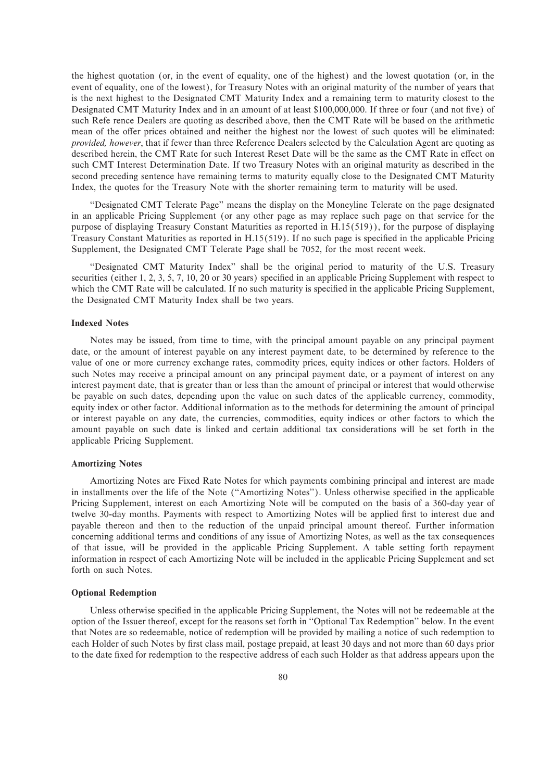the highest quotation (or, in the event of equality, one of the highest) and the lowest quotation (or, in the event of equality, one of the lowest), for Treasury Notes with an original maturity of the number of years that is the next highest to the Designated CMT Maturity Index and a remaining term to maturity closest to the Designated CMT Maturity Index and in an amount of at least \$100,000,000. If three or four (and not five) of such Refe rence Dealers are quoting as described above, then the CMT Rate will be based on the arithmetic mean of the offer prices obtained and neither the highest nor the lowest of such quotes will be eliminated: *provided, however*, that if fewer than three Reference Dealers selected by the Calculation Agent are quoting as described herein, the CMT Rate for such Interest Reset Date will be the same as the CMT Rate in effect on such CMT Interest Determination Date. If two Treasury Notes with an original maturity as described in the second preceding sentence have remaining terms to maturity equally close to the Designated CMT Maturity Index, the quotes for the Treasury Note with the shorter remaining term to maturity will be used.

""Designated CMT Telerate Page'' means the display on the Moneyline Telerate on the page designated in an applicable Pricing Supplement (or any other page as may replace such page on that service for the purpose of displaying Treasury Constant Maturities as reported in H.15(519)), for the purpose of displaying Treasury Constant Maturities as reported in  $H.15(519)$ . If no such page is specified in the applicable Pricing Supplement, the Designated CMT Telerate Page shall be 7052, for the most recent week.

""Designated CMT Maturity Index'' shall be the original period to maturity of the U.S. Treasury securities (either 1, 2, 3, 5, 7, 10, 20 or 30 years) specified in an applicable Pricing Supplement with respect to which the CMT Rate will be calculated. If no such maturity is specified in the applicable Pricing Supplement, the Designated CMT Maturity Index shall be two years.

# **Indexed Notes**

Notes may be issued, from time to time, with the principal amount payable on any principal payment date, or the amount of interest payable on any interest payment date, to be determined by reference to the value of one or more currency exchange rates, commodity prices, equity indices or other factors. Holders of such Notes may receive a principal amount on any principal payment date, or a payment of interest on any interest payment date, that is greater than or less than the amount of principal or interest that would otherwise be payable on such dates, depending upon the value on such dates of the applicable currency, commodity, equity index or other factor. Additional information as to the methods for determining the amount of principal or interest payable on any date, the currencies, commodities, equity indices or other factors to which the amount payable on such date is linked and certain additional tax considerations will be set forth in the applicable Pricing Supplement.

#### **Amortizing Notes**

Amortizing Notes are Fixed Rate Notes for which payments combining principal and interest are made in installments over the life of the Note ("Amortizing Notes"). Unless otherwise specified in the applicable Pricing Supplement, interest on each Amortizing Note will be computed on the basis of a 360-day year of twelve 30-day months. Payments with respect to Amortizing Notes will be applied first to interest due and payable thereon and then to the reduction of the unpaid principal amount thereof. Further information concerning additional terms and conditions of any issue of Amortizing Notes, as well as the tax consequences of that issue, will be provided in the applicable Pricing Supplement. A table setting forth repayment information in respect of each Amortizing Note will be included in the applicable Pricing Supplement and set forth on such Notes.

#### **Optional Redemption**

Unless otherwise specified in the applicable Pricing Supplement, the Notes will not be redeemable at the option of the Issuer thereof, except for the reasons set forth in ""Optional Tax Redemption'' below. In the event that Notes are so redeemable, notice of redemption will be provided by mailing a notice of such redemption to each Holder of such Notes by first class mail, postage prepaid, at least 30 days and not more than 60 days prior to the date Ñxed for redemption to the respective address of each such Holder as that address appears upon the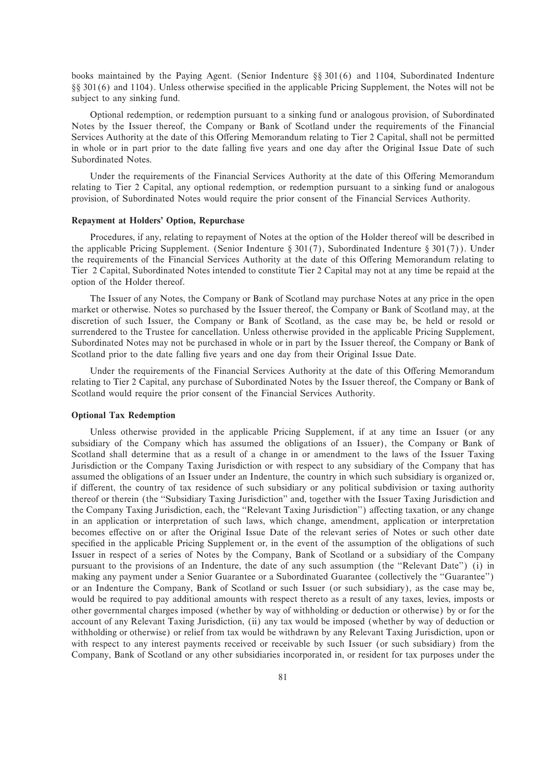books maintained by the Paying Agent. (Senior Indenture  $\S$ § 301(6) and 1104, Subordinated Indenture §§ 301(6) and 1104). Unless otherwise specified in the applicable Pricing Supplement, the Notes will not be subject to any sinking fund.

Optional redemption, or redemption pursuant to a sinking fund or analogous provision, of Subordinated Notes by the Issuer thereof, the Company or Bank of Scotland under the requirements of the Financial Services Authority at the date of this Offering Memorandum relating to Tier 2 Capital, shall not be permitted in whole or in part prior to the date falling five years and one day after the Original Issue Date of such Subordinated Notes.

Under the requirements of the Financial Services Authority at the date of this Offering Memorandum relating to Tier 2 Capital, any optional redemption, or redemption pursuant to a sinking fund or analogous provision, of Subordinated Notes would require the prior consent of the Financial Services Authority.

#### **Repayment at Holders' Option, Repurchase**

Procedures, if any, relating to repayment of Notes at the option of the Holder thereof will be described in the applicable Pricing Supplement. (Senior Indenture § 301(7), Subordinated Indenture § 301(7)). Under the requirements of the Financial Services Authority at the date of this Offering Memorandum relating to Tier 2 Capital, Subordinated Notes intended to constitute Tier 2 Capital may not at any time be repaid at the option of the Holder thereof.

The Issuer of any Notes, the Company or Bank of Scotland may purchase Notes at any price in the open market or otherwise. Notes so purchased by the Issuer thereof, the Company or Bank of Scotland may, at the discretion of such Issuer, the Company or Bank of Scotland, as the case may be, be held or resold or surrendered to the Trustee for cancellation. Unless otherwise provided in the applicable Pricing Supplement, Subordinated Notes may not be purchased in whole or in part by the Issuer thereof, the Company or Bank of Scotland prior to the date falling five years and one day from their Original Issue Date.

Under the requirements of the Financial Services Authority at the date of this Offering Memorandum relating to Tier 2 Capital, any purchase of Subordinated Notes by the Issuer thereof, the Company or Bank of Scotland would require the prior consent of the Financial Services Authority.

#### **Optional Tax Redemption**

Unless otherwise provided in the applicable Pricing Supplement, if at any time an Issuer (or any subsidiary of the Company which has assumed the obligations of an Issuer), the Company or Bank of Scotland shall determine that as a result of a change in or amendment to the laws of the Issuer Taxing Jurisdiction or the Company Taxing Jurisdiction or with respect to any subsidiary of the Company that has assumed the obligations of an Issuer under an Indenture, the country in which such subsidiary is organized or, if different, the country of tax residence of such subsidiary or any political subdivision or taxing authority thereof or therein (the "Subsidiary Taxing Jurisdiction" and, together with the Issuer Taxing Jurisdiction and the Company Taxing Jurisdiction, each, the "Relevant Taxing Jurisdiction") affecting taxation, or any change in an application or interpretation of such laws, which change, amendment, application or interpretation becomes effective on or after the Original Issue Date of the relevant series of Notes or such other date specified in the applicable Pricing Supplement or, in the event of the assumption of the obligations of such Issuer in respect of a series of Notes by the Company, Bank of Scotland or a subsidiary of the Company pursuant to the provisions of an Indenture, the date of any such assumption (the ""Relevant Date'') (i) in making any payment under a Senior Guarantee or a Subordinated Guarantee (collectively the "Guarantee") or an Indenture the Company, Bank of Scotland or such Issuer (or such subsidiary), as the case may be, would be required to pay additional amounts with respect thereto as a result of any taxes, levies, imposts or other governmental charges imposed (whether by way of withholding or deduction or otherwise) by or for the account of any Relevant Taxing Jurisdiction, (ii) any tax would be imposed (whether by way of deduction or withholding or otherwise) or relief from tax would be withdrawn by any Relevant Taxing Jurisdiction, upon or with respect to any interest payments received or receivable by such Issuer (or such subsidiary) from the Company, Bank of Scotland or any other subsidiaries incorporated in, or resident for tax purposes under the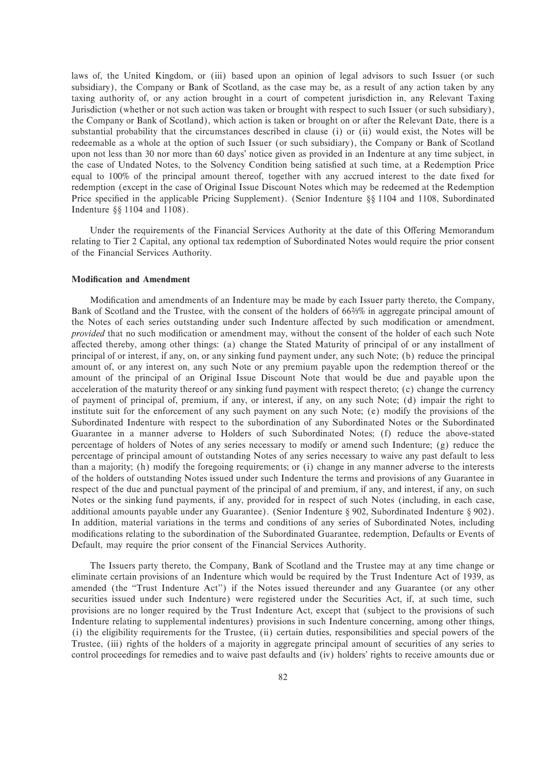laws of, the United Kingdom, or (iii) based upon an opinion of legal advisors to such Issuer (or such subsidiary), the Company or Bank of Scotland, as the case may be, as a result of any action taken by any taxing authority of, or any action brought in a court of competent jurisdiction in, any Relevant Taxing Jurisdiction (whether or not such action was taken or brought with respect to such Issuer (or such subsidiary), the Company or Bank of Scotland), which action is taken or brought on or after the Relevant Date, there is a substantial probability that the circumstances described in clause (i) or (ii) would exist, the Notes will be redeemable as a whole at the option of such Issuer (or such subsidiary), the Company or Bank of Scotland upon not less than 30 nor more than 60 days' notice given as provided in an Indenture at any time subject, in the case of Undated Notes, to the Solvency Condition being satisfied at such time, at a Redemption Price equal to 100% of the principal amount thereof, together with any accrued interest to the date fixed for redemption (except in the case of Original Issue Discount Notes which may be redeemed at the Redemption Price specified in the applicable Pricing Supplement). (Senior Indenture §§ 1104 and 1108, Subordinated Indenture  $\S$ § 1104 and 1108).

Under the requirements of the Financial Services Authority at the date of this Offering Memorandum relating to Tier 2 Capital, any optional tax redemption of Subordinated Notes would require the prior consent of the Financial Services Authority.

# **Modification and Amendment**

Modification and amendments of an Indenture may be made by each Issuer party thereto, the Company, Bank of Scotland and the Trustee, with the consent of the holders of 66%% in aggregate principal amount of the Notes of each series outstanding under such Indenture affected by such modification or amendment, *provided* that no such modification or amendment may, without the consent of the holder of each such Note affected thereby, among other things: (a) change the Stated Maturity of principal of or any installment of principal of or interest, if any, on, or any sinking fund payment under, any such Note; (b) reduce the principal amount of, or any interest on, any such Note or any premium payable upon the redemption thereof or the amount of the principal of an Original Issue Discount Note that would be due and payable upon the acceleration of the maturity thereof or any sinking fund payment with respect thereto; (c) change the currency of payment of principal of, premium, if any, or interest, if any, on any such Note; (d) impair the right to institute suit for the enforcement of any such payment on any such Note; (e) modify the provisions of the Subordinated Indenture with respect to the subordination of any Subordinated Notes or the Subordinated Guarantee in a manner adverse to Holders of such Subordinated Notes; (f) reduce the above-stated percentage of holders of Notes of any series necessary to modify or amend such Indenture; (g) reduce the percentage of principal amount of outstanding Notes of any series necessary to waive any past default to less than a majority; (h) modify the foregoing requirements; or (i) change in any manner adverse to the interests of the holders of outstanding Notes issued under such Indenture the terms and provisions of any Guarantee in respect of the due and punctual payment of the principal of and premium, if any, and interest, if any, on such Notes or the sinking fund payments, if any, provided for in respect of such Notes (including, in each case, additional amounts payable under any Guarantee). (Senior Indenture § 902, Subordinated Indenture § 902). In addition, material variations in the terms and conditions of any series of Subordinated Notes, including modifications relating to the subordination of the Subordinated Guarantee, redemption, Defaults or Events of Default, may require the prior consent of the Financial Services Authority.

The Issuers party thereto, the Company, Bank of Scotland and the Trustee may at any time change or eliminate certain provisions of an Indenture which would be required by the Trust Indenture Act of 1939, as amended (the ""Trust Indenture Act'') if the Notes issued thereunder and any Guarantee (or any other securities issued under such Indenture) were registered under the Securities Act, if, at such time, such provisions are no longer required by the Trust Indenture Act, except that (subject to the provisions of such Indenture relating to supplemental indentures) provisions in such Indenture concerning, among other things, (i) the eligibility requirements for the Trustee, (ii) certain duties, responsibilities and special powers of the Trustee, (iii) rights of the holders of a majority in aggregate principal amount of securities of any series to control proceedings for remedies and to waive past defaults and (iv) holders' rights to receive amounts due or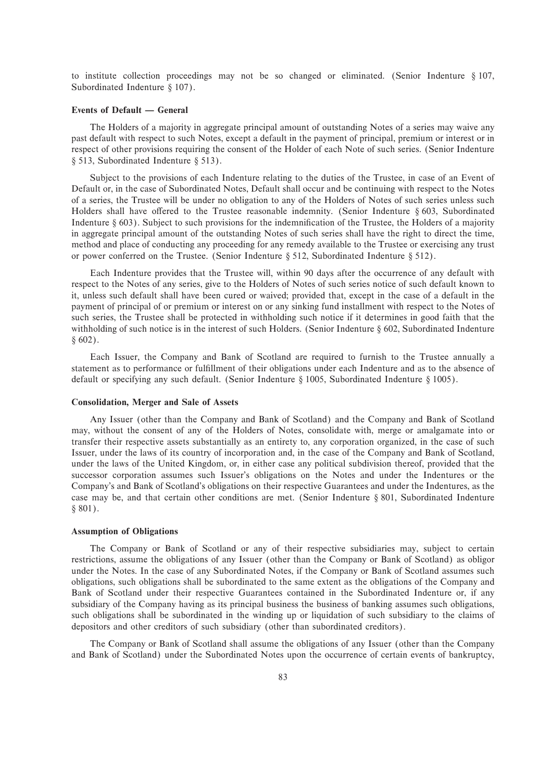to institute collection proceedings may not be so changed or eliminated. (Senior Indenture  $\S 107$ , Subordinated Indenture  $§ 107$ .

# **Events of Default — General**

The Holders of a majority in aggregate principal amount of outstanding Notes of a series may waive any past default with respect to such Notes, except a default in the payment of principal, premium or interest or in respect of other provisions requiring the consent of the Holder of each Note of such series. (Senior Indenture  $§ 513$ , Subordinated Indenture § 513).

Subject to the provisions of each Indenture relating to the duties of the Trustee, in case of an Event of Default or, in the case of Subordinated Notes, Default shall occur and be continuing with respect to the Notes of a series, the Trustee will be under no obligation to any of the Holders of Notes of such series unless such Holders shall have offered to the Trustee reasonable indemnity. (Senior Indenture  $\S 603$ , Subordinated Indenture  $\S$  603). Subject to such provisions for the indemnification of the Trustee, the Holders of a majority in aggregate principal amount of the outstanding Notes of such series shall have the right to direct the time, method and place of conducting any proceeding for any remedy available to the Trustee or exercising any trust or power conferred on the Trustee. (Senior Indenture  $\S 512$ , Subordinated Indenture  $\S 512$ ).

Each Indenture provides that the Trustee will, within 90 days after the occurrence of any default with respect to the Notes of any series, give to the Holders of Notes of such series notice of such default known to it, unless such default shall have been cured or waived; provided that, except in the case of a default in the payment of principal of or premium or interest on or any sinking fund installment with respect to the Notes of such series, the Trustee shall be protected in withholding such notice if it determines in good faith that the withholding of such notice is in the interest of such Holders. (Senior Indenture  $\S 602$ , Subordinated Indenture  $§ 602$ .

Each Issuer, the Company and Bank of Scotland are required to furnish to the Trustee annually a statement as to performance or fulfillment of their obligations under each Indenture and as to the absence of default or specifying any such default. (Senior Indenture  $\S$  1005, Subordinated Indenture  $\S$  1005).

## **Consolidation, Merger and Sale of Assets**

Any Issuer (other than the Company and Bank of Scotland) and the Company and Bank of Scotland may, without the consent of any of the Holders of Notes, consolidate with, merge or amalgamate into or transfer their respective assets substantially as an entirety to, any corporation organized, in the case of such Issuer, under the laws of its country of incorporation and, in the case of the Company and Bank of Scotland, under the laws of the United Kingdom, or, in either case any political subdivision thereof, provided that the successor corporation assumes such Issuer's obligations on the Notes and under the Indentures or the Company's and Bank of Scotland's obligations on their respective Guarantees and under the Indentures, as the case may be, and that certain other conditions are met. (Senior Indenture  $\S 801$ , Subordinated Indenture  $§ 801$ .

#### **Assumption of Obligations**

The Company or Bank of Scotland or any of their respective subsidiaries may, subject to certain restrictions, assume the obligations of any Issuer (other than the Company or Bank of Scotland) as obligor under the Notes. In the case of any Subordinated Notes, if the Company or Bank of Scotland assumes such obligations, such obligations shall be subordinated to the same extent as the obligations of the Company and Bank of Scotland under their respective Guarantees contained in the Subordinated Indenture or, if any subsidiary of the Company having as its principal business the business of banking assumes such obligations, such obligations shall be subordinated in the winding up or liquidation of such subsidiary to the claims of depositors and other creditors of such subsidiary (other than subordinated creditors).

The Company or Bank of Scotland shall assume the obligations of any Issuer (other than the Company and Bank of Scotland) under the Subordinated Notes upon the occurrence of certain events of bankruptcy,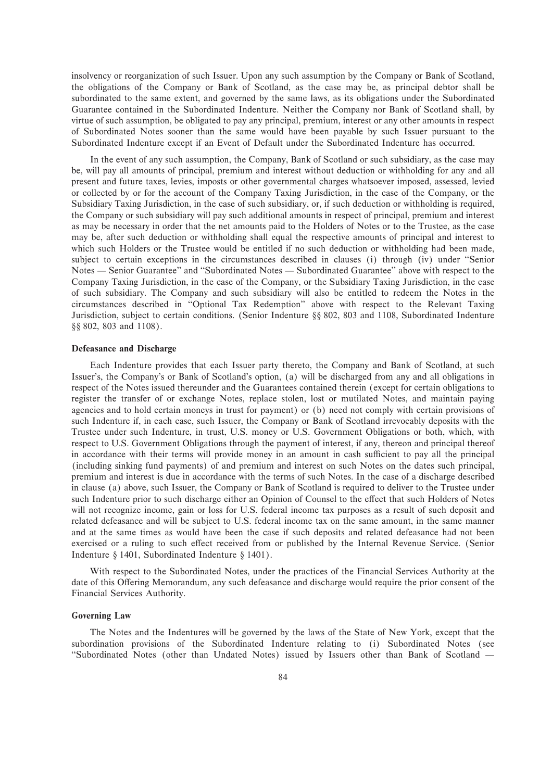insolvency or reorganization of such Issuer. Upon any such assumption by the Company or Bank of Scotland, the obligations of the Company or Bank of Scotland, as the case may be, as principal debtor shall be subordinated to the same extent, and governed by the same laws, as its obligations under the Subordinated Guarantee contained in the Subordinated Indenture. Neither the Company nor Bank of Scotland shall, by virtue of such assumption, be obligated to pay any principal, premium, interest or any other amounts in respect of Subordinated Notes sooner than the same would have been payable by such Issuer pursuant to the Subordinated Indenture except if an Event of Default under the Subordinated Indenture has occurred.

In the event of any such assumption, the Company, Bank of Scotland or such subsidiary, as the case may be, will pay all amounts of principal, premium and interest without deduction or withholding for any and all present and future taxes, levies, imposts or other governmental charges whatsoever imposed, assessed, levied or collected by or for the account of the Company Taxing Jurisdiction, in the case of the Company, or the Subsidiary Taxing Jurisdiction, in the case of such subsidiary, or, if such deduction or withholding is required, the Company or such subsidiary will pay such additional amounts in respect of principal, premium and interest as may be necessary in order that the net amounts paid to the Holders of Notes or to the Trustee, as the case may be, after such deduction or withholding shall equal the respective amounts of principal and interest to which such Holders or the Trustee would be entitled if no such deduction or withholding had been made, subject to certain exceptions in the circumstances described in clauses (i) through (iv) under "Senior Notes — Senior Guarantee" and "Subordinated Notes — Subordinated Guarantee" above with respect to the Company Taxing Jurisdiction, in the case of the Company, or the Subsidiary Taxing Jurisdiction, in the case of such subsidiary. The Company and such subsidiary will also be entitled to redeem the Notes in the circumstances described in ""Optional Tax Redemption'' above with respect to the Relevant Taxing Jurisdiction, subject to certain conditions. (Senior Indenture  $\S$ § 802, 803 and 1108, Subordinated Indenture §§ 802, 803 and 1108).

# **Defeasance and Discharge**

Each Indenture provides that each Issuer party thereto, the Company and Bank of Scotland, at such Issuer's, the Company's or Bank of Scotland's option, (a) will be discharged from any and all obligations in respect of the Notes issued thereunder and the Guarantees contained therein (except for certain obligations to register the transfer of or exchange Notes, replace stolen, lost or mutilated Notes, and maintain paying agencies and to hold certain moneys in trust for payment) or (b) need not comply with certain provisions of such Indenture if, in each case, such Issuer, the Company or Bank of Scotland irrevocably deposits with the Trustee under such Indenture, in trust, U.S. money or U.S. Government Obligations or both, which, with respect to U.S. Government Obligations through the payment of interest, if any, thereon and principal thereof in accordance with their terms will provide money in an amount in cash sufficient to pay all the principal (including sinking fund payments) of and premium and interest on such Notes on the dates such principal, premium and interest is due in accordance with the terms of such Notes. In the case of a discharge described in clause (a) above, such Issuer, the Company or Bank of Scotland is required to deliver to the Trustee under such Indenture prior to such discharge either an Opinion of Counsel to the effect that such Holders of Notes will not recognize income, gain or loss for U.S. federal income tax purposes as a result of such deposit and related defeasance and will be subject to U.S. federal income tax on the same amount, in the same manner and at the same times as would have been the case if such deposits and related defeasance had not been exercised or a ruling to such effect received from or published by the Internal Revenue Service. (Senior Indenture  $\S$  1401, Subordinated Indenture  $\S$  1401).

With respect to the Subordinated Notes, under the practices of the Financial Services Authority at the date of this Offering Memorandum, any such defeasance and discharge would require the prior consent of the Financial Services Authority.

#### **Governing Law**

The Notes and the Indentures will be governed by the laws of the State of New York, except that the subordination provisions of the Subordinated Indenture relating to (i) Subordinated Notes (see "Subordinated Notes (other than Undated Notes) issued by Issuers other than Bank of Scotland —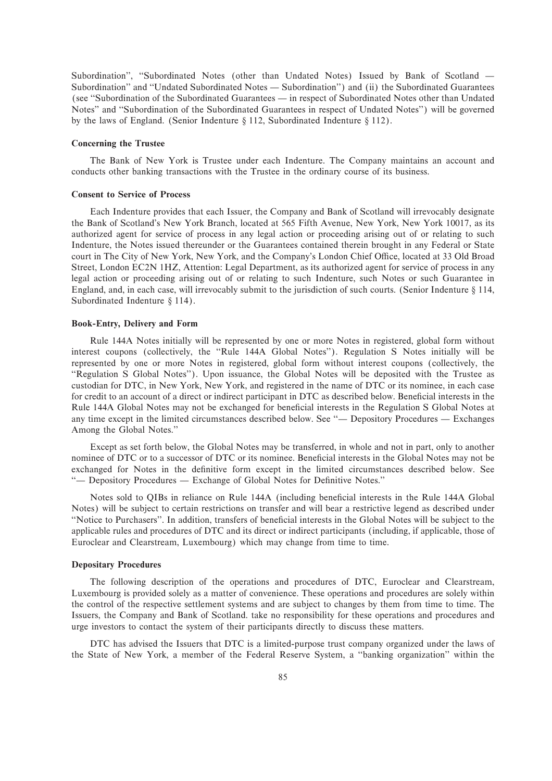Subordination", "Subordinated Notes (other than Undated Notes) Issued by Bank of Scotland — Subordination" and "Undated Subordinated Notes - Subordination") and (ii) the Subordinated Guarantees (see "Subordination of the Subordinated Guarantees — in respect of Subordinated Notes other than Undated Notes" and "Subordination of the Subordinated Guarantees in respect of Undated Notes") will be governed by the laws of England. (Senior Indenture  $\S 112$ , Subordinated Indenture  $\S 112$ ).

## **Concerning the Trustee**

The Bank of New York is Trustee under each Indenture. The Company maintains an account and conducts other banking transactions with the Trustee in the ordinary course of its business.

#### **Consent to Service of Process**

Each Indenture provides that each Issuer, the Company and Bank of Scotland will irrevocably designate the Bank of Scotland's New York Branch, located at 565 Fifth Avenue, New York, New York 10017, as its authorized agent for service of process in any legal action or proceeding arising out of or relating to such Indenture, the Notes issued thereunder or the Guarantees contained therein brought in any Federal or State court in The City of New York, New York, and the Company's London Chief Office, located at 33 Old Broad Street, London EC2N 1HZ, Attention: Legal Department, as its authorized agent for service of process in any legal action or proceeding arising out of or relating to such Indenture, such Notes or such Guarantee in England, and, in each case, will irrevocably submit to the jurisdiction of such courts. (Senior Indenture  $\S$  114, Subordinated Indenture  $§$  114).

## **Book-Entry, Delivery and Form**

Rule 144A Notes initially will be represented by one or more Notes in registered, global form without interest coupons (collectively, the ""Rule 144A Global Notes''). Regulation S Notes initially will be represented by one or more Notes in registered, global form without interest coupons (collectively, the "Regulation S Global Notes"). Upon issuance, the Global Notes will be deposited with the Trustee as custodian for DTC, in New York, New York, and registered in the name of DTC or its nominee, in each case for credit to an account of a direct or indirect participant in DTC as described below. Beneficial interests in the Rule 144A Global Notes may not be exchanged for beneficial interests in the Regulation S Global Notes at any time except in the limited circumstances described below. See "— Depository Procedures — Exchanges Among the Global Notes.''

Except as set forth below, the Global Notes may be transferred, in whole and not in part, only to another nominee of DTC or to a successor of DTC or its nominee. Beneficial interests in the Global Notes may not be exchanged for Notes in the definitive form except in the limited circumstances described below. See "- Depository Procedures - Exchange of Global Notes for Definitive Notes."

Notes sold to QIBs in reliance on Rule 144A (including beneficial interests in the Rule 144A Global Notes) will be subject to certain restrictions on transfer and will bear a restrictive legend as described under "Notice to Purchasers". In addition, transfers of beneficial interests in the Global Notes will be subject to the applicable rules and procedures of DTC and its direct or indirect participants (including, if applicable, those of Euroclear and Clearstream, Luxembourg) which may change from time to time.

## **Depositary Procedures**

The following description of the operations and procedures of DTC, Euroclear and Clearstream, Luxembourg is provided solely as a matter of convenience. These operations and procedures are solely within the control of the respective settlement systems and are subject to changes by them from time to time. The Issuers, the Company and Bank of Scotland. take no responsibility for these operations and procedures and urge investors to contact the system of their participants directly to discuss these matters.

DTC has advised the Issuers that DTC is a limited-purpose trust company organized under the laws of the State of New York, a member of the Federal Reserve System, a ""banking organization'' within the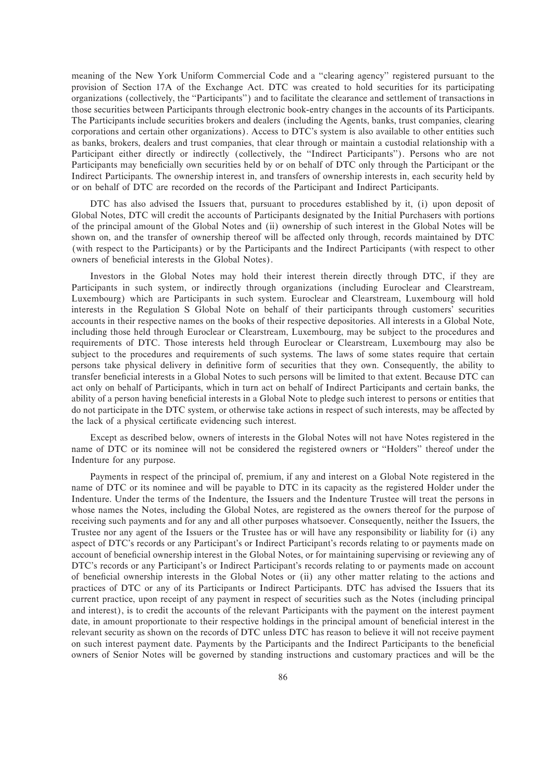meaning of the New York Uniform Commercial Code and a "clearing agency" registered pursuant to the provision of Section 17A of the Exchange Act. DTC was created to hold securities for its participating organizations (collectively, the ""Participants'') and to facilitate the clearance and settlement of transactions in those securities between Participants through electronic book-entry changes in the accounts of its Participants. The Participants include securities brokers and dealers (including the Agents, banks, trust companies, clearing corporations and certain other organizations). Access to DTC's system is also available to other entities such as banks, brokers, dealers and trust companies, that clear through or maintain a custodial relationship with a Participant either directly or indirectly (collectively, the "Indirect Participants"). Persons who are not Participants may beneficially own securities held by or on behalf of DTC only through the Participant or the Indirect Participants. The ownership interest in, and transfers of ownership interests in, each security held by or on behalf of DTC are recorded on the records of the Participant and Indirect Participants.

DTC has also advised the Issuers that, pursuant to procedures established by it, (i) upon deposit of Global Notes, DTC will credit the accounts of Participants designated by the Initial Purchasers with portions of the principal amount of the Global Notes and (ii) ownership of such interest in the Global Notes will be shown on, and the transfer of ownership thereof will be affected only through, records maintained by DTC (with respect to the Participants) or by the Participants and the Indirect Participants (with respect to other owners of beneficial interests in the Global Notes).

Investors in the Global Notes may hold their interest therein directly through DTC, if they are Participants in such system, or indirectly through organizations (including Euroclear and Clearstream, Luxembourg) which are Participants in such system. Euroclear and Clearstream, Luxembourg will hold interests in the Regulation S Global Note on behalf of their participants through customers' securities accounts in their respective names on the books of their respective depositories. All interests in a Global Note, including those held through Euroclear or Clearstream, Luxembourg, may be subject to the procedures and requirements of DTC. Those interests held through Euroclear or Clearstream, Luxembourg may also be subject to the procedures and requirements of such systems. The laws of some states require that certain persons take physical delivery in deÑnitive form of securities that they own. Consequently, the ability to transfer beneficial interests in a Global Notes to such persons will be limited to that extent. Because DTC can act only on behalf of Participants, which in turn act on behalf of Indirect Participants and certain banks, the ability of a person having beneficial interests in a Global Note to pledge such interest to persons or entities that do not participate in the DTC system, or otherwise take actions in respect of such interests, may be affected by the lack of a physical certificate evidencing such interest.

Except as described below, owners of interests in the Global Notes will not have Notes registered in the name of DTC or its nominee will not be considered the registered owners or ""Holders'' thereof under the Indenture for any purpose.

Payments in respect of the principal of, premium, if any and interest on a Global Note registered in the name of DTC or its nominee and will be payable to DTC in its capacity as the registered Holder under the Indenture. Under the terms of the Indenture, the Issuers and the Indenture Trustee will treat the persons in whose names the Notes, including the Global Notes, are registered as the owners thereof for the purpose of receiving such payments and for any and all other purposes whatsoever. Consequently, neither the Issuers, the Trustee nor any agent of the Issuers or the Trustee has or will have any responsibility or liability for (i) any aspect of DTC's records or any Participant's or Indirect Participant's records relating to or payments made on account of beneficial ownership interest in the Global Notes, or for maintaining supervising or reviewing any of DTC's records or any Participant's or Indirect Participant's records relating to or payments made on account of beneficial ownership interests in the Global Notes or (ii) any other matter relating to the actions and practices of DTC or any of its Participants or Indirect Participants. DTC has advised the Issuers that its current practice, upon receipt of any payment in respect of securities such as the Notes (including principal and interest), is to credit the accounts of the relevant Participants with the payment on the interest payment date, in amount proportionate to their respective holdings in the principal amount of beneficial interest in the relevant security as shown on the records of DTC unless DTC has reason to believe it will not receive payment on such interest payment date. Payments by the Participants and the Indirect Participants to the beneficial owners of Senior Notes will be governed by standing instructions and customary practices and will be the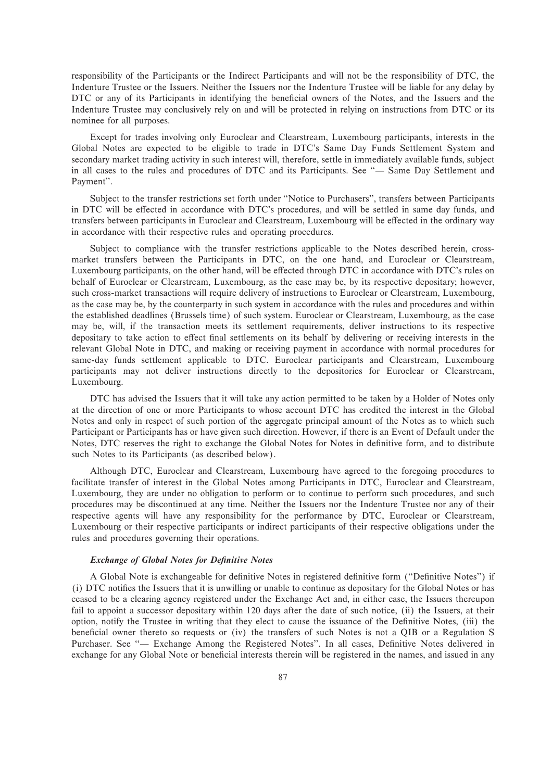responsibility of the Participants or the Indirect Participants and will not be the responsibility of DTC, the Indenture Trustee or the Issuers. Neither the Issuers nor the Indenture Trustee will be liable for any delay by DTC or any of its Participants in identifying the beneficial owners of the Notes, and the Issuers and the Indenture Trustee may conclusively rely on and will be protected in relying on instructions from DTC or its nominee for all purposes.

Except for trades involving only Euroclear and Clearstream, Luxembourg participants, interests in the Global Notes are expected to be eligible to trade in DTC's Same Day Funds Settlement System and secondary market trading activity in such interest will, therefore, settle in immediately available funds, subject in all cases to the rules and procedures of DTC and its Participants. See "- Same Day Settlement and Payment''.

Subject to the transfer restrictions set forth under ""Notice to Purchasers'', transfers between Participants in DTC will be effected in accordance with DTC's procedures, and will be settled in same day funds, and transfers between participants in Euroclear and Clearstream, Luxembourg will be effected in the ordinary way in accordance with their respective rules and operating procedures.

Subject to compliance with the transfer restrictions applicable to the Notes described herein, crossmarket transfers between the Participants in DTC, on the one hand, and Euroclear or Clearstream, Luxembourg participants, on the other hand, will be effected through DTC in accordance with DTC's rules on behalf of Euroclear or Clearstream, Luxembourg, as the case may be, by its respective depositary; however, such cross-market transactions will require delivery of instructions to Euroclear or Clearstream, Luxembourg, as the case may be, by the counterparty in such system in accordance with the rules and procedures and within the established deadlines (Brussels time) of such system. Euroclear or Clearstream, Luxembourg, as the case may be, will, if the transaction meets its settlement requirements, deliver instructions to its respective depositary to take action to effect final settlements on its behalf by delivering or receiving interests in the relevant Global Note in DTC, and making or receiving payment in accordance with normal procedures for same-day funds settlement applicable to DTC. Euroclear participants and Clearstream, Luxembourg participants may not deliver instructions directly to the depositories for Euroclear or Clearstream, Luxembourg.

DTC has advised the Issuers that it will take any action permitted to be taken by a Holder of Notes only at the direction of one or more Participants to whose account DTC has credited the interest in the Global Notes and only in respect of such portion of the aggregate principal amount of the Notes as to which such Participant or Participants has or have given such direction. However, if there is an Event of Default under the Notes, DTC reserves the right to exchange the Global Notes for Notes in definitive form, and to distribute such Notes to its Participants (as described below).

Although DTC, Euroclear and Clearstream, Luxembourg have agreed to the foregoing procedures to facilitate transfer of interest in the Global Notes among Participants in DTC, Euroclear and Clearstream, Luxembourg, they are under no obligation to perform or to continue to perform such procedures, and such procedures may be discontinued at any time. Neither the Issuers nor the Indenture Trustee nor any of their respective agents will have any responsibility for the performance by DTC, Euroclear or Clearstream, Luxembourg or their respective participants or indirect participants of their respective obligations under the rules and procedures governing their operations.

## *Exchange of Global Notes for Definitive Notes*

A Global Note is exchangeable for definitive Notes in registered definitive form ("Definitive Notes") if (i) DTC notifies the Issuers that it is unwilling or unable to continue as depositary for the Global Notes or has ceased to be a clearing agency registered under the Exchange Act and, in either case, the Issuers thereupon fail to appoint a successor depositary within 120 days after the date of such notice, (ii) the Issuers, at their option, notify the Trustee in writing that they elect to cause the issuance of the Definitive Notes, (iii) the beneficial owner thereto so requests or (iv) the transfers of such Notes is not a QIB or a Regulation S Purchaser. See "- Exchange Among the Registered Notes". In all cases, Definitive Notes delivered in exchange for any Global Note or beneficial interests therein will be registered in the names, and issued in any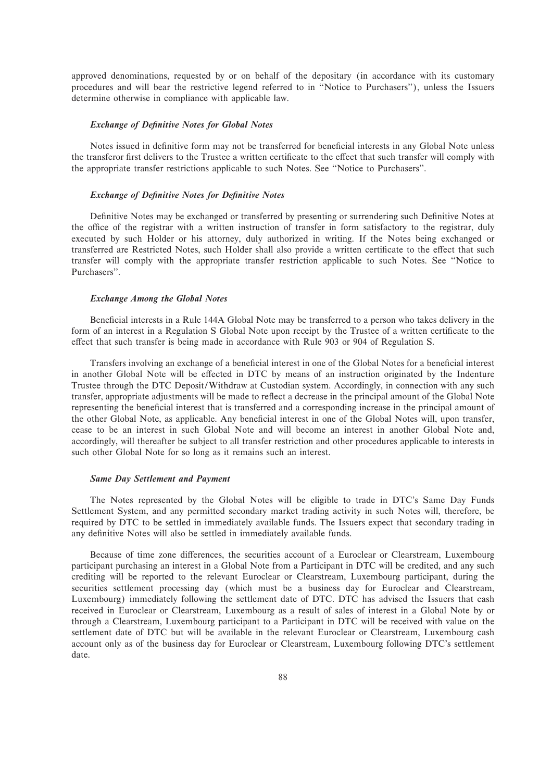approved denominations, requested by or on behalf of the depositary (in accordance with its customary procedures and will bear the restrictive legend referred to in ""Notice to Purchasers''), unless the Issuers determine otherwise in compliance with applicable law.

#### *Exchange of Definitive Notes for Global Notes*

Notes issued in definitive form may not be transferred for beneficial interests in any Global Note unless the transferor first delivers to the Trustee a written certificate to the effect that such transfer will comply with the appropriate transfer restrictions applicable to such Notes. See ""Notice to Purchasers''.

## **Exchange of Definitive Notes for Definitive Notes**

Definitive Notes may be exchanged or transferred by presenting or surrendering such Definitive Notes at the office of the registrar with a written instruction of transfer in form satisfactory to the registrar, duly executed by such Holder or his attorney, duly authorized in writing. If the Notes being exchanged or transferred are Restricted Notes, such Holder shall also provide a written certificate to the effect that such transfer will comply with the appropriate transfer restriction applicable to such Notes. See ""Notice to Purchasers''.

### *Exchange Among the Global Notes*

Beneficial interests in a Rule 144A Global Note may be transferred to a person who takes delivery in the form of an interest in a Regulation S Global Note upon receipt by the Trustee of a written certificate to the effect that such transfer is being made in accordance with Rule 903 or 904 of Regulation S.

Transfers involving an exchange of a beneficial interest in one of the Global Notes for a beneficial interest in another Global Note will be effected in DTC by means of an instruction originated by the Indenture Trustee through the DTC Deposit/Withdraw at Custodian system. Accordingly, in connection with any such transfer, appropriate adjustments will be made to reflect a decrease in the principal amount of the Global Note representing the beneficial interest that is transferred and a corresponding increase in the principal amount of the other Global Note, as applicable. Any beneficial interest in one of the Global Notes will, upon transfer, cease to be an interest in such Global Note and will become an interest in another Global Note and, accordingly, will thereafter be subject to all transfer restriction and other procedures applicable to interests in such other Global Note for so long as it remains such an interest.

#### *Same Day Settlement and Payment*

The Notes represented by the Global Notes will be eligible to trade in DTC's Same Day Funds Settlement System, and any permitted secondary market trading activity in such Notes will, therefore, be required by DTC to be settled in immediately available funds. The Issuers expect that secondary trading in any definitive Notes will also be settled in immediately available funds.

Because of time zone differences, the securities account of a Euroclear or Clearstream, Luxembourg participant purchasing an interest in a Global Note from a Participant in DTC will be credited, and any such crediting will be reported to the relevant Euroclear or Clearstream, Luxembourg participant, during the securities settlement processing day (which must be a business day for Euroclear and Clearstream, Luxembourg) immediately following the settlement date of DTC. DTC has advised the Issuers that cash received in Euroclear or Clearstream, Luxembourg as a result of sales of interest in a Global Note by or through a Clearstream, Luxembourg participant to a Participant in DTC will be received with value on the settlement date of DTC but will be available in the relevant Euroclear or Clearstream, Luxembourg cash account only as of the business day for Euroclear or Clearstream, Luxembourg following DTC's settlement date.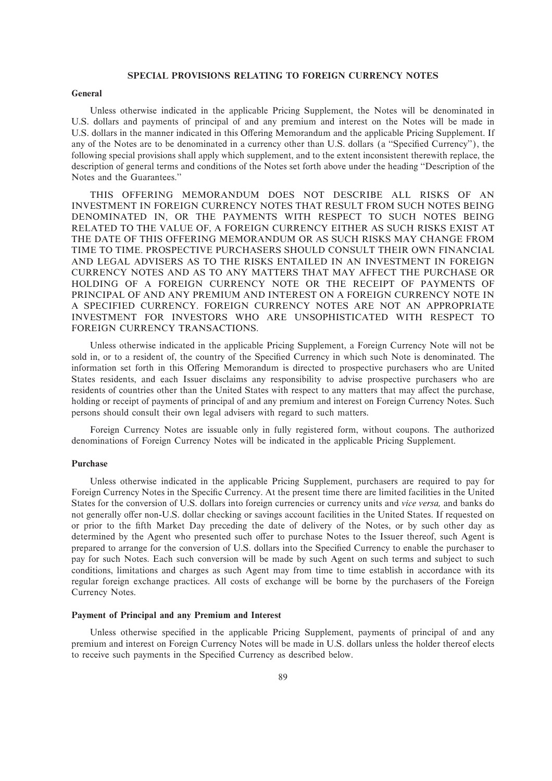# **SPECIAL PROVISIONS RELATING TO FOREIGN CURRENCY NOTES**

#### **General**

Unless otherwise indicated in the applicable Pricing Supplement, the Notes will be denominated in U.S. dollars and payments of principal of and any premium and interest on the Notes will be made in U.S. dollars in the manner indicated in this Offering Memorandum and the applicable Pricing Supplement. If any of the Notes are to be denominated in a currency other than U.S. dollars (a "Specified Currency"), the following special provisions shall apply which supplement, and to the extent inconsistent therewith replace, the description of general terms and conditions of the Notes set forth above under the heading ""Description of the Notes and the Guarantees.''

THIS OFFERING MEMORANDUM DOES NOT DESCRIBE ALL RISKS OF AN INVESTMENT IN FOREIGN CURRENCY NOTES THAT RESULT FROM SUCH NOTES BEING DENOMINATED IN, OR THE PAYMENTS WITH RESPECT TO SUCH NOTES BEING RELATED TO THE VALUE OF, A FOREIGN CURRENCY EITHER AS SUCH RISKS EXIST AT THE DATE OF THIS OFFERING MEMORANDUM OR AS SUCH RISKS MAY CHANGE FROM TIME TO TIME. PROSPECTIVE PURCHASERS SHOULD CONSULT THEIR OWN FINANCIAL AND LEGAL ADVISERS AS TO THE RISKS ENTAILED IN AN INVESTMENT IN FOREIGN CURRENCY NOTES AND AS TO ANY MATTERS THAT MAY AFFECT THE PURCHASE OR HOLDING OF A FOREIGN CURRENCY NOTE OR THE RECEIPT OF PAYMENTS OF PRINCIPAL OF AND ANY PREMIUM AND INTEREST ON A FOREIGN CURRENCY NOTE IN A SPECIFIED CURRENCY. FOREIGN CURRENCY NOTES ARE NOT AN APPROPRIATE INVESTMENT FOR INVESTORS WHO ARE UNSOPHISTICATED WITH RESPECT TO FOREIGN CURRENCY TRANSACTIONS.

Unless otherwise indicated in the applicable Pricing Supplement, a Foreign Currency Note will not be sold in, or to a resident of, the country of the Specified Currency in which such Note is denominated. The information set forth in this Offering Memorandum is directed to prospective purchasers who are United States residents, and each Issuer disclaims any responsibility to advise prospective purchasers who are residents of countries other than the United States with respect to any matters that may affect the purchase, holding or receipt of payments of principal of and any premium and interest on Foreign Currency Notes. Such persons should consult their own legal advisers with regard to such matters.

Foreign Currency Notes are issuable only in fully registered form, without coupons. The authorized denominations of Foreign Currency Notes will be indicated in the applicable Pricing Supplement.

# **Purchase**

Unless otherwise indicated in the applicable Pricing Supplement, purchasers are required to pay for Foreign Currency Notes in the Specific Currency. At the present time there are limited facilities in the United States for the conversion of U.S. dollars into foreign currencies or currency units and *vice versa,* and banks do not generally offer non-U.S. dollar checking or savings account facilities in the United States. If requested on or prior to the Ñfth Market Day preceding the date of delivery of the Notes, or by such other day as determined by the Agent who presented such offer to purchase Notes to the Issuer thereof, such Agent is prepared to arrange for the conversion of U.S. dollars into the Specified Currency to enable the purchaser to pay for such Notes. Each such conversion will be made by such Agent on such terms and subject to such conditions, limitations and charges as such Agent may from time to time establish in accordance with its regular foreign exchange practices. All costs of exchange will be borne by the purchasers of the Foreign Currency Notes.

# **Payment of Principal and any Premium and Interest**

Unless otherwise specified in the applicable Pricing Supplement, payments of principal of and any premium and interest on Foreign Currency Notes will be made in U.S. dollars unless the holder thereof elects to receive such payments in the Specified Currency as described below.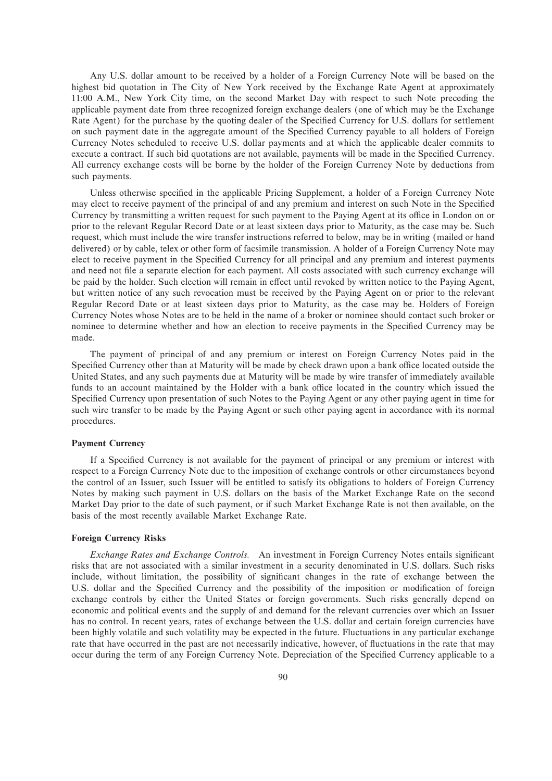Any U.S. dollar amount to be received by a holder of a Foreign Currency Note will be based on the highest bid quotation in The City of New York received by the Exchange Rate Agent at approximately 11:00 A.M., New York City time, on the second Market Day with respect to such Note preceding the applicable payment date from three recognized foreign exchange dealers (one of which may be the Exchange Rate Agent) for the purchase by the quoting dealer of the Specified Currency for U.S. dollars for settlement on such payment date in the aggregate amount of the Specified Currency payable to all holders of Foreign Currency Notes scheduled to receive U.S. dollar payments and at which the applicable dealer commits to execute a contract. If such bid quotations are not available, payments will be made in the Specified Currency. All currency exchange costs will be borne by the holder of the Foreign Currency Note by deductions from such payments.

Unless otherwise specified in the applicable Pricing Supplement, a holder of a Foreign Currency Note may elect to receive payment of the principal of and any premium and interest on such Note in the Specified Currency by transmitting a written request for such payment to the Paying Agent at its office in London on or prior to the relevant Regular Record Date or at least sixteen days prior to Maturity, as the case may be. Such request, which must include the wire transfer instructions referred to below, may be in writing (mailed or hand delivered) or by cable, telex or other form of facsimile transmission. A holder of a Foreign Currency Note may elect to receive payment in the Specified Currency for all principal and any premium and interest payments and need not Ñle a separate election for each payment. All costs associated with such currency exchange will be paid by the holder. Such election will remain in effect until revoked by written notice to the Paying Agent, but written notice of any such revocation must be received by the Paying Agent on or prior to the relevant Regular Record Date or at least sixteen days prior to Maturity, as the case may be. Holders of Foreign Currency Notes whose Notes are to be held in the name of a broker or nominee should contact such broker or nominee to determine whether and how an election to receive payments in the Specified Currency may be made.

The payment of principal of and any premium or interest on Foreign Currency Notes paid in the Specified Currency other than at Maturity will be made by check drawn upon a bank office located outside the United States, and any such payments due at Maturity will be made by wire transfer of immediately available funds to an account maintained by the Holder with a bank office located in the country which issued the Specified Currency upon presentation of such Notes to the Paying Agent or any other paying agent in time for such wire transfer to be made by the Paying Agent or such other paying agent in accordance with its normal procedures.

## **Payment Currency**

If a Specified Currency is not available for the payment of principal or any premium or interest with respect to a Foreign Currency Note due to the imposition of exchange controls or other circumstances beyond the control of an Issuer, such Issuer will be entitled to satisfy its obligations to holders of Foreign Currency Notes by making such payment in U.S. dollars on the basis of the Market Exchange Rate on the second Market Day prior to the date of such payment, or if such Market Exchange Rate is not then available, on the basis of the most recently available Market Exchange Rate.

## **Foreign Currency Risks**

*Exchange Rates and Exchange Controls.* An investment in Foreign Currency Notes entails significant risks that are not associated with a similar investment in a security denominated in U.S. dollars. Such risks include, without limitation, the possibility of significant changes in the rate of exchange between the U.S. dollar and the Specified Currency and the possibility of the imposition or modification of foreign exchange controls by either the United States or foreign governments. Such risks generally depend on economic and political events and the supply of and demand for the relevant currencies over which an Issuer has no control. In recent years, rates of exchange between the U.S. dollar and certain foreign currencies have been highly volatile and such volatility may be expected in the future. Fluctuations in any particular exchange rate that have occurred in the past are not necessarily indicative, however, of fluctuations in the rate that may occur during the term of any Foreign Currency Note. Depreciation of the Specified Currency applicable to a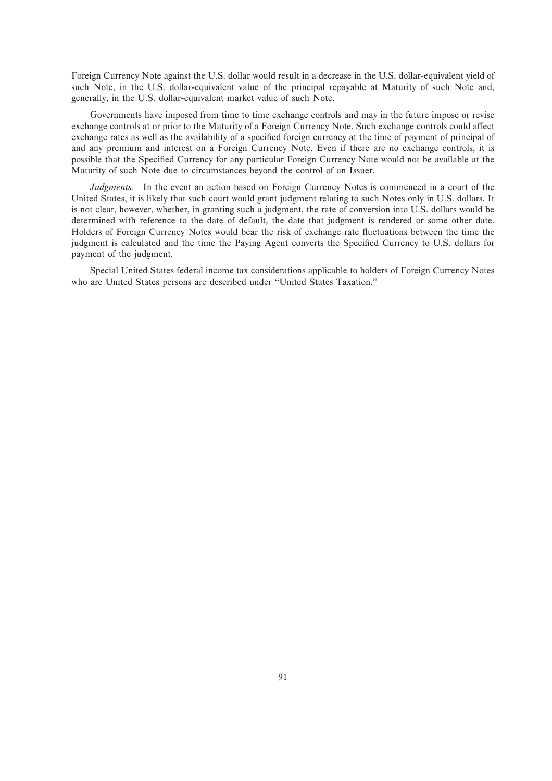Foreign Currency Note against the U.S. dollar would result in a decrease in the U.S. dollar-equivalent yield of such Note, in the U.S. dollar-equivalent value of the principal repayable at Maturity of such Note and, generally, in the U.S. dollar-equivalent market value of such Note.

Governments have imposed from time to time exchange controls and may in the future impose or revise exchange controls at or prior to the Maturity of a Foreign Currency Note. Such exchange controls could affect exchange rates as well as the availability of a specified foreign currency at the time of payment of principal of and any premium and interest on a Foreign Currency Note. Even if there are no exchange controls, it is possible that the Specified Currency for any particular Foreign Currency Note would not be available at the Maturity of such Note due to circumstances beyond the control of an Issuer.

*Judgments.* In the event an action based on Foreign Currency Notes is commenced in a court of the United States, it is likely that such court would grant judgment relating to such Notes only in U.S. dollars. It is not clear, however, whether, in granting such a judgment, the rate of conversion into U.S. dollars would be determined with reference to the date of default, the date that judgment is rendered or some other date. Holders of Foreign Currency Notes would bear the risk of exchange rate fluctuations between the time the judgment is calculated and the time the Paying Agent converts the Specified Currency to U.S. dollars for payment of the judgment.

Special United States federal income tax considerations applicable to holders of Foreign Currency Notes who are United States persons are described under "United States Taxation."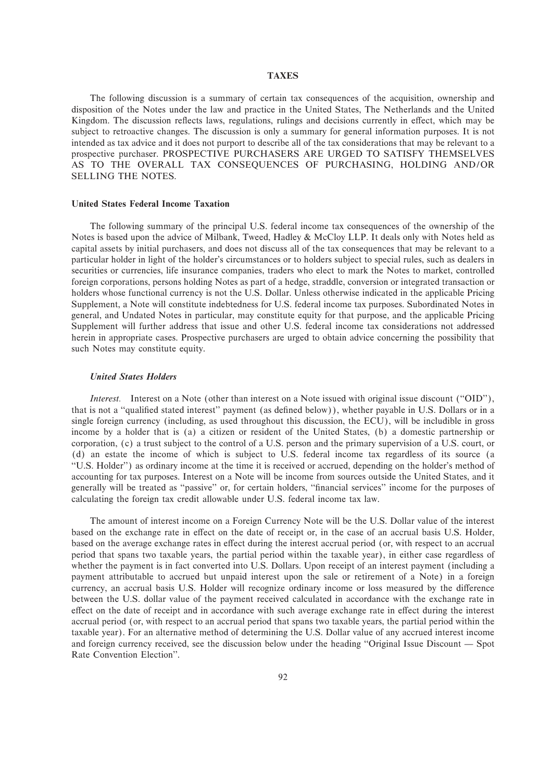# **TAXES**

The following discussion is a summary of certain tax consequences of the acquisition, ownership and disposition of the Notes under the law and practice in the United States, The Netherlands and the United Kingdom. The discussion reflects laws, regulations, rulings and decisions currently in effect, which may be subject to retroactive changes. The discussion is only a summary for general information purposes. It is not intended as tax advice and it does not purport to describe all of the tax considerations that may be relevant to a prospective purchaser. PROSPECTIVE PURCHASERS ARE URGED TO SATISFY THEMSELVES AS TO THE OVERALL TAX CONSEQUENCES OF PURCHASING, HOLDING AND/OR SELLING THE NOTES.

### **United States Federal Income Taxation**

The following summary of the principal U.S. federal income tax consequences of the ownership of the Notes is based upon the advice of Milbank, Tweed, Hadley & McCloy LLP. It deals only with Notes held as capital assets by initial purchasers, and does not discuss all of the tax consequences that may be relevant to a particular holder in light of the holder's circumstances or to holders subject to special rules, such as dealers in securities or currencies, life insurance companies, traders who elect to mark the Notes to market, controlled foreign corporations, persons holding Notes as part of a hedge, straddle, conversion or integrated transaction or holders whose functional currency is not the U.S. Dollar. Unless otherwise indicated in the applicable Pricing Supplement, a Note will constitute indebtedness for U.S. federal income tax purposes. Subordinated Notes in general, and Undated Notes in particular, may constitute equity for that purpose, and the applicable Pricing Supplement will further address that issue and other U.S. federal income tax considerations not addressed herein in appropriate cases. Prospective purchasers are urged to obtain advice concerning the possibility that such Notes may constitute equity.

## *United States Holders*

*Interest.* Interest on a Note (other than interest on a Note issued with original issue discount ("OID"), that is not a "qualified stated interest" payment (as defined below)), whether payable in U.S. Dollars or in a single foreign currency (including, as used throughout this discussion, the ECU), will be includible in gross income by a holder that is (a) a citizen or resident of the United States, (b) a domestic partnership or corporation, (c) a trust subject to the control of a U.S. person and the primary supervision of a U.S. court, or (d) an estate the income of which is subject to U.S. federal income tax regardless of its source (a ""U.S. Holder'') as ordinary income at the time it is received or accrued, depending on the holder's method of accounting for tax purposes. Interest on a Note will be income from sources outside the United States, and it generally will be treated as "passive" or, for certain holders, "financial services" income for the purposes of calculating the foreign tax credit allowable under U.S. federal income tax law.

The amount of interest income on a Foreign Currency Note will be the U.S. Dollar value of the interest based on the exchange rate in effect on the date of receipt or, in the case of an accrual basis U.S. Holder, based on the average exchange rates in effect during the interest accrual period (or, with respect to an accrual period that spans two taxable years, the partial period within the taxable year), in either case regardless of whether the payment is in fact converted into U.S. Dollars. Upon receipt of an interest payment (including a payment attributable to accrued but unpaid interest upon the sale or retirement of a Note) in a foreign currency, an accrual basis U.S. Holder will recognize ordinary income or loss measured by the difference between the U.S. dollar value of the payment received calculated in accordance with the exchange rate in effect on the date of receipt and in accordance with such average exchange rate in effect during the interest accrual period (or, with respect to an accrual period that spans two taxable years, the partial period within the taxable year). For an alternative method of determining the U.S. Dollar value of any accrued interest income and foreign currency received, see the discussion below under the heading "Original Issue Discount — Spot Rate Convention Election''.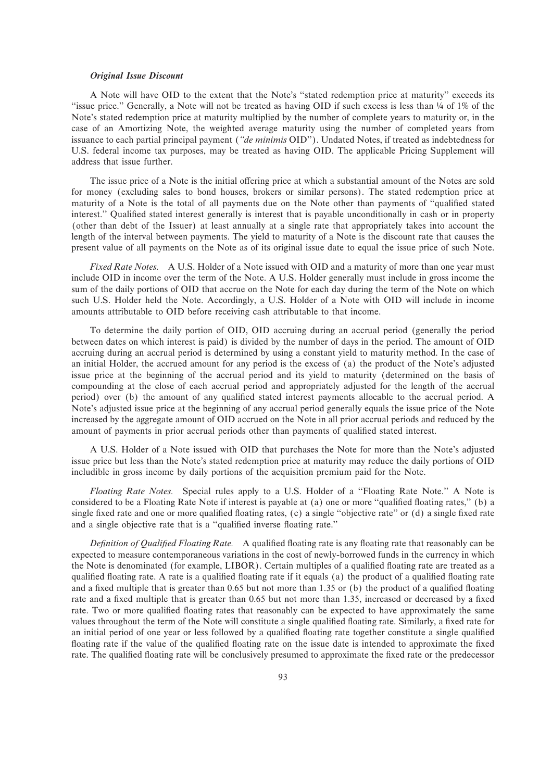## *Original Issue Discount*

A Note will have OID to the extent that the Note's ""stated redemption price at maturity'' exceeds its "issue price." Generally, a Note will not be treated as having OID if such excess is less than ¼ of 1% of the Note's stated redemption price at maturity multiplied by the number of complete years to maturity or, in the case of an Amortizing Note, the weighted average maturity using the number of completed years from issuance to each partial principal payment (*""de minimis* OID''). Undated Notes, if treated as indebtedness for U.S. federal income tax purposes, may be treated as having OID. The applicable Pricing Supplement will address that issue further.

The issue price of a Note is the initial offering price at which a substantial amount of the Notes are sold for money (excluding sales to bond houses, brokers or similar persons). The stated redemption price at maturity of a Note is the total of all payments due on the Note other than payments of "qualified stated interest." Qualified stated interest generally is interest that is payable unconditionally in cash or in property (other than debt of the Issuer) at least annually at a single rate that appropriately takes into account the length of the interval between payments. The yield to maturity of a Note is the discount rate that causes the present value of all payments on the Note as of its original issue date to equal the issue price of such Note.

*Fixed Rate Notes.* A U.S. Holder of a Note issued with OID and a maturity of more than one year must include OID in income over the term of the Note. A U.S. Holder generally must include in gross income the sum of the daily portions of OID that accrue on the Note for each day during the term of the Note on which such U.S. Holder held the Note. Accordingly, a U.S. Holder of a Note with OID will include in income amounts attributable to OID before receiving cash attributable to that income.

To determine the daily portion of OID, OID accruing during an accrual period (generally the period between dates on which interest is paid) is divided by the number of days in the period. The amount of OID accruing during an accrual period is determined by using a constant yield to maturity method. In the case of an initial Holder, the accrued amount for any period is the excess of (a) the product of the Note's adjusted issue price at the beginning of the accrual period and its yield to maturity (determined on the basis of compounding at the close of each accrual period and appropriately adjusted for the length of the accrual period) over (b) the amount of any qualified stated interest payments allocable to the accrual period. A Note's adjusted issue price at the beginning of any accrual period generally equals the issue price of the Note increased by the aggregate amount of OID accrued on the Note in all prior accrual periods and reduced by the amount of payments in prior accrual periods other than payments of qualified stated interest.

A U.S. Holder of a Note issued with OID that purchases the Note for more than the Note's adjusted issue price but less than the Note's stated redemption price at maturity may reduce the daily portions of OID includible in gross income by daily portions of the acquisition premium paid for the Note.

*Floating Rate Notes.* Special rules apply to a U.S. Holder of a ""Floating Rate Note.'' A Note is considered to be a Floating Rate Note if interest is payable at (a) one or more "qualified floating rates," (b) a single fixed rate and one or more qualified floating rates, (c) a single "objective rate" or (d) a single fixed rate and a single objective rate that is a "qualified inverse floating rate."

*Definition of Qualified Floating Rate.* A qualified floating rate is any floating rate that reasonably can be expected to measure contemporaneous variations in the cost of newly-borrowed funds in the currency in which the Note is denominated (for example, LIBOR). Certain multiples of a qualified floating rate are treated as a qualified floating rate. A rate is a qualified floating rate if it equals (a) the product of a qualified floating rate and a fixed multiple that is greater than  $0.65$  but not more than 1.35 or (b) the product of a qualified floating rate and a fixed multiple that is greater than 0.65 but not more than 1.35, increased or decreased by a fixed rate. Two or more qualified floating rates that reasonably can be expected to have approximately the same values throughout the term of the Note will constitute a single qualified floating rate. Similarly, a fixed rate for an initial period of one year or less followed by a qualified floating rate together constitute a single qualified floating rate if the value of the qualified floating rate on the issue date is intended to approximate the fixed rate. The qualified floating rate will be conclusively presumed to approximate the fixed rate or the predecessor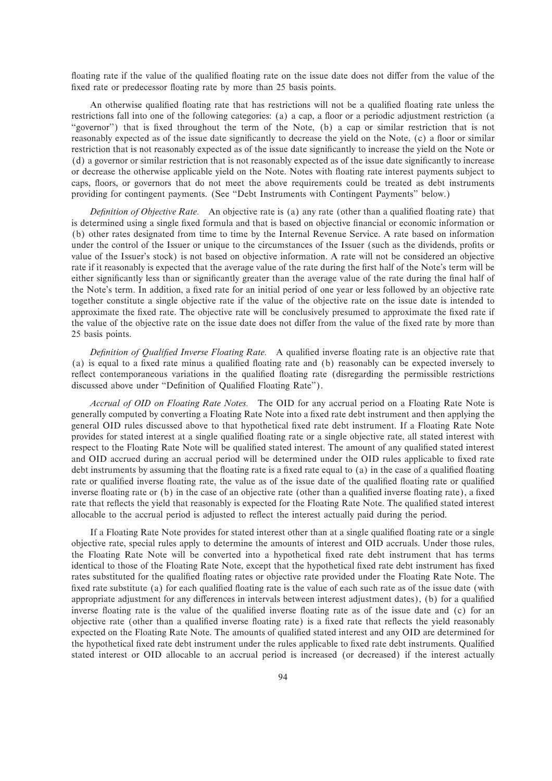floating rate if the value of the qualified floating rate on the issue date does not differ from the value of the fixed rate or predecessor floating rate by more than 25 basis points.

An otherwise qualified floating rate that has restrictions will not be a qualified floating rate unless the restrictions fall into one of the following categories: (a) a cap, a floor or a periodic adjustment restriction (a "governor") that is fixed throughout the term of the Note, (b) a cap or similar restriction that is not reasonably expected as of the issue date significantly to decrease the yield on the Note, (c) a floor or similar restriction that is not reasonably expected as of the issue date significantly to increase the yield on the Note or  $(d)$  a governor or similar restriction that is not reasonably expected as of the issue date significantly to increase or decrease the otherwise applicable yield on the Note. Notes with Öoating rate interest payments subject to caps, Öoors, or governors that do not meet the above requirements could be treated as debt instruments providing for contingent payments. (See ""Debt Instruments with Contingent Payments'' below.)

*Definition of Objective Rate.* An objective rate is (a) any rate (other than a qualified floating rate) that is determined using a single fixed formula and that is based on objective financial or economic information or (b) other rates designated from time to time by the Internal Revenue Service. A rate based on information under the control of the Issuer or unique to the circumstances of the Issuer (such as the dividends, profits or value of the Issuer's stock) is not based on objective information. A rate will not be considered an objective rate if it reasonably is expected that the average value of the rate during the first half of the Note's term will be either significantly less than or significantly greater than the average value of the rate during the final half of the Note's term. In addition, a fixed rate for an initial period of one year or less followed by an objective rate together constitute a single objective rate if the value of the objective rate on the issue date is intended to approximate the Ñxed rate. The objective rate will be conclusively presumed to approximate the Ñxed rate if the value of the objective rate on the issue date does not differ from the value of the fixed rate by more than 25 basis points.

*Definition of Qualified Inverse Floating Rate.* A qualified inverse floating rate is an objective rate that (a) is equal to a fixed rate minus a qualified floating rate and (b) reasonably can be expected inversely to reflect contemporaneous variations in the qualified floating rate (disregarding the permissible restrictions discussed above under "Definition of Qualified Floating Rate").

*Accrual of OID on Floating Rate Notes.* The OID for any accrual period on a Floating Rate Note is generally computed by converting a Floating Rate Note into a fixed rate debt instrument and then applying the general OID rules discussed above to that hypothetical fixed rate debt instrument. If a Floating Rate Note provides for stated interest at a single qualified floating rate or a single objective rate, all stated interest with respect to the Floating Rate Note will be qualified stated interest. The amount of any qualified stated interest and OID accrued during an accrual period will be determined under the OID rules applicable to fixed rate debt instruments by assuming that the floating rate is a fixed rate equal to  $(a)$  in the case of a qualified floating rate or qualified inverse floating rate, the value as of the issue date of the qualified floating rate or qualified inverse floating rate or (b) in the case of an objective rate (other than a qualified inverse floating rate), a fixed rate that reflects the yield that reasonably is expected for the Floating Rate Note. The qualified stated interest allocable to the accrual period is adjusted to reflect the interest actually paid during the period.

If a Floating Rate Note provides for stated interest other than at a single qualified floating rate or a single objective rate, special rules apply to determine the amounts of interest and OID accruals. Under those rules, the Floating Rate Note will be converted into a hypothetical fixed rate debt instrument that has terms identical to those of the Floating Rate Note, except that the hypothetical fixed rate debt instrument has fixed rates substituted for the qualified floating rates or objective rate provided under the Floating Rate Note. The fixed rate substitute (a) for each qualified floating rate is the value of each such rate as of the issue date (with appropriate adjustment for any differences in intervals between interest adjustment dates), (b) for a qualified inverse floating rate is the value of the qualified inverse floating rate as of the issue date and (c) for an objective rate (other than a qualified inverse floating rate) is a fixed rate that reflects the yield reasonably expected on the Floating Rate Note. The amounts of qualified stated interest and any OID are determined for the hypothetical fixed rate debt instrument under the rules applicable to fixed rate debt instruments. Qualified stated interest or OID allocable to an accrual period is increased (or decreased) if the interest actually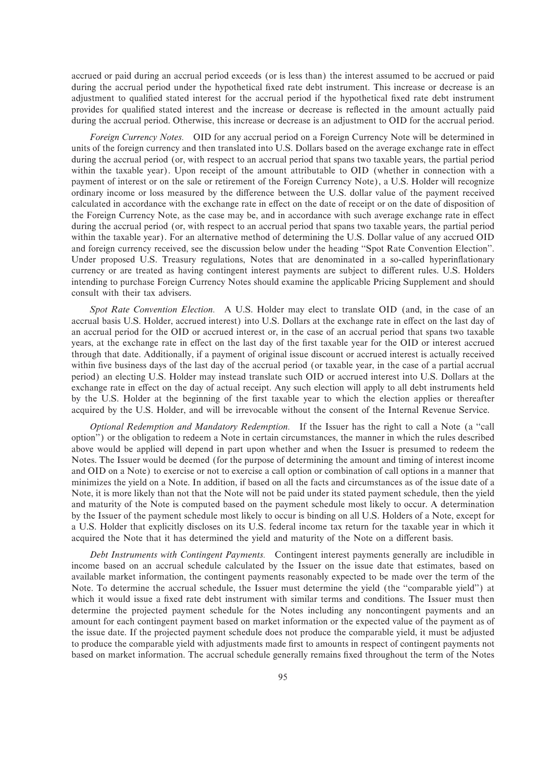accrued or paid during an accrual period exceeds (or is less than) the interest assumed to be accrued or paid during the accrual period under the hypothetical fixed rate debt instrument. This increase or decrease is an adjustment to qualified stated interest for the accrual period if the hypothetical fixed rate debt instrument provides for qualified stated interest and the increase or decrease is reflected in the amount actually paid during the accrual period. Otherwise, this increase or decrease is an adjustment to OID for the accrual period.

*Foreign Currency Notes.* OID for any accrual period on a Foreign Currency Note will be determined in units of the foreign currency and then translated into U.S. Dollars based on the average exchange rate in effect during the accrual period (or, with respect to an accrual period that spans two taxable years, the partial period within the taxable year). Upon receipt of the amount attributable to OID (whether in connection with a payment of interest or on the sale or retirement of the Foreign Currency Note), a U.S. Holder will recognize ordinary income or loss measured by the difference between the U.S. dollar value of the payment received calculated in accordance with the exchange rate in effect on the date of receipt or on the date of disposition of the Foreign Currency Note, as the case may be, and in accordance with such average exchange rate in effect during the accrual period (or, with respect to an accrual period that spans two taxable years, the partial period within the taxable year). For an alternative method of determining the U.S. Dollar value of any accrued OID and foreign currency received, see the discussion below under the heading ""Spot Rate Convention Election''. Under proposed U.S. Treasury regulations, Notes that are denominated in a so-called hyperinflationary currency or are treated as having contingent interest payments are subject to different rules. U.S. Holders intending to purchase Foreign Currency Notes should examine the applicable Pricing Supplement and should consult with their tax advisers.

*Spot Rate Convention Election.* A U.S. Holder may elect to translate OID (and, in the case of an accrual basis U.S. Holder, accrued interest) into U.S. Dollars at the exchange rate in effect on the last day of an accrual period for the OID or accrued interest or, in the case of an accrual period that spans two taxable years, at the exchange rate in effect on the last day of the first taxable year for the OID or interest accrued through that date. Additionally, if a payment of original issue discount or accrued interest is actually received within five business days of the last day of the accrual period (or taxable year, in the case of a partial accrual period) an electing U.S. Holder may instead translate such OID or accrued interest into U.S. Dollars at the exchange rate in effect on the day of actual receipt. Any such election will apply to all debt instruments held by the U.S. Holder at the beginning of the first taxable year to which the election applies or thereafter acquired by the U.S. Holder, and will be irrevocable without the consent of the Internal Revenue Service.

*Optional Redemption and Mandatory Redemption.* If the Issuer has the right to call a Note (a ""call option'') or the obligation to redeem a Note in certain circumstances, the manner in which the rules described above would be applied will depend in part upon whether and when the Issuer is presumed to redeem the Notes. The Issuer would be deemed (for the purpose of determining the amount and timing of interest income and OID on a Note) to exercise or not to exercise a call option or combination of call options in a manner that minimizes the yield on a Note. In addition, if based on all the facts and circumstances as of the issue date of a Note, it is more likely than not that the Note will not be paid under its stated payment schedule, then the yield and maturity of the Note is computed based on the payment schedule most likely to occur. A determination by the Issuer of the payment schedule most likely to occur is binding on all U.S. Holders of a Note, except for a U.S. Holder that explicitly discloses on its U.S. federal income tax return for the taxable year in which it acquired the Note that it has determined the yield and maturity of the Note on a different basis.

*Debt Instruments with Contingent Payments.* Contingent interest payments generally are includible in income based on an accrual schedule calculated by the Issuer on the issue date that estimates, based on available market information, the contingent payments reasonably expected to be made over the term of the Note. To determine the accrual schedule, the Issuer must determine the yield (the "comparable yield") at which it would issue a fixed rate debt instrument with similar terms and conditions. The Issuer must then determine the projected payment schedule for the Notes including any noncontingent payments and an amount for each contingent payment based on market information or the expected value of the payment as of the issue date. If the projected payment schedule does not produce the comparable yield, it must be adjusted to produce the comparable yield with adjustments made first to amounts in respect of contingent payments not based on market information. The accrual schedule generally remains fixed throughout the term of the Notes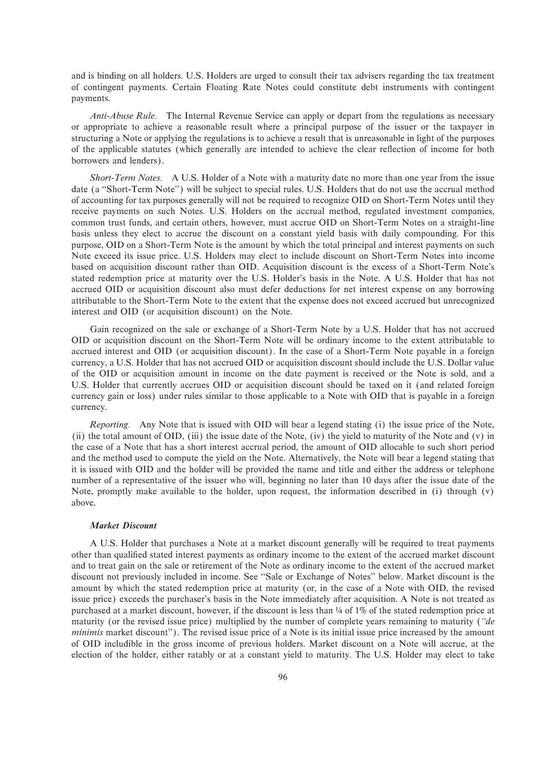and is binding on all holders. U.S. Holders are urged to consult their tax advisers regarding the tax treatment of contingent payments. Certain Floating Rate Notes could constitute debt instruments with contingent payments.

*Anti-Abuse Rule.* The Internal Revenue Service can apply or depart from the regulations as necessary or appropriate to achieve a reasonable result where a principal purpose of the issuer or the taxpayer in structuring a Note or applying the regulations is to achieve a result that is unreasonable in light of the purposes of the applicable statutes (which generally are intended to achieve the clear reflection of income for both borrowers and lenders).

*Short-Term Notes.* A U.S. Holder of a Note with a maturity date no more than one year from the issue date (a ""Short-Term Note'') will be subject to special rules. U.S. Holders that do not use the accrual method of accounting for tax purposes generally will not be required to recognize OID on Short-Term Notes until they receive payments on such Notes. U.S. Holders on the accrual method, regulated investment companies, common trust funds, and certain others, however, must accrue OID on Short-Term Notes on a straight-line basis unless they elect to accrue the discount on a constant yield basis with daily compounding. For this purpose, OID on a Short-Term Note is the amount by which the total principal and interest payments on such Note exceed its issue price. U.S. Holders may elect to include discount on Short-Term Notes into income based on acquisition discount rather than OID. Acquisition discount is the excess of a Short-Term Note's stated redemption price at maturity over the U.S. Holder's basis in the Note. A U.S. Holder that has not accrued OID or acquisition discount also must defer deductions for net interest expense on any borrowing attributable to the Short-Term Note to the extent that the expense does not exceed accrued but unrecognized interest and OID (or acquisition discount) on the Note.

Gain recognized on the sale or exchange of a Short-Term Note by a U.S. Holder that has not accrued OID or acquisition discount on the Short-Term Note will be ordinary income to the extent attributable to accrued interest and OID (or acquisition discount). In the case of a Short-Term Note payable in a foreign currency, a U.S. Holder that has not accrued OID or acquisition discount should include the U.S. Dollar value of the OID or acquisition amount in income on the date payment is received or the Note is sold, and a U.S. Holder that currently accrues OID or acquisition discount should be taxed on it (and related foreign currency gain or loss) under rules similar to those applicable to a Note with OID that is payable in a foreign currency.

*Reporting.* Any Note that is issued with OID will bear a legend stating (i) the issue price of the Note, (ii) the total amount of OID, (iii) the issue date of the Note, (iv) the yield to maturity of the Note and (v) in the case of a Note that has a short interest accrual period, the amount of OID allocable to such short period and the method used to compute the yield on the Note. Alternatively, the Note will bear a legend stating that it is issued with OID and the holder will be provided the name and title and either the address or telephone number of a representative of the issuer who will, beginning no later than 10 days after the issue date of the Note, promptly make available to the holder, upon request, the information described in (i) through (v) above.

## *Market Discount*

A U.S. Holder that purchases a Note at a market discount generally will be required to treat payments other than qualified stated interest payments as ordinary income to the extent of the accrued market discount and to treat gain on the sale or retirement of the Note as ordinary income to the extent of the accrued market discount not previously included in income. See "Sale or Exchange of Notes" below. Market discount is the amount by which the stated redemption price at maturity (or, in the case of a Note with OID, the revised issue price) exceeds the purchaser's basis in the Note immediately after acquisition. A Note is not treated as purchased at a market discount, however, if the discount is less than  $\frac{1}{4}$  of 1% of the stated redemption price at maturity (or the revised issue price) multiplied by the number of complete years remaining to maturity (*""de minimis* market discount''). The revised issue price of a Note is its initial issue price increased by the amount of OID includible in the gross income of previous holders. Market discount on a Note will accrue, at the election of the holder, either ratably or at a constant yield to maturity. The U.S. Holder may elect to take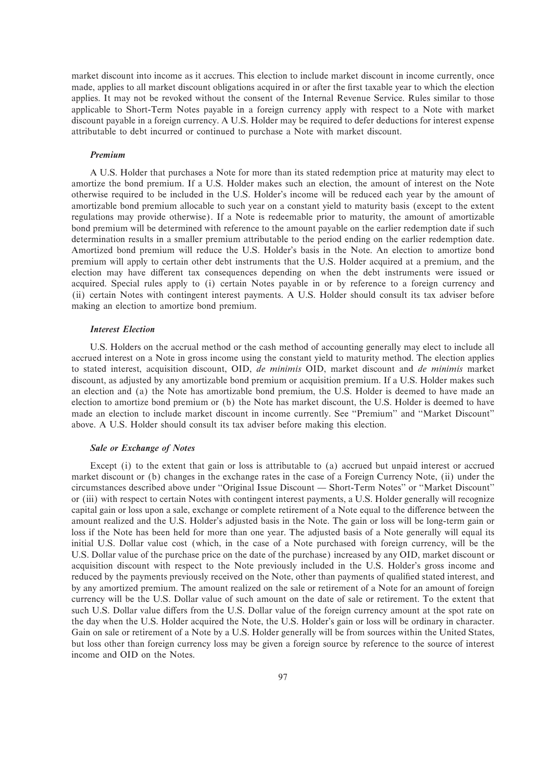market discount into income as it accrues. This election to include market discount in income currently, once made, applies to all market discount obligations acquired in or after the first taxable year to which the election applies. It may not be revoked without the consent of the Internal Revenue Service. Rules similar to those applicable to Short-Term Notes payable in a foreign currency apply with respect to a Note with market discount payable in a foreign currency. A U.S. Holder may be required to defer deductions for interest expense attributable to debt incurred or continued to purchase a Note with market discount.

#### *Premium*

A U.S. Holder that purchases a Note for more than its stated redemption price at maturity may elect to amortize the bond premium. If a U.S. Holder makes such an election, the amount of interest on the Note otherwise required to be included in the U.S. Holder's income will be reduced each year by the amount of amortizable bond premium allocable to such year on a constant yield to maturity basis (except to the extent regulations may provide otherwise). If a Note is redeemable prior to maturity, the amount of amortizable bond premium will be determined with reference to the amount payable on the earlier redemption date if such determination results in a smaller premium attributable to the period ending on the earlier redemption date. Amortized bond premium will reduce the U.S. Holder's basis in the Note. An election to amortize bond premium will apply to certain other debt instruments that the U.S. Holder acquired at a premium, and the election may have different tax consequences depending on when the debt instruments were issued or acquired. Special rules apply to (i) certain Notes payable in or by reference to a foreign currency and (ii) certain Notes with contingent interest payments. A U.S. Holder should consult its tax adviser before making an election to amortize bond premium.

# *Interest Election*

U.S. Holders on the accrual method or the cash method of accounting generally may elect to include all accrued interest on a Note in gross income using the constant yield to maturity method. The election applies to stated interest, acquisition discount, OID, *de minimis* OID, market discount and *de minimis* market discount, as adjusted by any amortizable bond premium or acquisition premium. If a U.S. Holder makes such an election and (a) the Note has amortizable bond premium, the U.S. Holder is deemed to have made an election to amortize bond premium or (b) the Note has market discount, the U.S. Holder is deemed to have made an election to include market discount in income currently. See ""Premium'' and ""Market Discount'' above. A U.S. Holder should consult its tax adviser before making this election.

#### *Sale or Exchange of Notes*

Except (i) to the extent that gain or loss is attributable to (a) accrued but unpaid interest or accrued market discount or (b) changes in the exchange rates in the case of a Foreign Currency Note, (ii) under the circumstances described above under "Original Issue Discount — Short-Term Notes" or "Market Discount" or (iii) with respect to certain Notes with contingent interest payments, a U.S. Holder generally will recognize capital gain or loss upon a sale, exchange or complete retirement of a Note equal to the difference between the amount realized and the U.S. Holder's adjusted basis in the Note. The gain or loss will be long-term gain or loss if the Note has been held for more than one year. The adjusted basis of a Note generally will equal its initial U.S. Dollar value cost (which, in the case of a Note purchased with foreign currency, will be the U.S. Dollar value of the purchase price on the date of the purchase) increased by any OID, market discount or acquisition discount with respect to the Note previously included in the U.S. Holder's gross income and reduced by the payments previously received on the Note, other than payments of qualified stated interest, and by any amortized premium. The amount realized on the sale or retirement of a Note for an amount of foreign currency will be the U.S. Dollar value of such amount on the date of sale or retirement. To the extent that such U.S. Dollar value differs from the U.S. Dollar value of the foreign currency amount at the spot rate on the day when the U.S. Holder acquired the Note, the U.S. Holder's gain or loss will be ordinary in character. Gain on sale or retirement of a Note by a U.S. Holder generally will be from sources within the United States, but loss other than foreign currency loss may be given a foreign source by reference to the source of interest income and OID on the Notes.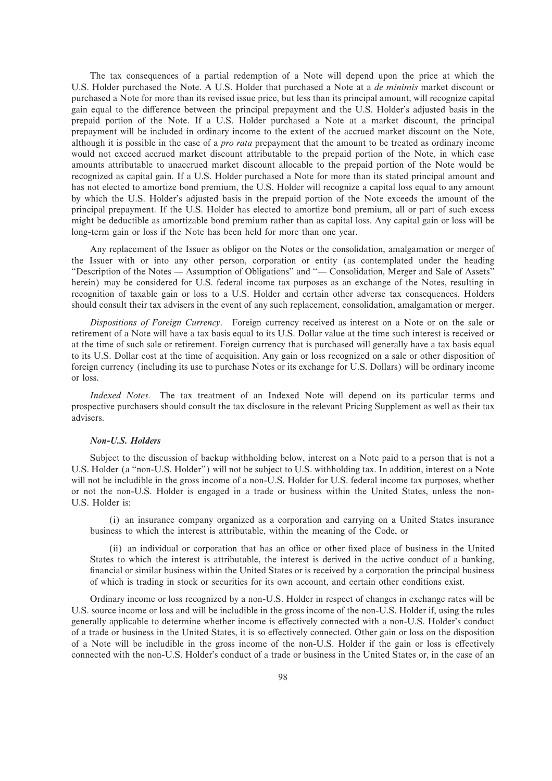The tax consequences of a partial redemption of a Note will depend upon the price at which the U.S. Holder purchased the Note. A U.S. Holder that purchased a Note at a *de minimis* market discount or purchased a Note for more than its revised issue price, but less than its principal amount, will recognize capital gain equal to the difference between the principal prepayment and the U.S. Holder's adjusted basis in the prepaid portion of the Note. If a U.S. Holder purchased a Note at a market discount, the principal prepayment will be included in ordinary income to the extent of the accrued market discount on the Note, although it is possible in the case of a *pro rata* prepayment that the amount to be treated as ordinary income would not exceed accrued market discount attributable to the prepaid portion of the Note, in which case amounts attributable to unaccrued market discount allocable to the prepaid portion of the Note would be recognized as capital gain. If a U.S. Holder purchased a Note for more than its stated principal amount and has not elected to amortize bond premium, the U.S. Holder will recognize a capital loss equal to any amount by which the U.S. Holder's adjusted basis in the prepaid portion of the Note exceeds the amount of the principal prepayment. If the U.S. Holder has elected to amortize bond premium, all or part of such excess might be deductible as amortizable bond premium rather than as capital loss. Any capital gain or loss will be long-term gain or loss if the Note has been held for more than one year.

Any replacement of the Issuer as obligor on the Notes or the consolidation, amalgamation or merger of the Issuer with or into any other person, corporation or entity (as contemplated under the heading "Description of the Notes — Assumption of Obligations" and "— Consolidation, Merger and Sale of Assets" herein) may be considered for U.S. federal income tax purposes as an exchange of the Notes, resulting in recognition of taxable gain or loss to a U.S. Holder and certain other adverse tax consequences. Holders should consult their tax advisers in the event of any such replacement, consolidation, amalgamation or merger.

*Dispositions of Foreign Currency.* Foreign currency received as interest on a Note or on the sale or retirement of a Note will have a tax basis equal to its U.S. Dollar value at the time such interest is received or at the time of such sale or retirement. Foreign currency that is purchased will generally have a tax basis equal to its U.S. Dollar cost at the time of acquisition. Any gain or loss recognized on a sale or other disposition of foreign currency (including its use to purchase Notes or its exchange for U.S. Dollars) will be ordinary income or loss.

*Indexed Notes.* The tax treatment of an Indexed Note will depend on its particular terms and prospective purchasers should consult the tax disclosure in the relevant Pricing Supplement as well as their tax advisers.

# *Non-U.S. Holders*

Subject to the discussion of backup withholding below, interest on a Note paid to a person that is not a U.S. Holder (a "non-U.S. Holder") will not be subject to U.S. withholding tax. In addition, interest on a Note will not be includible in the gross income of a non-U.S. Holder for U.S. federal income tax purposes, whether or not the non-U.S. Holder is engaged in a trade or business within the United States, unless the non-U.S. Holder is:

(i) an insurance company organized as a corporation and carrying on a United States insurance business to which the interest is attributable, within the meaning of the Code, or

(ii) an individual or corporation that has an office or other fixed place of business in the United States to which the interest is attributable, the interest is derived in the active conduct of a banking, financial or similar business within the United States or is received by a corporation the principal business of which is trading in stock or securities for its own account, and certain other conditions exist.

Ordinary income or loss recognized by a non-U.S. Holder in respect of changes in exchange rates will be U.S. source income or loss and will be includible in the gross income of the non-U.S. Holder if, using the rules generally applicable to determine whether income is effectively connected with a non-U.S. Holder's conduct of a trade or business in the United States, it is so effectively connected. Other gain or loss on the disposition of a Note will be includible in the gross income of the non-U.S. Holder if the gain or loss is effectively connected with the non-U.S. Holder's conduct of a trade or business in the United States or, in the case of an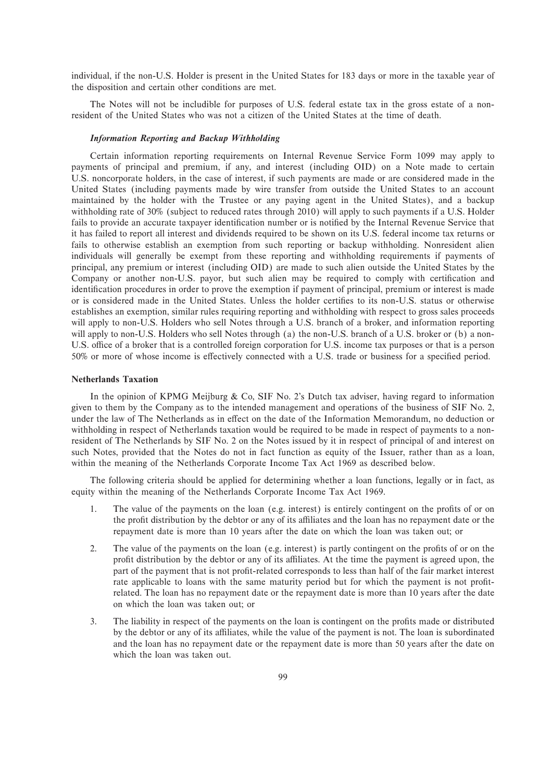individual, if the non-U.S. Holder is present in the United States for 183 days or more in the taxable year of the disposition and certain other conditions are met.

The Notes will not be includible for purposes of U.S. federal estate tax in the gross estate of a nonresident of the United States who was not a citizen of the United States at the time of death.

# *Information Reporting and Backup Withholding*

Certain information reporting requirements on Internal Revenue Service Form 1099 may apply to payments of principal and premium, if any, and interest (including OID) on a Note made to certain U.S. noncorporate holders, in the case of interest, if such payments are made or are considered made in the United States (including payments made by wire transfer from outside the United States to an account maintained by the holder with the Trustee or any paying agent in the United States), and a backup withholding rate of 30% (subject to reduced rates through 2010) will apply to such payments if a U.S. Holder fails to provide an accurate taxpayer identification number or is notified by the Internal Revenue Service that it has failed to report all interest and dividends required to be shown on its U.S. federal income tax returns or fails to otherwise establish an exemption from such reporting or backup withholding. Nonresident alien individuals will generally be exempt from these reporting and withholding requirements if payments of principal, any premium or interest (including OID) are made to such alien outside the United States by the Company or another non-U.S. payor, but such alien may be required to comply with certification and identification procedures in order to prove the exemption if payment of principal, premium or interest is made or is considered made in the United States. Unless the holder certifies to its non-U.S. status or otherwise establishes an exemption, similar rules requiring reporting and withholding with respect to gross sales proceeds will apply to non-U.S. Holders who sell Notes through a U.S. branch of a broker, and information reporting will apply to non-U.S. Holders who sell Notes through (a) the non-U.S. branch of a U.S. broker or (b) a non-U.S. office of a broker that is a controlled foreign corporation for U.S. income tax purposes or that is a person 50% or more of whose income is effectively connected with a U.S. trade or business for a specified period.

#### **Netherlands Taxation**

In the opinion of KPMG Meijburg & Co, SIF No. 2's Dutch tax adviser, having regard to information given to them by the Company as to the intended management and operations of the business of SIF No. 2, under the law of The Netherlands as in effect on the date of the Information Memorandum, no deduction or withholding in respect of Netherlands taxation would be required to be made in respect of payments to a nonresident of The Netherlands by SIF No. 2 on the Notes issued by it in respect of principal of and interest on such Notes, provided that the Notes do not in fact function as equity of the Issuer, rather than as a loan, within the meaning of the Netherlands Corporate Income Tax Act 1969 as described below.

The following criteria should be applied for determining whether a loan functions, legally or in fact, as equity within the meaning of the Netherlands Corporate Income Tax Act 1969.

- 1. The value of the payments on the loan (e.g. interest) is entirely contingent on the profits of or on the profit distribution by the debtor or any of its affiliates and the loan has no repayment date or the repayment date is more than 10 years after the date on which the loan was taken out; or
- 2. The value of the payments on the loan (e.g. interest) is partly contingent on the profits of or on the profit distribution by the debtor or any of its affiliates. At the time the payment is agreed upon, the part of the payment that is not profit-related corresponds to less than half of the fair market interest rate applicable to loans with the same maturity period but for which the payment is not profitrelated. The loan has no repayment date or the repayment date is more than 10 years after the date on which the loan was taken out; or
- 3. The liability in respect of the payments on the loan is contingent on the profits made or distributed by the debtor or any of its affiliates, while the value of the payment is not. The loan is subordinated and the loan has no repayment date or the repayment date is more than 50 years after the date on which the loan was taken out.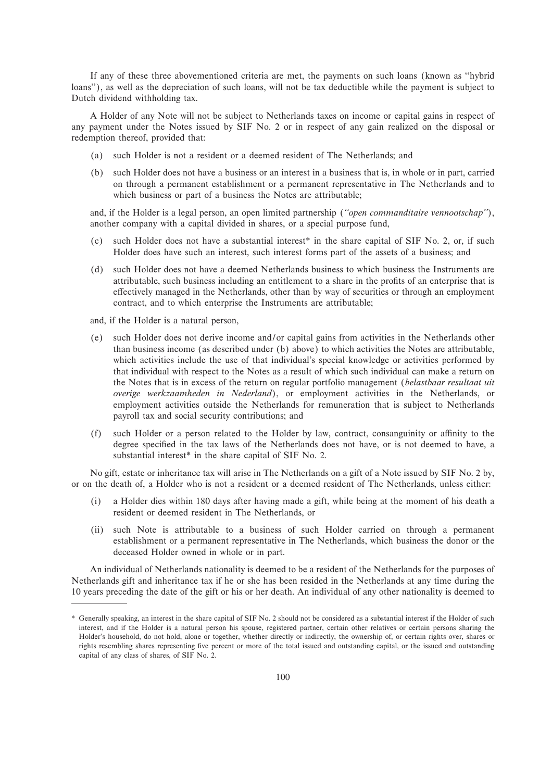If any of these three abovementioned criteria are met, the payments on such loans (known as "hybrid loans''), as well as the depreciation of such loans, will not be tax deductible while the payment is subject to Dutch dividend withholding tax.

A Holder of any Note will not be subject to Netherlands taxes on income or capital gains in respect of any payment under the Notes issued by SIF No. 2 or in respect of any gain realized on the disposal or redemption thereof, provided that:

- (a) such Holder is not a resident or a deemed resident of The Netherlands; and
- (b) such Holder does not have a business or an interest in a business that is, in whole or in part, carried on through a permanent establishment or a permanent representative in The Netherlands and to which business or part of a business the Notes are attributable;

and, if the Holder is a legal person, an open limited partnership (*""open commanditaire vennootschap''*), another company with a capital divided in shares, or a special purpose fund,

- (c) such Holder does not have a substantial interest\* in the share capital of SIF No. 2, or, if such Holder does have such an interest, such interest forms part of the assets of a business; and
- (d) such Holder does not have a deemed Netherlands business to which business the Instruments are attributable, such business including an entitlement to a share in the profits of an enterprise that is effectively managed in the Netherlands, other than by way of securities or through an employment contract, and to which enterprise the Instruments are attributable;
- and, if the Holder is a natural person,
- (e) such Holder does not derive income and/or capital gains from activities in the Netherlands other than business income (as described under (b) above) to which activities the Notes are attributable, which activities include the use of that individual's special knowledge or activities performed by that individual with respect to the Notes as a result of which such individual can make a return on the Notes that is in excess of the return on regular portfolio management (*belastbaar resultaat uit overige werkzaamheden in Nederland*), or employment activities in the Netherlands, or employment activities outside the Netherlands for remuneration that is subject to Netherlands payroll tax and social security contributions; and
- $(f)$  such Holder or a person related to the Holder by law, contract, consanguinity or affinity to the degree specified in the tax laws of the Netherlands does not have, or is not deemed to have, a substantial interest\* in the share capital of SIF No. 2.

No gift, estate or inheritance tax will arise in The Netherlands on a gift of a Note issued by SIF No. 2 by, or on the death of, a Holder who is not a resident or a deemed resident of The Netherlands, unless either:

- (i) a Holder dies within 180 days after having made a gift, while being at the moment of his death a resident or deemed resident in The Netherlands, or
- (ii) such Note is attributable to a business of such Holder carried on through a permanent establishment or a permanent representative in The Netherlands, which business the donor or the deceased Holder owned in whole or in part.

An individual of Netherlands nationality is deemed to be a resident of the Netherlands for the purposes of Netherlands gift and inheritance tax if he or she has been resided in the Netherlands at any time during the 10 years preceding the date of the gift or his or her death. An individual of any other nationality is deemed to

<sup>\*</sup> Generally speaking, an interest in the share capital of SIF No. 2 should not be considered as a substantial interest if the Holder of such interest, and if the Holder is a natural person his spouse, registered partner, certain other relatives or certain persons sharing the Holder's household, do not hold, alone or together, whether directly or indirectly, the ownership of, or certain rights over, shares or rights resembling shares representing five percent or more of the total issued and outstanding capital, or the issued and outstanding capital of any class of shares, of SIF No. 2.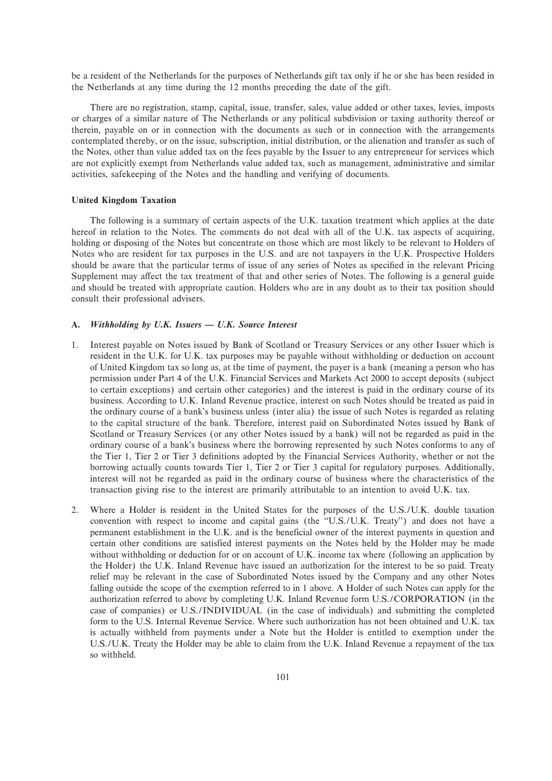be a resident of the Netherlands for the purposes of Netherlands gift tax only if he or she has been resided in the Netherlands at any time during the 12 months preceding the date of the gift.

There are no registration, stamp, capital, issue, transfer, sales, value added or other taxes, levies, imposts or charges of a similar nature of The Netherlands or any political subdivision or taxing authority thereof or therein, payable on or in connection with the documents as such or in connection with the arrangements contemplated thereby, or on the issue, subscription, initial distribution, or the alienation and transfer as such of the Notes, other than value added tax on the fees payable by the Issuer to any entrepreneur for services which are not explicitly exempt from Netherlands value added tax, such as management, administrative and similar activities, safekeeping of the Notes and the handling and verifying of documents.

## **United Kingdom Taxation**

The following is a summary of certain aspects of the U.K. taxation treatment which applies at the date hereof in relation to the Notes. The comments do not deal with all of the U.K. tax aspects of acquiring, holding or disposing of the Notes but concentrate on those which are most likely to be relevant to Holders of Notes who are resident for tax purposes in the U.S. and are not taxpayers in the U.K. Prospective Holders should be aware that the particular terms of issue of any series of Notes as specified in the relevant Pricing Supplement may affect the tax treatment of that and other series of Notes. The following is a general guide and should be treated with appropriate caution. Holders who are in any doubt as to their tax position should consult their professional advisers.

# A. *Withholding by U.K. Issuers - U.K. Source Interest*

- 1. Interest payable on Notes issued by Bank of Scotland or Treasury Services or any other Issuer which is resident in the U.K. for U.K. tax purposes may be payable without withholding or deduction on account of United Kingdom tax so long as, at the time of payment, the payer is a bank (meaning a person who has permission under Part 4 of the U.K. Financial Services and Markets Act 2000 to accept deposits (subject to certain exceptions) and certain other categories) and the interest is paid in the ordinary course of its business. According to U.K. Inland Revenue practice, interest on such Notes should be treated as paid in the ordinary course of a bank's business unless (inter alia) the issue of such Notes is regarded as relating to the capital structure of the bank. Therefore, interest paid on Subordinated Notes issued by Bank of Scotland or Treasury Services (or any other Notes issued by a bank) will not be regarded as paid in the ordinary course of a bank's business where the borrowing represented by such Notes conforms to any of the Tier 1, Tier 2 or Tier 3 definitions adopted by the Financial Services Authority, whether or not the borrowing actually counts towards Tier 1, Tier 2 or Tier 3 capital for regulatory purposes. Additionally, interest will not be regarded as paid in the ordinary course of business where the characteristics of the transaction giving rise to the interest are primarily attributable to an intention to avoid U.K. tax.
- 2. Where a Holder is resident in the United States for the purposes of the U.S./U.K. double taxation convention with respect to income and capital gains (the ""U.S./U.K. Treaty'') and does not have a permanent establishment in the U.K. and is the beneficial owner of the interest payments in question and certain other conditions are satisfied interest payments on the Notes held by the Holder may be made without withholding or deduction for or on account of U.K. income tax where (following an application by the Holder) the U.K. Inland Revenue have issued an authorization for the interest to be so paid. Treaty relief may be relevant in the case of Subordinated Notes issued by the Company and any other Notes falling outside the scope of the exemption referred to in 1 above. A Holder of such Notes can apply for the authorization referred to above by completing U.K. Inland Revenue form U.S./CORPORATION (in the case of companies) or U.S./INDIVIDUAL (in the case of individuals) and submitting the completed form to the U.S. Internal Revenue Service. Where such authorization has not been obtained and U.K. tax is actually withheld from payments under a Note but the Holder is entitled to exemption under the U.S./U.K. Treaty the Holder may be able to claim from the U.K. Inland Revenue a repayment of the tax so withheld.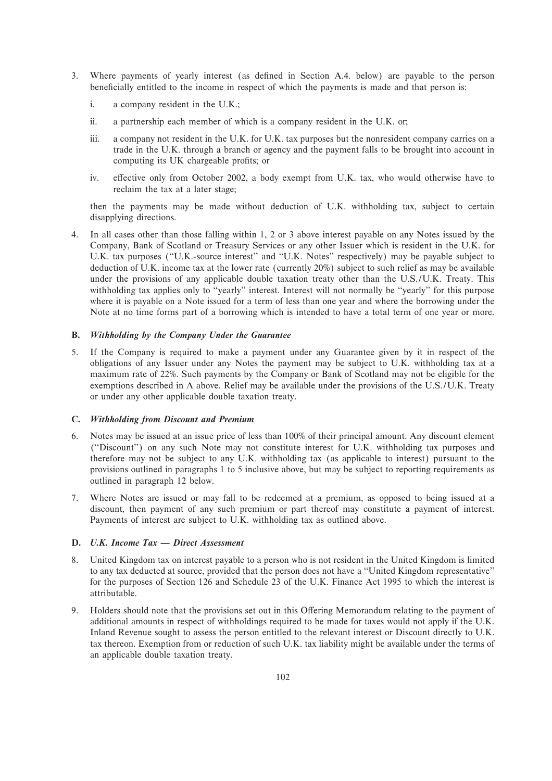- 3. Where payments of yearly interest (as deÑned in Section A.4. below) are payable to the person beneficially entitled to the income in respect of which the payments is made and that person is:
	- i. a company resident in the U.K.;
	- ii. a partnership each member of which is a company resident in the U.K. or;
	- iii. a company not resident in the U.K. for U.K. tax purposes but the nonresident company carries on a trade in the U.K. through a branch or agency and the payment falls to be brought into account in computing its UK chargeable profits; or
	- iv. effective only from October 2002, a body exempt from U.K. tax, who would otherwise have to reclaim the tax at a later stage;

then the payments may be made without deduction of U.K. withholding tax, subject to certain disapplying directions.

4. In all cases other than those falling within 1, 2 or 3 above interest payable on any Notes issued by the Company, Bank of Scotland or Treasury Services or any other Issuer which is resident in the U.K. for U.K. tax purposes ("U.K.-source interest" and "U.K. Notes" respectively) may be payable subject to deduction of U.K. income tax at the lower rate (currently 20%) subject to such relief as may be available under the provisions of any applicable double taxation treaty other than the U.S./U.K. Treaty. This withholding tax applies only to "yearly" interest. Interest will not normally be "yearly" for this purpose where it is payable on a Note issued for a term of less than one year and where the borrowing under the Note at no time forms part of a borrowing which is intended to have a total term of one year or more.

# **B.** *Withholding by the Company Under the Guarantee*

5. If the Company is required to make a payment under any Guarantee given by it in respect of the obligations of any Issuer under any Notes the payment may be subject to U.K. withholding tax at a maximum rate of 22%. Such payments by the Company or Bank of Scotland may not be eligible for the exemptions described in A above. Relief may be available under the provisions of the U.S./U.K. Treaty or under any other applicable double taxation treaty.

# **C.** *Withholding from Discount and Premium*

- 6. Notes may be issued at an issue price of less than 100% of their principal amount. Any discount element (""Discount'') on any such Note may not constitute interest for U.K. withholding tax purposes and therefore may not be subject to any U.K. withholding tax (as applicable to interest) pursuant to the provisions outlined in paragraphs 1 to 5 inclusive above, but may be subject to reporting requirements as outlined in paragraph 12 below.
- 7. Where Notes are issued or may fall to be redeemed at a premium, as opposed to being issued at a discount, then payment of any such premium or part thereof may constitute a payment of interest. Payments of interest are subject to U.K. withholding tax as outlined above.

# **D.** *U.K. Income Tax – Direct Assessment*

- 8. United Kingdom tax on interest payable to a person who is not resident in the United Kingdom is limited to any tax deducted at source, provided that the person does not have a ""United Kingdom representative'' for the purposes of Section 126 and Schedule 23 of the U.K. Finance Act 1995 to which the interest is attributable.
- 9. Holders should note that the provisions set out in this Offering Memorandum relating to the payment of additional amounts in respect of withholdings required to be made for taxes would not apply if the U.K. Inland Revenue sought to assess the person entitled to the relevant interest or Discount directly to U.K. tax thereon. Exemption from or reduction of such U.K. tax liability might be available under the terms of an applicable double taxation treaty.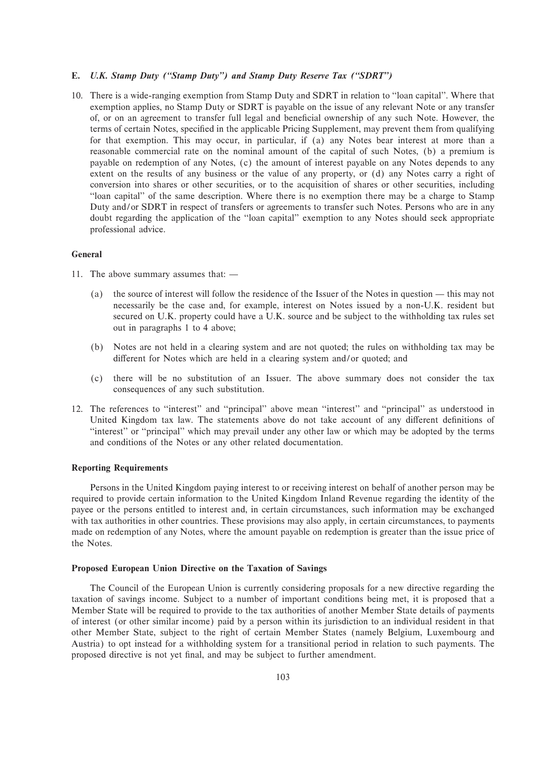# **E.** *U.K. Stamp Duty (""Stamp Duty'') and Stamp Duty Reserve Tax (""SDRT'')*

10. There is a wide-ranging exemption from Stamp Duty and SDRT in relation to ""loan capital''. Where that exemption applies, no Stamp Duty or SDRT is payable on the issue of any relevant Note or any transfer of, or on an agreement to transfer full legal and beneficial ownership of any such Note. However, the terms of certain Notes, specified in the applicable Pricing Supplement, may prevent them from qualifying for that exemption. This may occur, in particular, if (a) any Notes bear interest at more than a reasonable commercial rate on the nominal amount of the capital of such Notes, (b) a premium is payable on redemption of any Notes, (c) the amount of interest payable on any Notes depends to any extent on the results of any business or the value of any property, or (d) any Notes carry a right of conversion into shares or other securities, or to the acquisition of shares or other securities, including "loan capital" of the same description. Where there is no exemption there may be a charge to Stamp Duty and/or SDRT in respect of transfers or agreements to transfer such Notes. Persons who are in any doubt regarding the application of the ""loan capital'' exemption to any Notes should seek appropriate professional advice.

# **General**

- 11. The above summary assumes that:  $-$ 
	- (a) the source of interest will follow the residence of the Issuer of the Notes in question  $-$  this may not necessarily be the case and, for example, interest on Notes issued by a non-U.K. resident but secured on U.K. property could have a U.K. source and be subject to the withholding tax rules set out in paragraphs 1 to 4 above;
	- (b) Notes are not held in a clearing system and are not quoted; the rules on withholding tax may be different for Notes which are held in a clearing system and/or quoted; and
	- (c) there will be no substitution of an Issuer. The above summary does not consider the tax consequences of any such substitution.
- 12. The references to "interest" and "principal" above mean "interest" and "principal" as understood in United Kingdom tax law. The statements above do not take account of any different definitions of ""interest'' or ""principal'' which may prevail under any other law or which may be adopted by the terms and conditions of the Notes or any other related documentation.

#### **Reporting Requirements**

Persons in the United Kingdom paying interest to or receiving interest on behalf of another person may be required to provide certain information to the United Kingdom Inland Revenue regarding the identity of the payee or the persons entitled to interest and, in certain circumstances, such information may be exchanged with tax authorities in other countries. These provisions may also apply, in certain circumstances, to payments made on redemption of any Notes, where the amount payable on redemption is greater than the issue price of the Notes.

#### **Proposed European Union Directive on the Taxation of Savings**

The Council of the European Union is currently considering proposals for a new directive regarding the taxation of savings income. Subject to a number of important conditions being met, it is proposed that a Member State will be required to provide to the tax authorities of another Member State details of payments of interest (or other similar income) paid by a person within its jurisdiction to an individual resident in that other Member State, subject to the right of certain Member States (namely Belgium, Luxembourg and Austria) to opt instead for a withholding system for a transitional period in relation to such payments. The proposed directive is not yet final, and may be subject to further amendment.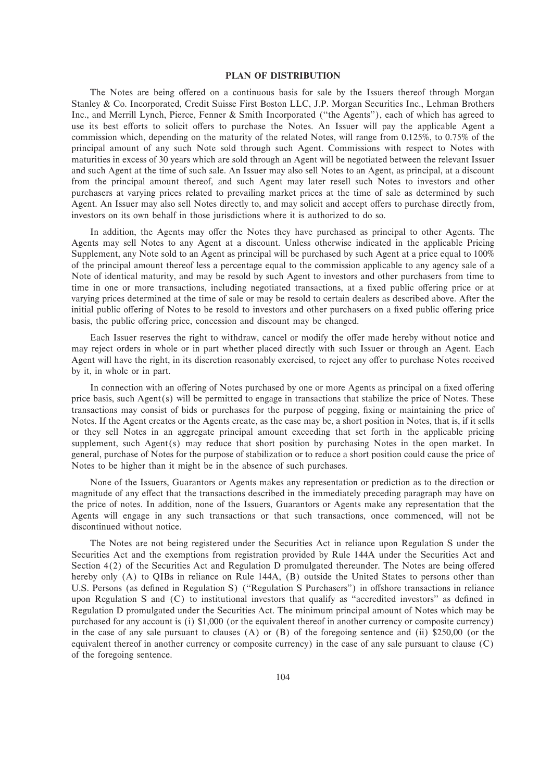# **PLAN OF DISTRIBUTION**

The Notes are being offered on a continuous basis for sale by the Issuers thereof through Morgan Stanley & Co. Incorporated, Credit Suisse First Boston LLC, J.P. Morgan Securities Inc., Lehman Brothers Inc., and Merrill Lynch, Pierce, Fenner & Smith Incorporated (""the Agents''), each of which has agreed to use its best efforts to solicit offers to purchase the Notes. An Issuer will pay the applicable Agent a commission which, depending on the maturity of the related Notes, will range from 0.125%, to 0.75% of the principal amount of any such Note sold through such Agent. Commissions with respect to Notes with maturities in excess of 30 years which are sold through an Agent will be negotiated between the relevant Issuer and such Agent at the time of such sale. An Issuer may also sell Notes to an Agent, as principal, at a discount from the principal amount thereof, and such Agent may later resell such Notes to investors and other purchasers at varying prices related to prevailing market prices at the time of sale as determined by such Agent. An Issuer may also sell Notes directly to, and may solicit and accept offers to purchase directly from, investors on its own behalf in those jurisdictions where it is authorized to do so.

In addition, the Agents may offer the Notes they have purchased as principal to other Agents. The Agents may sell Notes to any Agent at a discount. Unless otherwise indicated in the applicable Pricing Supplement, any Note sold to an Agent as principal will be purchased by such Agent at a price equal to 100% of the principal amount thereof less a percentage equal to the commission applicable to any agency sale of a Note of identical maturity, and may be resold by such Agent to investors and other purchasers from time to time in one or more transactions, including negotiated transactions, at a fixed public offering price or at varying prices determined at the time of sale or may be resold to certain dealers as described above. After the initial public offering of Notes to be resold to investors and other purchasers on a fixed public offering price basis, the public offering price, concession and discount may be changed.

Each Issuer reserves the right to withdraw, cancel or modify the offer made hereby without notice and may reject orders in whole or in part whether placed directly with such Issuer or through an Agent. Each Agent will have the right, in its discretion reasonably exercised, to reject any offer to purchase Notes received by it, in whole or in part.

In connection with an offering of Notes purchased by one or more Agents as principal on a fixed offering price basis, such Agent(s) will be permitted to engage in transactions that stabilize the price of Notes. These transactions may consist of bids or purchases for the purpose of pegging, fixing or maintaining the price of Notes. If the Agent creates or the Agents create, as the case may be, a short position in Notes, that is, if it sells or they sell Notes in an aggregate principal amount exceeding that set forth in the applicable pricing supplement, such Agent $(s)$  may reduce that short position by purchasing Notes in the open market. In general, purchase of Notes for the purpose of stabilization or to reduce a short position could cause the price of Notes to be higher than it might be in the absence of such purchases.

None of the Issuers, Guarantors or Agents makes any representation or prediction as to the direction or magnitude of any effect that the transactions described in the immediately preceding paragraph may have on the price of notes. In addition, none of the Issuers, Guarantors or Agents make any representation that the Agents will engage in any such transactions or that such transactions, once commenced, will not be discontinued without notice.

The Notes are not being registered under the Securities Act in reliance upon Regulation S under the Securities Act and the exemptions from registration provided by Rule 144A under the Securities Act and Section  $4(2)$  of the Securities Act and Regulation D promulgated thereunder. The Notes are being offered hereby only (A) to QIBs in reliance on Rule 144A, (B) outside the United States to persons other than U.S. Persons (as defined in Regulation S) ("Regulation S Purchasers") in offshore transactions in reliance upon Regulation S and  $(C)$  to institutional investors that qualify as "accredited investors" as defined in Regulation D promulgated under the Securities Act. The minimum principal amount of Notes which may be purchased for any account is (i) \$1,000 (or the equivalent thereof in another currency or composite currency) in the case of any sale pursuant to clauses (A) or (B) of the foregoing sentence and (ii) \$250,00 (or the equivalent thereof in another currency or composite currency) in the case of any sale pursuant to clause (C) of the foregoing sentence.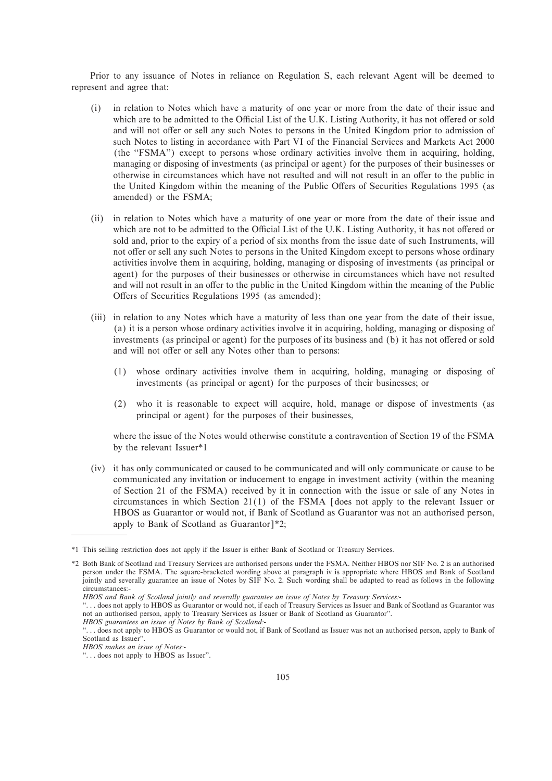Prior to any issuance of Notes in reliance on Regulation S, each relevant Agent will be deemed to represent and agree that:

- (i) in relation to Notes which have a maturity of one year or more from the date of their issue and which are to be admitted to the Official List of the U.K. Listing Authority, it has not offered or sold and will not offer or sell any such Notes to persons in the United Kingdom prior to admission of such Notes to listing in accordance with Part VI of the Financial Services and Markets Act 2000 (the ""FSMA'') except to persons whose ordinary activities involve them in acquiring, holding, managing or disposing of investments (as principal or agent) for the purposes of their businesses or otherwise in circumstances which have not resulted and will not result in an offer to the public in the United Kingdom within the meaning of the Public Offers of Securities Regulations 1995 (as amended) or the FSMA;
- (ii) in relation to Notes which have a maturity of one year or more from the date of their issue and which are not to be admitted to the Official List of the U.K. Listing Authority, it has not offered or sold and, prior to the expiry of a period of six months from the issue date of such Instruments, will not offer or sell any such Notes to persons in the United Kingdom except to persons whose ordinary activities involve them in acquiring, holding, managing or disposing of investments (as principal or agent) for the purposes of their businesses or otherwise in circumstances which have not resulted and will not result in an offer to the public in the United Kingdom within the meaning of the Public Offers of Securities Regulations 1995 (as amended);
- (iii) in relation to any Notes which have a maturity of less than one year from the date of their issue, (a) it is a person whose ordinary activities involve it in acquiring, holding, managing or disposing of investments (as principal or agent) for the purposes of its business and (b) it has not offered or sold and will not offer or sell any Notes other than to persons:
	- (1) whose ordinary activities involve them in acquiring, holding, managing or disposing of investments (as principal or agent) for the purposes of their businesses; or
	- (2) who it is reasonable to expect will acquire, hold, manage or dispose of investments (as principal or agent) for the purposes of their businesses,

where the issue of the Notes would otherwise constitute a contravention of Section 19 of the FSMA by the relevant Issuer\*1

(iv) it has only communicated or caused to be communicated and will only communicate or cause to be communicated any invitation or inducement to engage in investment activity (within the meaning of Section 21 of the FSMA) received by it in connection with the issue or sale of any Notes in circumstances in which Section  $21(1)$  of the FSMA  $\vert$  does not apply to the relevant Issuer or HBOS as Guarantor or would not, if Bank of Scotland as Guarantor was not an authorised person, apply to Bank of Scotland as Guarantor $]*2;$ 

<sup>\*1</sup> This selling restriction does not apply if the Issuer is either Bank of Scotland or Treasury Services.

<sup>\*2</sup>Both Bank of Scotland and Treasury Services are authorised persons under the FSMA. Neither HBOS nor SIF No. 2 is an authorised person under the FSMA. The square-bracketed wording above at paragraph iv is appropriate where HBOS and Bank of Scotland jointly and severally guarantee an issue of Notes by SIF No. 2. Such wording shall be adapted to read as follows in the following circumstances:-

*HBOS and Bank of Scotland jointly and severally guarantee an issue of Notes by Treasury Services:-*

<sup>&</sup>quot;... does not apply to HBOS as Guarantor or would not, if each of Treasury Services as Issuer and Bank of Scotland as Guarantor was not an authorised person, apply to Treasury Services as Issuer or Bank of Scotland as Guarantor''.

*HBOS guarantees an issue of Notes by Bank of Scotland:-*

<sup>&</sup>quot;... does not apply to HBOS as Guarantor or would not, if Bank of Scotland as Issuer was not an authorised person, apply to Bank of Scotland as Issuer''.

*HBOS makes an issue of Notes:-*

<sup>&</sup>quot;... does not apply to  $HBOS$  as Issuer".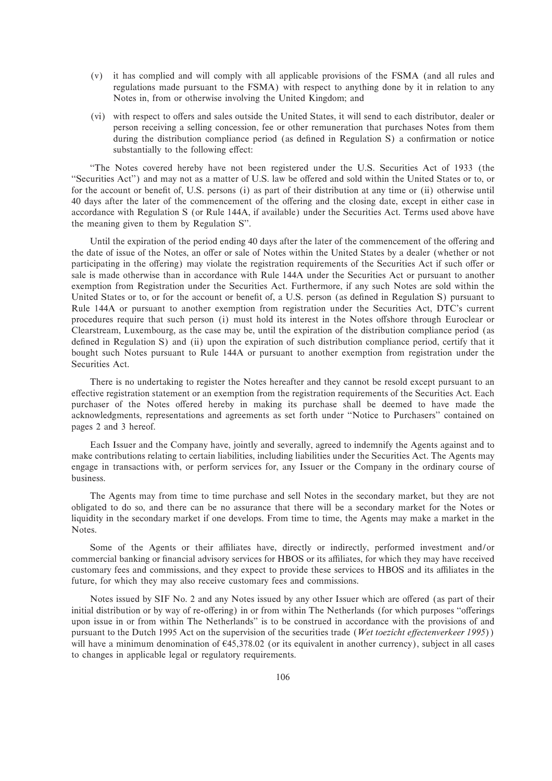- (v) it has complied and will comply with all applicable provisions of the FSMA (and all rules and regulations made pursuant to the FSMA) with respect to anything done by it in relation to any Notes in, from or otherwise involving the United Kingdom; and
- (vi) with respect to offers and sales outside the United States, it will send to each distributor, dealer or person receiving a selling concession, fee or other remuneration that purchases Notes from them during the distribution compliance period (as defined in Regulation S) a confirmation or notice substantially to the following effect:

"The Notes covered hereby have not been registered under the U.S. Securities Act of 1933 (the "Securities Act") and may not as a matter of U.S. law be offered and sold within the United States or to, or for the account or benefit of, U.S. persons (i) as part of their distribution at any time or (ii) otherwise until 40 days after the later of the commencement of the offering and the closing date, except in either case in accordance with Regulation S (or Rule 144A, if available) under the Securities Act. Terms used above have the meaning given to them by Regulation S''.

Until the expiration of the period ending 40 days after the later of the commencement of the offering and the date of issue of the Notes, an offer or sale of Notes within the United States by a dealer (whether or not participating in the offering) may violate the registration requirements of the Securities Act if such offer or sale is made otherwise than in accordance with Rule 144A under the Securities Act or pursuant to another exemption from Registration under the Securities Act. Furthermore, if any such Notes are sold within the United States or to, or for the account or benefit of, a U.S. person (as defined in Regulation S) pursuant to Rule 144A or pursuant to another exemption from registration under the Securities Act, DTC's current procedures require that such person (i) must hold its interest in the Notes offshore through Euroclear or Clearstream, Luxembourg, as the case may be, until the expiration of the distribution compliance period (as defined in Regulation S) and (ii) upon the expiration of such distribution compliance period, certify that it bought such Notes pursuant to Rule 144A or pursuant to another exemption from registration under the Securities Act.

There is no undertaking to register the Notes hereafter and they cannot be resold except pursuant to an effective registration statement or an exemption from the registration requirements of the Securities Act. Each purchaser of the Notes offered hereby in making its purchase shall be deemed to have made the acknowledgments, representations and agreements as set forth under ""Notice to Purchasers'' contained on pages 2 and 3 hereof.

Each Issuer and the Company have, jointly and severally, agreed to indemnify the Agents against and to make contributions relating to certain liabilities, including liabilities under the Securities Act. The Agents may engage in transactions with, or perform services for, any Issuer or the Company in the ordinary course of business.

The Agents may from time to time purchase and sell Notes in the secondary market, but they are not obligated to do so, and there can be no assurance that there will be a secondary market for the Notes or liquidity in the secondary market if one develops. From time to time, the Agents may make a market in the Notes.

Some of the Agents or their affiliates have, directly or indirectly, performed investment and/or commercial banking or financial advisory services for HBOS or its affiliates, for which they may have received customary fees and commissions, and they expect to provide these services to HBOS and its affiliates in the future, for which they may also receive customary fees and commissions.

Notes issued by SIF No. 2 and any Notes issued by any other Issuer which are offered (as part of their initial distribution or by way of re-offering) in or from within The Netherlands (for which purposes "offerings upon issue in or from within The Netherlands'' is to be construed in accordance with the provisions of and pursuant to the Dutch 1995 Act on the supervision of the securities trade (*Wet toezicht effectenverkeer 1995*)) will have a minimum denomination of  $645,378.02$  (or its equivalent in another currency), subject in all cases to changes in applicable legal or regulatory requirements.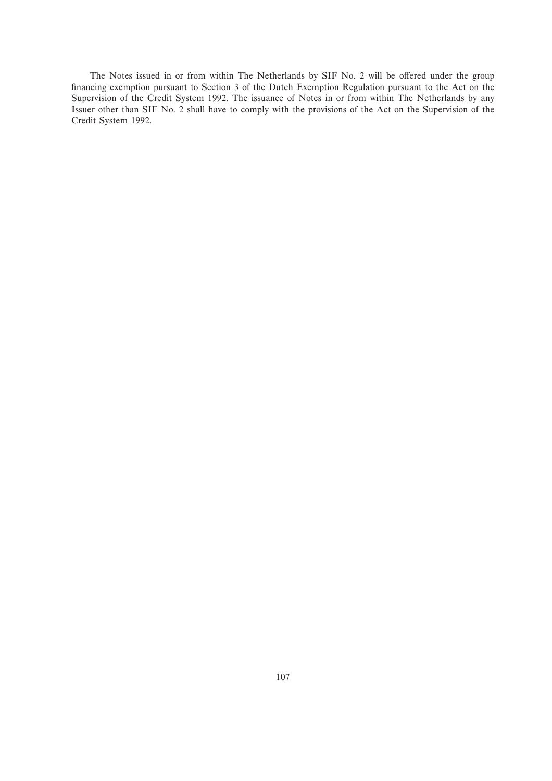The Notes issued in or from within The Netherlands by SIF No. 2 will be offered under the group financing exemption pursuant to Section 3 of the Dutch Exemption Regulation pursuant to the Act on the Supervision of the Credit System 1992. The issuance of Notes in or from within The Netherlands by any Issuer other than SIF No. 2 shall have to comply with the provisions of the Act on the Supervision of the Credit System 1992.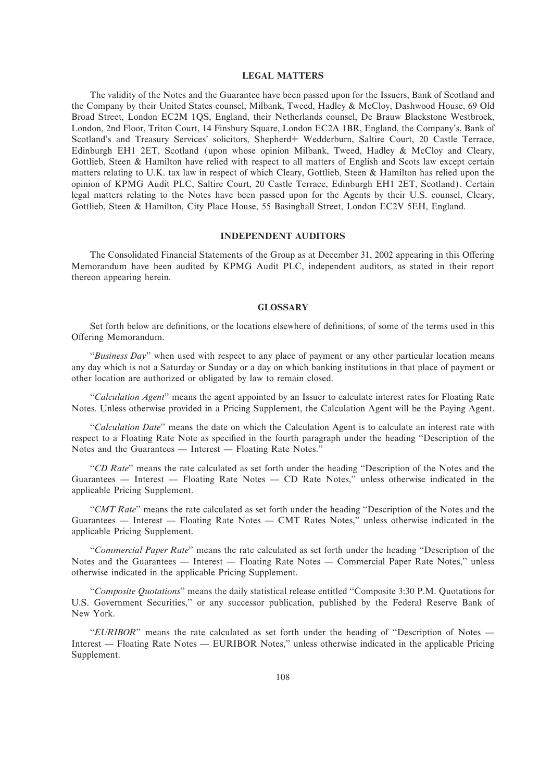# **LEGAL MATTERS**

The validity of the Notes and the Guarantee have been passed upon for the Issuers, Bank of Scotland and the Company by their United States counsel, Milbank, Tweed, Hadley & McCloy, Dashwood House, 69 Old Broad Street, London EC2M 1QS, England, their Netherlands counsel, De Brauw Blackstone Westbroek, London, 2nd Floor, Triton Court, 14 Finsbury Square, London EC2A 1BR, England, the Company's, Bank of Scotland's and Treasury Services' solicitors, Shepherd+ Wedderburn, Saltire Court, 20 Castle Terrace, Edinburgh EH1 2ET, Scotland (upon whose opinion Milbank, Tweed, Hadley & McCloy and Cleary, Gottlieb, Steen & Hamilton have relied with respect to all matters of English and Scots law except certain matters relating to U.K. tax law in respect of which Cleary, Gottlieb, Steen & Hamilton has relied upon the opinion of KPMG Audit PLC, Saltire Court, 20 Castle Terrace, Edinburgh EH1 2ET, Scotland). Certain legal matters relating to the Notes have been passed upon for the Agents by their U.S. counsel, Cleary, Gottlieb, Steen & Hamilton, City Place House, 55 Basinghall Street, London EC2V 5EH, England.

#### **INDEPENDENT AUDITORS**

The Consolidated Financial Statements of the Group as at December 31, 2002 appearing in this Offering Memorandum have been audited by KPMG Audit PLC, independent auditors, as stated in their report thereon appearing herein.

#### **GLOSSARY**

Set forth below are definitions, or the locations elsewhere of definitions, of some of the terms used in this Offering Memorandum.

"*Business Day*" when used with respect to any place of payment or any other particular location means any day which is not a Saturday or Sunday or a day on which banking institutions in that place of payment or other location are authorized or obligated by law to remain closed.

""*Calculation Agent*'' means the agent appointed by an Issuer to calculate interest rates for Floating Rate Notes. Unless otherwise provided in a Pricing Supplement, the Calculation Agent will be the Paying Agent.

"Calculation Date" means the date on which the Calculation Agent is to calculate an interest rate with respect to a Floating Rate Note as specified in the fourth paragraph under the heading "Description of the Notes and the Guarantees — Interest — Floating Rate Notes."

"CD Rate" means the rate calculated as set forth under the heading "Description of the Notes and the Guarantees — Interest — Floating Rate Notes — CD Rate Notes," unless otherwise indicated in the applicable Pricing Supplement.

"*CMT Rate*" means the rate calculated as set forth under the heading "Description of the Notes and the Guarantees — Interest — Floating Rate Notes — CMT Rates Notes," unless otherwise indicated in the applicable Pricing Supplement.

""*Commercial Paper Rate*'' means the rate calculated as set forth under the heading ""Description of the Notes and the Guarantees — Interest — Floating Rate Notes — Commercial Paper Rate Notes," unless otherwise indicated in the applicable Pricing Supplement.

""*Composite Quotations*'' means the daily statistical release entitled ""Composite 3:30 P.M. Quotations for U.S. Government Securities,'' or any successor publication, published by the Federal Reserve Bank of New York.

"*EURIBOR*" means the rate calculated as set forth under the heading of "Description of Notes — Interest — Floating Rate Notes — EURIBOR Notes," unless otherwise indicated in the applicable Pricing Supplement.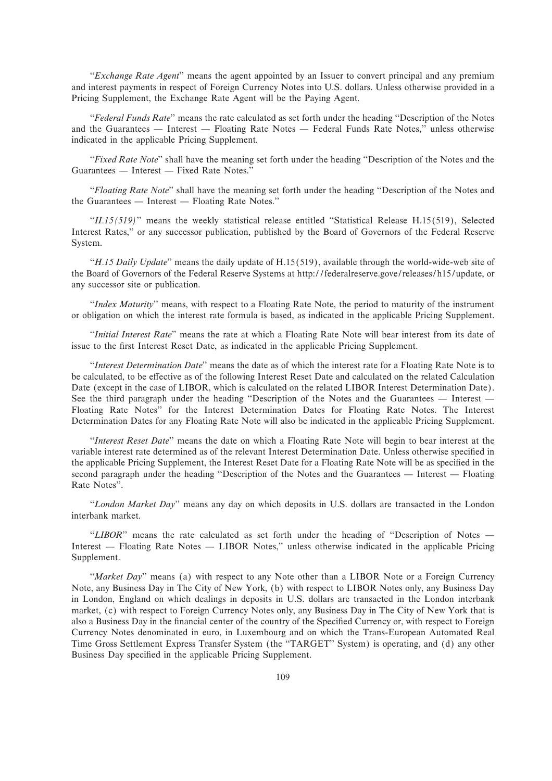"*Exchange Rate Agent*" means the agent appointed by an Issuer to convert principal and any premium and interest payments in respect of Foreign Currency Notes into U.S. dollars. Unless otherwise provided in a Pricing Supplement, the Exchange Rate Agent will be the Paying Agent.

"Federal Funds Rate" means the rate calculated as set forth under the heading "Description of the Notes and the Guarantees — Interest — Floating Rate Notes — Federal Funds Rate Notes," unless otherwise indicated in the applicable Pricing Supplement.

"*Fixed Rate Note*" shall have the meaning set forth under the heading "Description of the Notes and the Guarantees — Interest — Fixed Rate Notes."

"*Floating Rate Note*" shall have the meaning set forth under the heading "Description of the Notes and the Guarantees  $\overline{\phantom{a}}$  Interest  $\overline{\phantom{a}}$  Floating Rate Notes."

"*H.15(519)*" means the weekly statistical release entitled "Statistical Release H.15(519), Selected Interest Rates,'' or any successor publication, published by the Board of Governors of the Federal Reserve System.

""*H.15 Daily Update*'' means the daily update of H.15(519), available through the world-wide-web site of the Board of Governors of the Federal Reserve Systems at http://federalreserve.gove/releases/h15/update, or any successor site or publication.

""*Index Maturity*'' means, with respect to a Floating Rate Note, the period to maturity of the instrument or obligation on which the interest rate formula is based, as indicated in the applicable Pricing Supplement.

"*Initial Interest Rate*" means the rate at which a Floating Rate Note will bear interest from its date of issue to the first Interest Reset Date, as indicated in the applicable Pricing Supplement.

""*Interest Determination Date*'' means the date as of which the interest rate for a Floating Rate Note is to be calculated, to be effective as of the following Interest Reset Date and calculated on the related Calculation Date (except in the case of LIBOR, which is calculated on the related LIBOR Interest Determination Date). See the third paragraph under the heading "Description of the Notes and the Guarantees — Interest — Floating Rate Notes'' for the Interest Determination Dates for Floating Rate Notes. The Interest Determination Dates for any Floating Rate Note will also be indicated in the applicable Pricing Supplement.

"Interest Reset Date" means the date on which a Floating Rate Note will begin to bear interest at the variable interest rate determined as of the relevant Interest Determination Date. Unless otherwise specified in the applicable Pricing Supplement, the Interest Reset Date for a Floating Rate Note will be as specified in the second paragraph under the heading "Description of the Notes and the Guarantees — Interest — Floating Rate Notes''.

""*London Market Day*'' means any day on which deposits in U.S. dollars are transacted in the London interbank market.

"LIBOR" means the rate calculated as set forth under the heading of "Description of Notes -Interest — Floating Rate Notes — LIBOR Notes," unless otherwise indicated in the applicable Pricing Supplement.

"*Market Day*" means (a) with respect to any Note other than a LIBOR Note or a Foreign Currency Note, any Business Day in The City of New York, (b) with respect to LIBOR Notes only, any Business Day in London, England on which dealings in deposits in U.S. dollars are transacted in the London interbank market, (c) with respect to Foreign Currency Notes only, any Business Day in The City of New York that is also a Business Day in the financial center of the country of the Specified Currency or, with respect to Foreign Currency Notes denominated in euro, in Luxembourg and on which the Trans-European Automated Real Time Gross Settlement Express Transfer System (the ""TARGET'' System) is operating, and (d) any other Business Day specified in the applicable Pricing Supplement.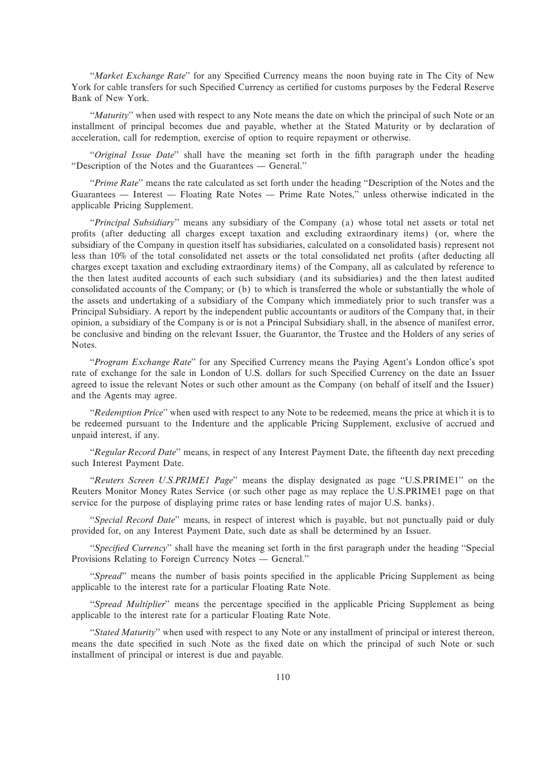"*Market Exchange Rate*" for any Specified Currency means the noon buying rate in The City of New York for cable transfers for such Specified Currency as certified for customs purposes by the Federal Reserve Bank of New York.

"*Maturity*" when used with respect to any Note means the date on which the principal of such Note or an installment of principal becomes due and payable, whether at the Stated Maturity or by declaration of acceleration, call for redemption, exercise of option to require repayment or otherwise.

"*Original Issue Date*" shall have the meaning set forth in the fifth paragraph under the heading "Description of the Notes and the Guarantees — General."

"*Prime Rate*" means the rate calculated as set forth under the heading "Description of the Notes and the Guarantees — Interest — Floating Rate Notes — Prime Rate Notes," unless otherwise indicated in the applicable Pricing Supplement.

"*Principal Subsidiary*" means any subsidiary of the Company (a) whose total net assets or total net profits (after deducting all charges except taxation and excluding extraordinary items) (or, where the subsidiary of the Company in question itself has subsidiaries, calculated on a consolidated basis) represent not less than 10% of the total consolidated net assets or the total consolidated net profits (after deducting all charges except taxation and excluding extraordinary items) of the Company, all as calculated by reference to the then latest audited accounts of each such subsidiary (and its subsidiaries) and the then latest audited consolidated accounts of the Company; or (b) to which is transferred the whole or substantially the whole of the assets and undertaking of a subsidiary of the Company which immediately prior to such transfer was a Principal Subsidiary. A report by the independent public accountants or auditors of the Company that, in their opinion, a subsidiary of the Company is or is not a Principal Subsidiary shall, in the absence of manifest error, be conclusive and binding on the relevant Issuer, the Guarantor, the Trustee and the Holders of any series of Notes.

"Program Exchange Rate" for any Specified Currency means the Paying Agent's London office's spot rate of exchange for the sale in London of U.S. dollars for such Specified Currency on the date an Issuer agreed to issue the relevant Notes or such other amount as the Company (on behalf of itself and the Issuer) and the Agents may agree.

""*Redemption Price*'' when used with respect to any Note to be redeemed, means the price at which it is to be redeemed pursuant to the Indenture and the applicable Pricing Supplement, exclusive of accrued and unpaid interest, if any.

"*Regular Record Date*" means, in respect of any Interest Payment Date, the fifteenth day next preceding such Interest Payment Date.

""*Reuters Screen U.S.PRIME1 Page*'' means the display designated as page ""U.S.PRIME1'' on the Reuters Monitor Money Rates Service (or such other page as may replace the U.S.PRIME1 page on that service for the purpose of displaying prime rates or base lending rates of major U.S. banks).

"*Special Record Date*" means, in respect of interest which is payable, but not punctually paid or duly provided for, on any Interest Payment Date, such date as shall be determined by an Issuer.

"*Specified Currency*" shall have the meaning set forth in the first paragraph under the heading "Special" Provisions Relating to Foreign Currency Notes — General."

"*Spread*" means the number of basis points specified in the applicable Pricing Supplement as being applicable to the interest rate for a particular Floating Rate Note.

"*Spread Multiplier*" means the percentage specified in the applicable Pricing Supplement as being applicable to the interest rate for a particular Floating Rate Note.

"*Stated Maturity*" when used with respect to any Note or any installment of principal or interest thereon, means the date specified in such Note as the fixed date on which the principal of such Note or such installment of principal or interest is due and payable.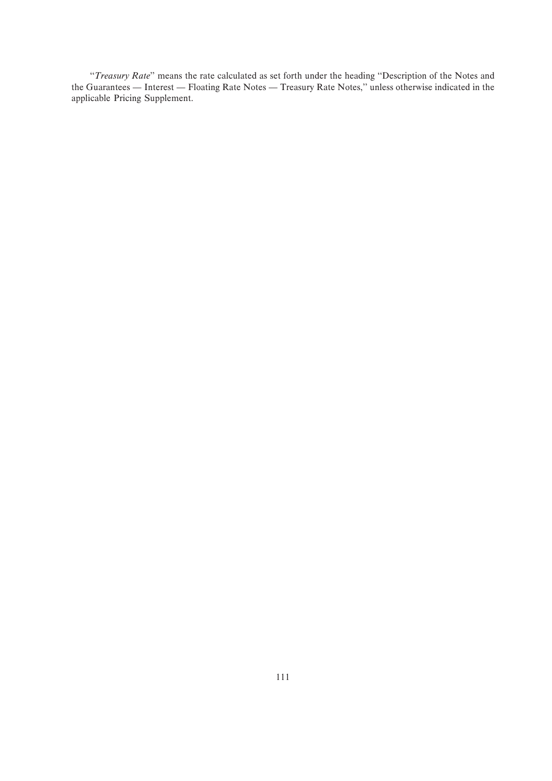""*Treasury Rate*'' means the rate calculated as set forth under the heading ""Description of the Notes and the Guarantees — Interest — Floating Rate Notes — Treasury Rate Notes," unless otherwise indicated in the applicable Pricing Supplement.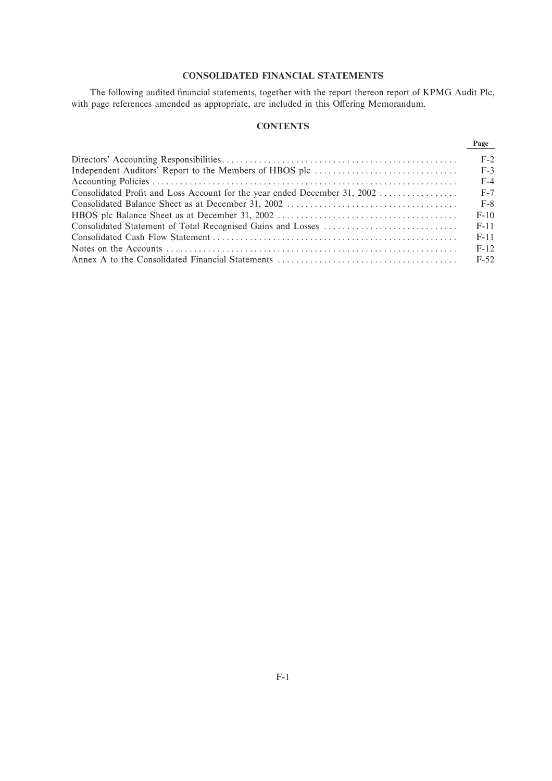# **CONSOLIDATED FINANCIAL STATEMENTS**

The following audited financial statements, together with the report thereon report of KPMG Audit Plc, with page references amended as appropriate, are included in this Offering Memorandum.

# **CONTENTS**

|                                                                           | Page   |
|---------------------------------------------------------------------------|--------|
|                                                                           | $F-2$  |
|                                                                           | $F-3$  |
|                                                                           | $F-4$  |
| Consolidated Profit and Loss Account for the year ended December 31, 2002 | $F-7$  |
|                                                                           | $F-8$  |
|                                                                           | $F-10$ |
|                                                                           | $F-11$ |
|                                                                           | $F-11$ |
|                                                                           | $F-12$ |
|                                                                           | $F-52$ |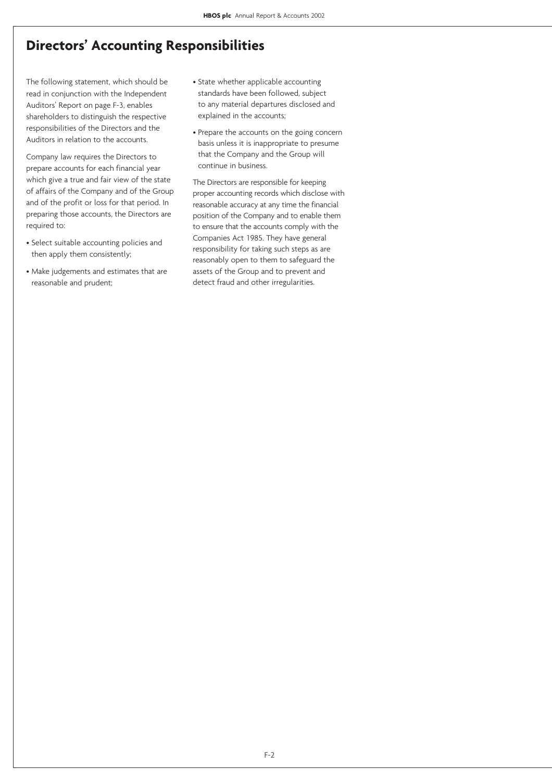# **Directors' Accounting Responsibilities**

The following statement, which should be read in conjunction with the Independent Auditors' Report on page F-3, enables shareholders to distinguish the respective responsibilities of the Directors and the Auditors in relation to the accounts.

Company law requires the Directors to prepare accounts for each financial year which give a true and fair view of the state of affairs of the Company and of the Group and of the profit or loss for that period. In preparing those accounts, the Directors are required to:

- Select suitable accounting policies and then apply them consistently;
- Make judgements and estimates that are reasonable and prudent;
- State whether applicable accounting standards have been followed, subject to any material departures disclosed and explained in the accounts;
- Prepare the accounts on the going concern basis unless it is inappropriate to presume that the Company and the Group will continue in business.

The Directors are responsible for keeping proper accounting records which disclose with reasonable accuracy at any time the financial position of the Company and to enable them to ensure that the accounts comply with the Companies Act 1985. They have general responsibility for taking such steps as are reasonably open to them to safeguard the assets of the Group and to prevent and detect fraud and other irregularities.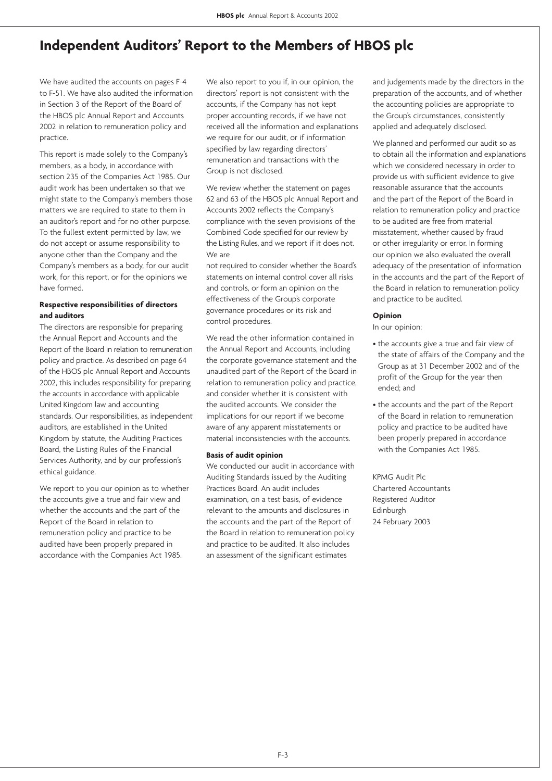# **Independent Auditors' Report to the Members of HBOS plc**

We have audited the accounts on pages F-4 to F-51. We have also audited the information in Section 3 of the Report of the Board of the HBOS plc Annual Report and Accounts 2002 in relation to remuneration policy and practice.

This report is made solely to the Company's members, as a body, in accordance with section 235 of the Companies Act 1985. Our audit work has been undertaken so that we might state to the Company's members those matters we are required to state to them in an auditor's report and for no other purpose. To the fullest extent permitted by law, we do not accept or assume responsibility to anyone other than the Company and the Company's members as a body, for our audit work, for this report, or for the opinions we have formed.

# **Respective responsibilities of directors and auditors**

The directors are responsible for preparing the Annual Report and Accounts and the Report of the Board in relation to remuneration policy and practice. As described on page 64 of the HBOS plc Annual Report and Accounts 2002, this includes responsibility for preparing the accounts in accordance with applicable United Kingdom law and accounting standards. Our responsibilities, as independent auditors, are established in the United Kingdom by statute, the Auditing Practices Board, the Listing Rules of the Financial Services Authority, and by our profession's ethical guidance.

We report to you our opinion as to whether the accounts give a true and fair view and whether the accounts and the part of the Report of the Board in relation to remuneration policy and practice to be audited have been properly prepared in accordance with the Companies Act 1985.

We also report to you if, in our opinion, the directors' report is not consistent with the accounts, if the Company has not kept proper accounting records, if we have not received all the information and explanations we require for our audit, or if information specified by law regarding directors' remuneration and transactions with the Group is not disclosed.

We review whether the statement on pages 62 and 63 of the HBOS plc Annual Report and Accounts 2002 reflects the Company's compliance with the seven provisions of the Combined Code specified for our review by the Listing Rules, and we report if it does not. We are

not required to consider whether the Board's statements on internal control cover all risks and controls, or form an opinion on the effectiveness of the Group's corporate governance procedures or its risk and control procedures.

We read the other information contained in the Annual Report and Accounts, including the corporate governance statement and the unaudited part of the Report of the Board in relation to remuneration policy and practice, and consider whether it is consistent with the audited accounts. We consider the implications for our report if we become aware of any apparent misstatements or material inconsistencies with the accounts.

# **Basis of audit opinion**

We conducted our audit in accordance with Auditing Standards issued by the Auditing Practices Board. An audit includes examination, on a test basis, of evidence relevant to the amounts and disclosures in the accounts and the part of the Report of the Board in relation to remuneration policy and practice to be audited. It also includes an assessment of the significant estimates

and judgements made by the directors in the preparation of the accounts, and of whether the accounting policies are appropriate to the Group's circumstances, consistently applied and adequately disclosed.

We planned and performed our audit so as to obtain all the information and explanations which we considered necessary in order to provide us with sufficient evidence to give reasonable assurance that the accounts and the part of the Report of the Board in relation to remuneration policy and practice to be audited are free from material misstatement, whether caused by fraud or other irregularity or error. In forming our opinion we also evaluated the overall adequacy of the presentation of information in the accounts and the part of the Report of the Board in relation to remuneration policy and practice to be audited.

## **Opinion**

In our opinion:

- the accounts give a true and fair view of the state of affairs of the Company and the Group as at 31 December 2002 and of the profit of the Group for the year then ended; and
- the accounts and the part of the Report of the Board in relation to remuneration policy and practice to be audited have been properly prepared in accordance with the Companies Act 1985.

KPMG Audit Plc Chartered Accountants Registered Auditor Edinburgh 24 February 2003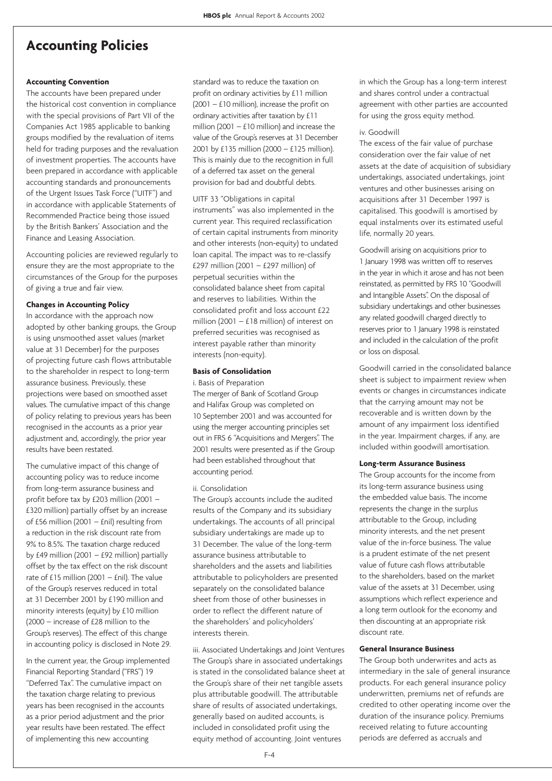# **Accounting Policies**

## **Accounting Convention**

The accounts have been prepared under the historical cost convention in compliance with the special provisions of Part VII of the Companies Act 1985 applicable to banking groups modified by the revaluation of items held for trading purposes and the revaluation of investment properties. The accounts have been prepared in accordance with applicable accounting standards and pronouncements of the Urgent Issues Task Force ("UITF") and in accordance with applicable Statements of Recommended Practice being those issued by the British Bankers' Association and the Finance and Leasing Association.

Accounting policies are reviewed regularly to ensure they are the most appropriate to the circumstances of the Group for the purposes of giving a true and fair view.

## **Changes in Accounting Policy**

In accordance with the approach now adopted by other banking groups, the Group is using unsmoothed asset values (market value at 31 December) for the purposes of projecting future cash flows attributable to the shareholder in respect to long-term assurance business. Previously, these projections were based on smoothed asset values. The cumulative impact of this change of policy relating to previous years has been recognised in the accounts as a prior year adjustment and, accordingly, the prior year results have been restated.

The cumulative impact of this change of accounting policy was to reduce income from long-term assurance business and profit before tax by £203 million (2001 – £320 million) partially offset by an increase of £56 million (2001 – £nil) resulting from a reduction in the risk discount rate from 9% to 8.5%. The taxation charge reduced by  $£49$  million (2001 –  $£92$  million) partially offset by the tax effect on the risk discount rate of  $£15$  million (2001 –  $£$ nil). The value of the Group's reserves reduced in total at 31 December 2001 by £190 million and minority interests (equity) by £10 million (2000 – increase of £28 million to the Group's reserves). The effect of this change in accounting policy is disclosed in Note 29.

In the current year, the Group implemented Financial Reporting Standard ("FRS") 19 "Deferred Tax". The cumulative impact on the taxation charge relating to previous years has been recognised in the accounts as a prior period adjustment and the prior year results have been restated. The effect of implementing this new accounting

standard was to reduce the taxation on profit on ordinary activities by £11 million  $(2001 - £10$  million), increase the profit on ordinary activities after taxation by £11 million (2001 –  $£10$  million) and increase the value of the Group's reserves at 31 December 2001 by £135 million (2000 – £125 million). This is mainly due to the recognition in full of a deferred tax asset on the general provision for bad and doubtful debts.

#### UITF 33 "Obligations in capital

instruments" was also implemented in the current year. This required reclassification of certain capital instruments from minority and other interests (non-equity) to undated loan capital. The impact was to re-classify £297 million (2001 – £297 million) of perpetual securities within the consolidated balance sheet from capital and reserves to liabilities. Within the consolidated profit and loss account £22 million (2001 – £18 million) of interest on preferred securities was recognised as interest payable rather than minority interests (non-equity).

# **Basis of Consolidation**

i. Basis of Preparation The merger of Bank of Scotland Group and Halifax Group was completed on 10 September 2001 and was accounted for using the merger accounting principles set out in FRS 6 "Acquisitions and Mergers". The 2001 results were presented as if the Group had been established throughout that accounting period.

#### ii. Consolidation

The Group's accounts include the audited results of the Company and its subsidiary undertakings. The accounts of all principal subsidiary undertakings are made up to 31 December. The value of the long-term assurance business attributable to shareholders and the assets and liabilities attributable to policyholders are presented separately on the consolidated balance sheet from those of other businesses in order to reflect the different nature of the shareholders' and policyholders' interests therein.

iii. Associated Undertakings and Joint Ventures The Group's share in associated undertakings is stated in the consolidated balance sheet at the Group's share of their net tangible assets plus attributable goodwill. The attributable share of results of associated undertakings, generally based on audited accounts, is included in consolidated profit using the equity method of accounting. Joint ventures

in which the Group has a long-term interest and shares control under a contractual agreement with other parties are accounted for using the gross equity method.

#### iv. Goodwill

The excess of the fair value of purchase consideration over the fair value of net assets at the date of acquisition of subsidiary undertakings, associated undertakings, joint ventures and other businesses arising on acquisitions after 31 December 1997 is capitalised. This goodwill is amortised by equal instalments over its estimated useful life, normally 20 years.

Goodwill arising on acquisitions prior to 1 January 1998 was written off to reserves in the year in which it arose and has not been reinstated, as permitted by FRS 10 "Goodwill and Intangible Assets". On the disposal of subsidiary undertakings and other businesses any related goodwill charged directly to reserves prior to 1 January 1998 is reinstated and included in the calculation of the profit or loss on disposal.

Goodwill carried in the consolidated balance sheet is subject to impairment review when events or changes in circumstances indicate that the carrying amount may not be recoverable and is written down by the amount of any impairment loss identified in the year. Impairment charges, if any, are included within goodwill amortisation.

## **Long-term Assurance Business**

The Group accounts for the income from its long-term assurance business using the embedded value basis. The income represents the change in the surplus attributable to the Group, including minority interests, and the net present value of the in-force business. The value is a prudent estimate of the net present value of future cash flows attributable to the shareholders, based on the market value of the assets at 31 December, using assumptions which reflect experience and a long term outlook for the economy and then discounting at an appropriate risk discount rate.

#### **General Insurance Business**

The Group both underwrites and acts as intermediary in the sale of general insurance products. For each general insurance policy underwritten, premiums net of refunds are credited to other operating income over the duration of the insurance policy. Premiums received relating to future accounting periods are deferred as accruals and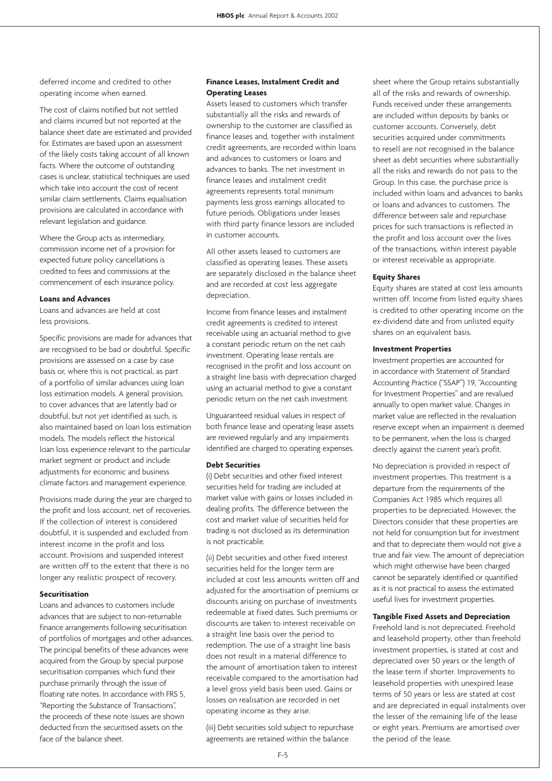deferred income and credited to other operating income when earned.

The cost of claims notified but not settled and claims incurred but not reported at the balance sheet date are estimated and provided for. Estimates are based upon an assessment of the likely costs taking account of all known facts. Where the outcome of outstanding cases is unclear, statistical techniques are used which take into account the cost of recent similar claim settlements. Claims equalisation provisions are calculated in accordance with relevant legislation and guidance.

Where the Group acts as intermediary, commission income net of a provision for expected future policy cancellations is credited to fees and commissions at the commencement of each insurance policy.

### **Loans and Advances**

Loans and advances are held at cost less provisions.

Specific provisions are made for advances that are recognised to be bad or doubtful. Specific provisions are assessed on a case by case basis or, where this is not practical, as part of a portfolio of similar advances using loan loss estimation models. A general provision, to cover advances that are latently bad or doubtful, but not yet identified as such, is also maintained based on loan loss estimation models. The models reflect the historical loan loss experience relevant to the particular market segment or product and include adjustments for economic and business climate factors and management experience.

Provisions made during the year are charged to the profit and loss account, net of recoveries. If the collection of interest is considered doubtful, it is suspended and excluded from interest income in the profit and loss account. Provisions and suspended interest are written off to the extent that there is no longer any realistic prospect of recovery.

### **Securitisation**

Loans and advances to customers include advances that are subject to non-returnable finance arrangements following securitisation of portfolios of mortgages and other advances. The principal benefits of these advances were acquired from the Group by special purpose securitisation companies which fund their purchase primarily through the issue of floating rate notes. In accordance with FRS 5, "Reporting the Substance of Transactions", the proceeds of these note issues are shown deducted from the securitised assets on the face of the balance sheet.

### **Finance Leases, Instalment Credit and Operating Leases**

Assets leased to customers which transfer substantially all the risks and rewards of ownership to the customer are classified as finance leases and, together with instalment credit agreements, are recorded within loans and advances to customers or loans and advances to banks. The net investment in finance leases and instalment credit agreements represents total minimum payments less gross earnings allocated to future periods. Obligations under leases with third party finance lessors are included in customer accounts.

All other assets leased to customers are classified as operating leases. These assets are separately disclosed in the balance sheet and are recorded at cost less aggregate depreciation.

Income from finance leases and instalment credit agreements is credited to interest receivable using an actuarial method to give a constant periodic return on the net cash investment. Operating lease rentals are recognised in the profit and loss account on a straight line basis with depreciation charged using an actuarial method to give a constant periodic return on the net cash investment.

Unguaranteed residual values in respect of both finance lease and operating lease assets are reviewed regularly and any impairments identified are charged to operating expenses.

### **Debt Securities**

(i) Debt securities and other fixed interest securities held for trading are included at market value with gains or losses included in dealing profits. The difference between the cost and market value of securities held for trading is not disclosed as its determination is not practicable.

(ii) Debt securities and other fixed interest securities held for the longer term are included at cost less amounts written off and adjusted for the amortisation of premiums or discounts arising on purchase of investments redeemable at fixed dates. Such premiums or discounts are taken to interest receivable on a straight line basis over the period to redemption. The use of a straight line basis does not result in a material difference to the amount of amortisation taken to interest receivable compared to the amortisation had a level gross yield basis been used. Gains or losses on realisation are recorded in net operating income as they arise.

(iii) Debt securities sold subject to repurchase agreements are retained within the balance

sheet where the Group retains substantially all of the risks and rewards of ownership. Funds received under these arrangements are included within deposits by banks or customer accounts. Conversely, debt securities acquired under commitments to resell are not recognised in the balance sheet as debt securities where substantially all the risks and rewards do not pass to the Group. In this case, the purchase price is included within loans and advances to banks or loans and advances to customers. The difference between sale and repurchase prices for such transactions is reflected in the profit and loss account over the lives of the transactions, within interest payable or interest receivable as appropriate.

#### **Equity Shares**

Equity shares are stated at cost less amounts written off. Income from listed equity shares is credited to other operating income on the ex-dividend date and from unlisted equity shares on an equivalent basis.

### **Investment Properties**

Investment properties are accounted for in accordance with Statement of Standard Accounting Practice ("SSAP") 19, "Accounting for Investment Properties" and are revalued annually to open market value. Changes in market value are reflected in the revaluation reserve except when an impairment is deemed to be permanent, when the loss is charged directly against the current year's profit.

No depreciation is provided in respect of investment properties. This treatment is a departure from the requirements of the Companies Act 1985 which requires all properties to be depreciated. However, the Directors consider that these properties are not held for consumption but for investment and that to depreciate them would not give a true and fair view. The amount of depreciation which might otherwise have been charged cannot be separately identified or quantified as it is not practical to assess the estimated useful lives for investment properties.

### **Tangible Fixed Assets and Depreciation**

Freehold land is not depreciated. Freehold and leasehold property, other than freehold investment properties, is stated at cost and depreciated over 50 years or the length of the lease term if shorter. Improvements to leasehold properties with unexpired lease terms of 50 years or less are stated at cost and are depreciated in equal instalments over the lesser of the remaining life of the lease or eight years. Premiums are amortised over the period of the lease.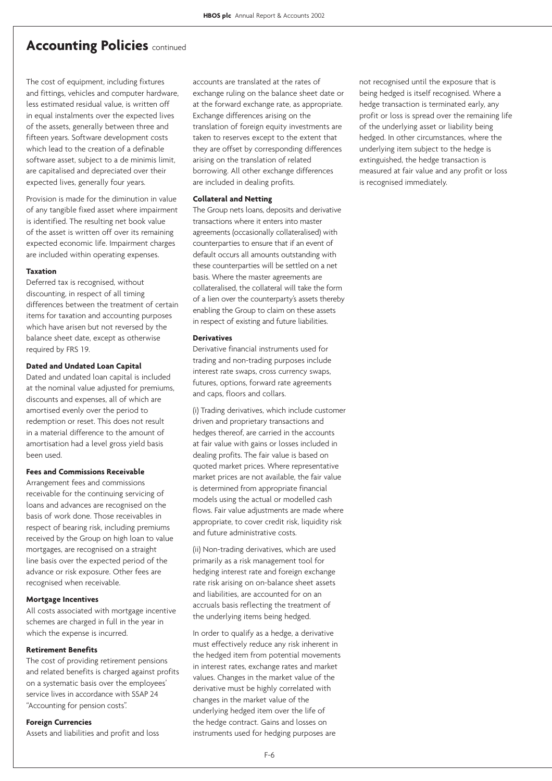### **Accounting Policies** continued

The cost of equipment, including fixtures and fittings, vehicles and computer hardware, less estimated residual value, is written off in equal instalments over the expected lives of the assets, generally between three and fifteen years. Software development costs which lead to the creation of a definable software asset, subject to a de minimis limit, are capitalised and depreciated over their expected lives, generally four years.

Provision is made for the diminution in value of any tangible fixed asset where impairment is identified. The resulting net book value of the asset is written off over its remaining expected economic life. Impairment charges are included within operating expenses.

### **Taxation**

Deferred tax is recognised, without discounting, in respect of all timing differences between the treatment of certain items for taxation and accounting purposes which have arisen but not reversed by the balance sheet date, except as otherwise required by FRS 19.

### **Dated and Undated Loan Capital**

Dated and undated loan capital is included at the nominal value adjusted for premiums, discounts and expenses, all of which are amortised evenly over the period to redemption or reset. This does not result in a material difference to the amount of amortisation had a level gross yield basis been used.

### **Fees and Commissions Receivable**

Arrangement fees and commissions receivable for the continuing servicing of loans and advances are recognised on the basis of work done. Those receivables in respect of bearing risk, including premiums received by the Group on high loan to value mortgages, are recognised on a straight line basis over the expected period of the advance or risk exposure. Other fees are recognised when receivable.

#### **Mortgage Incentives**

All costs associated with mortgage incentive schemes are charged in full in the year in which the expense is incurred.

### **Retirement Benefits**

The cost of providing retirement pensions and related benefits is charged against profits on a systematic basis over the employees' service lives in accordance with SSAP 24 "Accounting for pension costs".

### **Foreign Currencies**

Assets and liabilities and profit and loss

accounts are translated at the rates of exchange ruling on the balance sheet date or at the forward exchange rate, as appropriate. Exchange differences arising on the translation of foreign equity investments are taken to reserves except to the extent that they are offset by corresponding differences arising on the translation of related borrowing. All other exchange differences are included in dealing profits.

### **Collateral and Netting**

The Group nets loans, deposits and derivative transactions where it enters into master agreements (occasionally collateralised) with counterparties to ensure that if an event of default occurs all amounts outstanding with these counterparties will be settled on a net basis. Where the master agreements are collateralised, the collateral will take the form of a lien over the counterparty's assets thereby enabling the Group to claim on these assets in respect of existing and future liabilities.

#### **Derivatives**

Derivative financial instruments used for trading and non-trading purposes include interest rate swaps, cross currency swaps, futures, options, forward rate agreements and caps, floors and collars.

(i) Trading derivatives, which include customer driven and proprietary transactions and hedges thereof, are carried in the accounts at fair value with gains or losses included in dealing profits. The fair value is based on quoted market prices. Where representative market prices are not available, the fair value is determined from appropriate financial models using the actual or modelled cash flows. Fair value adjustments are made where appropriate, to cover credit risk, liquidity risk and future administrative costs.

(ii) Non-trading derivatives, which are used primarily as a risk management tool for hedging interest rate and foreign exchange rate risk arising on on-balance sheet assets and liabilities, are accounted for on an accruals basis reflecting the treatment of the underlying items being hedged.

In order to qualify as a hedge, a derivative must effectively reduce any risk inherent in the hedged item from potential movements in interest rates, exchange rates and market values. Changes in the market value of the derivative must be highly correlated with changes in the market value of the underlying hedged item over the life of the hedge contract. Gains and losses on instruments used for hedging purposes are

not recognised until the exposure that is being hedged is itself recognised. Where a hedge transaction is terminated early, any profit or loss is spread over the remaining life of the underlying asset or liability being hedged. In other circumstances, where the underlying item subject to the hedge is extinguished, the hedge transaction is measured at fair value and any profit or loss is recognised immediately.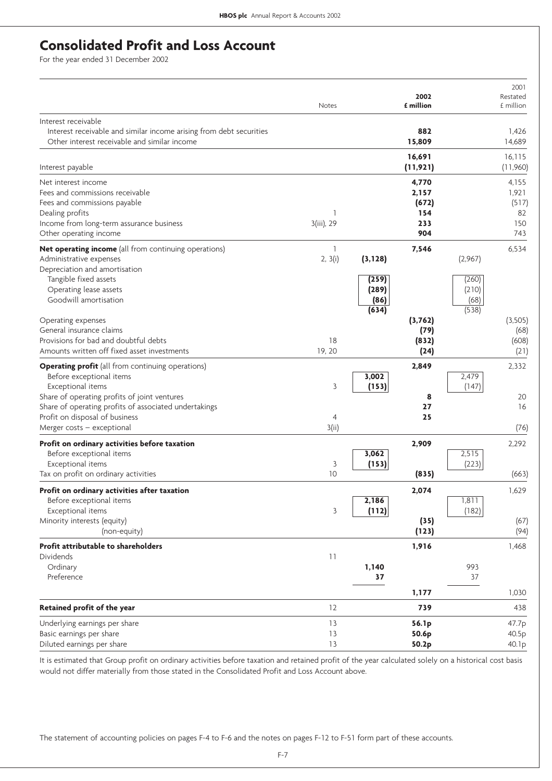# **Consolidated Profit and Loss Account**

For the year ended 31 December 2002

|                                                                                                                     | Notes           |               | 2002<br>£ million |               | 2001<br>Restated<br>£ million |
|---------------------------------------------------------------------------------------------------------------------|-----------------|---------------|-------------------|---------------|-------------------------------|
| Interest receivable                                                                                                 |                 |               |                   |               |                               |
| Interest receivable and similar income arising from debt securities<br>Other interest receivable and similar income |                 |               | 882<br>15,809     |               | 1,426<br>14.689               |
|                                                                                                                     |                 |               | 16,691            |               | 16,115                        |
| Interest payable                                                                                                    |                 |               | (11, 921)         |               | (11,960)                      |
| Net interest income                                                                                                 |                 |               | 4,770             |               | 4,155                         |
| Fees and commissions receivable                                                                                     |                 |               | 2,157             |               | 1,921                         |
| Fees and commissions payable                                                                                        |                 |               | (672)             |               | (517)                         |
| Dealing profits<br>Income from long-term assurance business                                                         | 1<br>3(iii), 29 |               | 154<br>233        |               | 82<br>150                     |
| Other operating income                                                                                              |                 |               | 904               |               | 743                           |
| Net operating income (all from continuing operations)                                                               | 1               |               | 7,546             |               | 6,534                         |
| Administrative expenses                                                                                             | 2, 3(i)         | (3, 128)      |                   | (2,967)       |                               |
| Depreciation and amortisation                                                                                       |                 |               |                   |               |                               |
| Tangible fixed assets                                                                                               |                 | (259)         |                   | (260)         |                               |
| Operating lease assets                                                                                              |                 | (289)         |                   | (210)         |                               |
| Goodwill amortisation                                                                                               |                 | (86)<br>(634) |                   | (68)<br>(538) |                               |
| Operating expenses                                                                                                  |                 |               | (3,762)           |               | (3,505)                       |
| General insurance claims                                                                                            |                 |               | (79)              |               | (68)                          |
| Provisions for bad and doubtful debts                                                                               | 18              |               | (832)             |               | (608)                         |
| Amounts written off fixed asset investments                                                                         | 19, 20          |               | (24)              |               | (21)                          |
| <b>Operating profit</b> (all from continuing operations)                                                            |                 |               | 2,849             |               | 2,332                         |
| Before exceptional items                                                                                            |                 | 3,002         |                   | 2,479         |                               |
| Exceptional items                                                                                                   | 3               | (153)         |                   | (147)         |                               |
| Share of operating profits of joint ventures                                                                        |                 |               | 8                 |               | 20                            |
| Share of operating profits of associated undertakings<br>Profit on disposal of business                             | 4               |               | 27<br>25          |               | 16                            |
| Merger costs - exceptional                                                                                          | 3(ii)           |               |                   |               | (76)                          |
| Profit on ordinary activities before taxation                                                                       |                 |               | 2,909             |               | 2,292                         |
| Before exceptional items                                                                                            |                 | 3,062         |                   | 2,515         |                               |
| Exceptional items                                                                                                   | 3               | (153)         |                   | (223)         |                               |
| Tax on profit on ordinary activities                                                                                | 10              |               | (835)             |               | (663)                         |
| Profit on ordinary activities after taxation                                                                        |                 |               | 2,074             |               | 1,629                         |
| Before exceptional items                                                                                            |                 | 2,186         |                   | 1,811         |                               |
| Exceptional items                                                                                                   | 3               | (112)         |                   | (182)         |                               |
| Minority interests (equity)                                                                                         |                 |               | (35)              |               | (67)                          |
| (non-equity)                                                                                                        |                 |               | (123)             |               | (94)                          |
| Profit attributable to shareholders                                                                                 |                 |               | 1,916             |               | 1,468                         |
| <b>Dividends</b>                                                                                                    | 11              |               |                   |               |                               |
| Ordinary<br>Preference                                                                                              |                 | 1,140<br>37   |                   | 993<br>37     |                               |
|                                                                                                                     |                 |               |                   |               |                               |
|                                                                                                                     |                 |               | 1,177             |               | 1,030                         |
| Retained profit of the year                                                                                         | 12              |               | 739               |               | 438                           |
| Underlying earnings per share                                                                                       | 13              |               | 56.1p             |               | 47.7p                         |
| Basic earnings per share                                                                                            | 13              |               | 50.6p             |               | 40.5p                         |
| Diluted earnings per share                                                                                          | 13              |               | 50.2p             |               | 40.1p                         |

It is estimated that Group profit on ordinary activities before taxation and retained profit of the year calculated solely on a historical cost basis would not differ materially from those stated in the Consolidated Profit and Loss Account above.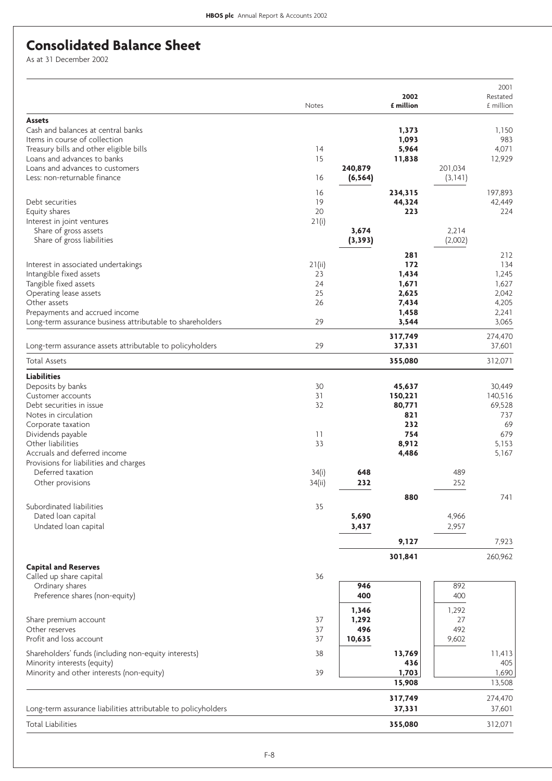# **Consolidated Balance Sheet**

As at 31 December 2002

|                                                                          | Notes       |               | 2002<br>£ million |              | 2001<br>Restated<br>£ million |
|--------------------------------------------------------------------------|-------------|---------------|-------------------|--------------|-------------------------------|
| <b>Assets</b>                                                            |             |               |                   |              |                               |
| Cash and balances at central banks                                       |             |               | 1,373             |              | 1,150                         |
| Items in course of collection<br>Treasury bills and other eligible bills | 14          |               | 1,093<br>5,964    |              | 983<br>4,071                  |
| Loans and advances to banks                                              | 15          |               | 11,838            |              | 12,929                        |
| Loans and advances to customers                                          |             | 240,879       |                   | 201,034      |                               |
| Less: non-returnable finance                                             | 16          | (6, 564)      |                   | (3, 141)     |                               |
|                                                                          | 16          |               | 234,315           |              | 197,893                       |
| Debt securities                                                          | 19          |               | 44,324            |              | 42,449                        |
| Equity shares<br>Interest in joint ventures                              | 20<br>21(i) |               | 223               |              | 224                           |
| Share of gross assets                                                    |             | 3,674         |                   | 2,214        |                               |
| Share of gross liabilities                                               |             | (3, 393)      |                   | (2,002)      |                               |
|                                                                          |             |               | 281               |              | 212                           |
| Interest in associated undertakings                                      | 21(ii)      |               | 172               |              | 134                           |
| Intangible fixed assets                                                  | 23          |               | 1,434             |              | 1,245                         |
| Tangible fixed assets<br>Operating lease assets                          | 24<br>25    |               | 1,671<br>2,625    |              | 1,627<br>2,042                |
| Other assets                                                             | 26          |               | 7,434             |              | 4,205                         |
| Prepayments and accrued income                                           |             |               | 1,458             |              | 2,241                         |
| Long-term assurance business attributable to shareholders                | 29          |               | 3,544             |              | 3,065                         |
|                                                                          |             |               | 317,749           |              | 274,470                       |
| Long-term assurance assets attributable to policyholders                 | 29          |               | 37,331            |              | 37,601                        |
| <b>Total Assets</b>                                                      |             |               | 355,080           |              | 312,071                       |
| <b>Liabilities</b>                                                       |             |               |                   |              |                               |
| Deposits by banks                                                        | 30          |               | 45,637            |              | 30,449                        |
| Customer accounts                                                        | 31          |               | 150,221           |              | 140,516                       |
| Debt securities in issue<br>Notes in circulation                         | 32          |               | 80,771<br>821     |              | 69,528<br>737                 |
| Corporate taxation                                                       |             |               | 232               |              | 69                            |
| Dividends payable                                                        | 11          |               | 754               |              | 679                           |
| Other liabilities                                                        | 33          |               | 8,912             |              | 5,153                         |
| Accruals and deferred income                                             |             |               | 4,486             |              | 5,167                         |
| Provisions for liabilities and charges                                   |             |               |                   |              |                               |
| Deferred taxation                                                        | 34(i)       | 648           |                   | 489          |                               |
| Other provisions                                                         | 34(ii)      | 232           |                   | 252          |                               |
| Subordinated liabilities                                                 | 35          |               | 880               |              | 741                           |
| Dated loan capital                                                       |             | 5,690         |                   | 4,966        |                               |
| Undated loan capital                                                     |             | 3,437         |                   | 2,957        |                               |
|                                                                          |             |               | 9,127             |              | 7,923                         |
|                                                                          |             |               | 301,841           |              | 260,962                       |
| <b>Capital and Reserves</b>                                              |             |               |                   |              |                               |
| Called up share capital                                                  | 36          |               |                   |              |                               |
| Ordinary shares                                                          |             | 946           |                   | 892          |                               |
| Preference shares (non-equity)                                           |             | 400           |                   | 400          |                               |
|                                                                          |             | 1,346         |                   | 1,292        |                               |
| Share premium account                                                    | 37          | 1,292         |                   | 27           |                               |
| Other reserves<br>Profit and loss account                                | 37<br>37    | 496<br>10,635 |                   | 492<br>9,602 |                               |
|                                                                          |             |               |                   |              |                               |
| Shareholders' funds (including non-equity interests)                     | 38          |               | 13,769<br>436     |              | 11,413<br>405                 |
| Minority interests (equity)<br>Minority and other interests (non-equity) | 39          |               | 1,703             |              | 1,690                         |
|                                                                          |             |               | 15,908            |              | 13,508                        |
|                                                                          |             |               | 317,749           |              | 274,470                       |
| Long-term assurance liabilities attributable to policyholders            |             |               | 37,331            |              | 37,601                        |
| <b>Total Liabilities</b>                                                 |             |               | 355,080           |              | 312,071                       |
|                                                                          |             |               |                   |              |                               |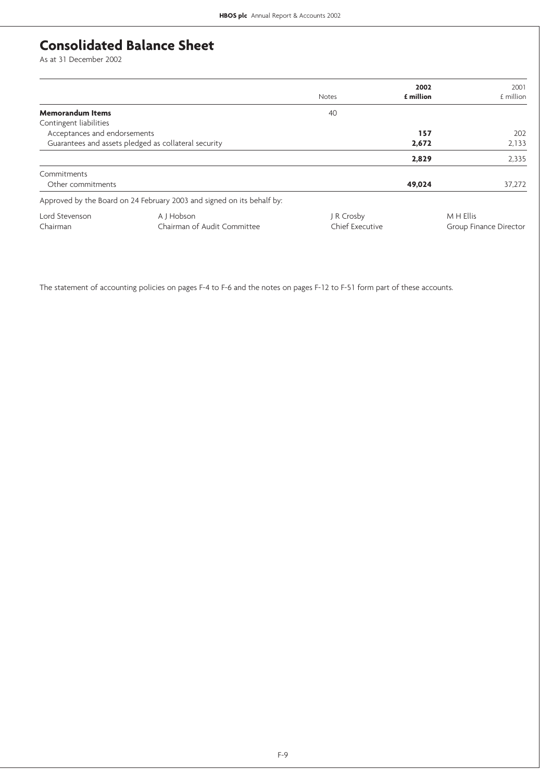# **Consolidated Balance Sheet**

As at 31 December 2002

|                                                      |                                                                        |                 | 2002             | 2001                   |
|------------------------------------------------------|------------------------------------------------------------------------|-----------------|------------------|------------------------|
|                                                      |                                                                        | <b>Notes</b>    | <b>f</b> million | £ million              |
| <b>Memorandum Items</b>                              |                                                                        | 40              |                  |                        |
| Contingent liabilities                               |                                                                        |                 |                  |                        |
| Acceptances and endorsements                         |                                                                        |                 | 157              | 202                    |
| Guarantees and assets pledged as collateral security |                                                                        |                 | 2,672            | 2,133                  |
|                                                      |                                                                        |                 | 2,829            | 2,335                  |
| Commitments                                          |                                                                        |                 |                  |                        |
| Other commitments                                    |                                                                        |                 | 49,024           | 37,272                 |
|                                                      | Approved by the Board on 24 February 2003 and signed on its behalf by: |                 |                  |                        |
| Lord Stevenson                                       | A J Hobson                                                             | J R Crosby      |                  | M H Ellis              |
| Chairman                                             | Chairman of Audit Committee                                            | Chief Executive |                  | Group Finance Director |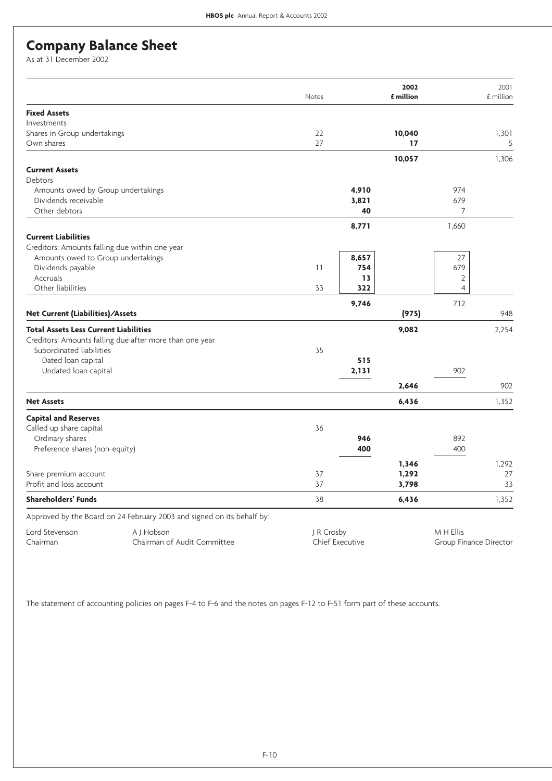## **Company Balance Sheet**

As at 31 December 2002

|                                                |                                                                        | Notes      |                        | 2002<br>£ million |                        | 2001<br>£ million |
|------------------------------------------------|------------------------------------------------------------------------|------------|------------------------|-------------------|------------------------|-------------------|
| <b>Fixed Assets</b>                            |                                                                        |            |                        |                   |                        |                   |
| Investments                                    |                                                                        |            |                        |                   |                        |                   |
| Shares in Group undertakings                   |                                                                        | 22         |                        | 10,040            |                        | 1,301             |
| Own shares                                     |                                                                        | 27         |                        | 17                |                        | 5                 |
|                                                |                                                                        |            |                        | 10,057            |                        | 1,306             |
| <b>Current Assets</b>                          |                                                                        |            |                        |                   |                        |                   |
| <b>Debtors</b>                                 |                                                                        |            |                        |                   |                        |                   |
| Amounts owed by Group undertakings             |                                                                        |            | 4,910                  |                   | 974                    |                   |
| Dividends receivable                           |                                                                        |            | 3,821                  |                   | 679                    |                   |
| Other debtors                                  |                                                                        |            | 40                     |                   | $\overline{7}$         |                   |
|                                                |                                                                        |            | 8,771                  |                   | 1,660                  |                   |
| <b>Current Liabilities</b>                     |                                                                        |            |                        |                   |                        |                   |
| Creditors: Amounts falling due within one year |                                                                        |            |                        |                   |                        |                   |
| Amounts owed to Group undertakings             |                                                                        |            | 8,657                  |                   | 27                     |                   |
| Dividends payable                              |                                                                        | 11         | 754                    |                   | 679                    |                   |
| Accruals                                       |                                                                        |            | 13                     |                   | $\overline{2}$         |                   |
| Other liabilities                              |                                                                        | 33         | 322                    |                   | $\overline{4}$         |                   |
|                                                |                                                                        |            |                        |                   |                        |                   |
| Net Current (Liabilities)/Assets               |                                                                        |            | 9,746                  | (975)             | 712                    | 948               |
|                                                |                                                                        |            |                        |                   |                        |                   |
| <b>Total Assets Less Current Liabilities</b>   |                                                                        |            |                        | 9,082             |                        | 2,254             |
|                                                | Creditors: Amounts falling due after more than one year                |            |                        |                   |                        |                   |
| Subordinated liabilities                       |                                                                        | 35         |                        |                   |                        |                   |
| Dated loan capital                             |                                                                        |            | 515                    |                   |                        |                   |
| Undated loan capital                           |                                                                        |            | 2,131                  |                   | 902                    |                   |
|                                                |                                                                        |            |                        | 2,646             |                        | 902               |
| <b>Net Assets</b>                              |                                                                        |            |                        | 6,436             |                        | 1,352             |
| <b>Capital and Reserves</b>                    |                                                                        |            |                        |                   |                        |                   |
| Called up share capital                        |                                                                        | 36         |                        |                   |                        |                   |
| Ordinary shares                                |                                                                        |            | 946                    |                   | 892                    |                   |
| Preference shares (non-equity)                 |                                                                        |            | 400                    |                   | 400                    |                   |
|                                                |                                                                        |            |                        | 1,346             |                        | 1,292             |
| Share premium account                          |                                                                        | 37         |                        | 1,292             |                        | 27                |
| Profit and loss account                        |                                                                        | 37         |                        | 3,798             |                        | 33                |
| <b>Shareholders' Funds</b>                     |                                                                        | 38         |                        | 6,436             |                        | 1,352             |
|                                                | Approved by the Board on 24 February 2003 and signed on its behalf by: |            |                        |                   |                        |                   |
| Lord Stevenson                                 | A J Hobson                                                             | J R Crosby |                        |                   | M H Ellis              |                   |
| Chairman                                       | Chairman of Audit Committee                                            |            | <b>Chief Executive</b> |                   | Group Finance Director |                   |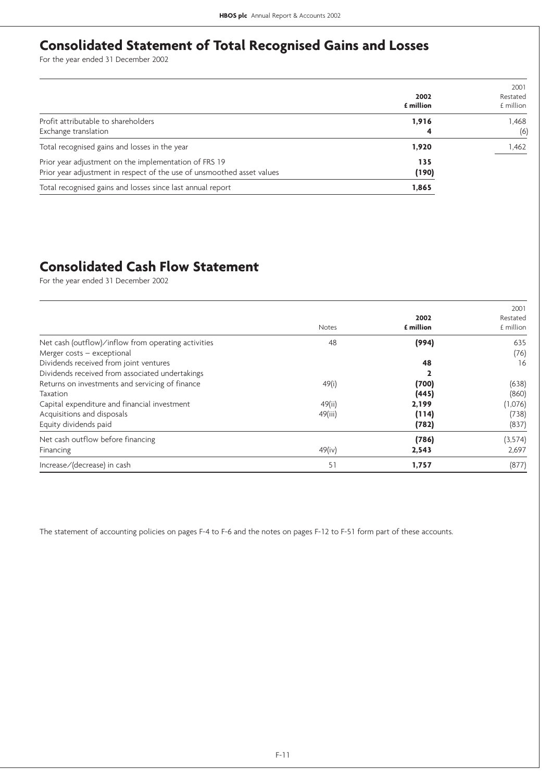# **Consolidated Statement of Total Recognised Gains and Losses**

For the year ended 31 December 2002

|                                                                                                                                 | 2002<br><b>f</b> million | 2001<br>Restated<br>£ million |
|---------------------------------------------------------------------------------------------------------------------------------|--------------------------|-------------------------------|
| Profit attributable to shareholders<br>Exchange translation                                                                     | 1,916<br>4               | 1.468<br>(6)                  |
| Total recognised gains and losses in the year                                                                                   | 1,920                    | 1,462                         |
| Prior year adjustment on the implementation of FRS 19<br>Prior year adjustment in respect of the use of unsmoothed asset values | 135<br>(190)             |                               |
| Total recognised gains and losses since last annual report                                                                      | 1,865                    |                               |

# **Consolidated Cash Flow Statement**

For the year ended 31 December 2002

|                                                     |              |           | 2001      |
|-----------------------------------------------------|--------------|-----------|-----------|
|                                                     |              | 2002      | Restated  |
|                                                     | <b>Notes</b> | £ million | £ million |
| Net cash (outflow)/inflow from operating activities | 48           | (994)     | 635       |
| Merger $costs - exceptional$                        |              |           | (76)      |
| Dividends received from joint ventures              |              | 48        | 16        |
| Dividends received from associated undertakings     |              |           |           |
| Returns on investments and servicing of finance     | 49(i)        | (700)     | (638)     |
| Taxation                                            |              | (445)     | (860)     |
| Capital expenditure and financial investment        | 49(ii)       | 2,199     | (1,076)   |
| Acquisitions and disposals                          | 49(iii)      | (114)     | (738)     |
| Equity dividends paid                               |              | (782)     | (837)     |
| Net cash outflow before financing                   |              | (786)     | (3, 574)  |
| Financing                                           | 49(iv)       | 2,543     | 2,697     |
| Increase/(decrease) in cash                         | 51           | 1,757     | (877)     |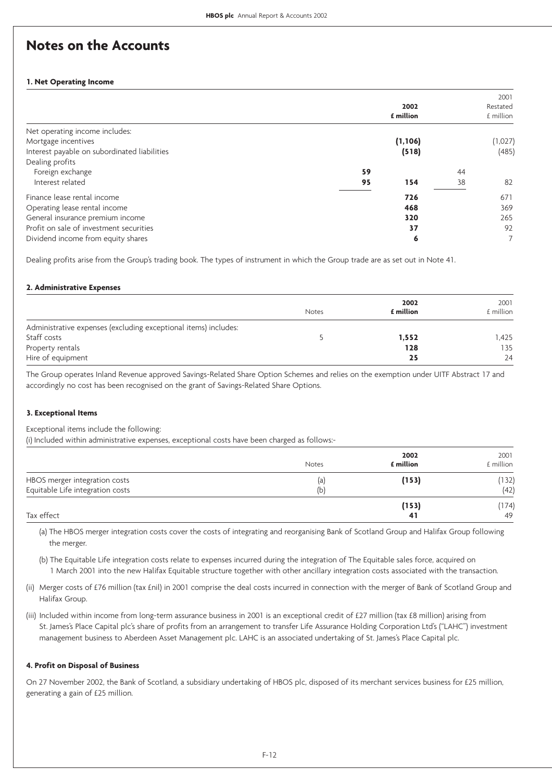## **Notes on the Accounts**

### **1. Net Operating Income**

|                                              |    | 2002<br>£ million |    | 2001<br>Restated<br>£ million |
|----------------------------------------------|----|-------------------|----|-------------------------------|
| Net operating income includes:               |    |                   |    |                               |
| Mortgage incentives                          |    | (1, 106)          |    | (1,027)                       |
| Interest payable on subordinated liabilities |    | (518)             |    | (485)                         |
| Dealing profits                              |    |                   |    |                               |
| Foreign exchange                             | 59 |                   | 44 |                               |
| Interest related                             | 95 | 154               | 38 | 82                            |
| Finance lease rental income                  |    | 726               |    | 671                           |
| Operating lease rental income                |    | 468               |    | 369                           |
| General insurance premium income             |    | 320               |    | 265                           |
| Profit on sale of investment securities      |    | 37                |    | 92                            |
| Dividend income from equity shares           |    | 6                 |    |                               |

Dealing profits arise from the Group's trading book. The types of instrument in which the Group trade are as set out in Note 41.

### **2. Administrative Expenses**

|                                                                 |       | 2002      | 2001      |
|-----------------------------------------------------------------|-------|-----------|-----------|
|                                                                 | Notes | £ million | £ million |
| Administrative expenses (excluding exceptional items) includes: |       |           |           |
| Staff costs                                                     |       | 1,552     | l.425     |
| Property rentals                                                |       | 128       | 135       |
| Hire of equipment                                               |       | 25        | 24        |

The Group operates Inland Revenue approved Savings-Related Share Option Schemes and relies on the exemption under UITF Abstract 17 and accordingly no cost has been recognised on the grant of Savings-Related Share Options.

### **3. Exceptional Items**

Exceptional items include the following:

(i) Included within administrative expenses, exceptional costs have been charged as follows:-

|                                                                   | Notes      | 2002<br>£ million | 2001<br>£ million |
|-------------------------------------------------------------------|------------|-------------------|-------------------|
| HBOS merger integration costs<br>Equitable Life integration costs | (a)<br>(b) | (153)             | (132)<br>(42)     |
| Tax effect                                                        |            | (153)<br>41       | (174)<br>49       |

(a) The HBOS merger integration costs cover the costs of integrating and reorganising Bank of Scotland Group and Halifax Group following the merger.

(b) The Equitable Life integration costs relate to expenses incurred during the integration of The Equitable sales force, acquired on 1 March 2001 into the new Halifax Equitable structure together with other ancillary integration costs associated with the transaction.

(ii) Merger costs of £76 million (tax £nil) in 2001 comprise the deal costs incurred in connection with the merger of Bank of Scotland Group and Halifax Group.

(iii) Included within income from long-term assurance business in 2001 is an exceptional credit of £27 million (tax £8 million) arising from St. James's Place Capital plc's share of profits from an arrangement to transfer Life Assurance Holding Corporation Ltd's ("LAHC") investment management business to Aberdeen Asset Management plc. LAHC is an associated undertaking of St. James's Place Capital plc.

### **4. Profit on Disposal of Business**

On 27 November 2002, the Bank of Scotland, a subsidiary undertaking of HBOS plc, disposed of its merchant services business for £25 million, generating a gain of £25 million.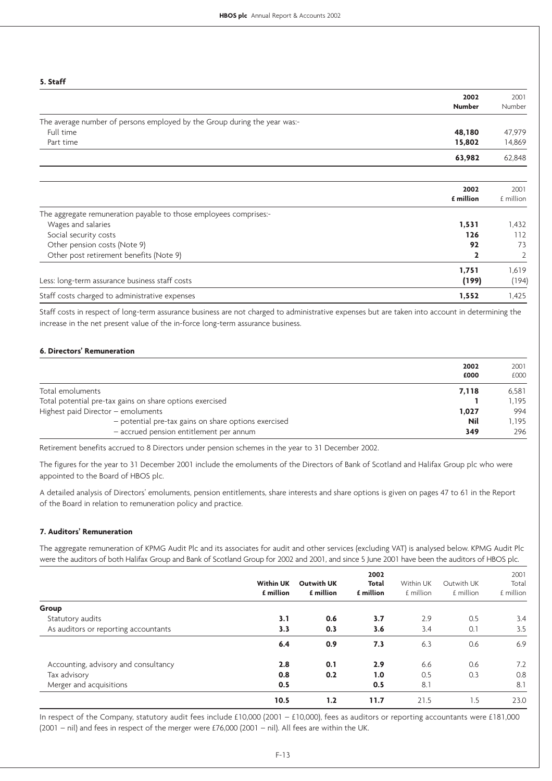| э. этатт                                                                  |               |                |
|---------------------------------------------------------------------------|---------------|----------------|
|                                                                           | 2002          | 2001           |
|                                                                           | <b>Number</b> | Number         |
| The average number of persons employed by the Group during the year was:- |               |                |
| Full time                                                                 | 48,180        | 47,979         |
| Part time                                                                 | 15,802        | 14,869         |
|                                                                           | 63,982        | 62,848         |
|                                                                           |               |                |
|                                                                           | 2002          | 2001           |
|                                                                           | £ million     | £ million      |
| The aggregate remuneration payable to those employees comprises:-         |               |                |
| Wages and salaries                                                        | 1,531         | 1,432          |
| Social security costs                                                     | 126           | 112            |
| Other pension costs (Note 9)                                              | 92            | 73             |
| Other post retirement benefits (Note 9)                                   | 2             | $\overline{2}$ |
|                                                                           | 1,751         | 1,619          |
| Less: long-term assurance business staff costs                            | (199)         | (194)          |
| Staff costs charged to administrative expenses                            | 1,552         | 1,425          |

Staff costs in respect of long-term assurance business are not charged to administrative expenses but are taken into account in determining the increase in the net present value of the in-force long-term assurance business.

### **6. Directors' Remuneration**

**5. Staff**

|                                                          | 2002<br>£000 | 2001<br>£000 |
|----------------------------------------------------------|--------------|--------------|
| Total emoluments                                         | 7.118        | 6.581        |
| Total potential pre-tax gains on share options exercised |              | 1.195        |
| Highest paid Director - emoluments                       | 1.027        | 994          |
| - potential pre-tax gains on share options exercised     | <b>Nil</b>   | 1.195        |
| - accrued pension entitlement per annum                  | 349          | 296          |

Retirement benefits accrued to 8 Directors under pension schemes in the year to 31 December 2002.

The figures for the year to 31 December 2001 include the emoluments of the Directors of Bank of Scotland and Halifax Group plc who were appointed to the Board of HBOS plc.

A detailed analysis of Directors' emoluments, pension entitlements, share interests and share options is given on pages 47 to 61 in the Report of the Board in relation to remuneration policy and practice.

### **7. Auditors' Remuneration**

The aggregate remuneration of KPMG Audit Plc and its associates for audit and other services (excluding VAT) is analysed below. KPMG Audit Plc were the auditors of both Halifax Group and Bank of Scotland Group for 2002 and 2001, and since 5 June 2001 have been the auditors of HBOS plc.

|                                      |                               |           | 2002              |           |           | 2001       |       |
|--------------------------------------|-------------------------------|-----------|-------------------|-----------|-----------|------------|-------|
|                                      | <b>Within UK</b><br>£ million |           | <b>Outwith UK</b> | Total     | Within UK | Outwith UK | Total |
|                                      |                               | £ million | £ million         | £ million | £ million | £ million  |       |
| Group                                |                               |           |                   |           |           |            |       |
| Statutory audits                     | 3.1                           | 0.6       | 3.7               | 2.9       | 0.5       | 3.4        |       |
| As auditors or reporting accountants | 3.3                           | 0.3       | 3.6               | 3.4       | 0.1       | 3.5        |       |
|                                      | 6.4                           | 0.9       | 7.3               | 6.3       | 0.6       | 6.9        |       |
| Accounting, advisory and consultancy | 2.8                           | 0.1       | 2.9               | 6.6       | 0.6       | 7.2        |       |
| Tax advisory                         | 0.8                           | 0.2       | 1.0               | 0.5       | 0.3       | 0.8        |       |
| Merger and acquisitions              | 0.5                           |           | 0.5               | 8.1       |           | 8.1        |       |
|                                      | 10.5                          | 1.2       | 11.7              | 21.5      | 1.5       | 23.0       |       |

In respect of the Company, statutory audit fees include £10,000 (2001 – £10,000), fees as auditors or reporting accountants were £181,000 (2001 – nil) and fees in respect of the merger were £76,000 (2001 – nil). All fees are within the UK.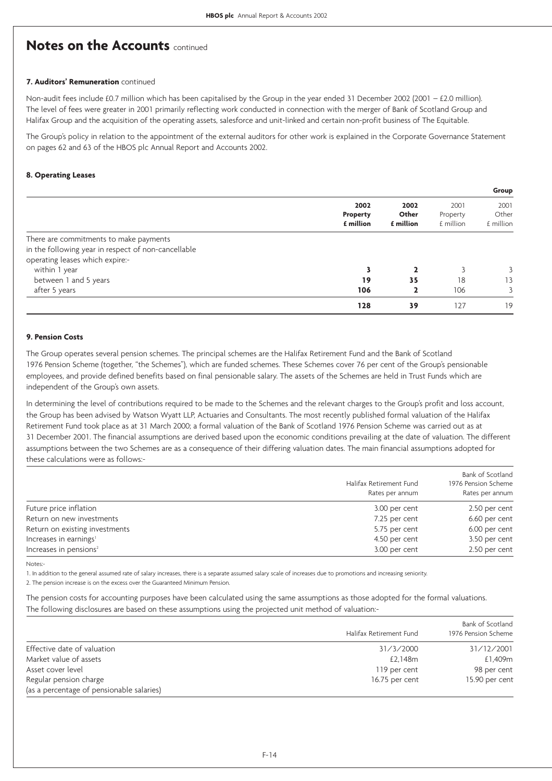### **7. Auditors' Remuneration** continued

Non-audit fees include £0.7 million which has been capitalised by the Group in the year ended 31 December 2002 (2001 – £2.0 million). The level of fees were greater in 2001 primarily reflecting work conducted in connection with the merger of Bank of Scotland Group and Halifax Group and the acquisition of the operating assets, salesforce and unit-linked and certain non-profit business of The Equitable.

The Group's policy in relation to the appointment of the external auditors for other work is explained in the Corporate Governance Statement on pages 62 and 63 of the HBOS plc Annual Report and Accounts 2002.

#### **8. Operating Leases**

|                                                                                                                                  |                               |                            |                               | Group                      |
|----------------------------------------------------------------------------------------------------------------------------------|-------------------------------|----------------------------|-------------------------------|----------------------------|
|                                                                                                                                  | 2002<br>Property<br>£ million | 2002<br>Other<br>£ million | 2001<br>Property<br>£ million | 2001<br>Other<br>£ million |
| There are commitments to make payments<br>in the following year in respect of non-cancellable<br>operating leases which expire:- |                               |                            |                               |                            |
| within 1 year                                                                                                                    |                               |                            |                               | 3                          |
| between 1 and 5 years                                                                                                            | 19                            | 35                         | 18                            | 13                         |
| after 5 years                                                                                                                    | 106                           |                            | 106                           |                            |
|                                                                                                                                  | 128                           | 39                         | 127                           | 19                         |

### **9. Pension Costs**

The Group operates several pension schemes. The principal schemes are the Halifax Retirement Fund and the Bank of Scotland 1976 Pension Scheme (together, "the Schemes"), which are funded schemes. These Schemes cover 76 per cent of the Group's pensionable employees, and provide defined benefits based on final pensionable salary. The assets of the Schemes are held in Trust Funds which are independent of the Group's own assets.

In determining the level of contributions required to be made to the Schemes and the relevant charges to the Group's profit and loss account, the Group has been advised by Watson Wyatt LLP, Actuaries and Consultants. The most recently published formal valuation of the Halifax Retirement Fund took place as at 31 March 2000; a formal valuation of the Bank of Scotland 1976 Pension Scheme was carried out as at 31 December 2001. The financial assumptions are derived based upon the economic conditions prevailing at the date of valuation. The different assumptions between the two Schemes are as a consequence of their differing valuation dates. The main financial assumptions adopted for these calculations were as follows:-

|                                    | Halifax Retirement Fund<br>Rates per annum | Bank of Scotland<br>1976 Pension Scheme<br>Rates per annum |
|------------------------------------|--------------------------------------------|------------------------------------------------------------|
| Future price inflation             | 3.00 per cent                              | 2.50 per cent                                              |
| Return on new investments          | 7.25 per cent                              | 6.60 per cent                                              |
| Return on existing investments     | 5.75 per cent                              | 6.00 per cent                                              |
| Increases in earnings <sup>1</sup> | 4.50 per cent                              | 3.50 per cent                                              |
| Increases in pensions $2$          | 3.00 per cent                              | 2.50 per cent                                              |

Notes:

1. In addition to the general assumed rate of salary increases, there is a separate assumed salary scale of increases due to promotions and increasing seniority.

2. The pension increase is on the excess over the Guaranteed Minimum Pension.

The pension costs for accounting purposes have been calculated using the same assumptions as those adopted for the formal valuations. The following disclosures are based on these assumptions using the projected unit method of valuation:-

|                                           | Halifax Retirement Fund | Bank of Scotland<br>1976 Pension Scheme |
|-------------------------------------------|-------------------------|-----------------------------------------|
| Effective date of valuation               | 31/3/2000               | 31/12/2001                              |
| Market value of assets                    | £2.148m                 | £1,409m                                 |
| Asset cover level                         | 119 per cent            | 98 per cent                             |
| Regular pension charge                    | 16.75 per cent          | 15.90 per cent                          |
| (as a percentage of pensionable salaries) |                         |                                         |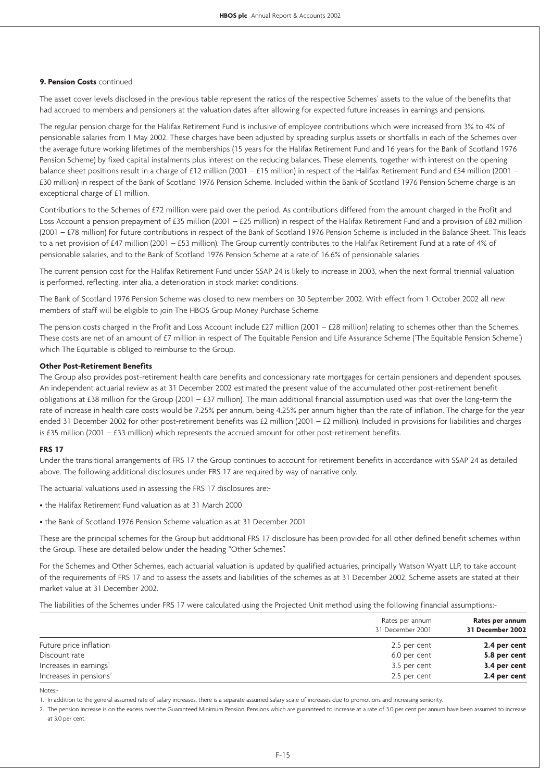### **9. Pension Costs** continued

The asset cover levels disclosed in the previous table represent the ratios of the respective Schemes' assets to the value of the benefits that had accrued to members and pensioners at the valuation dates after allowing for expected future increases in earnings and pensions.

The regular pension charge for the Halifax Retirement Fund is inclusive of employee contributions which were increased from 3% to 4% of pensionable salaries from 1 May 2002. These charges have been adjusted by spreading surplus assets or shortfalls in each of the Schemes over the average future working lifetimes of the memberships (15 years for the Halifax Retirement Fund and 16 years for the Bank of Scotland 1976 Pension Scheme) by fixed capital instalments plus interest on the reducing balances. These elements, together with interest on the opening balance sheet positions result in a charge of £12 million (2001 – £15 million) in respect of the Halifax Retirement Fund and £54 million (2001 – £30 million) in respect of the Bank of Scotland 1976 Pension Scheme. Included within the Bank of Scotland 1976 Pension Scheme charge is an exceptional charge of £1 million.

Contributions to the Schemes of £72 million were paid over the period. As contributions differed from the amount charged in the Profit and Loss Account a pension prepayment of £35 million (2001 – £25 million) in respect of the Halifax Retirement Fund and a provision of £82 million (2001 – £78 million) for future contributions in respect of the Bank of Scotland 1976 Pension Scheme is included in the Balance Sheet. This leads to a net provision of £47 million (2001 – £53 million). The Group currently contributes to the Halifax Retirement Fund at a rate of 4% of pensionable salaries, and to the Bank of Scotland 1976 Pension Scheme at a rate of 16.6% of pensionable salaries.

The current pension cost for the Halifax Retirement Fund under SSAP 24 is likely to increase in 2003, when the next formal triennial valuation is performed, reflecting, inter alia, a deterioration in stock market conditions.

The Bank of Scotland 1976 Pension Scheme was closed to new members on 30 September 2002. With effect from 1 October 2002 all new members of staff will be eligible to join The HBOS Group Money Purchase Scheme.

The pension costs charged in the Profit and Loss Account include £27 million (2001 – £28 million) relating to schemes other than the Schemes. These costs are net of an amount of £7 million in respect of The Equitable Pension and Life Assurance Scheme ('The Equitable Pension Scheme') which The Equitable is obliged to reimburse to the Group.

### **Other Post-Retirement Benefits**

The Group also provides post-retirement health care benefits and concessionary rate mortgages for certain pensioners and dependent spouses. An independent actuarial review as at 31 December 2002 estimated the present value of the accumulated other post-retirement benefit obligations at £38 million for the Group (2001 – £37 million). The main additional financial assumption used was that over the long-term the rate of increase in health care costs would be 7.25% per annum, being 4.25% per annum higher than the rate of inflation. The charge for the year ended 31 December 2002 for other post-retirement benefits was £2 million (2001 – £2 million). Included in provisions for liabilities and charges is £35 million (2001 – £33 million) which represents the accrued amount for other post-retirement benefits.

### **FRS 17**

Under the transitional arrangements of FRS 17 the Group continues to account for retirement benefits in accordance with SSAP 24 as detailed above. The following additional disclosures under FRS 17 are required by way of narrative only.

The actuarial valuations used in assessing the FRS 17 disclosures are:-

- the Halifax Retirement Fund valuation as at 31 March 2000
- the Bank of Scotland 1976 Pension Scheme valuation as at 31 December 2001

These are the principal schemes for the Group but additional FRS 17 disclosure has been provided for all other defined benefit schemes within the Group. These are detailed below under the heading "Other Schemes".

For the Schemes and Other Schemes, each actuarial valuation is updated by qualified actuaries, principally Watson Wyatt LLP, to take account of the requirements of FRS 17 and to assess the assets and liabilities of the schemes as at 31 December 2002. Scheme assets are stated at their market value at 31 December 2002.

The liabilities of the Schemes under FRS 17 were calculated using the Projected Unit method using the following financial assumptions:-

|                                    | Rates per annum<br>31 December 2001 | Rates per annum<br>31 December 2002 |
|------------------------------------|-------------------------------------|-------------------------------------|
| Future price inflation             | 2.5 per cent                        | 2.4 per cent                        |
| Discount rate                      | 6.0 per cent                        | 5.8 per cent                        |
| Increases in earnings <sup>1</sup> | 3.5 per cent                        | 3.4 per cent                        |
| Increases in pensions <sup>2</sup> | 2.5 per cent                        | 2.4 per cent                        |

Notes:-

1. In addition to the general assumed rate of salary increases, there is a separate assumed salary scale of increases due to promotions and increasing seniority.

2. The pension increase is on the excess over the Guaranteed Minimum Pension. Pensions which are guaranteed to increase at a rate of 3.0 per cent per annum have been assumed to increase at 3.0 per cent.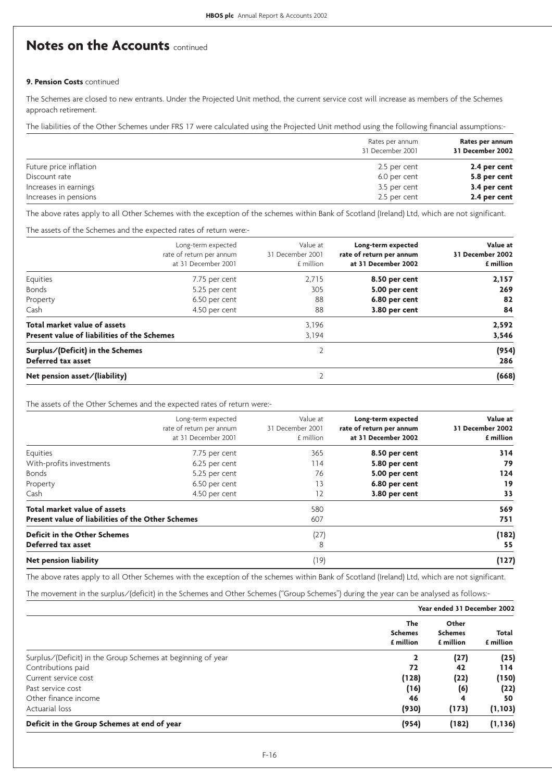### **9. Pension Costs** continued

The Schemes are closed to new entrants. Under the Projected Unit method, the current service cost will increase as members of the Schemes approach retirement.

The liabilities of the Other Schemes under FRS 17 were calculated using the Projected Unit method using the following financial assumptions:-

|                        | Rates per annum<br>31 December 2001 | Rates per annum<br>31 December 2002 |
|------------------------|-------------------------------------|-------------------------------------|
| Future price inflation | 2.5 per cent                        | 2.4 per cent                        |
| Discount rate          | 6.0 per cent                        | 5.8 per cent                        |
| Increases in earnings  | 3.5 per cent                        | 3.4 per cent                        |
| Increases in pensions  | 2.5 per cent                        | 2.4 per cent                        |

The above rates apply to all Other Schemes with the exception of the schemes within Bank of Scotland (Ireland) Ltd, which are not significant.

The assets of the Schemes and the expected rates of return were:-

|                                             | Long-term expected<br>rate of return per annum<br>at 31 December 2001 | Value at<br>31 December 2001<br>£ million | Long-term expected<br>rate of return per annum<br>at 31 December 2002 | Value at<br>31 December 2002<br>£ million |
|---------------------------------------------|-----------------------------------------------------------------------|-------------------------------------------|-----------------------------------------------------------------------|-------------------------------------------|
| Equities                                    | 7.75 per cent                                                         | 2.715                                     | 8.50 per cent                                                         | 2,157                                     |
| <b>Bonds</b>                                | 5.25 per cent                                                         | 305                                       | 5.00 per cent                                                         | 269                                       |
| Property                                    | 6.50 per cent                                                         | 88                                        | 6.80 per cent                                                         | 82                                        |
| Cash                                        | 4.50 per cent                                                         | 88                                        | 3.80 per cent                                                         | 84                                        |
| Total market value of assets                |                                                                       | 3,196                                     |                                                                       | 2,592                                     |
| Present value of liabilities of the Schemes |                                                                       | 3.194                                     |                                                                       | 3,546                                     |
| Surplus/(Deficit) in the Schemes            |                                                                       |                                           |                                                                       | (954)                                     |
| Deferred tax asset                          |                                                                       |                                           |                                                                       | 286                                       |
| Net pension asset/(liability)               |                                                                       |                                           |                                                                       | (668)                                     |

The assets of the Other Schemes and the expected rates of return were:-

|                                                   | Long-term expected<br>rate of return per annum<br>at 31 December 2001 | Value at<br>31 December 2001<br>£ million | Long-term expected<br>rate of return per annum<br>at 31 December 2002 | Value at<br>31 December 2002<br>£ million |
|---------------------------------------------------|-----------------------------------------------------------------------|-------------------------------------------|-----------------------------------------------------------------------|-------------------------------------------|
| Equities                                          | 7.75 per cent                                                         | 365                                       | 8.50 per cent                                                         | 314                                       |
| With-profits investments                          | 6.25 per cent                                                         | 114                                       | 5.80 per cent                                                         | 79                                        |
| <b>Bonds</b>                                      | 5.25 per cent                                                         | 76                                        | 5.00 per cent                                                         | 124                                       |
| Property                                          | 6.50 per cent                                                         | 13                                        | 6.80 per cent                                                         | 19                                        |
| Cash                                              | 4.50 per cent                                                         | 12                                        | 3.80 per cent                                                         | 33                                        |
| Total market value of assets                      |                                                                       | 580                                       |                                                                       | 569                                       |
| Present value of liabilities of the Other Schemes |                                                                       | 607                                       |                                                                       | 751                                       |
| <b>Deficit in the Other Schemes</b>               |                                                                       | (27)                                      |                                                                       | (182)                                     |
| Deferred tax asset                                |                                                                       | 8                                         |                                                                       | 55                                        |
| <b>Net pension liability</b>                      |                                                                       | (19)                                      |                                                                       | (127)                                     |

The above rates apply to all Other Schemes with the exception of the schemes within Bank of Scotland (Ireland) Ltd, which are not significant.

The movement in the surplus/(deficit) in the Schemes and Other Schemes ("Group Schemes") during the year can be analysed as follows:-

|                                                             | Year ended 31 December 2002        |                                      |                    |
|-------------------------------------------------------------|------------------------------------|--------------------------------------|--------------------|
|                                                             | The<br><b>Schemes</b><br>£ million | Other<br><b>Schemes</b><br>£ million | Total<br>£ million |
| Surplus/(Deficit) in the Group Schemes at beginning of year | 2                                  | (27)                                 | (25)               |
| Contributions paid                                          | 72                                 | 42                                   | 114                |
| Current service cost                                        | (128)                              | (22)                                 | (150)              |
| Past service cost                                           | (16)                               | (6)                                  | (22)               |
| Other finance income                                        | 46                                 | 4                                    | 50                 |
| Actuarial loss                                              | (930)                              | (173)                                | (1, 103)           |
| Deficit in the Group Schemes at end of year                 | (954)                              | (182)                                | (1, 136)           |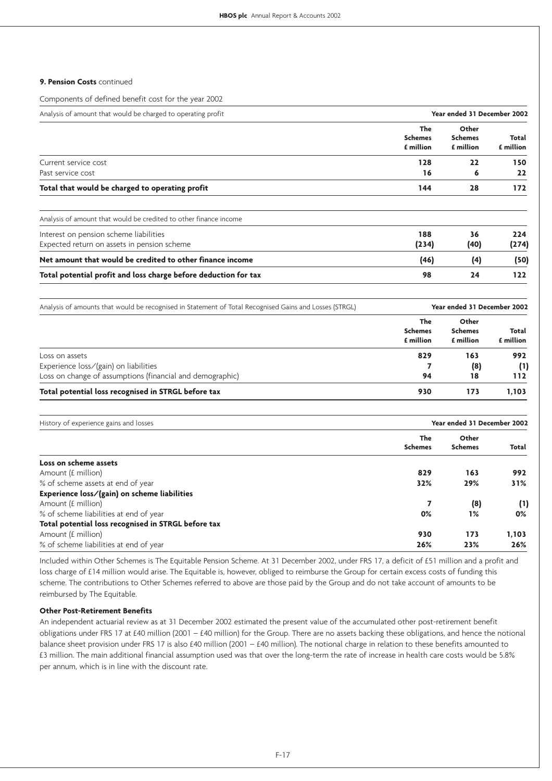### **9. Pension Costs** continued

Components of defined benefit cost for the year 2002

| Year ended 31 December 2002<br>Analysis of amount that would be charged to operating profit |                                    |                                      |                    |
|---------------------------------------------------------------------------------------------|------------------------------------|--------------------------------------|--------------------|
|                                                                                             | The<br><b>Schemes</b><br>£ million | Other<br><b>Schemes</b><br>£ million | Total<br>£ million |
| Current service cost                                                                        | 128                                | 22                                   | 150                |
| Past service cost                                                                           | 16                                 | 6                                    | 22                 |
| Total that would be charged to operating profit                                             | 144                                | 28                                   | 172                |
| Analysis of amount that would be credited to other finance income                           |                                    |                                      |                    |

| 188   | 36   | 224   |
|-------|------|-------|
| (234) | (40) | (274) |
| (46)  |      | (50)  |
| 98    | 24   | 122.  |
|       |      |       |

| Analysis of amounts that would be recognised in Statement of Total Recognised Gains and Losses (STRGL) | Year ended 31 December 2002        |                                      |                    |  |
|--------------------------------------------------------------------------------------------------------|------------------------------------|--------------------------------------|--------------------|--|
|                                                                                                        | The<br><b>Schemes</b><br>£ million | Other<br><b>Schemes</b><br>£ million | Total<br>£ million |  |
| Loss on assets                                                                                         | 829                                | 163                                  | 992                |  |
| Experience loss/(gain) on liabilities                                                                  |                                    | (8)                                  | (1)                |  |
| Loss on change of assumptions (financial and demographic)                                              | 94                                 | 18                                   | 112                |  |
| Total potential loss recognised in STRGL before tax                                                    | 930                                | 173                                  | 1.103              |  |

| History of experience gains and losses              |                | Year ended 31 December 2002 |       |  |
|-----------------------------------------------------|----------------|-----------------------------|-------|--|
|                                                     | The            | Other                       |       |  |
|                                                     | <b>Schemes</b> | <b>Schemes</b>              | Total |  |
| Loss on scheme assets                               |                |                             |       |  |
| Amount (£ million)                                  | 829            | 163                         | 992   |  |
| % of scheme assets at end of year                   | 32%            | 29%                         | 31%   |  |
| Experience loss/(gain) on scheme liabilities        |                |                             |       |  |
| Amount (£ million)                                  | 7              | (8)                         | (1)   |  |
| % of scheme liabilities at end of year              | 0%             | 1%                          | 0%    |  |
| Total potential loss recognised in STRGL before tax |                |                             |       |  |
| Amount (£ million)                                  | 930            | 173                         | 1,103 |  |
| % of scheme liabilities at end of year              | 26%            | 23%                         | 26%   |  |

Included within Other Schemes is The Equitable Pension Scheme. At 31 December 2002, under FRS 17, a deficit of £51 million and a profit and loss charge of £14 million would arise. The Equitable is, however, obliged to reimburse the Group for certain excess costs of funding this scheme. The contributions to Other Schemes referred to above are those paid by the Group and do not take account of amounts to be reimbursed by The Equitable.

### **Other Post-Retirement Benefits**

An independent actuarial review as at 31 December 2002 estimated the present value of the accumulated other post-retirement benefit obligations under FRS 17 at £40 million (2001 – £40 million) for the Group. There are no assets backing these obligations, and hence the notional balance sheet provision under FRS 17 is also £40 million (2001 – £40 million). The notional charge in relation to these benefits amounted to £3 million. The main additional financial assumption used was that over the long-term the rate of increase in health care costs would be 5.8% per annum, which is in line with the discount rate.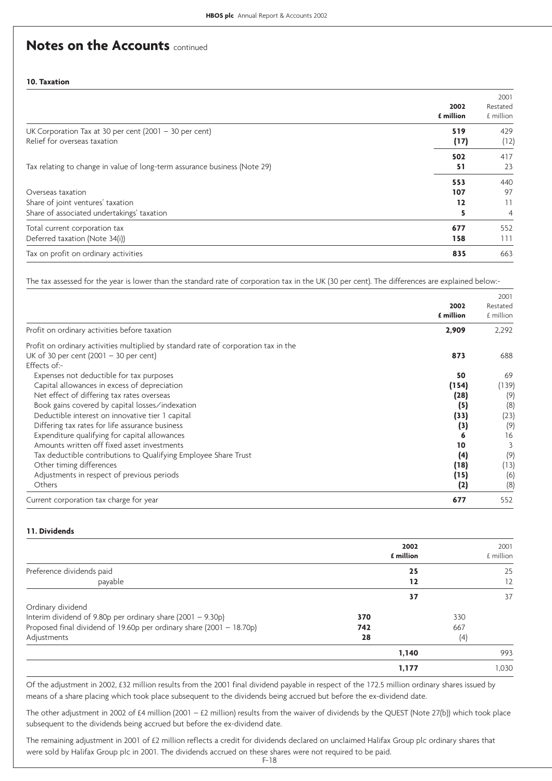**10. Taxation**

|                                                                           | 2002<br>£ million | 2001<br>Restated<br>£ million |
|---------------------------------------------------------------------------|-------------------|-------------------------------|
| UK Corporation Tax at 30 per cent $(2001 - 30$ per cent)                  | 519               | 429                           |
| Relief for overseas taxation                                              | (17)              | (12)                          |
|                                                                           | 502               | 417                           |
| Tax relating to change in value of long-term assurance business (Note 29) | 51                | 23                            |
|                                                                           | 553               | 440                           |
| Overseas taxation                                                         | 107               | 97                            |
| Share of joint ventures' taxation                                         | 12                | 11                            |
| Share of associated undertakings' taxation                                | 5                 | 4                             |
| Total current corporation tax                                             | 677               | 552                           |
| Deferred taxation (Note 34(i))                                            | 158               | 111                           |
| Tax on profit on ordinary activities                                      | 835               | 663                           |

The tax assessed for the year is lower than the standard rate of corporation tax in the UK (30 per cent). The differences are explained below:-

|                                                                                     |           | 2001      |
|-------------------------------------------------------------------------------------|-----------|-----------|
|                                                                                     | 2002      | Restated  |
|                                                                                     | £ million | £ million |
| Profit on ordinary activities before taxation                                       | 2,909     | 2,292     |
| Profit on ordinary activities multiplied by standard rate of corporation tax in the |           |           |
| UK of 30 per cent $(2001 - 30$ per cent)                                            | 873       | 688       |
| Effects of:-                                                                        |           |           |
| Expenses not deductible for tax purposes                                            | 50        | 69        |
| Capital allowances in excess of depreciation                                        | (154)     | (139)     |
| Net effect of differing tax rates overseas                                          | (28)      | (9)       |
| Book gains covered by capital losses/indexation                                     | (5)       | (8)       |
| Deductible interest on innovative tier 1 capital                                    | (33)      | (23)      |
| Differing tax rates for life assurance business                                     | (3)       | (9)       |
| Expenditure qualifying for capital allowances                                       |           | 16        |
| Amounts written off fixed asset investments                                         | 10        | 3         |
| Tax deductible contributions to Qualifying Employee Share Trust                     | (4)       | (9)       |
| Other timing differences                                                            | (18)      | (13)      |
| Adjustments in respect of previous periods                                          | (15)      | (6)       |
| Others                                                                              | (2)       | (8)       |
| Current corporation tax charge for year                                             | 677       | 552       |

### **11. Dividends**

|                                                                      | £ million | 2002<br>2001<br>£ million |
|----------------------------------------------------------------------|-----------|---------------------------|
| Preference dividends paid                                            |           | 25<br>25                  |
| payable                                                              |           | 12<br>12                  |
|                                                                      |           | 37<br>37                  |
| Ordinary dividend                                                    |           |                           |
| Interim dividend of 9.80p per ordinary share (2001 - 9.30p)          | 370       | 330                       |
| Proposed final dividend of 19.60p per ordinary share (2001 - 18.70p) | 742       | 667                       |
| Adjustments                                                          | 28        | (4)                       |
|                                                                      | 1,140     | 993                       |
|                                                                      | 1,177     | 1,030                     |

Of the adjustment in 2002, £32 million results from the 2001 final dividend payable in respect of the 172.5 million ordinary shares issued by means of a share placing which took place subsequent to the dividends being accrued but before the ex-dividend date.

The other adjustment in 2002 of £4 million (2001 – £2 million) results from the waiver of dividends by the QUEST (Note 27(b)) which took place subsequent to the dividends being accrued but before the ex-dividend date.

The remaining adjustment in 2001 of £2 million reflects a credit for dividends declared on unclaimed Halifax Group plc ordinary shares that were sold by Halifax Group plc in 2001. The dividends accrued on these shares were not required to be paid.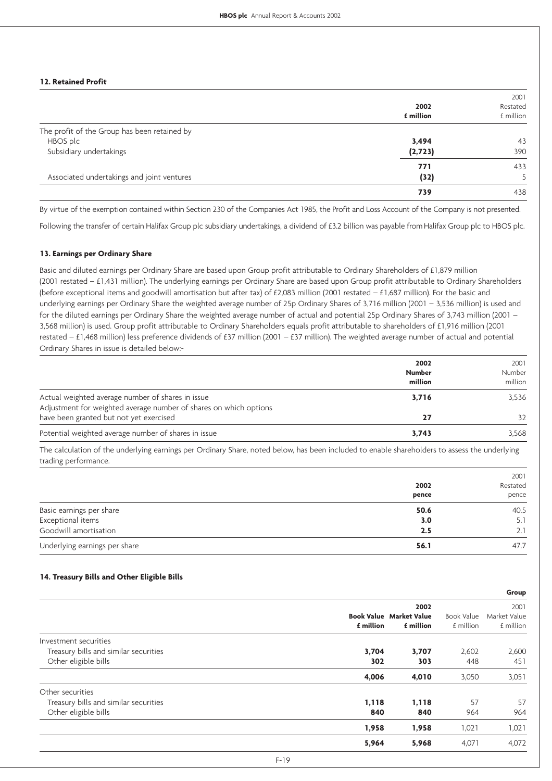### **12. Retained Profit**

|                                              | 2002<br>£ million | 2001<br>Restated<br>£ million |
|----------------------------------------------|-------------------|-------------------------------|
| The profit of the Group has been retained by |                   |                               |
| HBOS plc                                     | 3,494             | 43                            |
| Subsidiary undertakings                      | (2, 723)          | 390                           |
|                                              | 771               | 433                           |
| Associated undertakings and joint ventures   | (32)              |                               |
|                                              | 739               | 438                           |

By virtue of the exemption contained within Section 230 of the Companies Act 1985, the Profit and Loss Account of the Company is not presented.

Following the transfer of certain Halifax Group plc subsidiary undertakings, a dividend of £3.2 billion was payable from Halifax Group plc to HBOS plc.

#### **13. Earnings per Ordinary Share**

Basic and diluted earnings per Ordinary Share are based upon Group profit attributable to Ordinary Shareholders of £1,879 million (2001 restated – £1,431 million). The underlying earnings per Ordinary Share are based upon Group profit attributable to Ordinary Shareholders (before exceptional items and goodwill amortisation but after tax) of £2,083 million (2001 restated – £1,687 million). For the basic and underlying earnings per Ordinary Share the weighted average number of 25p Ordinary Shares of 3,716 million (2001 – 3,536 million) is used and for the diluted earnings per Ordinary Share the weighted average number of actual and potential 25p Ordinary Shares of 3,743 million (2001 – 3,568 million) is used. Group profit attributable to Ordinary Shareholders equals profit attributable to shareholders of £1,916 million (2001 restated – £1,468 million) less preference dividends of £37 million (2001 – £37 million). The weighted average number of actual and potential Ordinary Shares in issue is detailed below:-

|                                                                                                                        | 2002<br><b>Number</b><br>million | 2001<br>Number<br>million |
|------------------------------------------------------------------------------------------------------------------------|----------------------------------|---------------------------|
| Actual weighted average number of shares in issue<br>Adjustment for weighted average number of shares on which options | 3,716                            | 3.536                     |
| have been granted but not yet exercised                                                                                | 27                               | 32                        |
| Potential weighted average number of shares in issue                                                                   | 3.743                            | 3.568                     |

The calculation of the underlying earnings per Ordinary Share, noted below, has been included to enable shareholders to assess the underlying trading performance.

|                               |       | 2001     |
|-------------------------------|-------|----------|
|                               | 2002  | Restated |
|                               | pence | pence    |
| Basic earnings per share      | 50.6  | 40.5     |
| Exceptional items             | 3.0   | 5.1      |
| Goodwill amortisation         | 2.5   | 2.1      |
| Underlying earnings per share | 56.1  | 47.7     |

### **14. Treasury Bills and Other Eligible Bills**

| Group        |
|--------------|
| 2001         |
| Market Value |
| £ million    |
|              |
| 2,600        |
| 451          |
| 3,051        |
|              |
| 57           |
| 964          |
| 1,021        |
| 4,072        |
|              |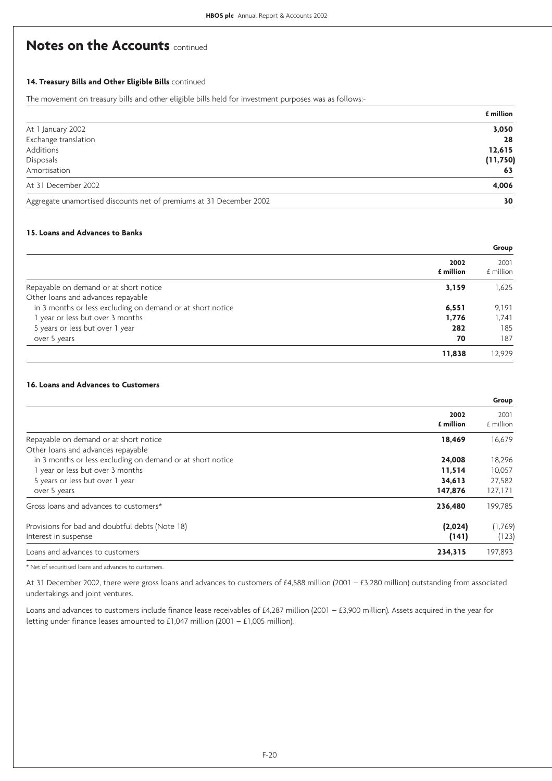### **14. Treasury Bills and Other Eligible Bills** continued

The movement on treasury bills and other eligible bills held for investment purposes was as follows:-

|                                                                     | £ million |
|---------------------------------------------------------------------|-----------|
| At 1 January 2002                                                   | 3,050     |
| Exchange translation                                                | 28        |
| Additions                                                           | 12,615    |
| Disposals                                                           | (11,750)  |
| Amortisation                                                        | 63        |
| At 31 December 2002                                                 | 4,006     |
| Aggregate unamortised discounts net of premiums at 31 December 2002 | 30        |

### **15. Loans and Advances to Banks**

|                                                            | Group             |                   |
|------------------------------------------------------------|-------------------|-------------------|
|                                                            | 2002<br>£ million | 2001<br>£ million |
| Repayable on demand or at short notice                     | 3,159             | 1.625             |
| Other loans and advances repayable                         |                   |                   |
| in 3 months or less excluding on demand or at short notice | 6,551             | 9.191             |
| 1 year or less but over 3 months                           | 1.776             | 1.741             |
| 5 years or less but over 1 year                            | 282               | 185               |
| over 5 years                                               | 70                | 187               |
|                                                            | 11,838            | 12.929            |

### **16. Loans and Advances to Customers**

|                                                            | Group             |                   |
|------------------------------------------------------------|-------------------|-------------------|
|                                                            | 2002<br>£ million | 2001<br>£ million |
| Repayable on demand or at short notice                     | 18,469            | 16,679            |
| Other loans and advances repayable                         |                   |                   |
| in 3 months or less excluding on demand or at short notice | 24,008            | 18,296            |
| 1 year or less but over 3 months                           | 11,514            | 10,057            |
| 5 years or less but over 1 year                            | 34,613            | 27,582            |
| over 5 years                                               | 147,876           | 127,171           |
| Gross loans and advances to customers*                     | 236,480           | 199,785           |
| Provisions for bad and doubtful debts (Note 18)            | (2,024)           | (1,769)           |
| Interest in suspense                                       | (141)             | (123)             |
| Loans and advances to customers                            | 234,315           | 197,893           |
|                                                            |                   |                   |

\* Net of securitised loans and advances to customers.

At 31 December 2002, there were gross loans and advances to customers of £4,588 million (2001 – £3,280 million) outstanding from associated undertakings and joint ventures.

Loans and advances to customers include finance lease receivables of £4,287 million (2001 – £3,900 million). Assets acquired in the year for letting under finance leases amounted to £1,047 million (2001 – £1,005 million).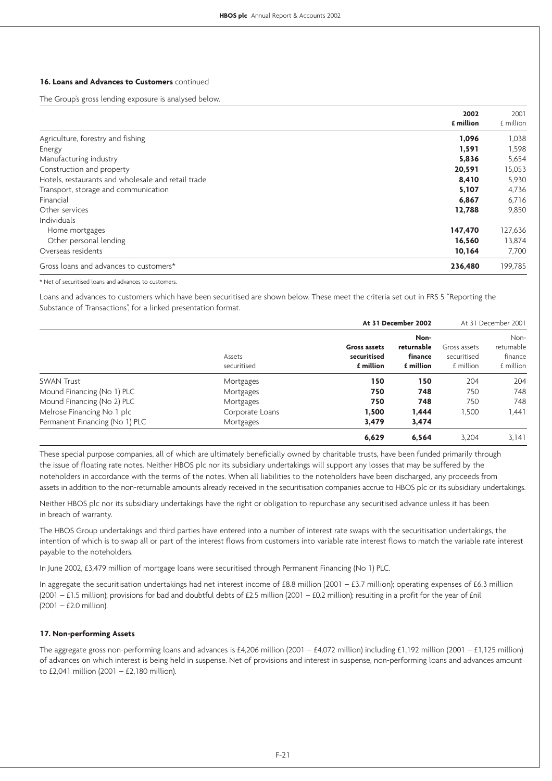### **16. Loans and Advances to Customers** continued

The Group's gross lending exposure is analysed below.

| 2002<br>£ million                                           | 2001<br>£ million |
|-------------------------------------------------------------|-------------------|
|                                                             |                   |
| Agriculture, forestry and fishing<br>1,096                  | 1,038             |
| 1,591<br>Energy                                             | 1,598             |
| Manufacturing industry<br>5,836                             | 5,654             |
| Construction and property<br>20,591                         | 15,053            |
| Hotels, restaurants and wholesale and retail trade<br>8,410 | 5,930             |
| Transport, storage and communication<br>5,107               | 4,736             |
| Financial<br>6,867                                          | 6,716             |
| Other services<br>12,788                                    | 9,850             |
| Individuals                                                 |                   |
| 147,470<br>Home mortgages                                   | 127,636           |
| Other personal lending<br>16,560                            | 13,874            |
| Overseas residents<br>10,164                                | 7,700             |
| Gross loans and advances to customers*<br>236,480           | 199,785           |

\* Net of securitised loans and advances to customers.

Loans and advances to customers which have been securitised are shown below. These meet the criteria set out in FRS 5 "Reporting the Substance of Transactions", for a linked presentation format.

|                                |                       | At 31 December 2002                             |                                            |                                          | At 31 December 2001                        |
|--------------------------------|-----------------------|-------------------------------------------------|--------------------------------------------|------------------------------------------|--------------------------------------------|
|                                | Assets<br>securitised | <b>Gross assets</b><br>securitised<br>£ million | Non-<br>returnable<br>finance<br>£ million | Gross assets<br>securitised<br>£ million | Non-<br>returnable<br>finance<br>£ million |
| <b>SWAN Trust</b>              | Mortgages             | 150                                             | 150                                        | 204                                      | 204                                        |
| Mound Financing (No 1) PLC     | Mortgages             | 750                                             | 748                                        | 750                                      | 748                                        |
| Mound Financing (No 2) PLC     | Mortgages             | 750                                             | 748                                        | 750                                      | 748                                        |
| Melrose Financing No 1 plc     | Corporate Loans       | 1.500                                           | 1.444                                      | 1.500                                    | 1.441                                      |
| Permanent Financing (No 1) PLC | Mortgages             | 3,479                                           | 3,474                                      |                                          |                                            |
|                                |                       | 6.629                                           | 6.564                                      | 3.204                                    | 3.141                                      |

These special purpose companies, all of which are ultimately beneficially owned by charitable trusts, have been funded primarily through the issue of floating rate notes. Neither HBOS plc nor its subsidiary undertakings will support any losses that may be suffered by the noteholders in accordance with the terms of the notes. When all liabilities to the noteholders have been discharged, any proceeds from assets in addition to the non-returnable amounts already received in the securitisation companies accrue to HBOS plc or its subsidiary undertakings.

Neither HBOS plc nor its subsidiary undertakings have the right or obligation to repurchase any securitised advance unless it has been in breach of warranty.

The HBOS Group undertakings and third parties have entered into a number of interest rate swaps with the securitisation undertakings, the intention of which is to swap all or part of the interest flows from customers into variable rate interest flows to match the variable rate interest payable to the noteholders.

In June 2002, £3,479 million of mortgage loans were securitised through Permanent Financing (No 1) PLC.

In aggregate the securitisation undertakings had net interest income of £8.8 million (2001 – £3.7 million); operating expenses of £6.3 million (2001 – £1.5 million); provisions for bad and doubtful debts of £2.5 million (2001 – £0.2 million); resulting in a profit for the year of £nil (2001 – £2.0 million).

### **17. Non-performing Assets**

The aggregate gross non-performing loans and advances is £4,206 million (2001 – £4,072 million) including £1,192 million (2001 – £1,125 million) of advances on which interest is being held in suspense. Net of provisions and interest in suspense, non-performing loans and advances amount to £2,041 million (2001 – £2,180 million).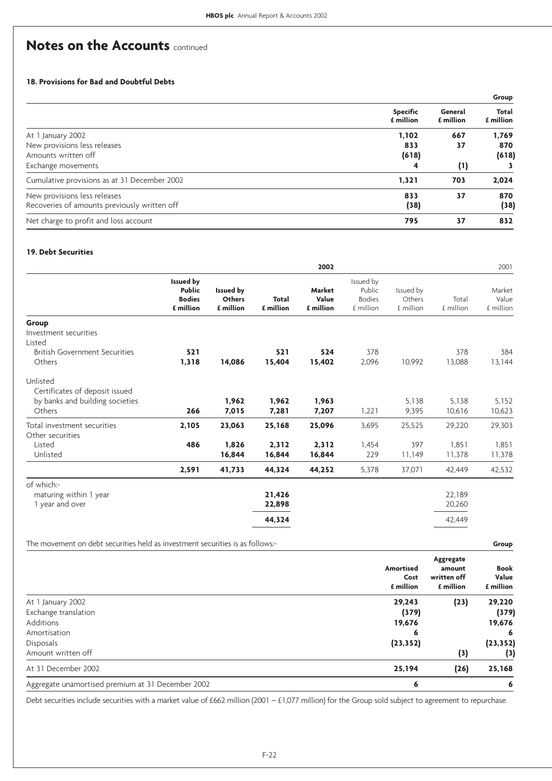### **18. Provisions for Bad and Doubtful Debts**

|                                              |                              |                      | Group              |
|----------------------------------------------|------------------------------|----------------------|--------------------|
|                                              | <b>Specific</b><br>£ million | General<br>£ million | Total<br>£ million |
| At 1 January 2002                            | 1,102                        | 667                  | 1,769              |
| New provisions less releases                 | 833                          | 37                   | 870                |
| Amounts written off                          | (618)                        |                      | (618)              |
| Exchange movements                           | 4                            | (1)                  |                    |
| Cumulative provisions as at 31 December 2002 | 1,321                        | 703                  | 2,024              |
| New provisions less releases                 | 833                          | 37                   | 870                |
| Recoveries of amounts previously written off | (38)                         |                      | (38)               |
| Net charge to profit and loss account        | 795                          | 37                   | 832                |

### **19. Debt Securities**

|                                                          |                                         |                           | 2002                         |                                                   |                                  |                    | 2001                         |
|----------------------------------------------------------|-----------------------------------------|---------------------------|------------------------------|---------------------------------------------------|----------------------------------|--------------------|------------------------------|
| Issued by<br><b>Public</b><br><b>Bodies</b><br>£ million | Issued by<br><b>Others</b><br>£ million | <b>Total</b><br>£ million | Market<br>Value<br>£ million | Issued by<br>Public<br><b>Bodies</b><br>£ million | Issued by<br>Others<br>£ million | Total<br>£ million | Market<br>Value<br>£ million |
|                                                          |                                         |                           |                              |                                                   |                                  |                    |                              |
|                                                          |                                         |                           |                              |                                                   |                                  |                    |                              |
|                                                          |                                         |                           |                              |                                                   |                                  |                    |                              |
| 521                                                      |                                         | 521                       | 524                          | 378                                               |                                  | 378                | 384                          |
| 1,318                                                    |                                         | 15,404                    | 15,402                       | 2,096                                             | 10,992                           | 13,088             | 13,144                       |
|                                                          |                                         |                           |                              |                                                   |                                  |                    |                              |
|                                                          | 1,962                                   | 1,962                     | 1,963                        |                                                   | 5,138                            | 5,138              | 5,152                        |
| 266                                                      | 7,015                                   | 7,281                     | 7,207                        | 1,221                                             | 9,395                            | 10,616             | 10,623                       |
| 2,105                                                    | 23,063                                  | 25,168                    | 25,096                       | 3,695                                             | 25,525                           | 29,220             | 29,303                       |
|                                                          |                                         |                           |                              |                                                   |                                  |                    |                              |
|                                                          |                                         |                           |                              |                                                   |                                  |                    | 1,851                        |
|                                                          | 16,844                                  | 16,844                    | 16,844                       | 229                                               | 11,149                           | 11,378             | 11,378                       |
| 2,591                                                    | 41,733                                  | 44,324                    | 44,252                       | 5,378                                             | 37,071                           | 42,449             | 42,532                       |
|                                                          |                                         |                           |                              |                                                   |                                  |                    |                              |
|                                                          |                                         | 21,426                    |                              |                                                   |                                  | 22,189             |                              |
|                                                          |                                         | 22,898                    |                              |                                                   |                                  | 20,260             |                              |
|                                                          |                                         | 44,324                    |                              |                                                   |                                  | 42,449             |                              |
|                                                          | 486                                     | 14,086<br>1,826           | 2,312                        | 2,312                                             | 1,454                            | 397                | 1,851                        |

The movement on debt securities held as investment securities is as follows:- **Group**

|                                                   | Amortised<br>Cost<br>£ million | Aggregate<br>amount<br>written off<br>£ million | <b>Book</b><br>Value<br>£ million |
|---------------------------------------------------|--------------------------------|-------------------------------------------------|-----------------------------------|
| At 1 January 2002                                 | 29,243                         | (23)                                            | 29,220                            |
| Exchange translation                              | (379)                          |                                                 | (379)                             |
| Additions                                         | 19,676                         |                                                 | 19,676                            |
| Amortisation                                      | 6                              |                                                 | 6                                 |
| Disposals                                         | (23, 352)                      |                                                 | (23, 352)                         |
| Amount written off                                |                                | (3)                                             | (3)                               |
| At 31 December 2002                               | 25,194                         | (26)                                            | 25,168                            |
| Aggregate unamortised premium at 31 December 2002 | 6                              |                                                 | 6                                 |

Debt securities include securities with a market value of £662 million (2001 – £1,077 million) for the Group sold subject to agreement to repurchase.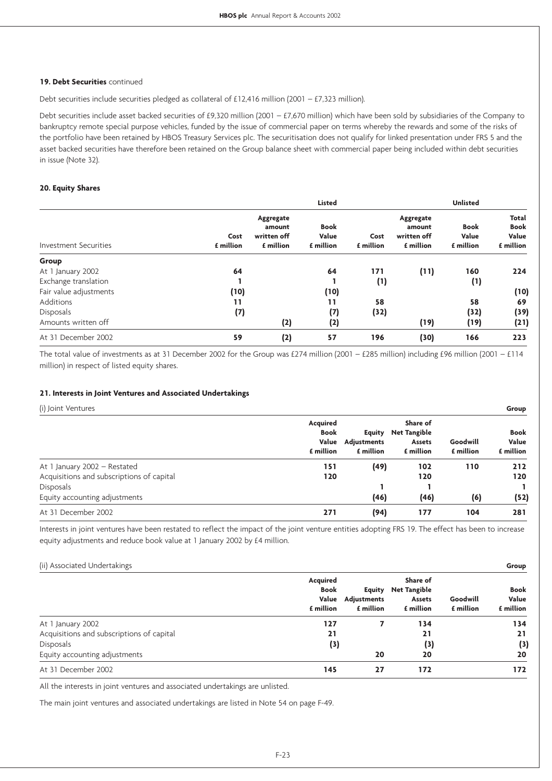### **19. Debt Securities** continued

Debt securities include securities pledged as collateral of £12,416 million (2001 – £7,323 million).

Debt securities include asset backed securities of £9,320 million (2001 – £7,670 million) which have been sold by subsidiaries of the Company to bankruptcy remote special purpose vehicles, funded by the issue of commercial paper on terms whereby the rewards and some of the risks of the portfolio have been retained by HBOS Treasury Services plc. The securitisation does not qualify for linked presentation under FRS 5 and the asset backed securities have therefore been retained on the Group balance sheet with commercial paper being included within debt securities in issue (Note 32).

### **20. Equity Shares**

|                        |                   |                                                 | <b>Listed</b>                     |                   |                                                 | <b>Unlisted</b>                   |                                            |
|------------------------|-------------------|-------------------------------------------------|-----------------------------------|-------------------|-------------------------------------------------|-----------------------------------|--------------------------------------------|
| Investment Securities  | Cost<br>£ million | Aggregate<br>amount<br>written off<br>£ million | <b>Book</b><br>Value<br>£ million | Cost<br>£ million | Aggregate<br>amount<br>written off<br>£ million | <b>Book</b><br>Value<br>£ million | Total<br><b>Book</b><br>Value<br>£ million |
| Group                  |                   |                                                 |                                   |                   |                                                 |                                   |                                            |
| At 1 January 2002      | 64                |                                                 | 64                                | 171               | (11)                                            | 160                               | 224                                        |
| Exchange translation   |                   |                                                 |                                   | (1)               |                                                 | (1)                               |                                            |
| Fair value adjustments | (10)              |                                                 | (10)                              |                   |                                                 |                                   | (10)                                       |
| Additions              | 11                |                                                 | 11                                | 58                |                                                 | 58                                | 69                                         |
| Disposals              | (7)               |                                                 | (7)                               | (32)              |                                                 | (32)                              | (39)                                       |
| Amounts written off    |                   | (2)                                             | (2)                               |                   | (19)                                            | (19)                              | (21)                                       |
| At 31 December 2002    | 59                | (2)                                             | 57                                | 196               | (30)                                            | 166                               | 223                                        |

The total value of investments as at 31 December 2002 for the Group was £274 million (2001 – £285 million) including £96 million (2001 – £114 million) in respect of listed equity shares.

### **21. Interests in Joint Ventures and Associated Undertakings**

(i) Joint Ventures **Group**

|                                           | Acquired<br><b>Book</b><br>Value<br>£ million | Equity<br><b>Adjustments</b><br>£ million | Share of<br><b>Net Tangible</b><br>Assets<br>£ million | Goodwill<br>£ million | <b>Book</b><br>Value<br>£ million |
|-------------------------------------------|-----------------------------------------------|-------------------------------------------|--------------------------------------------------------|-----------------------|-----------------------------------|
| At 1 January 2002 – Restated              | 151                                           | (49)                                      | 102                                                    | 110                   | 212                               |
| Acquisitions and subscriptions of capital | 120                                           |                                           | 120                                                    |                       | 120                               |
| Disposals                                 |                                               |                                           |                                                        |                       |                                   |
| Equity accounting adjustments             |                                               | (46)                                      | (46)                                                   | (6)                   | (52)                              |
| At 31 December 2002                       | 271                                           | (94)                                      | 177                                                    | 104                   | 281                               |

Interests in joint ventures have been restated to reflect the impact of the joint venture entities adopting FRS 19. The effect has been to increase equity adjustments and reduce book value at 1 January 2002 by £4 million.

### (ii) Associated Undertakings **Group**

| $\sqrt{1}$<br>$\cup$                      |                                               |                                    |                                                        |                       |                            |
|-------------------------------------------|-----------------------------------------------|------------------------------------|--------------------------------------------------------|-----------------------|----------------------------|
|                                           | Acquired<br><b>Book</b><br>Value<br>£ million | Equity<br>Adjustments<br>£ million | Share of<br><b>Net Tangible</b><br>Assets<br>£ million | Goodwill<br>£ million | Book<br>Value<br>£ million |
| At 1 January 2002                         | 127                                           |                                    | 134                                                    |                       | 134                        |
| Acquisitions and subscriptions of capital | 21                                            |                                    | 21                                                     |                       | 21                         |
| <b>Disposals</b>                          | (3)                                           |                                    | (3)                                                    |                       | (3)                        |
| Equity accounting adjustments             |                                               | 20                                 | 20                                                     |                       | 20                         |
| At 31 December 2002                       | 145                                           | 27                                 | 172                                                    |                       | 172                        |
|                                           |                                               |                                    |                                                        |                       |                            |

All the interests in joint ventures and associated undertakings are unlisted.

The main joint ventures and associated undertakings are listed in Note 54 on page F-49.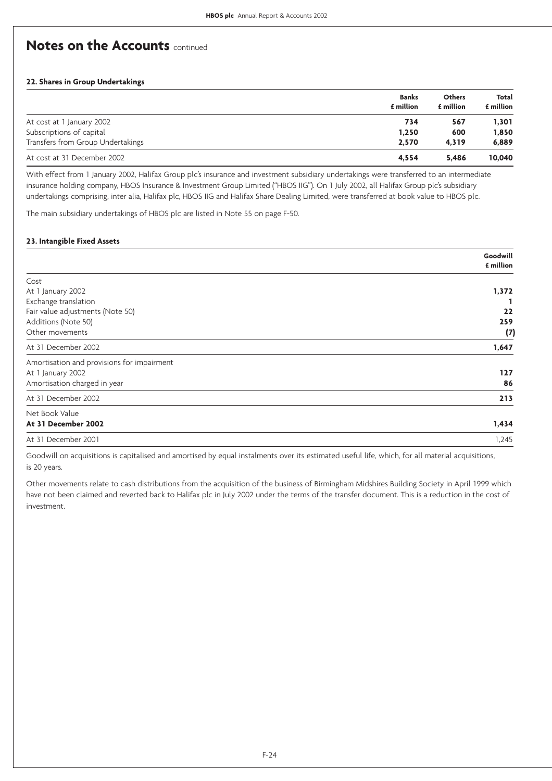### **22. Shares in Group Undertakings**

|                                   | <b>Banks</b><br>£ million | <b>Others</b><br>£ million | Total<br>£ million |
|-----------------------------------|---------------------------|----------------------------|--------------------|
| At cost at 1 January 2002         | 734                       | 567                        | 1,301              |
| Subscriptions of capital          | 1,250                     | 600                        | 1,850              |
| Transfers from Group Undertakings | 2.570                     | 4.319                      | 6,889              |
| At cost at 31 December 2002       | 4.554                     | 5.486                      | 10,040             |

With effect from 1 January 2002, Halifax Group plc's insurance and investment subsidiary undertakings were transferred to an intermediate insurance holding company, HBOS Insurance & Investment Group Limited ("HBOS IIG"). On 1 July 2002, all Halifax Group plc's subsidiary undertakings comprising, inter alia, Halifax plc, HBOS IIG and Halifax Share Dealing Limited, were transferred at book value to HBOS plc.

The main subsidiary undertakings of HBOS plc are listed in Note 55 on page F-50.

### **23. Intangible Fixed Assets**

|                                            | Goodwill<br>£ million |
|--------------------------------------------|-----------------------|
|                                            |                       |
| Cost                                       |                       |
| At 1 January 2002                          | 1,372                 |
| Exchange translation                       |                       |
| Fair value adjustments (Note 50)           | 22                    |
| Additions (Note 50)                        | 259                   |
| Other movements                            | (7)                   |
| At 31 December 2002                        | 1,647                 |
| Amortisation and provisions for impairment |                       |
| At 1 January 2002                          | 127                   |
| Amortisation charged in year               | 86                    |
| At 31 December 2002                        | 213                   |
| Net Book Value                             |                       |
| At 31 December 2002                        | 1,434                 |
| At 31 December 2001                        | 1,245                 |

Goodwill on acquisitions is capitalised and amortised by equal instalments over its estimated useful life, which, for all material acquisitions, is 20 years.

Other movements relate to cash distributions from the acquisition of the business of Birmingham Midshires Building Society in April 1999 which have not been claimed and reverted back to Halifax plc in July 2002 under the terms of the transfer document. This is a reduction in the cost of investment.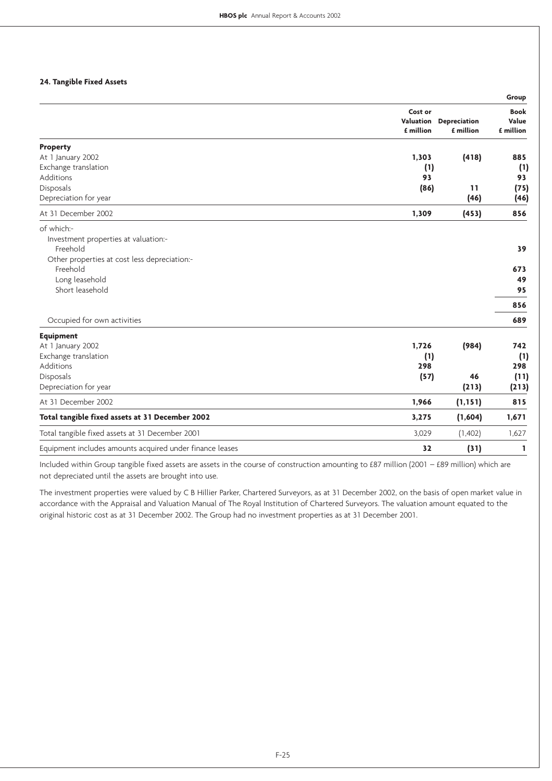### **24. Tangible Fixed Assets**

|                                                          |           |                     | Group       |
|----------------------------------------------------------|-----------|---------------------|-------------|
|                                                          | Cost or   |                     | <b>Book</b> |
|                                                          | Valuation | <b>Depreciation</b> | Value       |
|                                                          | £ million | £ million           | £ million   |
| <b>Property</b>                                          |           |                     |             |
| At 1 January 2002                                        | 1,303     | (418)               | 885         |
| Exchange translation                                     | (1)       |                     | (1)         |
| Additions                                                | 93        |                     | 93          |
| Disposals                                                | (86)      | 11                  | (75)        |
| Depreciation for year                                    |           | (46)                | (46)        |
| At 31 December 2002                                      | 1,309     | (453)               | 856         |
| of which:-                                               |           |                     |             |
| Investment properties at valuation:-                     |           |                     |             |
| Freehold                                                 |           |                     | 39          |
| Other properties at cost less depreciation:-             |           |                     |             |
| Freehold                                                 |           |                     | 673         |
| Long leasehold                                           |           |                     | 49          |
| Short leasehold                                          |           |                     | 95          |
|                                                          |           |                     | 856         |
| Occupied for own activities                              |           |                     | 689         |
| <b>Equipment</b>                                         |           |                     |             |
| At 1 January 2002                                        | 1,726     | (984)               | 742         |
| Exchange translation                                     | (1)       |                     | (1)         |
| Additions                                                | 298       |                     | 298         |
| Disposals                                                | (57)      | 46                  | (11)        |
| Depreciation for year                                    |           | (213)               | (213)       |
| At 31 December 2002                                      | 1,966     | (1, 151)            | 815         |
| Total tangible fixed assets at 31 December 2002          | 3,275     | (1,604)             | 1,671       |
| Total tangible fixed assets at 31 December 2001          | 3,029     | (1,402)             | 1,627       |
| Equipment includes amounts acquired under finance leases | 32        | (31)                | 1           |

Included within Group tangible fixed assets are assets in the course of construction amounting to £87 million (2001 – £89 million) which are not depreciated until the assets are brought into use.

The investment properties were valued by C B Hillier Parker, Chartered Surveyors, as at 31 December 2002, on the basis of open market value in accordance with the Appraisal and Valuation Manual of The Royal Institution of Chartered Surveyors. The valuation amount equated to the original historic cost as at 31 December 2002. The Group had no investment properties as at 31 December 2001.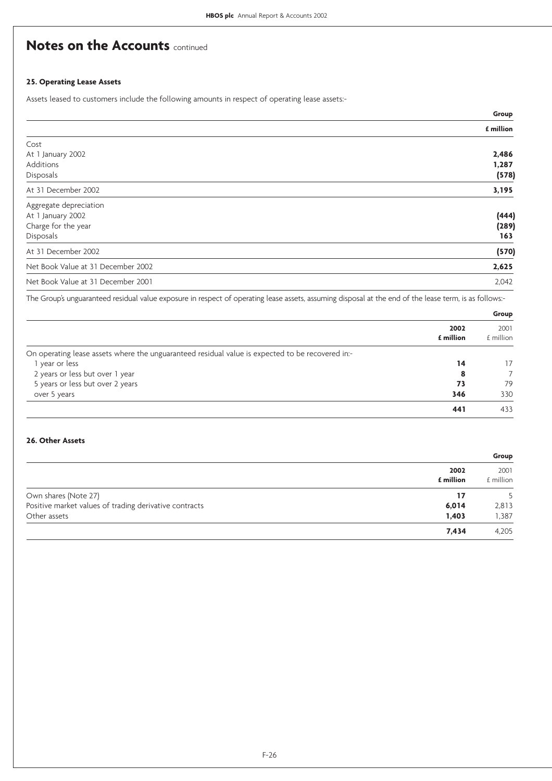### **25. Operating Lease Assets**

Assets leased to customers include the following amounts in respect of operating lease assets:-

|                                    | Group     |
|------------------------------------|-----------|
|                                    | £ million |
| Cost                               |           |
| At 1 January 2002                  | 2,486     |
| Additions                          | 1,287     |
| Disposals                          | (578)     |
| At 31 December 2002                | 3,195     |
| Aggregate depreciation             |           |
| At 1 January 2002                  | (444)     |
| Charge for the year                | (289)     |
| Disposals                          | 163       |
| At 31 December 2002                | (570)     |
| Net Book Value at 31 December 2002 | 2,625     |
| Net Book Value at 31 December 2001 | 2,042     |

The Group's unguaranteed residual value exposure in respect of operating lease assets, assuming disposal at the end of the lease term, is as follows:-

|                                                                                                  |                   | Group             |
|--------------------------------------------------------------------------------------------------|-------------------|-------------------|
|                                                                                                  | 2002<br>£ million | 2001<br>£ million |
| On operating lease assets where the unguaranteed residual value is expected to be recovered in:- |                   |                   |
| I year or less                                                                                   | 14                | 17                |
| 2 years or less but over 1 year                                                                  | 8                 |                   |
| 5 years or less but over 2 years                                                                 | 73                | 79                |
| over 5 years                                                                                     | 346               | 330               |
|                                                                                                  | 441               | 433               |

### **26. Other Assets**

|                                                        |                   | Group             |
|--------------------------------------------------------|-------------------|-------------------|
|                                                        | 2002<br>£ million | 2001<br>£ million |
| Own shares (Note 27)                                   | 17                |                   |
| Positive market values of trading derivative contracts | 6,014             | 2,813             |
| Other assets                                           | 1,403             | 1,387             |
|                                                        | 7,434             | 4,205             |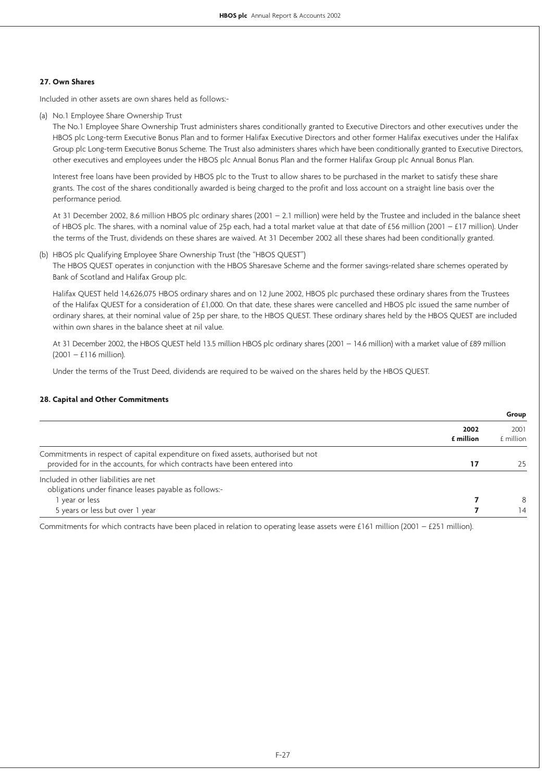### **27. Own Shares**

Included in other assets are own shares held as follows:-

(a) No.1 Employee Share Ownership Trust

The No.1 Employee Share Ownership Trust administers shares conditionally granted to Executive Directors and other executives under the HBOS plc Long-term Executive Bonus Plan and to former Halifax Executive Directors and other former Halifax executives under the Halifax Group plc Long-term Executive Bonus Scheme. The Trust also administers shares which have been conditionally granted to Executive Directors, other executives and employees under the HBOS plc Annual Bonus Plan and the former Halifax Group plc Annual Bonus Plan.

Interest free loans have been provided by HBOS plc to the Trust to allow shares to be purchased in the market to satisfy these share grants. The cost of the shares conditionally awarded is being charged to the profit and loss account on a straight line basis over the performance period.

At 31 December 2002, 8.6 million HBOS plc ordinary shares (2001 – 2.1 million) were held by the Trustee and included in the balance sheet of HBOS plc. The shares, with a nominal value of 25p each, had a total market value at that date of £56 million (2001 – £17 million). Under the terms of the Trust, dividends on these shares are waived. At 31 December 2002 all these shares had been conditionally granted.

(b) HBOS plc Qualifying Employee Share Ownership Trust (the "HBOS QUEST")

The HBOS QUEST operates in conjunction with the HBOS Sharesave Scheme and the former savings-related share schemes operated by Bank of Scotland and Halifax Group plc.

Halifax QUEST held 14,626,075 HBOS ordinary shares and on 12 June 2002, HBOS plc purchased these ordinary shares from the Trustees of the Halifax QUEST for a consideration of £1,000. On that date, these shares were cancelled and HBOS plc issued the same number of ordinary shares, at their nominal value of 25p per share, to the HBOS QUEST. These ordinary shares held by the HBOS QUEST are included within own shares in the balance sheet at nil value.

At 31 December 2002, the HBOS QUEST held 13.5 million HBOS plc ordinary shares (2001 – 14.6 million) with a market value of £89 million (2001 – £116 million).

Under the terms of the Trust Deed, dividends are required to be waived on the shares held by the HBOS QUEST.

### **28. Capital and Other Commitments**

|                                                                                                                                                               |                          | Group               |
|---------------------------------------------------------------------------------------------------------------------------------------------------------------|--------------------------|---------------------|
|                                                                                                                                                               | 2002<br><b>£</b> million | 2001<br>$f$ million |
| Commitments in respect of capital expenditure on fixed assets, authorised but not<br>provided for in the accounts, for which contracts have been entered into | 17                       | フト                  |
| Included in other liabilities are net<br>obligations under finance leases payable as follows:-                                                                |                          |                     |
| I year or less                                                                                                                                                |                          | 8                   |
| 5 years or less but over 1 year                                                                                                                               |                          | 14                  |

Commitments for which contracts have been placed in relation to operating lease assets were £161 million (2001 – £251 million).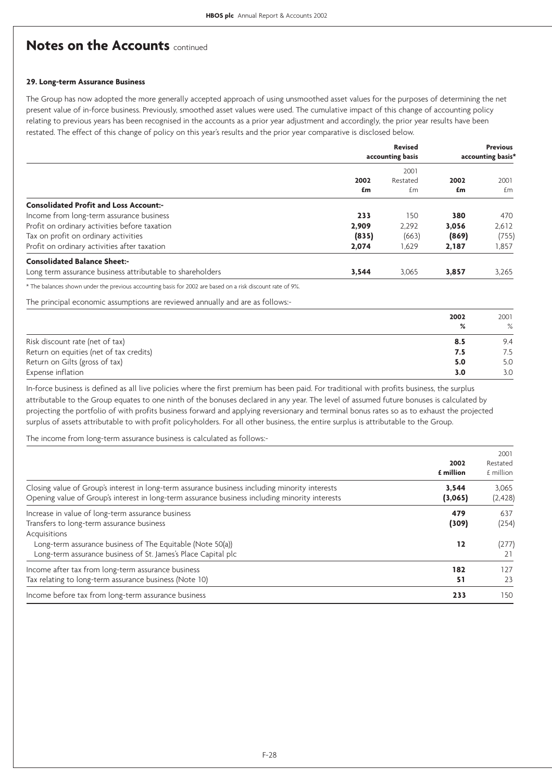### **29. Long-term Assurance Business**

The Group has now adopted the more generally accepted approach of using unsmoothed asset values for the purposes of determining the net present value of in-force business. Previously, smoothed asset values were used. The cumulative impact of this change of accounting policy relating to previous years has been recognised in the accounts as a prior year adjustment and accordingly, the prior year results have been restated. The effect of this change of policy on this year's results and the prior year comparative is disclosed below.

|                                                           | <b>Revised</b><br>accounting basis |                  |       | <b>Previous</b><br>accounting basis* |
|-----------------------------------------------------------|------------------------------------|------------------|-------|--------------------------------------|
|                                                           | 2002                               | 2001<br>Restated | 2002  | 2001                                 |
|                                                           | £m                                 | £m               | £m    | £m                                   |
| <b>Consolidated Profit and Loss Account:-</b>             |                                    |                  |       |                                      |
| Income from long-term assurance business                  | 233                                | 150              | 380   | 470                                  |
| Profit on ordinary activities before taxation             | 2,909                              | 2.292            | 3,056 | 2,612                                |
| Tax on profit on ordinary activities                      | (835)                              | (663)            | (869) | (755)                                |
| Profit on ordinary activities after taxation              | 2,074                              | 1,629            | 2,187 | 1,857                                |
| <b>Consolidated Balance Sheet:-</b>                       |                                    |                  |       |                                      |
| Long term assurance business attributable to shareholders | 3,544                              | 3,065            | 3.857 | 3.265                                |

\* The balances shown under the previous accounting basis for 2002 are based on a risk discount rate of 9%.

The principal economic assumptions are reviewed annually and are as follows:-

|                                         | 2002 | 2001 |
|-----------------------------------------|------|------|
|                                         | %    | $\%$ |
| Risk discount rate (net of tax)         | 8.5  | 9.4  |
| Return on equities (net of tax credits) | 7.5  | 7.5  |
| Return on Gilts (gross of tax)          | 5.0  | 5.0  |
| Expense inflation                       | 3.0  | 3.0  |

In-force business is defined as all live policies where the first premium has been paid. For traditional with profits business, the surplus attributable to the Group equates to one ninth of the bonuses declared in any year. The level of assumed future bonuses is calculated by projecting the portfolio of with profits business forward and applying reversionary and terminal bonus rates so as to exhaust the projected surplus of assets attributable to with profit policyholders. For all other business, the entire surplus is attributable to the Group.

The income from long-term assurance business is calculated as follows:-

|                                                                                                                                                                                                                                               | 2002<br>£ million  | 2001<br>Restated<br>£ million |
|-----------------------------------------------------------------------------------------------------------------------------------------------------------------------------------------------------------------------------------------------|--------------------|-------------------------------|
| Closing value of Group's interest in long-term assurance business including minority interests<br>Opening value of Group's interest in long-term assurance business including minority interests                                              | 3,544<br>(3,065)   | 3,065<br>(2, 428)             |
| Increase in value of long-term assurance business<br>Transfers to long-term assurance business<br>Acquisitions<br>Long-term assurance business of The Equitable (Note 50(a))<br>Long-term assurance business of St. James's Place Capital plc | 479<br>(309)<br>12 | 637<br>(254)<br>(277)<br>21   |
| Income after tax from long-term assurance business<br>Tax relating to long-term assurance business (Note 10)                                                                                                                                  | 182<br>51          | 127<br>23                     |
| Income before tax from long-term assurance business                                                                                                                                                                                           | 233                | 150                           |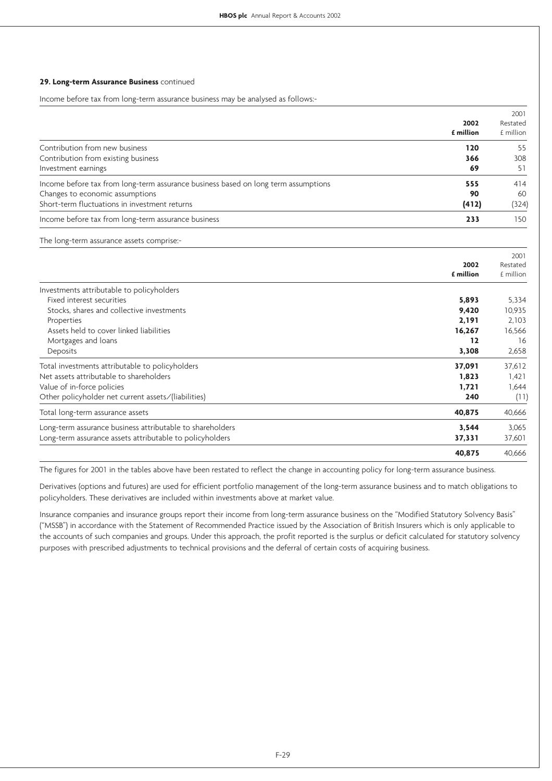#### **29. Long-term Assurance Business** continued

Income before tax from long-term assurance business may be analysed as follows:-

| 2002<br>£ million                                                                  | 2001<br>Restated<br>$f$ million |
|------------------------------------------------------------------------------------|---------------------------------|
| Contribution from new business                                                     | 120<br>55                       |
| Contribution from existing business                                                | 308<br>366                      |
| Investment earnings                                                                | 69<br>51                        |
| Income before tax from long-term assurance business based on long term assumptions | 414<br>555                      |
| Changes to economic assumptions                                                    | 90<br>60                        |
| Short-term fluctuations in investment returns                                      | (412)<br>(324)                  |
| Income before tax from long-term assurance business                                | 150<br>233                      |

The long-term assurance assets comprise:-

|                                                           | 2002      | 2001<br>Restated |
|-----------------------------------------------------------|-----------|------------------|
|                                                           |           |                  |
|                                                           | £ million | £ million        |
| Investments attributable to policyholders                 |           |                  |
| Fixed interest securities                                 | 5,893     | 5,334            |
| Stocks, shares and collective investments                 | 9,420     | 10,935           |
| Properties                                                | 2,191     | 2,103            |
| Assets held to cover linked liabilities                   | 16,267    | 16,566           |
| Mortgages and loans                                       | 12        | 16               |
| Deposits                                                  | 3,308     | 2,658            |
| Total investments attributable to policyholders           | 37,091    | 37,612           |
| Net assets attributable to shareholders                   | 1,823     | 1,421            |
| Value of in-force policies                                | 1.721     | 1,644            |
| Other policyholder net current assets/(liabilities)       | 240       | (11)             |
| Total long-term assurance assets                          | 40,875    | 40,666           |
| Long-term assurance business attributable to shareholders | 3,544     | 3,065            |
| Long-term assurance assets attributable to policyholders  | 37,331    | 37,601           |
|                                                           | 40,875    | 40.666           |

The figures for 2001 in the tables above have been restated to reflect the change in accounting policy for long-term assurance business.

Derivatives (options and futures) are used for efficient portfolio management of the long-term assurance business and to match obligations to policyholders. These derivatives are included within investments above at market value.

Insurance companies and insurance groups report their income from long-term assurance business on the "Modified Statutory Solvency Basis" ("MSSB") in accordance with the Statement of Recommended Practice issued by the Association of British Insurers which is only applicable to the accounts of such companies and groups. Under this approach, the profit reported is the surplus or deficit calculated for statutory solvency purposes with prescribed adjustments to technical provisions and the deferral of certain costs of acquiring business.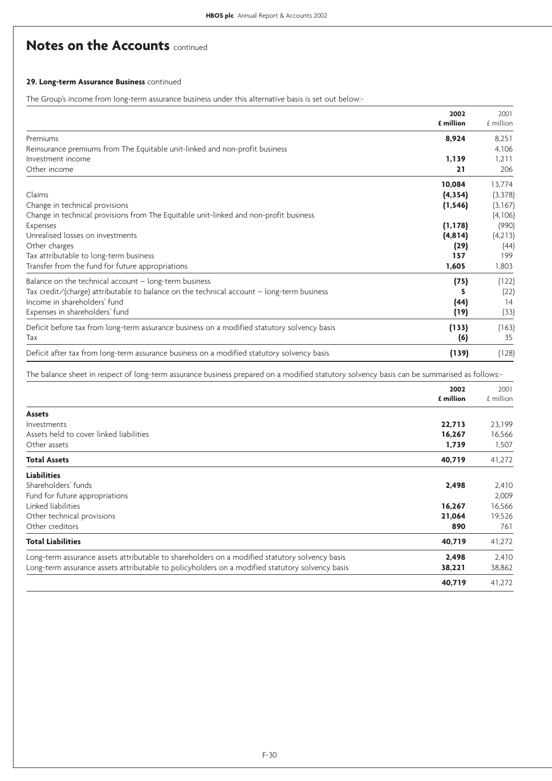### **29. Long-term Assurance Business** continued

The Group's income from long-term assurance business under this alternative basis is set out below:-

|                                                                                             | 2002<br>£ million | 2001<br>£ million |
|---------------------------------------------------------------------------------------------|-------------------|-------------------|
|                                                                                             |                   |                   |
| Premiums                                                                                    | 8,924             | 8,251             |
| Reinsurance premiums from The Equitable unit-linked and non-profit business                 |                   | 4,106             |
| Investment income                                                                           | 1,139             | 1,211             |
| Other income                                                                                | 21                | 206               |
|                                                                                             | 10,084            | 13,774            |
| Claims                                                                                      | (4, 354)          | (3,378)           |
| Change in technical provisions                                                              | (1, 546)          | (3,167)           |
| Change in technical provisions from The Equitable unit-linked and non-profit business       |                   | (4,106)           |
| Expenses                                                                                    | (1, 178)          | (990)             |
| Unrealised losses on investments                                                            | (4, 814)          | (4,213)           |
| Other charges                                                                               | (29)              | (44)              |
| Tax attributable to long-term business                                                      | 157               | 199               |
| Transfer from the fund for future appropriations                                            | 1,605             | 1,803             |
| Balance on the technical account $-$ long-term business                                     | (75)              | (122)             |
| Tax credit/(charge) attributable to balance on the technical account $-$ long-term business |                   | (22)              |
| Income in shareholders' fund                                                                | (44)              | 14                |
| Expenses in shareholders' fund                                                              | (19)              | (33)              |
| Deficit before tax from long-term assurance business on a modified statutory solvency basis | (133)             | (163)             |
| Tax                                                                                         | (6)               | 35                |
| Deficit after tax from long-term assurance business on a modified statutory solvency basis  | (139)             | (128)             |

The balance sheet in respect of long-term assurance business prepared on a modified statutory solvency basis can be summarised as follows:-

|                                                                                                 | 2002<br>£ million | 2001      |
|-------------------------------------------------------------------------------------------------|-------------------|-----------|
|                                                                                                 |                   | £ million |
| <b>Assets</b>                                                                                   |                   |           |
| Investments                                                                                     | 22,713            | 23,199    |
| Assets held to cover linked liabilities                                                         | 16,267            | 16,566    |
| Other assets                                                                                    | 1,739             | 1,507     |
| <b>Total Assets</b>                                                                             | 40,719            | 41,272    |
| <b>Liabilities</b>                                                                              |                   |           |
| Shareholders' funds                                                                             | 2,498             | 2,410     |
| Fund for future appropriations                                                                  |                   | 2,009     |
| Linked liabilities                                                                              | 16,267            | 16,566    |
| Other technical provisions                                                                      | 21,064            | 19,526    |
| Other creditors                                                                                 | 890               | 761       |
| <b>Total Liabilities</b>                                                                        | 40,719            | 41,272    |
| Long-term assurance assets attributable to shareholders on a modified statutory solvency basis  | 2,498             | 2,410     |
| Long-term assurance assets attributable to policyholders on a modified statutory solvency basis | 38,221            | 38,862    |
|                                                                                                 | 40,719            | 41,272    |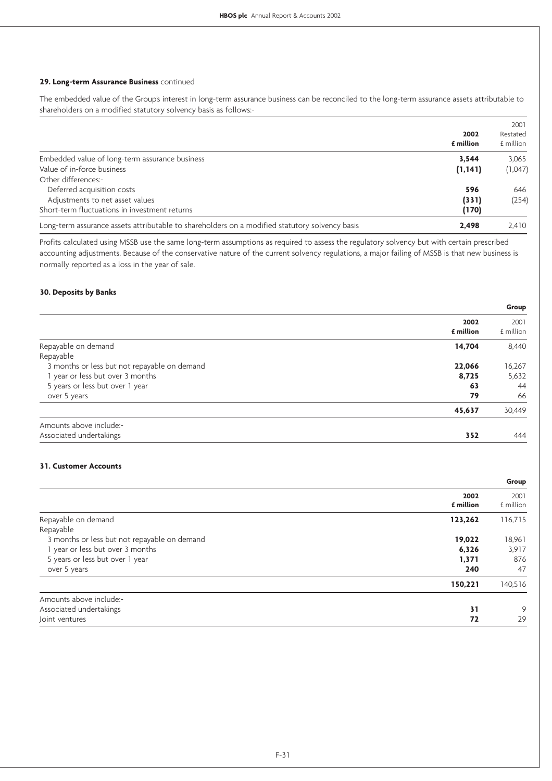### **29. Long-term Assurance Business** continued

The embedded value of the Group's interest in long-term assurance business can be reconciled to the long-term assurance assets attributable to shareholders on a modified statutory solvency basis as follows:-

|                                                                                                |                   | 2001      |
|------------------------------------------------------------------------------------------------|-------------------|-----------|
|                                                                                                | 2002<br>£ million | Restated  |
|                                                                                                |                   | £ million |
| Embedded value of long-term assurance business                                                 | 3.544             | 3.065     |
| Value of in-force business                                                                     | (1, 141)          | (1,047)   |
| Other differences:-                                                                            |                   |           |
| Deferred acquisition costs                                                                     | 596               | 646       |
| Adjustments to net asset values                                                                | (331)             | (254)     |
| Short-term fluctuations in investment returns                                                  | (170)             |           |
| Long-term assurance assets attributable to shareholders on a modified statutory solvency basis | 2.498             | 2,410     |

Profits calculated using MSSB use the same long-term assumptions as required to assess the regulatory solvency but with certain prescribed accounting adjustments. Because of the conservative nature of the current solvency regulations, a major failing of MSSB is that new business is normally reported as a loss in the year of sale.

### **30. Deposits by Banks**

|                                                        | Group             |
|--------------------------------------------------------|-------------------|
| 2002<br>£ million                                      | 2001<br>£ million |
| Repayable on demand<br>14,704                          | 8,440             |
| Repayable                                              |                   |
| 3 months or less but not repayable on demand<br>22,066 | 16,267            |
| 1 year or less but over 3 months<br>8,725              | 5,632             |
| 5 years or less but over 1 year<br>63                  | 44                |
| 79<br>over 5 years                                     | 66                |
| 45,637                                                 | 30,449            |
| Amounts above include:-                                |                   |
| Associated undertakings<br>352                         | 444               |

### **31. Customer Accounts**

|                                              |                   | Group             |
|----------------------------------------------|-------------------|-------------------|
|                                              | 2002<br>£ million | 2001<br>£ million |
| Repayable on demand                          | 123,262           | 116,715           |
| Repayable                                    |                   |                   |
| 3 months or less but not repayable on demand | 19,022            | 18,961            |
| 1 year or less but over 3 months             | 6,326             | 3,917             |
| 5 years or less but over 1 year              | 1,371             | 876               |
| over 5 years                                 | 240               | 47                |
|                                              | 150,221           | 140,516           |
| Amounts above include:-                      |                   |                   |
| Associated undertakings                      | 31                | 9                 |
| Joint ventures                               | 72                | 29                |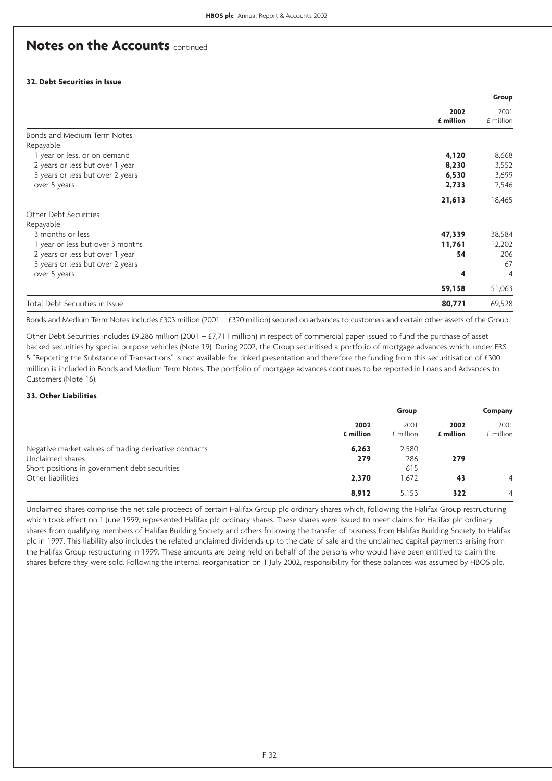### **32. Debt Securities in Issue**

|                                  |           | Group          |
|----------------------------------|-----------|----------------|
|                                  | 2002      | 2001           |
|                                  | £ million | £ million      |
| Bonds and Medium Term Notes      |           |                |
| Repayable                        |           |                |
| 1 year or less, or on demand     | 4,120     | 8,668          |
| 2 years or less but over 1 year  | 8,230     | 3,552          |
| 5 years or less but over 2 years | 6,530     | 3,699          |
| over 5 years                     | 2,733     | 2,546          |
|                                  | 21,613    | 18,465         |
| Other Debt Securities            |           |                |
| Repayable                        |           |                |
| 3 months or less                 | 47,339    | 38,584         |
| 1 year or less but over 3 months | 11,761    | 12,202         |
| 2 years or less but over 1 year  | 54        | 206            |
| 5 years or less but over 2 years |           | 67             |
| over 5 years                     | 4         | $\overline{4}$ |
|                                  | 59,158    | 51,063         |
| Total Debt Securities in Issue   | 80,771    | 69,528         |

Bonds and Medium Term Notes includes £303 million (2001 – £320 million) secured on advances to customers and certain other assets of the Group.

Other Debt Securities includes £9,286 million (2001 – £7,711 million) in respect of commercial paper issued to fund the purchase of asset backed securities by special purpose vehicles (Note 19). During 2002, the Group securitised a portfolio of mortgage advances which, under FRS 5 "Reporting the Substance of Transactions" is not available for linked presentation and therefore the funding from this securitisation of £300 million is included in Bonds and Medium Term Notes. The portfolio of mortgage advances continues to be reported in Loans and Advances to Customers (Note 16).

### **33. Other Liabilities**

|                                                        |                          | Group             |                   | Company           |
|--------------------------------------------------------|--------------------------|-------------------|-------------------|-------------------|
|                                                        | 2002<br><b>f</b> million | 2001<br>£ million | 2002<br>£ million | 2001<br>£ million |
| Negative market values of trading derivative contracts | 6,263                    | 2,580             |                   |                   |
| Unclaimed shares                                       | 279                      | 286               | 279               |                   |
| Short positions in government debt securities          |                          | 615               |                   |                   |
| Other liabilities                                      | 2.370                    | 1.672             | 43                | $\overline{4}$    |
|                                                        | 8,912                    | 5,153             | 322               | 4                 |

Unclaimed shares comprise the net sale proceeds of certain Halifax Group plc ordinary shares which, following the Halifax Group restructuring which took effect on 1 June 1999, represented Halifax plc ordinary shares. These shares were issued to meet claims for Halifax plc ordinary shares from qualifying members of Halifax Building Society and others following the transfer of business from Halifax Building Society to Halifax plc in 1997. This liability also includes the related unclaimed dividends up to the date of sale and the unclaimed capital payments arising from the Halifax Group restructuring in 1999. These amounts are being held on behalf of the persons who would have been entitled to claim the shares before they were sold. Following the internal reorganisation on 1 July 2002, responsibility for these balances was assumed by HBOS plc.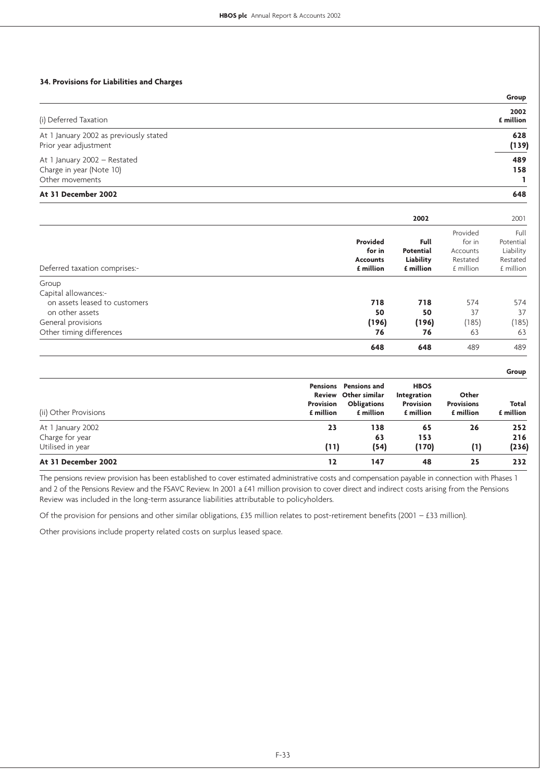### **34. Provisions for Liabilities and Charges**

|                                                                 | Group             |
|-----------------------------------------------------------------|-------------------|
| (i) Deferred Taxation                                           | 2002<br>£ million |
| At 1 January 2002 as previously stated<br>Prior year adjustment | 628<br>(139)      |
| At 1 January 2002 - Restated                                    | 489               |
| Charge in year (Note 10)                                        | 158               |
| Other movements                                                 |                   |
| At 31 December 2002                                             | 648               |

|                               |                                                    | 2002                                        |                                                         | 2001                                                    |
|-------------------------------|----------------------------------------------------|---------------------------------------------|---------------------------------------------------------|---------------------------------------------------------|
| Deferred taxation comprises:- | Provided<br>for in<br><b>Accounts</b><br>£ million | Full<br>Potential<br>Liability<br>£ million | Provided<br>for in<br>Accounts<br>Restated<br>£ million | Full<br>Potential<br>Liability<br>Restated<br>£ million |
| Group                         |                                                    |                                             |                                                         |                                                         |
| Capital allowances:-          |                                                    |                                             |                                                         |                                                         |
| on assets leased to customers | 718                                                | 718                                         | 574                                                     | 574                                                     |
| on other assets               | 50                                                 | 50                                          | 37                                                      | 37                                                      |
| General provisions            | (196)                                              | (196)                                       | (185)                                                   | (185)                                                   |
| Other timing differences      | 76                                                 | 76                                          | 63                                                      | 63                                                      |
|                               | 648                                                | 648                                         | 489                                                     | 489                                                     |

| (ii) Other Provisions | Provision<br>£ million | Pensions Pensions and<br>Review Other similar<br><b>Obligations</b><br>£ million | <b>HBOS</b><br><b>Integration</b><br><b>Provision</b><br>£ million | Other<br><b>Provisions</b><br>£ million | Total<br>£ million |
|-----------------------|------------------------|----------------------------------------------------------------------------------|--------------------------------------------------------------------|-----------------------------------------|--------------------|
| At 1 January 2002     | 23                     | 138                                                                              | 65                                                                 | 26                                      | 252                |
| Charge for year       |                        | 63                                                                               | 153                                                                |                                         | 216                |
| Utilised in year      | (11)                   | (54)                                                                             | (170)                                                              | $\left(1\right)$                        | (236)              |
| At 31 December 2002   | 12                     | 147                                                                              | 48                                                                 | 25                                      | 232                |

**Group**

The pensions review provision has been established to cover estimated administrative costs and compensation payable in connection with Phases 1 and 2 of the Pensions Review and the FSAVC Review. In 2001 a £41 million provision to cover direct and indirect costs arising from the Pensions Review was included in the long-term assurance liabilities attributable to policyholders.

Of the provision for pensions and other similar obligations, £35 million relates to post-retirement benefits (2001 – £33 million).

Other provisions include property related costs on surplus leased space.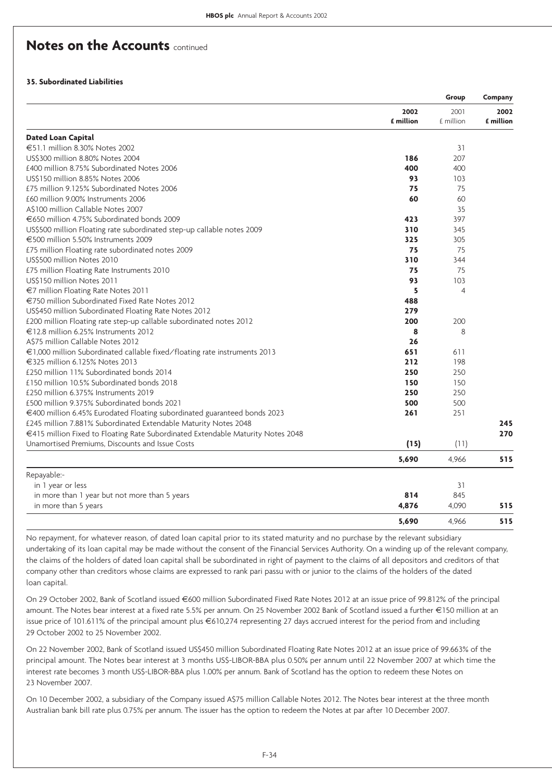### **35. Subordinated Liabilities**

|                                                                                 |           | Group          | Company   |
|---------------------------------------------------------------------------------|-----------|----------------|-----------|
|                                                                                 | 2002      | 2001           | 2002      |
|                                                                                 | £ million | £ million      | £ million |
| <b>Dated Loan Capital</b>                                                       |           |                |           |
| €51.1 million 8.30% Notes 2002                                                  |           | 31             |           |
| US\$300 million 8.80% Notes 2004                                                | 186       | 207            |           |
| £400 million 8.75% Subordinated Notes 2006                                      | 400       | 400            |           |
| US\$150 million 8.85% Notes 2006                                                | 93        | 103            |           |
| £75 million 9.125% Subordinated Notes 2006                                      | 75        | 75             |           |
| £60 million 9.00% Instruments 2006                                              | 60        | 60             |           |
| A\$100 million Callable Notes 2007                                              |           | 35             |           |
| €650 million 4.75% Subordinated bonds 2009                                      | 423       | 397            |           |
| US\$500 million Floating rate subordinated step-up callable notes 2009          | 310       | 345            |           |
| €500 million 5.50% Instruments 2009                                             | 325       | 305            |           |
| £75 million Floating rate subordinated notes 2009                               | 75        | 75             |           |
| US\$500 million Notes 2010                                                      | 310       | 344            |           |
| £75 million Floating Rate Instruments 2010                                      | 75        | 75             |           |
| US\$150 million Notes 2011                                                      | 93        | 103            |           |
| €7 million Floating Rate Notes 2011                                             | 5         | $\overline{4}$ |           |
| €750 million Subordinated Fixed Rate Notes 2012                                 | 488       |                |           |
| US\$450 million Subordinated Floating Rate Notes 2012                           | 279       |                |           |
| £200 million Floating rate step-up callable subordinated notes 2012             | 200       | 200            |           |
| €12.8 million 6.25% Instruments 2012                                            | 8         | 8              |           |
| A\$75 million Callable Notes 2012                                               | 26        |                |           |
| €1,000 million Subordinated callable fixed/floating rate instruments 2013       | 651       | 611            |           |
| €325 million 6.125% Notes 2013                                                  | 212       | 198            |           |
| £250 million 11% Subordinated bonds 2014                                        | 250       | 250            |           |
| £150 million 10.5% Subordinated bonds 2018                                      | 150       | 150            |           |
| £250 million 6.375% Instruments 2019                                            | 250       | 250            |           |
| £500 million 9.375% Subordinated bonds 2021                                     | 500       | 500            |           |
| €400 million 6.45% Eurodated Floating subordinated guaranteed bonds 2023        | 261       | 251            |           |
| £245 million 7.881% Subordinated Extendable Maturity Notes 2048                 |           |                | 245       |
| €415 million Fixed to Floating Rate Subordinated Extendable Maturity Notes 2048 |           |                | 270       |
| Unamortised Premiums, Discounts and Issue Costs                                 | (15)      | (11)           |           |
|                                                                                 | 5,690     | 4,966          | 515       |
| Repayable:-                                                                     |           |                |           |
| in 1 year or less                                                               |           | 31             |           |
| in more than 1 year but not more than 5 years                                   | 814       | 845            |           |
| in more than 5 years                                                            | 4,876     | 4,090          | 515       |
|                                                                                 | 5.690     | 4.966          | 515       |

No repayment, for whatever reason, of dated loan capital prior to its stated maturity and no purchase by the relevant subsidiary undertaking of its loan capital may be made without the consent of the Financial Services Authority. On a winding up of the relevant company, the claims of the holders of dated loan capital shall be subordinated in right of payment to the claims of all depositors and creditors of that company other than creditors whose claims are expressed to rank pari passu with or junior to the claims of the holders of the dated loan capital.

On 29 October 2002, Bank of Scotland issued €600 million Subordinated Fixed Rate Notes 2012 at an issue price of 99.812% of the principal amount. The Notes bear interest at a fixed rate 5.5% per annum. On 25 November 2002 Bank of Scotland issued a further €150 million at an issue price of 101.611% of the principal amount plus €610,274 representing 27 days accrued interest for the period from and including 29 October 2002 to 25 November 2002.

On 22 November 2002, Bank of Scotland issued US\$450 million Subordinated Floating Rate Notes 2012 at an issue price of 99.663% of the principal amount. The Notes bear interest at 3 months US\$-LIBOR-BBA plus 0.50% per annum until 22 November 2007 at which time the interest rate becomes 3 month US\$-LIBOR-BBA plus 1.00% per annum. Bank of Scotland has the option to redeem these Notes on 23 November 2007.

On 10 December 2002, a subsidiary of the Company issued A\$75 million Callable Notes 2012. The Notes bear interest at the three month Australian bank bill rate plus 0.75% per annum. The issuer has the option to redeem the Notes at par after 10 December 2007.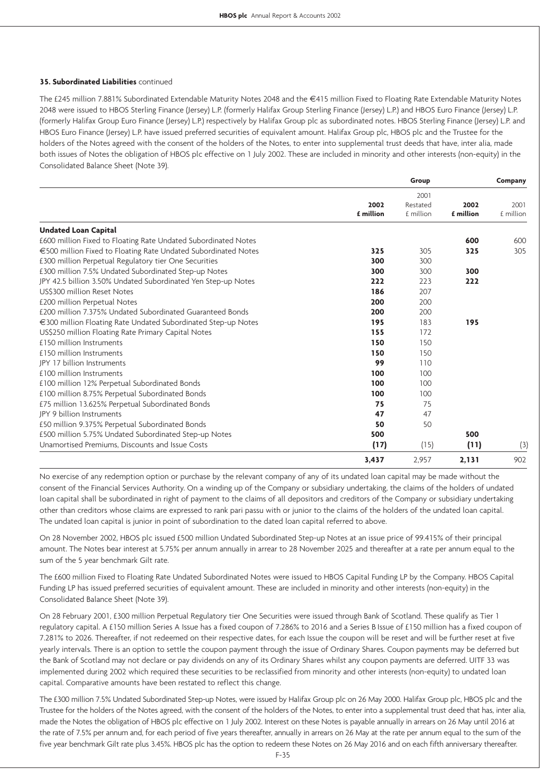### **35. Subordinated Liabilities** continued

The £245 million 7.881% Subordinated Extendable Maturity Notes 2048 and the €415 million Fixed to Floating Rate Extendable Maturity Notes 2048 were issued to HBOS Sterling Finance (Jersey) L.P. (formerly Halifax Group Sterling Finance (Jersey) L.P.) and HBOS Euro Finance (Jersey) L.P. (formerly Halifax Group Euro Finance (Jersey) L.P.) respectively by Halifax Group plc as subordinated notes. HBOS Sterling Finance (Jersey) L.P. and HBOS Euro Finance (Jersey) L.P. have issued preferred securities of equivalent amount. Halifax Group plc, HBOS plc and the Trustee for the holders of the Notes agreed with the consent of the holders of the Notes, to enter into supplemental trust deeds that have, inter alia, made both issues of Notes the obligation of HBOS plc effective on 1 July 2002. These are included in minority and other interests (non-equity) in the Consolidated Balance Sheet (Note 39).

|                                                                |                   | Group                         |                   | Company           |
|----------------------------------------------------------------|-------------------|-------------------------------|-------------------|-------------------|
|                                                                | 2002<br>£ million | 2001<br>Restated<br>£ million | 2002<br>£ million | 2001<br>£ million |
| <b>Undated Loan Capital</b>                                    |                   |                               |                   |                   |
| £600 million Fixed to Floating Rate Undated Subordinated Notes |                   |                               | 600               | 600               |
| €500 million Fixed to Floating Rate Undated Subordinated Notes | 325               | 305                           | 325               | 305               |
| £300 million Perpetual Regulatory tier One Securities          | 300               | 300                           |                   |                   |
| £300 million 7.5% Undated Subordinated Step-up Notes           | 300               | 300                           | 300               |                   |
| JPY 42.5 billion 3.50% Undated Subordinated Yen Step-up Notes  | 222               | 223                           | 222               |                   |
| US\$300 million Reset Notes                                    | 186               | 207                           |                   |                   |
| £200 million Perpetual Notes                                   | 200               | 200                           |                   |                   |
| £200 million 7.375% Undated Subordinated Guaranteed Bonds      | 200               | 200                           |                   |                   |
| €300 million Floating Rate Undated Subordinated Step-up Notes  | 195               | 183                           | 195               |                   |
| US\$250 million Floating Rate Primary Capital Notes            | 155               | 172                           |                   |                   |
| £150 million Instruments                                       | 150               | 150                           |                   |                   |
| £150 million Instruments                                       | 150               | 150                           |                   |                   |
| JPY 17 billion Instruments                                     | 99                | 110                           |                   |                   |
| £100 million Instruments                                       | 100               | 100                           |                   |                   |
| £100 million 12% Perpetual Subordinated Bonds                  | 100               | 100                           |                   |                   |
| £100 million 8.75% Perpetual Subordinated Bonds                | 100               | 100                           |                   |                   |
| £75 million 13.625% Perpetual Subordinated Bonds               | 75                | 75                            |                   |                   |
| <b>JPY 9 billion Instruments</b>                               | 47                | 47                            |                   |                   |
| £50 million 9.375% Perpetual Subordinated Bonds                | 50                | 50                            |                   |                   |
| £500 million 5.75% Undated Subordinated Step-up Notes          | 500               |                               | 500               |                   |
| Unamortised Premiums, Discounts and Issue Costs                | (17)              | (15)                          | (11)              | (3)               |
|                                                                | 3,437             | 2,957                         | 2, 131            | 902               |

No exercise of any redemption option or purchase by the relevant company of any of its undated loan capital may be made without the consent of the Financial Services Authority. On a winding up of the Company or subsidiary undertaking, the claims of the holders of undated loan capital shall be subordinated in right of payment to the claims of all depositors and creditors of the Company or subsidiary undertaking other than creditors whose claims are expressed to rank pari passu with or junior to the claims of the holders of the undated loan capital. The undated loan capital is junior in point of subordination to the dated loan capital referred to above.

On 28 November 2002, HBOS plc issued £500 million Undated Subordinated Step-up Notes at an issue price of 99.415% of their principal amount. The Notes bear interest at 5.75% per annum annually in arrear to 28 November 2025 and thereafter at a rate per annum equal to the sum of the 5 year benchmark Gilt rate.

The £600 million Fixed to Floating Rate Undated Subordinated Notes were issued to HBOS Capital Funding LP by the Company. HBOS Capital Funding LP has issued preferred securities of equivalent amount. These are included in minority and other interests (non-equity) in the Consolidated Balance Sheet (Note 39).

On 28 February 2001, £300 million Perpetual Regulatory tier One Securities were issued through Bank of Scotland. These qualify as Tier 1 regulatory capital. A £150 million Series A Issue has a fixed coupon of 7.286% to 2016 and a Series B Issue of £150 million has a fixed coupon of 7.281% to 2026. Thereafter, if not redeemed on their respective dates, for each Issue the coupon will be reset and will be further reset at five yearly intervals. There is an option to settle the coupon payment through the issue of Ordinary Shares. Coupon payments may be deferred but the Bank of Scotland may not declare or pay dividends on any of its Ordinary Shares whilst any coupon payments are deferred. UITF 33 was implemented during 2002 which required these securities to be reclassified from minority and other interests (non-equity) to undated loan capital. Comparative amounts have been restated to reflect this change.

The £300 million 7.5% Undated Subordinated Step-up Notes, were issued by Halifax Group plc on 26 May 2000. Halifax Group plc, HBOS plc and the Trustee for the holders of the Notes agreed, with the consent of the holders of the Notes, to enter into a supplemental trust deed that has, inter alia, made the Notes the obligation of HBOS plc effective on 1 July 2002. Interest on these Notes is payable annually in arrears on 26 May until 2016 at the rate of 7.5% per annum and, for each period of five years thereafter, annually in arrears on 26 May at the rate per annum equal to the sum of the five year benchmark Gilt rate plus 3.45%. HBOS plc has the option to redeem these Notes on 26 May 2016 and on each fifth anniversary thereafter.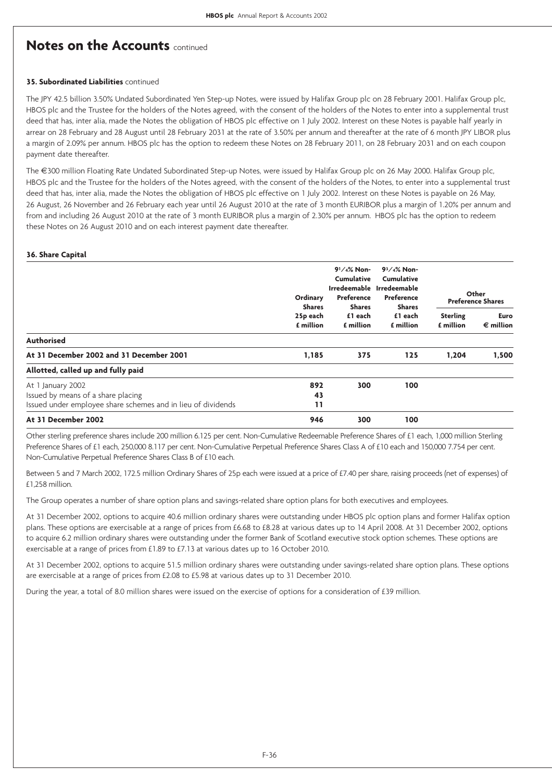### **35. Subordinated Liabilities** continued

The JPY 42.5 billion 3.50% Undated Subordinated Yen Step-up Notes, were issued by Halifax Group plc on 28 February 2001. Halifax Group plc, HBOS plc and the Trustee for the holders of the Notes agreed, with the consent of the holders of the Notes to enter into a supplemental trust deed that has, inter alia, made the Notes the obligation of HBOS plc effective on 1 July 2002. Interest on these Notes is payable half yearly in arrear on 28 February and 28 August until 28 February 2031 at the rate of 3.50% per annum and thereafter at the rate of 6 month JPY LIBOR plus a margin of 2.09% per annum. HBOS plc has the option to redeem these Notes on 28 February 2011, on 28 February 2031 and on each coupon payment date thereafter.

The €300 million Floating Rate Undated Subordinated Step-up Notes, were issued by Halifax Group plc on 26 May 2000. Halifax Group plc, HBOS plc and the Trustee for the holders of the Notes agreed, with the consent of the holders of the Notes, to enter into a supplemental trust deed that has, inter alia, made the Notes the obligation of HBOS plc effective on 1 July 2002. Interest on these Notes is payable on 26 May, 26 August, 26 November and 26 February each year until 26 August 2010 at the rate of 3 month EURIBOR plus a margin of 1.20% per annum and from and including 26 August 2010 at the rate of 3 month EURIBOR plus a margin of 2.30% per annum. HBOS plc has the option to redeem these Notes on 26 August 2010 and on each interest payment date thereafter.

### **36. Share Capital**

|                                                                                                                         | Ordinary                     |     | <b>Shares</b>                                       | $9^{1}/4\%$ Non-<br><b>Cumulative</b><br><b>Preference</b><br><b>Shares</b> | $93/4%$ Non-<br>Cumulative<br>Irredeemable Irredeemable<br><b>Preference</b><br><b>Shares</b> |  | Other<br><b>Preference Shares</b> |
|-------------------------------------------------------------------------------------------------------------------------|------------------------------|-----|-----------------------------------------------------|-----------------------------------------------------------------------------|-----------------------------------------------------------------------------------------------|--|-----------------------------------|
|                                                                                                                         | 25p each<br><b>f</b> million |     | £1 each<br>£1 each<br>£ million<br><b>f</b> million | <b>Sterling</b><br>£ million                                                | <b>Euro</b><br>$\epsilon$ million                                                             |  |                                   |
| <b>Authorised</b>                                                                                                       |                              |     |                                                     |                                                                             |                                                                                               |  |                                   |
| At 31 December 2002 and 31 December 2001                                                                                | 1,185                        | 375 | 125                                                 | 1,204                                                                       | 1,500                                                                                         |  |                                   |
| Allotted, called up and fully paid                                                                                      |                              |     |                                                     |                                                                             |                                                                                               |  |                                   |
| At 1 January 2002<br>Issued by means of a share placing<br>Issued under employee share schemes and in lieu of dividends | 892<br>43<br>11              | 300 | 100                                                 |                                                                             |                                                                                               |  |                                   |
| At 31 December 2002                                                                                                     | 946                          | 300 | 100                                                 |                                                                             |                                                                                               |  |                                   |

Other sterling preference shares include 200 million 6.125 per cent. Non-Cumulative Redeemable Preference Shares of £1 each, 1,000 million Sterling Preference Shares of £1 each, 250,000 8.117 per cent. Non-Cumulative Perpetual Preference Shares Class A of £10 each and 150,000 7.754 per cent. Non-Cumulative Perpetual Preference Shares Class B of £10 each.

Between 5 and 7 March 2002, 172.5 million Ordinary Shares of 25p each were issued at a price of £7.40 per share, raising proceeds (net of expenses) of £1,258 million.

The Group operates a number of share option plans and savings-related share option plans for both executives and employees.

At 31 December 2002, options to acquire 40.6 million ordinary shares were outstanding under HBOS plc option plans and former Halifax option plans. These options are exercisable at a range of prices from £6.68 to £8.28 at various dates up to 14 April 2008. At 31 December 2002, options to acquire 6.2 million ordinary shares were outstanding under the former Bank of Scotland executive stock option schemes. These options are exercisable at a range of prices from £1.89 to £7.13 at various dates up to 16 October 2010.

At 31 December 2002, options to acquire 51.5 million ordinary shares were outstanding under savings-related share option plans. These options are exercisable at a range of prices from £2.08 to £5.98 at various dates up to 31 December 2010.

During the year, a total of 8.0 million shares were issued on the exercise of options for a consideration of £39 million.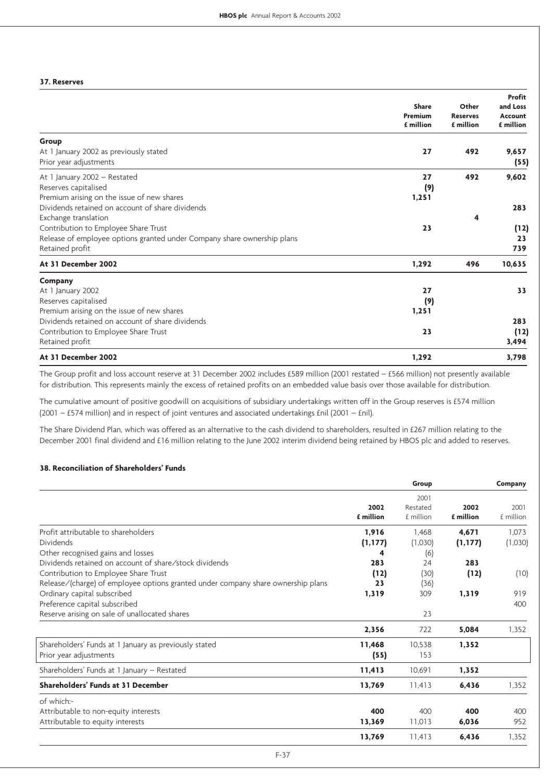### **37. Reserves**

|                                                                                                                                                            | <b>Share</b><br>Premium<br>£ million | Other<br><b>Reserves</b><br>£ million | Profit<br>and Loss<br>Account<br>£ million |
|------------------------------------------------------------------------------------------------------------------------------------------------------------|--------------------------------------|---------------------------------------|--------------------------------------------|
| Group<br>At 1 January 2002 as previously stated<br>Prior year adjustments                                                                                  | 27                                   | 492                                   | 9,657<br>(55)                              |
| At 1 January 2002 - Restated<br>Reserves capitalised<br>Premium arising on the issue of new shares<br>Dividends retained on account of share dividends     | 27<br>(9)<br>1,251                   | 492                                   | 9,602<br>283                               |
| Exchange translation<br>Contribution to Employee Share Trust<br>Release of employee options granted under Company share ownership plans<br>Retained profit | 23                                   | 4                                     | (12)<br>23<br>739                          |
| At 31 December 2002                                                                                                                                        | 1,292                                | 496                                   | 10,635                                     |
| Company<br>At 1 January 2002<br>Reserves capitalised<br>Premium arising on the issue of new shares                                                         | 27<br>(9)<br>1,251                   |                                       | 33                                         |
| Dividends retained on account of share dividends<br>Contribution to Employee Share Trust<br>Retained profit                                                | 23                                   |                                       | 283<br>(12)<br>3,494                       |
| At 31 December 2002                                                                                                                                        | 1,292                                |                                       | 3,798                                      |

The Group profit and loss account reserve at 31 December 2002 includes £589 million (2001 restated – £566 million) not presently available for distribution. This represents mainly the excess of retained profits on an embedded value basis over those available for distribution.

The cumulative amount of positive goodwill on acquisitions of subsidiary undertakings written off in the Group reserves is £574 million (2001 – £574 million) and in respect of joint ventures and associated undertakings £nil (2001 – £nil).

The Share Dividend Plan, which was offered as an alternative to the cash dividend to shareholders, resulted in £267 million relating to the December 2001 final dividend and £16 million relating to the June 2002 interim dividend being retained by HBOS plc and added to reserves.

### **38. Reconciliation of Shareholders' Funds**

|                                                                                                                                                                                    |                        | Group                         |                   | Company           |
|------------------------------------------------------------------------------------------------------------------------------------------------------------------------------------|------------------------|-------------------------------|-------------------|-------------------|
|                                                                                                                                                                                    | 2002<br>£ million      | 2001<br>Restated<br>£ million | 2002<br>£ million | 2001<br>£ million |
| Profit attributable to shareholders<br><b>Dividends</b><br>Other recognised gains and losses                                                                                       | 1,916<br>(1, 177)<br>4 | 1.468<br>(1,030)              | 4,671<br>(1, 177) | 1,073<br>(1,030)  |
| Dividends retained on account of share/stock dividends<br>Contribution to Employee Share Trust<br>Release/(charge) of employee options granted under company share ownership plans | 283<br>(12)<br>23      | (6)<br>24<br>(30)<br>(36)     | 283<br>(12)       | (10)              |
| Ordinary capital subscribed<br>Preference capital subscribed<br>Reserve arising on sale of unallocated shares                                                                      | 1,319                  | 309<br>23                     | 1,319             | 919<br>400        |
|                                                                                                                                                                                    | 2,356                  | 722                           | 5,084             | 1,352             |
| Shareholders' Funds at 1 January as previously stated<br>Prior year adjustments                                                                                                    | 11,468<br>(55)         | 10,538<br>153                 | 1,352             |                   |
| Shareholders' Funds at 1 January - Restated                                                                                                                                        | 11,413                 | 10,691                        | 1,352             |                   |
| Shareholders' Funds at 31 December                                                                                                                                                 | 13,769                 | 11,413                        | 6,436             | 1,352             |
| of which:-<br>Attributable to non-equity interests<br>Attributable to equity interests                                                                                             | 400<br>13,369          | 400<br>11,013                 | 400<br>6,036      | 400<br>952        |
|                                                                                                                                                                                    | 13,769                 | 11,413                        | 6,436             | 1,352             |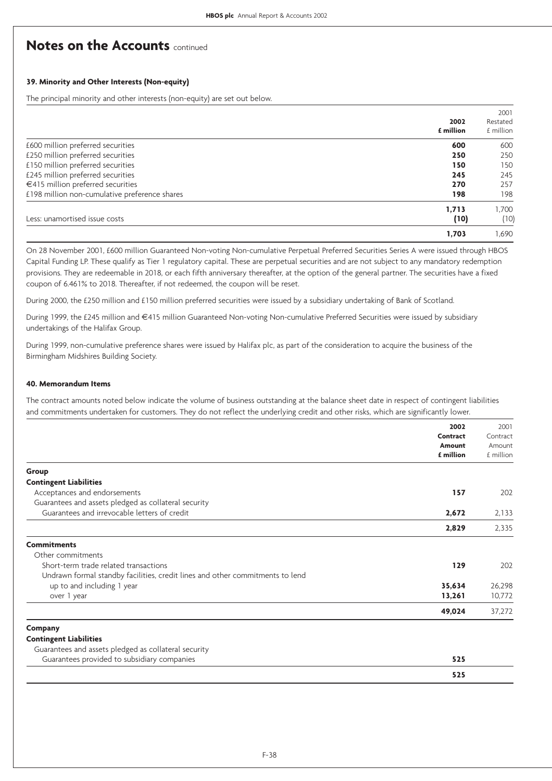### **39. Minority and Other Interests (Non-equity)**

The principal minority and other interests (non-equity) are set out below.

|                                               | 2002<br>£ million | 2001<br>Restated<br>£ million |
|-----------------------------------------------|-------------------|-------------------------------|
| £600 million preferred securities             | 600               | 600                           |
| £250 million preferred securities             | 250               | 250                           |
| £150 million preferred securities             | 150               | 150                           |
| £245 million preferred securities             | 245               | 245                           |
| €415 million preferred securities             | 270               | 257                           |
| £198 million non-cumulative preference shares | 198               | 198                           |
| Less: unamortised issue costs                 | 1.713<br>(10)     | 1,700<br>(10)                 |
|                                               | 1.703             | 1.690                         |

On 28 November 2001, £600 million Guaranteed Non-voting Non-cumulative Perpetual Preferred Securities Series A were issued through HBOS Capital Funding LP. These qualify as Tier 1 regulatory capital. These are perpetual securities and are not subject to any mandatory redemption provisions. They are redeemable in 2018, or each fifth anniversary thereafter, at the option of the general partner. The securities have a fixed coupon of 6.461% to 2018. Thereafter, if not redeemed, the coupon will be reset.

During 2000, the £250 million and £150 million preferred securities were issued by a subsidiary undertaking of Bank of Scotland.

During 1999, the £245 million and €415 million Guaranteed Non-voting Non-cumulative Preferred Securities were issued by subsidiary undertakings of the Halifax Group.

During 1999, non-cumulative preference shares were issued by Halifax plc, as part of the consideration to acquire the business of the Birmingham Midshires Building Society.

### **40. Memorandum Items**

The contract amounts noted below indicate the volume of business outstanding at the balance sheet date in respect of contingent liabilities and commitments undertaken for customers. They do not reflect the underlying credit and other risks, which are significantly lower.

|                                                                               | 2002      | 2001      |
|-------------------------------------------------------------------------------|-----------|-----------|
|                                                                               | Contract  | Contract  |
|                                                                               | Amount    | Amount    |
|                                                                               | £ million | £ million |
| Group                                                                         |           |           |
| <b>Contingent Liabilities</b>                                                 |           |           |
| Acceptances and endorsements                                                  | 157       | 202       |
| Guarantees and assets pledged as collateral security                          |           |           |
| Guarantees and irrevocable letters of credit                                  | 2,672     | 2,133     |
|                                                                               | 2,829     | 2,335     |
| <b>Commitments</b>                                                            |           |           |
| Other commitments                                                             |           |           |
| Short-term trade related transactions                                         | 129       | 202       |
| Undrawn formal standby facilities, credit lines and other commitments to lend |           |           |
| up to and including 1 year                                                    | 35,634    | 26,298    |
| over 1 year                                                                   | 13,261    | 10,772    |
|                                                                               | 49,024    | 37,272    |
| Company                                                                       |           |           |
| <b>Contingent Liabilities</b>                                                 |           |           |
| Guarantees and assets pledged as collateral security                          |           |           |
| Guarantees provided to subsidiary companies                                   | 525       |           |
|                                                                               | 525       |           |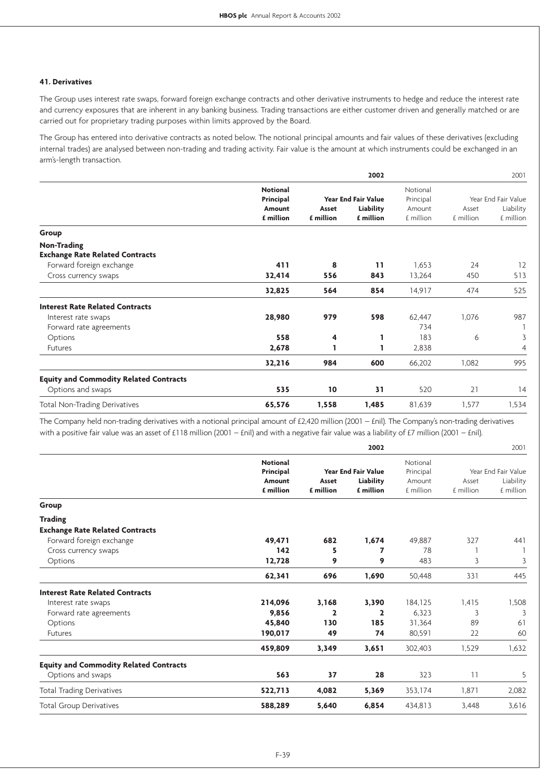### **41. Derivatives**

The Group uses interest rate swaps, forward foreign exchange contracts and other derivative instruments to hedge and reduce the interest rate and currency exposures that are inherent in any banking business. Trading transactions are either customer driven and generally matched or are carried out for proprietary trading purposes within limits approved by the Board.

The Group has entered into derivative contracts as noted below. The notional principal amounts and fair values of these derivatives (excluding internal trades) are analysed between non-trading and trading activity. Fair value is the amount at which instruments could be exchanged in an arm's-length transaction.

|                                               |                 |           | 2002                       |           |           | 2001                |
|-----------------------------------------------|-----------------|-----------|----------------------------|-----------|-----------|---------------------|
|                                               | <b>Notional</b> |           |                            | Notional  |           |                     |
|                                               | Principal       |           | <b>Year End Fair Value</b> | Principal |           | Year End Fair Value |
|                                               | Amount          | Asset     | Liability                  | Amount    | Asset     | Liability           |
|                                               | £ million       | £ million | £ million                  | £ million | £ million | £ million           |
| Group                                         |                 |           |                            |           |           |                     |
| <b>Non-Trading</b>                            |                 |           |                            |           |           |                     |
| <b>Exchange Rate Related Contracts</b>        |                 |           |                            |           |           |                     |
| Forward foreign exchange                      | 411             | 8         | 11                         | 1,653     | 24        | 12                  |
| Cross currency swaps                          | 32,414          | 556       | 843                        | 13,264    | 450       | 513                 |
|                                               | 32,825          | 564       | 854                        | 14,917    | 474       | 525                 |
| <b>Interest Rate Related Contracts</b>        |                 |           |                            |           |           |                     |
| Interest rate swaps                           | 28,980          | 979       | 598                        | 62,447    | 1,076     | 987                 |
| Forward rate agreements                       |                 |           |                            | 734       |           |                     |
| Options                                       | 558             | 4         | 1                          | 183       | 6         | 3                   |
| <b>Futures</b>                                | 2,678           |           | 1                          | 2,838     |           | 4                   |
|                                               | 32,216          | 984       | 600                        | 66,202    | 1,082     | 995                 |
| <b>Equity and Commodity Related Contracts</b> |                 |           |                            |           |           |                     |
| Options and swaps                             | 535             | 10        | 31                         | 520       | 21        | 14                  |
| Total Non-Trading Derivatives                 | 65,576          | 1,558     | 1,485                      | 81,639    | 1,577     | 1,534               |

The Company held non-trading derivatives with a notional principal amount of £2,420 million (2001 – £nil). The Company's non-trading derivatives with a positive fair value was an asset of £118 million (2001 – £nil) and with a negative fair value was a liability of £7 million (2001 – £nil).

|                                               | 2002            |                            |                         | 2001      |                     |           |
|-----------------------------------------------|-----------------|----------------------------|-------------------------|-----------|---------------------|-----------|
|                                               | <b>Notional</b> |                            |                         | Notional  |                     |           |
|                                               | Principal       | <b>Year End Fair Value</b> |                         | Principal | Year End Fair Value |           |
|                                               | Amount          | Asset                      | Liability               | Amount    | Asset               | Liability |
|                                               | £ million       | £ million                  | £ million               | £ million | £ million           | £ million |
| Group                                         |                 |                            |                         |           |                     |           |
| <b>Trading</b>                                |                 |                            |                         |           |                     |           |
| <b>Exchange Rate Related Contracts</b>        |                 |                            |                         |           |                     |           |
| Forward foreign exchange                      | 49,471          | 682                        | 1,674                   | 49,887    | 327                 | 441       |
| Cross currency swaps                          | 142             | 5                          | $\overline{\mathbf{z}}$ | 78        |                     |           |
| Options                                       | 12.728          | 9                          | 9                       | 483       | 3                   | 3         |
|                                               | 62,341          | 696                        | 1,690                   | 50,448    | 331                 | 445       |
| <b>Interest Rate Related Contracts</b>        |                 |                            |                         |           |                     |           |
| Interest rate swaps                           | 214,096         | 3,168                      | 3,390                   | 184,125   | 1,415               | 1,508     |
| Forward rate agreements                       | 9,856           | $\mathbf{z}$               | $\overline{2}$          | 6.323     | 3                   | 3         |
| Options                                       | 45,840          | 130                        | 185                     | 31,364    | 89                  | 61        |
| <b>Futures</b>                                | 190,017         | 49                         | 74                      | 80,591    | 22                  | 60        |
|                                               | 459,809         | 3,349                      | 3,651                   | 302,403   | 1,529               | 1,632     |
| <b>Equity and Commodity Related Contracts</b> |                 |                            |                         |           |                     |           |
| Options and swaps                             | 563             | 37                         | 28                      | 323       | 11                  | 5         |
| <b>Total Trading Derivatives</b>              | 522,713         | 4,082                      | 5,369                   | 353,174   | 1,871               | 2,082     |
| <b>Total Group Derivatives</b>                | 588,289         | 5,640                      | 6,854                   | 434,813   | 3,448               | 3,616     |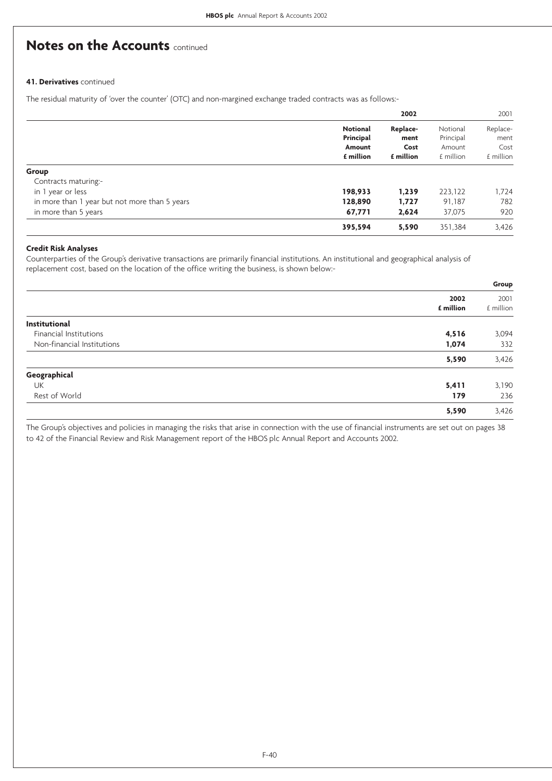### **41. Derivatives** continued

The residual maturity of 'over the counter' (OTC) and non-margined exchange traded contracts was as follows:-

|                                               |                              | 2002              |                       | 2001              |
|-----------------------------------------------|------------------------------|-------------------|-----------------------|-------------------|
|                                               | <b>Notional</b><br>Principal | Replace-<br>ment  | Notional<br>Principal | Replace-<br>ment  |
|                                               | Amount<br>£ million          | Cost<br>£ million | Amount<br>£ million   | Cost<br>£ million |
| Group<br>Contracts maturing:-                 |                              |                   |                       |                   |
| in 1 year or less                             | 198,933                      | 1,239             | 223,122               | 1,724             |
| in more than 1 year but not more than 5 years | 128,890                      | 1,727             | 91,187                | 782               |
| in more than 5 years                          | 67,771                       | 2,624             | 37,075                | 920               |
|                                               | 395,594                      | 5,590             | 351,384               | 3,426             |

### **Credit Risk Analyses**

Counterparties of the Group's derivative transactions are primarily financial institutions. An institutional and geographical analysis of replacement cost, based on the location of the office writing the business, is shown below:-

|                            |                   | Group             |
|----------------------------|-------------------|-------------------|
|                            | 2002<br>£ million | 2001<br>£ million |
| Institutional              |                   |                   |
| Financial Institutions     | 4,516             | 3,094             |
| Non-financial Institutions | 1,074             | 332               |
|                            | 5,590             | 3,426             |
| Geographical               |                   |                   |
| UK                         | 5,411             | 3,190             |
| Rest of World              | 179               | 236               |
|                            | 5,590             | 3,426             |

The Group's objectives and policies in managing the risks that arise in connection with the use of financial instruments are set out on pages 38 to 42 of the Financial Review and Risk Management report of the HBOS plc Annual Report and Accounts 2002.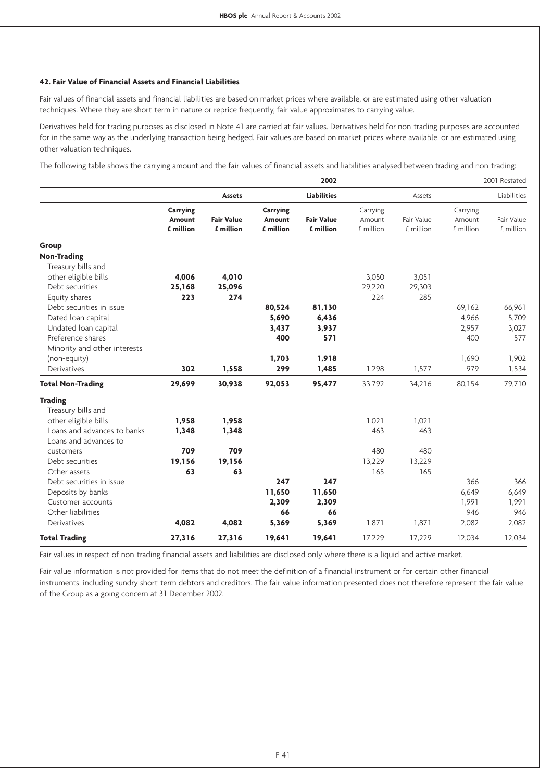#### **42. Fair Value of Financial Assets and Financial Liabilities**

Fair values of financial assets and financial liabilities are based on market prices where available, or are estimated using other valuation techniques. Where they are short-term in nature or reprice frequently, fair value approximates to carrying value.

Derivatives held for trading purposes as disclosed in Note 41 are carried at fair values. Derivatives held for non-trading purposes are accounted for in the same way as the underlying transaction being hedged. Fair values are based on market prices where available, or are estimated using other valuation techniques.

The following table shows the carrying amount and the fair values of financial assets and liabilities analysed between trading and non-trading:-

|                              |                 |                   |                 | 2002               |           |            |           | 2001 Restated |
|------------------------------|-----------------|-------------------|-----------------|--------------------|-----------|------------|-----------|---------------|
|                              |                 | Assets            |                 | <b>Liabilities</b> |           | Assets     |           | Liabilities   |
|                              | <b>Carrying</b> |                   | <b>Carrying</b> |                    | Carrying  |            | Carrying  |               |
|                              | <b>Amount</b>   | <b>Fair Value</b> | <b>Amount</b>   | <b>Fair Value</b>  | Amount    | Fair Value | Amount    | Fair Value    |
|                              | £ million       | £ million         | £ million       | £ million          | £ million | £ million  | £ million | £ million     |
| Group                        |                 |                   |                 |                    |           |            |           |               |
| <b>Non-Trading</b>           |                 |                   |                 |                    |           |            |           |               |
| Treasury bills and           |                 |                   |                 |                    |           |            |           |               |
| other eligible bills         | 4,006           | 4,010             |                 |                    | 3,050     | 3,051      |           |               |
| Debt securities              | 25,168          | 25,096            |                 |                    | 29,220    | 29,303     |           |               |
| Equity shares                | 223             | 274               |                 |                    | 224       | 285        |           |               |
| Debt securities in issue     |                 |                   | 80,524          | 81,130             |           |            | 69,162    | 66,961        |
| Dated loan capital           |                 |                   | 5,690           | 6,436              |           |            | 4,966     | 5,709         |
| Undated loan capital         |                 |                   | 3,437           | 3,937              |           |            | 2,957     | 3,027         |
| Preference shares            |                 |                   | 400             | 571                |           |            | 400       | 577           |
| Minority and other interests |                 |                   |                 |                    |           |            |           |               |
| (non-equity)                 |                 |                   | 1,703           | 1,918              |           |            | 1,690     | 1,902         |
| Derivatives                  | 302             | 1,558             | 299             | 1,485              | 1,298     | 1,577      | 979       | 1,534         |
| <b>Total Non-Trading</b>     | 29,699          | 30,938            | 92,053          | 95,477             | 33,792    | 34,216     | 80,154    | 79,710        |
| <b>Trading</b>               |                 |                   |                 |                    |           |            |           |               |
| Treasury bills and           |                 |                   |                 |                    |           |            |           |               |
| other eligible bills         | 1,958           | 1,958             |                 |                    | 1,021     | 1.021      |           |               |
| Loans and advances to banks  | 1,348           | 1,348             |                 |                    | 463       | 463        |           |               |
| Loans and advances to        |                 |                   |                 |                    |           |            |           |               |
| customers                    | 709             | 709               |                 |                    | 480       | 480        |           |               |
| Debt securities              | 19,156          | 19,156            |                 |                    | 13,229    | 13,229     |           |               |
| Other assets                 | 63              | 63                |                 |                    | 165       | 165        |           |               |
| Debt securities in issue     |                 |                   | 247             | 247                |           |            | 366       | 366           |
| Deposits by banks            |                 |                   | 11,650          | 11,650             |           |            | 6,649     | 6,649         |
| Customer accounts            |                 |                   | 2,309           | 2,309              |           |            | 1,991     | 1,991         |
| Other liabilities            |                 |                   | 66              | 66                 |           |            | 946       | 946           |
| Derivatives                  | 4,082           | 4,082             | 5,369           | 5,369              | 1,871     | 1,871      | 2,082     | 2,082         |
| <b>Total Trading</b>         | 27,316          | 27,316            | 19,641          | 19,641             | 17,229    | 17,229     | 12,034    | 12,034        |

Fair values in respect of non-trading financial assets and liabilities are disclosed only where there is a liquid and active market.

Fair value information is not provided for items that do not meet the definition of a financial instrument or for certain other financial instruments, including sundry short-term debtors and creditors. The fair value information presented does not therefore represent the fair value of the Group as a going concern at 31 December 2002.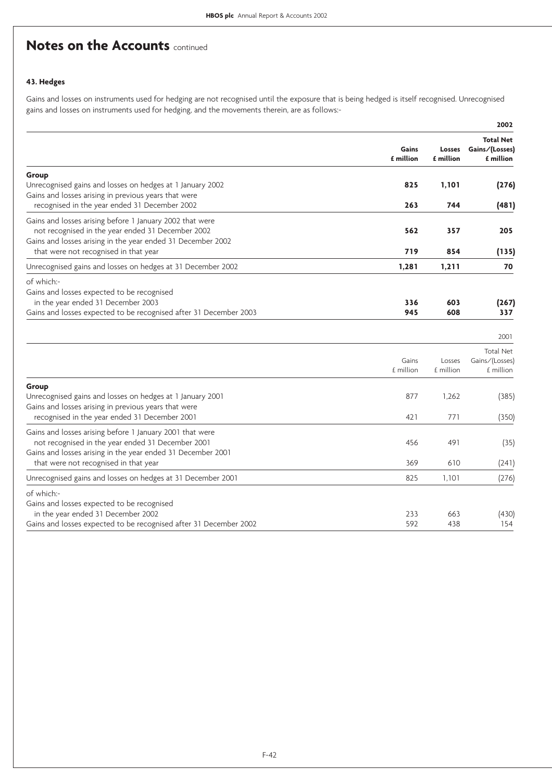# **Notes on the Accounts <b>continued**

## **43. Hedges**

Gains and losses on instruments used for hedging are not recognised until the exposure that is being hedged is itself recognised. Unrecognised gains and losses on instruments used for hedging, and the movements therein, are as follows:-

|                                                                                                                                                                                                                               |                    |                            | 2002                                                    |
|-------------------------------------------------------------------------------------------------------------------------------------------------------------------------------------------------------------------------------|--------------------|----------------------------|---------------------------------------------------------|
|                                                                                                                                                                                                                               | Gains<br>£ million | <b>Losses</b><br>£ million | <b>Total Net</b><br>Gains/(Losses)<br>£ million         |
| Group<br>Unrecognised gains and losses on hedges at 1 January 2002<br>Gains and losses arising in previous years that were                                                                                                    | 825                | 1,101                      | (276)                                                   |
| recognised in the year ended 31 December 2002<br>Gains and losses arising before 1 January 2002 that were<br>not recognised in the year ended 31 December 2002<br>Gains and losses arising in the year ended 31 December 2002 | 263<br>562         | 744<br>357                 | (481)<br>205                                            |
| that were not recognised in that year<br>Unrecognised gains and losses on hedges at 31 December 2002                                                                                                                          | 719<br>1,281       | 854<br>1,211               | (135)<br>70                                             |
| of which:-<br>Gains and losses expected to be recognised<br>in the year ended 31 December 2003<br>Gains and losses expected to be recognised after 31 December 2003                                                           | 336<br>945         | 603<br>608                 | (267)<br>337                                            |
|                                                                                                                                                                                                                               | Gains<br>£ million | Losses<br>£ million        | 2001<br><b>Total Net</b><br>Gains/(Losses)<br>£ million |
| Group<br>Unrecognised gains and losses on hedges at 1 January 2001<br>Gains and losses arising in previous years that were<br>recognised in the year ended 31 December 2001                                                   | 877<br>421         | 1,262<br>771               | (385)<br>(350)                                          |
| Gains and losses arising before 1 January 2001 that were<br>not recognised in the year ended 31 December 2001<br>Gains and losses arising in the year ended 31 December 2001<br>that were not recognised in that year         | 456<br>369         | 491<br>610                 | (35)<br>(241)                                           |
| Unrecognised gains and losses on hedges at 31 December 2001                                                                                                                                                                   | 825                | 1,101                      | (276)                                                   |
| of which:-<br>Gains and losses expected to be recognised<br>in the year ended 31 December 2002<br>Gains and losses expected to be recognised after 31 December 2002                                                           | 233<br>592         | 663<br>438                 | (430)<br>154                                            |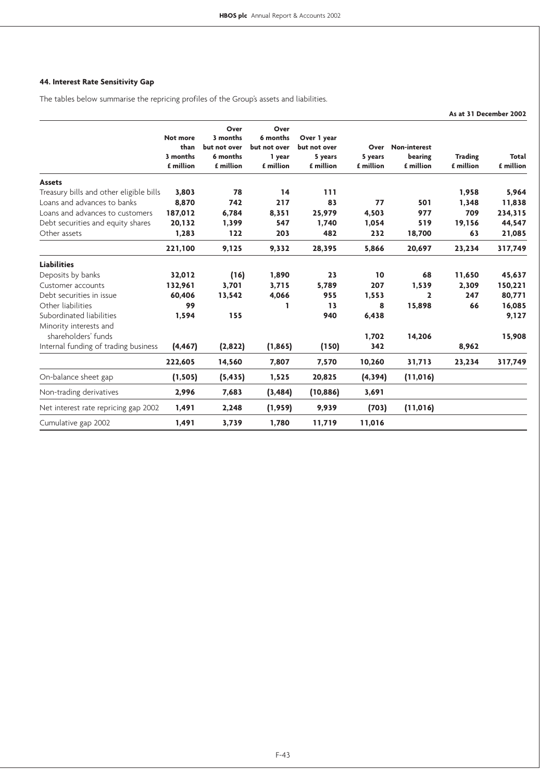# **44. Interest Rate Sensitivity Gap**

The tables below summarise the repricing profiles of the Group's assets and liabilities.

|                                               |                                           |                                                           |                                                         |                                                     |                              |                                             |                             | As at 31 December 2002 |
|-----------------------------------------------|-------------------------------------------|-----------------------------------------------------------|---------------------------------------------------------|-----------------------------------------------------|------------------------------|---------------------------------------------|-----------------------------|------------------------|
|                                               | Not more<br>than<br>3 months<br>£ million | Over<br>3 months<br>but not over<br>6 months<br>£ million | Over<br>6 months<br>but not over<br>1 year<br>£ million | Over 1 year<br>but not over<br>5 years<br>£ million | Over<br>5 years<br>£ million | <b>Non-interest</b><br>bearing<br>£ million | <b>Trading</b><br>£ million | Total<br>£ million     |
| <b>Assets</b>                                 |                                           |                                                           |                                                         |                                                     |                              |                                             |                             |                        |
| Treasury bills and other eligible bills       | 3,803                                     | 78                                                        | 14                                                      | 111                                                 |                              |                                             | 1,958                       | 5,964                  |
| Loans and advances to banks                   | 8,870                                     | 742                                                       | 217                                                     | 83                                                  | 77                           | 501                                         | 1,348                       | 11,838                 |
| Loans and advances to customers               | 187,012                                   | 6,784                                                     | 8,351                                                   | 25,979                                              | 4,503                        | 977                                         | 709                         | 234,315                |
| Debt securities and equity shares             | 20,132                                    | 1,399                                                     | 547                                                     | 1,740                                               | 1,054                        | 519                                         | 19,156                      | 44,547                 |
| Other assets                                  | 1,283                                     | 122                                                       | 203                                                     | 482                                                 | 232                          | 18,700                                      | 63                          | 21,085                 |
|                                               | 221,100                                   | 9,125                                                     | 9,332                                                   | 28,395                                              | 5,866                        | 20,697                                      | 23,234                      | 317,749                |
| <b>Liabilities</b>                            |                                           |                                                           |                                                         |                                                     |                              |                                             |                             |                        |
| Deposits by banks                             | 32,012                                    | (16)                                                      | 1,890                                                   | 23                                                  | 10                           | 68                                          | 11,650                      | 45,637                 |
| Customer accounts                             | 132,961                                   | 3,701                                                     | 3,715                                                   | 5,789                                               | 207                          | 1,539                                       | 2,309                       | 150,221                |
| Debt securities in issue                      | 60,406                                    | 13,542                                                    | 4,066                                                   | 955                                                 | 1,553                        | 2                                           | 247                         | 80,771                 |
| Other liabilities                             | 99                                        |                                                           | 1                                                       | 13                                                  | 8                            | 15,898                                      | 66                          | 16,085                 |
| Subordinated liabilities                      | 1,594                                     | 155                                                       |                                                         | 940                                                 | 6,438                        |                                             |                             | 9,127                  |
| Minority interests and<br>shareholders' funds |                                           |                                                           |                                                         |                                                     |                              |                                             |                             |                        |
|                                               |                                           |                                                           |                                                         |                                                     | 1,702<br>342                 | 14,206                                      |                             | 15,908                 |
| Internal funding of trading business          | (4, 467)                                  | (2,822)                                                   | (1, 865)                                                | (150)                                               |                              |                                             | 8,962                       |                        |
|                                               | 222,605                                   | 14,560                                                    | 7,807                                                   | 7,570                                               | 10,260                       | 31,713                                      | 23,234                      | 317,749                |
| On-balance sheet gap                          | (1, 505)                                  | (5, 435)                                                  | 1,525                                                   | 20,825                                              | (4, 394)                     | (11, 016)                                   |                             |                        |
| Non-trading derivatives                       | 2,996                                     | 7,683                                                     | (3, 484)                                                | (10, 886)                                           | 3,691                        |                                             |                             |                        |
| Net interest rate repricing gap 2002          | 1,491                                     | 2,248                                                     | (1,959)                                                 | 9,939                                               | (703)                        | (11, 016)                                   |                             |                        |
| Cumulative gap 2002                           | 1,491                                     | 3,739                                                     | 1,780                                                   | 11,719                                              | 11,016                       |                                             |                             |                        |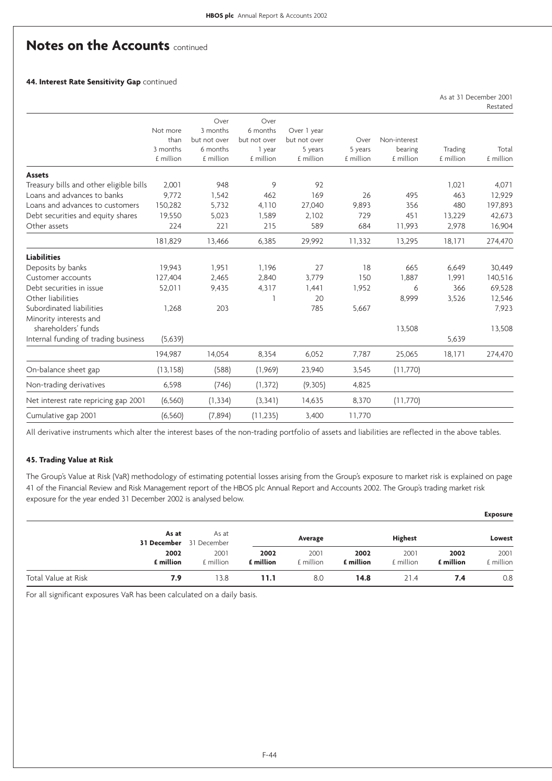As at 31 December 2001

# **Notes on the Accounts <b>continued**

**44. Interest Rate Sensitivity Gap** continued

|                                         |                                           |                                                           |                                            |                                        |                 |                         |           | Restated  |
|-----------------------------------------|-------------------------------------------|-----------------------------------------------------------|--------------------------------------------|----------------------------------------|-----------------|-------------------------|-----------|-----------|
|                                         | Not more<br>than<br>3 months<br>£ million | Over<br>3 months<br>but not over<br>6 months<br>£ million | Over<br>6 months<br>but not over<br>1 year | Over 1 year<br>but not over<br>5 years | Over<br>5 years | Non-interest<br>bearing | Trading   | Total     |
|                                         |                                           |                                                           | £ million                                  | £ million                              | £ million       | £ million               | £ million | £ million |
| <b>Assets</b>                           |                                           |                                                           |                                            |                                        |                 |                         |           |           |
| Treasury bills and other eligible bills | 2,001                                     | 948                                                       | 9                                          | 92                                     |                 |                         | 1,021     | 4,071     |
| Loans and advances to banks             | 9,772                                     | 1,542                                                     | 462                                        | 169                                    | 26              | 495                     | 463       | 12,929    |
| Loans and advances to customers         | 150,282                                   | 5,732                                                     | 4,110                                      | 27,040                                 | 9,893           | 356                     | 480       | 197,893   |
| Debt securities and equity shares       | 19,550                                    | 5,023                                                     | 1,589                                      | 2,102                                  | 729             | 451                     | 13,229    | 42,673    |
| Other assets                            | 224                                       | 221                                                       | 215                                        | 589                                    | 684             | 11,993                  | 2,978     | 16,904    |
|                                         | 181,829                                   | 13,466                                                    | 6,385                                      | 29,992                                 | 11,332          | 13,295                  | 18,171    | 274,470   |
| <b>Liabilities</b>                      |                                           |                                                           |                                            |                                        |                 |                         |           |           |
| Deposits by banks                       | 19.943                                    | 1.951                                                     | 1,196                                      | 27                                     | 18              | 665                     | 6.649     | 30,449    |
| Customer accounts                       | 127,404                                   | 2,465                                                     | 2,840                                      | 3,779                                  | 150             | 1.887                   | 1,991     | 140,516   |
| Debt securities in issue                | 52,011                                    | 9,435                                                     | 4,317                                      | 1,441                                  | 1,952           | 6                       | 366       | 69,528    |
| Other liabilities                       |                                           |                                                           |                                            | 20                                     |                 | 8,999                   | 3,526     | 12,546    |
| Subordinated liabilities                | 1,268                                     | 203                                                       |                                            | 785                                    | 5,667           |                         |           | 7,923     |
| Minority interests and                  |                                           |                                                           |                                            |                                        |                 |                         |           |           |
| shareholders' funds                     |                                           |                                                           |                                            |                                        |                 | 13,508                  |           | 13,508    |
| Internal funding of trading business    | (5,639)                                   |                                                           |                                            |                                        |                 |                         | 5,639     |           |
|                                         | 194,987                                   | 14,054                                                    | 8,354                                      | 6,052                                  | 7,787           | 25,065                  | 18,171    | 274,470   |
| On-balance sheet gap                    | (13, 158)                                 | (588)                                                     | (1,969)                                    | 23,940                                 | 3,545           | (11,770)                |           |           |
| Non-trading derivatives                 | 6,598                                     | (746)                                                     | (1, 372)                                   | (9,305)                                | 4,825           |                         |           |           |
| Net interest rate repricing gap 2001    | (6, 560)                                  | (1, 334)                                                  | (3, 341)                                   | 14,635                                 | 8,370           | (11,770)                |           |           |
| Cumulative gap 2001                     | (6, 560)                                  | (7,894)                                                   | (11, 235)                                  | 3,400                                  | 11,770          |                         |           |           |

All derivative instruments which alter the interest bases of the non-trading portfolio of assets and liabilities are reflected in the above tables.

#### **45. Trading Value at Risk**

The Group's Value at Risk (VaR) methodology of estimating potential losses arising from the Group's exposure to market risk is explained on page 41 of the Financial Review and Risk Management report of the HBOS plc Annual Report and Accounts 2002. The Group's trading market risk exposure for the year ended 31 December 2002 is analysed below.

|                     |                   |                                         |                   |                   |                   |                   |                   | <b>Exposure</b>   |
|---------------------|-------------------|-----------------------------------------|-------------------|-------------------|-------------------|-------------------|-------------------|-------------------|
|                     | As at             | As at<br><b>31 December</b> 31 December |                   | Average           |                   | <b>Highest</b>    |                   | Lowest            |
|                     | 2002<br>£ million | 2001<br>£ million                       | 2002<br>£ million | 2001<br>£ million | 2002<br>£ million | 2001<br>£ million | 2002<br>£ million | 2001<br>£ million |
| Total Value at Risk | 7.9               | 13.8                                    | 11.1              | 8.0               | 14.8              | 21.4              | 7.4               | 0.8               |

For all significant exposures VaR has been calculated on a daily basis.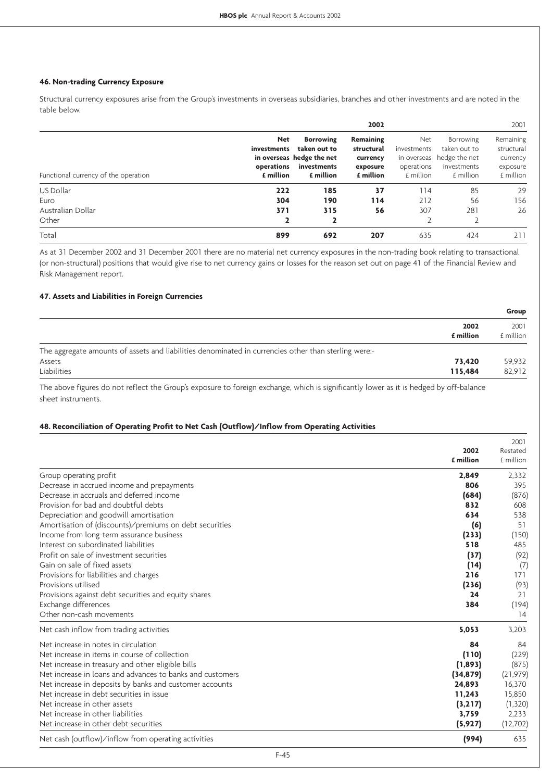#### **46. Non-trading Currency Exposure**

Structural currency exposures arise from the Group's investments in overseas subsidiaries, branches and other investments and are noted in the table below.

|                                      |                                                      |                                                                                           | 2002                                                                |                                                              |                                                                               | 2001                                                         |
|--------------------------------------|------------------------------------------------------|-------------------------------------------------------------------------------------------|---------------------------------------------------------------------|--------------------------------------------------------------|-------------------------------------------------------------------------------|--------------------------------------------------------------|
| Functional currency of the operation | <b>Net</b><br>investments<br>operations<br>£ million | <b>Borrowing</b><br>taken out to<br>in overseas hedge the net<br>investments<br>£ million | <b>Remaining</b><br>structural<br>currency<br>exposure<br>£ million | Net<br>investments<br>in overseas<br>operations<br>£ million | <b>Borrowing</b><br>taken out to<br>hedge the net<br>investments<br>£ million | Remaining<br>structural<br>currency<br>exposure<br>£ million |
| US Dollar                            | 222                                                  | 185                                                                                       | 37                                                                  | 114                                                          | 85                                                                            | 29                                                           |
| Euro                                 | 304                                                  | 190                                                                                       | 114                                                                 | 212                                                          | 56                                                                            | 156                                                          |
| Australian Dollar<br>Other           | 371<br>2                                             | 315                                                                                       | 56                                                                  | 307                                                          | 281                                                                           | 26                                                           |
| Total                                | 899                                                  | 692                                                                                       | 207                                                                 | 635                                                          | 424                                                                           | 211                                                          |

As at 31 December 2002 and 31 December 2001 there are no material net currency exposures in the non-trading book relating to transactional (or non-structural) positions that would give rise to net currency gains or losses for the reason set out on page 41 of the Financial Review and Risk Management report.

#### **47. Assets and Liabilities in Foreign Currencies**

|                                                                                                      |                   | Group             |
|------------------------------------------------------------------------------------------------------|-------------------|-------------------|
|                                                                                                      | 2002<br>£ million | 2001<br>£ million |
| The aggregate amounts of assets and liabilities denominated in currencies other than sterling were:- |                   |                   |
| Assets                                                                                               | 73.420            | 59,932            |
| Liabilities                                                                                          | 115.484           | 82.912            |

The above figures do not reflect the Group's exposure to foreign exchange, which is significantly lower as it is hedged by off-balance sheet instruments.

#### **48. Reconciliation of Operating Profit to Net Cash (Outflow)/Inflow from Operating Activities**

|                                                           |           | 2001      |
|-----------------------------------------------------------|-----------|-----------|
|                                                           | 2002      | Restated  |
|                                                           | £ million | £ million |
| Group operating profit                                    | 2,849     | 2,332     |
| Decrease in accrued income and prepayments                | 806       | 395       |
| Decrease in accruals and deferred income                  | (684)     | (876)     |
| Provision for bad and doubtful debts                      | 832       | 608       |
| Depreciation and goodwill amortisation                    | 634       | 538       |
| Amortisation of (discounts)/premiums on debt securities   | (6)       | 51        |
| Income from long-term assurance business                  | (233)     | (150)     |
| Interest on subordinated liabilities                      | 518       | 485       |
| Profit on sale of investment securities                   | (37)      | (92)      |
| Gain on sale of fixed assets                              | (14)      | (7)       |
| Provisions for liabilities and charges                    | 216       | 171       |
| Provisions utilised                                       | (236)     | (93)      |
| Provisions against debt securities and equity shares      | 24        | 21        |
| Exchange differences                                      | 384       | (194)     |
| Other non-cash movements                                  |           | 14        |
| Net cash inflow from trading activities                   | 5,053     | 3,203     |
| Net increase in notes in circulation                      | 84        | 84        |
| Net increase in items in course of collection             | (110)     | (229)     |
| Net increase in treasury and other eligible bills         | (1,893)   | (875)     |
| Net increase in loans and advances to banks and customers | (34, 879) | (21, 979) |
| Net increase in deposits by banks and customer accounts   | 24,893    | 16,370    |
| Net increase in debt securities in issue                  | 11,243    | 15,850    |
| Net increase in other assets                              | (3,217)   | (1,320)   |
| Net increase in other liabilities                         | 3,759     | 2,233     |
| Net increase in other debt securities                     | (5, 927)  | (12,702)  |
| Net cash (outflow)/inflow from operating activities       | (994)     | 635       |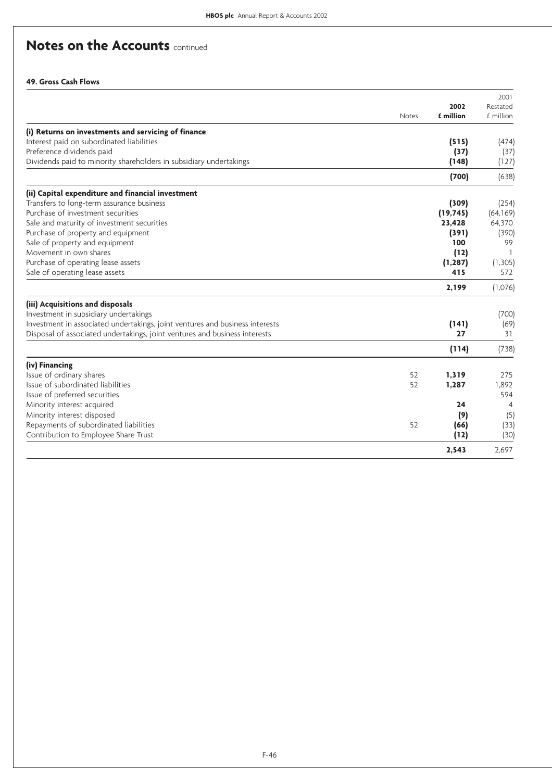# **Notes on the Accounts <b>continued**

### **49. Gross Cash Flows**

|                                                                              |              | 2002      | 2001                  |
|------------------------------------------------------------------------------|--------------|-----------|-----------------------|
|                                                                              | <b>Notes</b> | £ million | Restated<br>£ million |
| (i) Returns on investments and servicing of finance                          |              |           |                       |
| Interest paid on subordinated liabilities                                    |              | (515)     | (474)                 |
| Preference dividends paid                                                    |              | (37)      | (37)                  |
| Dividends paid to minority shareholders in subsidiary undertakings           |              | (148)     | (127)                 |
|                                                                              |              | (700)     | (638)                 |
| (ii) Capital expenditure and financial investment                            |              |           |                       |
| Transfers to long-term assurance business                                    |              | (309)     | (254)                 |
| Purchase of investment securities                                            |              | (19, 745) | (64, 169)             |
| Sale and maturity of investment securities                                   |              | 23,428    | 64,370                |
| Purchase of property and equipment                                           |              | (391)     | (390)                 |
| Sale of property and equipment                                               |              | 100       | 99                    |
| Movement in own shares                                                       |              | (12)      |                       |
| Purchase of operating lease assets                                           |              | (1, 287)  | (1,305)               |
| Sale of operating lease assets                                               |              | 415       | 572                   |
|                                                                              |              | 2,199     | (1,076)               |
| (iii) Acquisitions and disposals                                             |              |           |                       |
| Investment in subsidiary undertakings                                        |              |           | (700)                 |
| Investment in associated undertakings, joint ventures and business interests |              | (141)     | (69)                  |
| Disposal of associated undertakings, joint ventures and business interests   |              | 27        | 31                    |
|                                                                              |              | (114)     | (738)                 |
| (iv) Financing                                                               |              |           |                       |
| Issue of ordinary shares                                                     | 52           | 1,319     | 275                   |
| Issue of subordinated liabilities                                            | 52           | 1,287     | 1,892                 |
| Issue of preferred securities                                                |              |           | 594                   |
| Minority interest acquired                                                   |              | 24        | $\overline{4}$        |
| Minority interest disposed                                                   |              | (9)       | (5)                   |
| Repayments of subordinated liabilities                                       | 52           | (66)      | (33)                  |
| Contribution to Employee Share Trust                                         |              | (12)      | (30)                  |
|                                                                              |              | 2.543     | 2.697                 |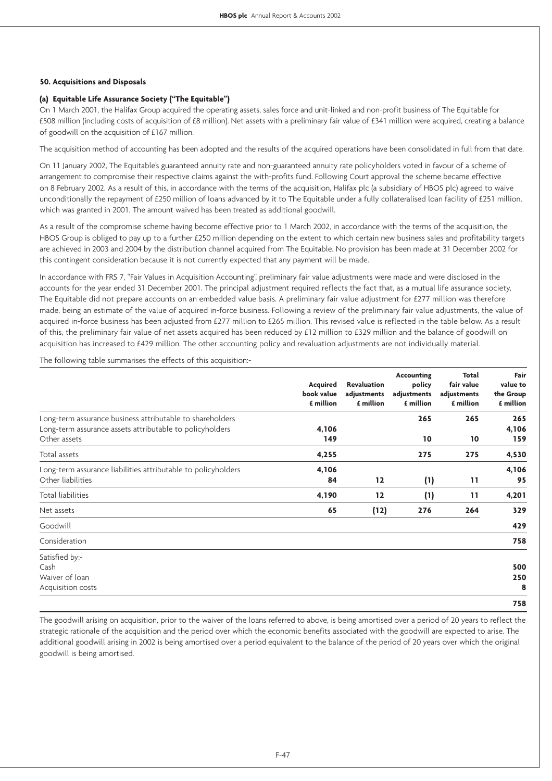#### **50. Acquisitions and Disposals**

#### **(a) Equitable Life Assurance Society ("The Equitable")**

On 1 March 2001, the Halifax Group acquired the operating assets, sales force and unit-linked and non-profit business of The Equitable for £508 million (including costs of acquisition of £8 million). Net assets with a preliminary fair value of £341 million were acquired, creating a balance of goodwill on the acquisition of £167 million.

The acquisition method of accounting has been adopted and the results of the acquired operations have been consolidated in full from that date.

On 11 January 2002, The Equitable's guaranteed annuity rate and non-guaranteed annuity rate policyholders voted in favour of a scheme of arrangement to compromise their respective claims against the with-profits fund. Following Court approval the scheme became effective on 8 February 2002. As a result of this, in accordance with the terms of the acquisition, Halifax plc (a subsidiary of HBOS plc) agreed to waive unconditionally the repayment of £250 million of loans advanced by it to The Equitable under a fully collateralised loan facility of £251 million, which was granted in 2001. The amount waived has been treated as additional goodwill.

As a result of the compromise scheme having become effective prior to 1 March 2002, in accordance with the terms of the acquisition, the HBOS Group is obliged to pay up to a further £250 million depending on the extent to which certain new business sales and profitability targets are achieved in 2003 and 2004 by the distribution channel acquired from The Equitable. No provision has been made at 31 December 2002 for this contingent consideration because it is not currently expected that any payment will be made.

In accordance with FRS 7, "Fair Values in Acquisition Accounting", preliminary fair value adjustments were made and were disclosed in the accounts for the year ended 31 December 2001. The principal adjustment required reflects the fact that, as a mutual life assurance society, The Equitable did not prepare accounts on an embedded value basis. A preliminary fair value adjustment for £277 million was therefore made, being an estimate of the value of acquired in-force business. Following a review of the preliminary fair value adjustments, the value of acquired in-force business has been adjusted from £277 million to £265 million. This revised value is reflected in the table below. As a result of this, the preliminary fair value of net assets acquired has been reduced by £12 million to £329 million and the balance of goodwill on acquisition has increased to £429 million. The other accounting policy and revaluation adjustments are not individually material.

The following table summarises the effects of this acquisition:-

|                                                               | Acquired<br>book value<br>£ million | <b>Revaluation</b><br>adjustments<br>£ million | <b>Accounting</b><br>policy<br>adjustments<br>£ million | Total<br>fair value<br>adjustments<br>£ million | Fair<br>value to<br>the Group<br>£ million |
|---------------------------------------------------------------|-------------------------------------|------------------------------------------------|---------------------------------------------------------|-------------------------------------------------|--------------------------------------------|
| Long-term assurance business attributable to shareholders     |                                     |                                                | 265                                                     | 265                                             | 265                                        |
| Long-term assurance assets attributable to policyholders      | 4,106                               |                                                |                                                         |                                                 | 4,106                                      |
| Other assets                                                  | 149                                 |                                                | 10                                                      | 10                                              | 159                                        |
| Total assets                                                  | 4,255                               |                                                | 275                                                     | 275                                             | 4,530                                      |
| Long-term assurance liabilities attributable to policyholders | 4,106                               |                                                |                                                         |                                                 | 4,106                                      |
| Other liabilities                                             | 84                                  | 12                                             | (1)                                                     | 11                                              | 95                                         |
| <b>Total liabilities</b>                                      | 4,190                               | 12                                             | (1)                                                     | 11                                              | 4,201                                      |
| Net assets                                                    | 65                                  | (12)                                           | 276                                                     | 264                                             | 329                                        |
| Goodwill                                                      |                                     |                                                |                                                         |                                                 | 429                                        |
| Consideration                                                 |                                     |                                                |                                                         |                                                 | 758                                        |
| Satisfied by:-                                                |                                     |                                                |                                                         |                                                 |                                            |
| Cash                                                          |                                     |                                                |                                                         |                                                 | 500                                        |
| Waiver of loan                                                |                                     |                                                |                                                         |                                                 | 250                                        |
| Acquisition costs                                             |                                     |                                                |                                                         |                                                 | 8                                          |
|                                                               |                                     |                                                |                                                         |                                                 | 758                                        |

The goodwill arising on acquisition, prior to the waiver of the loans referred to above, is being amortised over a period of 20 years to reflect the strategic rationale of the acquisition and the period over which the economic benefits associated with the goodwill are expected to arise. The additional goodwill arising in 2002 is being amortised over a period equivalent to the balance of the period of 20 years over which the original goodwill is being amortised.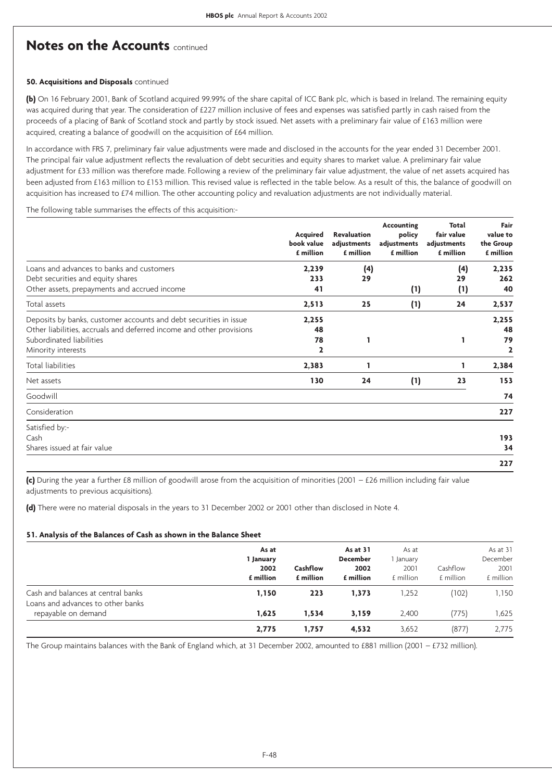# **Notes on the Accounts** continued

#### **50. Acquisitions and Disposals** continued

**(b)** On 16 February 2001, Bank of Scotland acquired 99.99% of the share capital of ICC Bank plc, which is based in Ireland. The remaining equity was acquired during that year. The consideration of £227 million inclusive of fees and expenses was satisfied partly in cash raised from the proceeds of a placing of Bank of Scotland stock and partly by stock issued. Net assets with a preliminary fair value of £163 million were acquired, creating a balance of goodwill on the acquisition of £64 million.

In accordance with FRS 7, preliminary fair value adjustments were made and disclosed in the accounts for the year ended 31 December 2001. The principal fair value adjustment reflects the revaluation of debt securities and equity shares to market value. A preliminary fair value adjustment for £33 million was therefore made. Following a review of the preliminary fair value adjustment, the value of net assets acquired has been adjusted from £163 million to £153 million. This revised value is reflected in the table below. As a result of this, the balance of goodwill on acquisition has increased to £74 million. The other accounting policy and revaluation adjustments are not individually material.

The following table summarises the effects of this acquisition:-

|                                                                      | <b>Acquired</b><br>book value<br>£ million | <b>Revaluation</b><br>adjustments<br>£ million | <b>Accounting</b><br>policy<br>adjustments<br>£ million | Total<br>fair value<br>adjustments<br>£ million | Fair<br>value to<br>the Group<br>£ million |
|----------------------------------------------------------------------|--------------------------------------------|------------------------------------------------|---------------------------------------------------------|-------------------------------------------------|--------------------------------------------|
| Loans and advances to banks and customers                            | 2,239                                      | (4)                                            |                                                         | (4)                                             | 2,235                                      |
| Debt securities and equity shares                                    | 233                                        | 29                                             |                                                         | 29                                              | 262                                        |
| Other assets, prepayments and accrued income                         | 41                                         |                                                | (1)                                                     | (1)                                             | 40                                         |
| Total assets                                                         | 2,513                                      | 25                                             | (1)                                                     | 24                                              | 2,537                                      |
| Deposits by banks, customer accounts and debt securities in issue    | 2,255                                      |                                                |                                                         |                                                 | 2,255                                      |
| Other liabilities, accruals and deferred income and other provisions | 48                                         |                                                |                                                         |                                                 | 48                                         |
| Subordinated liabilities                                             | 78                                         | 1                                              |                                                         |                                                 | 79                                         |
| Minority interests                                                   | $\overline{2}$                             |                                                |                                                         |                                                 | 2                                          |
| <b>Total liabilities</b>                                             | 2,383                                      |                                                |                                                         |                                                 | 2,384                                      |
| Net assets                                                           | 130                                        | 24                                             | (1)                                                     | 23                                              | 153                                        |
| Goodwill                                                             |                                            |                                                |                                                         |                                                 | 74                                         |
| Consideration                                                        |                                            |                                                |                                                         |                                                 | 227                                        |
| Satisfied by:-                                                       |                                            |                                                |                                                         |                                                 |                                            |
| Cash                                                                 |                                            |                                                |                                                         |                                                 | 193                                        |
| Shares issued at fair value                                          |                                            |                                                |                                                         |                                                 | 34                                         |
|                                                                      |                                            |                                                |                                                         |                                                 | 227                                        |

**(c)** During the year a further £8 million of goodwill arose from the acquisition of minorities (2001 – £26 million including fair value adjustments to previous acquisitions).

**(d)** There were no material disposals in the years to 31 December 2002 or 2001 other than disclosed in Note 4.

#### **51. Analysis of the Balances of Cash as shown in the Balance Sheet**

| As at     |           | As at 31        | As at     |           | As at 31  |
|-----------|-----------|-----------------|-----------|-----------|-----------|
| 1 January |           | <b>December</b> | January   |           | December  |
| 2002      | Cashflow  | 2002            | 2001      | Cashflow  | 2001      |
| £ million | £ million | £ million       | £ million | £ million | £ million |
| 1,150     | 223       | 1.373           | 1,252     | (102)     | 1,150     |
| 1,625     | 1.534     | 3,159           | 2.400     | (775)     | 1,625     |
| 2,775     | 1.757     | 4,532           | 3,652     | (877)     | 2,775     |
|           |           |                 |           |           |           |

The Group maintains balances with the Bank of England which, at 31 December 2002, amounted to £881 million (2001 – £732 million).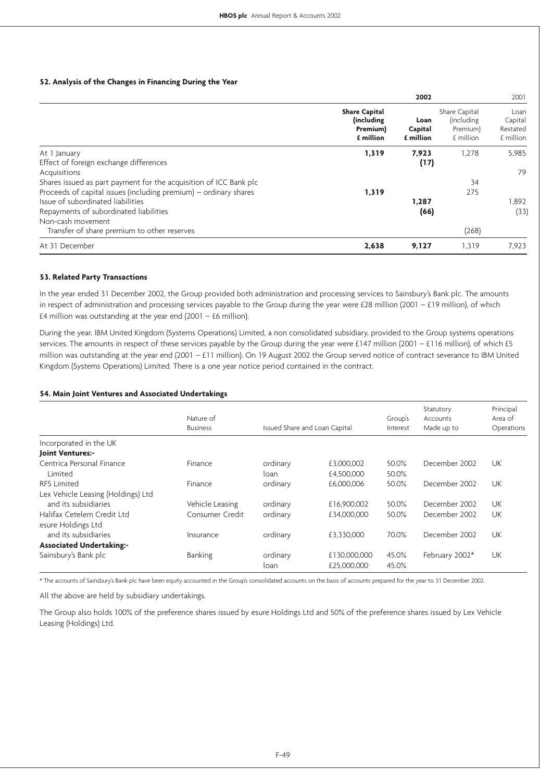#### **52. Analysis of the Changes in Financing During the Year**

|                                                                   |                                                              | 2002                         |                                                       | 2001                                     |
|-------------------------------------------------------------------|--------------------------------------------------------------|------------------------------|-------------------------------------------------------|------------------------------------------|
|                                                                   | <b>Share Capital</b><br>(including)<br>Premium)<br>£ million | Loan<br>Capital<br>£ million | Share Capital<br>(including)<br>Premium)<br>£ million | Loan<br>Capital<br>Restated<br>£ million |
| At 1 January                                                      | 1,319                                                        | 7,923                        | 1.278                                                 | 5.985                                    |
| Effect of foreign exchange differences                            |                                                              | (17)                         |                                                       |                                          |
| Acquisitions                                                      |                                                              |                              |                                                       | 79                                       |
| Shares issued as part payment for the acquisition of ICC Bank plc |                                                              |                              | 34                                                    |                                          |
| Proceeds of capital issues (including premium) – ordinary shares  | 1,319                                                        |                              | 275                                                   |                                          |
| Issue of subordinated liabilities                                 |                                                              | 1,287                        |                                                       | 1,892                                    |
| Repayments of subordinated liabilities                            |                                                              | (66)                         |                                                       | (33)                                     |
| Non-cash movement                                                 |                                                              |                              |                                                       |                                          |
| Transfer of share premium to other reserves                       |                                                              |                              | (268)                                                 |                                          |
| At 31 December                                                    | 2,638                                                        | 9,127                        | 1,319                                                 | 7,923                                    |

#### **53. Related Party Transactions**

In the year ended 31 December 2002, the Group provided both administration and processing services to Sainsbury's Bank plc. The amounts in respect of administration and processing services payable to the Group during the year were  $E28$  million (2001 –  $E19$  million), of which £4 million was outstanding at the year end  $(2001 - £6$  million).

During the year, IBM United Kingdom (Systems Operations) Limited, a non consolidated subsidiary, provided to the Group systems operations services. The amounts in respect of these services payable by the Group during the year were £147 million (2001 – £116 million), of which £5 million was outstanding at the year end (2001 – £11 million). On 19 August 2002 the Group served notice of contract severance to IBM United Kingdom (Systems Operations) Limited. There is a one year notice period contained in the contract.

#### **54. Main Joint Ventures and Associated Undertakings**

|                                    | Nature of<br><b>Business</b> | Issued Share and Loan Capital |                             | Group's<br>Interest | Statutory<br>Accounts<br>Made up to | Principal<br>Area of<br>Operations |
|------------------------------------|------------------------------|-------------------------------|-----------------------------|---------------------|-------------------------------------|------------------------------------|
|                                    |                              |                               |                             |                     |                                     |                                    |
| Incorporated in the UK             |                              |                               |                             |                     |                                     |                                    |
| <b>Joint Ventures:-</b>            |                              |                               |                             |                     |                                     |                                    |
| Centrica Personal Finance          | Finance                      | ordinary                      | £3,000,002                  | 50.0%               | December 2002                       | UK                                 |
| Limited                            |                              | loan                          | £4,500,000                  | 50.0%               |                                     |                                    |
| <b>RFS Limited</b>                 | Finance                      | ordinary                      | £6,000,006                  | 50.0%               | December 2002                       | <b>UK</b>                          |
| Lex Vehicle Leasing (Holdings) Ltd |                              |                               |                             |                     |                                     |                                    |
| and its subsidiaries               | Vehicle Leasing              | ordinary                      | £16,900,002                 | 50.0%               | December 2002                       | <b>UK</b>                          |
| Halifax Cetelem Credit Ltd         | Consumer Credit              | ordinary                      | £34.000.000                 | 50.0%               | December 2002                       | UK                                 |
| esure Holdings Ltd                 |                              |                               |                             |                     |                                     |                                    |
| and its subsidiaries               | Insurance                    | ordinary                      | £3,330,000                  | 70.0%               | December 2002                       | <b>UK</b>                          |
| <b>Associated Undertaking:-</b>    |                              |                               |                             |                     |                                     |                                    |
| Sainsbury's Bank plc               | Banking                      | ordinary<br>loan              | £130,000,000<br>£25,000,000 | 45.0%<br>45.0%      | February 2002*                      | <b>UK</b>                          |

\* The accounts of Sainsbury's Bank plc have been equity accounted in the Group's consolidated accounts on the basis of accounts prepared for the year to 31 December 2002.

All the above are held by subsidiary undertakings.

The Group also holds 100% of the preference shares issued by esure Holdings Ltd and 50% of the preference shares issued by Lex Vehicle Leasing (Holdings) Ltd.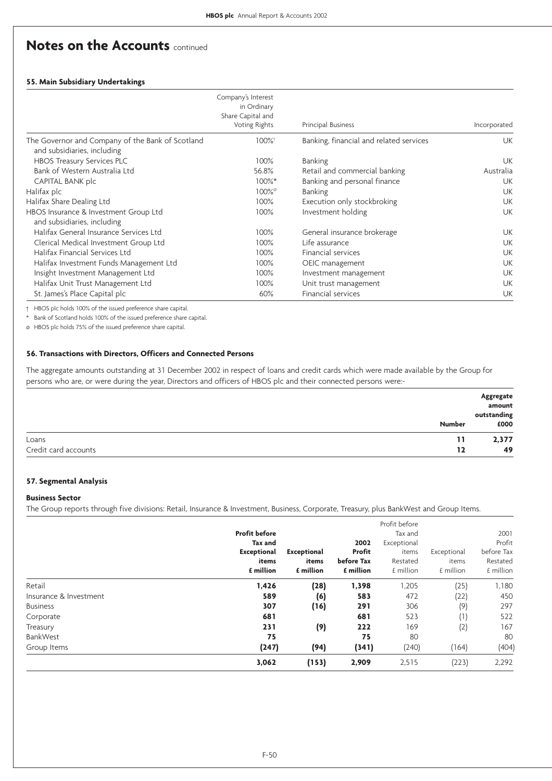# **Notes on the Accounts** continued

#### **55. Main Subsidiary Undertakings**

|                                                                                 | Company's Interest<br>in Ordinary<br>Share Capital and<br>Voting Rights | Principal Business                      | Incorporated |
|---------------------------------------------------------------------------------|-------------------------------------------------------------------------|-----------------------------------------|--------------|
| The Governor and Company of the Bank of Scotland<br>and subsidiaries, including | 100%                                                                    | Banking, financial and related services | UK           |
| <b>HBOS Treasury Services PLC</b>                                               | 100%                                                                    | Banking                                 | <b>UK</b>    |
| Bank of Western Australia Ltd                                                   | 56.8%                                                                   | Retail and commercial banking           | Australia    |
| CAPITAL BANK plc                                                                | $100\%$ *                                                               | Banking and personal finance            | UK           |
| Halifax plc                                                                     | 100% <sup>o</sup>                                                       | <b>Banking</b>                          | UK           |
| Halifax Share Dealing Ltd                                                       | 100%                                                                    | Execution only stockbroking             | UK           |
| HBOS Insurance & Investment Group Ltd<br>and subsidiaries, including            | 100%                                                                    | Investment holding                      | UK           |
| Halifax General Insurance Services Ltd                                          | 100%                                                                    | General insurance brokerage             | <b>UK</b>    |
| Clerical Medical Investment Group Ltd                                           | 100%                                                                    | Life assurance                          | UK           |
| Halifax Financial Services Ltd                                                  | 100%                                                                    | Financial services                      | UK           |
| Halifax Investment Funds Management Ltd                                         | 100%                                                                    | OEIC management                         | UK           |
| Insight Investment Management Ltd                                               | 100%                                                                    | Investment management                   | UK           |
| Halifax Unit Trust Management Ltd                                               | 100%                                                                    | Unit trust management                   | UK           |
| St. James's Place Capital plc                                                   | 60%                                                                     | Financial services                      | UK           |

† HBOS plc holds 100% of the issued preference share capital.

Bank of Scotland holds 100% of the issued preference share capital.

ø HBOS plc holds 75% of the issued preference share capital.

#### **56. Transactions with Directors, Officers and Connected Persons**

The aggregate amounts outstanding at 31 December 2002 in respect of loans and credit cards which were made available by the Group for persons who are, or were during the year, Directors and officers of HBOS plc and their connected persons were:-

|                      |               | Aggregate<br>amount  |
|----------------------|---------------|----------------------|
|                      | <b>Number</b> | outstanding<br>6000£ |
| Loans                | 11            | 2,377                |
| Credit card accounts | 12            | 49                   |

#### **57. Segmental Analysis**

#### **Business Sector**

The Group reports through five divisions: Retail, Insurance & Investment, Business, Corporate, Treasury, plus BankWest and Group Items.

|                        | <b>Profit before</b><br>Tax and<br><b>Exceptional</b><br>items<br>£ million | <b>Exceptional</b><br>items<br>£ million | 2002<br>Profit<br>before Tax<br>£ million | Profit before<br>Tax and<br>Exceptional<br>items<br>Restated<br>£ million | Exceptional<br>items<br>£ million | 2001<br>Profit<br>before Tax<br>Restated<br>£ million |
|------------------------|-----------------------------------------------------------------------------|------------------------------------------|-------------------------------------------|---------------------------------------------------------------------------|-----------------------------------|-------------------------------------------------------|
| Retail                 | 1,426                                                                       | (28)                                     | 1,398                                     | 1,205                                                                     | (25)                              | 1,180                                                 |
| Insurance & Investment | 589                                                                         | (6)                                      | 583                                       | 472                                                                       | (22)                              | 450                                                   |
| <b>Business</b>        | 307                                                                         | (16)                                     | 291                                       | 306                                                                       | (9)                               | 297                                                   |
| Corporate              | 681                                                                         |                                          | 681                                       | 523                                                                       | (1)                               | 522                                                   |
| Treasury               | 231                                                                         | (9)                                      | 222                                       | 169                                                                       | (2)                               | 167                                                   |
| BankWest               | 75                                                                          |                                          | 75                                        | 80                                                                        |                                   | 80                                                    |
| Group Items            | (247)                                                                       | (94)                                     | (341)                                     | (240)                                                                     | (164)                             | (404)                                                 |
|                        | 3,062                                                                       | (153)                                    | 2,909                                     | 2,515                                                                     | (223)                             | 2,292                                                 |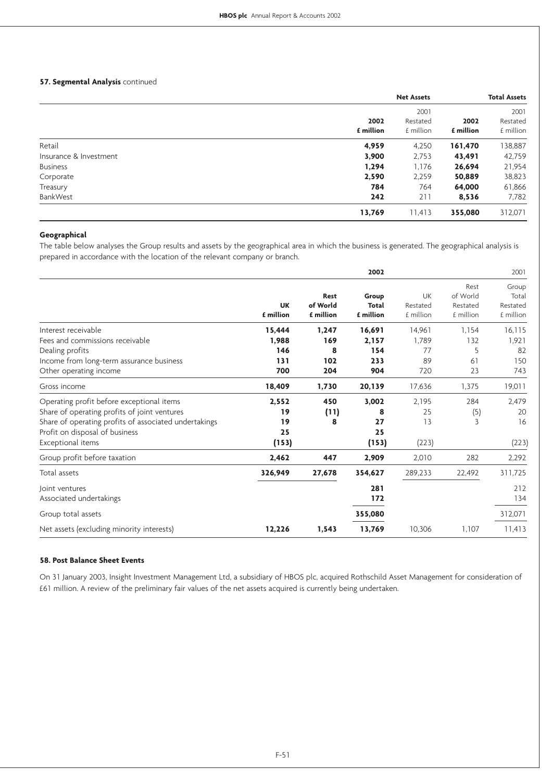#### **57. Segmental Analysis** continued

|                        |                   | <b>Net Assets</b>             |                   | <b>Total Assets</b>           |
|------------------------|-------------------|-------------------------------|-------------------|-------------------------------|
|                        | 2002<br>£ million | 2001<br>Restated<br>£ million | 2002<br>£ million | 2001<br>Restated<br>£ million |
| Retail                 | 4,959             | 4,250                         | 161,470           | 138,887                       |
| Insurance & Investment | 3,900             | 2,753                         | 43,491            | 42,759                        |
| <b>Business</b>        | 1,294             | 1,176                         | 26,694            | 21,954                        |
| Corporate              | 2,590             | 2,259                         | 50,889            | 38,823                        |
| Treasury               | 784               | 764                           | 64,000            | 61,866                        |
| BankWest               | 242               | 211                           | 8,536             | 7,782                         |
|                        | 13,769            | 11,413                        | 355,080           | 312,071                       |

# **Geographical**

The table below analyses the Group results and assets by the geographical area in which the business is generated. The geographical analysis is prepared in accordance with the location of the relevant company or branch.

|                                                       |                        |                                      | 2002                               |                             |                                           | 2001                                    |
|-------------------------------------------------------|------------------------|--------------------------------------|------------------------------------|-----------------------------|-------------------------------------------|-----------------------------------------|
|                                                       | <b>UK</b><br>£ million | <b>Rest</b><br>of World<br>£ million | Group<br><b>Total</b><br>£ million | UK<br>Restated<br>£ million | Rest<br>of World<br>Restated<br>£ million | Group<br>Total<br>Restated<br>£ million |
| Interest receivable                                   | 15,444                 | 1,247                                | 16,691                             | 14,961                      | 1,154                                     | 16,115                                  |
| Fees and commissions receivable                       | 1,988                  | 169                                  | 2,157                              | 1,789                       | 132                                       | 1,921                                   |
| Dealing profits                                       | 146                    | 8                                    | 154                                | 77                          | 5                                         | 82                                      |
| Income from long-term assurance business              | 131                    | 102                                  | 233                                | 89                          | 61                                        | 150                                     |
| Other operating income                                | 700                    | 204                                  | 904                                | 720                         | 23                                        | 743                                     |
| Gross income                                          | 18,409                 | 1,730                                | 20,139                             | 17.636                      | 1,375                                     | 19,011                                  |
| Operating profit before exceptional items             | 2,552                  | 450                                  | 3,002                              | 2,195                       | 284                                       | 2,479                                   |
| Share of operating profits of joint ventures          | 19                     | (11)                                 | 8                                  | 25                          | (5)                                       | 20                                      |
| Share of operating profits of associated undertakings | 19                     | 8                                    | 27                                 | 13                          | 3                                         | 16                                      |
| Profit on disposal of business                        | 25                     |                                      | 25                                 |                             |                                           |                                         |
| Exceptional items                                     | (153)                  |                                      | (153)                              | (223)                       |                                           | (223)                                   |
| Group profit before taxation                          | 2,462                  | 447                                  | 2,909                              | 2,010                       | 282                                       | 2,292                                   |
| Total assets                                          | 326,949                | 27,678                               | 354,627                            | 289,233                     | 22,492                                    | 311,725                                 |
| Joint ventures                                        |                        |                                      | 281                                |                             |                                           | 212                                     |
| Associated undertakings                               |                        |                                      | 172                                |                             |                                           | 134                                     |
| Group total assets                                    |                        |                                      | 355,080                            |                             |                                           | 312,071                                 |
| Net assets (excluding minority interests)             | 12,226                 | 1,543                                | 13,769                             | 10,306                      | 1,107                                     | 11,413                                  |

#### **58. Post Balance Sheet Events**

On 31 January 2003, Insight Investment Management Ltd, a subsidiary of HBOS plc, acquired Rothschild Asset Management for consideration of £61 million. A review of the preliminary fair values of the net assets acquired is currently being undertaken.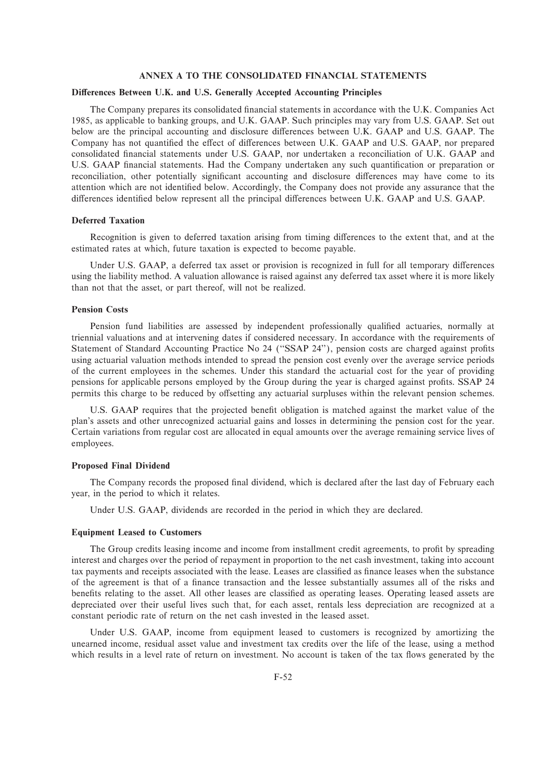#### **ANNEX A TO THE CONSOLIDATED FINANCIAL STATEMENTS**

#### **Differences Between U.K. and U.S. Generally Accepted Accounting Principles**

The Company prepares its consolidated financial statements in accordance with the U.K. Companies Act 1985, as applicable to banking groups, and U.K. GAAP. Such principles may vary from U.S. GAAP. Set out below are the principal accounting and disclosure differences between U.K. GAAP and U.S. GAAP. The Company has not quantified the effect of differences between U.K. GAAP and U.S. GAAP, nor prepared consolidated Ñnancial statements under U.S. GAAP, nor undertaken a reconciliation of U.K. GAAP and U.S. GAAP financial statements. Had the Company undertaken any such quantification or preparation or reconciliation, other potentially significant accounting and disclosure differences may have come to its attention which are not identified below. Accordingly, the Company does not provide any assurance that the differences identified below represent all the principal differences between U.K. GAAP and U.S. GAAP.

#### **Deferred Taxation**

Recognition is given to deferred taxation arising from timing differences to the extent that, and at the estimated rates at which, future taxation is expected to become payable.

Under U.S. GAAP, a deferred tax asset or provision is recognized in full for all temporary differences using the liability method. A valuation allowance is raised against any deferred tax asset where it is more likely than not that the asset, or part thereof, will not be realized.

#### **Pension Costs**

Pension fund liabilities are assessed by independent professionally qualified actuaries, normally at triennial valuations and at intervening dates if considered necessary. In accordance with the requirements of Statement of Standard Accounting Practice No 24 ("SSAP 24"), pension costs are charged against profits using actuarial valuation methods intended to spread the pension cost evenly over the average service periods of the current employees in the schemes. Under this standard the actuarial cost for the year of providing pensions for applicable persons employed by the Group during the year is charged against profits. SSAP 24 permits this charge to be reduced by offsetting any actuarial surpluses within the relevant pension schemes.

U.S. GAAP requires that the projected benefit obligation is matched against the market value of the plan's assets and other unrecognized actuarial gains and losses in determining the pension cost for the year. Certain variations from regular cost are allocated in equal amounts over the average remaining service lives of employees.

#### **Proposed Final Dividend**

The Company records the proposed final dividend, which is declared after the last day of February each year, in the period to which it relates.

Under U.S. GAAP, dividends are recorded in the period in which they are declared.

#### **Equipment Leased to Customers**

The Group credits leasing income and income from installment credit agreements, to profit by spreading interest and charges over the period of repayment in proportion to the net cash investment, taking into account tax payments and receipts associated with the lease. Leases are classified as finance leases when the substance of the agreement is that of a finance transaction and the lessee substantially assumes all of the risks and benefits relating to the asset. All other leases are classified as operating leases. Operating leased assets are depreciated over their useful lives such that, for each asset, rentals less depreciation are recognized at a constant periodic rate of return on the net cash invested in the leased asset.

Under U.S. GAAP, income from equipment leased to customers is recognized by amortizing the unearned income, residual asset value and investment tax credits over the life of the lease, using a method which results in a level rate of return on investment. No account is taken of the tax flows generated by the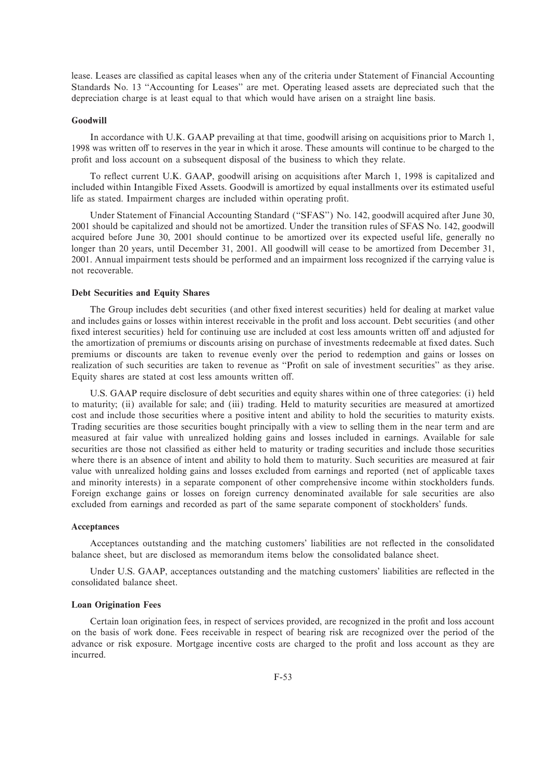lease. Leases are classified as capital leases when any of the criteria under Statement of Financial Accounting Standards No. 13 "Accounting for Leases" are met. Operating leased assets are depreciated such that the depreciation charge is at least equal to that which would have arisen on a straight line basis.

#### **Goodwill**

In accordance with U.K. GAAP prevailing at that time, goodwill arising on acquisitions prior to March 1, 1998 was written off to reserves in the year in which it arose. These amounts will continue to be charged to the profit and loss account on a subsequent disposal of the business to which they relate.

To reflect current U.K. GAAP, goodwill arising on acquisitions after March 1, 1998 is capitalized and included within Intangible Fixed Assets. Goodwill is amortized by equal installments over its estimated useful life as stated. Impairment charges are included within operating profit.

Under Statement of Financial Accounting Standard (""SFAS'') No. 142, goodwill acquired after June 30, 2001 should be capitalized and should not be amortized. Under the transition rules of SFAS No. 142, goodwill acquired before June 30, 2001 should continue to be amortized over its expected useful life, generally no longer than 20 years, until December 31, 2001. All goodwill will cease to be amortized from December 31, 2001. Annual impairment tests should be performed and an impairment loss recognized if the carrying value is not recoverable.

#### **Debt Securities and Equity Shares**

The Group includes debt securities (and other fixed interest securities) held for dealing at market value and includes gains or losses within interest receivable in the profit and loss account. Debt securities (and other fixed interest securities) held for continuing use are included at cost less amounts written off and adjusted for the amortization of premiums or discounts arising on purchase of investments redeemable at fixed dates. Such premiums or discounts are taken to revenue evenly over the period to redemption and gains or losses on realization of such securities are taken to revenue as "Profit on sale of investment securities" as they arise. Equity shares are stated at cost less amounts written off.

U.S. GAAP require disclosure of debt securities and equity shares within one of three categories: (i) held to maturity; (ii) available for sale; and (iii) trading. Held to maturity securities are measured at amortized cost and include those securities where a positive intent and ability to hold the securities to maturity exists. Trading securities are those securities bought principally with a view to selling them in the near term and are measured at fair value with unrealized holding gains and losses included in earnings. Available for sale securities are those not classified as either held to maturity or trading securities and include those securities where there is an absence of intent and ability to hold them to maturity. Such securities are measured at fair value with unrealized holding gains and losses excluded from earnings and reported (net of applicable taxes and minority interests) in a separate component of other comprehensive income within stockholders funds. Foreign exchange gains or losses on foreign currency denominated available for sale securities are also excluded from earnings and recorded as part of the same separate component of stockholders' funds.

#### **Acceptances**

Acceptances outstanding and the matching customers' liabilities are not reflected in the consolidated balance sheet, but are disclosed as memorandum items below the consolidated balance sheet.

Under U.S. GAAP, acceptances outstanding and the matching customers' liabilities are reflected in the consolidated balance sheet.

#### **Loan Origination Fees**

Certain loan origination fees, in respect of services provided, are recognized in the profit and loss account on the basis of work done. Fees receivable in respect of bearing risk are recognized over the period of the advance or risk exposure. Mortgage incentive costs are charged to the profit and loss account as they are incurred.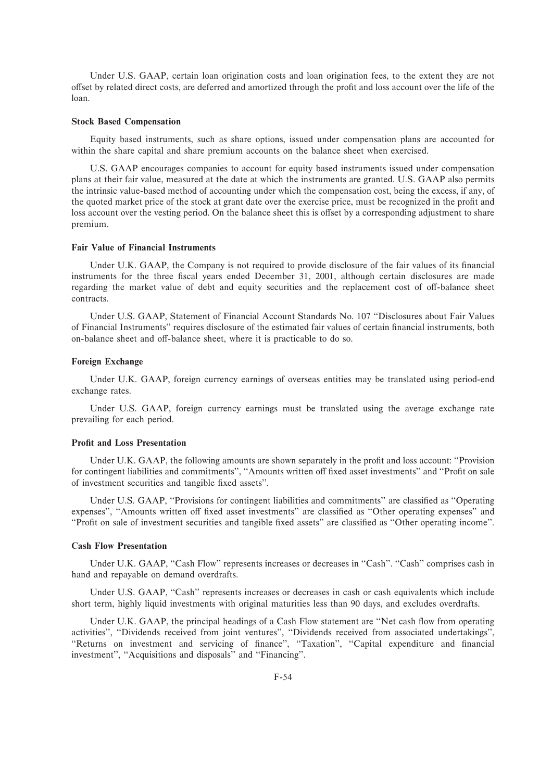Under U.S. GAAP, certain loan origination costs and loan origination fees, to the extent they are not offset by related direct costs, are deferred and amortized through the profit and loss account over the life of the loan.

#### **Stock Based Compensation**

Equity based instruments, such as share options, issued under compensation plans are accounted for within the share capital and share premium accounts on the balance sheet when exercised.

U.S. GAAP encourages companies to account for equity based instruments issued under compensation plans at their fair value, measured at the date at which the instruments are granted. U.S. GAAP also permits the intrinsic value-based method of accounting under which the compensation cost, being the excess, if any, of the quoted market price of the stock at grant date over the exercise price, must be recognized in the profit and loss account over the vesting period. On the balance sheet this is offset by a corresponding adjustment to share premium.

#### **Fair Value of Financial Instruments**

Under U.K. GAAP, the Company is not required to provide disclosure of the fair values of its financial instruments for the three fiscal years ended December 31, 2001, although certain disclosures are made regarding the market value of debt and equity securities and the replacement cost of off-balance sheet contracts.

Under U.S. GAAP, Statement of Financial Account Standards No. 107 ""Disclosures about Fair Values of Financial Instruments'' requires disclosure of the estimated fair values of certain financial instruments, both on-balance sheet and off-balance sheet, where it is practicable to do so.

#### **Foreign Exchange**

Under U.K. GAAP, foreign currency earnings of overseas entities may be translated using period-end exchange rates.

Under U.S. GAAP, foreign currency earnings must be translated using the average exchange rate prevailing for each period.

#### **Profit and Loss Presentation**

Under U.K. GAAP, the following amounts are shown separately in the profit and loss account: "Provision for contingent liabilities and commitments", "Amounts written off fixed asset investments" and "Profit on sale of investment securities and tangible Ñxed assets''.

Under U.S. GAAP, "Provisions for contingent liabilities and commitments" are classified as "Operating expenses", "Amounts written off fixed asset investments" are classified as "Other operating expenses" and "Profit on sale of investment securities and tangible fixed assets" are classified as "Other operating income".

#### **Cash Flow Presentation**

Under U.K. GAAP, "Cash Flow" represents increases or decreases in "Cash". "Cash" comprises cash in hand and repayable on demand overdrafts.

Under U.S. GAAP, "Cash" represents increases or decreases in cash or cash equivalents which include short term, highly liquid investments with original maturities less than 90 days, and excludes overdrafts.

Under U.K. GAAP, the principal headings of a Cash Flow statement are "Net cash flow from operating activities", "Dividends received from joint ventures", "Dividends received from associated undertakings", "Returns on investment and servicing of finance", "Taxation", "Capital expenditure and financial investment", "Acquisitions and disposals" and "Financing".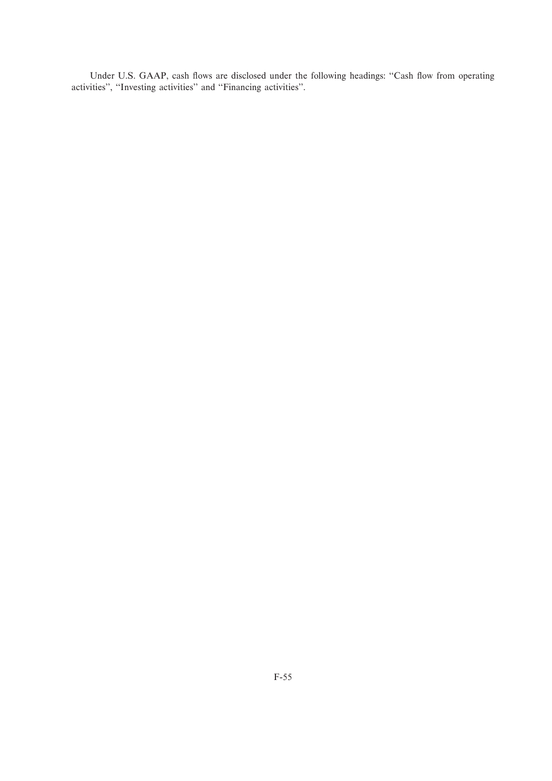Under U.S. GAAP, cash flows are disclosed under the following headings: "Cash flow from operating activities", "Investing activities" and "Financing activities".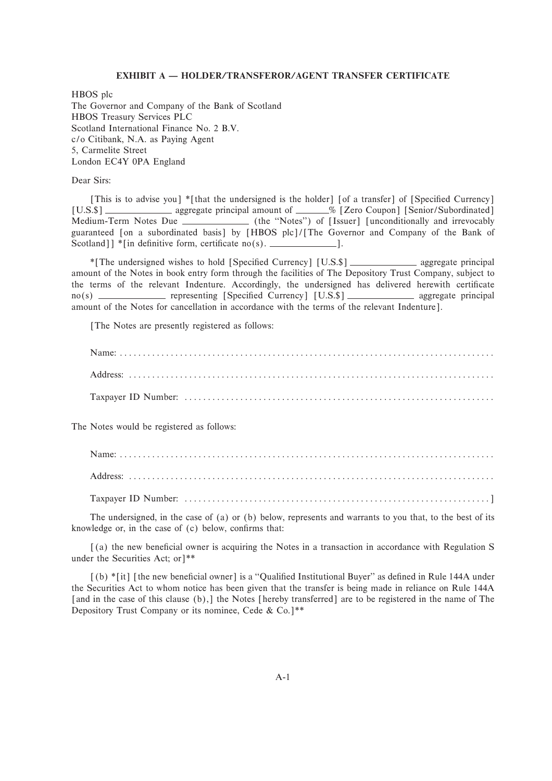#### **EXHIBIT A – HOLDER/TRANSFEROR/AGENT TRANSFER CERTIFICATE**

HBOS plc The Governor and Company of the Bank of Scotland HBOS Treasury Services PLC Scotland International Finance No. 2 B.V. c/o Citibank, N.A. as Paying Agent 5, Carmelite Street London EC4Y 0PA England

Dear Sirs:

[This is to advise you] \*[that the undersigned is the holder] [of a transfer] of [Specified Currency] [U.S.\$] \_\_\_\_\_\_\_\_\_\_\_\_\_\_\_\_ aggregate principal amount of \_\_\_\_\_\_\_% [Zero Coupon] [Senior/Subordinated] Medium-Term Notes Due (the "Notes") of [Issuer] [unconditionally and irrevocably guaranteed [on a subordinated basis] by [HBOS plc]/[The Governor and Company of the Bank of Scotland]  $\check{\ }$  [in definitive form, certificate no(s).  $\Box$ 

\*The undersigned wishes to hold [Specified Currency] [U.S.\$] \_\_\_\_\_\_\_\_\_\_\_\_\_\_ aggregate principal amount of the Notes in book entry form through the facilities of The Depository Trust Company, subject to the terms of the relevant Indenture. Accordingly, the undersigned has delivered herewith certificate no(s) representing ®SpeciÑed Currency© ®U.S.\$© aggregate principal amount of the Notes for cancellation in accordance with the terms of the relevant Indenture].

The Notes are presently registered as follows:

The Notes would be registered as follows:

The undersigned, in the case of (a) or (b) below, represents and warrants to you that, to the best of its knowledge or, in the case of  $(c)$  below, confirms that:

[(a) the new beneficial owner is acquiring the Notes in a transaction in accordance with Regulation S under the Securities Act; or] $**$ 

 $(6)$  \*[it] [the new beneficial owner] is a "Qualified Institutional Buyer" as defined in Rule 144A under the Securities Act to whom notice has been given that the transfer is being made in reliance on Rule 144A [and in the case of this clause (b), [the Notes [hereby transferred] are to be registered in the name of The Depository Trust Company or its nominee, Cede & Co.<sup>1\*\*</sup>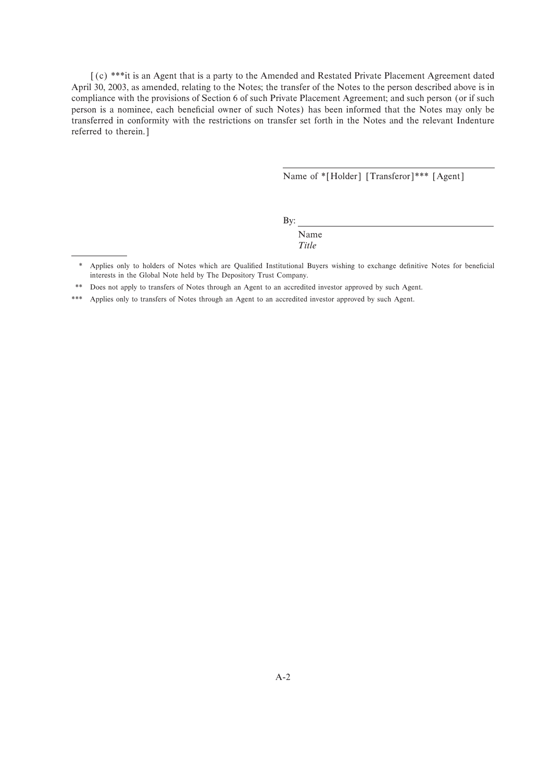[(c) \*\*\*it is an Agent that is a party to the Amended and Restated Private Placement Agreement dated April 30, 2003, as amended, relating to the Notes; the transfer of the Notes to the person described above is in compliance with the provisions of Section 6 of such Private Placement Agreement; and such person (or if such person is a nominee, each beneficial owner of such Notes) has been informed that the Notes may only be transferred in conformity with the restrictions on transfer set forth in the Notes and the relevant Indenture referred to therein.]

Name of \*[Holder] [Transferor]\*\*\* [Agent]

By:

Name *Title*

<sup>\*</sup> Applies only to holders of Notes which are Qualified Institutional Buyers wishing to exchange definitive Notes for beneficial interests in the Global Note held by The Depository Trust Company.

<sup>\*\*</sup> Does not apply to transfers of Notes through an Agent to an accredited investor approved by such Agent.

<sup>\*\*\*</sup> Applies only to transfers of Notes through an Agent to an accredited investor approved by such Agent.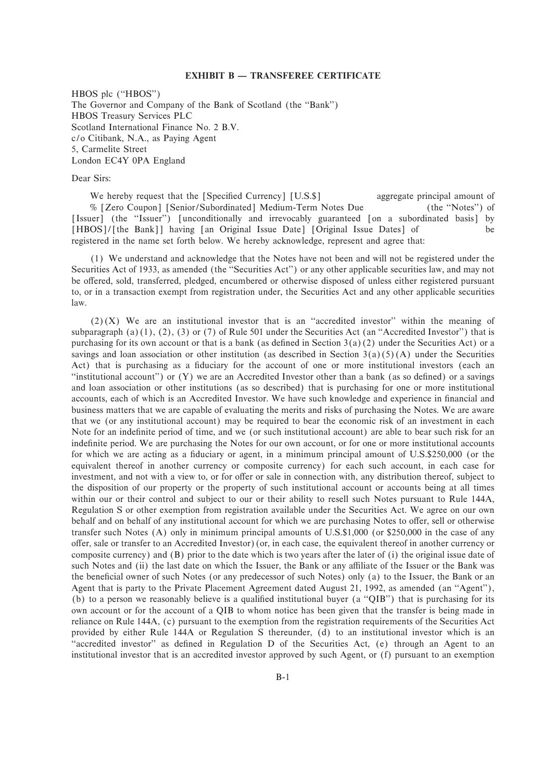#### **EXHIBIT B – TRANSFEREE CERTIFICATE**

HBOS plc ("HBOS") The Governor and Company of the Bank of Scotland (the "Bank") HBOS Treasury Services PLC Scotland International Finance No. 2 B.V. c/o Citibank, N.A., as Paying Agent 5, Carmelite Street London EC4Y 0PA England

Dear Sirs:

We hereby request that the [Specified Currency] [U.S.\$] aggregate principal amount of % [Zero Coupon] [Senior/Subordinated] Medium-Term Notes Due (the "Notes") of [Issuer] (the "Issuer") [unconditionally and irrevocably guaranteed [on a subordinated basis] by [HBOS]/[the Bank]] having [an Original Issue Date] [Original Issue Dates] of be registered in the name set forth below. We hereby acknowledge, represent and agree that:

(1) We understand and acknowledge that the Notes have not been and will not be registered under the Securities Act of 1933, as amended (the "Securities Act") or any other applicable securities law, and may not be offered, sold, transferred, pledged, encumbered or otherwise disposed of unless either registered pursuant to, or in a transaction exempt from registration under, the Securities Act and any other applicable securities law.

 $(2)(X)$  We are an institutional investor that is an "accredited investor" within the meaning of subparagraph  $(a)(1)$ ,  $(2)$ ,  $(3)$  or  $(7)$  of Rule 501 under the Securities Act (an "Accredited Investor") that is purchasing for its own account or that is a bank (as defined in Section  $3(a)(2)$  under the Securities Act) or a savings and loan association or other institution (as described in Section 3(a)(5)(A) under the Securities Act) that is purchasing as a fiduciary for the account of one or more institutional investors (each an "institutional account") or  $(Y)$  we are an Accredited Investor other than a bank (as so defined) or a savings and loan association or other institutions (as so described) that is purchasing for one or more institutional accounts, each of which is an Accredited Investor. We have such knowledge and experience in financial and business matters that we are capable of evaluating the merits and risks of purchasing the Notes. We are aware that we (or any institutional account) may be required to bear the economic risk of an investment in each Note for an indefinite period of time, and we (or such institutional account) are able to bear such risk for an indefinite period. We are purchasing the Notes for our own account, or for one or more institutional accounts for which we are acting as a fiduciary or agent, in a minimum principal amount of U.S.\$250,000 (or the equivalent thereof in another currency or composite currency) for each such account, in each case for investment, and not with a view to, or for offer or sale in connection with, any distribution thereof, subject to the disposition of our property or the property of such institutional account or accounts being at all times within our or their control and subject to our or their ability to resell such Notes pursuant to Rule 144A, Regulation S or other exemption from registration available under the Securities Act. We agree on our own behalf and on behalf of any institutional account for which we are purchasing Notes to offer, sell or otherwise transfer such Notes (A) only in minimum principal amounts of U.S.\$1,000 (or \$250,000 in the case of any oÅer, sale or transfer to an Accredited Investor)(or, in each case, the equivalent thereof in another currency or composite currency) and (B) prior to the date which is two years after the later of (i) the original issue date of such Notes and (ii) the last date on which the Issuer, the Bank or any affiliate of the Issuer or the Bank was the beneficial owner of such Notes (or any predecessor of such Notes) only (a) to the Issuer, the Bank or an Agent that is party to the Private Placement Agreement dated August 21, 1992, as amended (an "Agent"), (b) to a person we reasonably believe is a qualified institutional buyer (a " $QIB$ ") that is purchasing for its own account or for the account of a QIB to whom notice has been given that the transfer is being made in reliance on Rule 144A, (c) pursuant to the exemption from the registration requirements of the Securities Act provided by either Rule 144A or Regulation S thereunder, (d) to an institutional investor which is an "accredited investor" as defined in Regulation D of the Securities Act, (e) through an Agent to an institutional investor that is an accredited investor approved by such Agent, or (f) pursuant to an exemption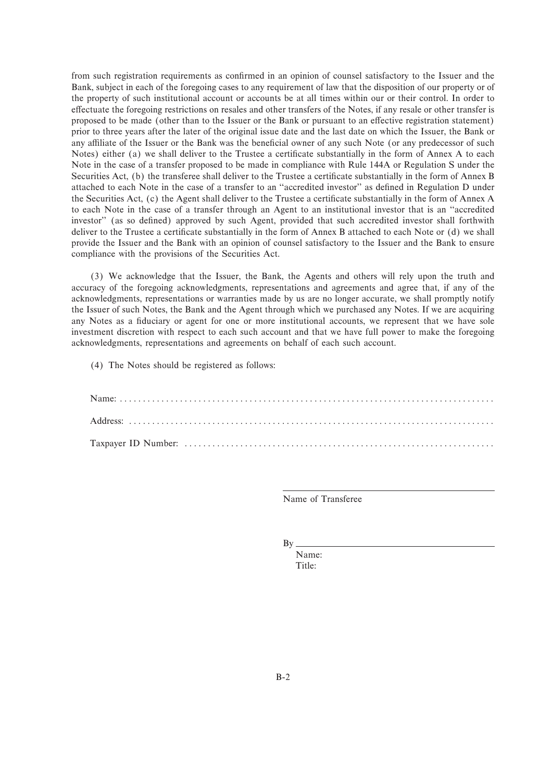from such registration requirements as confirmed in an opinion of counsel satisfactory to the Issuer and the Bank, subject in each of the foregoing cases to any requirement of law that the disposition of our property or of the property of such institutional account or accounts be at all times within our or their control. In order to effectuate the foregoing restrictions on resales and other transfers of the Notes, if any resale or other transfer is proposed to be made (other than to the Issuer or the Bank or pursuant to an effective registration statement) prior to three years after the later of the original issue date and the last date on which the Issuer, the Bank or any affiliate of the Issuer or the Bank was the beneficial owner of any such Note (or any predecessor of such Notes) either (a) we shall deliver to the Trustee a certificate substantially in the form of Annex A to each Note in the case of a transfer proposed to be made in compliance with Rule 144A or Regulation S under the Securities Act, (b) the transferee shall deliver to the Trustee a certificate substantially in the form of Annex B attached to each Note in the case of a transfer to an "accredited investor" as defined in Regulation D under the Securities Act, (c) the Agent shall deliver to the Trustee a certificate substantially in the form of Annex A to each Note in the case of a transfer through an Agent to an institutional investor that is an ""accredited investor" (as so defined) approved by such Agent, provided that such accredited investor shall forthwith deliver to the Trustee a certificate substantially in the form of Annex B attached to each Note or (d) we shall provide the Issuer and the Bank with an opinion of counsel satisfactory to the Issuer and the Bank to ensure compliance with the provisions of the Securities Act.

(3) We acknowledge that the Issuer, the Bank, the Agents and others will rely upon the truth and accuracy of the foregoing acknowledgments, representations and agreements and agree that, if any of the acknowledgments, representations or warranties made by us are no longer accurate, we shall promptly notify the Issuer of such Notes, the Bank and the Agent through which we purchased any Notes. If we are acquiring any Notes as a Ñduciary or agent for one or more institutional accounts, we represent that we have sole investment discretion with respect to each such account and that we have full power to make the foregoing acknowledgments, representations and agreements on behalf of each such account.

(4) The Notes should be registered as follows:

Name of Transferee

By

Name: Title: